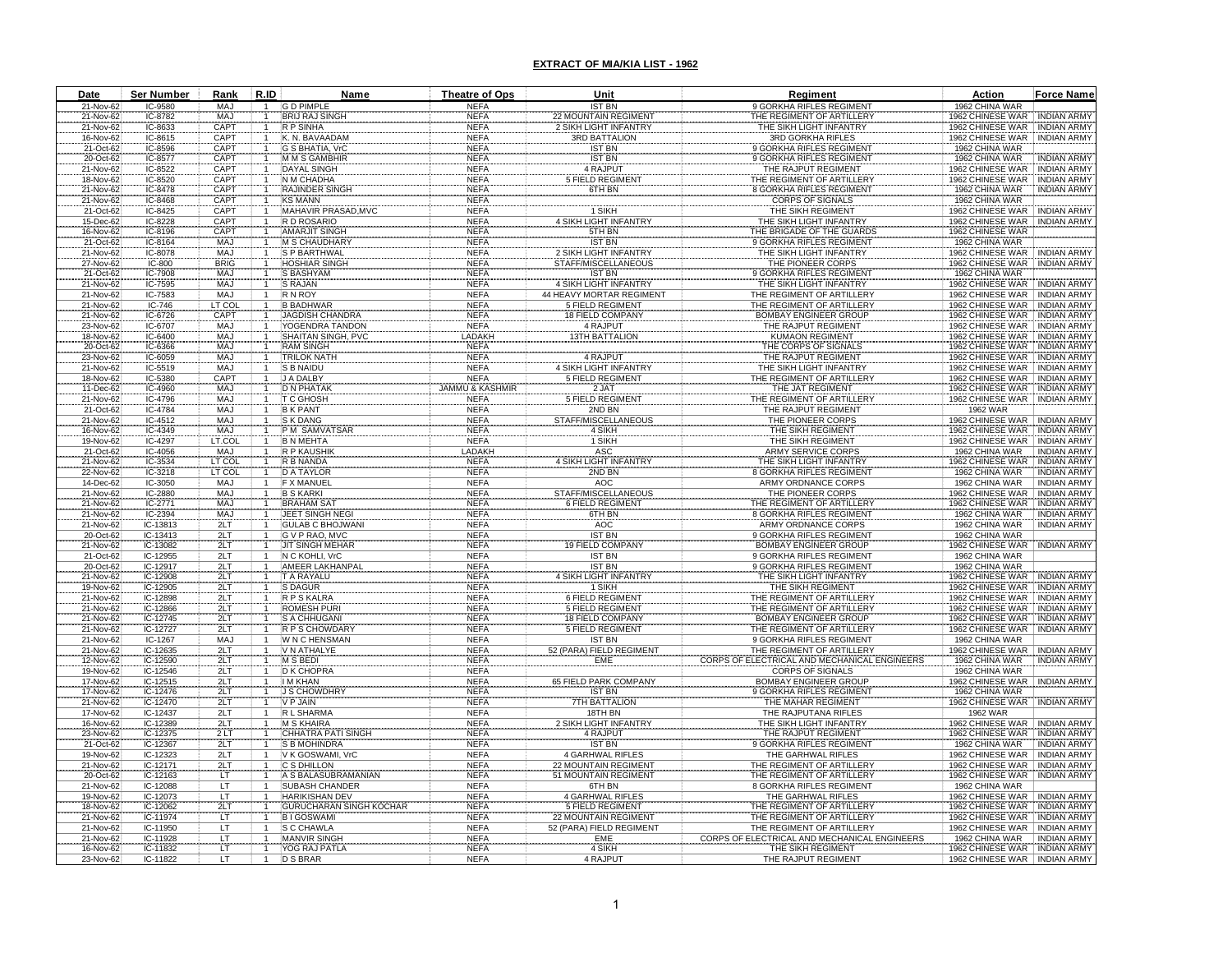| Date |                        | Ser Number           | Rank                            | R.ID         | Name                                           | Theatre of Ops             | Unit                                               | Regiment                                                                          | Action                                           | <b>Force Name</b>                        |
|------|------------------------|----------------------|---------------------------------|--------------|------------------------------------------------|----------------------------|----------------------------------------------------|-----------------------------------------------------------------------------------|--------------------------------------------------|------------------------------------------|
|      | 21-Nov-62              | IC-9580              | MAJ                             |              | <b>GD PIMPLE</b>                               | <b>NEFA</b>                | <b>IST BN</b>                                      | 9 GORKHA RIFLES REGIMENT                                                          | 1962 CHINA WAR                                   |                                          |
|      | 21-Nov-62              | IC-8782              | MAJ                             |              | <b>BRIJ RAJ SINGH</b>                          | <b>NEFA</b>                | 22 MOUNTAIN REGIMENT<br>2 SIKH LIGHT INFANTRY      | THE REGIMENT OF ARTILLERY                                                         | 1962 CHINESE WAR                                 | <b>INDIAN ARMY</b><br><b>INDIAN ARMY</b> |
|      | 21-Nov-62<br>16-Nov-62 | IC-8633<br>IC-8615   | <b>CAP1</b><br>CAP <sub>1</sub> |              | <b>R P SINHA</b><br>K. N. BAVAADAM             | <b>NEFA</b><br><b>NEFA</b> | 3RD BATTALION                                      | THE SIKH LIGHT INFANTRY<br>3RD GORKHA RIFLES                                      | 1962 CHINESE WAR<br>1962 CHINESE WAR             | <b>INDIAN ARMY</b>                       |
|      | 21-Oct-62              | IC-8596              | CAP <sub>1</sub>                |              | G S BHATIA, VrC                                | <b>NEFA</b>                | <b>IST BN</b>                                      | 9 GORKHA RIFLES REGIMENT                                                          | 1962 CHINA WAR                                   |                                          |
|      | 20-Oct-62              | IC-8577              | CAP <sub>1</sub>                |              | M M S GAMBHIR                                  | <b>NEFA</b>                | <b>IST BN</b>                                      | 9 GORKHA RIFLES REGIMEN                                                           | 1962 CHINA WAR                                   | <b>NDIAN ARM</b>                         |
|      | 21-Nov-62              | IC-8522              | CAP <sub>1</sub>                |              | DAYAL SINGH                                    | <b>NEFA</b>                | 4 RAJPUT                                           | THE RAJPUT REGIMENT                                                               | 962 CHINESE WAR                                  | <b>INDIAN ARMY</b>                       |
|      | 18-Nov-62              | IC-8520              | CAPT                            |              | N M CHADHA                                     | <b>NEFA</b>                | <b>5 FIELD REGIMEN</b>                             | THE REGIMENT OF ARTILLERY                                                         | 1962 CHINESE WAR                                 | <b>INDIAN ARMY</b>                       |
|      | 21-Nov-62<br>21-Nov-62 | IC-8478<br>IC-8468   | CAPT<br>CAP <sub>1</sub>        |              | <b>RAJINDER SINGH</b><br><b>KS MANN</b>        | <b>NEFA</b><br><b>NEFA</b> | 6TH BN                                             | <b>8 GORKHA RIFLES REGIMENT</b><br><b>CORPS OF SIGNALS</b>                        | 1962 CHINA WAR<br>1962 CHINA WAR                 | <b>INDIAN ARMY</b>                       |
|      | 21-Oct-62              | IC-8425              | CAPT                            |              | MAHAVIR PRASAD, MVC                            | <b>NEFA</b>                | 1 SIKH                                             | THE SIKH REGIMENT                                                                 | 1962 CHINESE WAR                                 | <b>INDIAN ARMY</b>                       |
|      | 15-Dec-62              | IC-8228              | CAPT                            |              | R D ROSARIO                                    | <b>NEFA</b>                | 4 SIKH LIGHT INFANTRY                              | THE SIKH LIGHT INFANTRY                                                           | 1962 CHINESE WAR                                 | <b>INDIAN ARMY</b>                       |
|      | 16-Nov-62              | IC-8196              | CAPT                            |              | <b>AMARJIT SINGH</b>                           | <b>NEFA</b>                | 5TH BN                                             | THE BRIGADE OF THE GUARDS                                                         | 1962 CHINESE WAR                                 |                                          |
|      | 21-Oct-62<br>21-Nov-62 | IC-8164<br>IC-8078   | <b>MAJ</b><br>MA.               |              | <b>M S CHAUDHARY</b><br><b>S P BARTHWAL</b>    | <b>NEFA</b><br><b>NEFA</b> | <b>IST BN</b><br>2 SIKH LIGHT INFANTRY             | 9 GORKHA RIFLES REGIMENT<br>THE SIKH LIGHT INFANTRY                               | 1962 CHINA WAR<br>1962 CHINESE WAR               | <b>INDIAN ARMY</b>                       |
|      | 27-Nov-62              | $IC-800$             | <b>BRIG</b>                     |              | <b>HOSHIAR SINGH</b>                           | <b>NEFA</b>                | STAFF/MISCELLANEOUS                                | THE PIONEER CORPS                                                                 | 1962 CHINESE WAR                                 | <b>INDIAN ARMY</b>                       |
|      | 21-Oct-62              | IC-7908              | <b>MAJ</b>                      |              | S BASHYAM                                      | <b>NEFA</b>                | <b>IST BN</b>                                      | 9 GORKHA RIFLES REGIMENT                                                          | 1962 CHINA WAR                                   |                                          |
|      | 21-Nov-62              | IC-7595              | <b>MAJ</b>                      |              | S RAJAN                                        | <b>NEFA</b>                | <b>4 SIKH LIGHT INFANTRY</b>                       | THE SIKH LIGHT INFANTRY                                                           | 1962 CHINESE WAR                                 | <b>INDIAN ARMY</b>                       |
|      | 21-Nov-62              | IC-7583              | <b>MAJ</b>                      |              | <b>RN ROY</b>                                  | <b>NEFA</b>                | <b>44 HEAVY MORTAR REGIMEN</b>                     | THE REGIMENT OF ARTILLERY                                                         | 1962 CHINESE WAR                                 | <b>INDIAN ARMY</b>                       |
|      | 21-Nov-62<br>21-Nov-62 | IC-746<br>IC-6726    | LT CO<br>CAPT                   |              | <b>B BADHWAR</b><br><b>JAGDISH CHANDRA</b>     | <b>NEFA</b><br><b>NEFA</b> | <b>5 FIELD REGIMENT</b><br><b>18 FIELD COMPANY</b> | THE REGIMENT OF ARTILLERY<br><b>BOMBAY ENGINEER GROUP</b>                         | 1962 CHINESE WAR<br>1962 CHINESE WAR             | <b>INDIAN ARMY</b><br><b>INDIAN ARMY</b> |
|      | 23-Nov-62              | IC-6707              | <b>MAJ</b>                      |              | YOGENDRA TANDON                                | <b>NEFA</b>                | 4 RAJPUT                                           | THE RAJPUT REGIMENT                                                               | 1962 CHINESE WAR INDIAN ARMY                     |                                          |
|      | 18-Nov-62              | IC-6400              | MAJ                             |              | SHAITAN SINGH, PVC                             | LADAKH                     | <b>13TH BATTALION</b>                              | <b>KUMAON REGIMENT</b>                                                            | 1962 CHINESE WAR                                 | <b>INDIAN ARMY</b>                       |
|      | 20-Oct-62              | IC-6366              | MAJ                             |              | <b>RAM SINGH</b>                               | <b>NEFA</b>                |                                                    | THE CORPS OF SIGNALS                                                              | 1962 CHINESE WAR                                 | <b>INDIAN ARMY</b>                       |
|      | 23-Nov-62              | IC-6059              | <b>MAJ</b>                      |              | <b>TRILOK NATH</b>                             | <b>NEFA</b>                | 4 RAJPUT                                           | THE RAJPUT REGIMENT                                                               | 1962 CHINESE WAR                                 | <b>INDIAN ARMY</b>                       |
|      | 21-Nov-62<br>18-Nov-62 | IC-5519<br>IC-5380   | MAJ<br>CAPT                     |              | S B NAIDU<br>J A DALBY                         | <b>NEFA</b><br><b>NEFA</b> | 4 SIKH LIGHT INFANTRY<br><b>5 FIELD REGIMENT</b>   | THE SIKH LIGHT INFANTRY<br>THE REGIMENT OF ARTILLERY                              | 1962 CHINESE WAR<br>1962 CHINESE WAR             | <b>INDIAN ARMY</b><br><b>INDIAN ARMY</b> |
|      | 11-Dec-62              | IC-4960              | <b>MAJ</b>                      |              | <b>D N PHATAK</b>                              | <b>JAMMU &amp; KASHMIR</b> | 2 JAT                                              | THE JAT REGIMENT                                                                  | 1962 CHINESE WAR                                 | <b>INDIAN ARMY</b>                       |
|      | 21-Nov-62              | IC-4796              | MAJ                             |              | T C GHOSH                                      | <b>NEFA</b>                | <b>5 FIELD REGIMENT</b>                            | THE REGIMENT OF ARTILLER                                                          | 1962 CHINESE WAR                                 | <b>INDIAN ARMY</b>                       |
|      | 21-Oct-62              | IC-4784              | <b>MAJ</b>                      |              | <b>B K PANT</b>                                | <b>NEFA</b>                | 2ND BN                                             | THE RAJPUT REGIMENT                                                               | <b>1962 WAR</b>                                  |                                          |
|      | 21-Nov-62              | IC-4512              | MA.                             |              | <b>S K DANG</b>                                | <b>NEFA</b>                | STAFF/MISCELLANEOUS                                | THE PIONEER CORPS                                                                 | 1962 CHINESE WAR                                 | <b>INDIAN ARMY</b>                       |
|      | 16-Nov-62<br>19-Nov-62 | IC-4349<br>IC-4297   | MAJ<br>LT.COI                   |              | P M SAMVATSAR<br><b>B N MEHTA</b>              | <b>NEFA</b><br><b>NEFA</b> | 4 SIKH<br>1 SIKH                                   | THE SIKH REGIMENT<br>THE SIKH REGIMENT                                            | 1962 CHINESE WAR<br>1962 CHINESE WAR             | <b>INDIAN ARMY</b><br><b>INDIAN ARMY</b> |
|      | 21-Oct-62              | IC-4056              | MAJ                             |              | R P KAUSHIK                                    | LADAKH                     | ASC                                                | <b>ARMY SERVICE CORPS</b>                                                         | 1962 CHINA WAR                                   | <b>INDIAN ARMY</b>                       |
|      | 21-Nov-62              | IC-3534              | LT COI                          |              | R B NANDA                                      | <b>NEFA</b>                | <b>4 SIKH LIGHT INFANTRY</b>                       | THE SIKH LIGHT INFANTRY                                                           | 1962 CHINESE WAR                                 | <b>INDIAN ARMY</b>                       |
|      | 22-Nov-62              | IC-3218              | LT COL                          |              | <b>D A TAYLOR</b>                              | <b>NEFA</b>                | 2ND BN                                             | <b>8 GORKHA RIFLES REGIMENT</b>                                                   | 1962 CHINA WAR                                   | <b>INDIAN ARMY</b>                       |
|      | 14-Dec-62              | IC-3050              | MAJ<br>MAJ                      | $\mathbf{1}$ | <b>F X MANUEL</b><br><b>B S KARKI</b>          | <b>NEFA</b><br><b>NEFA</b> | AOC<br>STAFF/MISCELLANEOUS                         | ARMY ORDNANCE CORPS<br>THE PIONEER CORPS                                          | 1962 CHINA WAR<br>1962 CHINESE WAR               | <b>INDIAN ARMY</b><br><b>INDIAN ARMY</b> |
|      | 21-Nov-62<br>21-Nov-62 | IC-2880<br>IC-2771   | <b>MAJ</b>                      |              | <b>BRAHAM SA</b>                               | <b>NEFA</b>                | <b>6 FIELD REGIMENT</b>                            | THE REGIMENT OF ARTILLER                                                          | 962 CHINESE WAR                                  | <b>INDIAN ARMY</b>                       |
|      | 21-Nov-62              | IC-2394              | <b>MAJ</b>                      |              | <b>JEET SINGH NEGI</b>                         | <b>NEFA</b>                | 6TH BN                                             | 8 GORKHA RIFLES REGIMENT                                                          | 1962 CHINA WAR                                   | INDIAN ARMY                              |
|      | 21-Nov-62              | IC-13813             | 2LT                             |              | <b>GULAB C BHOJWAN</b>                         | <b>NEFA</b>                | <b>AOC</b>                                         | ARMY ORDNANCE CORPS                                                               | 1962 CHINA WAR                                   | <b>INDIAN ARMY</b>                       |
|      | 20-Oct-62              | IC-13413             | 2LT                             |              | G V P RAO, MVC                                 | <b>NEFA</b>                | <b>IST BN</b>                                      | 9 GORKHA RIFLES REGIMENT                                                          | 1962 CHINA WAR                                   |                                          |
|      | 21-Nov-62<br>21-Oct-62 | IC-13082<br>IC-12955 | 2LT<br>2LT                      |              | <b>JIT SINGH MEHAR</b><br>N C KOHLI, VrC       | <b>NEFA</b><br><b>NEFA</b> | <b>19 FIELD COMPANY</b><br><b>IST BN</b>           | <b>BOMBAY ENGINEER GROUP</b><br>9 GORKHA RIFLES REGIMENT                          | 1962 CHINESE WAR<br>1962 CHINA WAR               | INDIAN ARMY                              |
|      | 20-Oct-62              | IC-12917             | 2LT                             |              | <b>AMEER LAKHANPA</b>                          | <b>NEFA</b>                | <b>IST BN</b>                                      | 9 GORKHA RIFLES REGIMENT                                                          | 1962 CHINA WAR                                   |                                          |
|      | 21-Nov-62              | IC-12908             | 2LT                             |              | T A RAYALU                                     | <b>NEFA</b>                | 4 SIKH LIGHT INFANTRY                              | THE SIKH LIGHT INFANTRY                                                           | 1962 CHINESE WAR                                 | <b>INDIAN ARMY</b>                       |
|      | 19-Nov-62              | IC-12905             | 2LT                             |              | S DAGUR                                        | <b>NEFA</b>                | 1 SIKH                                             | THE SIKH REGIMENT                                                                 | 1962 CHINESE WAR                                 | <b>INDIAN ARMY</b>                       |
|      | 21-Nov-62              | IC-12898             | 2LT                             |              | R P S KALRA<br><b>ROMESH PURI</b>              | <b>NEFA</b><br><b>NEFA</b> | 6 FIELD REGIMENT<br><b>5 FIELD REGIMENT</b>        | THE REGIMENT OF ARTILLERY<br>THE REGIMENT OF ARTILLERY                            | 1962 CHINESE WAR<br>1962 CHINESE WAR             | <b>INDIAN ARMY</b><br><b>INDIAN ARMY</b> |
|      | 21-Nov-62<br>21-Nov-62 | IC-12866<br>IC-12745 | 2LT<br>2LT                      |              | S A CHHUGANI                                   | <b>NEFA</b>                | 18 FIELD COMPANY                                   | BOMBAY ENGINEER GROUP                                                             | 1962 CHINESE WAR                                 | <b>INDIAN ARMY</b>                       |
|      | 21-Nov-62              | IC-12727             | 2LT                             |              | R P S CHOWDARY                                 | <b>NEFA</b>                | <b>5 FIELD REGIMENT</b>                            | THE REGIMENT OF ARTILLERY                                                         | 1962 CHINESE WAR                                 | <b>INDIAN ARMY</b>                       |
|      | 21-Nov-62              | IC-1267              | MAJ                             | $\mathbf{1}$ | W N C HENSMAN                                  | <b>NEFA</b>                | <b>IST BN</b>                                      | 9 GORKHA RIFLES REGIMENT                                                          | 1962 CHINA WAR                                   |                                          |
|      | 21-Nov-62              | IC-12635             | 2LT                             |              | V N ATHALYE                                    | <b>NEFA</b>                | 52 (PARA) FIELD REGIMENT                           | THE REGIMENT OF ARTILLERY                                                         | 1962 CHINESE WAR                                 | <b>INDIAN ARMY</b>                       |
|      | 12-Nov-62<br>19-Nov-62 | IC-12590<br>IC-12546 | 2LT<br>2LT                      |              | <b>M S BEDI</b><br><b>D K CHOPRA</b>           | <b>NEFA</b><br><b>NEFA</b> | EME                                                | ELECTRICAL AND MECHANICAL ENGINEERS<br><b>CORPS OF</b><br><b>CORPS OF SIGNALS</b> | 1962 CHINA WAR<br>1962 CHINA WAR                 | <b>INDIAN ARMY</b>                       |
|      | 17-Nov-62              | IC-12515             | 2LT                             |              | <b>IM KHAN</b>                                 | <b>NEFA</b>                | 65 FIELD PARK COMPAN                               | BOMBAY ENGINEER GROU                                                              | 1962 CHINESE WAR                                 | <b>INDIAN ARMY</b>                       |
|      | 17-Nov-62              | IC-12476             | 2LT                             |              | <b>S CHOWDHR</b>                               | <b>NEFA</b>                | <b>IST BN</b>                                      | <b>GORKHA RIFLES REGIMEN</b>                                                      | 1962 CHINA WAR                                   |                                          |
|      | 21-Nov-62              | IC-12470             | 2LT                             |              | V P JAIN                                       | NEFA                       | 7TH BATTALION                                      | THE MAHAR REGIMENT                                                                | 1962 CHINESE WAR INDIAN ARMY                     |                                          |
|      | 17-Nov-62              | IC-12437             | 2LT                             |              | R L SHARMA                                     | <b>NEFA</b>                | 18TH BN                                            | THE RAJPUTANA RIFLES                                                              | 1962 WAR                                         |                                          |
|      | 16-Nov-62<br>23-Nov-62 | IC-12389<br>IC-12375 | 2LT<br>2LT                      |              | <b>M S KHAIRA</b><br><b>CHHATRA PATI SINGH</b> | <b>NEFA</b><br><b>NEFA</b> | 2 SIKH LIGHT INFANTRY<br>4 RAJPUT                  | THE SIKH LIGHT INFANTRY<br>THE RAJPUT REGIMENT                                    | 1962 CHINESE WAR INDIAN ARM'<br>1962 CHINESE WAR | <b>INDIAN ARMY</b>                       |
|      | 21-Oct-62              | IC-12367             | 2LT                             |              | <b>S B MOHINDRA</b>                            | <b>NEFA</b>                | <b>IST BN</b>                                      | 9 GORKHA RIFLES REGIMENT                                                          | 1962 CHINA WAR                                   | <b>INDIAN ARMY</b>                       |
|      | 19-Nov-62              | IC-12323             | 2LT                             |              | V K GOSWAMI, VrC                               | <b>NEFA</b>                | <b>4 GARHWAL RIFLES</b>                            | THE GARHWAL RIFLES                                                                | 1962 CHINESE WAR                                 | <b>INDIAN ARMY</b>                       |
|      | 21-Nov-62              | IC-12171             | 2LT                             |              | C S DHILLON                                    | <b>NEFA</b>                | <b>22 MOUNTAIN REGIMENT</b>                        | THE REGIMENT OF ARTILLERY                                                         | 1962 CHINESE WAR                                 | <b>INDIAN ARMY</b>                       |
|      | 20-Oct-62<br>21-Nov-62 | IC-12163<br>IC-12088 | ïΤ<br>ΪŤ                        |              | A S BALASUBRAMANIAN<br>SUBASH CHANDER          | <b>NEFA</b><br>NEFA        | 51 MOUNTAIN REGIMENT<br>6TH BN                     | THE REGIMENT OF ARTILLERY<br>8 GORKHA RIFLES REGIMENT                             | 1962 CHINESE WAR<br>1962 CHINA WAR               | <b>INDIAN ARMY</b>                       |
|      | 19-Nov-62              | IC-12073             | ΪŤ                              |              | <b>HARIKISHAN DEV</b>                          | <b>NEFA</b>                | <b>4 GARHWAL RIFLES</b>                            | THE GARHWAL RIFLES                                                                | 1962 CHINESE WAR                                 | INDIAN ARMY                              |
|      | 18-Nov-62              | IC-12062             | 2LT                             |              | <b>GURUCHARAN SINGH KOCHAF</b>                 | <b>NEFA</b>                | <b>5 FIELD REGIMENT</b>                            | THE REGIMENT OF ARTILLERY                                                         | 1962 CHINESE WAR                                 | <b>INDIAN ARMY</b>                       |
|      | 21-Nov-62              | IC-11974             | ΪŤ                              |              | <b>BIGOSWAMI</b>                               | NEFA                       | <b>22 MOUNTAIN REGIMENT</b>                        | THE REGIMENT OF ARTILLERY                                                         | 1962 CHINESE WAR                                 | <b>INDIAN ARMY</b>                       |
|      | 21-Nov-62              | IC-11950             | LT<br>ĹТ                        |              | S C CHAWLA<br><b>MANVIR SINGH</b>              | <b>NEFA</b><br><b>NEFA</b> | (PARA) FIELD REGIMENT                              | THE REGIMENT OF ARTILLERY                                                         | 1962 CHINESE WAR<br>1962 CHINA WAR               | <b>INDIAN ARMY</b>                       |
|      | 21-Nov-62<br>16-Nov-62 | IC-11928<br>IC-11832 | LT                              |              | YOG RAJ PATLA                                  | <b>NEFA</b>                | EME<br>4 SIKH                                      | CORPS OF ELECTRICAL AND MECHANICAL ENGINEERS<br>THE SIKH REGIMENT                 | 1962 CHINESE WAR INDIAN ARMY                     | <b>INDIAN ARMY</b>                       |
|      | 23-Nov-62              | IC-11822             | LT.                             |              | <b>D S BRAR</b>                                | <b>NEFA</b>                | 4 RAJPUT                                           | THE RAJPUT REGIMENT                                                               | 1962 CHINESE WAR INDIAN ARMY                     |                                          |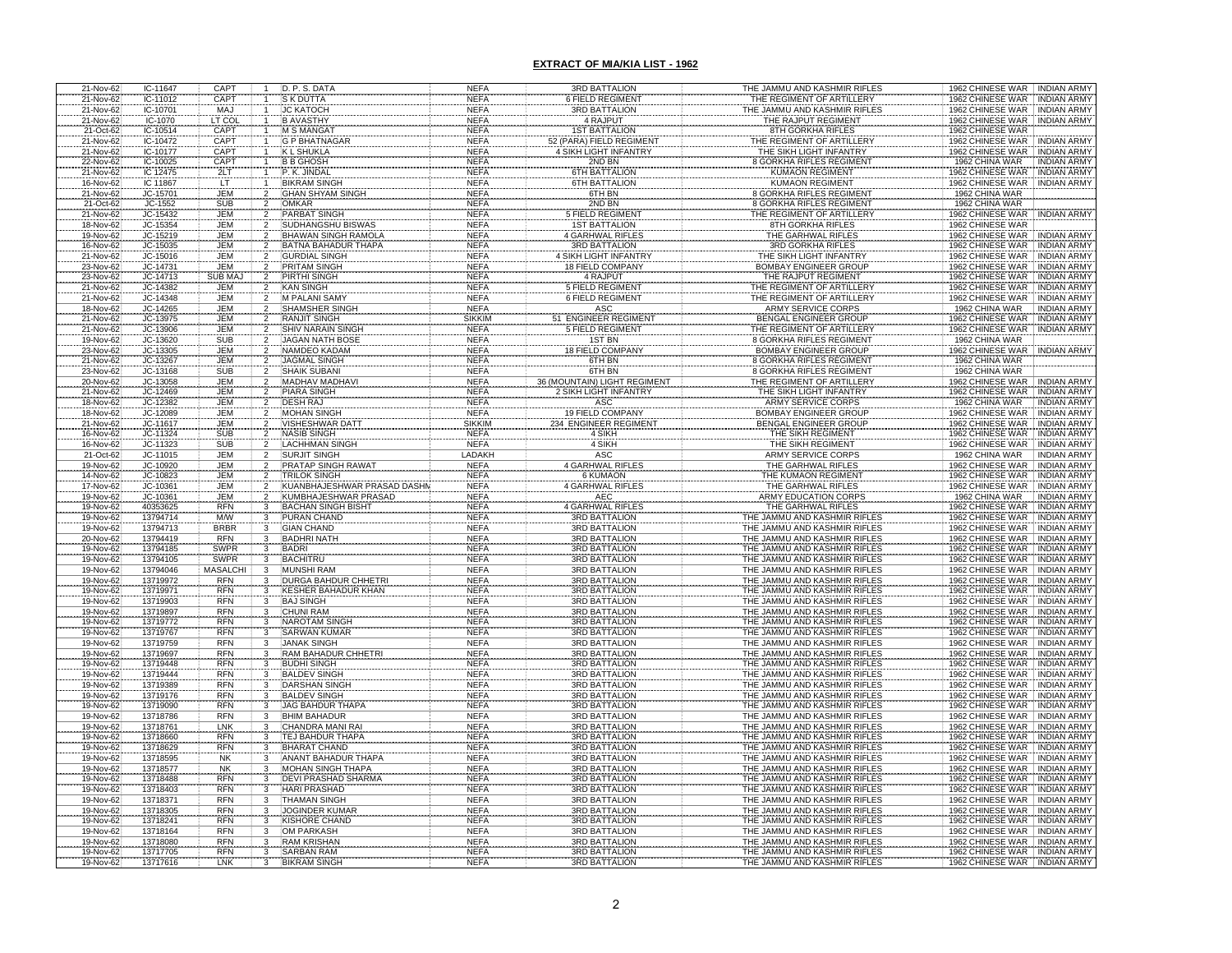| 21-Nov-62                           | IC-11647             | CAPT                         | D. P. S. DATA                               | <b>NEFA</b>                | 3RD BATTALION                         | THE JAMMU AND KASHMIR RIFLES                                 | 1962 CHINESE WAR INDIAN ARMY                                           |
|-------------------------------------|----------------------|------------------------------|---------------------------------------------|----------------------------|---------------------------------------|--------------------------------------------------------------|------------------------------------------------------------------------|
| 21-Nov-62                           | IC-11012             | <b>CAPT</b>                  | <b>S K DUTTA</b>                            | <b>NEFA</b>                | 6 FIELD REGIMENT                      | THE REGIMENT OF ARTILLERY                                    | 1962 CHINESE WAR<br><b>INDIAN ARMY</b>                                 |
| 21-Nov-62                           | IC-10701             | MAJ                          | <b>JC KATOCH</b>                            | <b>NEFA</b>                | 3RD BATTALION                         | THE JAMMU AND KASHMIR RIFLES                                 | 1962 CHINESE WAR INDIAN ARMY                                           |
| 21-Nov-62                           | IC-1070              | LT COI                       | <b>B AVASTHY</b>                            | <b>NEFA</b>                | 4 RAJPUT                              | THE RAJPUT REGIMENT                                          | <b>INDIAN ARMY</b><br>1962 CHINESE WAR                                 |
| 21-Oct-62                           | IC-10514             | CAPT                         | <b>M S MANGA</b>                            | <b>NEFA</b>                | <b>1ST BATTALION</b>                  | 8TH GORKHA RIFLES                                            | 1962 CHINESE WAR                                                       |
| 21-Nov-62                           | IC-10472             | CAPT                         | <b>G P BHATNAGAR</b>                        | <b>NEFA</b>                | 52 (PARA) FIELD REGIMENT              | THE REGIMENT OF ARTILLER                                     | 1962 CHINESE WAR<br><b>INDIAN ARMY</b>                                 |
| 21-Nov-62                           | IC-10177             | <b>CAPT</b>                  | <b>KL SHUKLA</b>                            | <b>NEFA</b>                | 4 SIKH LIGHT INFANTRY                 | THE SIKH LIGHT INFANTRY                                      | 1962 CHINESE WAR<br>INDIAN ARMY                                        |
| 22-Nov-62                           | IC-10025             | CAPT                         | <b>B B GHOSH</b>                            | <b>NEFA</b>                | 2ND BN                                | 8 GORKHA RIFLES REGIMENT                                     | 1962 CHINA WAR<br><b>INDIAN ARMY</b>                                   |
| 21-Nov-62                           | IC 12475             | 2LT<br>LT                    | P. K. JINDAL                                | <b>NEFA</b>                | 6TH BATTALION                         | <b>KUMAON REGIMENT</b>                                       | 1962 CHINESE WAR<br>INDIAN ARMY                                        |
| 16-Nov-62                           | IC 11867             |                              | <b>BIKRAM SINGH</b>                         | <b>NEFA</b>                | <b>6TH BATTALION</b>                  | <b>KUMAON REGIMENT</b>                                       | 1962 CHINESE WAR INDIAN ARMY                                           |
| 21-Nov-62                           | JC-15701             | <b>JEM</b><br>$\overline{2}$ | <b>GHAN SHYAM SINGH</b>                     | <b>NEFA</b>                | 6TH BN                                | 8 GORKHA RIFLES REGIMENT                                     | 1962 CHINA WAR                                                         |
| 21-Oct-62                           | JC-1552              | <b>SUB</b>                   | <b>OMKAR</b>                                | <b>NEFA</b>                | 2ND BN                                | <b>8 GORKHA RIFLES REGIMENT</b>                              | 1962 CHINA WAR                                                         |
| 21-Nov-62                           | JC-15432             | <b>JEM</b>                   | <b>PARBAT SINGH</b>                         | <b>NEFA</b>                | <b>5 FIELD REGIMENT</b>               | THE REGIMENT OF ARTILLERY                                    | 1962 CHINESE WAR INDIAN ARMY                                           |
| 18-Nov-62                           | JC-15354             | JEM                          | SUDHANGSHU BISWAS                           | <b>NEFA</b>                | <b>1ST BATTALION</b>                  | 8TH GORKHA RIFLES                                            | 1962 CHINESE WAR                                                       |
| 19-Nov-62                           | JC-15219             | JEM                          | <b>BHAWAN SINGH RAMOLA</b>                  | <b>NEFA</b>                | <b>4 GARHWAL RIFLES</b>               | THE GARHWAL RIFLES                                           | 1962 CHINESE WAR INDIAN ARMY                                           |
| 16-Nov-62                           | JC-15035             | <b>JEM</b>                   | BATNA BAHADUR THAPA                         | <b>NEFA</b>                | <b>3RD BATTALION</b>                  | <b>3RD GORKHA RIFLES</b>                                     | 1962 CHINESE WAR<br><b>INDIAN ARMY</b>                                 |
| 21-Nov-62                           | JC-15016             | <b>JEM</b>                   | <b>GURDIAL SINGH</b>                        | <b>NEFA</b>                | 4 SIKH LIGHT INFANTRY                 | THE SIKH LIGHT INFANTRY                                      | 1962 CHINESE WAR<br><b>INDIAN ARMY</b>                                 |
| 23-Nov-62                           | JC-14731             | JEM                          | <b>PRITAM SINGH</b>                         | <b>NEFA</b>                | <b>18 FIELD COMPANY</b>               | <b>BOMBAY ENGINEER GROUP</b>                                 | 1962 CHINESE WAR<br><b>INDIAN ARMY</b>                                 |
| 23-Nov-62                           | JC-14713             | SUB MA.                      | PIRTHI SINGH                                | <b>NEFA</b>                | 4 RAJPUT                              | THE RAJPUT REGIMENT                                          | 1962 CHINESE WAR<br><b>INDIAN ARMY</b>                                 |
| 21-Nov-62                           | JC-14382             | <b>JEM</b>                   | <b>KAN SINGH</b>                            | <b>NEFA</b>                | <b>5 FIELD REGIMENT</b>               | THE REGIMENT OF ARTILLERY                                    | 1962 CHINESE WAR<br><b>INDIAN ARMY</b>                                 |
| 21-Nov-62                           | JC-14348             | <b>JEM</b>                   | <b>M PALANI SAMY</b>                        | <b>NEFA</b>                | <b>6 FIELD REGIMENT</b>               | THE REGIMENT OF ARTILLERY                                    | 1962 CHINESE WAR<br><b>INDIAN ARMY</b>                                 |
| 18-Nov-62                           | JC-14265             | <b>JEM</b>                   | <b>SHAMSHER SINGH</b>                       | <b>NEFA</b>                | ASC                                   | <b>ARMY SERVICE CORPS</b>                                    | 1962 CHINA WAR<br><b>INDIAN ARMY</b>                                   |
| 21-Nov-62                           | JC-13975             | <b>JEM</b>                   | RANJIT SINGH                                | <b>SIKKIM</b>              | <b>ENGINEER REGIMENT</b><br>51        | BENGAL ENGINEER GROUP                                        | 1962 CHINESE WAR<br><b>INDIAN ARMY</b>                                 |
| 21-Nov-62                           | JC-13906             | <b>JEM</b>                   | <b>SHIV NARAIN SINGH</b>                    | <b>NEFA</b>                | <b>5 FIELD REGIMENT</b>               | THE REGIMENT OF ARTILLERY                                    | 1962 CHINESE WAR<br><b>INDIAN ARMY</b>                                 |
| 19-Nov-62                           | JC-13620             | <b>SUB</b>                   | <b>JAGAN NATH BOSE</b>                      | <b>NEFA</b>                | <b>1ST BN</b>                         | <b>8 GORKHA RIFLES REGIMENT</b>                              | 1962 CHINA WAR                                                         |
| 23-Nov-62                           | JC-13305             | <b>JEM</b>                   | <b>NAMDEO KADAM</b>                         | <b>NEFA</b>                | <b>18 FIELD COMPANY</b>               | <b>BOMBAY ENGINEER GROUP</b>                                 | 1962 CHINESE WAR INDIAN ARMY                                           |
| 21-Nov-62                           | JC-13267             | <b>JEM</b>                   | <b>JAGMAL SINGH</b>                         | <b>NEFA</b>                | 6TH BN                                | <b>8 GORKHA RIFLES REGIMENT</b>                              | 1962 CHINA WAR                                                         |
| 23-Nov-62                           | JC-13168             | <b>SUB</b>                   | <b>SHAIK SUBANI</b>                         | <b>NEFA</b>                | 6TH BN                                | 8 GORKHA RIFLES REGIMENT                                     | 1962 CHINA WAR                                                         |
| 20-Nov-62                           | JC-13058             | <b>JEM</b>                   | <b>MADHAV MADHAVI</b>                       | <b>NEFA</b>                | 36 (MOUNTAIN) LIGHT REGIMENT          | THE REGIMENT OF ARTILLERY                                    | <b>1962 CHINESE WAR</b><br><b>INDIAN ARMY</b>                          |
| 21-Nov-62                           | JC-12469             | <b>JEM</b>                   | PIARA SINGH                                 | <b>NEFA</b>                | 2 SIKH LIGHT INFANTRY                 | THE SIKH LIGHT INFANTRY                                      | 1962 CHINESE WAR<br><b>INDIAN ARMY</b>                                 |
| 18-Nov-62                           | JC-12382<br>JC-12089 | <b>JEM</b>                   | <b>DESH RAJ</b>                             | <b>NEFA</b>                | ASC                                   | <b>ARMY SERVICE CORPS</b>                                    | 1962 CHINA WAR<br><b>INDIAN ARMY</b>                                   |
| 18-Nov-62                           |                      | <b>JEM</b>                   | <b>MOHAN SINGH</b>                          | <b>NEFA</b>                | <b>19 FIELD COMPANY</b>               | <b>BOMBAY ENGINEER GROUP</b>                                 | 1962 CHINESE WAR<br><b>INDIAN ARMY</b>                                 |
| 21-Nov-62                           | JC-11617             | <b>JEM</b>                   | <b>VISHESHWAR DAT</b>                       | <b>SIKKIM</b>              | 234 ENGINEER REGIMENT                 | <b>BENGAL ENGINEER GROUP</b>                                 | 1962 CHINESE WAR<br><b>INDIAN ARMY</b>                                 |
| 16-Nov-62                           | JC-11324             | SUB                          | <b>NASIB SINGH</b>                          | <b>NEFA</b>                | 4 SIKH                                | THE SIKH REGIMENT                                            | 1962 CHINESE WAR<br><b>INDIAN ARMY</b>                                 |
| 16-Nov-62                           | JC-11323             | <b>SUB</b>                   | <b>LACHHMAN SINGH</b>                       | <b>NEFA</b>                | 4 SIKH                                | THE SIKH REGIMENT                                            | 1962 CHINESE WAR<br><b>INDIAN ARMY</b>                                 |
| 21-Oct-62                           | JC-11015             | <b>JEM</b><br>$\overline{2}$ | <b>SURJIT SINGH</b>                         | LADAKH                     | ASC                                   | <b>ARMY SERVICE CORPS</b>                                    | 1962 CHINA WAR<br><b>INDIAN ARMY</b>                                   |
| 19-Nov-62<br>14-Nov-62              | JC-10920<br>JC-10823 | <b>JEM</b><br>$\overline{2}$ | PRATAP SINGH RAWAT                          | <b>NEFA</b>                | 4 GARHWAL RIFLES                      | THE GARHWAL RIFLES                                           | 1962 CHINESE WAR<br><b>INDIAN ARMY</b>                                 |
|                                     |                      | <b>JEM</b>                   | <b>TRILOK SINGH</b>                         | <b>NEFA</b>                | <b>6 KUMAON</b>                       | THE KUMAON REGIMENT                                          | <b>1962 CHINESE WAR</b><br><b>INDIAN ARMY</b>                          |
| 17-Nov-62                           | JC-10361             | <b>JEM</b>                   | KUANBHAJESHWAR PRASAD DASHM                 | <b>NEFA</b>                | <b>4 GARHWAL RIFLES</b>               | THE GARHWAL RIFLES                                           | 1962 CHINESE WAR<br><b>INDIAN ARMY</b>                                 |
| 19-Nov-62                           | JC-10361             | <b>JEM</b>                   | KUMBHAJESHWAR PRASAD                        | <b>NEFA</b>                | <b>AEC</b>                            | <b>ARMY EDUCATION CORPS</b>                                  | 1962 CHINA WAR<br><b>INDIAN ARMY</b>                                   |
| 19-Nov-62                           | 40353625             | <b>RFN</b>                   | <b>BACHAN SINGH BISHT</b>                   | <b>NEFA</b>                | 4 GARHWAL RIFLES                      | THE GARHWAL RIFLES                                           | 1962 CHINESE WAR<br><b>INDIAN ARMY</b>                                 |
| 19-Nov-62                           | 13794714             | M/W                          | <b>PURAN CHAND</b>                          | <b>NEFA</b>                | 3RD BATTALION                         | THE JAMMU AND KASHMIR RIFLES                                 | 1962 CHINESE WAR<br><b>INDIAN ARMY</b>                                 |
| 19-Nov-62                           | 13794713             | <b>BRBR</b>                  | <b>GIAN CHAND</b>                           | <b>NEFA</b>                | 3RD BATTALION                         | THE JAMMU AND KASHMIR RIFLES                                 | 1962 CHINESE WAR<br><b>INDIAN ARMY</b>                                 |
| 20-Nov-62                           | 13794419             | <b>RFN</b>                   | <b>BADHRI NATH</b>                          | <b>NEFA</b>                | <b>3RD BATTALION</b>                  | THE JAMMU AND KASHMIR RIFLES                                 | 1962 CHINESE WAR INDIAN ARMY                                           |
| 19-Nov-62                           | 13794185             | <b>SWPR</b>                  | <b>BADRI</b>                                | <b>NEFA</b>                | <b>3RD BATTALION</b>                  | THE JAMMU AND KASHMIR RIFLES                                 | 1962 CHINESE WAR INDIAN ARMY                                           |
| 19-Nov-62                           | 13794105             | <b>SWPR</b><br>3             | BACHITRU                                    | <b>NEFA</b>                | <b>3RD BATTALION</b>                  | THE JAMMU AND KASHMIR RIFLES                                 | 1962 CHINESE WAR INDIAN ARMY                                           |
| 19-Nov-62                           | 13794046             | <b>MASALCHI</b>              | <b>MUNSHI RAM</b>                           | <b>NEFA</b>                | <b>3RD BATTALION</b>                  | THE JAMMU AND KASHMIR RIFLES                                 | 1962 CHINESE WAR INDIAN ARMY                                           |
|                                     | 13719972             | <b>RFN</b>                   | <b>DURGA BAHDUR CHHETR</b>                  | <b>NEFA</b>                | <b>3RD BATTALION</b>                  | THE JAMMU AND KASHMIR RIFLES                                 | 1962 CHINESE WAR<br>INDIAN ARMY                                        |
| 19-Nov-62<br>19-Nov-62<br>19-Nov-62 | 1371997              | <b>RFN</b>                   | KESHER BAHADUR KHAN                         | <b>NEFA</b>                | <b>3RD BATTALION</b>                  | THE JAMMU AND KASHMIR RIFLES                                 | 1962 CHINESE WAR<br><b>INDIAN ARMY</b>                                 |
|                                     | 13719903             | <b>RFN</b>                   | <b>BAJ SINGH</b>                            | <b>NEFA</b>                | <b>3RD BATTALION</b>                  | THE JAMMU AND KASHMIR RIFLES                                 | 1962 CHINESE WAR<br><b>INDIAN ARMY</b>                                 |
| 19-Nov-62                           | 13719897             | <b>RFN</b>                   | <b>CHUNI RAM</b>                            | <b>NEFA</b>                | <b>3RD BATTALION</b>                  | THE JAMMU AND KASHMIR RIFLES                                 | 1962 CHINESE WAR<br><b>INDIAN ARMY</b>                                 |
| 19-Nov-62                           | 13719772             | <b>RFN</b>                   | <b>NAROTAM SINGH</b>                        | <b>NEFA</b>                | <b>3RD BATTALION</b>                  | THE JAMMU AND KASHMIR RIFLES                                 | 1962 CHINESE WAR<br><b>INDIAN ARMY</b>                                 |
| 19-Nov-62                           | 13719767             | <b>RFN</b>                   | <b>SARWAN KUMAR</b>                         | <b>NEFA</b>                | <b>3RD BATTALION</b>                  | THE JAMMU AND KASHMIR RIFLES                                 | 1962 CHINESE WAR<br><b>INDIAN ARMY</b>                                 |
| 19-Nov-62                           | 13719759             | <b>RFN</b>                   | <b>JANAK SINGH</b>                          | <b>NEFA</b>                | <b>3RD BATTALION</b>                  | THE JAMMU AND KASHMIR RIFLES                                 | 1962 CHINESE WAR<br><b>INDIAN ARMY</b>                                 |
| 19-Nov-62                           | 13719697             | <b>RFN</b><br><b>RFN</b>     | RAM BAHADUR CHHETR                          | <b>NEFA</b>                | <b>3RD BATTALION</b>                  | THE JAMMU AND KASHMIR RIFLES                                 | 1962 CHINESE WAR<br><b>INDIAN ARMY</b>                                 |
| 19-Nov-62                           | 13719448             | <b>RFN</b>                   | <b>BUDHI SINGH</b>                          | <b>NEFA</b>                | <b>3RD BATTALION</b>                  | THE JAMMU AND KASHMIR RIFLES                                 | 1962 CHINESE WAR<br><b>INDIAN ARMY</b>                                 |
| 19-Nov-62                           | 13719444             |                              | <b>BALDEV SINGH</b>                         | <b>NEFA</b>                | <b>3RD BATTALION</b>                  | THE JAMMU AND KASHMIR RIFLES                                 | 1962 CHINESE WAR<br><b>INDIAN ARMY</b>                                 |
| 19-Nov-62                           | 13719389<br>13719176 | RFN<br>RFN                   | <b>DARSHAN SINGH</b><br><b>BALDEV SINGH</b> | <b>NEFA</b>                | 3RD BATTALION<br><b>3RD BATTALION</b> | THE JAMMU AND KASHMIR RIFLES                                 | 1962 CHINESE WAR<br><b>INDIAN ARMY</b>                                 |
| 19-Nov-62                           |                      | <b>RFN</b>                   |                                             | <b>NEFA</b>                |                                       | THE JAMMU AND KASHMIR RIFLES                                 | 1962 CHINESE WAR<br><b>INDIAN ARMY</b><br>1962 CHINESE WAR INDIAN ARMY |
| 19-Nov-62                           | 13719090             | <b>RFN</b>                   | <b>JAG BAHDUR THAPA</b>                     | <b>NEFA</b>                | <b>3RD BATTALION</b>                  | THE JAMMU AND KASHMIR RIFLES                                 |                                                                        |
| 19-Nov-62                           | 13718786             | LNK                          | <b>BHIM BAHADUR</b><br>CHANDRA MANI RAI     | <b>NEFA</b>                | 3RD BATTALION<br><b>3RD BATTALION</b> | THE JAMMU AND KASHMIR RIFLES                                 | 1962 CHINESE WAR INDIAN ARMY                                           |
| 19-Nov-62<br>19-Nov-62              | 13718761<br>13718660 | <b>RFN</b>                   | <b>TEJ BAHDUR THAPA</b>                     | <b>NEFA</b><br><b>NEFA</b> | <b>3RD BATTALION</b>                  | THE JAMMU AND KASHMIR RIFLES<br>THE JAMMU AND KASHMIR RIFLES | 1962 CHINESE WAR INDIAN ARMY<br>1962 CHINESE WAR INDIAN ARMY           |
| 19-Nov-62                           | 13718629             | <b>RFN</b>                   | <b>BHARAT CHAND</b>                         | <b>NEFA</b>                | <b>3RD BATTALION</b>                  | THE JAMMU AND KASHMIR RIFLES                                 | 1962 CHINESE WAR INDIAN ARMY                                           |
| 19-Nov-62                           | 13718595             | <b>NK</b>                    | <b>ANANT BAHADUR THAPA</b>                  | <b>NEFA</b>                | <b>3RD BATTALION</b>                  | THE JAMMU AND KASHMIR RIFLES                                 | 1962 CHINESE WAR NDIAN ARMY                                            |
| 19-Nov-62                           | 13718577             | <b>NK</b>                    | <b>MOHAN SINGH THAPA</b>                    | <b>NEFA</b>                | <b>3RD BATTALION</b>                  | THE JAMMU AND KASHMIR RIFLES                                 | 1962 CHINESE WAR INDIAN ARMY                                           |
| 19-Nov-62                           | 13718488             | <b>RFN</b>                   | <b>DEVI PRASHAD SHARMA</b>                  | <b>NEFA</b>                | <b>3RD BATTALION</b>                  | THE JAMMU AND KASHMIR RIFLES                                 | 1962 CHINESE WAR INDIAN ARMY                                           |
| 19-Nov-62                           | 13718403             | <b>RFN</b>                   | <b>HARI PRASHAD</b>                         | <b>NEFA</b>                | <b>3RD BATTALION</b>                  | THE JAMMU AND KASHMIR RIFLES                                 | 1962 CHINESE WAR INDIAN ARMY                                           |
| 19-Nov-62                           | 13718371             | <b>RFN</b>                   | <b>THAMAN SINGH</b>                         | <b>NEFA</b>                | 3RD BATTALION                         | THE JAMMU AND KASHMIR RIFLES                                 | 1962 CHINESE WAR INDIAN ARMY                                           |
| 19-Nov-62                           | 13718305             | <b>RFN</b>                   | <b>JOGINDER KUMAR</b>                       | <b>NEFA</b>                | <b>3RD BATTALION</b>                  | THE JAMMU AND KASHMIR RIFLES                                 | 1962 CHINESE WAR NIDIAN ARMY                                           |
| 19-Nov-62                           | 13718241             | <b>RFN</b><br>3              | KISHORE CHAND                               | <b>NEFA</b>                | <b>3RD BATTALION</b>                  | THE JAMMU AND KASHMIR RIFLES                                 | 1962 CHINESE WAR INDIAN ARMY                                           |
| 19-Nov-62                           | 13718164             | <b>RFN</b><br>3              | OM PARKASH                                  | <b>NEFA</b>                | <b>3RD BATTALION</b>                  | THE JAMMU AND KASHMIR RIFLES                                 | 1962 CHINESE WAR INDIAN ARMY                                           |
| 19-Nov-62                           | 13718080             | <b>RFN</b>                   | <b>RAM KRISHAN</b>                          | <b>NEFA</b>                | 3RD BATTALION                         | THE JAMMU AND KASHMIR RIFLES                                 | 1962 CHINESE WAR INDIAN ARMY                                           |
| 19-Nov-62                           | 13717705             | <b>RFN</b>                   | <b>SARBAN RAM</b>                           | <b>NEFA</b>                | <b>3RD BATTALION</b>                  | THE JAMMU AND KASHMIR RIFLES                                 | 1962 CHINESE WAR INDIAN ARMY                                           |
| 19-Nov-62                           | 13717616             | LNK                          | <b>BIKRAM SINGH</b>                         | <b>NEFA</b>                | <b>3RD BATTALION</b>                  | THE JAMMU AND KASHMIR RIFLES                                 | INDIAN ARMY<br>1962 CHINESE WAR                                        |
|                                     |                      |                              |                                             |                            |                                       |                                                              |                                                                        |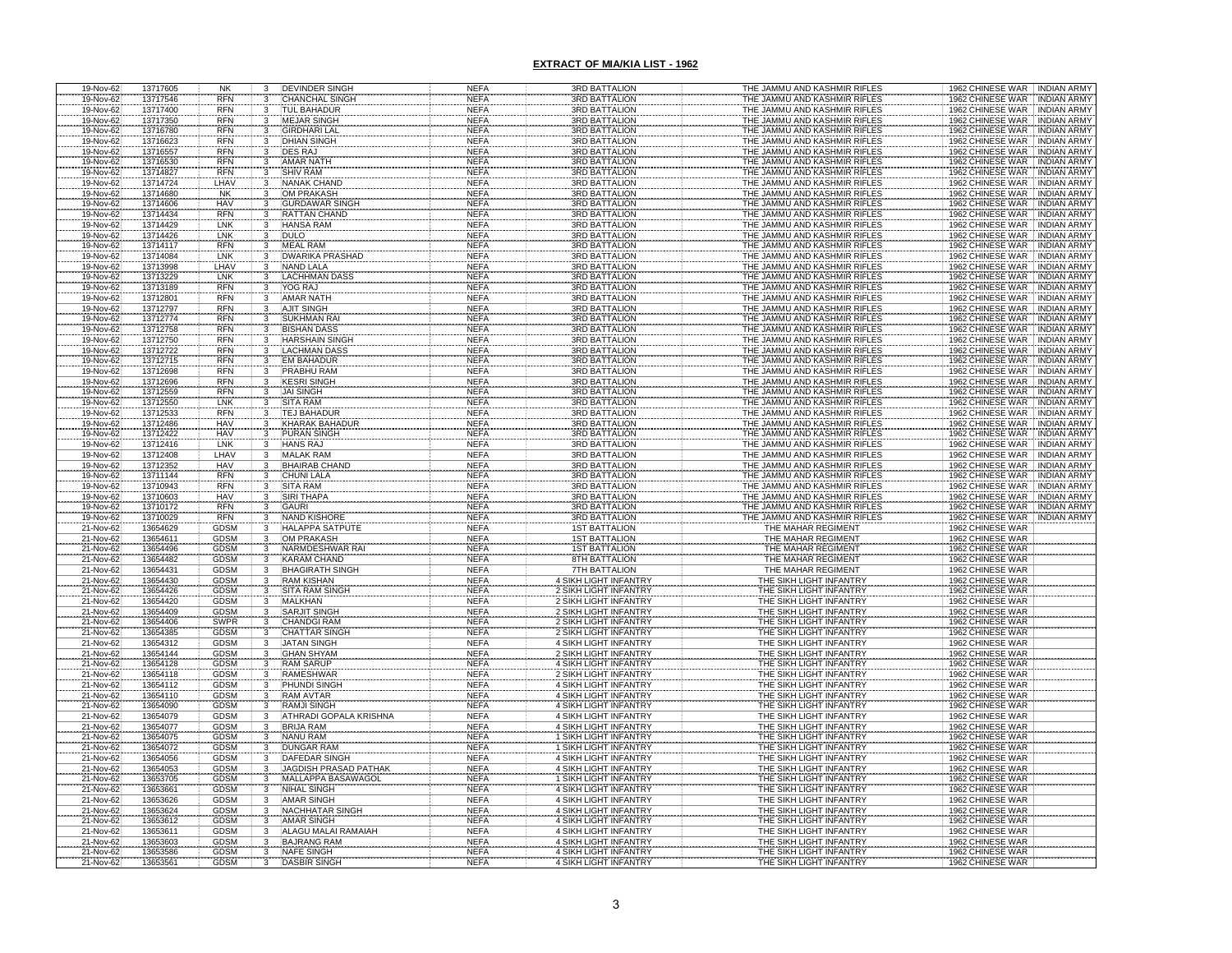| 19-Nov-62                           | 13717605             | <b>NK</b>                    | 3                       | <b>DEVINDER SINGH</b>                       | <b>NEFA</b>                | <b>3RD BATTALION</b>                                                    | THE JAMMU AND KASHMIR RIFLES                                 | 1962 CHINESE WAR INDIAN ARMY                                           |
|-------------------------------------|----------------------|------------------------------|-------------------------|---------------------------------------------|----------------------------|-------------------------------------------------------------------------|--------------------------------------------------------------|------------------------------------------------------------------------|
| 19-Nov-62                           | 13717546             | <b>RFN</b>                   |                         | <b>CHANCHAL SINGH</b>                       | <b>NEFA</b>                | <b>3RD BATTALION</b>                                                    | THE JAMMU AND KASHMIR RIFLES                                 | 1962 CHINESE WAR INDIAN ARMY                                           |
| 19-Nov-62<br>19-Nov-62              | 13717400<br>13717350 | <b>RFN</b><br><b>RFN</b>     |                         | <b>TUL BAHADUR</b><br><b>MEJAR SINGH</b>    | <b>NEFA</b><br><b>NEFA</b> | <b>3RD BATTALION</b><br><b>3RD BATTALION</b>                            | THE JAMMU AND KASHMIR RIFLES<br>THE JAMMU AND KASHMIR RIFLES | 1962 CHINESE WAR INDIAN ARMY<br>1962 CHINESE WAR INDIAN ARMY           |
|                                     | 13716780             | <b>RFN</b>                   |                         | <b>GIRDHARI LAL</b>                         | <b>NEFA</b>                | <b>3RD BATTALION</b>                                                    | THE JAMMU AND KASHMIR RIFLES                                 |                                                                        |
| 19-Nov-62<br>19-Nov-62              | 13716623             | <b>RFN</b>                   |                         | <b>DHIAN SINGH</b>                          | <b>NEFA</b>                | <b>3RD BATTALION</b>                                                    | THE JAMMU AND KASHMIR RIFLES                                 | 1962 CHINESE WAR TINDIAN ARMY<br>1962 CHINESE WAR TINDIAN ARMY         |
| 19-Nov-62                           | 13716557             | <b>RFN</b>                   |                         | <b>DES RAJ</b>                              | <b>NEFA</b>                | <b>3RD BATTALION</b>                                                    | THE JAMMU AND KASHMIR RIFLES                                 | 1962 CHINESE WAR INDIAN ARMY                                           |
|                                     | 13716530             | <b>RFN</b>                   |                         | <b>AMAR NATH</b>                            | <b>NEFA</b>                | <b>3RD BATTALION</b>                                                    | THE JAMMU AND KASHMIR RIFLES                                 | 1962 CHINESE WAR : INDIAN ARMY<br>1962 CHINESE WAR : INDIAN ARMY       |
| 19-Nov-62<br>19-Nov-62<br>19-Nov-62 | 13714827             | <b>RFN</b>                   |                         | <b>SHIV RAM</b>                             | <b>NEFA</b>                | <b>SRD BATTALION</b>                                                    | THE JAMMU AND KASHMIR RIFLES                                 |                                                                        |
|                                     | 13714724             | LHAV                         |                         | <b>NANAK CHAND</b>                          | <b>NEFA</b>                | <b>3RD BATTALION</b>                                                    | THE JAMMU AND KASHMIR RIFLES                                 | 1962 CHINESE WAR INDIAN ARMY                                           |
| 19-Nov-62                           | 13714680<br>13714606 | <b>NK</b><br><b>HAV</b>      | 3                       | <b>OM PRAKASH</b>                           | <b>NEFA</b><br><b>NEFA</b> | <b>3RD BATTALION</b><br><b>3RD BATTALION</b>                            | THE JAMMU AND KASHMIR RIFLES<br>THE JAMMU AND KASHMIR RIFLES | 1962 CHINESE WAR INDIAN ARMY                                           |
| 19-Nov-62<br>19-Nov-62              | 13714434             | <b>RFN</b>                   |                         | .<br>GURDAWAR SINGH<br>RATTAN CHAND         | <b>NEFA</b>                | <b>3RD BATTALION</b>                                                    | THE JAMMU AND KASHMIR RIFLES                                 | 1962 CHINESE WAR : INDIAN ARMY<br>1962 CHINESE WAR : INDIAN ARMY       |
| 19-Nov-62                           | 13714429             | LNK                          |                         | <b>HANSA RAM</b>                            | <b>NEFA</b>                | <b>3RD BATTALION</b>                                                    | THE JAMMU AND KASHMIR RIFLES                                 | 1962 CHINESE WAR   INDIAN ARMY                                         |
| 19-Nov-62                           | 13714426             | LNK                          | $\overline{3}$          | <b>DULO</b>                                 | <b>NEFA</b>                | <b>3RD BATTALION</b>                                                    | THE JAMMU AND KASHMIR RIFLES                                 | 1962 CHINESE WAR INDIAN ARMY                                           |
| 19-Nov-62                           | 13714117             | <b>RFN</b>                   |                         | <b>MEAL RAM</b>                             | <b>NEFA</b>                | <b>3RD BATTALION</b>                                                    | THE JAMMU AND KASHMIR RIFLES                                 | 1962 CHINESE WAR INDIAN ARMY                                           |
| 19-Nov-62                           | 13714084             | LNK                          |                         | <b>DWARIKA PRASHAD</b>                      | <b>NEFA</b>                | <b>3RD BATTALION</b>                                                    | THE JAMMU AND KASHMIR RIFLES                                 | 1962 CHINESE WAR   INDIAN ARMY                                         |
| 19-Nov-62                           | 13713998<br>13713229 | LHAV<br>LNK                  |                         | <b>NAND LALA</b><br><b>LACHHMAN DASS</b>    | <b>NEFA</b><br><b>NEFA</b> | <b>3RD BATTALION</b><br><b>3RD BATTALION</b>                            | THE JAMMU AND KASHMIR RIFLES<br>THE JAMMU AND KASHMIR RIFLES | 1962 CHINESE WAR INDIAN ARMY<br>1962 CHINESE WAR   INDIAN ARMY         |
| 19-Nov-62<br>19-Nov-62              | 13713189             | <b>RFN</b>                   | $\frac{3}{3}$           | YOG RAJ                                     | <b>NEFA</b>                | <b>3RD BATTALION</b>                                                    | THE JAMMU AND KASHMIR RIFLES                                 | 1962 CHINESE WAR INDIAN ARMY                                           |
| 19-Nov-62                           | 13712801             | <b>RFN</b>                   | 3                       | <b>AMAR NATH</b>                            | <b>NEFA</b>                | <b>3RD BATTALION</b>                                                    | THE JAMMU AND KASHMIR RIFLES                                 | 1962 CHINESE WAR INDIAN ARMY                                           |
| 19-Nov-62                           | 13712797             | <b>RFN</b>                   | $\overline{\mathbf{3}}$ | <b>AJIT SINGH</b>                           | <b>NEFA</b>                | <b>3RD BATTALION</b>                                                    | THE JAMMU AND KASHMIR RIFLES                                 | 1962 CHINESE WAR INDIAN ARMY                                           |
|                                     | 13712774             | <b>RFN</b>                   | 3                       | <b>SUKHMAN RAI</b>                          | NEFA                       | <b>3RD BATTALION</b>                                                    | THE JAMMU AND KASHMIR RIFLES<br>THE JAMMU AND KASHMIR RIFLES | 1962 CHINESE WAR INDIAN ARMY                                           |
| 19-Nov-62<br>19-Nov-62<br>19-Nov-62 | 13712758<br>13712750 | <b>RFN</b><br><b>RFN</b>     |                         | <b>BISHAN DASS</b><br><b>HARSHAIN SINGH</b> | <b>NEFA</b><br><b>NEFA</b> | <b>3RD BATTALION</b><br><b>3RD BATTALION</b>                            | THE JAMMU AND KASHMIR RIFLES                                 | 1962 CHINESE WAR<br><b>INDIAN ARMY</b><br>1962 CHINESE WAR INDIAN ARMY |
| 19-Nov-62                           | 13712722             | <b>RFN</b>                   |                         | <b>LACHMAN DASS</b>                         | <b>NEFA</b>                | <b>3RD BATTALION</b>                                                    | THE JAMMU AND KASHMIR RIFLES                                 | 1962 CHINESE WAR INDIAN ARMY                                           |
| 19-Nov-62                           | 13712715             | <b>RFN</b>                   |                         | <b>EM BAHADUR</b>                           | <b>NEFA</b>                | <b>3RD BATTALION</b>                                                    | THE JAMMU AND KASHMIR RIFLES                                 | 1962 CHINESE WAR<br><b>INDIAN ARMY</b>                                 |
| 19-Nov-62                           | 13712698             | <b>RFN</b>                   |                         | <b>PRABHU RAM</b>                           | <b>NEFA</b>                | <b>3RD BATTALION</b>                                                    | THE JAMMU AND KASHMIR RIFLES                                 | 1962 CHINESE WAR<br><b>INDIAN ARMY</b>                                 |
| 19-Nov-62                           | 13712696             | <b>RFN</b>                   |                         | <b>KESRI SINGH</b>                          | <b>NEFA</b>                | <b>3RD BATTALION</b>                                                    | THE JAMMU AND KASHMIR RIFLES                                 | 1962 CHINESE WAR<br><b>INDIAN ARMY</b>                                 |
| 19-Nov-62<br>19-Nov-62<br>19-Nov-62 | 13712559<br>13712550 | <b>RFN</b><br>LNK            |                         | <b>JAI SINGH</b><br><b>SITA RAM</b>         | <b>NEFA</b>                | <b>3RD BATTALION</b><br><b>3RD BATTALION</b>                            | THE JAMMU AND KASHMIR RIFLES                                 | 1962 CHINESE WAR<br><b>INDIAN ARMY</b><br>1962 CHINESE WAR             |
|                                     | 13712533             | <b>RFN</b>                   |                         | <b>TEJ BAHADUR</b>                          | <b>NEFA</b><br><b>NEFA</b> | <b>3RD BATTALION</b>                                                    | THE JAMMU AND KASHMIR RIFLES<br>THE JAMMU AND KASHMIR RIFLES | <b>INDIAN ARMY</b><br>1962 CHINESE WAR<br>INDIAN ARMY                  |
|                                     | 13712486             |                              |                         | <b>KHARAK BAHADUR</b>                       | <b>NEFA</b>                | <b>3RD BATTALION</b>                                                    | THE JAMMU AND KASHMIR RIFLES                                 | 1962 CHINESE WAR<br><b>INDIAN ARMY</b>                                 |
| 19-Nov-62<br>19-Nov-62<br>19-Nov-62 | 13712422             | HAV<br>HAV<br>LNK            |                         | PURAN SINGH                                 | <b>NEFA</b>                | <b>3RD BATTALION</b>                                                    | THE JAMMU AND KASHMIR RIFLES                                 | 1962 CHINESE WAR<br><b>INDIAN ARMY</b>                                 |
|                                     | 13712416             |                              |                         | <b>HANS RAJ</b>                             | <b>NEFA</b>                | <b>3RD BATTALION</b>                                                    |                                                              | 1962 CHINESE WAR : INDIAN ARMY                                         |
| 19-Nov-62                           | 13712408             | LHAV                         |                         | <b>MALAK RAM</b>                            | <b>NEFA</b>                | <b>3RD BATTALION</b>                                                    | THE JAMMU AND KASHMIR RIFLES                                 | 1962 CHINESE WAR INDIAN ARMY                                           |
| 19-Nov-62<br>19-Nov-62              | 13712352<br>13711144 | HAV<br>RFN                   |                         | <b>BHAIRAB CHAND</b><br><b>CHUNI LALA</b>   | <b>NEFA</b><br><b>NEFA</b> | 3RD BATTALION<br>3RD BATTALION                                          | THE JAMMU AND KASHMIR RIFLES<br>THE JAMMU AND KASHMIR RIFLES | 1962 CHINESE WAR INDIAN ARMY<br>1962 CHINESE WAR : INDIAN ARMY         |
| 19-Nov-62                           | 13710943             | <b>RFN</b>                   |                         | <b>SITA RAM</b>                             | <b>NEFA</b>                | <b>3RD BATTALION</b>                                                    | THE JAMMU AND KASHMIR RIFLES                                 | 1962 CHINESE WAR INDIAN ARMY                                           |
| 19-Nov-62                           | 13710603             | <b>HAV</b>                   |                         | SIRI THAPA                                  | <b>NEFA</b>                | <b>3RD BATTALION</b>                                                    | THE JAMMU AND KASHMIR RIFLES                                 | 1962 CHINESE WAR INDIAN ARMY                                           |
| 19-Nov-62                           | 13710172             | <b>RFN</b>                   |                         | GAURI                                       | <b>NEFA</b>                | <b>3RD BATTALION</b>                                                    | THE JAMMU AND KASHMIR RIFLES                                 | 1962 CHINESE WAR INDIAN ARMY                                           |
| 19-Nov-62                           | 13710029             | <b>RFN</b>                   |                         | <b>NAND KISHORE</b>                         | <b>NEFA</b>                | <b>3RD BATTALION</b>                                                    | THE JAMMU AND KASHMIR RIFLES                                 | 1962 CHINESE WAR INDIAN ARMY                                           |
| 21-Nov-62                           | 13654629             | GDSM                         |                         | <b>HALAPPA SATPUTE</b>                      | <b>NEFA</b>                | <b>1ST BATTALION</b>                                                    | THE MAHAR REGIMENT                                           | 1962 CHINESE WAR                                                       |
| 21-Nov-62<br>21-Nov-62              | 13654611<br>13654496 | GDSM<br>GDSM                 |                         | OM PRAKASH<br>NARMDESHWAR RAI               | <b>NEFA</b><br><b>NEFA</b> | <b>1ST BATTALION<br/>1ST BATTALION</b>                                  | THE MAHAR REGIMENT<br>THE MAHAR REGIMENT                     | 1962 CHINESE WAR<br>1962 CHINESE WAR                                   |
| 21-Nov-62                           | 13654482             | GDSM                         |                         | <b>KARAM CHAND</b>                          | <b>NEFA</b>                | 8TH BATTALION                                                           | THE MAHAR REGIMENT                                           | 1962 CHINESE WAR                                                       |
| 21-Nov-62                           | 13654431             | <b>GDSM</b>                  | 3                       | <b>BHAGIRATH SINGH</b>                      | <b>NEFA</b>                | <b>7TH BATTALION</b>                                                    | THE MAHAR REGIMENT                                           | 1962 CHINESE WAR                                                       |
| 21-Nov-62<br>21-Nov-62              | 13654430             |                              |                         | <b>RAM KISHAN</b>                           | <b>NEFA</b>                | 4 SIKH LIGHT INFANTRY<br>2 SIKH LIGHT INFANTRY<br>2 SIKH LIGHT INFANTRY | THE SIKH LIGHT INFANTRY<br>THE SIKH LIGHT INFANTRY           | 1962 CHINESE WAR<br>1962 CHINESE WAR<br>1962 CHINESE WAR               |
|                                     | 13654426             |                              |                         | <b>SITA RAM SINGH</b>                       | <b>NEFA</b>                |                                                                         |                                                              |                                                                        |
| 21-Nov-62<br>21-Nov-62              | 13654420<br>13654409 | GDSM<br>GDSM<br>GDSM<br>GDSM |                         | <b>MALKHAN</b><br><b>SARJIT SINGH</b>       | <b>NEFA</b><br><b>NEFA</b> | 2 SIKH LIGHT INFANTRY                                                   | THE SIKH LIGHT INFANTRY<br>THE SIKH LIGHT INFANTRY           | 1962 CHINESE WAR                                                       |
| 21-Nov-62                           | 13654406             | SWPR                         |                         | <b>CHANDGI RAM</b>                          | <b>NEFA</b>                | 2 SIKH LIGHT INFANTRY                                                   | THE SIKH LIGHT INFANTRY                                      | 1962 CHINESE WAR                                                       |
| 21-Nov-62                           | 13654385             | <b>GDSM</b>                  |                         | <b>CHATTAR SINGH</b>                        | <b>NEFA</b>                | 2 SIKH LIGHT INFANTRY                                                   | THE SIKH LIGHT INFANTRY                                      | 1962 CHINESE WAR                                                       |
| 21-Nov-62                           | 13654312             | <b>GDSM</b>                  |                         | <b>JATAN SINGH</b>                          | <b>NEFA</b>                | <b>4 SIKH LIGHT INFANTRY</b>                                            | THE SIKH LIGHT INFANTRY                                      | 1962 CHINESE WAR                                                       |
| 21-Nov-62<br>21-Nov-62              | 13654144             | <b>GDSM</b>                  |                         | <b>GHAN SHYAM</b>                           | <b>NEFA</b>                | 2 SIKH LIGHT INFANTRY                                                   | THE SIKH LIGHT INFANTRY                                      | 1962 CHINESE WAR                                                       |
| 21-Nov-62                           | 13654128<br>13654118 | GDSM<br><b>GDSM</b>          |                         | <b>RAM SARUP</b><br><b>RAMESHWAR</b>        | <b>NEFA</b><br><b>NEFA</b> | 4 SIKH LIGHT INFANTRY<br>2 SIKH LIGHT INFANTRY                          | THE SIKH LIGHT INFANTRY<br>THE SIKH LIGHT INFANTRY           | 1962 CHINESE WAR<br>1962 CHINESE WAR                                   |
|                                     | 13654112             | <b>GDSM</b>                  |                         | PHUNDI SINGH                                | <b>NEFA</b>                |                                                                         | THE SIKH LIGHT INFANTRY                                      | 1962 CHINESE WAR                                                       |
| 21-Nov-62<br>21-Nov-62              | 13654110             |                              |                         | <b>RAM AVTAR</b>                            | <b>NEFA</b>                | 4 SIKH LIGHT INFANTRY<br>4 SIKH LIGHT INFANTRY                          | THE SIKH LIGHT INFANTRY                                      | 1962 CHINESE WAR                                                       |
| 21-Nov-62                           | 13654090             | GDSM<br>GDSM                 |                         | <b>RAMJI SINGH</b>                          | <b>NEFA</b>                | 4 SIKH LIGHT INFANTRY                                                   | THE SIKH LIGHT INFANTRY                                      | 1962 CHINESE WAR                                                       |
| 21-Nov-62                           | 13654079             | <b>GDSM</b>                  |                         | ATHRADI GOPALA KRISHNA                      | <b>NEFA</b>                | <b>4 SIKH LIGHT INFANTRY</b>                                            | THE SIKH LIGHT INFANTRY                                      | 1962 CHINESE WAR                                                       |
| 21-Nov-62<br>21-Nov-62              | 13654077<br>13654075 | GDSM<br>GDSM                 |                         | <b>BRIJA RAM</b><br><b>NANU RAM</b>         | <b>NEFA</b><br><b>NEFA</b> | <b>4 SIKH LIGHT INFANTRY</b><br>1 SIKH LIGHT INFANTRY                   | THE SIKH LIGHT INFANTRY<br>THE SIKH LIGHT INFANTRY           | 1962 CHINESE WAR<br>1962 CHINESE WAR                                   |
| 21-Nov-62                           | 13654072             | <b>GDSM</b>                  | 3                       | <b>DUNGAR RAM</b>                           | <b>NEFA</b>                | 1 SIKH LIGHT INFANTRY                                                   | THE SIKH LIGHT INFANTRY                                      | 1962 CHINESE WAR                                                       |
| 21-Nov-62                           | 13654056             | <b>GDSM</b>                  | $\overline{3}$          | <b>DAFEDAR SINGH</b>                        | <b>NEFA</b>                | 4 SIKH LIGHT INFANTRY                                                   | THE SIKH LIGHT INFANTRY                                      | 1962 CHINESE WAR                                                       |
| 21-Nov-62                           | 13654053             | <b>GDSM</b>                  | 3                       | <b>JAGDISH PRASAD PATHAK</b>                | <b>NEFA</b>                | 4 SIKH LIGHT INFANTRY                                                   | THE SIKH LIGHT INFANTRY                                      | 1962 CHINESE WAR                                                       |
| 21-Nov-62                           | 13653705             | <b>GDSM</b>                  | $\overline{\mathbf{3}}$ | MALLAPPA BASAWAGOL                          | <b>NEFA</b>                | 1 SIKH LIGHT INFANTRY                                                   | THE SIKH LIGHT INFANTRY                                      | 1962 CHINESE WAR                                                       |
| 21-Nov-62                           | 13653661             | <b>GDSM</b>                  | 3                       | <b>NIHAL SINGH</b><br><b>AMAR SINGH</b>     | <b>NEFA</b>                | <b>4 SIKH LIGHT INFANTRY</b>                                            | THE SIKH LIGHT INFANTRY                                      | 1962 CHINESE WAR                                                       |
| 21-Nov-62<br>21-Nov-62              | 13653626<br>13653624 | <b>GDSM</b><br><b>GDSM</b>   | $\frac{3}{3}$           | <b>NACHHATAR SINGH</b>                      | <b>NEFA</b><br><b>NEFA</b> | 4 SIKH LIGHT INFANTRY<br>4 SIKH LIGHT INFANTRY                          | THE SIKH LIGHT INFANTRY<br>THE SIKH LIGHT INFANTRY           | 1962 CHINESE WAR<br>1962 CHINESE WAR                                   |
| 21-Nov-62                           | 13653612             | <b>GDSM</b>                  | 3                       | <b>AMAR SINGH</b>                           | <b>NEFA</b>                | 4 SIKH LIGHT INFANTRY                                                   | THE SIKH LIGHT INFANTRY                                      | 1962 CHINESE WAR                                                       |
| 21-Nov-62                           | 13653611             | <b>GDSM</b>                  | $\overline{3}$          | <b>ALAGU MALAI RAMAIAH</b>                  | <b>NEFA</b>                | <b>4 SIKH LIGHT INFANTRY</b>                                            | THE SIKH LIGHT INFANTRY                                      | 1962 CHINESE WAR                                                       |
| 21-Nov-62<br>21-Nov-62              | 13653603             | <b>GDSM</b>                  |                         | <b>BAJRANG RAM</b>                          | <b>NEFA</b>                | 4 SIKH LIGHT INFANTRY                                                   | THE SIKH LIGHT INFANTRY                                      | 1962 CHINESE WAR                                                       |
|                                     | 13653586             | <b>GDSM</b>                  |                         | <b>NAFE SINGH</b>                           | <b>NEFA</b>                | 4 SIKH LIGHT INFANTRY                                                   | THE SIKH LIGHT INFANTRY                                      | 1962 CHINESE WAR                                                       |
| 21-Nov-62                           | 13653561             | <b>GDSM</b>                  |                         | <b>DASBIR SINGI</b>                         | <b>NEFA</b>                | <b>4 SIKH LIGHT INFANTRY</b>                                            | THE SIKH LIGHT INFANTRY                                      | 1962 CHINESE WAR                                                       |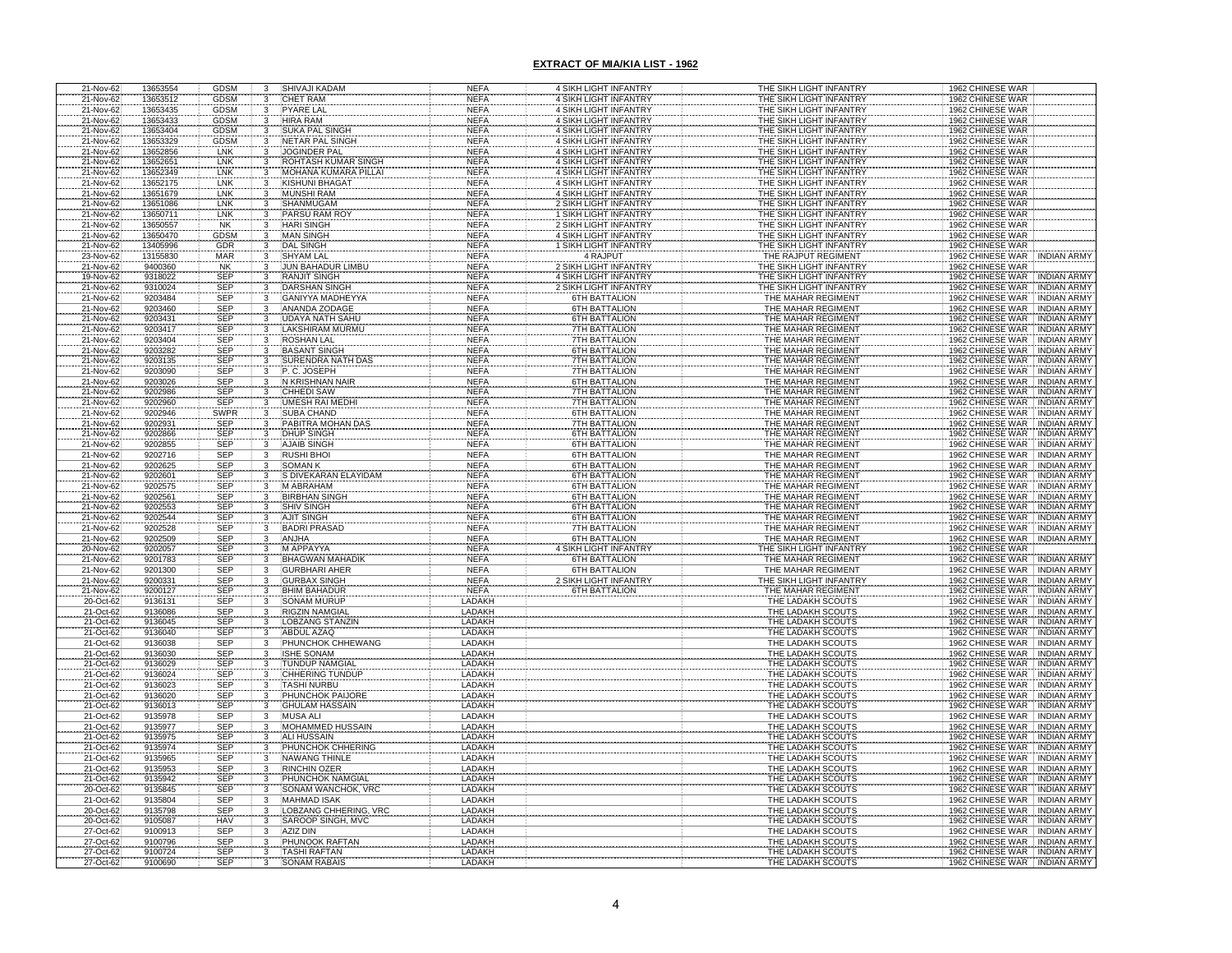| 21-Nov-62              | 13653554             | <b>GDSM</b>              | 3                                          | SHIVAJI KADAM                                   | <b>NEFA</b>                | 4 SIKH LIGHT INFANTRY                                 | THE SIKH LIGHT INFANTRY                            | 1962 CHINESE WAR                                                                 |
|------------------------|----------------------|--------------------------|--------------------------------------------|-------------------------------------------------|----------------------------|-------------------------------------------------------|----------------------------------------------------|----------------------------------------------------------------------------------|
| 21-Nov-62              | 13653512             | <b>GDSM</b>              | 3                                          | <b>CHET RAM</b>                                 | <b>NEFA</b>                | 4 SIKH LIGHT INFANTRY                                 | THE SIKH LIGHT INFANTRY                            | 1962 CHINESE WAR                                                                 |
| 21-Nov-62<br>21-Nov-62 | 13653435<br>13653433 | <b>GDSM</b><br>GDSM      | $\overline{3}$<br>3                        | <b>PYARE LAL</b><br><b>HIRA RAM</b>             | <b>NEFA</b><br><b>NEFA</b> | 4 SIKH LIGHT INFANTRY<br>4 SIKH LIGHT INFANTRY        | THE SIKH LIGHT INFANTRY<br>THE SIKH LIGHT INFANTRY | 1962 CHINESE WAR<br>1962 CHINESE WAR                                             |
| 21-Nov-62              | 13653404             | GDSM                     | 3                                          | SUKA PAL SINGH                                  | <b>NEFA</b>                | 4 SIKH LIGHT INFANTRY                                 | THE SIKH LIGHT INFANTRY                            | 1962 CHINESE WAR                                                                 |
| 21-Nov-62              | 13653329             | <b>GDSM</b>              | $\mathbf{3}$                               | NETAR PAL SINGH                                 | <b>NEFA</b>                | 4 SIKH LIGHT INFANTRY                                 | THE SIKH LIGHT INFANTRY                            | 1962 CHINESE WAR                                                                 |
| 21-Nov-62              | 13652856             | LNK                      | 3                                          | JOGINDER PAL                                    | <b>NEFA</b>                | 4 SIKH LIGHT INFANTRY                                 | THE SIKH LIGHT INFANTRY                            | 1962 CHINESE WAR                                                                 |
| 21-Nov-62              | 13652651             | <b>LNK</b><br>LNK        | $\overline{\mathbf{3}}$                    | ROHTASH KUMAR SINGH                             | <b>NEFA</b>                | 4 SIKH LIGHT INFANTRY                                 | THE SIKH LIGHT INFANTRY                            | 1962 CHINESE WAR                                                                 |
| 21-Nov-62              | 13652349             | LNK                      | $\mathbf{3}$                               | MOHANA KUMARA PILLA                             | <b>NEFA</b>                | 4 SIKH LIGHT INFANTRY                                 | THE SIKH LIGHT INFANTRY                            | 1962 CHINESE WAR                                                                 |
| 21-Nov-62<br>21-Nov-62 | 13652175<br>13651679 | LNK                      | 3<br>3                                     | <b>KISHUNI BHAGAT</b><br><b>MUNSHI RAM</b>      | <b>NEFA</b><br><b>NEFA</b> | 4 SIKH LIGHT INFANTRY<br>4 SIKH LIGHT INFANTRY        | THE SIKH LIGHT INFANTRY<br>THE SIKH LIGHT INFANTRY | 1962 CHINESE WAR<br>1962 CHINESE WAR                                             |
| 21-Nov-62              | 13651086             | LNK                      | 3                                          | SHANMUGAM                                       | <b>NEFA</b>                | 2 SIKH LIGHT INFANTRY                                 | THE SIKH LIGHT INFANTRY                            | 1962 CHINESE WAR                                                                 |
| 21-Nov-62              | 13650711             | LNK                      |                                            | PARSU RAM RO                                    | <b>NEFA</b>                | <b>1 SIKH LIGHT INFANTRY</b>                          | THE SIKH LIGHT INFANTRY                            | 1962 CHINESE WAR                                                                 |
| 21-Nov-62              | 13650557             | <b>NK</b>                |                                            | <b>HARI SINGH</b>                               | <b>NEFA</b>                | 2 SIKH LIGHT INFANTRY                                 | THE SIKH LIGHT INFANTRY                            | 1962 CHINESE WAR                                                                 |
| 21-Nov-62<br>21-Nov-62 | 13650470<br>13405996 | GDSM<br>GDR              |                                            | <b>MAN SINGH</b><br><b>DAL SINGH</b>            | <b>NEFA</b><br><b>NEFA</b> | 4 SIKH LIGHT INFANTRY<br><b>1 SIKH LIGHT INFANTRY</b> | THE SIKH LIGHT INFANTRY<br>THE SIKH LIGHT INFANTRY | 1962 CHINESE WAR<br>1962 CHINESE WAR                                             |
| 23-Nov-62              | 13155830             | MAR                      |                                            | <b>SHYAM LAL</b>                                | <b>NEFA</b>                | 4 RAJPUT                                              | THE RAJPUT REGIMENT                                | 1962 CHINESE WAR<br><b>INDIAN ARMY</b>                                           |
| 21-Nov-62              | 9400360              | <b>NK</b>                | 3                                          | <b>JUN BAHADUR LIMBU</b>                        | <b>NEFA</b>                | <b>2 SIKH LIGHT INFANTRY</b>                          | THE SIKH LIGHT INFANTRY                            | 1962 CHINESE WAR                                                                 |
| 19-Nov-62              | 9318022              | SEP<br>SEP               | $\frac{3}{3}$                              | RANJIT SINGH                                    | <b>NEFA</b>                | 4 SIKH LIGHT INFANTRY                                 | THE SIKH LIGHT INFANTRY                            | 1962 CHINESE WAR<br>1962 CHINESE WAR<br>INDIAN ARMY                              |
| 21-Nov-62              | 9310024              |                          |                                            | <b>DARSHAN SINGH</b>                            | <b>NEFA</b>                | 2 SIKH LIGHT INFANTRY                                 | THE SIKH LIGHT INFANTRY                            | INDIAN ARMY                                                                      |
| 21-Nov-62              | 9203484<br>9203460   | <b>SEP</b><br>SEP        | $\overline{3}$<br>$\overline{3}$           | <b>GANIYYA MADHEYYA</b><br><b>ANANDA ZODAGE</b> | <b>NEFA</b><br><b>NEFA</b> | <b>6TH BATTALION</b><br>6TH BATTALION                 | THE MAHAR REGIMENT<br>THE MAHAR REGIMENT           | 1962 CHINESE WAR<br>INDIAN ARMY<br><b>INDIAN ARMY</b>                            |
| 21-Nov-62<br>21-Nov-62 | 9203431              |                          | 3                                          | <b>JDAYA NATH SAHU</b>                          | <b>NEFA</b>                | <b>6TH BATTALION</b>                                  | THE MAHAR REGIMENT                                 | 1962 CHINESE WAR<br><b>INDIAN ARMY</b>                                           |
|                        | 9203417              |                          |                                            | AKSHIRAM MURMU                                  | <b>NEFA</b>                | <b>7TH BATTALION</b>                                  | THE MAHAR REGIMENT                                 | 1962 CHINESE WAR<br>1962 CHINESE WAR<br><b>INDIAN ARMY</b>                       |
| 21-Nov-62<br>21-Nov-62 | 9203404              | SEP<br>SEP<br>SEP        |                                            | ROSHAN LAL                                      | <b>NEFA</b>                | <b>7TH BATTALION</b>                                  | THE MAHAR REGIMENT                                 | 1962 CHINESE WAR<br><b>INDIAN ARMY</b>                                           |
| 21-Nov-62              | 9203282              | SEP                      | $\overline{3}$                             | <b>BASANT SINGH</b>                             | <b>NEFA</b>                | <b>6TH BATTALION</b>                                  | THE MAHAR REGIMENT                                 | 1962 CHINESE WAR<br><b>INDIAN ARMY</b>                                           |
| 21-Nov-62              | 9203135              | <b>SEP</b>               | $\overline{3}$<br>$\overline{\mathbf{3}}$  | <b>SURENDRA NATH DAS</b>                        | <b>NEFA</b>                | 7TH BATTALION<br><b>7TH BATTALION</b>                 | THE MAHAR REGIMENT                                 | 1962 CHINESE WAR<br><b>INDIAN ARMY</b>                                           |
| 21-Nov-62<br>21-Nov-62 | 9203090<br>9203026   | SEP<br><b>SEP</b>        | 3                                          | P.C. JOSEPH<br>N KRISHNAN NAIR                  | <b>NEFA</b><br><b>NEFA</b> | <b>6TH BATTALION</b>                                  | THE MAHAR REGIMENT<br>THE MAHAR REGIMENT           | 1962 CHINESE WAR<br><b>INDIAN ARMY</b><br>1962 CHINESE WAR<br><b>INDIAN ARMY</b> |
| 21-Nov-62              | 9202986              |                          |                                            | CHHEDI SAW                                      | <b>NEFA</b>                | 7TH BATTALION                                         | THE MAHAR REGIMENT                                 | 1962 CHINESE WAR<br><b>INDIAN ARMY</b>                                           |
| 21-Nov-62              | 9202960              | SEP<br>SEP               | $\begin{array}{c} 3 \\ 3 \\ 3 \end{array}$ | <b>JMESH RAI MEDI</b>                           | <b>NEFA</b>                | <b>7TH BATTALION</b>                                  | THE MAHAR REGIMENT                                 | 1962 CHINESE WAR<br><b>INDIAN ARMY</b>                                           |
| 21-Nov-62              | 9202946              | SWPR                     |                                            | <b>SUBA CHAND</b>                               | <b>NEFA</b>                | <b>6TH BATTALION</b>                                  | THE MAHAR REGIMENT                                 | 1962 CHINESE WAR<br><b>INDIAN ARMY</b>                                           |
| 21-Nov-62              | 9202931              | SEP<br>SEP<br>SEP        | $\begin{array}{c} 3 \\ 3 \\ 3 \end{array}$ | PABITRA MOHAN DAS                               | <b>NEFA</b>                | 7TH BATTALION<br><b>6TH BATTALION</b>                 | THE MAHAR REGIMENT                                 | 1962 CHINESE WAR<br>1962 CHINESE WAR<br><b>INDIAN ARMY</b>                       |
| 21-Nov-62<br>21-Nov-62 | 9202866<br>9202855   |                          |                                            | <b>DHUP SINGH</b><br><b>AJAIB SINGH</b>         | <b>NEFA</b><br><b>NEFA</b> | <b>6TH BATTALION</b>                                  | THE MAHAR REGIMENT<br>THE MAHAR REGIMENT           | <b>INDIAN ARMY</b><br>1962 CHINESE WAR<br><b>INDIAN ARMY</b>                     |
| 21-Nov-62              | 9202716              | SEP                      | 3                                          | <b>RUSHI BHOI</b>                               | <b>NEFA</b>                | <b>6TH BATTALION</b>                                  | THE MAHAR REGIMENT                                 | 1962 CHINESE WAR INDIAN ARMY                                                     |
| 21-Nov-62<br>21-Nov-62 | 9202625              | <b>SEP</b>               | $\frac{3}{3}$                              | <b>SOMAN K</b>                                  | <b>NEFA</b>                | <b>6TH BATTALION</b>                                  | THE MAHAR REGIMENT                                 | 1962 CHINESE WAR INDIAN ARMY                                                     |
|                        | 9202601              | SEP                      |                                            | S DIVEKARAN ELAYIDAM                            | <b>NEFA</b>                | <b>6TH BATTALION</b>                                  | THE MAHAR REGIMENT                                 | 1962 CHINESE WAR<br><b>INDIAN ARMY</b>                                           |
| 21-Nov-62              | 9202575              | SEP<br>SEP               | 3<br>$\overline{3}$                        | <b>M ABRAHAM</b>                                | <b>NEFA</b>                | <b>6TH BATTALION</b>                                  | THE MAHAR REGIMENT                                 | 1962 CHINESE WAR INDIAN ARMY<br>1962 CHINESE WAR INDIAN ARMY                     |
| 21-Nov-62<br>21-Nov-62 | 9202561<br>9202553   | SEP                      | $\overline{\mathbf{3}}$                    | <b>BIRBHAN SINGH</b><br><b>SHIV SINGH</b>       | <b>NEFA</b><br><b>NEFA</b> | <b>6TH BATTALION</b><br><b>6TH BATTALION</b>          | THE MAHAR REGIMENT<br>THE MAHAR REGIMENT           | 1962 CHINESE WAR INDIAN ARMY                                                     |
| 21-Nov-62              | 9202544              | SEP                      | $\overline{3}$                             | <b>AJIT SINGH</b>                               | <b>NEFA</b>                | 6TH BATTALION                                         | THE MAHAR REGIMENT                                 | 1962 CHINESE WAR INDIAN ARMY                                                     |
| 21-Nov-62              | 9202528              | SEP                      | $\overline{\mathbf{3}}$                    | <b>BADRI PRASAD</b>                             | <b>NEFA</b>                | <b>7TH BATTALION</b>                                  | THE MAHAR REGIMENT                                 | 1962 CHINESE WAR INDIAN ARMY                                                     |
| 21-Nov-62              | 9202509              | SEP<br>SEP               | $\frac{3}{3}$                              | ANJHA                                           | <b>NEFA</b>                | 6TH BATTALION                                         | THE MAHAR REGIMENT                                 | 1962 CHINESE WAR MIDIAN ARMY                                                     |
| 20-Nov-62              | 9202057              |                          |                                            | M APPAYYA                                       | <b>NEFA</b>                | 4 SIKH LIGHT INFANTRY                                 | THE SIKH LIGHT INFANTRY                            | 1962 CHINESE WAR                                                                 |
| 21-Nov-62<br>21-Nov-62 | 9201783<br>9201300   | <b>SEP</b><br><b>SEP</b> | 3<br>$\overline{\overline{\overline{3}}}$  | <b>BHAGWAN MAHADIK</b><br><b>GURBHARI AHER</b>  | <b>NEFA</b><br><b>NEFA</b> | <b>6TH BATTALION</b><br><b>6TH BATTALION</b>          | THE MAHAR REGIMENT<br>THE MAHAR REGIMENT           | 1962 CHINESE WAR INDIAN ARMY<br>1962 CHINESE WAR INDIAN ARMY                     |
|                        | 9200331              |                          | $\mathbf{3}$                               | <b>GURBAX SINGH</b>                             | <b>NEFA</b>                | <b>SIKH LIGHT INFANTRY</b>                            | THE SIKH LIGHT INFANTRY                            | 1962 CHINESE WAR INDIAN ARMY                                                     |
| 21-Nov-62<br>21-Nov-62 | 9200127              |                          |                                            | <b>BHIM BAHADUR</b>                             | <b>NEFA</b>                | <b>STH BATTALION</b>                                  | THE MAHAR REGIMENT                                 | 1962 CHINESE WAR<br><b>INDIAN ARMY</b>                                           |
| 20-Oct-62              | 9136131              | SEP<br>SEP<br>SEP<br>SEP |                                            | <b>SONAM MURUP</b>                              | LADAKH                     |                                                       | THE LADAKH SCOUTS                                  | 1962 CHINESE WAR<br><b>INDIAN ARMY</b>                                           |
| 21-Oct-62              | 9136086              |                          | $\overline{3}$                             | <b>RIGZIN NAMGIAL</b>                           | LADAKH                     |                                                       | THE LADAKH SCOUTS                                  | 1962 CHINESE WAR<br><b>INDIAN ARMY</b>                                           |
| 21-Oct-62<br>21-Oct-62 | 9136045<br>9136040   | SEP<br><b>SEP</b>        | 3<br>$\overline{3}$                        | <b>LOBZANG STANZIN</b><br>ABDUL AZAQ            | LADAKH<br>LADAKH           |                                                       | THE LADAKH SCOUTS<br>THE LADAKH SCOUTS             | 1962 CHINESE WAR<br>INDIAN ARMY<br>1962 CHINESE WAR<br>INDIAN ARMY               |
| 21-Oct-62              | 9136038              | SEP                      | 3                                          | PHUNCHOK CHHEWANG                               | <b>LADAKH</b>              |                                                       | THE LADAKH SCOUTS                                  | 1962 CHINESE WAR<br><b>INDIAN ARMY</b>                                           |
| 21-Oct-62              | 9136030              | SEP                      | 3                                          | <b>ISHE SONAM</b>                               | LADAKH                     |                                                       | THE LADAKH SCOUTS                                  | 1962 CHINESE WAR<br><b>INDIAN ARMY</b>                                           |
| 21-Oct-62              | 9136029              | <b>SEP</b>               |                                            | <b>TUNDUP NAMGIAL</b>                           | LADAKH                     |                                                       | THE LADAKH SCOUTS                                  | 1962 CHINESE WAR<br><b>INDIAN ARMY</b>                                           |
| 21-Oct-62              | 9136024              | <b>SEP</b>               | 3<br>3                                     | CHHERING TUNDUP                                 | LADAKH                     |                                                       | THE LADAKH SCOUTS                                  | 1962 CHINESE WAR<br><b>INDIAN ARMY</b><br><b>INDIAN ARMY</b>                     |
| 21-Oct-62<br>21-Oct-62 | 9136023<br>9136020   | SEP<br><b>SEP</b>        | $\overline{\mathbf{3}}$                    | <b>TASHI NURBU</b><br>PHUNCHOK PAIJORE          | LADAKH<br>LADAKH           |                                                       | THE LADAKH SCOUTS<br>THE LADAKH SCOUTS             | 1962 CHINESE WAR<br>1962 CHINESE WAR<br><b>INDIAN ARMY</b>                       |
| 21-Oct-62              | 9136013              | SEP                      | 3                                          | <b>GHULAM HASSAIN</b>                           | LADAKH                     |                                                       | THE LADAKH SCOUTS                                  | 1962 CHINESE WAR INDIAN ARMY                                                     |
| 21-Oct-62              | 9135978              | <b>SEP</b>               | $\overline{3}$                             | <b>MUSA ALI</b>                                 | LADAKH                     |                                                       | THE LADAKH SCOUTS                                  | 1962 CHINESE WAR INDIAN ARMY                                                     |
| 21-Oct-62              | 9135977              | SEP<br>SEP               | $\overline{3}$                             | <b>MOHAMMED HUSSAIN</b>                         | LADAKH                     |                                                       | THE LADAKH SCOUTS                                  | 1962 CHINESE WAR<br><b>INDIAN ARMY</b>                                           |
| 21-Oct-62<br>21-Oct-62 | 9135975<br>9135974   | <b>SEP</b>               | $\overline{3}$<br>$\overline{3}$           | <b>ALI HUSSAIN</b><br>PHUNCHOK CHHERING         | LADAKH<br><b>LADAKH</b>    |                                                       | THE LADAKH SCOUTS<br>THE LADAKH SCOUTS             | 1962 CHINESE WAR<br><b>INDIAN ARMY</b><br>1962 CHINESE WAR<br><b>INDIAN ARMY</b> |
| 21-Oct-62              | 9135965              | SEP                      | $\overline{3}$                             | NAWANG THINLE                                   | LADAKH                     |                                                       | THE LADAKH SCOUTS                                  | 1962 CHINESE WAR INDIAN ARMY                                                     |
| 21-Oct-62              | 9135953              | <b>SEP</b>               | $\overline{3}$                             | <b>RINCHIN OZER</b>                             | LADAKH                     |                                                       | THE LADAKH SCOUTS                                  | 1962 CHINESE WAR<br><b>INDIAN ARMY</b>                                           |
| 21-Oct-62              | 9135942              | SEP                      | $\overline{3}$                             | PHUNCHOK NAMGIAL                                | LADAKH                     |                                                       | THE LADAKH SCOUTS                                  | 1962 CHINESE WAR INDIAN ARMY                                                     |
| 20-Oct-62              | 9135845              | <b>SEP</b>               | $\overline{3}$                             | <b>SONAM WANCHOK, VRC</b>                       | LADAKH                     |                                                       | THE LADAKH SCOUTS                                  | 1962 CHINESE WAR INDIAN ARMY                                                     |
| 21-Oct-62<br>20-Oct-62 | 9135804<br>9135798   | SEP<br><b>SEP</b>        | 3<br>3                                     | <b>MAHMAD ISAK</b><br>LOBZANG CHHERING, VRC     | LADAKH<br>LADAKH           |                                                       | THE LADAKH SCOUTS<br>THE LADAKH SCOUTS             | 1962 CHINESE WAR<br><b>INDIAN ARMY</b>                                           |
| 20-Oct-62              | 9105087              | <b>HAV</b>               | 3                                          | SAROOP SINGH, MVC                               | LADAKH                     |                                                       | THE LADAKH SCOUTS                                  | 1962 CHINESE WAR INDIAN ARMY<br>1962 CHINESE WAR INDIAN ARMY                     |
| 27-Oct-62              | 9100913              | SEP                      | 3                                          | <b>AZIZ DIN</b>                                 | LADAKH                     |                                                       | THE LADAKH SCOUTS                                  | 1962 CHINESE WAR INDIAN ARMY                                                     |
| 27-Oct-62              | 9100796              | SEP                      | 3                                          | PHUNOOK RAFTAN                                  | LADAKH                     |                                                       | THE LADAKH SCOUTS                                  | 1962 CHINESE WAR INDIAN ARMY                                                     |
| 27-Oct-62              | 9100724              | <b>SEP</b>               |                                            | <b>TASHI RAFTAN</b>                             | LADAKH                     |                                                       | THE LADAKH SCOUTS                                  | 1962 CHINESE WAR INDIAN ARMY                                                     |
| 27-Oct-62              | 9100690              | <b>SEP</b>               |                                            | <b>SONAM RABAIS</b>                             | LADAKH                     |                                                       | THE LADAKH SCOUTS                                  | 1962 CHINESE WAR INDIAN ARMY                                                     |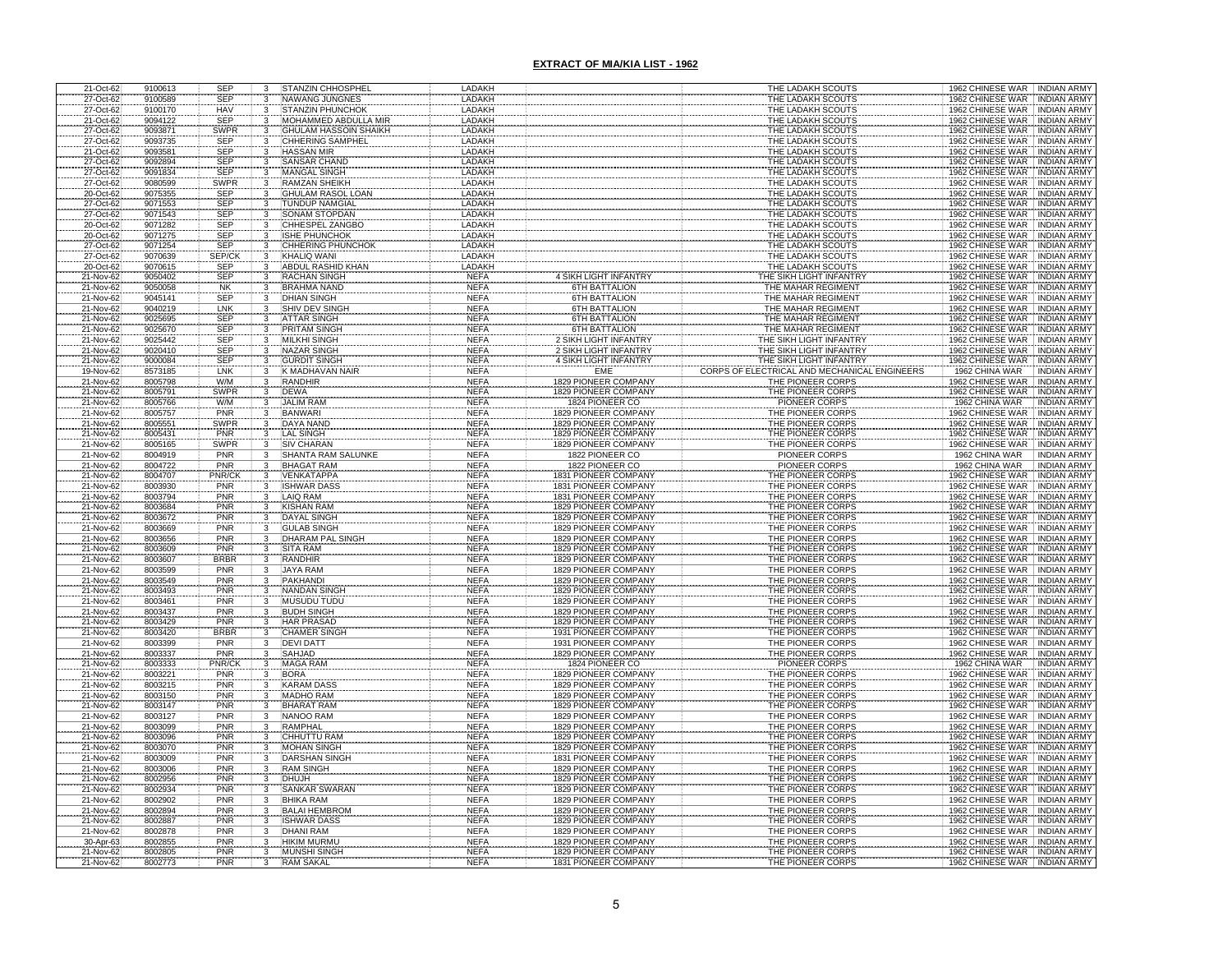| 21-Oct-62                           | 9100613            | <b>SEP</b>                       | 3                              | STANZIN CHHOSPHEL                                      | LADAKH                     |                                                            | THE LADAKH SCOUTS                             | 1962 CHINESE WAR INDIAN ARMY                                                     |
|-------------------------------------|--------------------|----------------------------------|--------------------------------|--------------------------------------------------------|----------------------------|------------------------------------------------------------|-----------------------------------------------|----------------------------------------------------------------------------------|
| 27-Oct-62                           | 9100589            | <b>SEP</b>                       | 3                              | <b>NAWANG JUNGNES</b>                                  | LADAKH                     |                                                            | THE LADAKH SCOUTS                             | 1962 CHINESE WAR<br><b>INDIAN ARMY</b>                                           |
| 27-Oct-62<br>21-Oct-62              | 9100170<br>9094122 | HAV<br><b>SEP</b>                | 3<br>3                         | <b>STANZIN PHUNCHOK</b><br><b>MOHAMMED ABDULLA MIR</b> | LADAKH<br>LADAKH           |                                                            | THE LADAKH SCOUTS<br>THE LADAKH SCOUTS        | 1962 CHINESE WAR<br><b>INDIAN ARMY</b><br>1962 CHINESE WAR<br><b>INDIAN ARMY</b> |
|                                     | 9093871            | SWPR                             |                                | <b>GHULAM HASSOIN SHAIKH</b>                           | LADAKH                     |                                                            | THE LADAKH SCOUTS                             | 1962 CHINESE WAR<br><b>INDIAN ARMY</b>                                           |
|                                     | 9093735            |                                  |                                | CHHERING SAMPHEI                                       | LADAKH                     |                                                            | THE LADAKH SCOUTS                             | CHINESE WAR<br><b>INDIAN ARMY</b>                                                |
| 27-Oct-62<br>27-Oct-62<br>21-Oct-62 | 9093581            | SEP<br>SEP                       | $\frac{3}{3}$                  | <b>HASSAN MIR</b>                                      | LADAKH                     |                                                            | THE LADAKH SCOUTS                             | 1962 CHINESE WAR<br><b>INDIAN ARMY</b>                                           |
| 27-Oct-62<br>27-Oct-62<br>27-Oct-62 | 9092894            | SEP<br>SEP                       | $\mathbf{3}$                   | SANSAR CHAND                                           | LADAKH                     |                                                            | THE LADAKH SCOUTS                             | 1962 CHINESE WAR<br><b>INDIAN ARMY</b>                                           |
|                                     | 9091834            |                                  |                                | <b>MANGAL SINGH</b>                                    | LADAKH                     |                                                            | THE LADAKH SCOUTS                             | 1962 CHINESE WAR<br><b>INDIAN ARMY</b>                                           |
|                                     | 9080599            | <b>SWPR</b>                      |                                | <b>RAMZAN SHEIKH</b>                                   | LADAKH                     |                                                            | THE LADAKH SCOUTS                             | 1962 CHINESE WAR<br><b>INDIAN ARMY</b>                                           |
| 20-Oct-62                           | 9075355<br>9071553 | <b>SEP</b>                       | 3                              | <b>GHULAM RASOL LOAN</b><br><b>TUNDUP NAMGIAL</b>      | LADAKH<br>LADAKH           |                                                            | THE LADAKH SCOUTS<br>THE LADAKH SCOUTS        | 1962 CHINESE WAR<br>INDIAN ARMY<br>1962 CHINESE WAR<br>INDIAN ARMY               |
| 27-Oct-62<br>27-Oct-62              | 9071543            | SEP<br>SEP                       |                                | SONAM STOPDAN                                          | LADAKH                     |                                                            | THE LADAKH SCOUTS                             | 1962 CHINESE WAR<br><b>INDIAN ARMY</b>                                           |
| 20-Oct-62                           | 9071282            | <b>SEP</b>                       |                                | CHHESPEL ZANGBO                                        | LADAKH                     |                                                            | THE LADAKH SCOUTS                             | <b>INDIAN ARMY</b><br>1962 CHINESE WAR                                           |
| 20-Oct-62                           | 9071275            | SEP                              | 3                              | <b>ISHE PHUNCHOK</b>                                   | LADAKH                     |                                                            | THE LADAKH SCOUTS                             | 1962 CHINESE WAR INDIAN ARMY                                                     |
| 27-Oct-62                           | 9071254            | <b>SEP</b>                       | 3                              | CHHERING PHUNCHOP                                      | LADAKH                     |                                                            | THE LADAKH SCOUTS                             | 1962 CHINESE WAR INDIAN ARMY                                                     |
| 27-Oct-62<br>20-Oct-62              | 9070639            | SEP/CK<br><b>SEP</b>             | 3<br>$\overline{3}$            | <b>KHALIQ WANI</b><br><b>ABDUL RASHID KHAN</b>         | LADAKH<br>LADAKH           |                                                            | THE LADAKH SCOUTS<br>THE LADAKH SCOUTS        | 1962 CHINESE WAR INDIAN ARMY<br>1962 CHINESE WAR INDIAN ARMY                     |
| 21-Nov-62                           | 9070615<br>9050402 |                                  |                                | <b>RACHAN SINGH</b>                                    | <b>NEFA</b>                | 4 SIKH LIGHT INFANTR'                                      | THE SIKH LIGHT INFANTR                        | 1962 CHINESE WAR INDIAN ARMY                                                     |
| 21-Nov-62                           | 9050058            | SEP<br>NK                        | $\frac{3}{3}$                  | <b>BRAHMA NAND</b>                                     | <b>NEFA</b>                | <b>6TH BATTALION</b>                                       | THE MAHAR REGIMENT                            | 1962 CHINESE WAR INDIAN ARMY                                                     |
| 21-Nov-62                           | 9045141            | <b>SEP</b>                       | $\overline{3}$                 | <b>DHIAN SINGH</b>                                     | <b>NEFA</b>                | <b>6TH BATTALION</b>                                       | THE MAHAR REGIMENT                            | 1962 CHINESE WAR INDIAN ARMY                                                     |
| 21-Nov-62                           | 9040219            | LNK                              | $\overline{3}$                 | <b>SHIV DEV SINGH</b>                                  | <b>NEFA</b>                | <b>6TH BATTALION</b>                                       | THE MAHAR REGIMENT                            | 1962 CHINESE WAR INDIAN ARMY                                                     |
| 21-Nov-62                           | 9025695            | SEP<br>SEP                       | $\overline{\mathbf{3}}$        | <b>ATTAR SINGH</b>                                     | <b>NEFA</b>                | <b>6TH BATTALION</b>                                       | THE MAHAR REGIMENT                            | 1962 CHINESE WAR INDIAN ARMY                                                     |
| 21-Nov-62<br>21-Nov-62              | 9025670<br>9025442 | <b>SEP</b>                       |                                | <b>PRITAM SINGH</b><br><b>MILKHI SINGH</b>             | <b>NEFA</b><br><b>NEFA</b> | <b>6TH BATTALION</b><br><b>SIKH LIGHT INFANTRY</b>         | THE MAHAR REGIMENT<br>THE SIKH LIGHT INFANTRY | 1962 CHINESE WAR<br><b>INDIAN ARMY</b><br>1962 CHINESE WAR INDIAN ARMY           |
| 21-Nov-62                           | 9020410            | <b>SEP</b>                       | 3                              | NAZAR SINGH                                            | <b>NEFA</b>                | 2 SIKH LIGHT INFANTRY                                      | THE SIKH LIGHT INFANTRY                       | 1962 CHINESE WAR : INDIAN ARMY                                                   |
| 21-Nov-62                           | 9000084            | <b>SEP</b>                       | $\overline{\mathbf{3}}$        | <b>GURDIT SINGH</b>                                    | <b>NEFA</b>                | 4 SIKH LIGHT INFANTRY                                      | THE SIKH LIGHT INFANTRY                       | 1962 CHINESE WAR INDIAN ARMY                                                     |
| 19-Nov-62                           | 8573185            | LNK                              | $\overline{3}$                 | K MADHAVAN NAIF                                        | <b>NEFA</b>                | EME                                                        | CORPS OF ELECTRICAL AND MECHANICAL ENGINEERS  | 1962 CHINA WAR<br><b>INDIAN ARMY</b>                                             |
| 21-Nov-62                           | 8005798            | W/M                              | $\overline{3}$                 | <b>RANDHIR</b>                                         | <b>NEFA</b>                | 1829 PIONEER COMPANY                                       | THE PIONEER CORPS                             | 1962 CHINESE WAR INDIAN ARMY                                                     |
| 21-Nov-62<br>21-Nov-62              | 8005791<br>8005766 | SWPR<br>W/M                      | 3                              | <b>DEWA</b><br><b>JALIM RAN</b>                        | <b>NEFA</b><br><b>NEFA</b> | 1829 PIONEER COMPANY<br>1824 PIONEER CO                    | THE PIONEER CORPS<br><b>PIONEER CORPS</b>     | 1962 CHINESE WAR INDIAN ARMY<br>1962 CHINA WAR INDIAN ARMY                       |
| 21-Nov-62                           | 8005757            | PNR                              | $\frac{3}{3}$                  | <b>BANWARI</b>                                         | <b>NEFA</b>                | 1829 PIONEER COMPANY                                       | THE PIONEER CORPS                             | 1962 CHINESE WAR INDIAN ARMY                                                     |
| 21-Nov-62                           | 8005551            | SWPR                             | $\overline{\mathbf{3}}$        | <b>DAYA NAND</b>                                       | <b>NEFA</b>                | 1829 PIONEER COMPANY                                       | THE PIONEER CORPS                             | 1962 CHINESE WAR INDIAN ARMY                                                     |
| 21-Nov-62                           | 8005431            | PNR                              | $\frac{3}{3}$                  | <b>LAL SINGH</b>                                       | <b>NEFA</b>                | 1829 PIONEER COMPANY                                       | THE PIONEER CORPS                             | 1962 CHINESE WAR : INDIAN ARMY                                                   |
| 21-Nov-62                           | 8005165            | <b>SWPR</b>                      |                                | <b>SIV CHARAN</b>                                      | <b>NEFA</b>                | <b>1829 PIONEER COMPANY</b>                                | THE PIONEER CORPS                             | 1962 CHINESE WAR INDIAN ARMY                                                     |
| 21-Nov-62                           | 8004919            | PNR                              | $\overline{3}$                 | <b>SHANTA RAM SALUNKE</b>                              | <b>NEFA</b>                | 1822 PIONEER CO                                            | <b>PIONEER CORPS</b>                          | INDIAN ARMY<br>1962 CHINA WAR                                                    |
| 21-Nov-62<br>21-Nov-62              | 8004722<br>8004707 | PNR<br>PNR/CF                    | $\frac{3}{3}$                  | <b>BHAGAT RAM</b><br><b>VENKATAPPA</b>                 | <b>NEFA</b><br><b>NEFA</b> | 1822 PIONEER CO<br>1831 PIONEER COMPANY                    | PIONEER CORPS<br>THE PIONEER CORPS            | 1962 CHINA WAR<br>INDIAN ARMY<br>1962 CHINESE WAR . INDIAN ARMY                  |
| 21-Nov-62                           | 8003930            | PNR                              | $\overline{3}$                 | <b>ISHWAR DASS</b>                                     | <b>NEFA</b>                | 1831 PIONEER COMPANY                                       | THE PIONEER CORPS                             | 1962 CHINESE WAR INDIAN ARMY                                                     |
| 21-Nov-62                           | 8003794            | PNR                              | $\overline{3}$                 | LAIQ RAM                                               | <b>NEFA</b>                | 1831 PIONEER COMPANY                                       | THE PIONEER CORPS                             | 1962 CHINESE WAR INDIAN ARMY                                                     |
| 21-Nov-62                           | 8003684            | PNR                              | $\overline{3}$                 | <b>KISHAN RAM</b>                                      | <b>NEFA</b>                | 1829 PIONEER COMPANY                                       | THE PIONEER CORPS                             | 1962 CHINESE WAR INDIAN ARMY                                                     |
| 21-Nov-62                           | 8003672            | PNR                              | $\overline{3}$                 | <b>DAYAL SINGH</b>                                     | <b>NEFA</b>                | 1829 PIONEER COMPANY                                       | THE PIONEER CORPS                             | 1962 CHINESE WAR INDIAN ARMY                                                     |
| 21-Nov-62<br>21-Nov-62              | 8003669<br>8003656 | PNR<br>PNR                       | $\overline{3}$<br>$\mathbf{3}$ | <b>GULAB SINGH</b><br>DHARAM PAL SINGH                 | <b>NEFA</b><br><b>NEFA</b> | 1829 PIONEER COMPANY<br>1829 PIONEER COMPANY               | THE PIONEER CORPS<br>THE PIONEER CORPS        | 1962 CHINESE WAR INDIAN ARMY<br>1962 CHINESE WAR INDIAN ARMY                     |
| 21-Nov-62                           | 8003609            | PNR                              | $\overline{3}$                 | SITA RAM                                               | <b>NEFA</b>                | 1829 PIONEER COMPANY                                       | THE PIONEER CORPS                             | 1962 CHINESE WAR INDIAN ARMY                                                     |
| 21-Nov-62                           | 8003607            | <b>BRBR</b>                      | 3                              | RANDHIR                                                | <b>NEFA</b>                | 1829 PIONEER COMPANY                                       | THE PIONEER CORPS                             | 1962 CHINESE WAR INDIAN ARMY                                                     |
| 21-Nov-62                           | 8003599            | PNR                              | $\overline{3}$                 | <b>JAYA RAM</b>                                        | <b>NEFA</b>                | 1829 PIONEER COMPANY                                       | THE PIONEER CORPS                             | 1962 CHINESE WAR INDIAN ARMY                                                     |
| 21-Nov-62                           | 8003549            | PNR                              | $\overline{3}$                 | <b>PAKHANDI</b>                                        | <b>NEFA</b>                | 1829 PIONEER COMPANY                                       | THE PIONEER CORPS                             | 1962 CHINESE WAR : INDIAN ARMY                                                   |
| 21-Nov-62<br>21-Nov-62              | 8003493<br>8003461 | PNR<br>PNR                       | 3<br>$\overline{3}$            | <b>NANDAN SINGH</b><br><b>MUSUDU TUDU</b>              | <b>NEFA</b><br><b>NEFA</b> | 1829 PIONEER COMPANY<br>1829 PIONEER COMPANY               | THE PIONEER CORPS<br>THE PIONEER CORPS        | 1962 CHINESE WAR<br><b>INDIAN ARMY</b><br>1962 CHINESE WAR INDIAN ARMY           |
| 21-Nov-62                           | 8003437            | PNR                              | $\overline{3}$                 | <b>BUDH SINGH</b>                                      | <b>NEFA</b>                | <b>1829 PIONEER COMPANY</b>                                | THE PIONEER CORPS                             | 1962 CHINESE WAR INDIAN ARMY                                                     |
| 21-Nov-62                           | 8003429            | PNR                              | 3                              | <b>HAR PRASAD</b>                                      | <b>NEFA</b>                | 1829 PIONEER COMPANY                                       | THE PIONEER CORPS                             | 1962 CHINESE WAR INDIAN ARMY                                                     |
| 21-Nov-62                           | 8003420            | <b>BRBR</b>                      | 3                              | <b>CHAMER SINGH</b>                                    | <b>NEFA</b>                | 1931 PIONEER COMPANY                                       | THE PIONEER CORPS                             | 1962 CHINESE WAR INDIAN ARMY                                                     |
| 21-Nov-62                           | 8003399            | <b>PNR</b>                       | 3                              | <b>DEVI DATT</b>                                       | <b>NEFA</b>                | 1931 PIONEER COMPANY                                       | THE PIONEER CORPS                             | 1962 CHINESE WAR INDIAN ARMY                                                     |
| 21-Nov-62                           | 8003337<br>8003333 | <b>PNR</b><br>PNR/C <sub>k</sub> | 3                              | <b>SAHJAD</b><br><b>MAGA RAM</b>                       | <b>NEFA</b><br><b>NEFA</b> | <b>1829 PIONEER COMPANY</b><br>1824 PIONEER CO             | THE PIONEER CORPS<br><b>PIONEER CORPS</b>     | 1962 CHINESE WAR INDIAN ARMY<br>1962 CHINA WAR<br><b>INDIAN ARMY</b>             |
| 21-Nov-62<br>21-Nov-62              | 8003221            | PNR                              | 3                              | <b>BORA</b>                                            | <b>NEFA</b>                | <b>1829 PIONEER COMPANY</b>                                | THE PIONEER CORPS                             | 1962 CHINESE WAR INDIAN ARMY                                                     |
| 21-Nov-62                           | 8003215            | PNR                              | 3                              | <b>KARAM DASS</b>                                      | <b>NEFA</b>                | <b>1829 PIONEER COMPANY</b>                                | THE PIONEER CORPS                             | 1962 CHINESE WAR INDIAN ARMY                                                     |
| 21-Nov-62                           | 8003150            | PNR                              |                                | <b>MADHO RAM</b>                                       | <b>NEFA</b>                | <b>1829 PIONEER COMPANY</b>                                | THE PIONEER CORPS                             | 1962 CHINESE WAR INDIAN ARMY                                                     |
| 21-Nov-62                           | 8003147            | <b>PNR</b>                       | $\overline{3}$                 | <b>BHARAT RAM</b>                                      | <b>NEFA</b>                | 1829 PIONEER COMPANY                                       | THE PIONEER CORPS                             | 1962 CHINESE WAR INDIAN ARMY                                                     |
| 21-Nov-62                           | 8003127            | PNR                              | 3                              | <b>NANOO RAM</b>                                       | <b>NEFA</b>                | <b>1829 PIONEER COMPANY</b>                                | THE PIONEER CORPS                             | 1962 CHINESE WAR INDIAN ARMY                                                     |
| 21-Nov-62<br>21-Nov-62              | 8003099<br>8003096 | PNR<br>PNR                       | 3<br>$\overline{3}$            | RAMPHAL<br><b>CHHUTTU RAM</b>                          | <b>NEFA</b><br><b>NEFA</b> | <b>1829 PIONEER COMPANY</b><br><b>1829 PIONEER COMPANY</b> | THE PIONEER CORPS<br>THE PIONEER CORPS        | 1962 CHINESE WAR INDIAN ARMY<br>1962 CHINESE WAR INDIAN ARMY                     |
| 21-Nov-62                           | 8003070            | PNR                              | $\overline{3}$                 | <b>MOHAN SINGH</b>                                     | <b>NEFA</b>                | 1829 PIONEER COMPANY                                       | THE PIONEER CORPS                             | 1962 CHINESE WAR INDIAN ARMY                                                     |
| 21-Nov-62                           | 8003009            | PNR                              | $\overline{3}$                 | <b>DARSHAN SINGH</b>                                   | <b>NEFA</b>                | 1831 PIONEER COMPANY                                       | THE PIONEER CORPS                             | 1962 CHINESE WAR INDIAN ARMY                                                     |
| 21-Nov-62                           | 8003006            | PNR                              | $\overline{3}$                 | <b>RAM SINGH</b>                                       | <b>NEFA</b>                | <b>1829 PIONEER COMPANY</b>                                | THE PIONEER CORPS                             | 1962 CHINESE WAR<br>INDIAN ARMY                                                  |
| 21-Nov-62                           | 8002956            | PNR                              | $\overline{3}$                 | <b>DHUJH</b>                                           | <b>NEFA</b>                | <b>1829 PIONEER COMPANY</b>                                | THE PIONEER CORPS                             | 1962 CHINESE WAR INDIAN ARMY                                                     |
| 21-Nov-62                           | 8002934<br>8002902 | PNR                              | $\overline{3}$                 | <b>SANKAR SWARAN</b><br><b>BHIKA RAM</b>               | <b>NEFA</b><br><b>NEFA</b> | 1829 PIONEER COMPANY<br>1829 PIONEER COMPANY               | THE PIONEER CORPS<br>THE PIONEER CORPS        | 1962 CHINESE WAR INDIAN ARMY<br>1962 CHINESE WAR<br>INDIAN ARMY                  |
| 21-Nov-62<br>21-Nov-62              | 8002894            | PNR<br>PNR                       | 3<br>$\overline{3}$            | <b>BALAI HEMBROM</b>                                   | <b>NEFA</b>                | <b>1829 PIONEER COMPANY</b>                                | THE PIONEER CORPS                             | 1962 CHINESE WAR INDIAN ARMY                                                     |
| 21-Nov-62                           | 8002887            | PNR                              | 3                              | <b>ISHWAR DASS</b>                                     | <b>NEFA</b>                | 1829 PIONEER COMPANY                                       | THE PIONEER CORPS                             | 1962 CHINESE WAR INDIAN ARMY                                                     |
| 21-Nov-62                           | 8002878            | PNR                              | 3                              | <b>DHANI RAM</b>                                       | <b>NEFA</b>                | 1829 PIONEER COMPANY                                       | THE PIONEER CORPS                             | 1962 CHINESE WAR INDIAN ARMY                                                     |
| 30-Apr-63                           | 8002855            | PNR                              | 3                              | <b>HIKIM MURMU</b>                                     | <b>NEFA</b>                | <b>1829 PIONEER COMPANY</b>                                | THE PIONEER CORPS                             | 1962 CHINESE WAR INDIAN ARMY                                                     |
| 21-Nov-62<br>21-Nov-62              | 8002805            | PNR                              |                                | <b>MUNSHI SINGH</b><br><b>RAM SAKAL</b>                | <b>NEFA</b><br><b>NEFA</b> | <b>1829 PIONEER COMPANY</b><br>1831 PIONEER COMPANY        | THE PIONEER CORPS                             | 1962 CHINESE WAR INDIAN ARMY<br>1962 CHINESE WAR INDIAN ARMY                     |
|                                     | 8002773            | PNR                              |                                |                                                        |                            |                                                            | THE PIONEER CORPS                             |                                                                                  |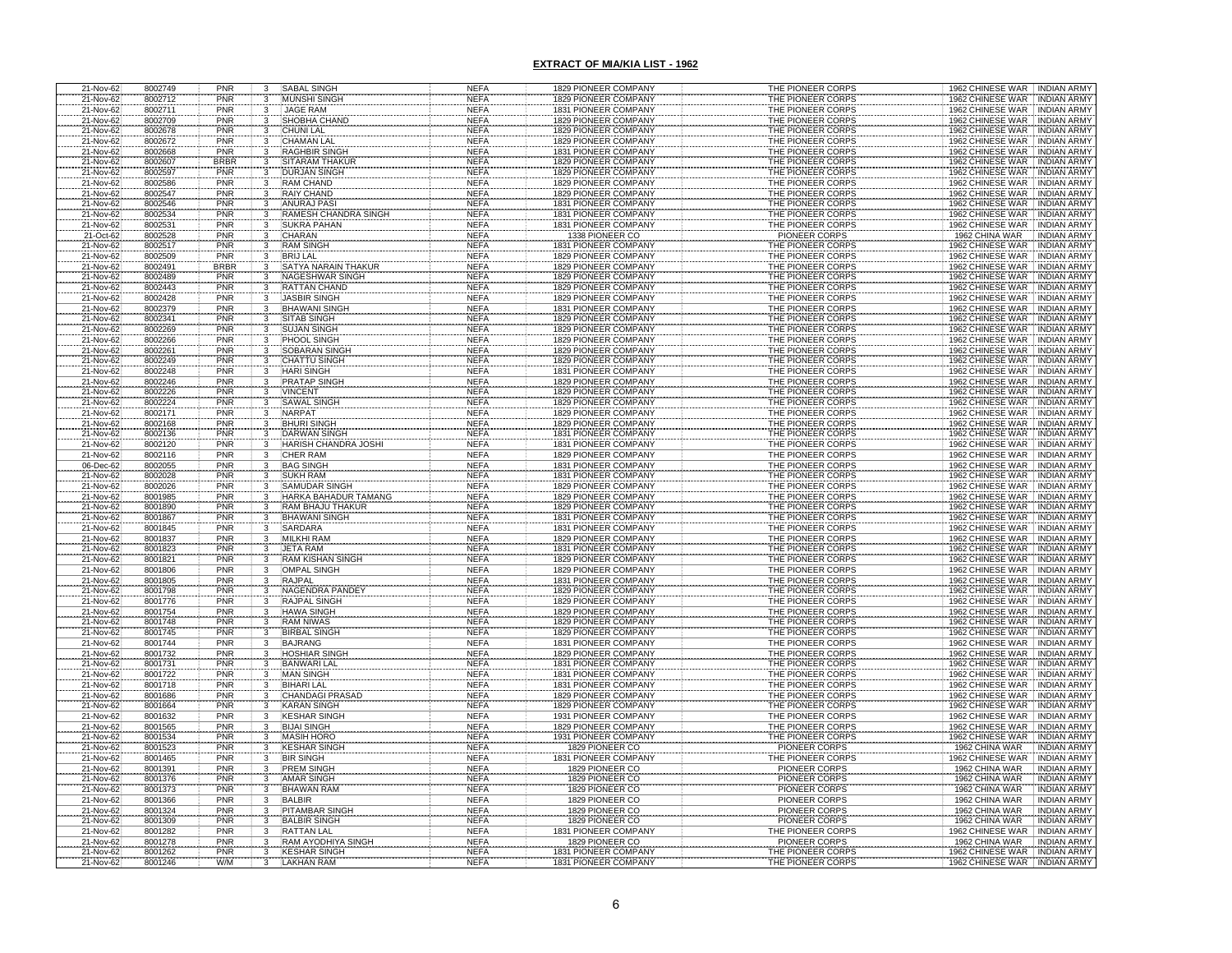| 21-Nov-62              | 8002749            | PNR                | 3                                | <b>SABAL SINGH</b>                                | <b>NEFA</b>                | 1829 PIONEER COMPANY                         | THE PIONEER CORPS                      | 1962 CHINESE WAR INDIAN ARMY                                                     |
|------------------------|--------------------|--------------------|----------------------------------|---------------------------------------------------|----------------------------|----------------------------------------------|----------------------------------------|----------------------------------------------------------------------------------|
| 21-Nov-62              | 8002712            | <b>PNR</b><br>PNR  | 3                                | <b>MUNSHI SINGH</b><br><b>JAGE RAM</b>            | <b>NEFA</b><br><b>NEFA</b> | 1829 PIONEER COMPANY<br>1831 PIONEER COMPANY | THE PIONEER CORPS<br>THE PIONEER CORPS | <b>INDIAN ARMY</b><br>1962 CHINESE WAR                                           |
| 21-Nov-62<br>21-Nov-62 | 8002711<br>8002709 | PNR                | 3<br>3                           | SHOBHA CHAND                                      | <b>NEFA</b>                | 1829 PIONEER COMPANY                         | THE PIONEER CORPS                      | 1962 CHINESE WAR<br><b>INDIAN ARMY</b><br>1962 CHINESE WAR<br><b>INDIAN ARMY</b> |
| 21-Nov-62              | 8002678            | PNR                | 3                                | CHUNI LAL                                         | <b>NEFA</b>                | 1829 PIONEER COMPANY                         | THE PIONEER CORPS                      | 1962 CHINESE WAR<br><b>INDIAN ARMY</b>                                           |
| 21-Nov-62              | 8002672            | PNR                | $\mathbf{3}$                     | CHAMAN LAI                                        | <b>NEFA</b>                | 1829 PIONEER COMPANY                         | THE PIONEER CORPS                      | 1962 CHINESE WAR<br><b>INDIAN ARMY</b>                                           |
| 21-Nov-62              | 8002668            | PNR                | 3                                | <b>RAGHBIR SINGH</b>                              | <b>NEFA</b>                | 1831 PIONEER COMPANY                         | THE PIONEER CORPS                      | 1962 CHINESE WAR<br><b>INDIAN ARMY</b>                                           |
| 21-Nov-62<br>21-Nov-62 | 8002607<br>8002597 | <b>BRBR</b><br>PNR | 3                                | SITARAM THAKUF<br><b>DURJAN SINGH</b>             | <b>NEFA</b><br><b>NEFA</b> | 1829 PIONEER COMPANY<br>1829 PIONEER COMPANY | THE PIONEER CORPS<br>THE PIONEER CORPS | 1962 CHINESE WAR<br><b>INDIAN ARMY</b><br>1962 CHINESE WAR<br><b>INDIAN ARMY</b> |
| 21-Nov-62              | 8002586            | <b>PNR</b>         | 3<br>3                           | <b>RAM CHAND</b>                                  | <b>NEFA</b>                | 1829 PIONEER COMPANY                         | THE PIONEER CORPS                      | 1962 CHINESE WAR<br><b>INDIAN ARMY</b>                                           |
| 21-Nov-62              | 8002547            | PNR                | 3                                | <b>RAIY CHAND</b>                                 | <b>NEFA</b>                | 1829 PIONEER COMPANY                         | THE PIONEER CORPS                      | 1962 CHINESE WAR<br><b>INDIAN ARMY</b>                                           |
| 21-Nov-62              | 8002546            | <b>PNR</b>         | $\overline{3}$                   | <b>ANURAJ PASI</b>                                | <b>NEFA</b>                | 1831 PIONEER COMPANY                         | THE PIONEER CORPS                      | 1962 CHINESE WAR<br><b>INDIAN ARMY</b>                                           |
| 21-Nov-62              | 8002534<br>8002531 | PNR<br>PNR         | 3                                | <b>RAMESH CHANDRA SINGH</b><br><b>SUKRA PAHAN</b> | <b>NEFA</b><br><b>NEFA</b> | 1831 PIONEER COMPANY<br>1831 PIONEER COMPANY | THE PIONEER CORPS<br>THE PIONEER CORPS | 1962 CHINESE WAR<br><b>INDIAN ARMY</b><br><b>INDIAN ARMY</b>                     |
| 21-Nov-62<br>21-Oct-62 | 8002528            | PNR                | 3<br>3                           | CHARAN                                            | <b>NEFA</b>                | 1338 PIONEER CO                              | <b>PIONEER CORPS</b>                   | 1962 CHINESE WAR<br><b>INDIAN ARMY</b><br>1962 CHINA WAR                         |
| 21-Nov-62              | 8002517            | PNR                | 3                                | <b>RAM SINGH</b>                                  | <b>NEFA</b>                | 1831 PIONEER COMPANY                         | THE PIONEER CORPS                      | 1962 CHINESE WAR<br><b>INDIAN ARMY</b>                                           |
| 21-Nov-62              | 8002509            | PNR                | 3                                | <b>BRIJ LAL</b>                                   | <b>NEFA</b>                | 1829 PIONEER COMPANY                         | THE PIONEER CORPS                      | 1962 CHINESE WAR<br><b>INDIAN ARMY</b>                                           |
| 21-Nov-62              | 8002491            | <b>BRBR</b>        | 3                                | SATYA NARAIN THAKUR                               | <b>NEFA</b>                | 1829 PIONEER COMPANY                         | THE PIONEER CORPS                      | 1962 CHINESE WAR<br><b>INDIAN ARMY</b>                                           |
| 21-Nov-62<br>21-Nov-62 | 8002489<br>8002443 | PNR<br>PNR         | 3<br>3                           | NAGESHWAR SINGH<br><b>RATTAN CHAND</b>            | <b>NEFA</b><br><b>NEFA</b> | 1829 PIONEER COMPANY<br>1829 PIONEER COMPANY | THE PIONEER CORPS<br>THE PIONEER CORPS | 1962 CHINESE WAR<br><b>INDIAN ARMY</b><br>1962 CHINESE WAR<br>INDIAN ARMY        |
| 21-Nov-62              | 8002428            | PNR                | 3                                | JASBIR SINGH                                      | <b>NEFA</b>                | 1829 PIONEER COMPANY                         | THE PIONEER CORPS                      | 1962 CHINESE WAR<br><b>INDIAN ARMY</b>                                           |
| 21-Nov-62              | 8002379            | PNR                | 3                                | <b>BHAWANI SINGH</b>                              | <b>NEFA</b>                | 1831 PIONEER COMPANY                         | THE PIONEER CORPS                      | 1962 CHINESE WAR<br><b>INDIAN ARMY</b>                                           |
| 21-Nov-62              | 8002341            | PNR                | 3                                | SITAB SINGH                                       | <b>NEFA</b>                | 1829 PIONEER COMPANY                         | THE PIONEER CORPS                      | 1962 CHINESE WAR<br><b>INDIAN ARMY</b>                                           |
| 21-Nov-62              | 8002269            | PNR                |                                  | <b>JUJAN SINGH</b>                                | NEF/                       | 1829 PIONEER COMPANY                         | THE PIONEER CORPS                      | <b>INDIAN ARMY</b><br>1962 CHINESE WAR                                           |
| 21-Nov-62<br>21-Nov-62 | 8002266<br>8002261 | PNR<br>PNR         | 3                                | PHOOL SINGH<br>SOBARAN SINGH                      | <b>NEFA</b><br><b>NEFA</b> | 1829 PIONEER COMPANY<br>1829 PIONEER COMPANY | THE PIONEER CORPS<br>THE PIONEER CORPS | 1962 CHINESE WAR<br><b>INDIAN ARMY</b><br>1962 CHINESE WAR<br><b>INDIAN ARMY</b> |
| 21-Nov-62              | 8002249            | PNR                | 3                                | <b>CHATTU SINGH</b>                               | <b>NEFA</b>                | 1829 PIONEER COMPANY                         | THE PIONEER CORPS                      | 1962 CHINESE WAR<br><b>INDIAN ARMY</b>                                           |
| 21-Nov-62              | 8002248            | PNR                |                                  | <b>HARI SINGH</b>                                 | <b>NEFA</b>                | 1831 PIONEER COMPANY                         | THE PIONEER CORPS                      | 1962 CHINESE WAR<br>INDIAN ARMY                                                  |
| 21-Nov-62              | 8002246            | PNR                |                                  | <b>PRATAP SINGH</b>                               | <b>NEFA</b>                | 1829 PIONEER COMPANY                         | THE PIONEER CORPS                      | 1962 CHINESE WAR<br><b>INDIAN ARMY</b>                                           |
| 21-Nov-62<br>21-Nov-62 | 8002226<br>8002224 | PNR<br>PNR         |                                  | <b>VINCENT</b><br><b>SAWAL SINGH</b>              | <b>NEFA</b><br><b>NEFA</b> | 1829 PIONEER COMPANY<br>1829 PIONEER COMPANY | THE PIONEER CORPS<br>THE PIONEER CORPS | 1962 CHINESE WAR<br><b>INDIAN ARMY</b><br>1962 CHINESE WAR<br><b>INDIAN ARMY</b> |
| 21-Nov-62              | 8002171            | <b>PNR</b>         |                                  | <b>NARPAT</b>                                     | <b>NEFA</b>                | 1829 PIONEER COMPANY                         | THE PIONEER CORPS                      | 1962 CHINESE WAR<br><b>INDIAN ARMY</b>                                           |
| 21-Nov-62              | 8002168            | PNR                | 3                                | <b>BHURI SINGH</b>                                | <b>NEFA</b>                | 1829 PIONEER COMPANY                         | THE PIONEER CORPS                      | 1962 CHINESE WAR<br><b>INDIAN ARMY</b>                                           |
| 21-Nov-62              | 8002136            | PNR                |                                  | <b>DARWAN SINGH</b>                               | <b>NEFA</b>                | 1831 PIONEER COMPANY                         | THE PIONEER CORPS                      | 1962 CHINESE WAR<br><b>INDIAN ARMY</b>                                           |
| 21-Nov-62              | 8002120            | <b>PNR</b><br>PNR  |                                  | HARISH CHANDRA JOSHI                              | <b>NEFA</b>                | 1831 PIONEER COMPANY                         | THE PIONEER CORPS                      | 1962 CHINESE WAR<br><b>INDIAN ARMY</b><br><b>INDIAN ARMY</b>                     |
| 21-Nov-62<br>06-Dec-62 | 8002116<br>8002055 | <b>PNR</b>         | $_{3}$                           | <b>CHER RAM</b><br><b>BAG SINGH</b>               | <b>NEFA</b><br><b>NEFA</b> | 1829 PIONEER COMPANY<br>1831 PIONEER COMPANY | THE PIONEER CORPS<br>THE PIONEER CORPS | 1962 CHINESE WAR<br><b>INDIAN ARMY</b>                                           |
| 21-Nov-62              | 8002028            | PNR                | $\frac{3}{3}$                    | <b>SUKH RAM</b>                                   | <b>NEFA</b>                | 1831 PIONEER COMPANY                         | THE PIONEER CORPS                      | 1962 CHINESE WAR<br>1962 CHINESE WAR<br><b>INDIAN ARMY</b>                       |
| 21-Nov-62              | 8002026            | PNR                | $\overline{3}$                   | <b>SAMUDAR SINGH</b>                              | <b>NEFA</b>                | 1829 PIONEER COMPANY                         | THE PIONEER CORPS                      | 1962 CHINESE WAR<br><b>INDIAN ARMY</b>                                           |
| 21-Nov-62              | 8001985            | PNR                | $\overline{3}$                   | HARKA BAHADUR TAMANG                              | <b>NEFA</b>                | 1829 PIONEER COMPANY                         | THE PIONEER CORPS                      | 1962 CHINESE WAR<br><b>INDIAN ARMY</b>                                           |
| 21-Nov-62<br>21-Nov-62 | 8001890<br>8001867 | PNR<br>PNR         | $\overline{3}$<br>$\overline{3}$ | <b>RAM BHAJU THAKUR</b><br><b>BHAWANI SINGH</b>   | <b>NEFA</b><br><b>NEFA</b> | 1829 PIONEER COMPANY<br>1831 PIONEER COMPANY | THE PIONEER CORPS<br>THE PIONEER CORPS | 1962 CHINESE WAR<br><b>INDIAN ARMY</b><br>1962 CHINESE WAR INDIAN ARMY           |
| 21-Nov-62              | 8001845            | PNR                | $\overline{\mathbf{3}}$          | <b>SARDARA</b>                                    | <b>NEFA</b>                | 1831 PIONEER COMPANY                         | THE PIONEER CORPS                      | 1962 CHINESE WAR<br><b>INDIAN ARMY</b>                                           |
| 21-Nov-62              | 8001837            | PNR                | $\frac{3}{3}$                    | <b>MILKHI RAM</b>                                 | <b>NEFA</b>                | 1829 PIONEER COMPANY                         | THE PIONEER CORPS                      | 1962 CHINESE WAR<br><b>INDIAN ARMY</b>                                           |
| 21-Nov-62              | 8001823            | PNR                |                                  | <b>JETA RAM</b>                                   | <b>NEFA</b>                | 1831 PIONEER COMPANY                         | THE PIONEER CORPS                      | 1962 CHINESE WAR INDIAN ARMY                                                     |
| 21-Nov-62<br>21-Nov-62 | 8001821<br>8001806 | <b>PNR</b><br>PNR  | $\overline{3}$<br>$_{3}$         | <b>RAM KISHAN SINGH</b><br><b>OMPAL SINGH</b>     | <b>NEFA</b><br><b>NEFA</b> | 1829 PIONEER COMPANY<br>1829 PIONEER COMPANY | THE PIONEER CORPS<br>THE PIONEER CORPS | 1962 CHINESE WAR   INDIAN ARMY<br>1962 CHINESE WAR INDIAN ARMY                   |
| 21-Nov-62              | 8001805            | PNR                | $\overline{\mathbf{3}}$          | <b>RAJPAL</b>                                     | <b>NEFA</b>                | 1831 PIONEER COMPANY                         | THE PIONEER CORPS                      | 1962 CHINESE WAR<br><b>INDIAN ARMY</b>                                           |
| 21-Nov-62              | 8001798            | PNR                |                                  | NAGENDRA PANDE                                    | <b>NEFA</b>                | 1829 PIONEER COMPANY                         | THE PIONEER CORPS                      | 1962 CHINESE WAR<br><b>INDIAN ARMY</b>                                           |
| 21-Nov-62              | 8001776            | PNR                |                                  | <b>RAJPAL SINGH</b>                               | <b>NEFA</b>                | 1829 PIONEER COMPANY                         | THE PIONEER CORPS                      | 1962 CHINESE WAR<br><b>INDIAN ARMY</b>                                           |
| 21-Nov-62              | 8001754            | PNR                | 3                                | <b>HAWA SINGH</b>                                 | <b>NEFA</b>                | 1829 PIONEER COMPANY                         | THE PIONEER CORPS                      | 1962 CHINESE WAR<br><b>INDIAN ARMY</b><br><b>INDIAN ARMY</b>                     |
| 21-Nov-62<br>21-Nov-62 | 8001748<br>8001745 | PNR<br>PNR         | 3                                | <b>RAM NIWAS</b><br><b>BIRBAL SINGH</b>           | <b>NEFA</b><br><b>NEFA</b> | 1829 PIONEER COMPANY<br>1829 PIONEER COMPANY | THE PIONEER CORPS<br>THE PIONEER CORPS | 1962 CHINESE WAR<br>1962 CHINESE WAR<br>INDIAN ARMY                              |
| 21-Nov-62              | 8001744            | PNR                | 3                                | <b>BAJRANG</b>                                    | <b>NEFA</b>                | 1831 PIONEER COMPANY                         | THE PIONEER CORPS                      | 1962 CHINESE WAR<br><b>INDIAN ARMY</b>                                           |
| 21-Nov-62              | 8001732            | PNR                |                                  | HOSHIAR SINGH                                     | <b>NEFA</b>                | 1829 PIONEER COMPANY                         | THE PIONEER CORPS                      | 1962 CHINESE WAR<br><b>INDIAN ARMY</b>                                           |
| 21-Nov-62<br>21-Nov-62 | 8001731<br>8001722 | PNR<br>PNR         | $\frac{3}{3}$                    | <b>BANWARI LAL</b><br><b>MAN SINGH</b>            | <b>NEFA</b><br><b>NEFA</b> | 1831 PIONEER COMPANY<br>1831 PIONEER COMPANY | THE PIONEER CORPS<br>THE PIONEER CORPS | 1962 CHINESE WAR<br><b>INDIAN ARMY</b><br>1962 CHINESE WAR<br><b>INDIAN ARMY</b> |
| 21-Nov-62              | 8001718            | PNR                |                                  | <b>BIHARI LAL</b>                                 | <b>NEFA</b>                | 1831 PIONEER COMPANY                         | THE PIONEER CORPS                      | 1962 CHINESE WAR<br><b>INDIAN ARMY</b>                                           |
| 21-Nov-62              | 8001686            | PNR                |                                  | <b>CHANDAGI PRASAD</b>                            | <b>NEFA</b>                | 1829 PIONEER COMPANY                         | THE PIONEER CORPS                      | 1962 CHINESE WAR<br><b>INDIAN ARMY</b>                                           |
| 21-Nov-62              | 8001664            | <b>PNR</b>         |                                  | <b>KARAN SINGH</b>                                | <b>NEFA</b>                | 1829 PIONEER COMPANY                         | THE PIONEER CORPS                      | 1962 CHINESE WAR<br><b>INDIAN ARMY</b>                                           |
| 21-Nov-62              | 8001632            | PNR                | 3                                | <b>KESHAR SINGH</b>                               | <b>NEFA</b>                | 1931 PIONEER COMPANY                         | THE PIONEER CORPS                      | 1962 CHINESE WAR<br><b>INDIAN ARMY</b>                                           |
| 21-Nov-62<br>21-Nov-62 | 8001565<br>8001534 | PNR<br>PNR         | $\frac{3}{3}$                    | <b>BIJAI SINGH</b><br><b>MASIH HORO</b>           | <b>NEFA</b><br><b>NEFA</b> | 1829 PIONEER COMPANY<br>1931 PIONEER COMPANY | THE PIONEER CORPS<br>THE PIONEER CORPS | 1962 CHINESE WAR<br><b>INDIAN ARMY</b><br>1962 CHINESE WAR<br><b>INDIAN ARMY</b> |
| 21-Nov-62              | 8001523            | PNR                | 3                                | <b>KESHAR SINGH</b>                               | <b>NEFA</b>                | 1829 PIONEER CO                              | PIONEER CORPS                          | 1962 CHINA WAR<br><b>INDIAN ARMY</b>                                             |
| 21-Nov-62              | 8001465            | PNR                | $\overline{3}$                   | <b>BIR SINGH</b>                                  | <b>NEFA</b>                | 1831 PIONEER COMPANY                         | THE PIONEER CORPS                      | 1962 CHINESE WAR<br><b>INDIAN ARMY</b>                                           |
| 21-Nov-62              | 8001391            | PNR                | 3<br>$\overline{3}$              | <b>PREM SINGH</b>                                 | <b>NEFA</b>                | 1829 PIONEER CO                              | <b>PIONEER CORPS</b>                   | 1962 CHINA WAR<br><b>INDIAN ARMY</b>                                             |
| 21-Nov-62<br>21-Nov-62 | 8001376<br>8001373 | PNR<br>PNR         | $\overline{3}$                   | <b>AMAR SINGH</b><br><b>BHAWAN RAM</b>            | <b>NEFA</b><br><b>NEFA</b> | 1829 PIONEER CO<br>1829 PIONEER CO           | PIONEER CORPS<br>PIONEER CORPS         | 1962 CHINA WAR<br><b>INDIAN ARMY</b><br>1962 CHINA WAR<br><b>INDIAN ARMY</b>     |
| 21-Nov-62              | 8001366            | PNR                |                                  | <b>BALBIR</b>                                     | <b>NEFA</b>                | 1829 PIONEER CO                              | PIONEER CORPS                          | 1962 CHINA WAR<br><b>INDIAN ARMY</b>                                             |
| 21-Nov-62              | 8001324            | PNR                | $\frac{3}{3}$                    | <b>PITAMBAR SINGH</b>                             | <b>NEFA</b>                | 1829 PIONEER CO                              | <b>PIONEER CORPS</b>                   | 1962 CHINA WAR<br>INDIAN ARMY                                                    |
| 21-Nov-62              | 8001309            | PNR                | 3                                | <b>BALBIR SINGH</b>                               | <b>NEFA</b>                | 1829 PIONEER CO                              | PIONEER CORPS                          | 1962 CHINA WAR<br><b>INDIAN ARMY</b>                                             |
| 21-Nov-62<br>21-Nov-62 | 8001282<br>8001278 | PNR<br>PNR         | 3<br>$\mathbf{3}$                | <b>RATTAN LAL</b><br>RAM AYODHIYA SINGH           | <b>NEFA</b><br><b>NEFA</b> | 1831 PIONEER COMPANY<br>1829 PIONEER CO      | THE PIONEER CORPS<br>PIONEER CORPS     | 1962 CHINESE WAR<br><b>INDIAN ARMY</b><br>1962 CHINA WAR<br><b>INDIAN ARMY</b>   |
| 21-Nov-62              | 8001262            | PNR                |                                  | <b>KESHAR SINGH</b>                               | <b>NEFA</b>                | 1831 PIONEER COMPANY                         | THE PIONEER CORPS                      | 1962 CHINESE WAR<br><b>INDIAN ARMY</b>                                           |
| 21-Nov-62              | 8001246            | W/M                |                                  | <b>LAKHAN RAM</b>                                 | <b>NEFA</b>                | 1831 PIONEER COMPANY                         | THE PIONEER CORPS                      | 1962 CHINESE WAR<br><b>INDIAN ARMY</b>                                           |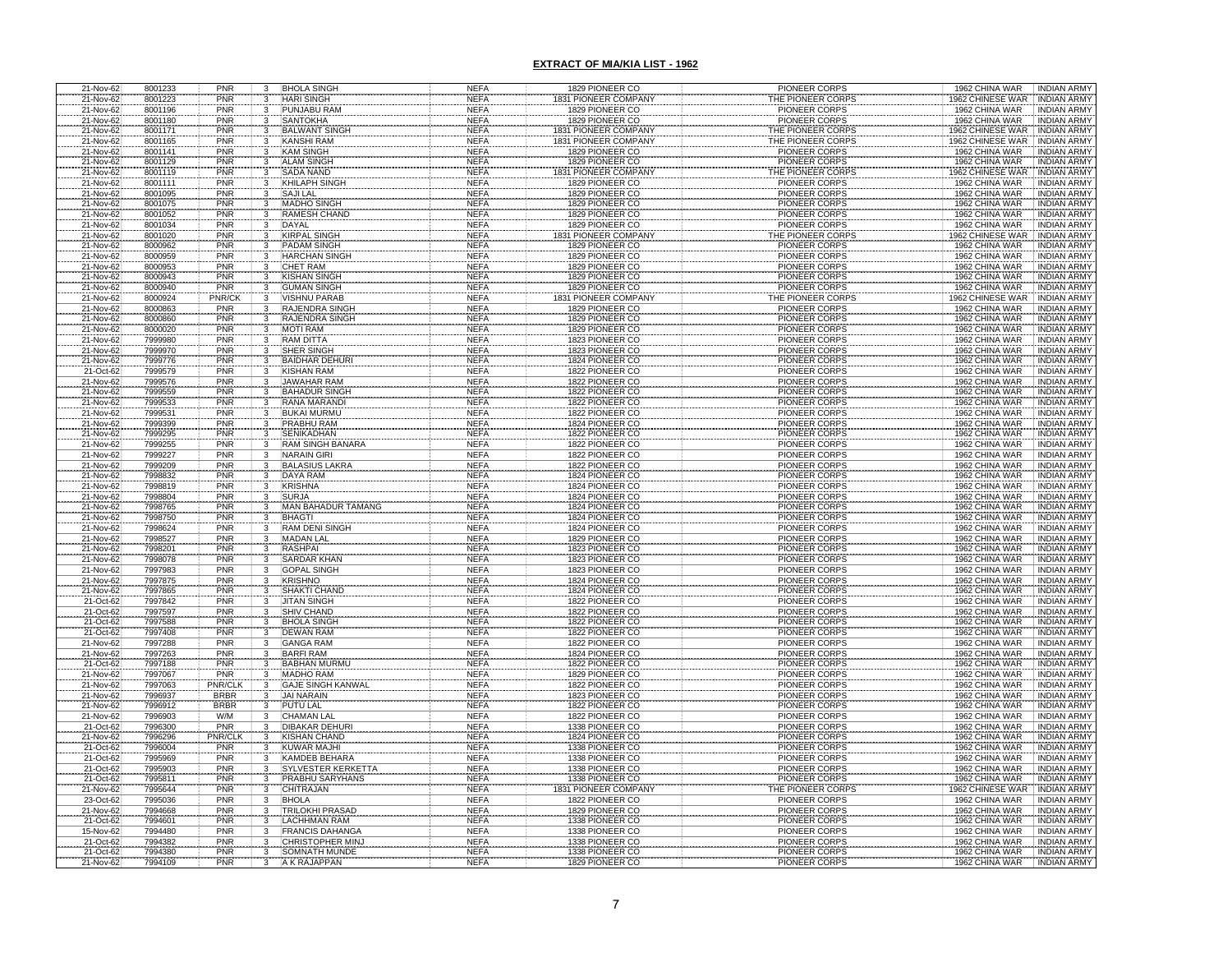| 21-Nov-62                                        | 8001233                       | PNR                      | 3                                | <b>BHOLA SINGH</b>                         | <b>NEFA</b>                | 1829 PIONEER CO                    | PIONEER CORPS                                | 1962 CHINA WAR<br><b>INDIAN ARMY</b>                                         |
|--------------------------------------------------|-------------------------------|--------------------------|----------------------------------|--------------------------------------------|----------------------------|------------------------------------|----------------------------------------------|------------------------------------------------------------------------------|
| 21-Nov-62                                        | 8001223                       | PNR                      | 3                                | <b>HARI SINGH</b>                          | <b>NEFA</b>                | 1831 PIONEER COMPANY               | THE PIONEER CORPS                            | 1962 CHINESE WAR<br><b>INDIAN ARMY</b>                                       |
| 21-Nov-62<br>21-Nov-62                           | 8001196<br>8001180            | PNR<br><b>PNR</b>        | $\overline{3}$<br>3              | PUNJABU RAM<br><b>SANTOKHA</b>             | <b>NEFA</b><br><b>NEFA</b> | 1829 PIONEER CO<br>1829 PIONEER CO | PIONEER CORPS<br>PIONEER CORPS               | 1962 CHINA WAR<br><b>INDIAN ARMY</b><br>1962 CHINA WAR<br><b>INDIAN ARMY</b> |
|                                                  | 8001171                       | PNR                      | $^{\rm 3}$                       | <b>BALWANT SINGH</b>                       | <b>NEFA</b>                | 831 PIONEER COMPANY                | THE PIONEER CORPS                            | 1962 CHINESE WAR<br><b>INDIAN ARMY</b>                                       |
| 21-Nov-62<br>21-Nov-62                           | 8001165                       | PNR                      |                                  | <b>KANSHI RAM</b>                          | <b>NEFA</b>                | <b>831 PIONEER COMPANY</b>         | THE PIONEER CORPS                            | <b>1962 CHINESE WAR</b><br><b>INDIAN ARMY</b>                                |
| 21-Nov-62                                        | 8001141                       | PNR                      | $\frac{3}{3}$                    | <b>KAM SINGH</b>                           | <b>NEFA</b>                | 1829 PIONEER CO                    | PIONEER CORPS                                | 1962 CHINA WAR<br><b>INDIAN ARMY</b>                                         |
| 21-Nov-62                                        | 8001129                       | PNR                      | 3                                | ALAM SINGH                                 | <b>NEFA</b>                | 1829 PIONEER CO                    | <b>PIONEER CORPS</b>                         | 1962 CHINA WAR<br><b>INDIAN ARMY</b>                                         |
| 21-Nov-62<br>21-Nov-62                           | 8001119                       | PNR<br>PNR               | $\frac{3}{3}$                    | <b>SADA NAND</b>                           | <b>NEFA</b>                | 31 PIONEER COMPAN                  | HE PIONEER CORP:                             | 962 CHINESE WAR<br><b>INDIAN ARMY</b>                                        |
| 21-Nov-62                                        | 8001111<br>8001095            | PNR                      | 3                                | <b>KHILAPH SINGH</b><br><b>SAJILAL</b>     | <b>NEFA</b><br><b>NEFA</b> | 1829 PIONEER CO<br>1829 PIONEER CO | <b>PIONEER CORPS</b><br><b>PIONEER CORPS</b> | 1962 CHINA WAR<br><b>INDIAN ARMY</b><br>1962 CHINA WAR<br><b>INDIAN ARMY</b> |
|                                                  | 8001075                       | PNR                      | 3                                | <b>MADHO SINGH</b>                         | <b>NEFA</b>                | 1829 PIONEER CO                    | PIONEER CORPS                                | 1962 CHINA WAR<br><b>INDIAN ARMY</b>                                         |
| 21-Nov-62<br>21-Nov-62                           | 8001052                       | PNR                      |                                  | <b>RAMESH CHAND</b>                        | <b>NEFA</b>                | 1829 PIONEER CO                    | <b>PIONEER CORPS</b>                         | 1962 CHINA WAR<br><b>INDIAN ARMY</b>                                         |
| 21-Nov-62                                        | 8001034                       | PNR                      |                                  | <b>DAYAL</b>                               | <b>NEFA</b>                | 1829 PIONEER CO                    | <b>PIONEER CORPS</b>                         | 1962 CHINA WAR<br><b>INDIAN ARMY</b>                                         |
| 21-Nov-62                                        | 8001020                       | PNR<br>PNR               |                                  | <b>KIRPAL SINGH</b>                        | <b>NEFA</b>                | 831 PIONEER COMPAN                 | HE PIONEER CORPS                             | 1962 CHINESE WAR<br><b>INDIAN ARMY</b>                                       |
| 21-Nov-62<br>21-Nov-62                           | 8000962<br>8000959            | PNR                      |                                  | <b>PADAM SINGH</b><br><b>HARCHAN SINGH</b> | <b>NEFA</b><br><b>NEFA</b> | 1829 PIONEER CO<br>1829 PIONEER CO | <b>PIONEER CORPS</b><br><b>PIONEER CORPS</b> | 1962 CHINA WAR<br><b>INDIAN ARMY</b><br>1962 CHINA WAR<br><b>INDIAN ARMY</b> |
| 21-Nov-62                                        | 8000953                       | PNR                      |                                  | CHET RAM                                   | <b>NEFA</b>                | 1829 PIONEER CO                    | PIONEER CORPS                                | 1962 CHINA WAR<br><b>INDIAN ARMY</b>                                         |
| 21-Nov-62                                        | 8000943                       | PNR<br>PNR               |                                  | KISHAN SINGH                               | <b>NEFA</b>                | 1829 PIONEER CO                    | <b>PIONEER CORPS</b>                         | 1962 CHINA WAR<br><b>INDIAN ARMY</b>                                         |
| 21-Nov-62                                        | 8000940                       |                          |                                  | <b>GUMAN SINGH</b>                         | <b>NEFA</b>                | 1829 PIONEER CO                    | <b>PIONEER CORPS</b>                         | 1962 CHINA WAR<br><b>INDIAN ARMY</b>                                         |
| 21-Nov-62                                        | 8000924                       | PNR/CK                   | 3                                | <b>VISHNU PARAB</b>                        | <b>NEFA</b>                | 1831 PIONEER COMPANY               | THE PIONEER CORPS                            | 1962 CHINESE WAR<br>INDIAN ARMY                                              |
| 21-Nov-62                                        | 8000863<br>8000860            | PNR                      | 3                                | RAJENDRA SINGH<br>RAJENDRA SINGH           | <b>NEFA</b><br><b>NEFA</b> | 1829 PIONEER CO<br>1829 PIONEER CO | PIONEER CORPS<br><b>PIONEER CORPS</b>        | 1962 CHINA WAR<br><b>INDIAN ARMY</b><br>1962 CHINA WAR<br><b>INDIAN ARMY</b> |
| 21-Nov-62<br>21-Nov-62                           | 8000020                       | PNR<br>PNR<br>PNR        |                                  | <b>MOTI RAM</b>                            | <b>NEFA</b>                | 1829 PIONEER CO                    | <b>PIONEER CORPS</b>                         | 1962 CHINA WAR<br><b>INDIAN ARMY</b>                                         |
| 21-Nov-62                                        | 7999980                       |                          |                                  | <b>RAM DITTA</b>                           | <b>NEFA</b>                | 1823 PIONEER CO                    | <b>PIONEER CORPS</b>                         | 1962 CHINA WAR<br><b>INDIAN ARMY</b>                                         |
| 21-Nov-62                                        | 7999970                       | PNR                      |                                  | SHER SINGH                                 | <b>NEFA</b>                | 1823 PIONEER CO                    | PIONEER CORPS                                | 1962 CHINA WAR<br><b>INDIAN ARMY</b>                                         |
| 21-Nov-62                                        | 7999776                       | PNR                      |                                  | <b>BAIDHAR DEHURI</b><br><b>KISHAN RAM</b> | <b>NEFA</b><br><b>NEFA</b> | 1824 PIONEER CO<br>1822 PIONEER CO | <b>PIONEER CORPS</b>                         | 1962 CHINA WAR<br><b>INDIAN ARMY</b><br>1962 CHINA WAR<br><b>INDIAN ARMY</b> |
| 21-Oct-62<br>21-Nov-62                           | 7999579<br>7999576            | PNR<br>PNR               |                                  | <b>JAWAHAR RAM</b>                         | <b>NEFA</b>                | 1822 PIONEER CO                    | <b>PIONEER CORPS</b><br><b>PIONEER CORPS</b> | 1962 CHINA WAR<br><b>INDIAN ARMY</b>                                         |
| 21-Nov-62                                        | 7999559                       | PNR                      |                                  | <b>BAHADUR SINGH</b>                       | <b>NEFA</b>                | 1822 PIONEER CO                    | <b>PIONEER CORPS</b>                         | 1962 CHINA WAR<br><b>INDIAN ARMY</b>                                         |
| 21-Nov-62                                        | 7999533                       | PNR                      |                                  | RANA MARANDI                               | <b>NEFA</b>                | 1822 PIONEER CO                    | <b>PIONEER CORPS</b>                         | 1962 CHINA WAR<br><b>INDIAN ARMY</b>                                         |
| 21-Nov-62                                        | 7999531                       | PNR                      |                                  | <b>BUKAI MURMU</b>                         | <b>NEFA</b>                | 1822 PIONEER CO                    | <b>PIONEER CORPS</b>                         | 1962 CHINA WAR<br><b>INDIAN ARMY</b>                                         |
| 21-Nov-62                                        | 7999399                       | <b>PNR</b><br>PNR        |                                  | PRABHU RAM<br><b>ENIKADHAN</b>             | <b>NEFA</b><br><b>NEFA</b> | 1824 PIONEER CO                    | PIONEER CORPS<br><b>PIONEER CORPS</b>        | 1962 CHINA WAR<br><b>INDIAN ARMY</b><br>1962 CHINA WAR<br><b>INDIAN ARMY</b> |
| 21-Nov-62<br>21-Nov-62                           | 7999295<br>7999255            | PNR                      |                                  | <b>RAM SINGH BANARA</b>                    | <b>NEFA</b>                | 1822 PIONEER CO<br>1822 PIONEER CO | <b>PIONEER CORPS</b>                         | 1962 CHINA WAR<br><b>INDIAN ARMY</b>                                         |
| 21-Nov-62                                        | 7999227                       | <b>PNR</b>               | $\overline{3}$                   | <b>NARAIN GIRI</b>                         | <b>NEFA</b>                | 1822 PIONEER CO                    | PIONEER CORPS                                | 1962 CHINA WAR<br><b>INDIAN ARMY</b>                                         |
| 21-Nov-62<br>21-Nov-62                           | 7999209                       | PNR                      | 3                                | <b>BALASIUS LAKRA</b>                      | <b>NEFA</b>                | 1822 PIONEER CO                    | PIONEER CORPS                                | 1962 CHINA WAR<br><b>INDIAN ARMY</b>                                         |
|                                                  | 7998832                       | PNR                      |                                  | <b>DAYA RAM</b>                            | <b>NEFA</b>                | 1824 PIONEER CO                    | PIONEER CORPS                                | 1962 CHINA WAR<br><b>INDIAN ARMY</b>                                         |
| 21-Nov-62                                        | 7998819                       | PNR                      | $\overline{3}$                   | <b>KRISHNA</b>                             | <b>NEFA</b>                | 1824 PIONEER CO                    | <b>PIONEER CORPS</b>                         | 1962 CHINA WAR<br><b>INDIAN ARMY</b><br>1962 CHINA WAR                       |
| 21-Nov-62<br>21-Nov-62                           | 7998804<br>7998765            | PNR<br>PNR               |                                  | <b>SURJA</b><br><b>MAN BAHADUR TAMANG</b>  | <b>NEFA</b><br><b>NEFA</b> | 1824 PIONEER CO<br>1824 PIONEER CO | <b>PIONEER CORPS</b><br><b>PIONEER CORPS</b> | <b>INDIAN ARMY</b><br>1962 CHINA WAR<br><b>INDIAN ARMY</b>                   |
| 21-Nov-62                                        | 7998750                       | PNR                      |                                  | <b>BHAGTI</b>                              | <b>NEFA</b>                | 1824 PIONEER CO                    | <b>PIONEER CORPS</b>                         | 1962 CHINA WAR<br><b>INDIAN ARMY</b>                                         |
| 21-Nov-62                                        | 7998624                       | PNR                      | 3                                | <b>RAM DENI SINGH</b>                      | <b>NEFA</b>                | 1824 PIONEER CO                    | PIONEER CORPS                                | 1962 CHINA WAR<br><b>INDIAN ARMY</b>                                         |
| 21-Nov-62<br>21-Nov-62                           | 7998527                       | PNR                      | $\frac{3}{3}$                    | <b>MADAN LAL</b>                           | <b>NEFA</b>                | 1829 PIONEER CO                    | PIONEER CORPS                                | 1962 CHINA WAR<br><b>INDIAN ARMY</b>                                         |
|                                                  | 7998201                       | PNR                      |                                  | <b>RASHPAI</b>                             | <b>NEFA</b>                | 1823 PIONEER CO                    | <b>PIONEER CORPS</b>                         | <b>INDIAN ARMY</b><br>1962 CHINA WAR                                         |
| 21-Nov-62<br>21-Nov-62                           | 7998078<br>7997983            | <b>PNR</b><br>PNR        | $\overline{3}$<br>$\overline{3}$ | <b>SARDAR KHAN</b><br><b>GOPAL SINGH</b>   | <b>NEFA</b><br><b>NEFA</b> | 1823 PIONEER CO<br>1823 PIONEER CO | PIONEER CORPS<br><b>PIONEER CORPS</b>        | 1962 CHINA WAR<br><b>INDIAN ARMY</b><br>1962 CHINA WAR<br><b>INDIAN ARMY</b> |
|                                                  | 7997875                       |                          |                                  | <b>KRISHNO</b>                             | <b>NEFA</b>                | 1824 PIONEER CO                    | PIONEER CORPS                                | 1962 CHINA WAR<br><b>INDIAN ARMY</b>                                         |
|                                                  | 7997865                       |                          |                                  | <b>SHAKTI CHAND</b>                        | <b>NEFA</b>                | 1824 PIONEER CO                    | <b>PIONEER CORPS</b>                         | 1962 CHINA WAR<br><b>INDIAN ARMY</b>                                         |
| 21-Nov-62<br>21-Nov-62<br>21-Oct-62<br>21-Oct-62 | 7997842                       | PNR<br>PNR<br>PNR<br>PNR |                                  | <b>IITAN SINGH</b>                         | <b>NEFA</b>                | 1822 PIONEER CO                    | <b>PIONEER CORPS</b>                         | 1962 CHINA WAR<br><b>INDIAN ARMY</b>                                         |
|                                                  | 7997597                       |                          |                                  | <b>SHIV CHAND</b>                          | <b>NEFA</b>                | 1822 PIONEER CO                    | PIONEER CORPS                                | 1962 CHINA WAR<br><b>INDIAN ARMY</b>                                         |
| 21-Oct-62<br>21-Oct-62                           | 7997588<br>7997408            | PNR<br>PNR               | 3<br>$\overline{3}$              | <b>BHOLA SINGH</b><br><b>DEWAN RAM</b>     | <b>NEFA</b><br><b>NEFA</b> | 1822 PIONEER CO<br>1822 PIONEER CO | PIONEER CORPS<br>PIONEER CORPS               | 1962 CHINA WAR<br><b>INDIAN ARMY</b><br>1962 CHINA WAR<br><b>INDIAN ARMY</b> |
| 21-Nov-62                                        | 7997288                       | PNR                      | 3                                | <b>GANGA RAM</b>                           | <b>NEFA</b>                | 1822 PIONEER CO                    | PIONEER CORPS                                | 1962 CHINA WAR<br><b>INDIAN ARMY</b>                                         |
|                                                  | 7997263                       | PNR<br>PNR               |                                  | <b>BARFI RAM</b>                           | <b>NEFA</b>                | 1824 PIONEER CO                    | PIONEER CORPS                                | 1962 CHINA WAR<br><b>INDIAN ARMY</b>                                         |
| 21-Nov-62<br>21-Oct-62                           | 7997188                       |                          |                                  | <b>BABHAN MURM</b>                         | <b>NEFA</b>                | 1822 PIONEER CO                    | PIONEER CORPS<br>PIONEER CORPS               | 1962 CHINA WAR<br><b>INDIAN ARMY</b>                                         |
| 21-Nov-62                                        | 7997067                       | PNR                      |                                  | <b>MADHO RAM</b>                           | <b>NEFA</b><br><b>NEFA</b> | 1829 PIONEER CO                    |                                              | 1962 CHINA WAR<br><b>INDIAN ARMY</b><br><b>INDIAN ARMY</b>                   |
|                                                  |                               | PNR/CLK<br>BRBR          |                                  | GAJE SINGH KANWA<br><b>JAI NARAIN</b>      | <b>NEFA</b>                | 1822 PIONEER CO                    | PIONEER CORPS                                | 1962 CHINA WAR<br>1962 CHINA WAR<br><b>INDIAN ARMY</b>                       |
| 21-Nov-62<br>21-Nov-62<br>21-Nov-62              | 7997063<br>7996937<br>7996912 | <b>BRBR</b>              |                                  | <b>PUTU LAL</b>                            | <b>NEFA</b>                | 1823 PIONEER CO<br>1822 PIONEER CO | PIONEER CORPS<br>PIONEER CORPS               | 1962 CHINA WAR<br><b>INDIAN ARMY</b>                                         |
| 21-Nov-62                                        | 7996903                       | W/M                      |                                  | <b>CHAMAN LAL</b>                          | <b>NEFA</b>                | 1822 PIONEER CO                    | PIONEER CORPS                                | 1962 CHINA WAR<br><b>INDIAN ARMY</b>                                         |
| 21-Oct-62<br>21-Nov-62                           | 7996300                       | <b>PNR</b>               |                                  | DIBAKAR DEHURI<br>KISHAN CHAND             | <b>NEFA</b>                | 1338 PIONEER CO                    | PIONEER CORPS                                | 1962 CHINA WAR<br><b>INDIAN ARMY</b>                                         |
| 21-Oct-62                                        | 7996296<br>7996004            | VR/CL<br><b>PNR</b>      | 3                                | <b>KUWAR MAJHI</b>                         | <b>NEFA</b><br><b>NEFA</b> | 1824 PIONEER CO<br>1338 PIONEER CO | <b>PIONEER CORPS</b><br>PIONEER CORPS        | 1962 CHINA WAR<br><b>INDIAN ARMY</b><br>1962 CHINA WAR<br><b>INDIAN ARMY</b> |
| 21-Oct-62                                        | 7995969                       | <b>PNR</b>               | $\overline{3}$                   | <b>KAMDEB BEHARA</b>                       | <b>NEFA</b>                | 1338 PIONEER CO                    | PIONEER CORPS                                | 1962 CHINA WAR<br><b>INDIAN ARMY</b>                                         |
| 21-Oct-62                                        | 7995903                       | <b>PNR</b>               | 3                                | SYLVESTER KERKETT/                         | <b>NEFA</b>                | 1338 PIONEER CO                    | PIONEER CORPS                                | 1962 CHINA WAR<br><b>INDIAN ARMY</b>                                         |
| 21-Oct-62                                        | 7995811                       | <b>PNR</b>               | $\overline{3}$                   | PRABHU SARYHANS                            | <b>NEFA</b>                | 1338 PIONEER CO                    | PIONEER CORPS                                | 1962 CHINA WAR<br><b>INDIAN ARMY</b>                                         |
| 21-Nov-62                                        | 7995644                       | <b>PNR</b>               | $\overline{3}$                   | <b>CHITRAJAN</b>                           | <b>NEFA</b>                | 831 PIONEER COMPANY                | THE PIONEER CORPS                            | 1962 CHINESE WAR INDIAN ARMY                                                 |
| 23-Oct-62<br>21-Nov-62                           | 7995036<br>7994668            | PNR<br><b>PNR</b>        | $\frac{3}{3}$                    | <b>BHOLA</b><br><b>TRILOKHI PRASAD</b>     | <b>NEFA</b><br><b>NEFA</b> | 1822 PIONEER CO<br>1829 PIONEER CO | PIONEER CORPS<br>PIONEER CORPS               | 1962 CHINA WAR<br><b>INDIAN ARMY</b><br>1962 CHINA WAR<br><b>INDIAN ARMY</b> |
| 21-Oct-62                                        | 7994601                       | PNR                      | 3                                | <b>LACHHMAN RAM</b>                        | <b>NEFA</b>                | 1338 PIONEER CO                    | PIONEER CORPS                                | 1962 CHINA WAR<br><b>INDIAN ARMY</b>                                         |
| 15-Nov-62                                        | 7994480                       | PNR                      | 3                                | <b>FRANCIS DAHANGA</b>                     | <b>NEFA</b>                | 1338 PIONEER CO                    | PIONEER CORPS                                | 1962 CHINA WAR<br><b>INDIAN ARMY</b>                                         |
| 21-Oct-62<br>21-Oct-62                           | 7994382                       | PNR                      | 3                                | <b>CHRISTOPHER MINJ</b>                    | <b>NEFA</b>                | 1338 PIONEER CO                    | PIONEER CORPS                                | 1962 CHINA WAR<br><b>INDIAN ARMY</b>                                         |
|                                                  | 7994380                       | <b>PNR</b>               |                                  | SOMNATH MUNDE                              | <b>NEFA</b>                | 1338 PIONEER CO                    | PIONEER CORPS                                | 1962 CHINA WAR<br><b>INDIAN ARMY</b>                                         |
| 21-Nov-62                                        | 7994109                       | PNR                      |                                  | A K RAJAPPAN                               | <b>NEFA</b>                | 1829 PIONEER CO                    | PIONEER CORPS                                | 1962 CHINA WAR<br><b>INDIAN ARMY</b>                                         |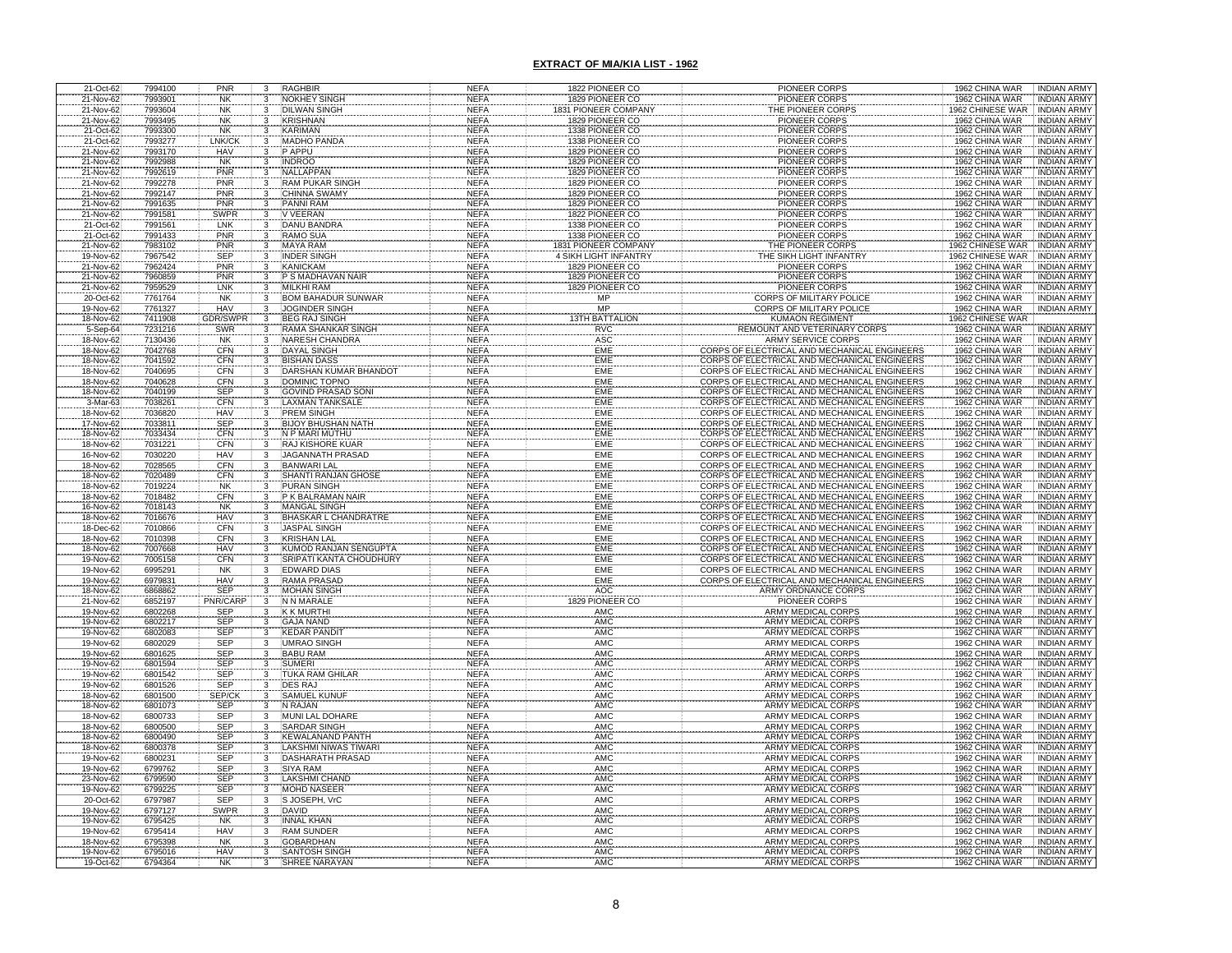| 21-Oct-62              | 7994100            | PNR                          | $\frac{3}{3}$                              | <b>RAGHBIR</b>                                                 | <b>NEFA</b>                | 1822 PIONEER CO                                             | PIONEER CORPS                                                                                | 1962 CHINA WAR<br><b>INDIAN ARMY</b>                                          |
|------------------------|--------------------|------------------------------|--------------------------------------------|----------------------------------------------------------------|----------------------------|-------------------------------------------------------------|----------------------------------------------------------------------------------------------|-------------------------------------------------------------------------------|
| 21-Nov-62              | 7993901            | <b>NK</b>                    | $\overline{3}$                             | <b>NOKHEY SINGH</b>                                            | <b>NEFA</b>                | 1829 PIONEER CO                                             | PIONEER CORPS                                                                                | 1962 CHINA WAR<br><b>INDIAN ARMY</b>                                          |
| 21-Nov-62<br>21-Nov-62 | 7993604<br>7993495 | <b>NK</b><br><b>NK</b>       | $\overline{3}$                             | <b>DILWAN SINGH</b><br><b>KRISHNAN</b>                         | <b>NEFA</b><br><b>NEFA</b> | 831 PIONEER COMPANY<br>1829 PIONEER CO                      | <b>HE PIONEER CORPS</b><br><b>PIONEER CORPS</b>                                              | 962 CHINESE WAR<br><b>INDIAN ARMY</b><br>1962 CHINA WAR<br><b>INDIAN ARMY</b> |
| 21-Oct-62              | 7993300            | <b>NK</b>                    | 3                                          | KARIMAN                                                        | <b>NEFA</b>                | 1338 PIONEER CO                                             | <b>PIONEER CORPS</b>                                                                         | 1962 CHINA WAR<br><b>INDIAN ARMY</b>                                          |
| 21-Oct-62              | 7993277            | LNK/CI                       |                                            | <b>MADHO PANDA</b>                                             | <b>NEFA</b>                | 1338 PIONEER CO                                             | <b>PIONEER CORPS</b>                                                                         | <b>INDIAN ARMY</b><br>1962 CHINA WAR                                          |
| 21-Nov-62              | 7993170            | <b>HAV</b>                   | $\frac{3}{3}$                              | P APPU                                                         | <b>NEFA</b>                | 1829 PIONEER CO                                             | <b>PIONEER CORPS</b>                                                                         | 1962 CHINA WAR<br><b>INDIAN ARMY</b>                                          |
| 21-Nov-62              | 7992988            | <b>NK</b>                    |                                            | <b>INDROO</b>                                                  | <b>NEFA</b>                | 1829 PIONEER CO                                             | PIONEER CORPS                                                                                | 1962 CHINA WAR<br><b>INDIAN ARMY</b>                                          |
| 21-Nov-62              | 7992619            | PNR                          | $\begin{array}{c} 3 \\ 3 \\ 3 \end{array}$ | <b>NALLAPPAN</b>                                               | <b>NEFA</b>                | 1829 PIONEER CO                                             | <b>PIONEER CORPS</b>                                                                         | 1962 CHINA WAR<br><b>INDIAN ARMY</b>                                          |
| 21-Nov-62<br>21-Nov-62 | 7992278<br>7992147 | PNR<br>PNR                   | $\overline{3}$                             | <b>RAM PUKAR SINGH</b><br><b>CHINNA SWAMY</b>                  | <b>NEFA</b><br><b>NEFA</b> | 1829 PIONEER CO<br>1829 PIONEER CO                          | <b>PIONEER CORPS</b><br>PIONEER CORPS                                                        | 1962 CHINA WAR<br><b>INDIAN ARMY</b><br>1962 CHINA WAR<br><b>INDIAN ARMY</b>  |
| 21-Nov-62              | 7991635            | PNR                          |                                            | PANNI RAM                                                      | <b>NEFA</b>                | 1829 PIONEER CO                                             | PIONEER CORPS                                                                                | 1962 CHINA WAR<br><b>INDIAN ARMY</b>                                          |
| 21-Nov-62              | 7991581            | <b>SWPR</b>                  | $\frac{3}{3}$                              | V VEERAN                                                       | <b>NEFA</b>                | 1822 PIONEER CO                                             | <b>PIONEER CORPS</b>                                                                         | 1962 CHINA WAR<br><b>INDIAN ARMY</b>                                          |
| 21-Oct-62              | 7991561            | LNK                          | 3                                          | <b>DANU BANDRA</b>                                             | <b>NEFA</b>                | 1338 PIONEER CO                                             | <b>PIONEER CORPS</b>                                                                         | 1962 CHINA WAR<br><b>INDIAN ARMY</b>                                          |
| 21-Oct-62              | 7991433            | PNR                          | $\overline{3}$                             | <b>RAMO SUA</b>                                                | <b>NEFA</b>                | 1338 PIONEER CO                                             | <b>PIONEER CORPS</b>                                                                         | 1962 CHINA WAR<br><b>INDIAN ARMY</b>                                          |
| 21-Nov-62<br>19-Nov-62 | 7983102<br>7967542 | PNR<br>SEP                   | 3<br>$\overline{3}$                        | <b>MAYA RAM</b><br><b>INDER SINGH</b>                          | <b>NEFA</b><br><b>NEFA</b> | <b>1831 PIONEER COMPANY</b><br><b>4 SIKH LIGHT INFANTRY</b> | THE PIONEER CORPS<br>THE SIKH LIGHT INFANTRY                                                 | 1962 CHINESE WAR<br><b>INDIAN ARMY</b><br>1962 CHINESE WAR INDIAN ARMY        |
| 21-Nov-62              | 7962424            | PNR                          | $\overline{\overline{3}}$                  | <b>KANICKAM</b>                                                | <b>NEFA</b>                | 1829 PIONEER CO                                             | PIONEER CORPS                                                                                | 1962 CHINA WAR<br><b>INDIAN ARMY</b>                                          |
| 21-Nov-62              | 7960859            | PNR                          |                                            | P S MADHAVAN NAIR                                              | <b>NEFA</b>                | 1829 PIONEER CO                                             | <b>PIONEER CORPS</b>                                                                         | 1962 CHINA WAR<br><b>INDIAN ARMY</b>                                          |
| 21-Nov-62              | 7959529            | LNK                          | $\frac{3}{3}$                              | <b>MILKHI RAM</b>                                              | <b>NEFA</b>                | 1829 PIONEER CO                                             | <b>PIONEER CORPS</b>                                                                         | 1962 CHINA WAR<br><b>INDIAN ARMY</b>                                          |
| 20-Oct-62              | 7761764            | <b>NK</b>                    | $\overline{3}$                             | <b>BOM BAHADUR SUNWAR</b>                                      | <b>NEFA</b>                | MP                                                          | <b>CORPS OF MILITARY POLICE</b>                                                              | 1962 CHINA WAR<br><b>INDIAN ARMY</b>                                          |
| 19-Nov-62<br>18-Nov-62 | 7761327<br>7411908 | <b>HAV</b><br><b>GDR/SWF</b> | $\overline{3}$                             | <b>JOGINDER SINGH</b><br><b>BEG RAJ SINGH</b>                  | <b>NEFA</b><br><b>NEFA</b> | <b>MP</b><br><b>13TH BATTALION</b>                          | <b>CORPS OF MILITARY POLICE</b><br><b>KUMAON REGIMENT</b>                                    | 1962 CHINA WAR<br><b>INDIAN ARMY</b><br>1962 CHINESE WAR                      |
| $5-$ Sep $-64$         | 7231216            | SWR                          |                                            |                                                                | <b>NEFA</b>                | <b>RVC</b>                                                  | REMOUNT AND VETERINARY CORPS                                                                 | 1962 CHINA WAR<br><b>INDIAN ARMY</b>                                          |
| 18-Nov-62              | 7130436            | <b>NK</b>                    |                                            | <b>NARESH CHANDRA</b>                                          | <b>NEFA</b>                | ASC                                                         | <b>ARMY SERVICE CORPS</b>                                                                    | 1962 CHINA WAR<br><b>INDIAN ARMY</b>                                          |
| 18-Nov-62              | 7042768            | CFN                          | 3                                          | DAYAL SINGH                                                    | <b>NEFA</b>                | EME                                                         | CORPS OF ELECTRICAL AND MECHANICAL ENGINEERS                                                 | 1962 CHINA WAR<br><b>INDIAN ARMY</b>                                          |
| 18-Nov-62              | 7041592            | CFN<br>CFN                   | $\frac{3}{3}$                              | <b>BISHAN DASS</b>                                             | <b>NEFA</b>                | EME                                                         | CORPS OF ELECTRICAL AND MECHANICAL ENGINEERS<br>CORPS OF ELECTRICAL AND MECHANICAL ENGINEERS | 1962 CHINA WAR<br><b>INDIAN ARMY</b>                                          |
| 18-Nov-62<br>18-Nov-62 | 7040695<br>7040628 | CFN                          | $\overline{\mathbf{3}}$                    | DARSHAN KUMAR BHANDO<br>DOMINIC TOPNO                          | <b>NEFA</b><br><b>NEFA</b> | EME<br>EME                                                  | CORPS OF ELECTRICAL AND MECHANICAL ENGINEERS                                                 | 1962 CHINA WAR<br><b>INDIAN ARMY</b><br>1962 CHINA WAR<br><b>INDIAN ARMY</b>  |
| 18-Nov-62              | 7040199            |                              |                                            | <b>GOVIND PRASAD SONI</b>                                      | <b>NEFA</b>                | EME                                                         | CORPS OF ELECTRICAL AND MECHANICAL ENGINEERS                                                 | 1962 CHINA WAR<br><b>INDIAN ARMY</b>                                          |
| 3-Mar-63               | 7038261            | SEP<br>CFN                   | $\begin{array}{c} 3 \\ 3 \\ 3 \end{array}$ | LAXMAN TANKSALE                                                | <b>NEFA</b>                | EME                                                         | CORPS OF ELECTRICAL AND MECHANICAL ENGINEERS                                                 | 1962 CHINA WAR<br><b>INDIAN ARMY</b>                                          |
| 18-Nov-62              | 7036820            | HAV                          |                                            | <b>PREM SINGH</b>                                              | <b>NEFA</b>                | EME                                                         | CORPS OF ELECTRICAL AND MECHANICAL ENGINEERS                                                 | 1962 CHINA WAR<br>INDIAN ARMY                                                 |
| 17-Nov-62              | 7033811            | SEP<br>CFN                   | $\begin{array}{c} 3 \\ 3 \\ 3 \end{array}$ | <b>BIJOY BHUSHAN NATH</b>                                      | <b>NEFA</b>                | EMF                                                         | CORPS OF ELECTRICAL AND MECHANICAL ENGINEERS                                                 | 1962 CHINA WAR<br>INDIAN ARMY                                                 |
| 18-Nov-62<br>18-Nov-62 | 7033434<br>7031221 | CFN                          |                                            | N P MARI MUTHU<br><b>RAJ KISHORE KUAR</b>                      | <b>NEFA</b><br><b>NEFA</b> | EMF<br>EME                                                  | CORPS OF ELECTRICAL AND MECHANICAL ENGINEERS<br>CORPS OF ELECTRICAL AND MECHANICAL ENGINEERS | 1962 CHINA WAR<br><b>INDIAN ARMY</b><br>1962 CHINA WAR<br><b>INDIAN ARMY</b>  |
| 16-Nov-62              | 7030220            | <b>HAV</b>                   | $\overline{3}$                             | <b>JAGANNATH PRASAD</b>                                        | <b>NEFA</b>                | EME                                                         | CORPS OF ELECTRICAL AND MECHANICAL ENGINEERS                                                 | 1962 CHINA WAR<br><b>INDIAN ARMY</b>                                          |
| 18-Nov-62              | 7028565            | CFN                          | $\frac{3}{3}$                              | <b>BANWARI LAL</b>                                             | <b>NEFA</b>                | EMF                                                         | CORPS OF ELECTRICAL AND MECHANICAL ENGINEERS                                                 | 1962 CHINA WAR<br><b>INDIAN ARMY</b>                                          |
| 18-Nov-62              | 7020489            | CFN                          |                                            | <b>SHANTI RANJAN GHOSI</b>                                     | <b>NEFA</b>                | EME                                                         | CORPS OF ELECTRICAL AND MECHANICAL ENGINEERS                                                 | 1962 CHINA WAR<br><b>INDIAN ARMY</b>                                          |
| 18-Nov-62              | 7019224            | <b>NK</b><br>CFN             | 3                                          | <b>PURAN SINGH</b><br>P K BALRAMAN NAIR                        | <b>NEFA</b>                | EME<br>EME                                                  | CORPS OF ELECTRICAL AND MECHANICAL ENGINEERS<br>CORPS OF ELECTRICAL AND MECHANICAL ENGINEERS | 1962 CHINA WAR<br><b>INDIAN ARMY</b><br>1962 CHINA WAR                        |
| 18-Nov-62<br>16-Nov-62 | 7018482<br>7018143 | <b>NK</b>                    | 3                                          | <b>MANGAL SINGH</b>                                            | <b>NEFA</b><br><b>NEFA</b> | <b>EME</b>                                                  | CORPS OF ELECTRICAL AND MECHANICAL ENGINEERS                                                 | <b>INDIAN ARMY</b><br>1962 CHINA WAR<br><b>INDIAN ARMY</b>                    |
| 18-Nov-62              | 7016676            | <b>HAV</b>                   |                                            | <b>BHASKAR L CHANDRATRE</b>                                    | <b>NEFA</b>                | EME                                                         | CORPS OF ELECTRICAL AND MECHANICAL ENGINEERS                                                 | 1962 CHINA WAR<br><b>INDIAN ARMY</b>                                          |
| 18-Dec-62              | 7010866            | CFN                          | $\frac{3}{3}$                              | <b>JASPAL SINGH</b>                                            | <b>NEFA</b>                | EME                                                         | CORPS OF ELECTRICAL AND MECHANICAL ENGINEERS                                                 | 1962 CHINA WAR<br><b>INDIAN ARMY</b>                                          |
| 18-Nov-62              | 7010398            | CFN                          | $\frac{3}{3}$                              | <b>KRISHAN LAL</b>                                             | <b>NEFA</b>                | EME                                                         | CORPS OF ELECTRICAL AND MECHANICAL ENGINEERS                                                 | 1962 CHINA WAR<br><b>INDIAN ARMY</b>                                          |
| 18-Nov-62              | 7007668            | <b>HAV</b><br>CFN            |                                            | <b>KUMOD RANJAN SENGUPTA</b><br><b>SRIPATI KANTA CHOUDHURY</b> | <b>NEFA</b>                | EME                                                         | CORPS OF ELECTRICAL AND MECHANICAL ENGINEERS<br>CORPS OF ELECTRICAL AND MECHANICAL ENGINEERS | 1962 CHINA WAR<br><b>INDIAN ARMY</b>                                          |
| 19-Nov-62<br>19-Nov-62 | 7005158<br>6995291 | <b>NK</b>                    | $\overline{3}$<br>$\overline{3}$           | <b>EDWARD DIAS</b>                                             | <b>NEFA</b><br><b>NEFA</b> | EME<br>EME                                                  | CORPS OF ELECTRICAL AND MECHANICAL ENGINEERS                                                 | 1962 CHINA WAR<br><b>INDIAN ARMY</b><br>1962 CHINA WAR<br><b>INDIAN ARMY</b>  |
| 19-Nov-62              | 6979831            | HAV                          |                                            | <b>RAMA PRASAD</b>                                             | <b>NEFA</b>                | EME                                                         | CORPS OF ELECTRICAL AND MECHANICAL ENGINEERS                                                 | 1962 CHINA WAR<br><b>INDIAN ARMY</b>                                          |
| 18-Nov-62              | 6868862            | <b>SEP</b>                   | $\frac{3}{3}$                              | <b>MOHAN SINGH</b>                                             | <b>NEFA</b>                | AOC                                                         | ARMY ORDNANCE CORPS                                                                          | 1962 CHINA WAR<br><b>INDIAN ARMY</b>                                          |
| 21-Nov-62              | 6852197            | PNR/CAI                      |                                            | N N MARALE                                                     | <b>NEFA</b>                | <b>IONEE</b>                                                | <b>PIONEER CORPS</b>                                                                         | 1962 CHINA WAR<br><b>INDIAN ARMY</b>                                          |
| 19-Nov-62<br>19-Nov-62 | 6802268<br>6802217 | <b>SEP</b><br>SEP            | 3                                          | <b>K K MURTHI</b><br><b>GAJA NAND</b>                          | <b>NEFA</b><br><b>NEFA</b> | AMC<br>AMC                                                  | <b>ARMY MEDICAL CORPS</b><br><b>ARMY MEDICAL CORPS</b>                                       | 1962 CHINA WAR<br><b>INDIAN ARMY</b><br>1962 CHINA WAR<br><b>INDIAN ARMY</b>  |
| 19-Nov-62              | 6802083            | SEP                          | $\overline{3}$                             | <b>KEDAR PANDIT</b>                                            | <b>NEFA</b>                | <b>AMC</b>                                                  | ARMY MEDICAL CORPS                                                                           | 1962 CHINA WAR<br><b>INDIAN ARMY</b>                                          |
| 19-Nov-62              | 6802029            | <b>SEP</b>                   | 3                                          | <b>UMRAO SINGH</b>                                             | <b>NEFA</b>                | AMC                                                         | <b>ARMY MEDICAL CORPS</b>                                                                    | 1962 CHINA WAR<br><b>INDIAN ARMY</b>                                          |
| 19-Nov-62              | 6801625            | <b>SEP</b>                   |                                            | <b>BABU RAM</b>                                                | <b>NEFA</b>                | AMC                                                         | ARMY MEDICAL CORPS                                                                           | 1962 CHINA WAR<br><b>INDIAN ARMY</b>                                          |
| 19-Nov-62              | 6801594            | SEP                          |                                            | <b>SUMERI</b>                                                  | <b>NEFA</b>                | AMC<br>AMC                                                  | ARMY MEDICAL CORPS                                                                           | 1962 CHINA WAR<br><b>INDIAN ARMY</b>                                          |
| 19-Nov-62<br>19-Nov-62 | 6801542<br>6801526 | <b>SEP</b><br>SEP            |                                            | <b>TUKA RAM GHILAR</b><br>DES RAJ                              | <b>NEFA</b><br><b>NEFA</b> | AMC                                                         | <b>ARMY MEDICAL CORPS</b>                                                                    | 1962 CHINA WAR<br><b>INDIAN ARMY</b><br>1962 CHINA WAR<br><b>INDIAN ARMY</b>  |
| 18-Nov-62              | 6801500            |                              |                                            | SAMUEL KUNUI                                                   | <b>NEFA</b>                | AMC                                                         | ARMY MEDICAL CORPS                                                                           | 1962 CHINA WAR<br><b>INDIAN ARMY</b>                                          |
| 18-Nov-62              | 6801073            | SEP/CI<br>SEP                |                                            | N RAJAN                                                        | <b>NEFA</b>                | AMC                                                         | ARMY MEDICAL CORPS                                                                           | 1962 CHINA WAR<br><b>INDIAN ARMY</b>                                          |
| 18-Nov-62              | 6800733            | <b>SEP</b>                   | 3                                          | <b>MUNI LAL DOHARE</b>                                         | <b>NEFA</b>                | AMC                                                         | <b>ARMY MEDICAL CORPS</b>                                                                    | 1962 CHINA WAR<br><b>INDIAN ARMY</b>                                          |
| 18-Nov-62<br>18-Nov-62 | 6800500<br>6800490 | <b>SEP</b><br><b>SEP</b>     |                                            | <b>SARDAR SINGH</b><br><b>KEWALANAND PANTH</b>                 | <b>NEFA</b><br><b>NEFA</b> | AMC<br>AMC                                                  | ARMY MEDICAL CORPS<br>ARMY MEDICAL CORPS                                                     | 1962 CHINA WAR<br><b>INDIAN ARMY</b><br>1962 CHINA WAR<br><b>INDIAN ARMY</b>  |
| 18-Nov-62              | 6800378            | <b>SEP</b>                   | 3                                          | LAKSHMI NIWAS TIWAR                                            | <b>NEFA</b>                | AMC                                                         | ARMY MEDICAL CORPS                                                                           | 1962 CHINA WAR<br><b>INDIAN ARMY</b>                                          |
| 19-Nov-62              | 6800231            | <b>SEP</b>                   | $\overline{3}$                             | DASHARATH PRASAD                                               | <b>NEFA</b>                | AMC                                                         | ARMY MEDICAL CORPS                                                                           | 1962 CHINA WAR<br><b>INDIAN ARMY</b>                                          |
| 19-Nov-62              | 6799762            | <b>SEP</b>                   | $\overline{\mathbf{3}}$                    | <b>SIYA RAM</b>                                                | <b>NEFA</b>                | <b>AMC</b>                                                  | <b>ARMY MEDICAL CORPS</b>                                                                    | 1962 CHINA WAR<br><b>INDIAN ARMY</b>                                          |
| 23-Nov-62              | 6799590            | SEP                          | $\overline{3}$                             | <b>LAKSHMI CHAND</b>                                           | <b>NEFA</b>                | <b>AMC</b>                                                  | ARMY MEDICAL CORPS                                                                           | 1962 CHINA WAR<br><b>INDIAN ARMY</b>                                          |
| 19-Nov-62<br>20-Oct-62 | 6799225<br>6797987 | <b>SEP</b><br><b>SEP</b>     | $\overline{3}$                             | <b>MOHD NASEER</b><br>S JOSEPH, VrC                            | <b>NEFA</b><br><b>NEFA</b> | <b>AMC</b><br>AMC                                           | ARMY MEDICAL CORPS<br>ARMY MEDICAL CORPS                                                     | 1962 CHINA WAR<br><b>INDIAN ARMY</b><br>1962 CHINA WAR<br><b>INDIAN ARMY</b>  |
| 19-Nov-62              | 6797127            | <b>SWPR</b>                  | $\frac{3}{3}$                              | <b>DAVID</b>                                                   | <b>NEFA</b>                | <b>AMC</b>                                                  | <b>ARMY MEDICAL CORPS</b>                                                                    | 1962 CHINA WAR<br><b>INDIAN ARMY</b>                                          |
| 19-Nov-62              | 6795425            | <b>NK</b>                    | $\overline{3}$                             | <b>INNAL KHAN</b>                                              | <b>NEFA</b>                | AMC                                                         | ARMY MEDICAL CORPS                                                                           | 1962 CHINA WAR<br><b>INDIAN ARMY</b>                                          |
| 19-Nov-62              | 6795414            | HAV                          | $\overline{3}$                             | <b>RAM SUNDER</b>                                              | <b>NEFA</b>                | AMC                                                         | ARMY MEDICAL CORPS                                                                           | 1962 CHINA WAR<br><b>INDIAN ARMY</b>                                          |
| 18-Nov-62              | 6795398            | <b>NK</b>                    | $\mathbf{3}$                               | <b>GOBARDHAN</b>                                               | <b>NEFA</b>                | AMC                                                         | ARMY MEDICAL CORPS                                                                           | 1962 CHINA WAR<br><b>INDIAN ARMY</b>                                          |
| 19-Nov-62<br>19-Oct-62 | 6795016<br>6794364 | HAV<br><b>NK</b>             |                                            | <b>SANTOSH SINGH</b><br><b>SHREE NARAYAN</b>                   | <b>NEFA</b><br><b>NEFA</b> | AMC<br>AMC                                                  | <b>ARMY MEDICAL CORPS</b><br>ARMY MEDICAL CORPS                                              | 1962 CHINA WAR<br><b>INDIAN ARMY</b><br>1962 CHINA WAR<br><b>INDIAN ARMY</b>  |
|                        |                    |                              |                                            |                                                                |                            |                                                             |                                                                                              |                                                                               |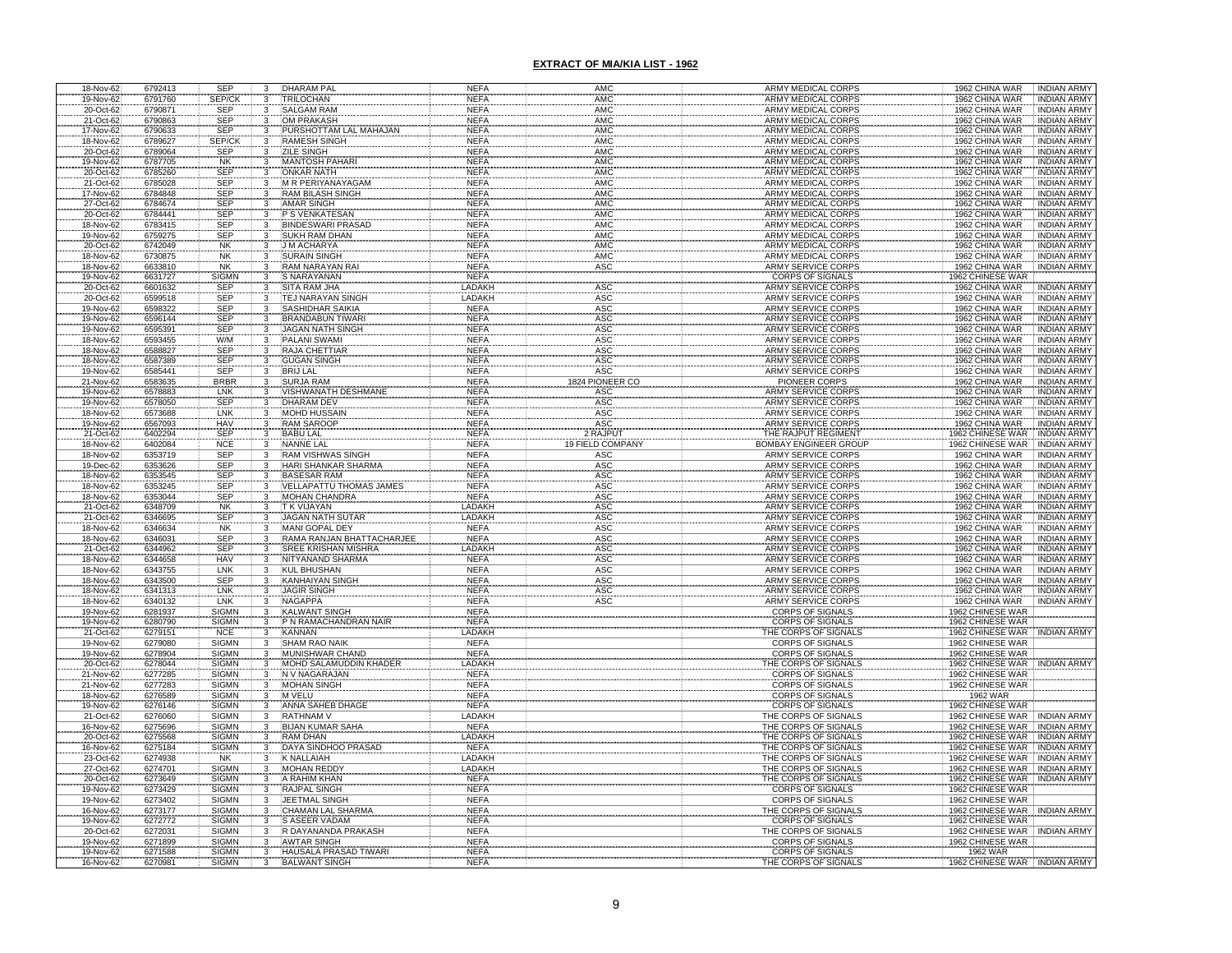| 18-Nov-62                           | 6792413            | <b>SEP</b>                   | 3                       | <b>DHARAM PAL</b>                                   | <b>NEFA</b>                | AMC                      | ARMY MEDICAL CORPS                                           | <b>INDIAN ARMY</b><br>1962 CHINA WAR                                         |
|-------------------------------------|--------------------|------------------------------|-------------------------|-----------------------------------------------------|----------------------------|--------------------------|--------------------------------------------------------------|------------------------------------------------------------------------------|
| 19-Nov-62                           | 6791760            | SEP/CK                       | 3                       | <b>TRILOCHAN</b>                                    | <b>NEFA</b>                | <b>AMC</b>               | <b>ARMY MEDICAL CORPS</b>                                    | 1962 CHINA WAR<br><b>INDIAN ARMY</b>                                         |
| 20-Oct-62<br>21-Oct-62              | 6790871<br>6790863 | <b>SEP</b><br><b>SEP</b>     |                         | <b>SALGAM RAM</b><br><b>OM PRAKASH</b>              | <b>NEFA</b><br><b>NEFA</b> | <b>AMC</b><br><b>AMC</b> | <b>ARMY MEDICAL CORPS</b><br><b>ARMY MEDICAL CORPS</b>       | 1962 CHINA WAR<br><b>INDIAN ARMY</b><br><b>INDIAN ARMY</b><br>1962 CHINA WAR |
|                                     | 6790633            | <b>SEP</b>                   |                         | PURSHOTTAM LAL MAHAJAN                              | <b>NEFA</b>                | <b>AMC</b>               | ARMY MEDICAL CORPS                                           | <b>INDIAN ARMY</b><br>1962 CHINA WAR                                         |
|                                     | 6789627            | SEP/CK                       |                         | <b>RAMESH SINGH</b>                                 | <b>NEFA</b>                | <b>AMC</b>               | <b>ARMY MEDICAL CORPS</b>                                    | 1962 CHINA WAR<br><b>INDIAN ARMY</b>                                         |
| 17-Nov-62<br>18-Nov-62<br>20-Oct-62 | 6789064            | <b>SEP</b>                   |                         | <b>ZILE SINGH</b>                                   | <b>NEFA</b>                | <b>AMC</b>               | <b>ARMY MEDICAL CORPS</b>                                    | 1962 CHINA WAR<br><b>INDIAN ARMY</b>                                         |
|                                     | 6787705            | <b>NK</b>                    |                         | <b>MANTOSH PAHARI</b>                               | <b>NEFA</b>                | AMC                      | ARMY MEDICAL CORPS                                           | 1962 CHINA WAR<br><b>INDIAN ARMY</b>                                         |
| 19-Nov-62<br>20-Oct-62<br>21-Oct-62 | 6785260            | <b>SEP</b>                   |                         | <b>ONKAR NATH</b>                                   | <b>NEFA</b>                | AMC                      | <b>ARMY MEDICAL CORPS</b>                                    | 1962 CHINA WAR<br><b>INDIAN ARMY</b>                                         |
| 17-Nov-62                           | 6785028<br>6784848 | <b>SEP</b><br><b>SEP</b>     |                         | <b>M R PERIYANAYAGAM</b><br><b>RAM BILASH SINGH</b> | <b>NEFA</b><br><b>NEFA</b> | AMC<br>AMC               | <b>ARMY MEDICAL CORPS</b><br><b>ARMY MEDICAL CORPS</b>       | 1962 CHINA WAR<br><b>INDIAN ARMY</b><br>1962 CHINA WAR<br><b>INDIAN ARMY</b> |
|                                     | 6784674            |                              |                         |                                                     | <b>NEFA</b>                | AMC                      |                                                              | 1962 CHINA WAR<br><b>INDIAN ARMY</b>                                         |
| 27-Oct-62<br>20-Oct-62              | 6784441            | SEP<br>SEP                   |                         | AMAR SINGH<br>P S VENKATESAN                        | <b>NEFA</b>                | AMC                      | ARMY MEDICAL CORPS<br>ARMY MEDICAL CORPS                     | 1962 CHINA WAR<br><b>INDIAN ARMY</b>                                         |
| 18-Nov-62                           | 6783415            | SEP                          |                         | <b>BINDESWARI PRASAD</b>                            | <b>NEFA</b>                | AMC                      | ARMY MEDICAL CORPS                                           | 1962 CHINA WAR<br><b>INDIAN ARMY</b>                                         |
| 19-Nov-62                           | 6759275            | <b>SEP</b>                   | $\overline{3}$          | <b>SUKH RAM DHAN</b>                                | <b>NEFA</b>                | AMC                      | ARMY MEDICAL CORPS                                           | 1962 CHINA WAR<br><b>INDIAN ARMY</b>                                         |
| 20-Oct-62                           | 6742049            | <b>NK</b>                    | $\overline{\mathbf{3}}$ | <b>J M ACHARYA</b><br><b>SURAIN SINGH</b>           | <b>NEFA</b><br><b>NEFA</b> | <b>AMC</b><br>AMC        | <b>ARMY MEDICAL CORPS</b>                                    | <b>INDIAN ARMY</b><br>1962 CHINA WAR                                         |
| 18-Nov-62<br>18-Nov-62              | 6730875<br>6633810 | <b>NK</b><br><b>NK</b>       | 3                       | <b>RAM NARAYAN RAI</b>                              | <b>NEFA</b>                | <b>ASC</b>               | ARMY MEDICAL CORPS<br><b>ARMY SERVICE CORPS</b>              | 1962 CHINA WAR<br><b>INDIAN ARMY</b><br><b>INDIAN ARMY</b><br>1962 CHINA WAR |
|                                     | 6631727            | SIGMN                        |                         | S NARAYANAN                                         | <b>NEFA</b>                |                          |                                                              |                                                                              |
| 19-Nov-62<br>20-Oct-62              | 6601632            | <b>SEP</b>                   | $\frac{3}{3}$           | SITA RAM JHA                                        | LADAKH                     | ASC                      | CORPS OF SIGNALS<br>ARMY SERVICE CORPS                       | 1962 CHINESE WAR<br>1962 CHINA WAR<br><b>INDIAN ARMY</b>                     |
| 20-Oct-62                           | 6599518            | <b>SEP</b>                   | 3                       | TEJ NARAYAN SINGH                                   | LADAKH                     | <b>ASC</b>               | <b>ARMY SERVICE CORPS</b>                                    | 1962 CHINA WAR<br><b>INDIAN ARMY</b>                                         |
| 19-Nov-62                           | 6598322            | SEP                          | 3                       | <b>SASHIDHAR SAIKIA</b>                             | <b>NEFA</b>                | ASC                      | ARMY SERVICE CORPS                                           | 1962 CHINA WAR<br><b>INDIAN ARMY</b>                                         |
|                                     | 6596144            | <b>SEP</b>                   |                         | <b>BRANDABUN TIWARI</b><br><b>JAGAN NATH SINGH</b>  | <b>NEFA</b><br><b>NEFA</b> | ASC                      | <b>ARMY SERVICE CORPS</b>                                    | 1962 CHINA WAR<br><b>INDIAN ARMY</b><br><b>NDIAN ARMY</b>                    |
| 19-Nov-62<br>19-Nov-62<br>18-Nov-62 | 6595391<br>6593455 | <b>SEP</b><br>W/M            |                         | PALANI SWAMI                                        | <b>NEFA</b>                | ASC<br>ASC               | <b>ARMY SERVICE CORPS</b><br>ARMY SERVICE CORPS              | 1962 CHINA WAR<br>1962 CHINA WAR<br><b>INDIAN ARMY</b>                       |
| 18-Nov-62                           | 6588827            | <b>SEP</b>                   |                         | RAJA CHETTIAR                                       | <b>NEFA</b>                | ASC                      | ARMY SERVICE CORPS                                           | 1962 CHINA WAR<br>INDIAN ARMY                                                |
| 18-Nov-62                           | 6587389            | SEP                          |                         | <b>GUGAN SINGH</b>                                  | <b>NEFA</b>                | <b>ASC</b>               | <b>ARMY SERVICE CORPS</b>                                    | <b>INDIAN ARMY</b><br>1962 CHINA WAR                                         |
| 19-Nov-62                           | 6585441            | SEP                          |                         | <b>BRIJ LAL</b>                                     | <b>NEFA</b>                | <b>ASC</b>               | <b>ARMY SERVICE CORPS</b>                                    | 1962 CHINA WAR<br><b>INDIAN ARMY</b>                                         |
| 21-Nov-62                           | 6583635            | <b>BRBR</b>                  |                         | <b>SURJA RAM</b>                                    | <b>NEFA</b>                | <b>PIONEER CO</b><br>824 | <b>PIONEER CORPS</b>                                         | <b>INDIAN ARMY</b><br>1962 CHINA WAR                                         |
| 19-Nov-62<br>19-Nov-62<br>18-Nov-62 | 6578883<br>6578050 | LNK<br>SEP                   |                         | <b>ISHWANATH DESHMAI</b><br>DHARAM DEV              | <b>NEFA</b><br><b>NEFA</b> | ASC                      | ARMY SERVICE CORPS<br>ARMY SERVICE CORPS                     | <b>INDIAN ARMY</b><br>1962 CHINA WAR<br>1962 CHINA WAR<br><b>INDIAN ARMY</b> |
|                                     | 6573688            | LNK                          |                         | <b>MOHD HUSSAIN</b>                                 | <b>NEFA</b>                | ASC<br>ASC               | <b>ARMY SERVICE CORPS</b>                                    | <b>INDIAN ARMY</b><br>1962 CHINA WAR                                         |
|                                     | 6567093            |                              |                         | <b>RAM SAROOP</b>                                   | <b>NEFA</b>                |                          |                                                              | <b>INDIAN ARMY</b>                                                           |
| 19-Nov-62<br>21-Oct-62<br>18-Nov-62 | 6402294            | HAV<br>SEP                   |                         | <b>BABU LAL</b>                                     | <b>NEFA</b>                | ASC<br>2 RAJPU           | ARMY SERVICE CORPS<br>THE RAJPUT REGIMENT                    | 1962 CHINA WAR<br>1962 CHINESE WAR<br>1962 CHINESE WAR<br><b>INDIAN ARMY</b> |
|                                     | 6402084            | <b>NCE</b>                   |                         | <b>NANNE LAL</b>                                    | <b>NEFA</b>                | <b>19 FIELD COMPANY</b>  | BOMBAY ENGINEER GROUP                                        | <b>INDIAN ARMY</b>                                                           |
| 18-Nov-62                           | 6353719            | SEP                          | 3                       | RAM VISHWAS SINGH                                   | <b>NEFA</b>                | ASC                      | <b>ARMY SERVICE CORPS</b>                                    | 1962 CHINA WAR<br><b>INDIAN ARMY</b>                                         |
| 19-Dec-62<br>18-Nov-62              | 6353626<br>6353545 | SEP<br>SEP                   |                         | HARI SHANKAR SHARMA<br><b>BASESAR RAM</b>           | <b>NEFA</b><br><b>NEFA</b> | ASC<br>ASC               | ARMY SERVICE CORPS<br>ARMY SERVICE CORPS                     | 1962 CHINA WAR<br><b>INDIAN ARMY</b><br>1962 CHINA WAR<br><b>INDIAN ARMY</b> |
| 18-Nov-62                           | 6353245            | SEP                          |                         | VELLAPATTU THOMAS JAMES                             | <b>NEFA</b>                | ASC                      | ARMY SERVICE CORPS                                           | <b>INDIAN ARMY</b><br>1962 CHINA WAR                                         |
| 18-Nov-62                           | 6353044            | <b>SEP</b>                   |                         | <b>MOHAN CHANDRA</b>                                | <b>NEFA</b>                | ASC                      | <b>ARMY SERVICE CORPS</b>                                    | 1962 CHINA WAR<br><b>INDIAN ARMY</b>                                         |
| 21-Oct-62                           | 6348709            | <b>NK</b>                    |                         | <b>TK VIJAYAN</b>                                   | LADAKH                     | <b>ASC</b>               | <b>ARMY SERVICE CORPS</b>                                    | 1962 CHINA WAR<br><b>INDIAN ARMY</b>                                         |
| 21-Oct-62                           | 6346695            | <b>SEP</b>                   |                         | <b>JAGAN NATH SUTAR</b>                             | LADAKH                     | ASC                      | <b>ARMY SERVICE CORPS</b>                                    | 1962 CHINA WAR<br><b>INDIAN ARMY</b>                                         |
| 18-Nov-62                           | 6346634            | <b>NK</b>                    |                         | MANI GOPAL DEY                                      | <b>NEFA</b>                | ASC                      | <b>ARMY SERVICE CORPS</b>                                    | 1962 CHINA WAR<br><b>INDIAN ARMY</b><br>INDIAN ARMY                          |
| 18-Nov-62<br>21-Oct-62              | 6346031<br>6344962 | SEP<br>SEP                   |                         | :RAMA RANJAN BHATTACHARJEE<br>:SREE KRISHAN MISHRA  | <b>NEFA</b><br>LADAKH      | ASC<br>ASC               | ARMY SERVICE CORPS<br>ARMY SERVICE CORPS                     | 1962 CHINA WAR<br>1962 CHINA WAR<br><b>INDIAN ARMY</b>                       |
| 18-Nov-62                           | 6344658            | HAV                          | 3                       | NITYANAND SHARMA                                    | <b>NEFA</b>                | ASC                      | ARMY SERVICE CORPS                                           | 1962 CHINA WAR<br><b>INDIAN ARMY</b>                                         |
| 18-Nov-62                           | 6343755            | LNK                          | 3                       | <b>KUL BHUSHAN</b>                                  | <b>NEFA</b>                | ASC                      | ARMY SERVICE CORPS                                           | 1962 CHINA WAR<br><b>INDIAN ARMY</b>                                         |
| 18-Nov-62<br>18-Nov-62              | 6343500            | SEP<br>LNK<br>LNK            |                         | <b>KANHAIYAN SINGH</b>                              | <b>NEFA</b>                | ASC<br>ASC               | ARMY SERVICE CORPS                                           | 1962 CHINA WAR<br><b>INDIAN ARMY</b>                                         |
|                                     | 6341313            |                              |                         | <b>JAGIR SINGH</b>                                  | <b>NEFA</b>                |                          | <b>ARMY SERVICE CORPS</b>                                    | 1962 CHINA WAR<br><b>INDIAN ARMY</b>                                         |
| 18-Nov-62<br>19-Nov-62              | 6340132<br>6281937 | SIGMN                        |                         | NAGAPPA<br><b>KALWANT SINGH</b>                     | <b>NEFA</b><br><b>NEFA</b> |                          | ARMY SERVICE CORPS<br><b>CORPS OF SIGNALS</b>                | 1962 CHINA WAR<br><b>INDIAN ARM</b><br>1962 CHINESE WAR                      |
| 19-Nov-62                           | 6280790            | SIGMN                        |                         | P N RAMACHANDRAN NAIR                               | <b>NEFA</b>                |                          | <b>CORPS OF SIGNALS</b>                                      | 1962 CHINESE WAR                                                             |
| 21-Oct-62                           | 6279151            | <b>NCE</b>                   |                         | <b>KANNAN</b>                                       | LADAKH                     |                          | THE CORPS OF SIGNALS                                         | 1962 CHINESE WAR<br>INDIAN ARMY                                              |
| 19-Nov-62                           | 6279080            | SIGMN                        |                         | <b>SHAM RAO NAIK</b>                                | <b>NEFA</b>                |                          | <b>CORPS OF SIGNALS</b>                                      | 1962 CHINESE WAR                                                             |
| 19-Nov-62                           | 6278904            | SIGMN                        |                         | MUNISHWAR CHAND                                     | <b>NEFA</b>                |                          | CORPS OF SIGNALS<br>THE CORPS OF SIGNALS<br>CORPS OF SIGNALS | 1962 CHINESE WAR                                                             |
| 20-Oct-62<br>21-Nov-62              | 6278044<br>6277285 | <b>SIGMN</b><br><b>SIGMN</b> |                         | MOHD SALAMUDDIN KHAI<br>N V NAGARAJAN               | LADAKH<br><b>NEFA</b>      |                          |                                                              | 1962 CHINESE WAR<br><b>INDIAN ARMY</b><br>1962 CHINESE WAR                   |
|                                     | 6277283            | <b>SIGMN</b>                 |                         | MOHAN SINGH                                         | <b>NEFA</b>                |                          |                                                              |                                                                              |
| 21-Nov-62<br>18-Nov-62<br>19-Nov-62 | 6276589            | SIGMN                        |                         | <b>M VELU</b>                                       | <b>NEFA</b>                |                          | CORPS OF SIGNALS<br>CORPS OF SIGNALS<br>CORPS OF SIGNALS     | 1962 CHINESE WAR<br>1962 WAR                                                 |
|                                     | 6276146            | <b>SIGMN</b>                 |                         | ANNA SAHEB DHAGE                                    | <b>NEFA</b>                |                          |                                                              | 1962 CHINESE WAR                                                             |
| 21-Oct-62                           | 6276060            | <b>SIGMN</b>                 |                         | <b>RATHNAM V</b>                                    | LADAKH                     |                          | THE CORPS OF SIGNALS                                         | 1962 CHINESE WAR<br><b>INDIAN ARMY</b>                                       |
| 16-Nov-62                           | 6275696            | <b>SIGMN</b><br><b>SIGMN</b> |                         | BIJAN KUMAR SAHA                                    | <b>NEFA</b><br>LADAKH      |                          | THE CORPS OF SIGNALS<br>THE CORPS OF SIGNALS                 | 1962 CHINESE WAR<br>1962 CHINESE WAR<br><b>INDIAN ARMY</b>                   |
| 20-Oct-62<br>16-Nov-62              | 6275568<br>6275184 | <b>SIGMN</b>                 |                         | RAM DHAN<br>DAYA SINDHOO PRASAD                     | <b>NEFA</b>                |                          | THE CORPS OF SIGNALS                                         | <b>INDIAN ARMY</b><br>1962 CHINESE WAR<br><b>INDIAN ARMY</b>                 |
| 23-Oct-62                           | 6274938            | <b>NK</b>                    | $\overline{3}$          | K NALLAIAH                                          | LADAKH                     |                          | THE CORPS OF SIGNALS                                         | 1962 CHINESE WAR INDIAN ARMY                                                 |
| 27-Oct-62                           | 6274701            | <b>SIGMN</b>                 | 3                       | <b>MOHAN REDDY</b>                                  | LADAKH                     |                          | THE CORPS OF SIGNALS                                         | 1962 CHINESE WAR INDIAN ARMY                                                 |
| 20-Oct-62                           | 6273649            | <b>SIGMN</b>                 | $\overline{3}$          | A RAHIM KHAN                                        | <b>NEFA</b>                |                          | THE CORPS OF SIGNALS                                         | 1962 CHINESE WAR  INDIAN ARMY                                                |
| 19-Nov-62                           | 6273429            | SIGMN                        | $\overline{3}$          | <b>RAJPAL SINGH</b>                                 | <b>NEFA</b>                |                          | <b>CORPS OF SIGNALS</b>                                      | 1962 CHINESE WAR                                                             |
| 19-Nov-62<br>16-Nov-62              | 6273402<br>6273177 | <b>SIGMN</b><br><b>SIGMN</b> | $\frac{3}{3}$           | <b>JEETMAL SINGH</b><br>CHAMAN LAL SHARMA           | <b>NEFA</b><br><b>NEFA</b> |                          | CORPS OF SIGNALS<br>THE CORPS OF SIGNALS                     | 1962 CHINESE WAR<br>1962 CHINESE WAR INDIAN ARMY                             |
| 19-Nov-62                           | 6272772            | <b>SIGMN</b>                 | 3                       | <b>S ASEER VADAM</b>                                | <b>NEFA</b>                |                          | <b>CORPS OF SIGNALS</b>                                      | 1962 CHINESE WAR                                                             |
| 20-Oct-62                           | 6272031            | <b>SIGMN</b>                 | 3                       | R DAYANANDA PRAKASH                                 | <b>NEFA</b>                |                          | THE CORPS OF SIGNALS                                         | 1962 CHINESE WAR INDIAN ARMY                                                 |
|                                     | 6271899            | <b>SIGMN</b>                 |                         | <b>AWTAR SINGH</b>                                  | <b>NEFA</b>                |                          | <b>CORPS OF SIGNALS</b>                                      | 1962 CHINESE WAR                                                             |
| 19-Nov-62<br>19-Nov-62              | 6271588            | <b>SIGMN</b>                 |                         | HAUSALA PRASAD TIWARI                               | <b>NEFA</b>                |                          | <b>CORPS OF SIGNALS</b>                                      | 1962 WAR                                                                     |
| 16-Nov-62                           | 6270981            | <b>SIGMN</b>                 |                         | <b>BALWANT SINGH</b>                                | NEF/                       |                          | THE CORPS OF SIGNAL                                          | 1962 CHINESE WAR INDIAN ARMY                                                 |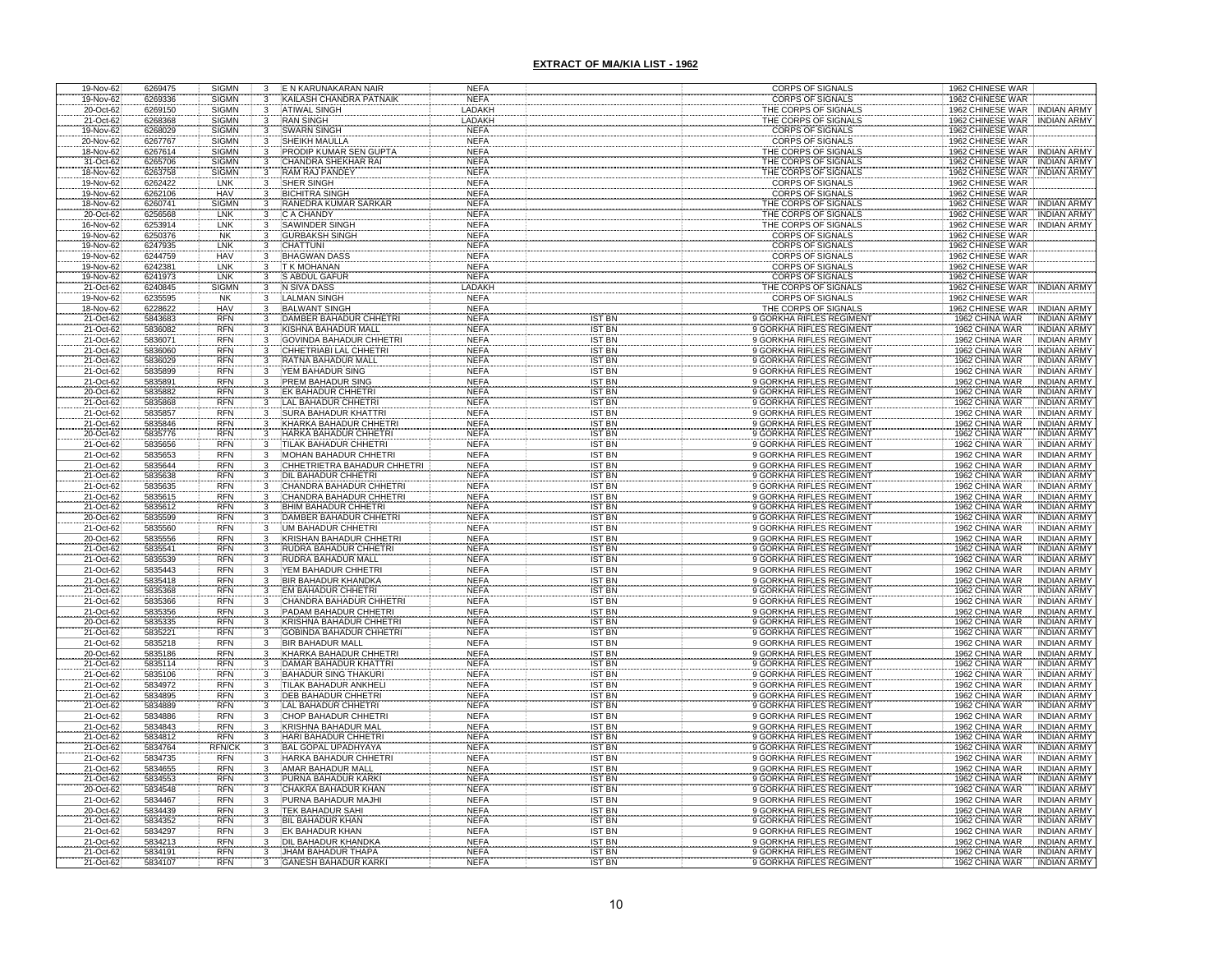| 19-Nov-62              | 6269475            | <b>SIGMN</b>                 | 3                                       | E N KARUNAKARAN NAIR                                         | <b>NEFA</b>                |                                | CORPS OF SIGNALS                                     | 1962 CHINESE WAR                                                             |
|------------------------|--------------------|------------------------------|-----------------------------------------|--------------------------------------------------------------|----------------------------|--------------------------------|------------------------------------------------------|------------------------------------------------------------------------------|
| 19-Nov-62              | 6269336            | <b>SIGMN</b>                 | 3                                       | KAILASH CHANDRA PATNAIK                                      | <b>NEFA</b>                |                                | <b>CORPS OF SIGNALS</b>                              | 1962 CHINESE WAR                                                             |
| 20-Oct-62<br>21-Oct-62 | 6269150<br>6268368 | <b>SIGMN</b><br><b>SIGMN</b> | 3<br>3                                  | <b>ATIWAL SINGH</b><br><b>RAN SINGH</b>                      | LADAKH<br>LADAKH           |                                | THE CORPS OF SIGNALS<br>THE CORPS OF SIGNALS         | 1962 CHINESE WAR<br>INDIAN ARMY<br>1962 CHINESE WAR<br><b>INDIAN ARMY</b>    |
| 19-Nov-62              | 6268029            | <b>SIGMN</b>                 |                                         | <b>WARN SINGH</b>                                            | <b>NEFA</b>                |                                | <b>CORPS OF SIGNALS</b>                              | 1962 CHINESE WAR                                                             |
| 20-Nov-62              | 6267767            | <b>SIGMN</b>                 |                                         | <b>HEIKH MAULLA</b>                                          | <b>NEFA</b>                |                                | <b>CORPS OF SIGNALS</b>                              | 1962 CHINESE WAR                                                             |
| 18-Nov-62              | 6267614            | <b>SIGMN</b>                 |                                         | PRODIP KUMAR SEN GUPT/                                       | <b>NEFA</b>                |                                | THE CORPS OF SIGNALS                                 | 1962 CHINESE WAR<br><b>INDIAN ARMY</b>                                       |
| 31-Oct-62              | 6265706            | <b>SIGMN</b>                 |                                         | CHANDRA SHEKHAR RAI                                          | <b>NEFA</b>                |                                | THE CORPS OF SIGNALS                                 | <b>INDIAN ARMY</b><br>1962 CHINESE WAR                                       |
| 18-Nov-62              | 6263758            | <b>SIGMN</b>                 | $\frac{3}{3}$                           | RAM RAJ PANDEY                                               | <b>NEFA</b>                |                                | THE CORPS OF SIGNAL!                                 | 1962 CHINESE WAR INDIAN ARMY                                                 |
| 19-Nov-62<br>19-Nov-62 | 6262422<br>6262106 | LNK<br><b>HAV</b>            | 3                                       | <b>SHER SINGH</b><br><b>BICHITRA SINGH</b>                   | <b>NEFA</b><br><b>NEFA</b> |                                | <b>CORPS OF SIGNALS</b><br><b>CORPS OF SIGNALS</b>   | 1962 CHINESE WAR<br>1962 CHINESE WAR                                         |
| 18-Nov-62              | 6260741            | <b>SIGMN</b>                 |                                         | RANEDRA KUMAR SARKAR                                         | <b>NEFA</b>                |                                | THE CORPS OF SIGNALS                                 | 1962 CHINESE WAR<br><b>INDIAN ARMY</b>                                       |
| 20-Oct-62              | 6256568            | LNK                          |                                         | C A CHANDY                                                   | <b>NEFA</b>                |                                | THE CORPS OF SIGNALS                                 | <b>INDIAN ARMY</b><br>1962 CHINESE WAR                                       |
| 16-Nov-62              | 6253914            | LNK                          |                                         | SAWINDER SINGH                                               | <b>NEFA</b>                |                                | THE CORPS OF SIGNALS                                 | 1962 CHINESE WAR<br><b>INDIAN ARMY</b>                                       |
| 19-Nov-62              | 6250376            | NK                           |                                         | <b>GURBAKSH SINGH</b>                                        | <b>NEFA</b>                |                                | <b>CORPS OF SIGNALS</b>                              | 1962 CHINESE WAR                                                             |
| 19-Nov-62<br>19-Nov-62 | 6247935<br>6244759 | LNK<br><b>HAV</b>            |                                         | CHATTUNI<br><b>BHAGWAN DASS</b>                              | <b>NEFA</b><br><b>NEFA</b> |                                | <b>CORPS OF SIGNALS</b><br><b>CORPS OF SIGNALS</b>   | 1962 CHINESE WAR<br>1962 CHINESE WAR                                         |
| 19-Nov-62              | 6242381            | LNK                          | $\overline{\mathbf{3}}$                 | T K MOHANAN                                                  | <b>NEFA</b>                |                                | CORPS OF SIGNALS                                     | 1962 CHINESE WAR                                                             |
| 19-Nov-62              | 6241973            | LNK                          |                                         | S ABDUL GAFUR                                                | <b>NEFA</b>                |                                | CORPS OF SIGNALS                                     | 1962 CHINESE WAR                                                             |
| 21-Oct-62              | 6240845            | <b>SIGMN</b>                 | $\frac{3}{3}$                           | N SIVA DASS                                                  | LADAKH                     |                                | THE CORPS OF SIGNALS                                 | 1962 CHINESE WAR INDIAN ARMY                                                 |
| 19-Nov-62              | 6235595            | <b>NK</b>                    | 3                                       | <b>LALMAN SINGH</b>                                          | <b>NEFA</b>                |                                | CORPS OF SIGNALS                                     | 1962 CHINESE WAR                                                             |
| 18-Nov-62              | 6228622            | HAV<br><b>RFN</b>            | 3                                       | <b>BALWANT SINGH</b>                                         | <b>NEFA</b>                |                                | THE CORPS OF SIGNALS                                 | 1962 CHINESE WAR<br><b>INDIAN ARMY</b>                                       |
| 21-Oct-62<br>21-Oct-62 | 5843683<br>5836082 | <b>RFN</b>                   |                                         | DAMBER BAHADUR CHHETRI<br><b>KISHNA BAHADUR MALL</b>         | <b>NEFA</b><br><b>NEFA</b> | IST BN<br><b>IST BN</b>        | 9 GORKHA RIFLES REGIMENT<br>9 GORKHA RIFLES REGIMENT | 1962 CHINA WAR<br><b>INDIAN ARMY</b><br>1962 CHINA WAR<br><b>INDIAN ARMY</b> |
| 21-Oct-62              | 5836071            | <b>RFN</b>                   |                                         | <b>SOVINDA BAHADUR CHHETR</b>                                | <b>NEFA</b>                | <b>IST BN</b>                  | 9 GORKHA RIFLES REGIMENT                             | 1962 CHINA WAR<br><b>INDIAN ARM</b>                                          |
| 21-Oct-62              | 5836060            | <b>RFN</b>                   |                                         | CHHETRIABI LAL CHHETRI                                       | <b>NEFA</b>                | <b>IST BN</b>                  | 9 GORKHA RIFLES REGIMENT                             | 1962 CHINA WAR<br>INDIAN ARMY                                                |
| 21-Oct-62              | 5836029            | <b>RFN</b>                   |                                         | RATNA BAHADUR MALL                                           | <b>NEFA</b>                | <b>IST BN</b>                  | 9 GORKHA RIFLES REGIMENT                             | 1962 CHINA WAR<br>INDIAN ARMY                                                |
| 21-Oct-62              | 5835899            | <b>RFN</b><br><b>RFN</b>     | 3                                       | YEM BAHADUR SING                                             | <b>NEFA</b>                | <b>IST BN</b><br><b>IST BN</b> | 9 GORKHA RIFLES REGIMENT                             | 1962 CHINA WAR<br>INDIAN ARMY                                                |
| 21-Oct-62<br>20-Oct-62 | 5835891<br>5835882 | <b>RFN</b>                   |                                         | PREM BAHADUR SING<br>K BAHADUR CHHETRI                       | <b>NEFA</b><br><b>NEFA</b> | <b>IST BN</b>                  | 9 GORKHA RIFLES REGIMENT<br>9 GORKHA RIFLES REGIMENT | 1962 CHINA WAR<br>INDIAN ARMY<br>1962 CHINA WAR<br><b>INDIAN ARMY</b>        |
| 21-Oct-62              | 5835868            | RFN                          |                                         | AL BAHADUR CHHETRI                                           | <b>NEFA</b>                | <b>IST BN</b>                  | 9 GORKHA RIFLES REGIMENT                             | 1962 CHINA WAR<br><b>INDIAN ARMY</b>                                         |
| 21-Oct-62              | 5835857            | <b>RFN</b>                   |                                         | SURA BAHADUR KHATTRI                                         | <b>NEFA</b>                | <b>IST BN</b>                  | 9 GORKHA RIFLES REGIMENT                             | 1962 CHINA WAR<br><b>INDIAN ARMY</b>                                         |
| 21-Oct-62              | 5835846            | RFN<br>RFN                   |                                         | KHARKA BAHADUR CHHETR                                        | <b>NEFA</b>                | <b>IST BN</b>                  | 9 GORKHA RIFLES REGIMENT                             | 1962 CHINA WAR<br>INDIAN ARMY                                                |
| 20-Oct-62              | 5835776            |                              |                                         | HARKA BAHADUR CHHETRI                                        | <b>NEFA</b>                | <b>IST BN</b>                  | 9 GORKHA RIFLES REGIMENT                             | <b>INDIAN ARMY</b><br>1962 CHINA WAR                                         |
| 21-Oct-62              | 5835656            | <b>RFN</b><br><b>RFN</b>     |                                         | <b>TILAK BAHADUR CHHETRI</b>                                 | <b>NEFA</b>                | <b>IST BN</b>                  | 9 GORKHA RIFLES REGIMENT                             | <b>INDIAN ARMY</b><br>1962 CHINA WAR                                         |
| 21-Oct-62<br>21-Oct-62 | 5835653<br>5835644 | <b>RFN</b>                   |                                         | MOHAN BAHADUR CHHETRI<br>CHHETRIETRA BAHADUR CHHETRI         | <b>NEFA</b><br><b>NEFA</b> | <b>IST BN</b><br><b>IST BN</b> | 9 GORKHA RIFLES REGIMENT<br>9 GORKHA RIFLES REGIMENT | 1962 CHINA WAR<br>INDIAN ARMY<br>1962 CHINA WAR<br><b>INDIAN ARMY</b>        |
| 21-Oct-62              | 5835638            | <b>RFN</b>                   | 3                                       | <b>DIL BAHADUR CHHETRI</b>                                   | NEF/                       | <b>IST BN</b>                  | 9 GORKHA RIFLES REGIMENT                             | 1962 CHINA WAR<br><b>INDIAN ARM'</b>                                         |
| 21-Oct-62              | 5835635            | <b>RFN</b>                   | 3                                       | CHANDRA BAHADUR CHHETRI                                      | <b>NEFA</b>                | <b>IST BN</b>                  | 9 GORKHA RIFLES REGIMENT                             | 1962 CHINA WAR<br>INDIAN ARM'                                                |
| 21-Oct-62              | 5835615            | <b>RFN</b>                   | $\overline{3}$                          | CHANDRA BAHADUR CHHETRI                                      | <b>NEFA</b>                | <b>IST BN</b>                  | 9 GORKHA RIFLES REGIMENT                             | 1962 CHINA WAR<br>INDIAN ARMY                                                |
| 21-Oct-62              | 5835612            | <b>RFN</b><br><b>RFN</b>     | 3<br>$\overline{3}$                     | <b>BHIM BAHADUR CHHETRI</b><br><b>DAMBER BAHADUR CHHETRI</b> | <b>NEFA</b>                | <b>IST BN</b><br><b>IST BN</b> | 9 GORKHA RIFLES REGIMENT<br>9 GORKHA RIFLES REGIMENT | 1962 CHINA WAR<br>INDIAN ARMY<br>1962 CHINA WAR                              |
| 20-Oct-62<br>21-Oct-62 | 5835599<br>5835560 | <b>RFN</b>                   | 3                                       | UM BAHADUR CHHETRI                                           | <b>NEFA</b><br><b>NEFA</b> | <b>IST BN</b>                  | 9 GORKHA RIFLES REGIMENT                             | INDIAN ARMY<br>1962 CHINA WAR<br>INDIAN ARMY                                 |
| 20-Oct-62              | 5835556            | <b>RFN</b>                   | 3                                       | KRISHAN BAHADUR CHHETRI                                      | <b>NEFA</b>                | <b>IST BN</b>                  | 9 GORKHA RIFLES REGIMENT                             | 1962 CHINA WAR<br><b>INDIAN ARMY</b>                                         |
| 21-Oct-62              | 5835541            | <b>RFN</b>                   | $\overline{3}$                          | <b>RUDRA BAHADUR CHHETRI</b>                                 | <b>NEFA</b>                | <b>IST BN</b>                  | 9 GORKHA RIFLES REGIMENT                             | 1962 CHINA WAR<br>INDIAN ARMY                                                |
| 21-Oct-62              | 5835539            | <b>RFN</b>                   | 3                                       | RUDRA BAHADUR MALL                                           | <b>NEFA</b>                | <b>IST BN</b>                  | 9 GORKHA RIFLES REGIMENT                             | 1962 CHINA WAR<br><b>INDIAN ARMY</b>                                         |
| 21-Oct-62              | 5835443            | <b>RFN</b>                   | $\overline{3}$                          | YEM BAHADUR CHHETRI                                          | <b>NEFA</b>                | <b>IST BN</b>                  | 9 GORKHA RIFLES REGIMENT                             | 1962 CHINA WAR<br><b>INDIAN ARMY</b>                                         |
| 21-Oct-62<br>21-Oct-62 | 5835418<br>5835368 | <b>RFN</b><br><b>RFN</b>     | 3                                       | <b>BIR BAHADUR KHANDKA</b><br><b>EM BAHADUR CHHETRI</b>      | <b>NEFA</b><br><b>NEFA</b> | <b>IST BN</b><br><b>IST BN</b> | 9 GORKHA RIFLES REGIMENT<br>9 GORKHA RIFLES REGIMENT | 1962 CHINA WAR<br><b>INDIAN ARMY</b><br>1962 CHINA WAR<br><b>INDIAN ARMY</b> |
| 21-Oct-62              | 5835366            | <b>RFN</b>                   |                                         | <b>HANDRA BAHADUR CHHET</b>                                  | <b>NEFA</b>                | <b>IST BN</b>                  | 9 GORKHA RIFLES REGIMENT                             | 1962 CHINA WAR<br>INDIAN ARMY                                                |
| 21-Oct-62              | 5835356            | <b>RFN</b>                   | $\overline{3}$                          | PADAM BAHADUR CHHETRI                                        | <b>NEFA</b>                | <b>IST BN</b>                  | 9 GORKHA RIFLES REGIMENT                             | 1962 CHINA WAR<br><b>INDIAN ARMY</b>                                         |
| 20-Oct-62              | 5835335            | <b>RFN</b>                   | 3                                       | <b>KRISHNA BAHADUR CHHETRI</b>                               | <b>NEFA</b>                | <b>IST BN</b>                  | 9 GORKHA RIFLES REGIMENT                             | <b>INDIAN ARMY</b><br>1962 CHINA WAR                                         |
| 21-Oct-62              | 5835221            | <b>RFN</b>                   | $\overline{3}$                          | <b>GOBINDA BAHADUR CHHETRI</b>                               | <b>NEFA</b>                | <b>IST BN</b>                  | 9 GORKHA RIFLES REGIMENT                             | 1962 CHINA WAR<br><b>INDIAN ARMY</b>                                         |
| 21-Oct-62<br>20-Oct-62 | 5835218<br>5835186 | <b>RFN</b><br><b>RFN</b>     | $\overline{3}$<br>3                     | <b>BIR BAHADUR MALL</b><br>KHARKA BAHADUR CHHETR             | <b>NEFA</b><br><b>NEFA</b> | <b>IST BN</b><br><b>IST BN</b> | 9 GORKHA RIFLES REGIMENT<br>9 GORKHA RIFLES REGIMENT | <b>INDIAN ARM</b><br>1962 CHINA WAR<br>1962 CHINA WAR<br><b>INDIAN ARMY</b>  |
| 21-Oct-62              | 5835114            | <b>RFN</b>                   |                                         | <b>DAMAR BAHADUR KHATTRI</b>                                 | <b>NEFA</b>                | <b>IST BN</b>                  | 9 GORKHA RIFLES REGIMENT                             | 1962 CHINA WAR<br>INDIAN ARM'                                                |
| 21-Oct-62              | 5835106            | <b>RFN</b>                   | $\frac{3}{3}$                           | <b>BAHADUR SING THAKURI</b>                                  | <b>NEFA</b>                | <b>IST BN</b>                  | 9 GORKHA RIFLES REGIMENT                             | <b>INDIAN ARMY</b><br>1962 CHINA WAR                                         |
| 21-Oct-62              | 5834972            | <b>RFN</b>                   | 3                                       | TILAK BAHADUR ANKHELI                                        | <b>NEFA</b>                | <b>IST BN</b>                  | 9 GORKHA RIFLES REGIMENT                             | 1962 CHINA WAR<br>INDIAN ARM'                                                |
| 21-Oct-62              | 5834895            | <b>RFN</b>                   | $\mathbf{3}$<br>$\overline{\mathbf{3}}$ | DEB BAHADUR CHHETRI                                          | <b>NEFA</b>                | <b>IST BN</b>                  | 9 GORKHA RIFLES REGIMENT                             | 1962 CHINA WAR<br><b>INDIAN ARMY</b>                                         |
| 21-Oct-62              | 5834889            | <b>RFN</b><br><b>RFN</b>     | $\overline{3}$                          | LAL BAHADUR CHHETRI                                          | <b>NEFA</b>                | <b>IST BN</b><br><b>IST BN</b> | 9 GORKHA RIFLES REGIMENT<br>9 GORKHA RIFLES REGIMENT | <b>INDIAN ARMY</b><br>1962 CHINA WAR                                         |
| 21-Oct-62<br>21-Oct-62 | 5834886<br>5834843 | <b>RFN</b>                   | 3                                       | CHOP BAHADUR CHHETR<br>KRISHNA BAHADUR MAL                   | <b>NEFA</b><br><b>NEFA</b> | <b>IST BN</b>                  | 9 GORKHA RIFLES REGIMENT                             | 1962 CHINA WAR<br>INDIAN ARMY<br><b>INDIAN ARMY</b><br>1962 CHINA WAR        |
| 21-Oct-62              | 5834812            | <b>RFN</b>                   | 3                                       | HARI BAHADUR CHHETRI                                         | <b>NEFA</b>                | <b>IST BN</b>                  | 9 GORKHA RIFLES REGIMENT                             | <b>INDIAN ARM</b><br>1962 CHINA WAR                                          |
| 21-Oct-62              | 5834764            | <b>RFN/CK</b>                | 3                                       | BAL GOPAL UPADHYAYA                                          | <b>NEFA</b>                | <b>IST BN</b>                  | 9 GORKHA RIFLES REGIMENT                             | 1962 CHINA WAR<br>INDIAN ARM'                                                |
| 21-Oct-62              | 5834735            | <b>RFN</b>                   | $\overline{3}$                          | HARKA BAHADUR CHHETRI                                        | <b>NEFA</b>                | <b>IST BN</b>                  | 9 GORKHA RIFLES REGIMENT                             | 1962 CHINA WAR<br>INDIAN ARM'                                                |
| 21-Oct-62<br>21-Oct-62 | 5834655<br>5834553 | <b>RFN</b><br><b>RFN</b>     | 3<br>3                                  | AMAR BAHADUR MALL<br>PURNA BAHADUR KARKI                     | <b>NEFA</b><br><b>NEFA</b> | <b>IST BN</b><br><b>IST BN</b> | 9 GORKHA RIFLES REGIMENT<br>9 GORKHA RIFLES REGIMENT | 1962 CHINA WAR<br>INDIAN ARM'<br>1962 CHINA WAR<br><b>INDIAN ARM</b>         |
| 20-Oct-62              | 5834548            | <b>RFN</b>                   | 3                                       | CHAKRA BAHADUR KHAN                                          | <b>NEFA</b>                | <b>IST BN</b>                  | 9 GORKHA RIFLES REGIMENT                             | 1962 CHINA WAR<br><b>INDIAN ARMY</b>                                         |
| 21-Oct-62              | 5834467            | <b>RFN</b>                   | 3                                       | PURNA BAHADUR MAJHI                                          | <b>NEFA</b>                | <b>IST BN</b>                  | 9 GORKHA RIFLES REGIMENT                             | 1962 CHINA WAR<br>INDIAN ARMY                                                |
| 20-Oct-62              | 5834439            | <b>RFN</b>                   | 3                                       | TEK BAHADUR SAHI                                             | <b>NEFA</b>                | <b>IST BN</b>                  | 9 GORKHA RIFLES REGIMENT                             | 1962 CHINA WAR<br>INDIAN ARMY                                                |
| 21-Oct-62              | 5834352            | <b>RFN</b>                   | 3                                       | BIL BAHADUR KHAN                                             | <b>NEFA</b>                | <b>IST BN</b>                  | 9 GORKHA RIFLES REGIMENT                             | 1962 CHINA WAR<br><b>INDIAN ARMY</b>                                         |
| 21-Oct-62<br>21-Oct-62 | 5834297<br>5834213 | <b>RFN</b><br><b>RFN</b>     | 3<br>$\mathbf{R}$                       | <b>EK BAHADUR KHAN</b><br>DIL BAHADUR KHANDKA                | <b>NEFA</b><br><b>NEFA</b> | <b>IST BN</b><br><b>IST BN</b> | 9 GORKHA RIFLES REGIMENT<br>9 GORKHA RIFLES REGIMENT | 1962 CHINA WAR<br><b>INDIAN ARMY</b><br>1962 CHINA WAR<br><b>INDIAN ARMY</b> |
| 21-Oct-62              | 5834191            | <b>RFN</b>                   |                                         | JHAM BAHADUR THAPA                                           | NEF/                       | <b>IST BN</b>                  | 9 GORKHA RIFLES REGIMENT                             | 1962 CHINA WAR<br><b>INDIAN ARMY</b>                                         |
| 21-Oct-62              | 5834107            | <b>RFN</b>                   |                                         | <b>GANESH BAHADUR KARK</b>                                   | <b>NEFA</b>                | <b>IST BN</b>                  | 9 GORKHA RIFLES REGIMENT                             | 1962 CHINA WAR<br><b>INDIAN ARMY</b>                                         |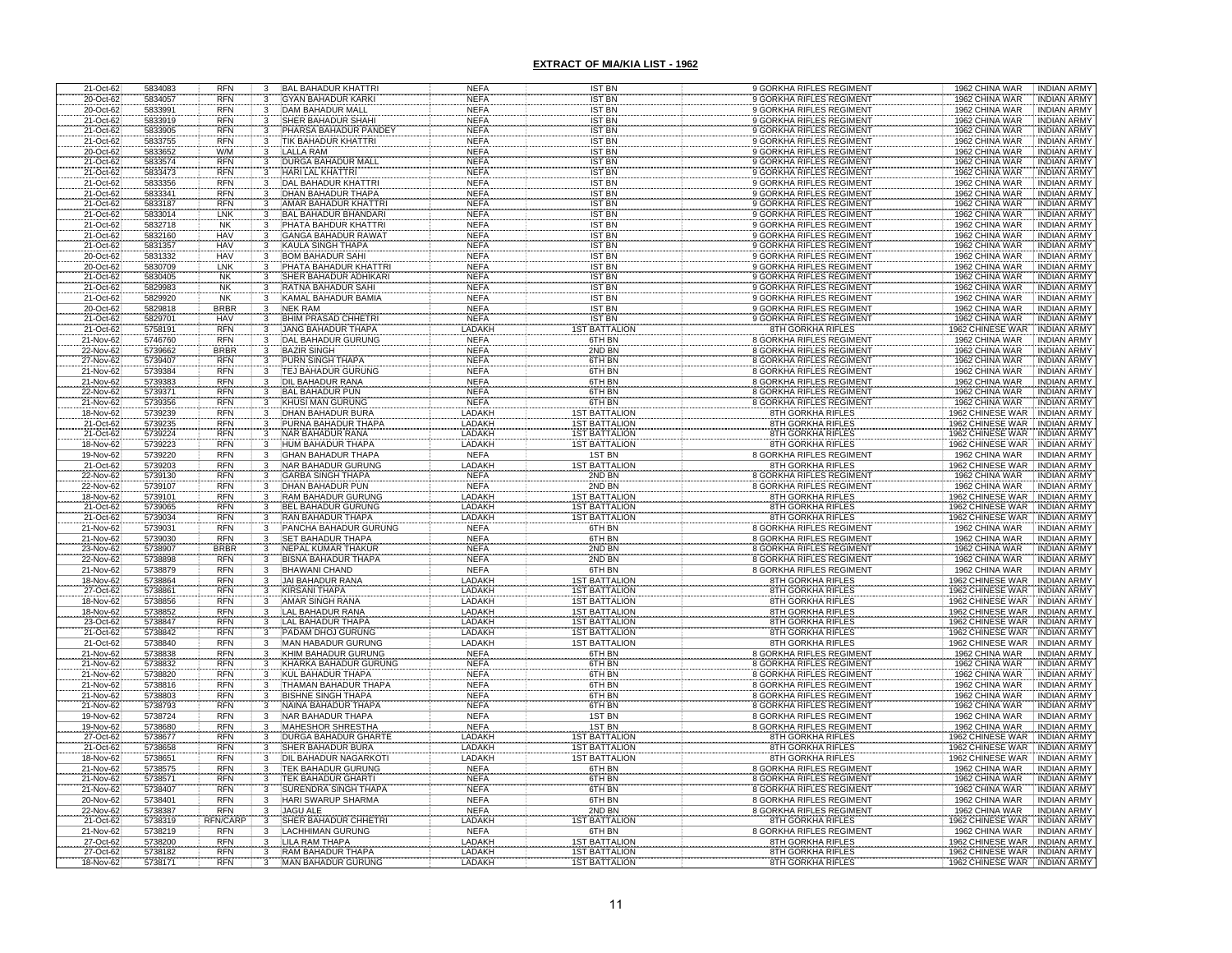| 21-Oct-62              | 5834083            | <b>RFN</b>               |                                  | <b>BAL BAHADUR KHATTRI</b>                             | <b>NEFA</b>                | <b>IST BN</b>                                | 9 GORKHA RIFLES REGIMENT                                           | 1962 CHINA WAR<br><b>INDIAN ARMY</b>                                            |
|------------------------|--------------------|--------------------------|----------------------------------|--------------------------------------------------------|----------------------------|----------------------------------------------|--------------------------------------------------------------------|---------------------------------------------------------------------------------|
| 20-Oct-62              | 5834057            | <b>RFN</b>               |                                  | <b>GYAN BAHADUR KARKI</b>                              | <b>NEFA</b>                | <b>IST BN</b>                                | 9 GORKHA RIFLES REGIMENT                                           | 1962 CHINA WAR<br><b>INDIAN ARMY</b>                                            |
| 20-Oct-62<br>21-Oct-62 | 5833991<br>5833919 | <b>RFN</b><br><b>RFN</b> |                                  | DAM BAHADUR MALL<br>SHER BAHADUR SHAH                  | <b>NEFA</b><br><b>NEFA</b> | <b>IST BN</b><br><b>IST BN</b>               | 9 GORKHA RIFLES REGIMENT<br>9 GORKHA RIFLES REGIMENT               | 1962 CHINA WAR<br><b>INDIAN ARMY</b><br>1962 CHINA WAR<br><b>INDIAN ARMY</b>    |
| 21-Oct-62              | 5833905            | <b>RFN</b>               |                                  | PHARSA BAHADUR PANDE                                   | <b>NEFA</b>                | <b>IST BN</b>                                | 9 GORKHA RIFLES REGIMENT                                           | 1962 CHINA WAR<br><b>INDIAN ARMY</b>                                            |
| 21-Oct-62              | 5833755            | <b>RFN</b>               |                                  | <b>FIK BAHADUR KHATTRI</b>                             | <b>NEFA</b>                | <b>IST BN</b>                                | 9 GORKHA RIFLES REGIMENT                                           | 1962 CHINA WAR<br><b>INDIAN ARM</b>                                             |
| 20-Oct-62              | 5833652            | W/M                      |                                  | <b>LALLA RAM</b>                                       | <b>NEFA</b>                | <b>IST BN</b>                                | 9 GORKHA RIFLES REGIMENT                                           | 1962 CHINA WAR<br><b>INDIAN ARMY</b>                                            |
| 21-Oct-62              | 5833574            | <b>RFN</b>               |                                  | <b>DURGA BAHADUR MALL</b>                              | <b>NEFA</b>                | <b>IST BN</b>                                | 9 GORKHA RIFLES REGIMENT                                           | 1962 CHINA WAR<br><b>INDIAN ARMY</b>                                            |
| 21-Oct-62<br>21-Oct-62 | 5833473            | <b>RFN</b><br><b>RFN</b> |                                  | HARI LAL KHATTRI                                       | <b>NEFA</b>                | <b>IST BN</b>                                | 9 GORKHA RIFLES REGIMENT                                           | 1962 CHINA WAR<br><b>INDIAN ARMY</b>                                            |
| 21-Oct-62              | 5833356<br>5833341 | <b>RFN</b>               |                                  | <b>DAL BAHADUR KHATTR</b><br>DHAN BAHADUR THAPA        | <b>NEFA</b><br><b>NEFA</b> | <b>IST BN</b><br><b>IST BN</b>               | 9 GORKHA RIFLES REGIMENT<br>9 GORKHA RIFLES REGIMENT               | 1962 CHINA WAR<br><b>INDIAN ARMY</b><br>1962 CHINA WAR<br><b>INDIAN ARMY</b>    |
|                        | 5833187            | <b>RFN</b>               |                                  | AMAR BAHADUR KHATTRI                                   | <b>NEFA</b>                | <b>IST BN</b>                                | 9 GORKHA RIFLES REGIMENT                                           | 1962 CHINA WAR<br><b>INDIAN ARMY</b>                                            |
| 21-Oct-62<br>21-Oct-62 | 5833014            | LNK                      |                                  | <b>BAL BAHADUR BHANDARI</b>                            | <b>NEFA</b>                | <b>IST BN</b>                                | 9 GORKHA RIFLES REGIMENT                                           | 1962 CHINA WAR<br><b>INDIAN ARMY</b>                                            |
| 21-Oct-62              | 5832718            | NK                       |                                  | PHATA BAHDUR KHATTRI                                   | <b>NEFA</b>                | <b>IST BN</b>                                | 9 GORKHA RIFLES REGIMENT                                           | 1962 CHINA WAR<br><b>INDIAN ARMY</b>                                            |
| 21-Oct-62              | 5832160            | HAV                      | 3                                | <b>GANGA BAHADUR RAWAT</b>                             | <b>NEFA</b>                | <b>IST BN</b>                                | 9 GORKHA RIFLES REGIMENT                                           | 1962 CHINA WAR<br><b>INDIAN ARMY</b>                                            |
| 21-Oct-62<br>20-Oct-62 | 5831357<br>5831332 | HAV<br>HAV               | 3                                | KAULA SINGH THAPA<br><b>BOM BAHADUR SAHI</b>           | <b>NEFA</b><br><b>NEFA</b> | <b>IST BN</b><br><b>IST BN</b>               | 9 GORKHA RIFLES REGIMENT<br>9 GORKHA RIFLES REGIMENT               | 1962 CHINA WAR<br><b>INDIAN ARMY</b><br>1962 CHINA WAR<br><b>INDIAN ARMY</b>    |
| 20-Oct-62              | 5830709            | LNK                      | 3                                | PHATA BAHADUR KHATTRI                                  | <b>NEFA</b>                | <b>IST BN</b>                                | 9 GORKHA RIFLES REGIMENT                                           | 1962 CHINA WAR<br><b>INDIAN ARMY</b>                                            |
| 21-Oct-62              | 5830405            |                          |                                  | SHER BAHADUR ADHIKARI                                  | <b>NEFA</b>                | <b>IST BN</b>                                |                                                                    | 1962 CHINA WAR<br>INDIAN ARMY                                                   |
| 21-Oct-62              | 5829983            | NK<br>NK                 |                                  | RATNA BAHADUR SAHI                                     | <b>NEFA</b>                | <b>IST BN</b>                                | 9 GORKHA RIFLES REGIMENT<br>9 GORKHA RIFLES REGIMENT               | 1962 CHINA WAR<br><b>INDIAN ARMY</b>                                            |
| 21-Oct-62              | 5829920            | <b>NK</b>                | 3                                | KAMAL BAHADUR BAMIA                                    | <b>NEFA</b>                | <b>IST BN</b>                                | 9 GORKHA RIFLES REGIMENT                                           | 1962 CHINA WAR<br>INDIAN ARMY                                                   |
| 20-Oct-62              | 5829818            | <b>BRBR</b>              | 3                                | <b>NEK RAM</b>                                         | <b>NEFA</b>                | <b>IST BN</b>                                | 9 GORKHA RIFLES REGIMENT                                           | 1962 CHINA WAR<br><b>INDIAN ARMY</b>                                            |
| 21-Oct-62<br>21-Oct-62 | 5829701<br>5758191 | HAV<br>RFN               |                                  | BHIM PRASAD CHHETRI<br>JANG BAHADUR THAPA              | <b>NEFA</b><br>LADAKH      | <b>IST BN</b><br><b>BATTALIC</b>             | 9 GORKHA RIFLES REGIMENT<br>8TH GORKHA RIFLES                      | 1962 CHINA WAR<br><b>INDIAN ARMY</b><br>962 CHINESE WAR<br><b>INDIAN ARM</b>    |
| 21-Nov-62              | 5746760            | <b>RFN</b>               |                                  | DAL BAHADUR GURUNG                                     | <b>NEFA</b>                | 6TH BN                                       | <b>8 GORKHA RIFLES REGIMENT</b>                                    | 1962 CHINA WAR<br><b>INDIAN ARMY</b>                                            |
| 22-Nov-62              | 5739662            | <b>BRBR</b>              |                                  | <b>BAZIR SINGH</b>                                     | <b>NEFA</b>                | 2ND BN                                       | 8 GORKHA RIFLES REGIMENT                                           | 1962 CHINA WAR<br><b>INDIAN ARMY</b>                                            |
| 27-Nov-62              | 5739407            | <b>RFN</b>               |                                  | <b>PURN SINGH THAPA</b>                                | <b>NEFA</b>                | 6TH BN                                       | <b>8 GORKHA RIFLES REGIMENT</b>                                    | 1962 CHINA WAR<br><b>INDIAN ARMY</b>                                            |
| 21-Nov-62              | 5739384            | <b>RFN</b>               |                                  | TEJ BAHADUR GURUNG                                     | <b>NEFA</b>                | 6TH BN                                       | <b>8 GORKHA RIFLES REGIMENT</b>                                    | 1962 CHINA WAR<br><b>INDIAN ARMY</b>                                            |
| 21-Nov-62              | 5739383            | <b>RFN</b>               |                                  | DIL BAHADUR RANA<br><b>BAL BAHADUR PUN</b>             | <b>NEFA</b>                | 6TH BN                                       | 8 GORKHA RIFLES REGIMENT                                           | 1962 CHINA WAR<br><b>INDIAN ARMY</b>                                            |
| 22-Nov-62<br>21-Nov-62 | 5739371<br>5739356 | <b>RFN</b><br><b>RFN</b> |                                  | <b>KHUSI MAN GURUNG</b>                                | <b>NEFA</b><br><b>NEFA</b> | 6TH BN<br>6TH BN                             | <b>8 GORKHA RIFLES REGIMENT</b><br><b>8 GORKHA RIFLES REGIMENT</b> | 1962 CHINA WAR<br><b>INDIAN ARMY</b><br>1962 CHINA WAR<br><b>INDIAN ARMY</b>    |
| 18-Nov-62              | 5739239            | <b>RFN</b>               |                                  | DHAN BAHADUR BURA                                      | LADAKH                     | <b>IST BATTALION</b>                         | <b>8TH GORKHA RIFLES</b>                                           | 1962 CHINESE WAR INDIAN ARMY                                                    |
| 21-Oct-62              | 5739235            | <b>RFN</b><br>RFN        |                                  | PURNA BAHADUR THAP/                                    | LADAKH                     | <b>1ST BATTALION</b>                         | 8TH GORKHA RIFLES<br>8TH GORKHA RIFLES                             | 1962 CHINESE WAR<br>INDIAN ARMY                                                 |
| 21-Oct-62              | 5739224            |                          |                                  | NAR BAHADUR RANA                                       | LADAKH                     | <b>IST BATTALION</b>                         |                                                                    | 1962 CHINESE WAR<br><b>INDIAN ARMY</b>                                          |
| 18-Nov-62              | 5739223            | <b>RFN</b>               |                                  | HUM BAHADUR THAPA                                      | LADAKH                     | <b>1ST BATTALION</b>                         | <b>8TH GORKHA RIFLES</b>                                           | 1962 CHINESE WAR<br><b>INDIAN ARMY</b>                                          |
| 19-Nov-62              | 5739220            | <b>RFN</b><br><b>RFN</b> | 3                                | <b>GHAN BAHADUR THAPA</b><br><b>NAR BAHADUR GURUNG</b> | <b>NEFA</b><br>LADAKH      | 1ST BN                                       | <b>8 GORKHA RIFLES REGIMENT</b><br><b>8TH GORKHA RIFLES</b>        | 1962 CHINA WAR<br><b>INDIAN ARMY</b><br>1962 CHINESE WAR<br><b>INDIAN ARMY</b>  |
| 21-Oct-62<br>22-Nov-62 | 5739203<br>5739130 | <b>RFN</b>               |                                  | <b>GARBA SINGH THAPA</b>                               | <b>NEFA</b>                | <b>1ST BATTALION</b><br>2ND BN               | <b>8 GORKHA RIFLES REGIMENT</b>                                    | 1962 CHINA WAR<br><b>INDIAN ARMY</b>                                            |
| 22-Nov-62              | 5739107            | RFN                      |                                  | DHAN BAHADUR PUN                                       | <b>NEFA</b>                | 2ND BN                                       | 8 GORKHA RIFLES REGIMENT                                           | 1962 CHINA WAR<br><b>INDIAN ARMY</b>                                            |
| 18-Nov-62              | 5739101            | <b>RFN</b>               |                                  | RAM BAHADUR GURUNG                                     | LADAKH                     | <b>1ST BATTALION</b>                         | <b>8TH GORKHA RIFLES</b>                                           | 1962 CHINESE WAR<br><b>INDIAN ARMY</b>                                          |
| 21-Oct-62              | 5739065            | <b>RFN</b>               |                                  | BEL BAHADUR GURUNG                                     | LADAKH                     | <b>1ST BATTALION</b>                         | <b>8TH GORKHA RIFLES</b>                                           | 1962 CHINESE WAR INDIAN ARMY                                                    |
| 21-Oct-62              | 5739034            | RFN<br><b>RFN</b>        |                                  | RAN BAHADUR THAPA                                      | LADAKH                     | <b>1ST BATTALION</b><br>6TH BN               | <b>8TH GORKHA RIFLES</b>                                           | 1962 CHINESE WAR<br><b>INDIAN ARMY</b><br><b>INDIAN ARMY</b>                    |
| 21-Nov-62              | 5739031<br>5739030 | <b>RFN</b>               |                                  | PANCHA BAHADUR GURUNG<br><b>SET BAHADUR THAPA</b>      | <b>NEFA</b><br><b>NEFA</b> | 6TH BN                                       | <b>8 GORKHA RIFLES REGIMENT</b><br><b>8 GORKHA RIFLES REGIMENT</b> | 1962 CHINA WAR<br>1962 CHINA WAR<br><b>INDIAN ARMY</b>                          |
| 21-Nov-62<br>23-Nov-62 | 5738907            | <b>BRBR</b>              |                                  | NEPAL KUMAR THAKUR                                     | <b>NEFA</b>                | 2ND BN                                       | <b>8 GORKHA RIFLES REGIMENT</b>                                    | 1962 CHINA WAR<br><b>INDIAN ARMY</b>                                            |
| 22-Nov-62              | 5738898            | <b>RFN</b>               |                                  | <b>BISNA BAHADUR THAPA</b>                             | <b>NEFA</b>                | 2ND BN                                       | <b>8 GORKHA RIFLES REGIMENT</b>                                    | 1962 CHINA WAR<br><b>INDIAN ARMY</b>                                            |
| 21-Nov-62              | 5738879            | <b>RFN</b>               | 3                                | <b>BHAWANI CHAND</b>                                   | <b>NEFA</b>                | 6TH BN                                       | <b>8 GORKHA RIFLES REGIMENT</b>                                    | 1962 CHINA WAR<br><b>INDIAN ARMY</b>                                            |
| 18-Nov-62<br>27-Oct-62 | 5738864            |                          |                                  | <b>JAI BAHADUR RANA</b>                                | LADAKH                     | <b>IST BATTALION</b>                         | 8TH GORKHA RIFLES                                                  | 1962 CHINESE WAR<br><b>INDIAN ARMY</b>                                          |
| 18-Nov-62              | 5738861<br>5738856 | RFN<br>RFN<br>RFN        |                                  | <b>IRSANI THAPA</b><br><b>MAR SINGH RANA</b>           | LADAKH<br>LADAKH           | <b>IST BATTALION</b><br><b>IST BATTALION</b> | 8TH GORKHA RIFLES<br><b>8TH GORKHA RIFLES</b>                      | 1962 CHINESE WAR<br><b>INDIAN ARMY</b><br>1962 CHINESE WAR<br><b>INDIAN ARM</b> |
| 18-Nov-62              | 5738852            | <b>RFN</b>               |                                  | LAL BAHADUR RANA                                       | LADAKH                     | <b>1ST BATTALION</b>                         | <b>8TH GORKHA RIFLES</b>                                           | 1962 CHINESE WAR<br><b>INDIAN ARMY</b>                                          |
| 23-Oct-62              | 5738847            | <b>RFN</b>               |                                  | LAL BAHADUR THAPA                                      | LADAKH                     | <b>1ST BATTALION</b>                         | 8TH GORKHA RIFLES                                                  | 1962 CHINESE WAR INDIAN ARMY                                                    |
| 21-Oct-62              | 5738842            | <b>RFN</b>               |                                  | PADAM DHOJ GURUNG                                      | LADAKH                     | <b>1ST BATTALION</b>                         | <b>8TH GORKHA RIFLES</b>                                           | 1962 CHINESE WAR<br><b>INDIAN ARMY</b>                                          |
| 21-Oct-62              | 5738840            | <b>RFN</b>               |                                  | <b>MAN HABADUR GURUNG</b>                              | LADAKH                     | <b>1ST BATTALION</b>                         | <b>8TH GORKHA RIFLES</b>                                           | 1962 CHINESE WAR<br><b>INDIAN ARMY</b>                                          |
| 21-Nov-62<br>21-Nov-62 | 5738838<br>5738832 | <b>RFN</b><br><b>RFN</b> |                                  | KHIM BAHADUR GURUNG<br><b>HARKA BAHADUR GURUN</b>      | <b>NEFA</b><br><b>NEFA</b> | 6TH BN<br>6TH BN                             | <b>GORKHA RIFLES REGIMENT</b><br><b>8 GORKHA RIFLES REGIMENT</b>   | 1962 CHINA WAR<br><b>INDIAN ARMY</b><br>1962 CHINA WAR<br><b>INDIAN ARMY</b>    |
| 21-Nov-62              | 5738820            | <b>RFN</b>               |                                  | <b>KUL BAHADUR THAPA</b>                               | <b>NEFA</b>                | 6TH BN                                       | <b>8 GORKHA RIFLES REGIMENT</b>                                    | 1962 CHINA WAR<br><b>INDIAN ARMY</b>                                            |
| 21-Nov-62              | 5738816            |                          |                                  | THAMAN BAHADUR THAP                                    | <b>NEFA</b>                | 6TH BN                                       | 8 GORKHA RIFLES REGIMENT                                           | 1962 CHINA WAR<br><b>INDIAN ARMY</b>                                            |
| 21-Nov-62              | 5738803            | RFN<br>RFN<br>RFN        |                                  | <b>BISHNE SINGH THAPA</b>                              | <b>NEFA</b>                | 6TH BN                                       | <b>8 GORKHA RIFLES REGIMENT</b>                                    | 1962 CHINA WAR<br><b>INDIAN ARMY</b>                                            |
| 21-Nov-62              | 5738793            |                          |                                  | NAINA BAHADUR THAPA                                    | <b>NEFA</b>                | 6TH BN                                       | <b>8 GORKHA RIFLES REGIMENT</b>                                    | 1962 CHINA WAR<br><b>INDIAN ARMY</b>                                            |
| 19-Nov-62              | 5738724            | <b>RFN</b><br><b>RFN</b> | 3                                | <b>NAR BAHADUR THAPA</b><br><b>MAHESHOR SHRESTHA</b>   | <b>NEFA</b>                | 1ST BN<br>1ST BN                             | <b>8 GORKHA RIFLES REGIMENT</b>                                    | 1962 CHINA WAR<br><b>INDIAN ARMY</b><br>1962 CHINA WAR                          |
| 19-Nov-62<br>27-Oct-62 | 5738680<br>5738677 | <b>RFN</b>               |                                  | <b>DURGA BAHADUR GHART</b>                             | <b>NEFA</b><br>LADAKH      | <b>ST BATTALION</b>                          | <b>8 GORKHA RIFLES REGIMENT</b><br><b>8TH GORKHA RIFLES</b>        | <b>INDIAN ARMY</b><br><b>1962 CHINESE WAR</b><br><b>INDIAN ARMY</b>             |
| 21-Oct-62              | 5738658            | <b>RFN</b>               | 3                                | SHER BAHADUR BURA                                      | LADAKH                     | <b>IST BATTALION</b>                         | <b>8TH GORKHA RIFLES</b>                                           | 1962 CHINESE WAR<br><b>INDIAN ARMY</b>                                          |
| 18-Nov-62              | 5738651            | <b>RFN</b>               | $\overline{3}$                   | DIL BAHADUR NAGARKOTI                                  | LADAKH                     | <b>1ST BATTALION</b>                         | <b>8TH GORKHA RIFLES</b>                                           | 1962 CHINESE WAR<br><b>INDIAN ARMY</b>                                          |
| 21-Nov-62              | 5738575            | <b>RFN</b>               | 3                                | <b>TEK BAHADUR GURUNG</b>                              | <b>NEFA</b>                | 6TH BN                                       | <b>8 GORKHA RIFLES REGIMENT</b>                                    | 1962 CHINA WAR<br><b>INDIAN ARMY</b>                                            |
| 21-Nov-62              | 5738571            | <b>RFN</b>               | $\overline{3}$<br>$\overline{3}$ | TEK BAHADUR GHARTI                                     | <b>NEFA</b>                | 6TH BN                                       | <b>8 GORKHA RIFLES REGIMENT</b>                                    | 1962 CHINA WAR<br><b>INDIAN ARMY</b>                                            |
| 21-Nov-62<br>20-Nov-62 | 5738407<br>5738401 | <b>RFN</b><br><b>RFN</b> | 3                                | <b>SURENDRA SINGH THAPA</b><br>HARI SWARUP SHARMA      | <b>NEFA</b><br><b>NEFA</b> | 6TH BN<br>6TH BN                             | <b>8 GORKHA RIFLES REGIMENT</b><br>8 GORKHA RIFLES REGIMENT        | 1962 CHINA WAR<br><b>INDIAN ARMY</b><br>1962 CHINA WAR<br><b>INDIAN ARMY</b>    |
| 22-Nov-62              | 5738387            | <b>RFN</b>               | $\overline{\mathbf{3}}$          | <b>JAGU ALE</b>                                        | <b>NEFA</b>                | 2ND BN                                       | <b>8 GORKHA RIFLES REGIMENT</b>                                    | 1962 CHINA WAR<br><b>INDIAN ARMY</b>                                            |
| 21-Oct-62              | 5738319            | <b>RFN/CARP</b>          | 3                                | <b>SHER BAHADUR CHHETRI</b>                            | LADAKH                     | <b>IST BATTALION</b>                         | 8TH GORKHA RIFLES                                                  | 1962 CHINESE WAR INDIAN ARMY                                                    |
| 21-Nov-62              | 5738219            | <b>RFN</b>               | 3                                | <b>LACHHIMAN GURUNG</b>                                | <b>NEFA</b>                | 6TH BN                                       | <b>8 GORKHA RIFLES REGIMENT</b>                                    | 1962 CHINA WAR<br>INDIAN ARMY                                                   |
| 27-Oct-62              | 5738200            | <b>RFN</b>               |                                  | LILA RAM THAPA                                         | LADAKH                     | <b>1ST BATTALION</b>                         | 8TH GORKHA RIFLES                                                  | 1962 CHINESE WAR<br><b>INDIAN ARMY</b>                                          |
| 27-Oct-62              | 5738182            | <b>RFN</b>               |                                  | RAM BAHADUR THAPA                                      | LADAKH                     | <b>1ST BATTALION</b>                         | <b>8TH GORKHA RIFLES</b>                                           | 1962 CHINESE WAR INDIAN ARMY                                                    |
| 18-Nov-62              | 5738171            | <b>RFN</b>               |                                  | <b>MAN BAHADUR GURUN</b>                               | LADAKH                     | <b>1ST BATTALION</b>                         | <b>8TH GORKHA RIFLES</b>                                           | 1962 CHINESE WAR<br><b>INDIAN ARMY</b>                                          |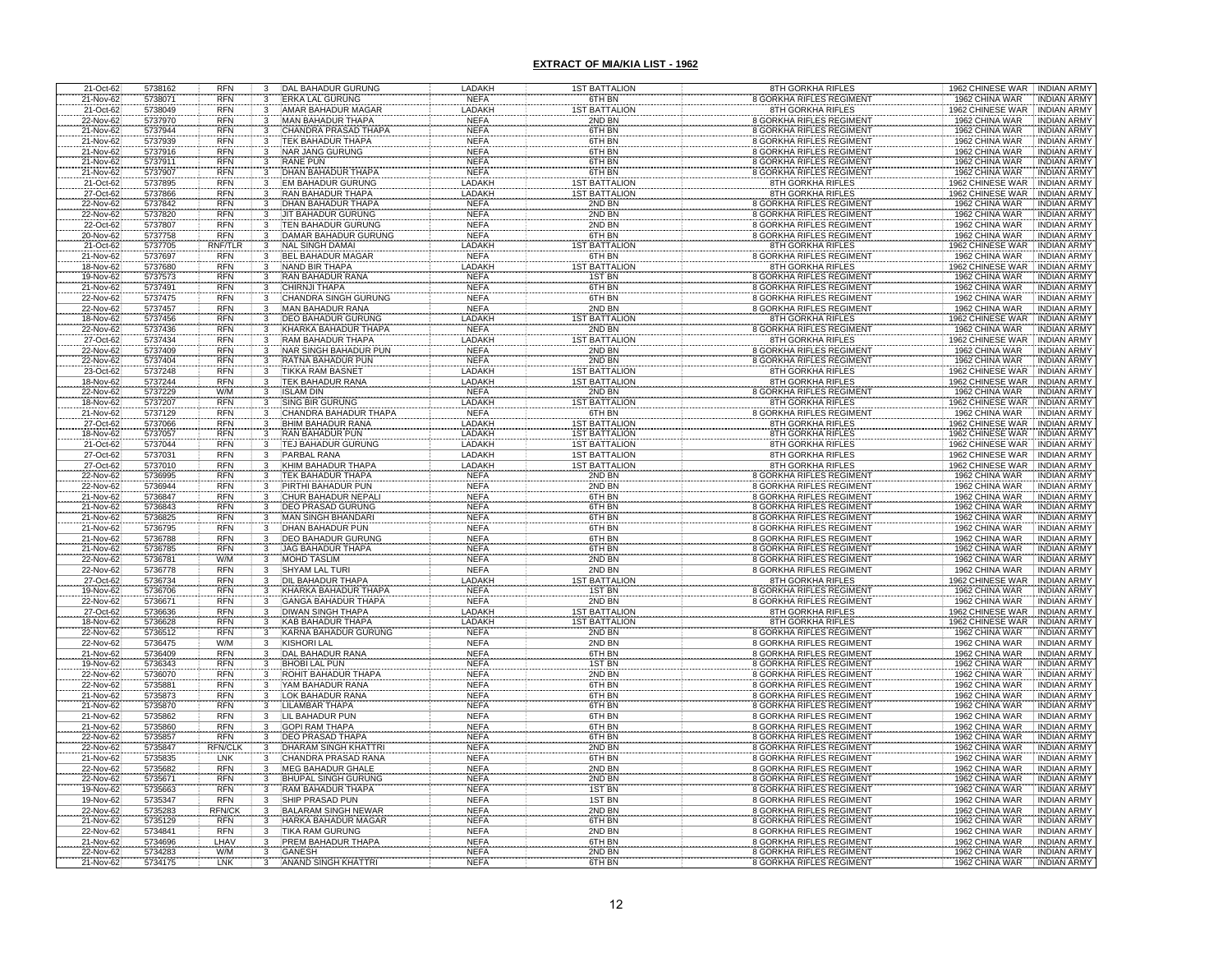| 21-Oct-62              | 5738162            | <b>RFN</b>               | 3                       | DAL BAHADUR GURUNG                                   | LADAKH                     | <b>1ST BATTALION</b>                         | 8TH GORKHA RIFLES                                                  | 1962 CHINESE WAR<br><b>INDIAN ARMY</b>                                         |
|------------------------|--------------------|--------------------------|-------------------------|------------------------------------------------------|----------------------------|----------------------------------------------|--------------------------------------------------------------------|--------------------------------------------------------------------------------|
| 21-Nov-62              | 5738071            | <b>RFN</b>               | 3                       | <b>ERKA LAL GURUNG</b>                               | <b>NEFA</b>                | 6TH BN                                       | 8 GORKHA RIFLES REGIMENT                                           | 1962 CHINA WAR<br><b>INDIAN ARMY</b>                                           |
| 21-Oct-62              | 5738049            | <b>RFN</b>               | $\overline{3}$          | AMAR BAHADUR MAGAF                                   | LADAKH                     | <b>1ST BATTALIO</b>                          | 8TH GORKHA RIFLES                                                  | 1962 CHINESE WAR<br><b>INDIAN ARMY</b>                                         |
| 22-Nov-62              | 5737970            | <b>RFN</b>               | 3                       | MAN BAHADUR THAPA                                    | <b>NEFA</b>                | 2ND BN                                       | <b>8 GORKHA RIFLES REGIMENT</b>                                    | 1962 CHINA WAR<br><b>INDIAN ARMY</b>                                           |
| 21-Nov-62              | 5737944            | <b>RFN</b>               |                         | CHANDRA PRASAD THAP.                                 | <b>NEFA</b>                | 6TH BN                                       | <b>8 GORKHA RIFLES REGIMENT</b>                                    | 1962 CHINA WAR<br><b>INDIAN ARMY</b>                                           |
| 21-Nov-62              | 5737939            | <b>RFN</b>               |                         | <b><i>FEK BAHADUR THAPA</i></b>                      | <b>NEFA</b>                | 6TH BN                                       | 8 GORKHA RIFLES REGIMENT                                           | 1962 CHINA WAR<br><b>INDIAN ARMY</b>                                           |
| 21-Nov-62              | 5737916            | <b>RFN</b>               | 3                       | NAR JANG GURUNG                                      | <b>NEFA</b>                | 6TH BN                                       | 8 GORKHA RIFLES REGIMENT                                           | 1962 CHINA WAR<br>INDIAN ARMY                                                  |
| 21-Nov-62              | 5737911            | <b>RFN</b>               | 3                       | RANE PUN                                             | <b>NEFA</b>                | 6TH BN                                       | 8 GORKHA RIFLES REGIMENT                                           | 1962 CHINA WAR<br><b>INDIAN ARMY</b>                                           |
| 21-Nov-62              | 5737907            | <b>RFN</b><br><b>RFN</b> | 3                       | DHAN BAHADUR THAP                                    | <b>NEFA</b><br>LADAKH      | 6TH BN<br><b>IST BATTALION</b>               | 8 GORKHA RIFLES REGIMENT<br><b>8TH GORKHA RIFLES</b>               | 1962 CHINA WAR<br><b>INDIAN ARMY</b><br><b>INDIAN ARMY</b>                     |
| 21-Oct-62<br>27-Oct-62 | 5737895<br>5737866 | <b>RFN</b>               | 3                       | <b>EM BAHADUR GURUNG</b><br>RAN BAHADUR THAPA        | LADAKH                     | <b>1ST BATTALION</b>                         | <b>8TH GORKHA RIFLES</b>                                           | 1962 CHINESE WAR<br>1962 CHINESE WAR<br><b>INDIAN ARMY</b>                     |
| 22-Nov-62              | 5737842            | <b>RFN</b>               | 3                       | <b>DHAN BAHADUR THAPA</b>                            | <b>NEFA</b>                | 2ND BN                                       | <b>8 GORKHA RIFLES REGIMENT</b>                                    | 1962 CHINA WAR<br><b>INDIAN ARMY</b>                                           |
| 22-Nov-62              | 5737820            | <b>RFN</b>               |                         | <b>JIT BAHADUR GURUNG</b>                            | <b>NEFA</b>                | 2ND BN                                       | <b>8 GORKHA RIFLES REGIMENT</b>                                    | 1962 CHINA WAR<br><b>INDIAN ARMY</b>                                           |
| 22-Oct-62              | 5737807            | <b>RFN</b>               | 3                       | TEN BAHADUR GURUNG                                   | <b>NEFA</b>                | 2ND BN                                       | <b>8 GORKHA RIFLES REGIMENT</b>                                    | 1962 CHINA WAR<br><b>INDIAN ARMY</b>                                           |
| 20-Nov-62              | 5737758            | <b>RFN</b>               | 3                       | <b>DAMAR BAHADUR GURUNG</b>                          | <b>NEFA</b>                | 6TH BN                                       | <b>8 GORKHA RIFLES REGIMENT</b>                                    | 1962 CHINA WAR<br><b>INDIAN ARMY</b>                                           |
| 21-Oct-62              | 5737705            | <b>RNF/TLR</b>           | 3                       | <b>NAL SINGH DAMAI</b>                               | LADAKH                     | <b>IST BATTALIO</b>                          | <b>8TH GORKHA RIFLES</b>                                           | <b>1962 CHINESE WAR</b><br><b>INDIAN ARMY</b>                                  |
| 21-Nov-62              | 5737697            | <b>RFN</b>               | 3                       | <b>BEL BAHADUR MAGAR</b>                             | <b>NEFA</b>                | 6TH BN                                       | <b>8 GORKHA RIFLES REGIMENT</b>                                    | 1962 CHINA WAR<br><b>INDIAN ARMY</b>                                           |
| 18-Nov-62              | 5737680            | <b>RFN</b>               | 3                       | NAND BIR THAPA                                       | LADAKH                     | <b>IST BATTALION</b>                         | <b>8TH GORKHA RIFLES</b>                                           | 1962 CHINESE WAR INDIAN ARMY                                                   |
| 19-Nov-62              | 5737573            | <b>RFN</b>               | $\frac{3}{3}$           | <b>RAN BAHADUR RANA</b>                              | <b>NEFA</b>                | 1ST BN                                       | <b>8 GORKHA RIFLES REGIMENT</b>                                    | 1962 CHINA WAR<br><b>INDIAN ARMY</b>                                           |
| 21-Nov-62              | 5737491            | <b>RFN</b>               |                         | CHIRNJI THAPA                                        | <b>NEFA</b>                | 6TH BN                                       | <b>8 GORKHA RIFLES REGIMENT</b>                                    | <b>INDIAN ARMY</b><br>1962 CHINA WAR                                           |
| 22-Nov-62              | 5737475            | <b>RFN</b>               | 3                       | <b>CHANDRA SINGH GURUNG</b>                          | <b>NEFA</b>                | 6TH BN                                       | <b>8 GORKHA RIFLES REGIMENT</b>                                    | 1962 CHINA WAR<br><b>INDIAN ARMY</b>                                           |
| 22-Nov-62<br>18-Nov-62 | 5737457<br>5737456 | <b>RFN</b><br><b>RFN</b> | 3                       | <b>MAN BAHADUR RANA</b><br><b>DEO BAHADUR GURUNG</b> | <b>NEFA</b><br>LADAKH      | 2ND BN<br><b>1ST BATTALION</b>               | <b>8 GORKHA RIFLES REGIMENT</b><br><b>8TH GORKHA RIFLES</b>        | 1962 CHINA WAR<br><b>INDIAN ARMY</b><br>1962 CHINESE WAR<br><b>INDIAN ARMY</b> |
| 22-Nov-62              | 5737436            | <b>RFN</b>               | 3                       | KHARKA BAHADUR THAPA                                 | <b>NEFA</b>                | 2ND BN                                       | <b>8 GORKHA RIFLES REGIMEN</b>                                     | 1962 CHINA WAR<br><b>INDIAN ARMY</b>                                           |
| 27-Oct-62              | 5737434            | <b>RFN</b>               |                         | RAM BAHADUR THAPA                                    | LADAKH                     | <b>ST BATTALIO</b>                           | <b>8TH GORKHA RIFLES</b>                                           | 962 CHINESE WAR<br><b>INDIAN ARMY</b>                                          |
| 22-Nov-62              | 5737409            | <b>RFN</b>               | 3                       | <b>NAR SINGH BAHADUR PUN</b>                         | <b>NEFA</b>                | 2ND BN                                       | <b>8 GORKHA RIFLES REGIMENT</b>                                    | 1962 CHINA WAR<br>INDIAN ARMY                                                  |
| 22-Nov-62              | 5737404            | <b>RFN</b>               | $\overline{\mathbf{3}}$ | RATNA BAHADUR PUN                                    | <b>NEFA</b>                | 2ND BN                                       | <b>8 GORKHA RIFLES REGIMENT</b>                                    | 1962 CHINA WAR<br><b>INDIAN ARMY</b>                                           |
| 23-Oct-62              | 5737248            | RFN                      | $\overline{3}$          | <b>TIKKA RAM BASNET</b>                              | LADAKH                     | <b>IST BATTALION</b>                         | <b>8TH GORKHA RIFLES</b>                                           | 1962 CHINESE WAR<br><b>INDIAN ARMY</b>                                         |
| 18-Nov-62              | 5737244            | <b>RFN</b>               | 3                       | <b>TEK BAHADUR RANA</b>                              | LADAKH                     | <b>IST BATTALION</b>                         | <b>8TH GORKHA RIFLES</b>                                           | 1962 CHINESE WAR<br><b>INDIAN ARMY</b>                                         |
| 22-Nov-62              | 5737229            | W/M                      | 3                       | <b>ISLAM DIN</b>                                     | <b>NEFA</b>                | 2ND BN                                       | <b>8 GORKHA RIFLES REGIMEN</b>                                     | 1962 CHINA WAR<br><b>INDIAN ARMY</b>                                           |
| 18-Nov-62              | 5737207            | <b>RFN</b>               | $\frac{3}{3}$           | <b>SING BIR GURUNG</b>                               | LADAKH                     | <b>IST BATTALIO</b>                          | 8TH GORKHA RIFLES                                                  | 962 CHINESE WAR<br><b>INDIAN ARMY</b>                                          |
| 21-Nov-62              | 5737129            | RFN                      |                         | CHANDRA BAHADUR THAP                                 | <b>NEFA</b>                | 6TH BN                                       | <b>8 GORKHA RIFLES REGIMEN</b>                                     | 1962 CHINA WAR<br><b>INDIAN ARMY</b>                                           |
| 27-Oct-62              | 5737066            | <b>RFN</b>               | $\mathbf{3}$            | BHIM BAHADUR RANA                                    | LADAKH                     | <b>1ST BATTALION</b>                         | 8TH GORKHA RIFLES                                                  | 1962 CHINESE WAR<br><b>INDIAN ARMY</b>                                         |
| 18-Nov-62              | 5737057            | RFN                      | $\frac{3}{3}$           | RAN BAHADUR PUN                                      | LADAKH                     | <b>1ST BATTALION</b>                         | <b>8TH GORKHA RIFLES</b>                                           | 1962 CHINESE WAR<br><b>INDIAN ARMY</b>                                         |
| 21-Oct-62              | 5737044            | RFN                      |                         | TEJ BAHADUR GURUNG                                   | LADAKH                     | <b>1ST BATTALION</b>                         | <b>8TH GORKHA RIFLES</b>                                           | 1962 CHINESE WAR<br><b>INDIAN ARMY</b>                                         |
| 27-Oct-62              | 5737031            | <b>RFN</b>               | $\overline{3}$          | PARBAL RANA                                          | LADAKH<br>LADAKH           | <b>1ST BATTALION</b><br><b>1ST BATTALION</b> | <b>8TH GORKHA RIFLES</b><br><b>8TH GORKHA RIFLES</b>               | 1962 CHINESE WAR INDIAN ARMY<br>1962 CHINESE WAR                               |
| 27-Oct-62<br>22-Nov-62 | 5737010<br>5736995 | <b>RFN</b><br>RFN        | 3                       | KHIM BAHADUR THAPA<br>TEK BAHADUR THAPA              | <b>NEFA</b>                | 2ND BN                                       | <b>8 GORKHA RIFLES REGIMEN</b>                                     | <b>INDIAN ARMY</b><br>1962 CHINA WAR<br><b>INDIAN ARMY</b>                     |
| 22-Nov-62              | 5736944            | <b>RFN</b>               |                         | PIRTHI BAHADUR PUN                                   | <b>NEFA</b>                | 2ND BN                                       | <b>8 GORKHA RIFLES REGIMENT</b>                                    | 1962 CHINA WAR<br><b>INDIAN ARMY</b>                                           |
| 21-Nov-62              | 5736847            | <b>RFN</b>               |                         | CHUR BAHADUR NEPAL                                   | <b>NEFA</b>                | 6TH BN                                       | <b>8 GORKHA RIFLES REGIMENT</b>                                    | 1962 CHINA WAR<br><b>INDIAN ARMY</b>                                           |
| 21-Nov-62              | 5736843            | <b>RFN</b>               |                         | <b>DEO PRASAD GURUNG</b>                             | <b>NEFA</b>                | 6TH BN                                       | <b>8 GORKHA RIFLES REGIMENT</b>                                    | 1962 CHINA WAR<br><b>INDIAN ARMY</b>                                           |
| 21-Nov-62              | 5736825            | <b>RFN</b>               |                         | <b>MAN SINGH BHANDARI</b>                            | <b>NEFA</b>                | 6TH BN                                       | 8 GORKHA RIFLES REGIMENT                                           | 1962 CHINA WAR<br><b>INDIAN ARMY</b>                                           |
| 21-Nov-62              | 5736795            | <b>RFN</b>               |                         | DHAN BAHADUR PUN                                     | <b>NEFA</b>                | 6TH BN                                       | <b>8 GORKHA RIFLES REGIMENT</b>                                    | 1962 CHINA WAR<br><b>INDIAN ARMY</b>                                           |
| 21-Nov-62              | 5736788            | RFN<br>RFN               |                         | <b>DEO BAHADUR GURUNG</b>                            | <b>NEFA</b>                | 6TH BN                                       | 8 GORKHA RIFLES REGIMENT                                           | 1962 CHINA WAR<br><b>INDIAN ARMY</b>                                           |
| 21-Nov-62              | 5736785            |                          |                         | <b>JAG BAHADUR THAPA</b>                             | <b>NEFA</b>                | 6TH BN                                       | <b>8 GORKHA RIFLES REGIMENT</b>                                    | 1962 CHINA WAR<br><b>INDIAN ARMY</b>                                           |
| 22-Nov-62              | 5736781            | W/M                      | 3                       | <b>MOHD TASLIM</b>                                   | <b>NEFA</b>                | 2ND BN                                       | <b>8 GORKHA RIFLES REGIMENT</b>                                    | 1962 CHINA WAR<br><b>INDIAN ARMY</b>                                           |
| 22-Nov-62              | 5736778            | <b>RFN</b>               | $\overline{3}$          | <b>SHYAM LAL TURI</b>                                | <b>NEFA</b>                | 2ND BN                                       | <b>8 GORKHA RIFLES REGIMENT</b>                                    | 1962 CHINA WAR<br><b>INDIAN ARMY</b>                                           |
| 27-Oct-62<br>19-Nov-62 | 5736734            | <b>RFN</b>               | 3                       | DIL BAHADUR THAPA                                    | LADAKH                     | <b>ST BATTALIO</b>                           | 8TH GORKHA RIFLES<br>8 GORKHA RIFLES REGIMENT                      | 1962 CHINESE WAR<br><b>INDIAN ARMY</b>                                         |
|                        | 5736706<br>5736671 | RFN<br>RFN               |                         | KHARKA BAHADUR THAP/<br><b>GANGA BAHADUR THAPA</b>   | <b>NEFA</b><br><b>NEFA</b> | <b>1ST BN</b><br>2ND BN                      | <b>8 GORKHA RIFLES REGIMENT</b>                                    | 1962 CHINA WAR<br><b>INDIAN ARMY</b><br>1962 CHINA WAR<br><b>INDIAN ARM</b>    |
| 22-Nov-62<br>27-Oct-62 | 5736636            | <b>RFN</b>               |                         | <b>DIWAN SINGH THAPA</b>                             | LADAKH                     | <b>IST BATTALIO</b>                          | <b>8TH GORKHA RIFLES</b>                                           | 1962 CHINESE WAR<br><b>INDIAN ARMY</b>                                         |
| 18-Nov-62              | 5736628            | <b>RFN</b>               | $\overline{\mathbf{3}}$ | KAB BAHADUR THAPA                                    | LADAKH                     | <b>IST BATTALION</b>                         | 8TH GORKHA RIFLES                                                  | 1962 CHINESE WAR INDIAN ARMY                                                   |
| 22-Nov-62              | 5736512            | <b>RFN</b>               | $\overline{3}$          | KARNA BAHADUR GURUNG                                 | <b>NEFA</b>                | 2ND BN                                       | 8 GORKHA RIFLES REGIMENT                                           | 1962 CHINA WAR<br><b>INDIAN ARMY</b>                                           |
| 22-Nov-62              | 5736475            | W/M                      | $\overline{\mathbf{3}}$ | <b>KISHORI LAL</b>                                   | <b>NEFA</b>                | 2ND BN                                       | <b>8 GORKHA RIFLES REGIMENT</b>                                    | 1962 CHINA WAR<br><b>INDIAN ARMY</b>                                           |
| 21-Nov-62              | 5736409            | RFN<br>RFN               | 3                       | <b>DAL BAHADUR RANA</b>                              | <b>NEFA</b>                | 6TH BN                                       | <b>8 GORKHA RIFLES REGIMENT</b>                                    | 1962 CHINA WAR<br><b>INDIAN ARMY</b>                                           |
| 19-Nov-62              | 5736343            |                          |                         | <b>BHOBI LAL PUN</b>                                 | <b>NEFA</b>                | 1ST BN                                       | <b>8 GORKHA RIFLES REGIMENT</b>                                    | 1962 CHINA WAR<br><b>INDIAN ARMY</b>                                           |
| 22-Nov-62              | 5736070            | <b>RFN</b>               |                         | ROHIT BAHADUR THAP/                                  | <b>NEFA</b>                | 2ND BN                                       | <b>8 GORKHA RIFLES REGIMENT</b>                                    | 1962 CHINA WAR<br><b>INDIAN ARMY</b>                                           |
| 22-Nov-62              | 5735881            | RFN<br>RFN               | 3                       | YAM BAHADUR RANA                                     | <b>NEFA</b>                | 6TH BN                                       | <b>8 GORKHA RIFLES REGIMENT</b>                                    | 1962 CHINA WAR<br><b>INDIAN ARMY</b>                                           |
| 21-Nov-62              | 5735873            |                          |                         | LOK BAHADUR RANA                                     | <b>NEFA</b>                | 6TH BN                                       | <b>8 GORKHA RIFLES REGIMENT</b>                                    | 1962 CHINA WAR<br><b>INDIAN ARMY</b>                                           |
| 21-Nov-62              | 5735870            | <b>RFN</b><br><b>RFN</b> | $\overline{3}$          | <b>LILAMBAR THAPA</b><br>LIL BAHADUR PUN             | <b>NEFA</b>                | 6TH BN<br>6TH BN                             | <b>8 GORKHA RIFLES REGIMENT</b>                                    | 1962 CHINA WAR<br><b>INDIAN ARMY</b>                                           |
| 21-Nov-62              | 5735862<br>5735860 |                          | 3                       | <b>GOPI RAM THAPA</b>                                | <b>NEFA</b>                |                                              | <b>8 GORKHA RIFLES REGIMENT</b><br><b>8 GORKHA RIFLES REGIMENT</b> | 1962 CHINA WAR<br><b>INDIAN ARMY</b><br>1962 CHINA WAR                         |
| 21-Nov-62<br>22-Nov-62 | 5735857            | <b>RFN</b><br><b>RFN</b> | $\mathbf{3}$            | <b>DEO PRASAD THAPA</b>                              | <b>NEFA</b><br><b>NEFA</b> | 6TH BN<br>6TH BN                             | <b>8 GORKHA RIFLES REGIMENT</b>                                    | <b>INDIAN ARMY</b><br>1962 CHINA WAR<br><b>INDIAN ARMY</b>                     |
| 22-Nov-62              | 5735847            | <b>RFN/CLI</b>           | 3                       | DHARAM SINGH KHATTRI                                 | <b>NEFA</b>                | 2ND BN                                       | 8 GORKHA RIFLES REGIMENT                                           | 1962 CHINA WAR<br>INDIAN ARMY                                                  |
| 21-Nov-62              | 5735835            | LNK                      | 3                       | CHANDRA PRASAD RANA                                  | <b>NEFA</b>                | 6TH BN                                       | <b>8 GORKHA RIFLES REGIMENT</b>                                    | 1962 CHINA WAR<br><b>INDIAN ARMY</b>                                           |
| 22-Nov-62              | 5735682            | <b>RFN</b>               | 3                       | <b>MEG BAHADUR GHALE</b>                             | <b>NEFA</b>                | 2ND BN                                       | 8 GORKHA RIFLES REGIMENT                                           | 1962 CHINA WAR<br><b>INDIAN ARMY</b>                                           |
| 22-Nov-62              | 5735671            | <b>RFN</b>               | $\overline{\mathbf{3}}$ | <b>BHUPAL SINGH GURUNG</b>                           | <b>NEFA</b>                | 2ND BN                                       | <b>8 GORKHA RIFLES REGIMENT</b>                                    | 1962 CHINA WAR<br><b>INDIAN ARMY</b>                                           |
| 19-Nov-62              | 5735663            | <b>RFN</b>               | $\overline{3}$          | RAM BAHADUR THAPA                                    | <b>NEFA</b>                | 1ST BN                                       | 8 GORKHA RIFLES REGIMENT                                           | 1962 CHINA WAR<br><b>INDIAN ARMY</b>                                           |
| 19-Nov-62              | 5735347            | <b>RFN</b>               | $\frac{3}{3}$           | SHIP PRASAD PUN                                      | <b>NEFA</b>                | 1ST BN                                       | <b>8 GORKHA RIFLES REGIMENT</b>                                    | 1962 CHINA WAR<br><b>INDIAN ARMY</b>                                           |
| 22-Nov-62              | 5735283            | <b>RFN/CK</b>            |                         | <b>BALARAM SINGH NEWAR</b>                           | <b>NEFA</b>                | 2ND BN                                       | <b>8 GORKHA RIFLES REGIMENT</b>                                    | 1962 CHINA WAR<br><b>INDIAN ARMY</b>                                           |
| 21-Nov-62              | 5735129            | <b>RFN</b>               | 3                       | HARKA BAHADUR MAGAR                                  | <b>NEFA</b>                | 6TH BN                                       | 8 GORKHA RIFLES REGIMENT                                           | 1962 CHINA WAR<br><b>INDIAN ARMY</b>                                           |
| 22-Nov-62              | 5734841            | <b>RFN</b>               | $\overline{3}$          | <b>TIKA RAM GURUNG</b>                               | <b>NEFA</b>                | 2ND BN                                       | <b>8 GORKHA RIFLES REGIMENT</b>                                    | 1962 CHINA WAR<br><b>INDIAN ARMY</b>                                           |
| 21-Nov-62<br>22-Nov-62 | 5734696<br>5734283 | LHAV<br>W/M              | 3                       | PREM BAHADUR THAPA                                   | <b>NEFA</b>                | 6TH BN<br>2ND BN                             | 8 GORKHA RIFLES REGIMENT<br><b>8 GORKHA RIFLES REGIMENT</b>        | 1962 CHINA WAR<br><b>INDIAN ARMY</b><br>1962 CHINA WAR<br><b>INDIAN ARMY</b>   |
| 21-Nov-62              | 5734175            | LNK                      |                         | GANESH<br>ANAND SINGH KHATTRI                        | <b>NEFA</b><br><b>NEFA</b> | 6TH BN                                       | <b>8 GORKHA RIFLES REGIMENT</b>                                    | 1962 CHINA WAR<br><b>INDIAN ARMY</b>                                           |
|                        |                    |                          |                         |                                                      |                            |                                              |                                                                    |                                                                                |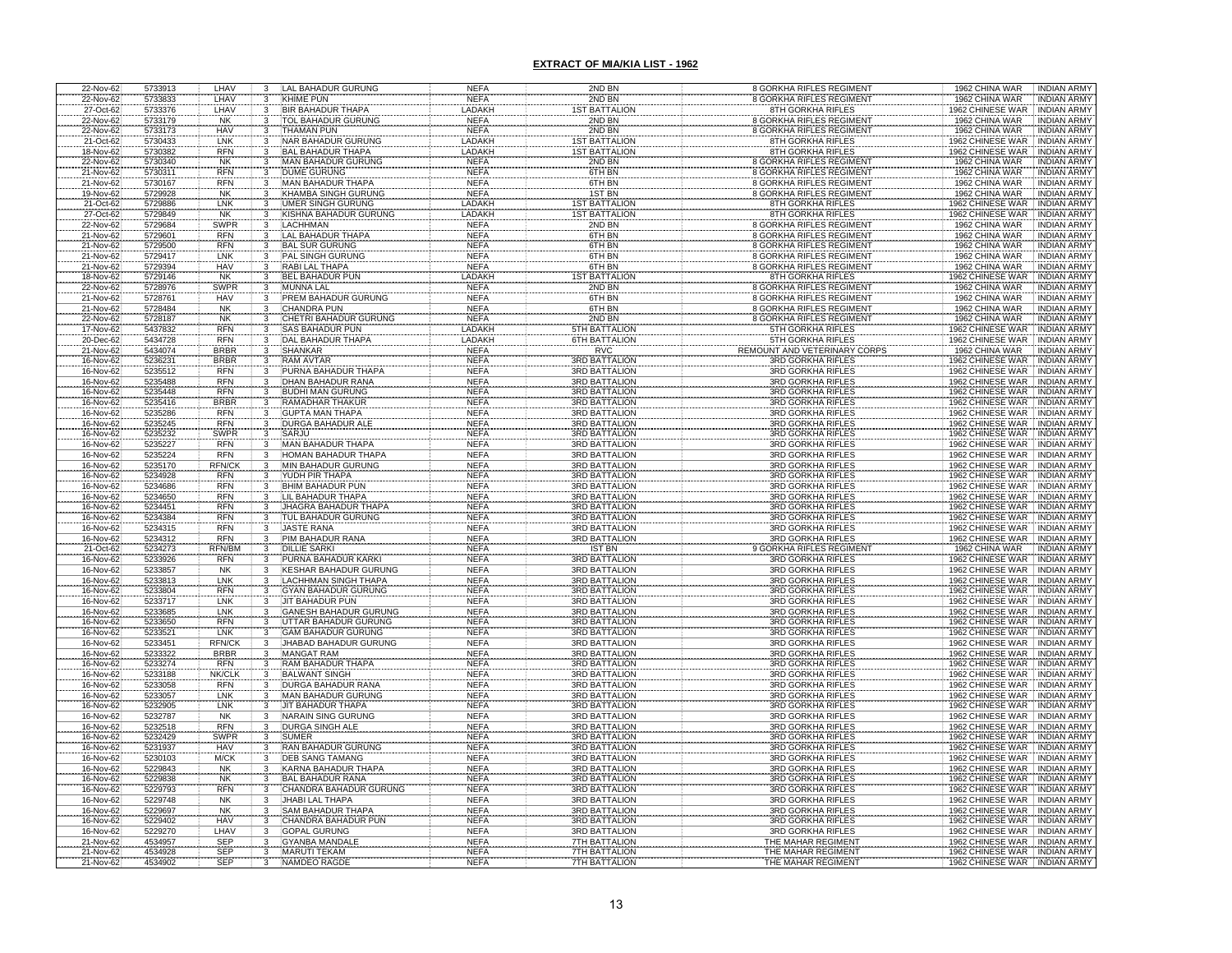| 22-Nov-62              | 5733913            | LHAV                        | 3                                                  | LAL BAHADUR GURUNG                                  | <b>NEFA</b>                | 2ND BN                                       | 8 GORKHA RIFLES REGIMENT                                           | 1962 CHINA WAR<br><b>INDIAN ARMY</b>                                             |
|------------------------|--------------------|-----------------------------|----------------------------------------------------|-----------------------------------------------------|----------------------------|----------------------------------------------|--------------------------------------------------------------------|----------------------------------------------------------------------------------|
| 22-Nov-62              | 5733833            | LHAV                        | 3                                                  | <b>KHIME PUN</b>                                    | <b>NEFA</b>                | 2ND BN                                       | 8 GORKHA RIFLES REGIMENT                                           | 1962 CHINA WAR<br><b>INDIAN ARMY</b>                                             |
| 27-Oct-62              | 5733376            | LHAV                        | 3                                                  | <b>BIR BAHADUR THAPA</b>                            | LADAKH                     | <b>ST BATTALION</b>                          | 8TH GORKHA RIFLES                                                  | 1962 CHINESE WAR<br><b>INDIAN ARMY</b>                                           |
| 22-Nov-62              | 5733179            | <b>NK</b>                   | 3                                                  | <b>TOL BAHADUR GURUNG</b>                           | <b>NEFA</b>                | 2ND BN                                       | 8 GORKHA RIFLES REGIMENT                                           | 1962 CHINA WAR<br><b>INDIAN ARMY</b>                                             |
| 22-Nov-62              | 5733173            | <b>HAV</b>                  |                                                    | THAMAN PUN                                          | <b>NEFA</b>                | 2ND BN                                       | 8 GORKHA RIFLES REGIMENT                                           | <b>INDIAN ARMY</b><br>1962 CHINA WAR                                             |
| 21-Oct-62              | 5730433            | LNK<br><b>RFN</b>           |                                                    | NAR BAHADUR GURUNG                                  | LADAKI<br>LADAKH           | <b>IST BATTALION</b>                         | <b>8TH GORKHA RIFLES</b>                                           | <b>INDIAN ARMY</b><br>1962 CHINESE WAR<br><b>INDIAN ARMY</b>                     |
| 18-Nov-62<br>22-Nov-62 | 5730382<br>5730340 | N <sub>K</sub>              | 3<br>3                                             | <b>BAL BAHADUR THAPA</b><br>MAN BAHADUR GURUNG      | <b>NEFA</b>                | <b>1ST BATTALION</b><br>2ND BN               | 8TH GORKHA RIFLES<br>8 GORKHA RIFLES REGIMENT                      | 1962 CHINESE WAR<br>1962 CHINA WAR<br>INDIAN ARM'                                |
| 21-Nov-62              | 5730311            | <b>RFN</b>                  | 3                                                  | <b>DUME GURUNG</b>                                  | <b>NEFA</b>                | 6TH BN                                       | <b>8 GORKHA RIFLES REGIMENT</b>                                    | INDIAN ARMY<br>1962 CHINA WAR                                                    |
| 21-Nov-62              | 5730167            | <b>RFN</b>                  | 3                                                  | MAN BAHADUR THAPA                                   | <b>NEFA</b>                | 6TH BN                                       | <b>8 GORKHA RIFLES REGIMENT</b>                                    | 1962 CHINA WAR<br><b>INDIAN ARMY</b>                                             |
| 19-Nov-62              | 5729928            | <b>NK</b>                   | 3                                                  | KHAMBA SINGH GURUNG                                 | <b>NEFA</b>                | <b>1ST BN</b>                                | 8 GORKHA RIFLES REGIMENT                                           | 1962 CHINA WAR<br>INDIAN ARMY                                                    |
| 21-Oct-62              | 5729886            | LNK                         | 3                                                  | UMER SINGH GURUNG                                   | LADAKI                     | <b>1ST BATTALION</b>                         | <b>8TH GORKHA RIFLES</b>                                           | 1962 CHINESE WAR<br><b>INDIAN ARMY</b>                                           |
| 27-Oct-62              | 5729849            | <b>NK</b>                   |                                                    | KISHNA BAHADUR GURUNG                               | LADAKH                     | <b>IST BATTALION</b>                         | <b>8TH GORKHA RIFLES</b>                                           | 1962 CHINESE WAR<br><b>INDIAN ARMY</b>                                           |
| 22-Nov-62              | 5729684            | SWPR                        |                                                    | <b>LACHHMAN</b>                                     | <b>NEFA</b>                | 2ND BN                                       | <b>8 GORKHA RIFLES REGIMENT</b>                                    | 1962 CHINA WAR<br>INDIAN ARMY                                                    |
| 21-Nov-62              | 5729601            | <b>RFN</b>                  |                                                    | LAL BAHADUR THAPA                                   | <b>NEFA</b>                | 6TH BN                                       | <b>8 GORKHA RIFLES REGIMENT</b>                                    | 1962 CHINA WAR<br><b>INDIAN ARMY</b>                                             |
| 21-Nov-62              | 5729500            | <b>RFN</b>                  |                                                    | <b>BAL SUR GURUNG</b>                               | <b>NEFA</b>                | 6TH BN                                       | <b>8 GORKHA RIFLES REGIMENT</b>                                    | 1962 CHINA WAR<br><b>INDIAN ARMY</b>                                             |
| 21-Nov-62              | 5729417<br>5729394 | LNK<br><b>HAV</b>           |                                                    | PAL SINGH GURUNG<br><b>RABI LAL THAPA</b>           | <b>NEFA</b><br><b>NEFA</b> | 6TH BN<br>6TH BN                             | <b>8 GORKHA RIFLES REGIMENT</b><br><b>8 GORKHA RIFLES REGIMENT</b> | 1962 CHINA WAR<br>INDIAN ARMY<br>1962 CHINA WAR<br><b>INDIAN ARMY</b>            |
| 21-Nov-62<br>18-Nov-62 | 5729146            | <b>NK</b>                   |                                                    | <b>BEL BAHADUR PUN</b>                              | LADAKH                     | <b>ST BATTALION</b>                          | <b>8TH GORKHA RIFLES</b>                                           | 1962 CHINESE WAR<br><b>INDIAN ARMY</b>                                           |
| 22-Nov-62              | 5728976            | <b>SWPR</b>                 |                                                    | <b>MUNNA LAL</b>                                    | <b>NEFA</b>                | 2ND BN                                       | <b>8 GORKHA RIFLES REGIMENT</b>                                    | 1962 CHINA WAR<br><b>INDIAN ARMY</b>                                             |
| 21-Nov-62              | 5728761            | <b>HAV</b>                  | 3                                                  | PREM BAHADUR GURUNG                                 | <b>NEFA</b>                | 6TH BN                                       | <b>8 GORKHA RIFLES REGIMENT</b>                                    | <b>INDIAN ARMY</b><br>1962 CHINA WAR                                             |
| 21-Nov-62              | 5728484            | <b>NK</b>                   | 3                                                  | CHANDRA PUN                                         | <b>NEFA</b>                | 6TH BN                                       | <b>8 GORKHA RIFLES REGIMENT</b>                                    | 1962 CHINA WAR<br><b>INDIAN ARMY</b>                                             |
| 22-Nov-62              | 5728187            | <b>NK</b>                   |                                                    |                                                     | <b>NEFA</b>                | 2ND BN                                       | <b>8 GORKHA RIFLES REGIMENT</b>                                    | <b>INDIAN ARMY</b><br>1962 CHINA WAR                                             |
| 17-Nov-62              | 5437832            | <b>RFN</b>                  |                                                    | CHETRI BAHADUR GURUNG<br>SAS BAHADUR PUN            | LADAKH                     | <b>STH BATTALION</b>                         | <b>5TH GORKHA RIFLES</b>                                           | <b>INDIAN ARMY</b><br>1962 CHINESE WAR                                           |
| 20-Dec-62              | 5434728            | <b>RFN</b>                  |                                                    | DAL BAHADUR THAPA                                   | LADAKH                     | <b>6TH BATTALION</b>                         | <b>5TH GORKHA RIFLES</b>                                           | <b>INDIAN ARMY</b><br>1962 CHINESE WAR                                           |
| 21-Nov-62              | 5434074            | <b>BRBR</b>                 | 3                                                  | <b>SHANKAR</b>                                      | <b>NEFA</b>                | <b>RVC</b>                                   | REMOUNT AND VETERINARY CORPS                                       | 1962 CHINA WAR<br><b>INDIAN ARMY</b>                                             |
| 16-Nov-62              | 5236231            | <b>BRBR</b>                 | $\overline{\mathbf{3}}$                            | <b>RAM AVTAR</b>                                    | <b>NEFA</b>                | <b>3RD BATTALION</b>                         | <b>3RD GORKHA RIFLES</b>                                           | 1962 CHINESE WAR<br><b>INDIAN ARMY</b>                                           |
| 16-Nov-62<br>16-Nov-62 | 5235512<br>5235488 | <b>RFN</b><br><b>RFN</b>    | $\overline{\mathbf{3}}$<br>$\overline{\mathbf{3}}$ | PURNA BAHADUR THAPA<br><b>DHAN BAHADUR RANA</b>     | <b>NEFA</b><br><b>NEFA</b> | <b>3RD BATTALION</b><br><b>3RD BATTALION</b> | <b>3RD GORKHA RIFLES</b><br><b>3RD GORKHA RIFLES</b>               | 1962 CHINESE WAR<br><b>INDIAN ARMY</b><br>1962 CHINESE WAR<br><b>INDIAN ARMY</b> |
| 16-Nov-62              | 5235448            | <b>RFN</b>                  | 3                                                  | <b>BUDHI MAN GURUNG</b>                             | <b>NEFA</b>                | <b>3RD BATTALION</b>                         | <b>3RD GORKHA RIFLES</b>                                           | 1962 CHINESE WAR<br><b>INDIAN ARMY</b>                                           |
| 16-Nov-62              | 5235416            | <b>BRBR</b>                 |                                                    | <b>RAMADHAR THAKUR</b>                              | <b>NEFA</b>                | <b>3RD BATTALION</b>                         | <b>3RD GORKHA RIFLES</b>                                           | 1962 CHINESE WAR<br><b>INDIAN ARMY</b>                                           |
| 16-Nov-62              | 5235286            | <b>RFN</b>                  | $\frac{3}{3}$                                      | <b>GUPTA MAN THAPA</b>                              | <b>NEFA</b>                | <b>3RD BATTALION</b>                         | <b>3RD GORKHA RIFLES</b>                                           | 1962 CHINESE WAR<br><b>INDIAN ARMY</b>                                           |
| 16-Nov-62              | 5235245            | <b>RFN</b>                  | $\mathbf{3}$                                       | <b>DURGA BAHADUR ALE</b>                            | <b>NEFA</b>                | <b>3RD BATTALION</b>                         | <b>3RD GORKHA RIFLES</b>                                           | 1962 CHINESE WAR<br><b>INDIAN ARMY</b>                                           |
| 16-Nov-62              | 5235232            | SWPR                        | $\frac{3}{3}$                                      | SARJU                                               | <b>NEFA</b>                | <b>3RD BATTALION</b>                         | <b>3RD GORKHA RIFLES</b>                                           | 1962 CHINESE WAR<br><b>INDIAN ARMY</b>                                           |
| 16-Nov-62              | 5235227            | <b>RFN</b>                  |                                                    | <b>MAN BAHADUR THAPA</b>                            | <b>NEFA</b>                | <b>3RD BATTALION</b>                         | <b>3RD GORKHA RIFLES</b>                                           | 1962 CHINESE WAR<br><b>INDIAN ARMY</b>                                           |
| 16-Nov-62              | 5235224            | <b>RFN</b>                  | 3                                                  | <b>HOMAN BAHADUR THAPA</b>                          | <b>NEFA</b>                | <b>3RD BATTALION</b>                         | <b>3RD GORKHA RIFLES</b>                                           | 1962 CHINESE WAR INDIAN ARMY                                                     |
| 16-Nov-62<br>16-Nov-62 | 5235170<br>5234928 | <b>RFN/CK</b><br><b>RFN</b> | 3                                                  | <b>MIN BAHADUR GURUNG</b><br>YUDH PIR THAPA         | <b>NEFA</b><br><b>NEFA</b> | <b>3RD BATTALION</b><br><b>3RD BATTALION</b> | <b>3RD GORKHA RIFLES</b><br><b>3RD GORKHA RIFLES</b>               | 1962 CHINESE WAR<br><b>INDIAN ARMY</b><br>1962 CHINESE WAR<br><b>INDIAN ARMY</b> |
| 16-Nov-62              | 5234686            | <b>RFN</b>                  | 3                                                  | <b>BHIM BAHADUR PUN</b>                             | <b>NEFA</b>                | <b>3RD BATTALION</b>                         | 3RD GORKHA RIFLES                                                  | 1962 CHINESE WAR<br><b>INDIAN ARMY</b>                                           |
| 16-Nov-62              | 5234650            | <b>RFN</b>                  | 3                                                  | LIL BAHADUR THAPA                                   | <b>NEFA</b>                | <b>3RD BATTALION</b>                         | <b>3RD GORKHA RIFLES</b>                                           | 1962 CHINESE WAR<br><b>INDIAN ARMY</b>                                           |
| 16-Nov-62              | 5234451            | <b>RFN</b>                  | 3                                                  | JHAGRA BAHADUR THAPA                                | <b>NEFA</b>                | 3RD BATTALION                                | <b>3RD GORKHA RIFLES</b>                                           | 1962 CHINESE WAR<br><b>INDIAN ARMY</b>                                           |
| 16-Nov-62              | 5234384            | <b>RFN</b>                  | 3                                                  | TUL BAHADUR GURUNG                                  | <b>NEFA</b>                | <b>3RD BATTALION</b>                         | <b>3RD GORKHA RIFLES</b>                                           | 1962 CHINESE WAR INDIAN ARMY                                                     |
| 16-Nov-62              | 5234315            | <b>RFN</b>                  | $\overline{3}$                                     | <b>JASTE RANA</b>                                   | <b>NEFA</b>                | <b>3RD BATTALION</b>                         | <b>3RD GORKHA RIFLES</b>                                           | 1962 CHINESE WAR<br><b>INDIAN ARMY</b>                                           |
| 16-Nov-62              | 5234312            | <b>RFN</b>                  | $\frac{3}{3}$                                      | PIM BAHADUR RANA                                    | <b>NEFA</b>                | 3RD BATTALION                                | 3RD GORKHA RIFLES                                                  | 1962 CHINESE WAR<br><b>INDIAN ARMY</b>                                           |
| 21-Oct-62              | 5234273            | RFN/BM                      |                                                    | <b>DILLIE SARKI</b>                                 | <b>NEFA</b>                | <b>IST BN</b>                                | <b>GORKHA RIFLES REGIMEN</b>                                       | 1962 CHINA WAR<br><b>INDIAN ARMY</b>                                             |
| 16-Nov-62              | 5233926            | <b>RFN</b>                  | 3<br>3                                             | PURNA BAHADUR KARKI                                 | <b>NEFA</b>                | <b>3RD BATTALION</b>                         | 3RD GORKHA RIFLES                                                  | 1962 CHINESE WAR<br><b>INDIAN ARMY</b>                                           |
| 16-Nov-62<br>16-Nov-62 | 5233857<br>5233813 | NK                          |                                                    | KESHAR BAHADUR GURUNG<br>LACHHMAN SINGH THAPA       | <b>NEFA</b><br><b>NEFA</b> | <b>3RD BATTALION</b><br><b>3RD BATTALION</b> | 3RD GORKHA RIFLES<br><b>3RD GORKHA RIFLES</b>                      | 1962 CHINESE WAR<br><b>INDIAN ARMY</b><br>1962 CHINESE WAR<br><b>INDIAN ARMY</b> |
| 16-Nov-62              | 5233804            | LNK<br>RFN                  |                                                    | YAN BAHADUR GURUNG                                  | <b>NEFA</b>                | <b>3RD BATTALION</b>                         | <b>3RD GORKHA RIFLES</b>                                           | 1962 CHINESE WAR<br>INDIAN ARM'                                                  |
| 16-Nov-62              | 5233717            | LNK                         |                                                    | <b>IIT BAHADUR PUN</b>                              | <b>NEFA</b>                | <b>3RD BATTALION</b>                         | <b>3RD GORKHA RIFLES</b>                                           | 1962 CHINESE WAR<br><b>INDIAN ARMY</b>                                           |
| 16-Nov-62              | 5233685            | LNK                         |                                                    | <b>GANESH BAHADUR GURUNG</b>                        | <b>NEFA</b>                | <b>3RD BATTALION</b>                         | 3RD GORKHA RIFLES                                                  | 1962 CHINESE WAR<br><b>INDIAN ARMY</b>                                           |
| 16-Nov-62              | 5233650            | <b>RFN</b>                  |                                                    | UTTAR BAHADUR GURUNG                                | <b>NEFA</b>                | <b>3RD BATTALION</b>                         | <b>3RD GORKHA RIFLES</b>                                           | 1962 CHINESE WAR INDIAN ARMY                                                     |
| 16-Nov-62              | 5233521            | LNK                         | 3                                                  | <b>GAM BAHADUR GURUNG</b>                           | <b>NEFA</b>                | <b>3RD BATTALION</b>                         | <b>3RD GORKHA RIFLES</b>                                           | 1962 CHINESE WAR INDIAN ARMY                                                     |
| 16-Nov-62              | 5233451            | RFN/CI                      |                                                    | JHABAD BAHADUR GURUNG                               | <b>NEFA</b>                | 3RD BATTALION                                | <b>3RD GORKHA RIFLES</b>                                           | 1962 CHINESE WAR INDIAN ARMY                                                     |
| 16-Nov-62<br>16-Nov-62 | 5233322<br>5233274 | <b>BRBR</b><br><b>RFN</b>   |                                                    | <b>MANGAT RAM</b><br>RAM BAHADUR THAPA              | <b>NEFA</b><br><b>NEFA</b> | <b>3RD BATTALION</b><br><b>3RD BATTALION</b> | 3RD GORKHA RIFLES<br><b>3RD GORKHA RIFLES</b>                      | <b>INDIAN ARMY</b><br>1962 CHINESE WAR<br>1962 CHINESE WAR<br><b>INDIAN ARMY</b> |
| 16-Nov-62              | 5233188            | <b>NK/CLK</b>               |                                                    | <b>BALWANT SINGH</b>                                | <b>NEFA</b>                | <b>3RD BATTALION</b>                         | <b>3RD GORKHA RIFLES</b>                                           | 1962 CHINESE WAR<br><b>INDIAN ARMY</b>                                           |
| 16-Nov-62              | 5233058            | <b>RFN</b>                  |                                                    |                                                     | <b>NEFA</b>                | 3RD BATTALION                                | 3RD GORKHA RIFLES                                                  | 1962 CHINESE WAR<br><b>INDIAN ARMY</b>                                           |
| 16-Nov-62              | 5233057            | LNK                         |                                                    | DURGA BAHADUR RANA<br>MAN BAHADUR GURUNG            | <b>NEFA</b>                | <b>3RD BATTALION</b>                         | 3RD GORKHA RIFLES                                                  | 1962 CHINESE WAR<br><b>INDIAN ARMY</b>                                           |
| 16-Nov-62              | 5232905            | LNK                         |                                                    | JIT BAHADUR THAPA                                   | <b>NEFA</b>                | <b>3RD BATTALION</b>                         | <b>3RD GORKHA RIFLES</b>                                           | 1962 CHINESE WAR<br><b>INDIAN ARMY</b>                                           |
| 16-Nov-62              | 5232787            | <b>NK</b>                   | 3                                                  | <b>NARAIN SING GURUNG</b>                           | <b>NEFA</b>                | 3RD BATTALION                                | <b>3RD GORKHA RIFLES</b>                                           | 1962 CHINESE WAR INDIAN ARMY                                                     |
| 16-Nov-62              | 5232518            | <b>RFN</b>                  | $\frac{3}{3}$                                      | DURGA SINGH ALE                                     | <b>NEFA</b>                | <b>3RD BATTALION</b>                         | <b>3RD GORKHA RIFLES</b>                                           | 1962 CHINESE WAR INDIAN ARMY                                                     |
| 16-Nov-62              | 5232429            | <b>SWPF</b>                 |                                                    | <b>SUMER</b>                                        | <b>NEFA</b>                | <b>3RD BATTALION</b>                         | <b>3RD GORKHA RIFLES</b>                                           | 1962 CHINESE WAR<br><b>INDIAN ARMY</b>                                           |
| 16-Nov-62<br>16-Nov-62 | 5231937<br>5230103 | HAV<br>M/CK                 | $\mathbf 3$<br>3                                   | <b>RAN BAHADUR GURUNG</b><br><b>DEB SANG TAMANG</b> | <b>NEFA</b><br><b>NEFA</b> | 3RD BATTALION<br><b>3RD BATTALION</b>        | 3RD GORKHA RIFLES<br><b>3RD GORKHA RIFLES</b>                      | <b>INDIAN ARMY</b><br>1962 CHINESE WAR<br>1962 CHINESE WAR   INDIAN ARMY         |
| 16-Nov-62              | 5229843            | <b>NK</b>                   | 3                                                  | <b>KARNA BAHADUR THAPA</b>                          | <b>NEFA</b>                | <b>3RD BATTALION</b>                         | 3RD GORKHA RIFLES                                                  | 1962 CHINESE WAR INDIAN ARMY                                                     |
| 16-Nov-62              | 5229838            | <b>NK</b>                   | 3                                                  | <b>BAL BAHADUR RANA</b>                             | <b>NEFA</b>                | <b>3RD BATTALION</b>                         | 3RD GORKHA RIFLES                                                  | 1962 CHINESE WAR INDIAN ARMY                                                     |
| 16-Nov-62              | 5229793            | <b>RFN</b>                  | $\overline{3}$                                     | <b>CHANDRA BAHADUR GURUNG</b>                       | <b>NEFA</b>                | <b>3RD BATTALION</b>                         | 3RD GORKHA RIFLES                                                  | 1962 CHINESE WAR INDIAN ARMY                                                     |
| 16-Nov-62              | 5229748            | NK<br>NK                    | $\frac{3}{3}$                                      | JHABI LAL THAPA<br>SAM BAHADUR THAPA                | <b>NEFA</b>                | 3RD BATTALION                                | 3RD GORKHA RIFLES                                                  | 1962 CHINESE WAR INDIAN ARMY                                                     |
| 16-Nov-62              | 5229697            |                             |                                                    |                                                     | <b>NEFA</b>                | <b>3RD BATTALION</b>                         | 3RD GORKHA RIFLES                                                  | 1962 CHINESE WAR NDIAN ARMY                                                      |
| 16-Nov-62              | 5229402            | <b>HAV</b>                  | 3                                                  | CHANDRA BAHADUR PUN                                 | <b>NEFA</b>                | 3RD BATTALION                                | 3RD GORKHA RIFLES                                                  | 1962 CHINESE WAR INDIAN ARMY                                                     |
| 16-Nov-62              | 5229270<br>4534957 | LHA\<br><b>SEP</b>          | $\overline{3}$                                     | <b>GOPAL GURUNG</b><br><b>GYANBA MANDALE</b>        | <b>NEFA</b><br><b>NEFA</b> | <b>3RD BATTALION</b><br>7TH BATTALION        | 3RD GORKHA RIFLES<br>THE MAHAR REGIMENT                            | 1962 CHINESE WAR INDIAN ARMY<br>1962 CHINESE WAR INDIAN ARMY                     |
| 21-Nov-62<br>21-Nov-62 | 4534928            | <b>SEP</b>                  | 3                                                  | <b>MARUTI TEKAM</b>                                 | <b>NEFA</b>                | <b>7TH BATTALION</b>                         | THE MAHAR REGIMENT                                                 | 1962 CHINESE WAR NDIAN ARMY                                                      |
| 21-Nov-62              | 4534902            | <b>SEP</b>                  |                                                    | <b>NAMDEO RAGDE</b>                                 | NEF/                       | 7TH BATTALION                                | THE MAHAR REGIMENT                                                 | 1962 CHINESE WAR INDIAN ARMY                                                     |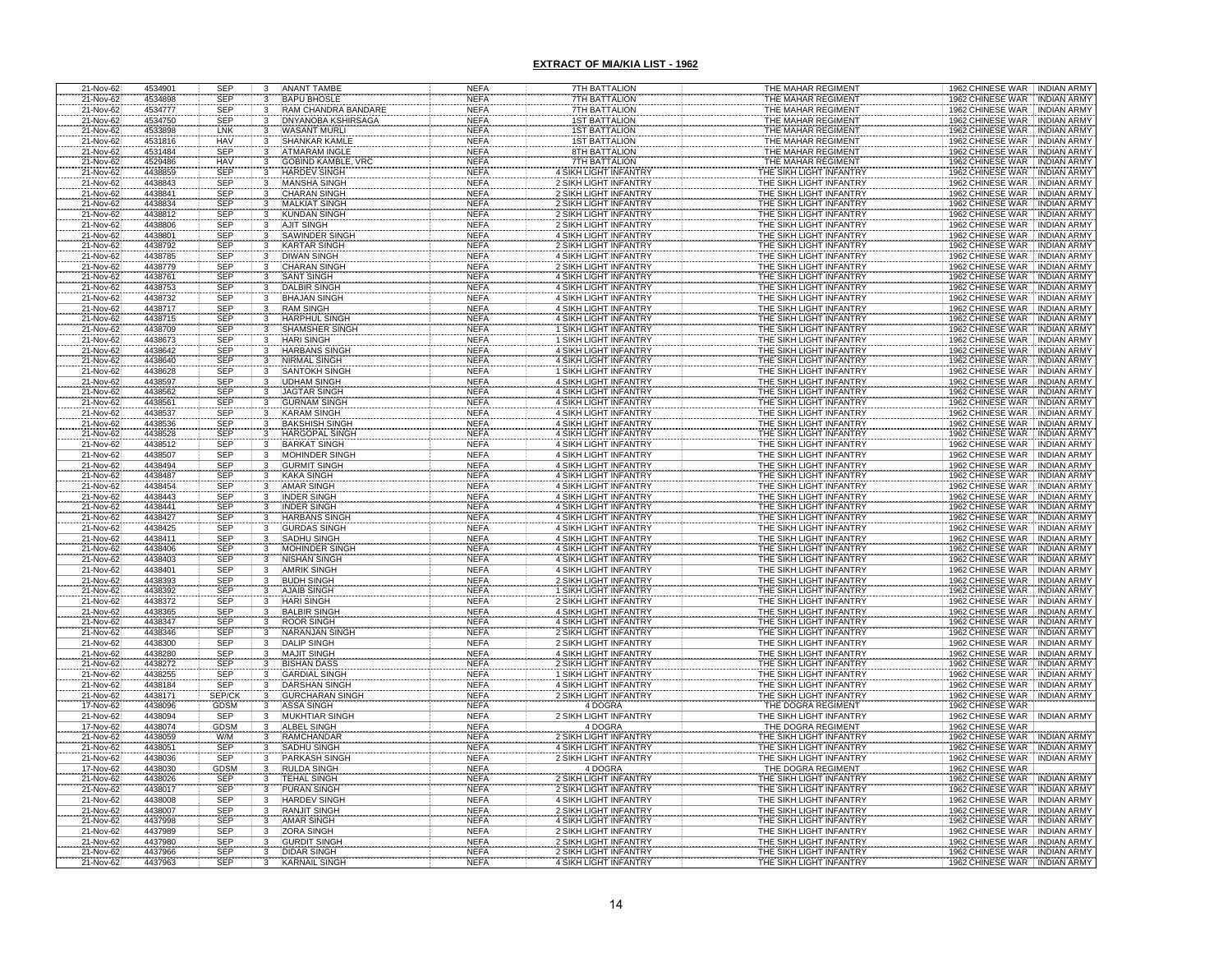| 21-Nov-62              | 4534901            | <b>SEP</b>               | 3                       | <b>ANANT TAMBE</b>                               | NEFA                       | 7TH BATTALION                                         | THE MAHAR REGIMENT                                 | 1962 CHINESE WAR INDIAN ARMY                                                     |
|------------------------|--------------------|--------------------------|-------------------------|--------------------------------------------------|----------------------------|-------------------------------------------------------|----------------------------------------------------|----------------------------------------------------------------------------------|
| 21-Nov-62              | 4534898            | <b>SEP</b>               | 3                       | <b>BAPU BHOSLE</b>                               | <b>NEFA</b>                | 7TH BATTALION                                         | THE MAHAR REGIMENT                                 | 1962 CHINESE WAR INDIAN ARMY                                                     |
| 21-Nov-62<br>21-Nov-62 | 4534777<br>4534750 | <b>SEP</b><br><b>SEP</b> | $\overline{\mathbf{3}}$ | RAM CHANDRA BANDARE<br><b>DNYANOBA KSHIRSAGA</b> | <b>NEFA</b><br><b>NEFA</b> | <b>7TH BATTALION</b><br><b>1ST BATTALION</b>          | THE MAHAR REGIMENT<br>THE MAHAR REGIMENT           | 1962 CHINESE WAR INDIAN ARMY<br>1962 CHINESE WAR INDIAN ARMY                     |
| 21-Nov-62              | 4533898            | LNK                      |                         | <b>WASANT MURLI</b>                              | <b>NEFA</b>                | <b>1ST BATTALION</b>                                  | THE MAHAR REGIMENT                                 | <b>INDIAN ARMY</b>                                                               |
| 21-Nov-62              | 4531816            | <b>HAV</b>               |                         | <b>SHANKAR KAMLE</b>                             | <b>NEFA</b>                | <b>1ST BATTALION</b>                                  | THE MAHAR REGIMENT                                 | 1962 CHINESE WAR<br>1962 CHINESE WAR<br><b>INDIAN ARMY</b>                       |
| 21-Nov-62              | 4531484            | <b>SEP</b>               | 3                       | <b>ATMARAM INGLE</b>                             | <b>NEFA</b>                | 8TH BATTALION                                         | THE MAHAR REGIMENT                                 | 1962 CHINESE WAR<br><b>INDIAN ARMY</b>                                           |
| 21-Nov-62              | 4529486            | <b>HAV</b>               | 3                       | <b>GOBIND KAMBLE, VRC</b>                        | <b>NEFA</b>                | <b>7TH BATTALION</b>                                  | THE MAHAR REGIMENT                                 | 1962 CHINESE WAR<br><b>INDIAN ARMY</b>                                           |
| 21-Nov-62              | 4438859            | <b>SEP</b>               |                         | <b>HARDEV SINGH</b>                              | <b>NEFA</b>                | 4 SIKH LIGHT INFANTRY                                 | THE SIKH LIGHT INFANTRY                            | 1962 CHINESE WAR INDIAN ARMY                                                     |
| 21-Nov-62              | 4438843            | <b>SEP</b>               | 3                       | <b>MANSHA SINGH</b>                              | <b>NEFA</b>                | <b>2 SIKH LIGHT INFANTRY</b>                          | THE SIKH LIGHT INFANTRY                            | 1962 CHINESE WAR<br><b>INDIAN ARMY</b>                                           |
| 21-Nov-62<br>21-Nov-62 | 4438841<br>4438834 | SEP<br><b>SEP</b>        | $\overline{3}$          | <b>CHARAN SINGH</b><br><b>MALKIAT SINGH</b>      | <b>NEFA</b><br><b>NEFA</b> | 2 SIKH LIGHT INFANTRY<br>2 SIKH LIGHT INFANTRY        | THE SIKH LIGHT INFANTRY<br>THE SIKH LIGHT INFANTRY | 1962 CHINESE WAR INDIAN ARMY<br>INDIAN ARMY                                      |
| 21-Nov-62              | 4438812            | <b>SEP</b>               |                         | <b>KUNDAN SINGH</b>                              | <b>NEFA</b>                | 2 SIKH LIGHT INFANTRY                                 | THE SIKH LIGHT INFANTRY                            | 1962 CHINESE WAR<br>1962 CHINESE WAR<br><b>INDIAN ARMY</b>                       |
| 21-Nov-62              | 4438806            | SEP                      |                         | <b>AJIT SINGH</b>                                | <b>NEFA</b>                | 2 SIKH LIGHT INFANTRY                                 | THE SIKH LIGHT INFANTRY                            | 1962 CHINESE WAR<br><b>INDIAN ARMY</b>                                           |
| 21-Nov-62              | 4438801            | SEP                      |                         | <b>SAWINDER SINGH</b>                            | <b>NEFA</b>                | 4 SIKH LIGHT INFANTRY                                 | THE SIKH LIGHT INFANTRY                            | 1962 CHINESE WAR<br><b>INDIAN ARMY</b>                                           |
| 21-Nov-62              | 4438792            | <b>SEP</b>               |                         | <b>KARTAR SINGH</b>                              | <b>NEFA</b>                | 2 SIKH LIGHT INFANTRY                                 | THE SIKH LIGHT INFANTRY                            | 1962 CHINESE WAR<br><b>INDIAN ARMY</b>                                           |
| 21-Nov-62              | 4438785            | SEP                      | 3                       | <b>DIWAN SINGH</b>                               | <b>NEFA</b>                | 4 SIKH LIGHT INFANTRY                                 | THE SIKH LIGHT INFANTRY                            | 1962 CHINESE WAR   INDIAN ARMY                                                   |
| 21-Nov-62<br>21-Nov-62 | 4438779<br>4438761 | <b>SEP</b><br>SEP        |                         | <b>CHARAN SINGH</b><br>SANT SINGH                | <b>NEFA</b><br><b>NEFA</b> | 2 SIKH LIGHT INFANTRY                                 | THE SIKH LIGHT INFANTRY<br>THE SIKH LIGHT INFANTRY | 1962 CHINESE WAR<br><b>INDIAN ARMY</b><br>1962 CHINESE WAR<br><b>INDIAN ARMY</b> |
| 21-Nov-62              | 4438753            | <b>SEP</b>               | $\frac{3}{3}$           | <b>DALBIR SINGH</b>                              | <b>NEFA</b>                | 4 SIKH LIGHT INFANTRY<br>4 SIKH LIGHT INFANTRY        | THE SIKH LIGHT INFANTRY                            | 1962 CHINESE WAR INDIAN ARMY                                                     |
| 21-Nov-62              | 4438732            | <b>SEP</b>               | 3                       | <b>BHAJAN SINGH</b>                              | <b>NEFA</b>                | 4 SIKH LIGHT INFANTRY                                 | THE SIKH LIGHT INFANTRY                            | 1962 CHINESE WAR<br><b>INDIAN ARMY</b>                                           |
| 21-Nov-62              | 4438717            | <b>SEP</b>               | 3                       | <b>RAM SINGH</b>                                 | <b>NEFA</b>                | 4 SIKH LIGHT INFANTRY                                 | THE SIKH LIGHT INFANTRY                            | 1962 CHINESE WAR<br><b>INDIAN ARMY</b>                                           |
| 21-Nov-62<br>21-Nov-62 | 4438715            | <b>SEP</b>               |                         | <b>HARPHUL SINGH</b>                             | <b>NEFA</b>                | 4 SIKH LIGHT INFANTRY<br>1 SIKH LIGHT INFANTRY        | THE SIKH LIGHT INFANTRY                            | 1962 CHINESE WAR<br><b>INDIAN ARMY</b>                                           |
| 21-Nov-62              | 4438709<br>4438673 | SEF<br><b>SEP</b>        |                         | <b>SHAMSHER SINGH</b><br><b>HARI SINGH</b>       | <b>NEFA</b><br><b>NEFA</b> | 1 SIKH LIGHT INFANTRY                                 | THE SIKH LIGHT INFANTRY<br>THE SIKH LIGHT INFANTRY | 1962 CHINESE WAR<br><b>INDIAN ARMY</b><br><b>INDIAN ARMY</b>                     |
| 21-Nov-62              | 4438642            | <b>SEP</b>               |                         | <b>HARBANS SINGH</b>                             | <b>NEFA</b>                | 4 SIKH LIGHT INFANTRY                                 | THE SIKH LIGHT INFANTRY                            | 1962 CHINESE WAR<br>1962 CHINESE WAR<br><b>INDIAN ARMY</b>                       |
| 21-Nov-62              | 4438640            | <b>SEP</b>               |                         | NIRMAL SINGH                                     | <b>NEFA</b>                | 4 SIKH LIGHT INFANTRY                                 | THE SIKH LIGHT INFANTRY                            | 1962 CHINESE WAR<br><b>INDIAN ARMY</b>                                           |
| 21-Nov-62              | 4438628            | <b>SEP</b>               |                         | <b>SANTOKH SINGH</b>                             | <b>NEFA</b>                | 1 SIKH LIGHT INFANTRY                                 | THE SIKH LIGHT INFANTRY                            | 1962 CHINESE WAR<br><b>INDIAN ARMY</b>                                           |
| 21-Nov-62              | 4438597            | <b>SEP</b>               |                         | <b>JDHAM SINGH</b>                               | <b>NEFA</b>                | 4 SIKH LIGHT INFANTRY                                 | THE SIKH LIGHT INFANTRY                            | 1962 CHINESE WAR<br><b>INDIAN ARMY</b>                                           |
| 21-Nov-62              | 4438562            | <b>SEP</b>               |                         | <b>JAGTAR SINGH</b>                              | <b>NEFA</b>                | 4 SIKH LIGHT INFANTRY<br>4 SIKH LIGHT INFANTRY        | THE SIKH LIGHT INFANTRY                            | 1962 CHINESE WAR<br><b>INDIAN ARMY</b><br>1962 CHINESE WAR                       |
| 21-Nov-62<br>21-Nov-62 | 4438561<br>4438537 | <b>SEP</b><br><b>SEP</b> |                         | <b>GURNAM SINGH</b><br>KARAM SINGH               | <b>NEFA</b><br><b>NEFA</b> | 4 SIKH LIGHT INFANTRY                                 | THE SIKH LIGHT INFANTRY<br>THE SIKH LIGHT INFANTRY | <b>INDIAN ARMY</b><br>1962 CHINESE WAR<br><b>INDIAN ARMY</b>                     |
| 21-Nov-62              | 4438536            | SEP                      |                         | <b>BAKSHISH SINGH</b>                            | NEFA                       | 4 SIKH LIGHT INFANTRY                                 | THE SIKH LIGHT INFANTRY                            | 1962 CHINESE WAR<br><b>INDIAN ARMY</b>                                           |
| 21-Nov-62              | 4438528            | SEP                      |                         | HARGOPAL SINGH                                   | <b>NEFA</b>                | 4 SIKH LIGHT INFANTRY                                 | THE SIKH LIGHT INFANTRY                            | 1962 CHINESE WAR<br><b>INDIAN ARMY</b>                                           |
| 21-Nov-62              | 4438512            | <b>SEP</b>               |                         | <b>BARKAT SINGH</b>                              | <b>NEFA</b>                | 4 SIKH LIGHT INFANTRY                                 | THE SIKH LIGHT INFANTRY                            | 1962 CHINESE WAR<br><b>INDIAN ARMY</b>                                           |
| 21-Nov-62              | 4438507            | SEP                      | $\overline{3}$          | <b>MOHINDER SINGH</b>                            | <b>NEFA</b>                | 4 SIKH LIGHT INFANTRY                                 | THE SIKH LIGHT INFANTRY                            | 1962 CHINESE WAR INDIAN ARMY                                                     |
| 21-Nov-62<br>21-Nov-62 | 4438494<br>4438487 | <b>SEP</b><br><b>SEF</b> | 3                       | <b>GURMIT SINGH</b><br><b>KAKA SINGH</b>         | <b>NEFA</b><br><b>NEFA</b> | 4 SIKH LIGHT INFANTRY<br><b>4 SIKH LIGHT INFANTRY</b> | THE SIKH LIGHT INFANTRY<br>THE SIKH LIGHT INFANTRY | 1962 CHINESE WAR<br><b>INDIAN ARMY</b><br>1962 CHINESE WAR<br><b>INDIAN ARMY</b> |
| 21-Nov-62              | 4438454            | <b>SEP</b>               |                         | <b>AMAR SINGH</b>                                | <b>NEFA</b>                | 4 SIKH LIGHT INFANTRY                                 | THE SIKH LIGHT INFANTRY                            | 1962 CHINESE WAR<br><b>INDIAN ARMY</b>                                           |
| 21-Nov-62              | 4438443            | <b>SEP</b>               |                         | <b>INDER SINGH</b>                               | <b>NEFA</b>                | 4 SIKH LIGHT INFANTRY                                 | THE SIKH LIGHT INFANTRY                            | 1962 CHINESE WAR<br><b>INDIAN ARMY</b>                                           |
| 21-Nov-62              | 4438441            | <b>SEP</b>               |                         | <b>INDER SINGH</b>                               | <b>NEFA</b>                | 4 SIKH LIGHT INFANTRY                                 | THE SIKH LIGHT INFANTRY                            | 1962 CHINESE WAR INDIAN ARMY                                                     |
| 21-Nov-62              | 4438427            | <b>SEP</b>               |                         | <b>HARBANS SINGH</b>                             | <b>NEFA</b>                | 4 SIKH LIGHT INFANTRY                                 | THE SIKH LIGHT INFANTRY                            | 1962 CHINESE WAR   INDIAN ARMY                                                   |
| 21-Nov-62              | 4438425<br>4438411 | <b>SEP</b>               |                         | <b>GURDAS SINGH</b>                              | <b>NEFA</b>                | 4 SIKH LIGHT INFANTRY                                 | THE SIKH LIGHT INFANTRY                            | 1962 CHINESE WAR INDIAN ARMY                                                     |
| 21-Nov-62<br>21-Nov-62 | 4438406            | SEP<br>SEP               |                         | SADHU SINGH<br><b>MOHINDER SINGH</b>             | <b>NEFA</b><br><b>NEFA</b> | 4 SIKH LIGHT INFANTRY<br>4 SIKH LIGHT INFANTRY        | THE SIKH LIGHT INFANTRY<br>THE SIKH LIGHT INFANTRY | 1962 CHINESE WAR INDIAN ARMY<br>1962 CHINESE WAR INDIAN ARMY                     |
| 21-Nov-62              | 4438403            | <b>SEP</b>               | 3                       | NISHAN SINGH                                     | <b>NEFA</b>                | 4 SIKH LIGHT INFANTRY                                 | THE SIKH LIGHT INFANTRY                            | 1962 CHINESE WAR INDIAN ARMY                                                     |
| 21-Nov-62              | 4438401            | SEP                      | $\overline{3}$          | <b>AMRIK SINGH</b>                               | <b>NEFA</b>                | 4 SIKH LIGHT INFANTRY                                 | THE SIKH LIGHT INFANTRY                            | 1962 CHINESE WAR INDIAN ARMY                                                     |
| 21-Nov-62              | 4438393            |                          |                         | <b>BUDH SINGH</b>                                | <b>NEFA</b>                | 2 SIKH LIGHT INFANTRY                                 | THE SIKH LIGHT INFANTRY                            | 1962 CHINESE WAR<br><b>INDIAN ARMY</b>                                           |
| 21-Nov-62              | 4438392            | SEP<br>SEP<br>SEP        |                         | <b>AJAIB SINGH</b>                               | <b>NEFA</b>                | <b>SIKH LIGHT INFANTRY</b><br>2 SIKH LIGHT INFANTRY   | THE SIKH LIGHT INFANTRY                            | 1962 CHINESE WAR<br>1962 CHINESE WAR<br><b>INDIAN ARMY</b>                       |
| 21-Nov-62<br>21-Nov-62 | 4438372<br>4438365 | SEP                      |                         | <b>HARI SINGH</b><br><b>BALBIR SINGH</b>         | <b>NEFA</b><br><b>NEFA</b> | 4 SIKH LIGHT INFANTRY                                 | THE SIKH LIGHT INFANTRY<br>THE SIKH LIGHT INFANTRY | <b>INDIAN ARMY</b><br>1962 CHINESE WAR<br><b>INDIAN ARMY</b>                     |
| 21-Nov-62              | 4438347            | <b>SEP</b>               |                         | <b>ROOR SINGH</b>                                | <b>NEFA</b>                | 4 SIKH LIGHT INFANTRY                                 | THE SIKH LIGHT INFANTRY                            | 1962 CHINESE WAR INDIAN ARMY                                                     |
| 21-Nov-62              | 4438346            | <b>SEP</b>               |                         | NARANJAN SINGH                                   | <b>NEFA</b>                | 2 SIKH LIGHT INFANTRY                                 | THE SIKH LIGHT INFANTRY                            | 1962 CHINESE WAR INDIAN ARMY                                                     |
| 21-Nov-62              | 4438300            | <b>SEP</b>               |                         | <b>DALIP SINGH</b>                               | <b>NEFA</b>                | 2 SIKH LIGHT INFANTRY                                 | THE SIKH LIGHT INFANTRY                            | 1962 CHINESE WAR<br><b>INDIAN ARMY</b>                                           |
| 21-Nov-62<br>21-Nov-62 | 4438280            | <b>SEP</b><br><b>SEP</b> |                         | <b>MAJIT SINGH</b>                               | <b>NEFA</b>                | 4 SIKH LIGHT INFANTRY<br>2 SIKH LIGHT INFANTRY        | THE SIKH LIGHT INFANTRY<br>THE SIKH LIGHT INFANTRY | 1962 CHINESE WAR<br><b>INDIAN ARMY</b><br>1962 CHINESE WAR                       |
| 21-Nov-62              | 4438272<br>4438255 | <b>SEP</b>               |                         | <b>BISHAN DASS</b><br><b>GARDIAL SINGH</b>       | <b>NEFA</b><br><b>NEFA</b> | 1 SIKH LIGHT INFANTRY                                 | THE SIKH LIGHT INFANTRY                            | <b>INDIAN ARMY</b><br>1962 CHINESE WAR<br><b>INDIAN ARMY</b>                     |
| 21-Nov-62              | 4438184            | SEP                      |                         | DARSHAN SINGH                                    | <b>NEFA</b>                | 4 SIKH LIGHT INFANTRY                                 | THE SIKH LIGHT INFANTRY                            | 1962 CHINESE WAR<br><b>INDIAN ARMY</b>                                           |
| 21-Nov-62              | 4438171            | SEP/CK<br>GDSM           |                         | <b>GURCHARAN SING</b>                            | <b>NEFA</b>                | 2 SIKH LIGHT INFANTRY                                 | THE SIKH LIGHT INFANTRY                            | 1962 CHINESE WAR INDIAN ARMY                                                     |
| 17-Nov-62              | 4438096            |                          |                         | <b>ASSA SINGH</b>                                | <b>NEFA</b>                | 4 DOGRA                                               | THE DOGRA REGIMENT                                 | 1962 CHINESE WAR                                                                 |
| 21-Nov-62              | 4438094            | SEP                      |                         | <b>MUKHTIAR SINGH</b>                            | <b>NEFA</b>                | <b>2 SIKH LIGHT INFANTRY</b>                          | THE SIKH LIGHT INFANTRY                            | 1962 CHINESE WAR INDIAN ARMY                                                     |
| 17-Nov-62<br>21-Nov-62 | 4438074<br>4438059 | GDSM<br>W/M              |                         | <b>ALBEL SINGH</b><br><b>RAMCHANDAR</b>          | <b>NEFA</b><br><b>NEFA</b> | 4 DOGRA<br>2 SIKH LIGHT INFANTRY                      | THE DOGRA REGIMENT<br>THE SIKH LIGHT INFANTRY      | 1962 CHINESE WAR<br>1962 CHINESE WAR<br><b>INDIAN ARMY</b>                       |
| 21-Nov-62              | 4438051            | SEP                      |                         | SADHU SINGH                                      | <b>NEFA</b>                | 4 SIKH LIGHT INFANTRY                                 | THE SIKH LIGHT INFANTRY                            | 1962 CHINESE WAR<br><b>INDIAN ARMY</b>                                           |
| 21-Nov-62              | 4438036            | <b>SEP</b>               | 3                       | <b>PARKASH SINGH</b>                             | <b>NEFA</b>                | 2 SIKH LIGHT INFANTRY                                 | THE SIKH LIGHT INFANTRY                            | 1962 CHINESE WAR INDIAN ARMY                                                     |
| 17-Nov-62              | 4438030            | <b>GDSM</b>              | 3                       | RULDA SINGH                                      | <b>NEFA</b>                | 4 DOGRA                                               | THE DOGRA REGIMENT                                 | 1962 CHINESE WAR                                                                 |
| 21-Nov-62              | 4438026            | <b>SEP</b>               | 3                       | <b>TEHAL SINGH</b>                               | <b>NEFA</b>                | 2 SIKH LIGHT INFANTRY                                 | THE SIKH LIGHT INFANTRY                            | 1962 CHINESE WAR<br>INDIAN ARMY                                                  |
| 21-Nov-62<br>21-Nov-62 | 4438017<br>4438008 | <b>SEP</b><br><b>SEP</b> | $\overline{3}$          | <b>PURAN SINGH</b><br><b>HARDEV SINGH</b>        | <b>NEFA</b><br><b>NEFA</b> | 2 SIKH LIGHT INFANTRY<br>4 SIKH LIGHT INFANTRY        | THE SIKH LIGHT INFANTRY<br>THE SIKH LIGHT INFANTRY | 1962 CHINESE WAR<br><b>INDIAN ARMY</b><br>1962 CHINESE WAR INDIAN ARMY           |
| 21-Nov-62              | 4438007            | <b>SEP</b>               | $\frac{3}{3}$           | <b>RANJIT SINGH</b>                              | <b>NEFA</b>                | 2 SIKH LIGHT INFANTRY                                 | THE SIKH LIGHT INFANTRY                            | 1962 CHINESE WAR   INDIAN ARMY                                                   |
| 21-Nov-62              | 4437998            | <b>SEP</b>               | $\overline{3}$          | <b>AMAR SINGH</b>                                | <b>NEFA</b>                | 4 SIKH LIGHT INFANTRY                                 | THE SIKH LIGHT INFANTRY                            | 1962 CHINESE WAR INDIAN ARMY                                                     |
| 21-Nov-62              | 4437989            | <b>SEP</b>               | $\overline{3}$          | <b>ZORA SINGH</b>                                | <b>NEFA</b>                | 2 SIKH LIGHT INFANTRY                                 | THE SIKH LIGHT INFANTRY                            | 1962 CHINESE WAR INDIAN ARMY                                                     |
| 21-Nov-62              | 4437980            | <b>SEP</b>               |                         | <b>GURDIT SINGH</b>                              | <b>NEFA</b>                | 2 SIKH LIGHT INFANTRY                                 | THE SIKH LIGHT INFANTRY                            | 1962 CHINESE WAR INDIAN ARMY                                                     |
| 21-Nov-62              | 4437966            | <b>SEP</b><br><b>SEP</b> |                         | <b>DIDAR SINGH</b>                               | <b>NEFA</b>                | <b>2 SIKH LIGHT INFANTRY</b>                          | THE SIKH LIGHT INFANTRY                            | 1962 CHINESE WAR NDIAN ARMY<br>1962 CHINESE WAR                                  |
| 21-Nov-62              | 4437963            |                          |                         | KARNAIL SING                                     | <b>NEFA</b>                | 4 SIKH LIGHT INFANTRY                                 | THE SIKH LIGHT INFANTR'                            | <b>INDIAN ARMY</b>                                                               |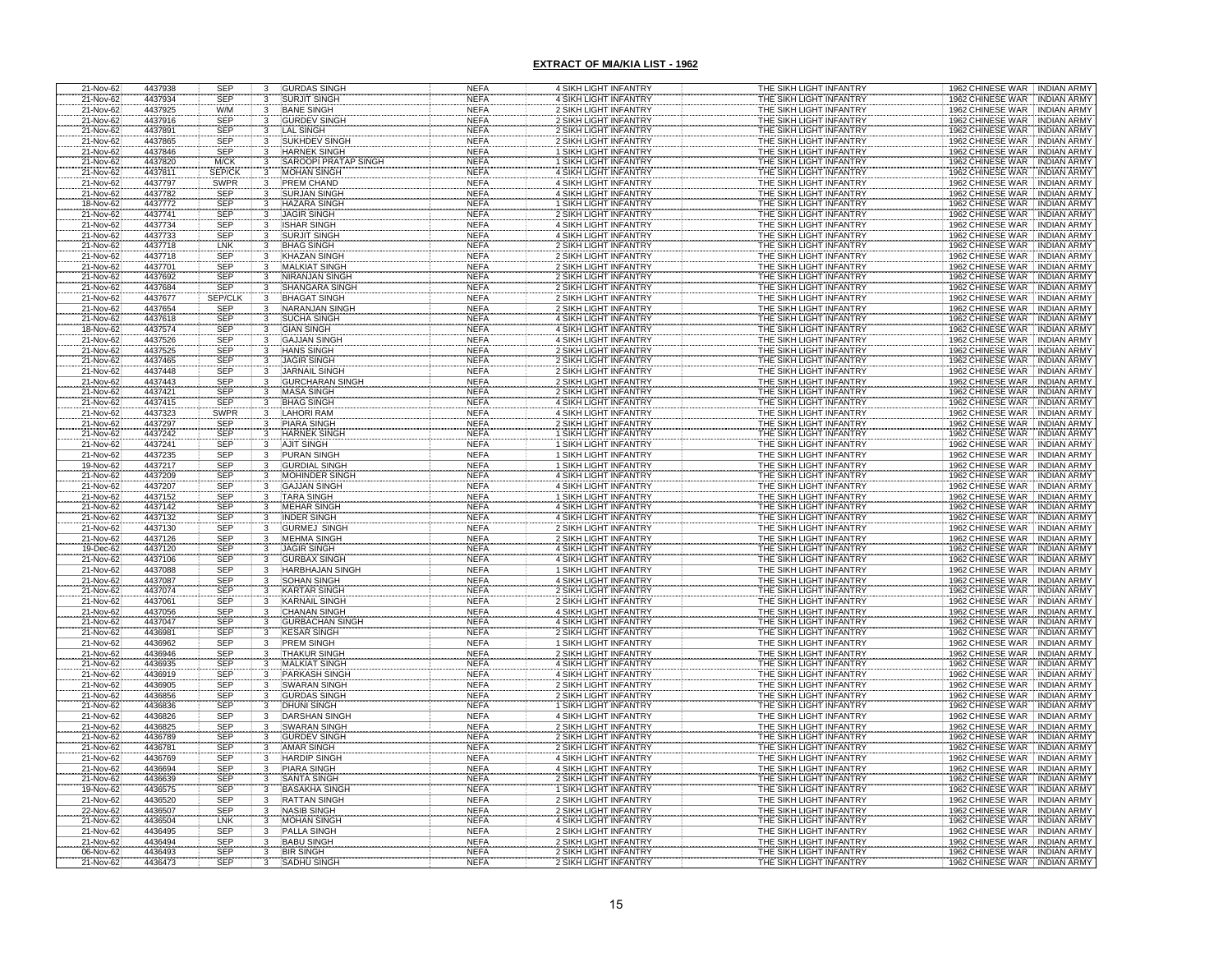| 21-Nov-62                           | 4437938 | <b>SEP</b>               | 3                   | <b>GURDAS SINGH</b>                           | <b>NEFA</b>                | 4 SIKH LIGHT INFANTRY                                 | THE SIKH LIGHT INFANTRY                                   | 1962 CHINESE WAR INDIAN ARMY           |
|-------------------------------------|---------|--------------------------|---------------------|-----------------------------------------------|----------------------------|-------------------------------------------------------|-----------------------------------------------------------|----------------------------------------|
| 21-Nov-62                           | 4437934 | <b>SEP</b>               | 3                   | <b>SURJIT SINGH</b>                           | <b>NEFA</b>                | 4 SIKH LIGHT INFANTRY                                 | THE SIKH LIGHT INFANTRY                                   | 1962 CHINESE WAR<br><b>INDIAN ARMY</b> |
| 21-Nov-62                           | 4437925 | W/M                      | 3                   | <b>BANE SINGH</b>                             | <b>NEFA</b>                | 2 SIKH LIGHT INFANTRY                                 | THE SIKH LIGHT INFANTRY                                   | 1962 CHINESE WAR<br><b>INDIAN ARMY</b> |
| 21-Nov-62                           | 4437916 | SEP                      |                     | <b>GURDEV SINGH</b>                           | <b>NEFA</b>                | 2 SIKH LIGHT INFANTRY                                 | THE SIKH LIGHT INFANTRY                                   | 1962 CHINESE WAR<br><b>INDIAN ARMY</b> |
| 21-Nov-62                           | 4437891 | SEP                      |                     | LAL SINGH                                     | <b>NEFA</b>                | 2 SIKH LIGHT INFANTRY                                 | THE SIKH LIGHT INFANTRY                                   | 1962 CHINESE WAR<br><b>INDIAN ARMY</b> |
| 21-Nov-62                           | 4437865 | SEP                      |                     | SUKHDEV SINGH                                 | <b>NEFA</b>                | 2 SIKH LIGHT INFANTRY                                 | THE SIKH LIGHT INFANTRY                                   | 1962 CHINESE WAR<br><b>INDIAN ARMY</b> |
| 21-Nov-62                           | 4437846 | <b>SEP</b>               |                     | <b>HARNEK SINGH</b>                           | <b>NEFA</b>                | 1 SIKH LIGHT INFANTRY                                 | THE SIKH LIGHT INFANTRY                                   | 1962 CHINESE WAR INDIAN ARMY           |
| 21-Nov-62                           | 4437820 | M/CK                     |                     | SAROOPI PRATAP SINGH                          | <b>NEFA</b>                | 1 SIKH LIGHT INFANTRY                                 | THE SIKH LIGHT INFANTRY                                   | 1962 CHINESE WAR<br><b>INDIAN ARMY</b> |
| 21-Nov-62                           | 4437811 | SEP/CI                   |                     | <b>MOHAN SINGH</b>                            | <b>NEFA</b>                | 4 SIKH LIGHT INFANTRY                                 | THE SIKH LIGHT INFANTRY                                   | 1962 CHINESE WAR<br>INDIAN ARMY        |
| 21-Nov-62                           | 4437797 | <b>SWPR</b>              | 3                   | PREM CHAND                                    | <b>NEFA</b>                | 4 SIKH LIGHT INFANTRY                                 | THE SIKH LIGHT INFANTRY                                   | 1962 CHINESE WAR<br><b>INDIAN ARMY</b> |
| 21-Nov-62                           | 4437782 | SEP                      | 3                   | <b>SURJAN SINGH</b>                           | <b>NEFA</b>                | 4 SIKH LIGHT INFANTRY                                 | THE SIKH LIGHT INFANTRY                                   | 1962 CHINESE WAR<br><b>INDIAN ARMY</b> |
| 18-Nov-62                           | 4437772 |                          |                     | <b>HAZARA SINGH</b>                           | <b>NEFA</b>                | 1 SIKH LIGHT INFANTRY                                 | THE SIKH LIGHT INFANTRY                                   | 1962 CHINESE WAR<br><b>INDIAN ARMY</b> |
| 21-Nov-62                           | 4437741 | SEP<br>SEP               |                     | <b>JAGIR SINGH</b>                            | <b>NEFA</b>                | <b>2 SIKH LIGHT INFANTRY</b>                          | THE SIKH LIGHT INFANTRY                                   | 1962 CHINESE WAR<br><b>INDIAN ARMY</b> |
| 21-Nov-62                           | 4437734 | SEP                      |                     | <b>ISHAR SINGH</b>                            | <b>NEFA</b>                | 4 SIKH LIGHT INFANTRY                                 | THE SIKH LIGHT INFANTRY                                   | 1962 CHINESE WAR<br><b>INDIAN ARMY</b> |
| 21-Nov-62                           | 4437733 | SEP                      |                     | <b>SURJIT SINGH</b>                           | <b>NEFA</b>                | 4 SIKH LIGHT INFANTRY                                 | THE SIKH LIGHT INFANTRY                                   | 1962 CHINESE WAR INDIAN ARMY           |
| 21-Nov-62                           | 4437718 | LNK                      |                     | <b>BHAG SINGH</b>                             | <b>NEFA</b>                | 2 SIKH LIGHT INFANTRY                                 | THE SIKH LIGHT INFANTRY                                   | 1962 CHINESE WAR<br><b>INDIAN ARMY</b> |
| 21-Nov-62                           | 4437718 | SEP                      |                     | <b>KHAZAN SINGH</b>                           | <b>NEFA</b>                | 2 SIKH LIGHT INFANTRY                                 | THE SIKH LIGHT INFANTRY                                   | 1962 CHINESE WAR INDIAN ARMY           |
| 21-Nov-62                           | 4437701 | SEP                      |                     | <b>MALKIAT SINGH</b>                          | <b>NEFA</b>                | 2 SIKH LIGHT INFANTRY                                 | THE SIKH LIGHT INFANTRY                                   | 1962 CHINESE WAR . INDIAN ARMY         |
| 21-Nov-62                           | 4437692 | SEP                      |                     | <b>NIRANJAN SINGH</b>                         | <b>NEFA</b>                | 2 SIKH LIGHT INFANTRY                                 | THE SIKH LIGHT INFANTRY                                   | 1962 CHINESE WAR<br><b>INDIAN ARMY</b> |
| 21-Nov-62                           | 4437684 | <b>SEP</b>               |                     | <b>SHANGARA SINGH</b>                         | <b>NEFA</b>                | 2 SIKH LIGHT INFANTRY                                 | THE SIKH LIGHT INFANTRY                                   | 1962 CHINESE WAR<br><b>INDIAN ARMY</b> |
| 21-Nov-62                           | 4437677 | SEP/CLK                  | 3                   | <b>BHAGAT SINGH</b>                           | <b>NEFA</b>                | <b>2 SIKH LIGHT INFANTRY</b>                          | THE SIKH LIGHT INFANTRY                                   | 1962 CHINESE WAR INDIAN ARMY           |
| 21-Nov-62                           | 4437654 | SEP                      | $\overline{3}$      | <b>NARANJAN SINGH</b>                         | <b>NEFA</b>                | 2 SIKH LIGHT INFANTRY                                 | THE SIKH LIGHT INFANTRY                                   | 1962 CHINESE WAR<br><b>INDIAN ARMY</b> |
|                                     | 4437618 |                          |                     | <b>SUCHA SINGH</b>                            | <b>NEFA</b>                | <b>4 SIKH LIGHT INFANTRY</b>                          | THE SIKH LIGHT INFANTRY                                   | 1962 CHINESE WAR<br><b>INDIAN ARMY</b> |
| 21-Nov-62<br>18-Nov-62              | 4437574 | SEP<br>SEP               |                     | <b>GIAN SINGH</b>                             | <b>NEFA</b>                | <b>4 SIKH LIGHT INFANTRY</b>                          | THE SIKH LIGHT INFANTRY                                   | 1962 CHINESE WAR<br><b>INDIAN ARMY</b> |
| 21-Nov-62                           | 4437526 | SEP                      |                     | <b>GAJJAN SINGH</b>                           | <b>NEFA</b>                | 4 SIKH LIGHT INFANTRY                                 | THE SIKH LIGHT INFANTRY                                   | 1962 CHINESE WAR<br><b>INDIAN ARMY</b> |
| 21-Nov-62                           | 4437525 | <b>SEP</b>               |                     | <b>HANS SINGH</b>                             | <b>NEFA</b>                | 2 SIKH LIGHT INFANTRY                                 | THE SIKH LIGHT INFANTRY                                   | 1962 CHINESE WAR<br><b>INDIAN ARMY</b> |
| 21-Nov-62                           | 4437465 | <b>SEP</b>               |                     | <b>JAGIR SINGH</b>                            | <b>NEFA</b>                | <b>2 SIKH LIGHT INFANTRY</b>                          | THE SIKH LIGHT INFANTRY                                   | 1962 CHINESE WAR<br><b>INDIAN ARMY</b> |
| 21-Nov-62                           | 4437448 | SEP                      |                     | <b>JARNAIL SINGH</b>                          | <b>NEFA</b>                | <b>2 SIKH LIGHT INFANTRY</b>                          | THE SIKH LIGHT INFANTRY                                   | 1962 CHINESE WAR<br><b>INDIAN ARMY</b> |
| 21-Nov-62                           | 4437443 | <b>SEP</b>               |                     | <b>GURCHARAN SINGH</b>                        | <b>NEFA</b>                | 2 SIKH LIGHT INFANTRY                                 | THE SIKH LIGHT INFANTRY                                   | 1962 CHINESE WAR<br><b>INDIAN ARMY</b> |
|                                     | 4437421 | <b>SEP</b>               |                     | <b>MASA SINGH</b>                             | <b>NEFA</b>                | <b>2 SIKH LIGHT INFANTRY</b>                          | THE SIKH LIGHT INFANTRY                                   | 1962 CHINESE WAR<br><b>INDIAN ARMY</b> |
| 21-Nov-62<br>21-Nov-62              | 4437415 | <b>SEP</b>               |                     | <b>BHAG SINGH</b>                             | <b>NEFA</b>                | 4 SIKH LIGHT INFANTRY                                 | THE SIKH LIGHT INFANTRY                                   | 1962 CHINESE WAR<br><b>INDIAN ARMY</b> |
| 21-Nov-62                           | 4437323 | <b>SWPR</b>              |                     | <b>LAHORI RAM</b>                             | <b>NEFA</b>                | 4 SIKH LIGHT INFANTRY                                 | THE SIKH LIGHT INFANTRY                                   | 1962 CHINESE WAR<br><b>INDIAN ARMY</b> |
|                                     | 4437297 | SEP                      |                     | PIARA SINGH                                   | <b>NEFA</b>                | 2 SIKH LIGHT INFANTRY                                 | THE SIKH LIGHT INFANTRY                                   | 1962 CHINESE WAR<br><b>INDIAN ARMY</b> |
| 21-Nov-62                           | 4437242 | SEP                      |                     | <b>HARNEK SINGH</b>                           | <b>NEFA</b>                | <b>SIKH LIGHT INFANTRY</b>                            | THE SIKH LIGHT INFANTRY                                   | 1962 CHINESE WAR<br><b>INDIAN ARMY</b> |
| 21-Nov-62<br>21-Nov-62              | 4437241 | <b>SEP</b>               |                     | <b>AJIT SINGH</b>                             | <b>NEFA</b>                | I SIKH LIGHT INFANTRY                                 | THE SIKH LIGHT INFANTRY                                   | 1962 CHINESE WAR<br><b>INDIAN ARMY</b> |
|                                     | 4437235 | <b>SEP</b>               | 3                   | <b>PURAN SINGH</b>                            | <b>NEFA</b>                | 1 SIKH LIGHT INFANTRY                                 | THE SIKH LIGHT INFANTRY                                   | 1962 CHINESE WAR<br><b>INDIAN ARMY</b> |
| 21-Nov-62                           | 4437217 |                          |                     |                                               | <b>NEFA</b>                | I SIKH LIGHT INFANTRY                                 |                                                           | 1962 CHINESE WAR<br><b>INDIAN ARMY</b> |
| 19-Nov-62<br>21-Nov-62              | 4437209 | SEP<br>SEP               |                     | <b>GURDIAL SINGH</b><br><b>MOHINDER SINGH</b> | <b>NEFA</b>                | <b>4 SIKH LIGHT INFANTRY</b>                          | <u>THE SIKH LIGHT INFANTRY</u><br>THE SIKH LIGHT INFANTRY | 1962 CHINESE WAR<br><b>INDIAN ARMY</b> |
| 21-Nov-62                           | 4437207 | <b>SEP</b>               |                     | <b>GAJJAN SINGH</b>                           | <b>NEFA</b>                | 4 SIKH LIGHT INFANTRY                                 | THE SIKH LIGHT INFANTRY                                   | 1962 CHINESE WAR<br><b>INDIAN ARMY</b> |
| 21-Nov-62                           | 4437152 | <b>SEP</b>               |                     | <b>TARA SINGH</b>                             | <b>NEFA</b>                | 1 SIKH LIGHT INFANTRY                                 | THE SIKH LIGHT INFANTRY                                   | 1962 CHINESE WAR<br><b>INDIAN ARMY</b> |
| 21-Nov-62                           | 4437142 | <b>SEP</b>               |                     | <b>MEHAR SINGH</b>                            | <b>NEFA</b>                | 4 SIKH LIGHT INFANTRY                                 | THE SIKH LIGHT INFANTRY                                   | 1962 CHINESE WAR<br><b>INDIAN ARMY</b> |
|                                     | 4437132 | <b>SEP</b>               |                     | <b>INDER SINGH</b>                            | <b>NEFA</b>                | 4 SIKH LIGHT INFANTRY                                 | THE SIKH LIGHT INFANTRY                                   | 1962 CHINESE WAR<br><b>INDIAN ARMY</b> |
| 21-Nov-62                           | 4437130 | <b>SEP</b>               | $\overline{3}$      | <b>GURMEJ SINGH</b>                           | <b>NEFA</b>                | 2 SIKH LIGHT INFANTRY                                 |                                                           |                                        |
| 21-Nov-62                           |         |                          |                     |                                               |                            |                                                       | THE SIKH LIGHT INFANTRY                                   | 1962 CHINESE WAR INDIAN ARMY           |
| 21-Nov-62<br>19-Dec-62              | 4437126 | SEP<br>SEP               | $\frac{3}{3}$       | <b>MEHMA SINGH</b><br><b>JAGIR SINGH</b>      | <b>NEFA</b>                | 2 SIKH LIGHT INFANTRY                                 | THE SIKH LIGHT INFANTRY                                   | 1962 CHINESE WAR<br><b>INDIAN ARMY</b> |
|                                     | 4437120 |                          |                     |                                               | <b>NEFA</b>                | 4 SIKH LIGHT INFANTRY                                 | THE SIKH LIGHT INFANTRY                                   | 1962 CHINESE WAR INDIAN ARMY           |
| 21-Nov-62                           | 4437106 | <b>SEP</b>               | 3<br>3              | <b>GURBAX SINGH</b>                           | <b>NEFA</b>                | 4 SIKH LIGHT INFANTRY                                 | THE SIKH LIGHT INFANTRY                                   | 1962 CHINESE WAR INDIAN ARMY           |
| 21-Nov-62                           | 4437088 | <b>SEP</b>               |                     | <b>HARBHAJAN SINGH</b>                        | <b>NEFA</b>                | 1 SIKH LIGHT INFANTRY                                 | THE SIKH LIGHT INFANTRY                                   | 1962 CHINESE WAR INDIAN ARMY           |
| 21-Nov-62<br>21-Nov-62              | 4437087 | SEP<br>SEP<br>SEP<br>SEP | 3                   | <b>SOHAN SINGH</b><br><b>KARTAR SINGH</b>     | <b>NEFA</b>                | 4 SIKH LIGHT INFANTRY                                 | THE SIKH LIGHT INFANTRY                                   | 1962 CHINESE WAR INDIAN ARMY           |
|                                     | 4437074 |                          |                     |                                               | <b>NEFA</b>                | <b>2 SIKH LIGHT INFANTRY</b>                          | THE SIKH LIGHT INFANTRY                                   | 1962 CHINESE WAR<br><b>INDIAN ARMY</b> |
| 21-Nov-62<br>21-Nov-62              | 4437061 |                          |                     | <b>KARNAIL SINGH</b>                          | <b>NEFA</b><br><b>NEFA</b> | 2 SIKH LIGHT INFANTRY                                 | THE SIKH LIGHT INFANTRY                                   | 1962 CHINESE WAR<br><b>INDIAN ARMY</b> |
|                                     | 4437056 | SEP                      |                     | <b>CHANAN SINGH</b>                           |                            | 4 SIKH LIGHT INFANTRY                                 | THE SIKH LIGHT INFANTRY                                   | 1962 CHINESE WAR<br><b>INDIAN ARMY</b> |
| 21-Nov-62                           | 4437047 | SEP                      |                     | <b>GURBACHAN SINGH</b>                        | <b>NEFA</b>                | 4 SIKH LIGHT INFANTRY                                 | THE SIKH LIGHT INFANTRY                                   | 1962 CHINESE WAR INDIAN ARMY           |
| 21-Nov-62                           | 4436981 | SEP                      |                     | <b>KESAR SINGH</b>                            | <b>NEFA</b>                | 2 SIKH LIGHT INFANTRY                                 | THE SIKH LIGHT INFANTRY                                   | 1962 CHINESE WAR INDIAN ARMY           |
| 21-Nov-62                           | 4436962 |                          |                     | <b>PREM SINGH</b><br><b>THAKUR SINGH</b>      | <b>NEFA</b>                | <b>1 SIKH LIGHT INFANTRY</b>                          | THE SIKH LIGHT INFANTRY                                   | 1962 CHINESE WAR<br><b>INDIAN ARMY</b> |
| 21-Nov-62<br>21-Nov-62<br>21-Nov-62 | 4436946 | SEP<br>SEP               |                     | <b>MALKIAT SINGH</b>                          | <b>NEFA</b>                | <b>2 SIKH LIGHT INFANTRY</b><br>4 SIKH LIGHT INFANTRY | THE SIKH LIGHT INFANTRY                                   | <b>INDIAN ARMY</b><br>1962 CHINESE WAR |
|                                     | 4436935 | SEP                      |                     |                                               | <b>NEFA</b>                |                                                       | THE SIKH LIGHT INFANTRY<br>THE SIKH LIGHT INFANTRY        | 1962 CHINESE WAR<br><b>INDIAN ARMY</b> |
|                                     | 4436919 |                          |                     | <b>PARKASH SINGH</b>                          | <b>NEFA</b>                | 4 SIKH LIGHT INFANTRY                                 |                                                           | 1962 CHINESE WAR<br><b>INDIAN ARMY</b> |
| 21-Nov-62<br>21-Nov-62<br>21-Nov-62 | 4436905 | SEP<br>SEP               |                     | SWARAN SINGH                                  | <b>NEFA</b>                | 2 SIKH LIGHT INFANTRY                                 | THE SIKH LIGHT INFANTRY                                   | 1962 CHINESE WAR<br><b>INDIAN ARMY</b> |
|                                     | 4436856 | SEP                      |                     | <b>GURDAS SINGH</b>                           | <b>NEFA</b>                | 2 SIKH LIGHT INFANTRY                                 | THE SIKH LIGHT INFANTRY<br>THE SIKH LIGHT INFANTRY        | 1962 CHINESE WAR<br><b>INDIAN ARMY</b> |
|                                     | 4436836 |                          |                     | <b>DHUNI SINGH</b>                            | <b>NEFA</b>                | 1 SIKH LIGHT INFANTRY                                 |                                                           | 1962 CHINESE WAR INDIAN ARMY           |
| 21-Nov-62                           | 4436826 | SEP                      |                     | <b>DARSHAN SINGH</b>                          | <b>NEFA</b>                | 4 SIKH LIGHT INFANTRY                                 | THE SIKH LIGHT INFANTRY                                   | <b>INDIAN ARMY</b><br>1962 CHINESE WAR |
| 21-Nov-62<br>21-Nov-62              | 4436825 | SEP<br>SEP               |                     | SWARAN SINGH                                  | <b>NEFA</b>                | 2 SIKH LIGHT INFANTRY                                 | THE SIKH LIGHT INFANTRY                                   | <b>INDIAN ARMY</b><br>1962 CHINESE WAR |
|                                     | 4436789 |                          |                     | <b>GURDEV SINGH</b>                           | <b>NEFA</b>                | <b>2 SIKH LIGHT INFANTRY</b>                          | THE SIKH LIGHT INFANTRY                                   | <b>INDIAN ARMY</b><br>1962 CHINESE WAR |
| 21-Nov-62                           | 4436781 | SEP                      | 3                   | AMAR SINGH                                    | <b>NEFA</b>                | 2 SIKH LIGHT INFANTRY                                 | THE SIKH LIGHT INFANTRY                                   | 1962 CHINESE WAR   INDIAN ARMY         |
| 21-Nov-62                           | 4436769 | SEP                      |                     | <b>HARDIP SINGH</b>                           | <b>NEFA</b>                | 4 SIKH LIGHT INFANTRY                                 | THE SIKH LIGHT INFANTRY                                   | 1962 CHINESE WAR INDIAN ARMY           |
| 21-Nov-62                           | 4436694 | <b>SEP</b>               | 3<br>$\overline{3}$ | PIARA SINGH                                   | <b>NEFA</b>                | 4 SIKH LIGHT INFANTRY                                 | THE SIKH LIGHT INFANTRY                                   | 1962 CHINESE WAR INDIAN ARMY           |
| 21-Nov-62                           | 4436639 | SEP                      |                     | <b>SANTA SINGH</b>                            | <b>NEFA</b>                | 2 SIKH LIGHT INFANTRY                                 | THE SIKH LIGHT INFANTRY                                   | 1962 CHINESE WAR   INDIAN ARMY         |
| 19-Nov-62                           | 4436575 | <b>SEP</b>               | 3                   | <b>BASAKHA SINGH</b>                          | <b>NEFA</b>                | 1 SIKH LIGHT INFANTRY                                 | THE SIKH LIGHT INFANTRY                                   | 1962 CHINESE WAR INDIAN ARMY           |
| 21-Nov-62                           | 4436520 | <b>SEP</b>               | $\frac{3}{3}$       | <b>RATTAN SINGH</b>                           | <b>NEFA</b>                | 2 SIKH LIGHT INFANTRY                                 | THE SIKH LIGHT INFANTRY                                   | 1962 CHINESE WAR INDIAN ARMY           |
| 22-Nov-62                           | 4436507 | <b>SEP</b>               |                     | <b>NASIB SINGH</b>                            | <b>NEFA</b>                | 2 SIKH LIGHT INFANTRY                                 | THE SIKH LIGHT INFANTRY                                   | 1962 CHINESE WAR : INDIAN ARMY         |
| 21-Nov-62                           | 4436504 | LNK                      | 3                   | <b>MOHAN SINGH</b>                            | <b>NEFA</b>                | 4 SIKH LIGHT INFANTRY                                 | THE SIKH LIGHT INFANTRY                                   | 1962 CHINESE WAR INDIAN ARMY           |
| 21-Nov-62                           | 4436495 | <b>SEP</b>               | 3                   | PALLA SINGH                                   | <b>NEFA</b>                | 2 SIKH LIGHT INFANTRY                                 | THE SIKH LIGHT INFANTRY                                   | 1962 CHINESE WAR INDIAN ARMY           |
| 21-Nov-62                           | 4436494 | <b>SEP</b>               |                     | <b>BABU SINGH</b>                             | <b>NEFA</b>                | 2 SIKH LIGHT INFANTRY                                 | THE SIKH LIGHT INFANTRY                                   | 1962 CHINESE WAR INDIAN ARMY           |
| 06-Nov-62                           | 4436493 | SEP                      |                     | <b>BIR SINGH</b>                              | <b>NEFA</b>                | <b>2 SIKH LIGHT INFANTRY</b>                          | THE SIKH LIGHT INFANTRY                                   | 1962 CHINESE WAR   INDIAN ARMY         |
| 21-Nov-62                           | 4436473 | <b>SEP</b>               |                     | <b>SADHU SING</b>                             | NEF/                       | 2 SIKH LIGHT INFANTRY                                 | THE SIKH LIGHT INFANTR'                                   | 1962 CHINESE WAR<br><b>INDIAN ARMY</b> |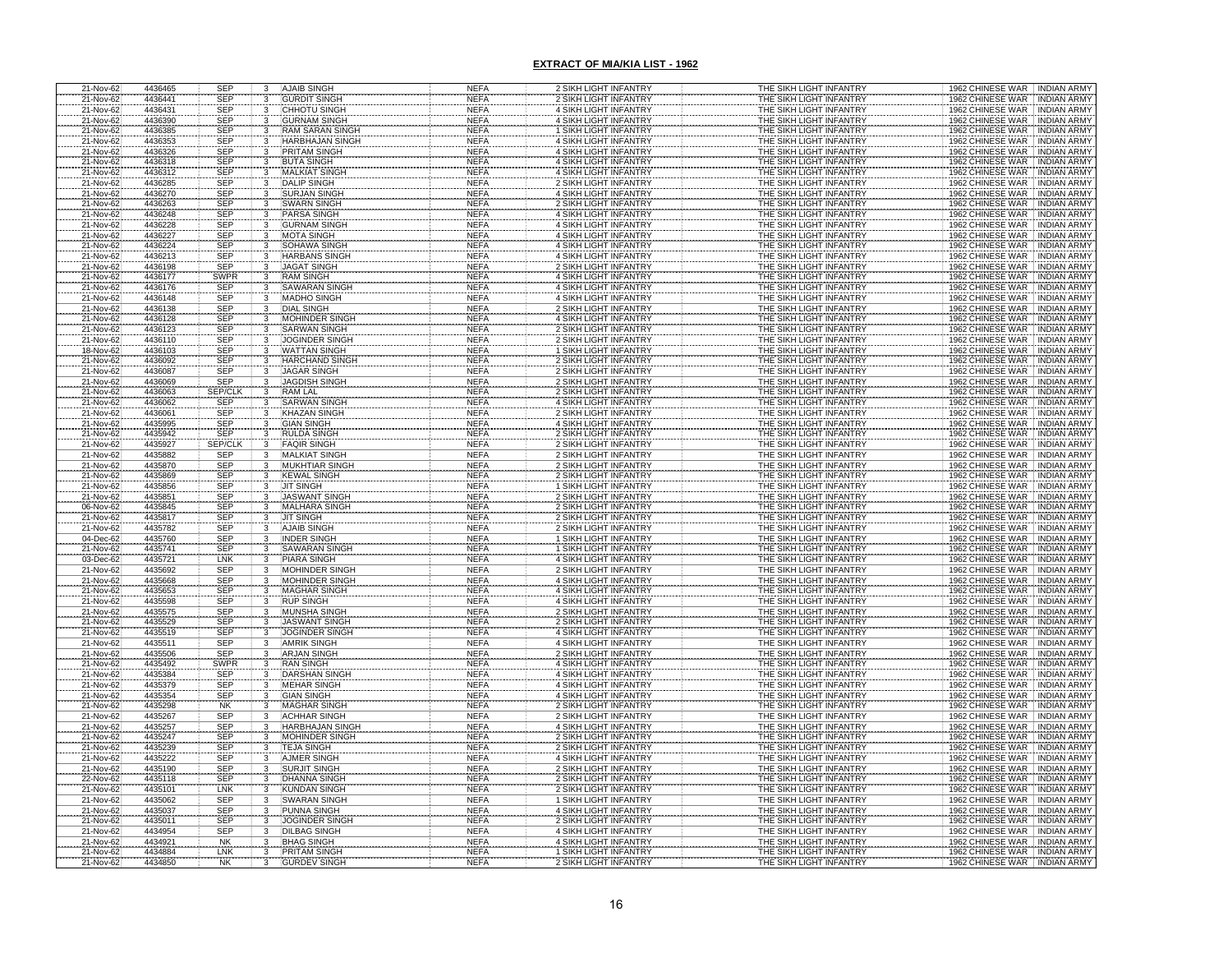| 21-Nov-62                           | 4436465            | <b>SEP</b>                   | 3                       | <b>AJAIB SINGH</b>                            | <b>NEFA</b>                | 2 SIKH LIGHT INFANTRY                                        | THE SIKH LIGHT INFANTRY                            | 1962 CHINESE WAR INDIAN ARMY                                                     |
|-------------------------------------|--------------------|------------------------------|-------------------------|-----------------------------------------------|----------------------------|--------------------------------------------------------------|----------------------------------------------------|----------------------------------------------------------------------------------|
| 21-Nov-62                           | 4436441            | <b>SEP</b>                   |                         | <b>GURDIT SINGH</b>                           | <b>NEFA</b>                | 2 SIKH LIGHT INFANTRY                                        | THE SIKH LIGHT INFANTRY                            | 1962 CHINESE WAR<br><b>INDIAN ARMY</b>                                           |
| 21-Nov-62                           | 4436431            | <b>SEP</b>                   |                         | <b>CHHOTU SINGH</b>                           | <b>NEFA</b>                | 4 SIKH LIGHT INFANTRY                                        | THE SIKH LIGHT INFANTRY                            | 1962 CHINESE WAR<br><b>INDIAN ARMY</b>                                           |
| 21-Nov-62                           | 4436390            | SEP                          |                         | <b>GURNAM SINGH</b>                           | <b>NEFA</b>                | 4 SIKH LIGHT INFANTRY                                        | THE SIKH LIGHT INFANTRY                            | 1962 CHINESE WAR<br><b>INDIAN ARMY</b>                                           |
| 21-Nov-62                           | 4436385            | SEP                          |                         | <b>RAM SARAN SINGH</b>                        | <b>NEFA</b>                | 1 SIKH LIGHT INFANTRY                                        | THE SIKH LIGHT INFANTRY                            | 1962 CHINESE WAR<br><b>INDIAN ARMY</b>                                           |
| 21-Nov-62                           | 4436353            | <b>SEP</b>                   |                         | <b>HARBHAJAN SINGH</b>                        | <b>NEFA</b>                | 4 SIKH LIGHT INFANTRY                                        | THE SIKH LIGHT INFANTRY                            | 1962 CHINESE WAR<br><b>INDIAN ARMY</b>                                           |
| 21-Nov-62                           | 4436326            | <b>SEP</b>                   |                         | <b>PRITAM SINGH</b>                           | <b>NEFA</b>                | 4 SIKH LIGHT INFANTRY                                        | THE SIKH LIGHT INFANTRY                            | 1962 CHINESE WAR INDIAN ARMY                                                     |
| 21-Nov-62<br>21-Nov-62              | 4436318<br>4436312 | SEP<br>SEP                   | 3                       | <b>BUTA SINGH</b><br><b>MALKIAT SINGH</b>     | <b>NEFA</b><br><b>NEFA</b> | 4 SIKH LIGHT INFANTRY<br>4 SIKH LIGHT INFANTRY               | THE SIKH LIGHT INFANTRY<br>THE SIKH LIGHT INFANTRY | 1962 CHINESE WAR<br><b>INDIAN ARMY</b><br>1962 CHINESE WAR<br>INDIAN ARMY        |
| 21-Nov-62                           | 4436285            | <b>SEP</b>                   | 3                       | <b>DALIP SINGH</b>                            | <b>NEFA</b>                | 2 SIKH LIGHT INFANTRY                                        | THE SIKH LIGHT INFANTRY                            | 1962 CHINESE WAR<br><b>INDIAN ARMY</b>                                           |
| 21-Nov-62                           | 4436270            | <b>SEP</b>                   | 3                       | <b>SURJAN SINGH</b>                           | <b>NEFA</b>                | 4 SIKH LIGHT INFANTRY                                        | THE SIKH LIGHT INFANTRY                            | 1962 CHINESE WAR<br><b>INDIAN ARMY</b>                                           |
| 21-Nov-62                           | 4436263            | SEP<br>SEP                   |                         | <b>SWARN SINGH</b>                            | <b>NEFA</b>                | 2 SIKH LIGHT INFANTRY                                        | THE SIKH LIGHT INFANTRY                            | 1962 CHINESE WAR<br><b>INDIAN ARMY</b>                                           |
| 21-Nov-62                           | 4436248            |                              |                         | <b>PARSA SINGH</b>                            | <b>NEFA</b>                | 4 SIKH LIGHT INFANTRY                                        | THE SIKH LIGHT INFANTRY                            | 1962 CHINESE WAR<br><b>INDIAN ARMY</b>                                           |
| 21-Nov-62                           | 4436228            | SEP                          |                         | <b>GURNAM SINGH</b>                           | <b>NEFA</b>                | 4 SIKH LIGHT INFANTRY                                        | THE SIKH LIGHT INFANTRY                            | 1962 CHINESE WAR<br><b>INDIAN ARMY</b>                                           |
| 21-Nov-62                           | 4436227            | SEP                          |                         | <b>MOTA SINGH</b>                             | <b>NEFA</b>                | 4 SIKH LIGHT INFANTRY                                        | THE SIKH LIGHT INFANTRY                            | 1962 CHINESE WAR INDIAN ARMY                                                     |
| 21-Nov-62<br>21-Nov-62              | 4436224<br>4436213 | SEP<br>SEP                   |                         | SOHAWA SINGH<br><b>HARBANS SINGH</b>          | <b>NEFA</b><br><b>NEFA</b> | <b>4 SIKH LIGHT INFANTRY</b><br><b>4 SIKH LIGHT INFANTRY</b> | THE SIKH LIGHT INFANTRY<br>THE SIKH LIGHT INFANTRY | 1962 CHINESE WAR<br><b>INDIAN ARMY</b><br>1962 CHINESE WAR INDIAN ARMY           |
| 21-Nov-62                           | 4436198            | SEP                          |                         | <b>JAGAT SINGH</b>                            | <b>NEFA</b>                | 2 SIKH LIGHT INFANTRY                                        | THE SIKH LIGHT INFANTRY                            | 1962 CHINESE WAR . INDIAN ARMY                                                   |
| 21-Nov-62                           | 4436177            | SWPR                         |                         | <b>RAM SINGH</b>                              | <b>NEFA</b>                | <b>4 SIKH LIGHT INFANTRY</b>                                 | THE SIKH LIGHT INFANTRY                            | 1962 CHINESE WAR<br><b>INDIAN ARMY</b>                                           |
| 21-Nov-62                           | 4436176            | <b>SEP</b>                   |                         | <b>SAWARAN SINGH</b>                          | <b>NEFA</b>                | 4 SIKH LIGHT INFANTRY                                        | THE SIKH LIGHT INFANTRY                            | 1962 CHINESE WAR<br><b>INDIAN ARMY</b>                                           |
| 21-Nov-62                           | 4436148            | <b>SEP</b>                   | 3                       | <b>MADHO SINGH</b>                            | <b>NEFA</b>                | 4 SIKH LIGHT INFANTRY                                        | THE SIKH LIGHT INFANTRY                            | 1962 CHINESE WAR INDIAN ARMY                                                     |
| 21-Nov-62                           | 4436138            | <b>SEP</b>                   | $\overline{\mathbf{3}}$ | <b>DIAL SINGH</b>                             | <b>NEFA</b>                | 2 SIKH LIGHT INFANTRY                                        | THE SIKH LIGHT INFANTRY                            | 1962 CHINESE WAR<br><b>INDIAN ARMY</b>                                           |
| 21-Nov-62<br>21-Nov-62              | 4436128            | SEP<br>SEP                   |                         | <b>MOHINDER SINGH</b>                         | <b>NEFA</b>                | <b>4 SIKH LIGHT INFANTRY</b>                                 | THE SIKH LIGHT INFANTRY                            | 1962 CHINESE WAR<br><b>INDIAN ARMY</b>                                           |
|                                     | 4436123            |                              |                         | <b>SARWAN SINGH</b>                           | <b>NEFA</b>                | <b>2 SIKH LIGHT INFANTRY</b>                                 | THE SIKH LIGHT INFANTRY                            | 1962 CHINESE WAR<br><b>INDIAN ARMY</b>                                           |
| 21-Nov-62                           | 4436110<br>4436103 | <b>SEP</b><br><b>SEP</b>     |                         | JOGINDER SINGH                                | <b>NEFA</b><br><b>NEFA</b> | <b>2 SIKH LIGHT INFANTRY</b>                                 | THE SIKH LIGHT INFANTRY                            | 1962 CHINESE WAR<br><b>INDIAN ARMY</b><br><b>INDIAN ARMY</b>                     |
| 18-Nov-62<br>21-Nov-62              | 4436092            | <b>SEP</b>                   |                         | <b>WATTAN SINGH</b><br><b>HARCHAND SINGH</b>  | <b>NEFA</b>                | 1 SIKH LIGHT INFANTRY<br><b>2 SIKH LIGHT INFANTRY</b>        | THE SIKH LIGHT INFANTRY<br>THE SIKH LIGHT INFANTRY | 1962 CHINESE WAR<br>1962 CHINESE WAR<br><b>INDIAN ARMY</b>                       |
| 21-Nov-62                           | 4436087            | SEP                          |                         | <b>JAGAR SINGH</b>                            | <b>NEFA</b>                | <b>2 SIKH LIGHT INFANTRY</b>                                 | THE SIKH LIGHT INFANTRY                            | 1962 CHINESE WAR<br><b>INDIAN ARMY</b>                                           |
| 21-Nov-62                           | 4436069            | <b>SEP</b>                   |                         | <b>JAGDISH SINGH</b>                          | <b>NEFA</b>                | 2 SIKH LIGHT INFANTRY                                        | THE SIKH LIGHT INFANTRY                            | 1962 CHINESE WAR<br><b>INDIAN ARMY</b>                                           |
|                                     | 4436063            | SEP/CLK                      |                         | <b>RAM LAL</b>                                | <b>NEFA</b>                | <b>2 SIKH LIGHT INFANTRY</b>                                 | THE SIKH LIGHT INFANTRY                            | 1962 CHINESE WAR<br><b>INDIAN ARMY</b>                                           |
| 21-Nov-62<br>21-Nov-62<br>21-Nov-62 | 4436062            | <b>SEP</b>                   |                         | <b>SARWAN SINGH</b>                           | <b>NEFA</b>                | 4 SIKH LIGHT INFANTRY                                        | THE SIKH LIGHT INFANTRY                            | 1962 CHINESE WAR<br><b>INDIAN ARMY</b>                                           |
|                                     | 4436061            | SEP                          |                         | <b>KHAZAN SINGH</b>                           | <b>NEFA</b>                | 2 SIKH LIGHT INFANTRY                                        | THE SIKH LIGHT INFANTRY                            | 1962 CHINESE WAR<br><b>INDIAN ARMY</b>                                           |
|                                     | 4435995            | SEP                          |                         | <b>GIAN SINGH</b>                             | <b>NEFA</b>                | 4 SIKH LIGHT INFANTRY                                        | <u>THE SIKH LIGHT INFANTRY</u>                     | 1962 CHINESE WAR<br><b>INDIAN ARMY</b>                                           |
| 21-Nov-62<br>21-Nov-62<br>21-Nov-62 | 4435942<br>4435927 | <b>SEP</b><br><b>SEP/CLK</b> |                         | RULDA SINGH<br><b>FAQIR SINGH</b>             | <b>NEFA</b><br><b>NEFA</b> | 2 SIKH LIGHT INFANTRY<br>2 SIKH LIGHT INFANTRY               | THE SIKH LIGHT INFANTRY<br>THE SIKH LIGHT INFANTRY | 1962 CHINESE WAR<br><b>INDIAN ARMY</b><br>1962 CHINESE WAR<br><b>INDIAN ARMY</b> |
| 21-Nov-62                           | 4435882            | <b>SEP</b>                   |                         | <b>MALKIAT SINGH</b>                          | <b>NEFA</b>                | 2 SIKH LIGHT INFANTRY                                        | THE SIKH LIGHT INFANTRY                            | 1962 CHINESE WAR<br><b>INDIAN ARMY</b>                                           |
|                                     | 4435870            |                              |                         | <b>MUKHTIAR SINGH</b>                         | <b>NEFA</b>                | <b>2 SIKH LIGHT INFANTRY</b>                                 | <u>THE SIKH LIGHT INFANTRY</u>                     | 1962 CHINESE WAR<br><b>INDIAN ARMY</b>                                           |
| 21-Nov-62<br>21-Nov-62              | 4435869            | SEP<br>SEP                   |                         | <b>KEWAL SINGH</b>                            | <b>NEFA</b>                | 2 SIKH LIGHT INFANTRY                                        | THE SIKH LIGHT INFANTRY                            | 1962 CHINESE WAR<br><b>INDIAN ARMY</b>                                           |
| 21-Nov-62                           | 4435856            | <b>SEP</b>                   |                         | JIT SINGH                                     | <b>NEFA</b>                | 1 SIKH LIGHT INFANTRY                                        | THE SIKH LIGHT INFANTRY                            | 1962 CHINESE WAR<br><b>INDIAN ARMY</b>                                           |
| 21-Nov-62                           | 4435851            | <b>SEP</b>                   |                         | <b>JASWANT SINGH</b>                          | <b>NEFA</b>                | 2 SIKH LIGHT INFANTRY                                        | THE SIKH LIGHT INFANTRY                            | 1962 CHINESE WAR<br><b>INDIAN ARMY</b>                                           |
| 06-Nov-62                           | 4435845            | <b>SEP</b>                   |                         | <b>MALHARA SINGH</b>                          | <b>NEFA</b>                | 2 SIKH LIGHT INFANTRY                                        | THE SIKH LIGHT INFANTRY                            | 1962 CHINESE WAR<br><b>INDIAN ARMY</b>                                           |
| 21-Nov-62                           | 4435817            | <b>SEP</b>                   | 3                       | <b>JIT SINGH</b>                              | <b>NEFA</b>                | 2 SIKH LIGHT INFANTRY                                        | THE SIKH LIGHT INFANTRY                            | 1962 CHINESE WAR<br><b>INDIAN ARMY</b>                                           |
| 21-Nov-62                           | 4435782<br>4435760 | <b>SEP</b>                   | $\overline{3}$          | <b>AJAIB SINGH</b><br><b>INDER SINGH</b>      | <b>NEFA</b><br><b>NEFA</b> | 2 SIKH LIGHT INFANTRY<br>1 SIKH LIGHT INFANTRY               | THE SIKH LIGHT INFANTRY<br>THE SIKH LIGHT INFANTRY | 1962 CHINESE WAR INDIAN ARMY<br>1962 CHINESE WAR<br><b>INDIAN ARMY</b>           |
| 04-Dec-62<br>21-Nov-62              | 4435741            | SEP<br>SEP                   | $\frac{3}{3}$           | <b>SAWARAN SINGH</b>                          | <b>NEFA</b>                | 1 SIKH LIGHT INFANTRY                                        | THE SIKH LIGHT INFANTRY                            | 1962 CHINESE WAR INDIAN ARMY                                                     |
| 03-Dec-62                           | 4435721            | LNK                          | 3                       | <b>PIARA SINGH</b>                            | <b>NEFA</b>                | 4 SIKH LIGHT INFANTRY                                        | THE SIKH LIGHT INFANTRY                            | 1962 CHINESE WAR INDIAN ARMY                                                     |
| 21-Nov-62                           | 4435692            | <b>SEP</b>                   | 3                       | MOHINDER SINGH                                | <b>NEFA</b>                | 2 SIKH LIGHT INFANTRY                                        | THE SIKH LIGHT INFANTRY                            | 1962 CHINESE WAR INDIAN ARMY                                                     |
|                                     | 4435668            |                              |                         | <b>MOHINDER SINGH</b>                         | <b>NEFA</b>                | 4 SIKH LIGHT INFANTRY                                        | THE SIKH LIGHT INFANTRY                            | 1962 CHINESE WAR INDIAN ARMY                                                     |
| 21-Nov-62<br>21-Nov-62              | 4435653            | SEP<br>SEP<br>SEP<br>SEP     |                         | <b>MAGHAR SINGH</b>                           | <b>NEFA</b>                | <b>4 SIKH LIGHT INFANTRY</b>                                 | THE SIKH LIGHT INFANTRY                            | 1962 CHINESE WAR<br><b>INDIAN ARMY</b>                                           |
| 21-Nov-62                           | 4435598            |                              |                         | <b>RUP SINGH</b>                              | <b>NEFA</b>                | <b>4 SIKH LIGHT INFANTRY</b>                                 | THE SIKH LIGHT INFANTRY                            | 1962 CHINESE WAR<br><b>INDIAN ARMY</b>                                           |
| 21-Nov-62                           | 4435575            | SEP                          |                         | <b>MUNSHA SINGH</b>                           | <b>NEFA</b>                | 2 SIKH LIGHT INFANTRY                                        | THE SIKH LIGHT INFANTRY                            | 1962 CHINESE WAR<br><b>INDIAN ARMY</b>                                           |
| 21-Nov-62<br>21-Nov-62              | 4435529<br>4435519 | SEP                          |                         | <b>JASWANT SINGH</b><br><b>JOGINDER SINGH</b> | <b>NEFA</b><br><b>NEFA</b> | 2 SIKH LIGHT INFANTRY<br>4 SIKH LIGHT INFANTRY               | THE SIKH LIGHT INFANTRY<br>THE SIKH LIGHT INFANTRY | 1962 CHINESE WAR INDIAN ARMY<br>1962 CHINESE WAR INDIAN ARMY                     |
| 21-Nov-62                           | 4435511            | SEP                          |                         | <b>AMRIK SINGH</b>                            | <b>NEFA</b>                | 4 SIKH LIGHT INFANTRY                                        | THE SIKH LIGHT INFANTRY                            | 1962 CHINESE WAR<br><b>INDIAN ARMY</b>                                           |
|                                     | 4435506            |                              |                         | ARJAN SINGH                                   | <b>NEFA</b>                | <b>2 SIKH LIGHT INFANTRY</b>                                 |                                                    |                                                                                  |
| 21-Nov-62<br>21-Nov-62<br>21-Nov-62 |                    |                              |                         |                                               |                            |                                                              | THE SIKH LIGHT INFANTRY                            | <b>INDIAN ARMY</b><br>1962 CHINESE WAR                                           |
|                                     | 4435492            | SEP<br>SWPF                  |                         | <b>RAN SINGH</b>                              | <b>NEFA</b>                | 4 SIKH LIGHT INFANTRY                                        | THE SIKH LIGHT INFANTRY                            | 1962 CHINESE WAR<br><b>INDIAN ARMY</b>                                           |
|                                     | 4435384            | SEP                          |                         | <b>DARSHAN SINGH</b>                          | <b>NEFA</b>                | 4 SIKH LIGHT INFANTRY                                        | THE SIKH LIGHT INFANTRY                            | 1962 CHINESE WAR<br><b>INDIAN ARMY</b>                                           |
|                                     | 4435379            |                              |                         | MEHAR SINGH                                   | <b>NEFA</b>                | 4 SIKH LIGHT INFANTRY                                        | THE SIKH LIGHT INFANTRY                            | 1962 CHINESE WAR<br><b>INDIAN ARMY</b>                                           |
|                                     | 4435354            |                              |                         | <b>GIAN SINGH</b>                             | <b>NEFA</b>                | 4 SIKH LIGHT INFANTRY                                        |                                                    | 1962 CHINESE WAR<br><b>INDIAN ARMY</b>                                           |
| 21-Nov-62<br>21-Nov-62<br>21-Nov-62 | 4435298            | SEP<br>SEP<br>NK             |                         | MAGHAR SINGH                                  | <b>NEFA</b>                | 2 SIKH LIGHT INFANTRY                                        | THE SIKH LIGHT INFANTRY<br>THE SIKH LIGHT INFANTRY | 1962 CHINESE WAR INDIAN ARMY                                                     |
| 21-Nov-62                           | 4435267            |                              |                         | <b>ACHHAR SINGH</b>                           | <b>NEFA</b>                | 2 SIKH LIGHT INFANTRY                                        | THE SIKH LIGHT INFANTRY                            | <b>INDIAN ARMY</b><br>1962 CHINESE WAR                                           |
|                                     | 4435257<br>4435247 |                              |                         |                                               | <b>NEFA</b><br><b>NEFA</b> | 4 SIKH LIGHT INFANTRY<br><b>2 SIKH LIGHT INFANTRY</b>        | THE SIKH LIGHT INFANTRY                            | <b>INDIAN ARMY</b><br>1962 CHINESE WAR<br><b>INDIAN ARMY</b>                     |
| 21-Nov-62<br>21-Nov-62<br>21-Nov-62 | 4435239            | SEP<br>SEP<br>SEP<br>SEP     |                         | HARBHAJAN SINGH<br><b>TEJA SINGH</b>          | <b>NEFA</b>                | 2 SIKH LIGHT INFANTRY                                        | THE SIKH LIGHT INFANTRY<br>THE SIKH LIGHT INFANTRY | 1962 CHINESE WAR<br>1962 CHINESE WAR   INDIAN ARMY                               |
| 21-Nov-62                           | 4435222            | SEP                          | 3                       | <b>AJMER SINGH</b>                            | <b>NEFA</b>                | 4 SIKH LIGHT INFANTRY                                        | THE SIKH LIGHT INFANTRY                            | 1962 CHINESE WAR INDIAN ARMY                                                     |
| 21-Nov-62                           | 4435190            | <b>SEP</b>                   | 3                       | <b>SURJIT SINGH</b>                           | <b>NEFA</b>                | 2 SIKH LIGHT INFANTRY                                        | THE SIKH LIGHT INFANTRY                            | 1962 CHINESE WAR INDIAN ARMY                                                     |
| 22-Nov-62                           | 4435118            | SEP                          | $\overline{3}$          | <b>DHANNA SINGH</b>                           | <b>NEFA</b>                | 2 SIKH LIGHT INFANTRY                                        | THE SIKH LIGHT INFANTRY                            | 1962 CHINESE WAR   INDIAN ARMY                                                   |
| 21-Nov-62                           | 4435101            | LNK                          | 3                       | <b>KUNDAN SINGH</b>                           | <b>NEFA</b>                | 2 SIKH LIGHT INFANTRY                                        | THE SIKH LIGHT INFANTRY                            | 1962 CHINESE WAR INDIAN ARMY                                                     |
| 21-Nov-62                           | 4435062            | <b>SEP</b>                   |                         | <b>SWARAN SINGH</b>                           | <b>NEFA</b>                | 1 SIKH LIGHT INFANTRY                                        | THE SIKH LIGHT INFANTRY                            | 1962 CHINESE WAR INDIAN ARMY                                                     |
| 21-Nov-62<br>21-Nov-62              | 4435037<br>4435011 | <b>SEP</b><br><b>SEP</b>     | $\frac{3}{3}$<br>3      | PUNNA SINGH<br><b>JOGINDER SINGH</b>          | <b>NEFA</b><br><b>NEFA</b> | 4 SIKH LIGHT INFANTRY                                        | THE SIKH LIGHT INFANTRY<br>THE SIKH LIGHT INFANTRY | 1962 CHINESE WAR INDIAN ARMY<br>1962 CHINESE WAR INDIAN ARMY                     |
| 21-Nov-62                           | 4434954            | <b>SEF</b>                   | 3                       | <b>DILBAG SINGH</b>                           | <b>NEFA</b>                | 2 SIKH LIGHT INFANTRY<br>4 SIKH LIGHT INFANTRY               | THE SIKH LIGHT INFANTRY                            | 1962 CHINESE WAR INDIAN ARMY                                                     |
|                                     | 4434921            | <b>NK</b>                    |                         | <b>BHAG SINGH</b>                             | <b>NEFA</b>                | 4 SIKH LIGHT INFANTRY                                        | THE SIKH LIGHT INFANTRY                            | 1962 CHINESE WAR INDIAN ARMY                                                     |
| 21-Nov-62<br>21-Nov-62<br>21-Nov-62 | 4434884<br>4434850 | LNK<br><b>NK</b>             |                         | <b>PRITAM SINGH</b><br><b>GURDEV SINGI</b>    | <b>NEFA</b><br>NEF/        | 1 SIKH LIGHT INFANTRY<br>2 SIKH LIGHT INFANTRY               | THE SIKH LIGHT INFANTRY<br>THE SIKH LIGHT INFANTR' | 1962 CHINESE WAR   INDIAN ARMY<br>1962 CHINESE WAR<br><b>INDIAN ARMY</b>         |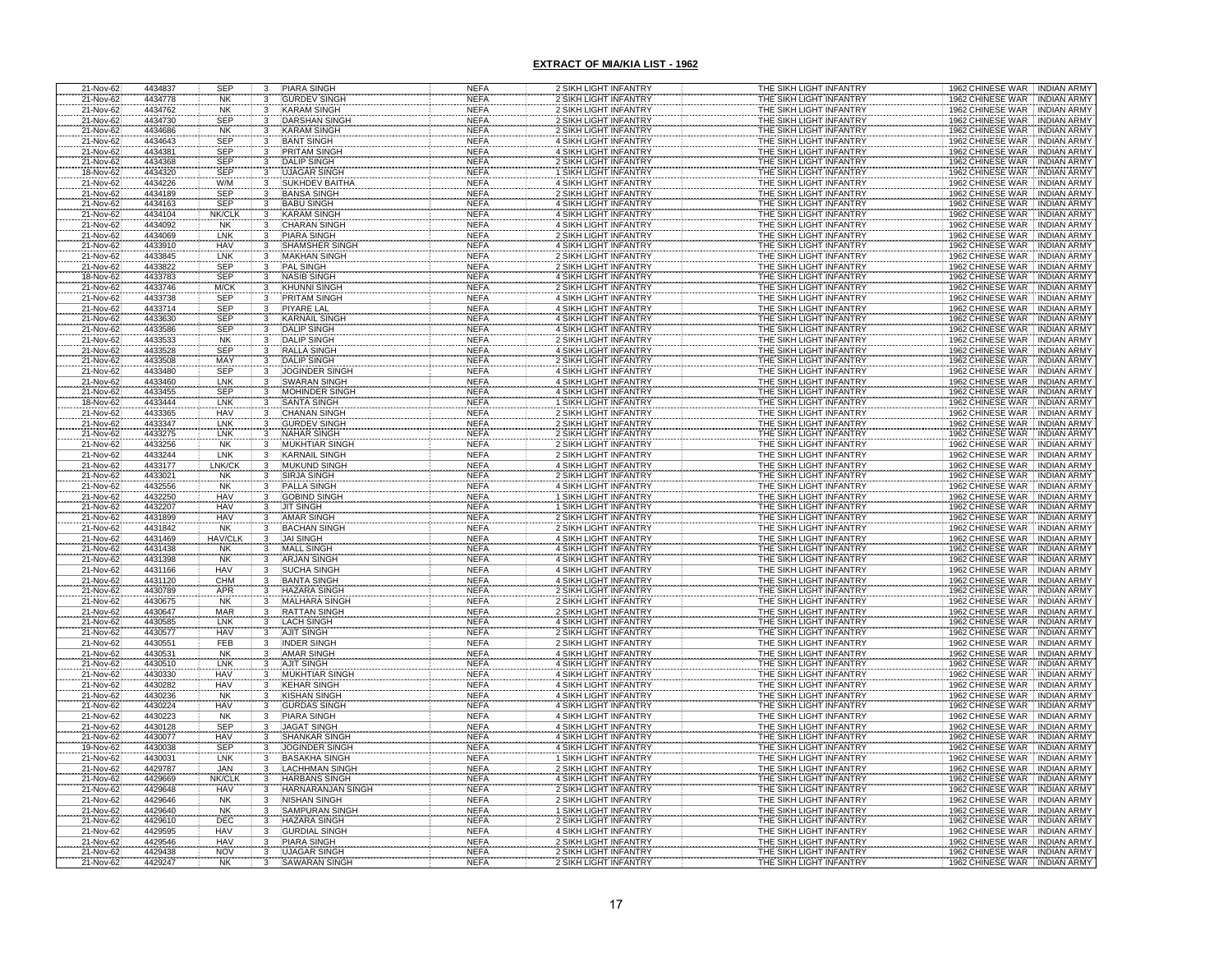| 21-Nov-62                           | 4434837            | <b>SEP</b>        | <b>PIARA SINGH</b><br>3                      | <b>NEFA</b>                | 2 SIKH LIGHT INFANTRY                                 | THE SIKH LIGHT INFANTRY                            | 1962 CHINESE WAR INDIAN ARMY                                 |
|-------------------------------------|--------------------|-------------------|----------------------------------------------|----------------------------|-------------------------------------------------------|----------------------------------------------------|--------------------------------------------------------------|
| 21-Nov-62                           | 4434778            | NK                | <b>GURDEV SINGH</b><br>3                     | <b>NEFA</b>                | 2 SIKH LIGHT INFANTRY                                 | THE SIKH LIGHT INFANTRY                            | 1962 CHINESE WAR<br><b>INDIAN ARMY</b>                       |
| 21-Nov-62                           | 4434762            | <b>NK</b>         | <b>KARAM SINGH</b><br>3                      | <b>NEFA</b>                | 2 SIKH LIGHT INFANTRY                                 | THE SIKH LIGHT INFANTRY                            | 1962 CHINESE WAR<br><b>INDIAN ARMY</b>                       |
| 21-Nov-62                           | 4434730            | <b>SEP</b>        | <b>DARSHAN SINGH</b>                         | <b>NEFA</b>                | 2 SIKH LIGHT INFANTRY                                 | THE SIKH LIGHT INFANTRY                            | 1962 CHINESE WAR<br><b>INDIAN ARMY</b>                       |
| 21-Nov-62                           | 4434686            | <b>NK</b>         | KARAM SINGH                                  | <b>NEFA</b>                | 2 SIKH LIGHT INFANTRY                                 | THE SIKH LIGHT INFANTRY                            | 1962 CHINESE WAR<br><b>INDIAN ARMY</b>                       |
| 21-Nov-62                           | 4434643            | <b>SEP</b>        | <b>BANT SINGH</b>                            | <b>NEFA</b>                | 4 SIKH LIGHT INFANTRY                                 | THE SIKH LIGHT INFANTRY                            | 1962 CHINESE WAR<br><b>INDIAN ARMY</b>                       |
| 21-Nov-62                           | 4434381            | <b>SEP</b>        | PRITAM SINGH                                 | <b>NEFA</b>                | 4 SIKH LIGHT INFANTRY                                 | THE SIKH LIGHT INFANTRY                            | 1962 CHINESE WAR INDIAN ARMY                                 |
| 21-Nov-62                           | 4434368            | SEP               | <b>DALIP SINGH</b><br>3                      | <b>NEFA</b>                | 2 SIKH LIGHT INFANTRY                                 | THE SIKH LIGHT INFANTRY                            | 1962 CHINESE WAR<br><b>INDIAN ARMY</b>                       |
| 18-Nov-62                           | 4434320            | SEP               | <b>UJAGAR SINGH</b>                          | <b>NEFA</b>                | 1 SIKH LIGHT INFANTRY                                 | THE SIKH LIGHT INFANTRY                            | 1962 CHINESE WAR<br>INDIAN ARMY                              |
| 21-Nov-62                           | 4434226            | W/M               | <b>SUKHDEV BAITHA</b><br>3                   | <b>NEFA</b>                | 4 SIKH LIGHT INFANTRY                                 | THE SIKH LIGHT INFANTRY                            | 1962 CHINESE WAR<br>INDIAN ARMY                              |
| 21-Nov-62                           | 4434189            | <b>SEP</b>        | <b>BANSA SINGH</b><br>3                      | <b>NEFA</b>                | 2 SIKH LIGHT INFANTRY                                 | THE SIKH LIGHT INFANTRY                            | 1962 CHINESE WAR<br><b>INDIAN ARMY</b>                       |
| 21-Nov-62                           | 4434163            | <b>SEP</b>        | <b>BABU SINGH</b><br>3                       | <b>NEFA</b>                | 4 SIKH LIGHT INFANTRY                                 | THE SIKH LIGHT INFANTRY                            | 1962 CHINESE WAR<br><b>INDIAN ARMY</b>                       |
| 21-Nov-62                           | 4434104            | NK/CLI            | <b>KARAM SINGH</b>                           | <b>NEFA</b>                | <b>4 SIKH LIGHT INFANTRY</b>                          | THE SIKH LIGHT INFANTRY                            | 1962 CHINESE WAR<br><b>INDIAN ARMY</b>                       |
| 21-Nov-62                           | 4434092            | <b>NK</b>         | <b>CHARAN SINGH</b>                          | <b>NEFA</b>                | 4 SIKH LIGHT INFANTRY                                 | THE SIKH LIGHT INFANTRY                            | 1962 CHINESE WAR<br><b>INDIAN ARMY</b>                       |
| 21-Nov-62                           | 4434069            | LNK               | <b>PIARA SINGH</b>                           | <b>NEFA</b>                | 2 SIKH LIGHT INFANTRY                                 | THE SIKH LIGHT INFANTRY                            | 1962 CHINESE WAR INDIAN ARMY                                 |
| 21-Nov-62                           | 4433910            | <b>HAV</b>        | SHAMSHER SINGH                               | <b>NEFA</b>                | <b>4 SIKH LIGHT INFANTRY</b>                          | THE SIKH LIGHT INFANTRY                            | 1962 CHINESE WAR<br><b>INDIAN ARMY</b>                       |
| 21-Nov-62                           | 4433845            | LNK               | <b>MAKHAN SINGH</b>                          | <b>NEFA</b>                | 2 SIKH LIGHT INFANTRY                                 | THE SIKH LIGHT INFANTRY                            | 1962 CHINESE WAR INDIAN ARMY                                 |
| 21-Nov-62                           | 4433822            | SEP               | PAL SINGH                                    | <b>NEFA</b>                | 2 SIKH LIGHT INFANTRY                                 | THE SIKH LIGHT INFANTRY                            | 1962 CHINESE WAR . INDIAN ARMY                               |
| 18-Nov-62                           | 4433783            | <b>SEP</b>        | <b>NASIB SINGH</b>                           | <b>NEFA</b>                | 4 SIKH LIGHT INFANTRY                                 | THE SIKH LIGHT INFANTRY                            | 1962 CHINESE WAR<br><b>INDIAN ARMY</b>                       |
| 21-Nov-62                           | 4433746            | M/CK              | KHUNNI SINGH                                 | <b>NEFA</b>                | 2 SIKH LIGHT INFANTRY                                 | THE SIKH LIGHT INFANTRY                            | 1962 CHINESE WAR<br><b>INDIAN ARMY</b>                       |
| 21-Nov-62                           | 4433738            | <b>SEP</b>        | <b>PRITAM SINGH</b><br>3                     | <b>NEFA</b>                | 4 SIKH LIGHT INFANTRY                                 | THE SIKH LIGHT INFANTRY                            | 1962 CHINESE WAR INDIAN ARMY                                 |
| 21-Nov-62                           | 4433714            | <b>SEP</b>        | <b>PIYARE LAL</b><br>3                       | <b>NEFA</b>                | <b>4 SIKH LIGHT INFANTRY</b>                          | THE SIKH LIGHT INFANTRY                            | 1962 CHINESE WAR<br><b>INDIAN ARMY</b>                       |
| 21-Nov-62<br>21-Nov-62              | 4433630            | <b>SEP</b>        | <b>KARNAIL SINGH</b>                         | <b>NEFA</b>                | <b>4 SIKH LIGHT INFANTRY</b>                          | THE SIKH LIGHT INFANTRY                            | 1962 CHINESE WAR<br><b>INDIAN ARMY</b>                       |
|                                     | 4433586            | <b>SEP</b>        | <b>DALIP SINGH</b>                           | <b>NEFA</b>                | <b>4 SIKH LIGHT INFANTRY</b>                          | THE SIKH LIGHT INFANTRY                            | 1962 CHINESE WAR<br><b>INDIAN ARMY</b>                       |
| 21-Nov-62                           | 4433533            | NK                | <b>DALIP SINGH</b>                           | <b>NEFA</b>                | 2 SIKH LIGHT INFANTRY                                 | THE SIKH LIGHT INFANTRY                            | 1962 CHINESE WAR<br><b>INDIAN ARMY</b>                       |
| 21-Nov-62                           | 4433528            | <b>SEP</b>        | RALLA SINGH                                  | <b>NEFA</b>                | 4 SIKH LIGHT INFANTRY                                 | THE SIKH LIGHT INFANTRY                            | 1962 CHINESE WAR<br><b>INDIAN ARMY</b>                       |
| 21-Nov-62                           | 4433508            | MAY               | <b>DALIP SINGH</b>                           | <b>NEFA</b>                | 2 SIKH LIGHT INFANTRY                                 | THE SIKH LIGHT INFANTRY                            | 1962 CHINESE WAR<br><b>INDIAN ARMY</b>                       |
| 21-Nov-62                           | 4433480            | SEP               | <b>JOGINDER SINGH</b>                        | <b>NEFA</b>                | 4 SIKH LIGHT INFANTRY                                 | THE SIKH LIGHT INFANTRY                            | 1962 CHINESE WAR<br><b>INDIAN ARMY</b>                       |
| 21-Nov-62                           | 4433460<br>4433455 | LNK<br><b>SEP</b> | <b>SWARAN SINGH</b><br><b>MOHINDER SINGH</b> | <b>NEFA</b><br><b>NEFA</b> | <b>4 SIKH LIGHT INFANTRY</b>                          | THE SIKH LIGHT INFANTRY                            | 1962 CHINESE WAR<br><b>INDIAN ARMY</b><br><b>INDIAN ARMY</b> |
| 21-Nov-62                           | 4433444            | LNK               | <b>SANTA SINGH</b>                           | <b>NEFA</b>                | <b>4 SIKH LIGHT INFANTRY</b><br>1 SIKH LIGHT INFANTRY | THE SIKH LIGHT INFANTRY                            | 1962 CHINESE WAR<br><b>INDIAN ARMY</b>                       |
| 18-Nov-62<br>21-Nov-62              | 4433365            | <b>HAV</b>        | <b>CHANAN SINGH</b>                          | <b>NEFA</b>                | 2 SIKH LIGHT INFANTRY                                 | THE SIKH LIGHT INFANTRY<br>THE SIKH LIGHT INFANTRY | 1962 CHINESE WAR<br>1962 CHINESE WAR<br><b>INDIAN ARMY</b>   |
|                                     | 4433347            | LNK               |                                              | <b>NEFA</b>                |                                                       |                                                    | 1962 CHINESE WAR<br><b>INDIAN ARMY</b>                       |
| 21-Nov-62<br>21-Nov-62              | 4433275            | LNK               | <b>GURDEV SINGH</b><br>NAHAR SINGH           | <b>NEFA</b>                | 2 SIKH LIGHT INFANTRY<br>2 SIKH LIGHT INFANTRY        | THE SIKH LIGHT INFANTRY<br>THE SIKH LIGHT INFANTRY | 1962 CHINESE WAR<br><b>INDIAN ARMY</b>                       |
| 21-Nov-62                           | 4433256            | <b>NK</b>         | <b>MUKHTIAR SINGH</b>                        | <b>NEFA</b>                | 2 SIKH LIGHT INFANTRY                                 | THE SIKH LIGHT INFANTRY                            | 1962 CHINESE WAR<br><b>INDIAN ARMY</b>                       |
| 21-Nov-62                           | 4433244            | LNK               | KARNAIL SINGH<br>3                           | <b>NEFA</b>                | 2 SIKH LIGHT INFANTRY                                 | THE SIKH LIGHT INFANTRY                            | 1962 CHINESE WAR INDIAN ARMY                                 |
|                                     | 4433177            | LNK/CK            | <b>MUKUND SINGH</b>                          | <b>NEFA</b>                | 4 SIKH LIGHT INFANTRY                                 | THE SIKH LIGHT INFANTRY                            | 1962 CHINESE WAR<br><b>INDIAN ARMY</b>                       |
| 21-Nov-62<br>21-Nov-62              | 4433021            | <b>NK</b>         | SIRJA SINGH                                  | <b>NEFA</b>                | 2 SIKH LIGHT INFANTRY                                 | THE SIKH LIGHT INFANTRY                            | 1962 CHINESE WAR<br><b>INDIAN ARMY</b>                       |
| 21-Nov-62                           | 4432556            | <b>NK</b>         | PALLA SINGH                                  | <b>NEFA</b>                | 4 SIKH LIGHT INFANTRY                                 | THE SIKH LIGHT INFANTRY                            | 1962 CHINESE WAR<br><b>INDIAN ARMY</b>                       |
| 21-Nov-62                           | 4432250            | HAV               | <b>GOBIND SINGH</b>                          | <b>NEFA</b>                | 1 SIKH LIGHT INFANTRY                                 | THE SIKH LIGHT INFANTRY                            | 1962 CHINESE WAR<br><b>INDIAN ARMY</b>                       |
| 21-Nov-62                           | 4432207            | HAV               | JIT SINGH                                    | <b>NEFA</b>                | 1 SIKH LIGHT INFANTRY                                 | THE SIKH LIGHT INFANTRY                            | 1962 CHINESE WAR<br><b>INDIAN ARMY</b>                       |
| 21-Nov-62                           | 4431899            | HAV               | <b>AMAR SINGH</b>                            | <b>NEFA</b>                | 2 SIKH LIGHT INFANTRY                                 | THE SIKH LIGHT INFANTRY                            | 1962 CHINESE WAR<br><b>INDIAN ARMY</b>                       |
| 21-Nov-62                           | 4431842            | <b>NK</b>         | <b>BACHAN SINGH</b><br>3                     | <b>NEFA</b>                | 2 SIKH LIGHT INFANTRY                                 | THE SIKH LIGHT INFANTRY                            | 1962 CHINESE WAR<br>INDIAN ARMY                              |
| 21-Nov-62                           | 4431469            | HAV/CLK           | <b>JAI SINGH</b>                             | <b>NEFA</b>                | 4 SIKH LIGHT INFANTRY                                 | THE SIKH LIGHT INFANTRY                            | 1962 CHINESE WAR<br>INDIAN ARMY                              |
| 21-Nov-62                           | 4431438            | <b>NK</b>         | $\frac{3}{3}$<br><b>MALL SINGH</b>           | <b>NEFA</b>                | 4 SIKH LIGHT INFANTRY                                 | THE SIKH LIGHT INFANTRY                            | 1962 CHINESE WAR INDIAN ARMY                                 |
| 21-Nov-62                           | 4431398            | <b>NK</b>         | 3<br><b>ARJAN SINGH</b>                      | <b>NEFA</b>                | 4 SIKH LIGHT INFANTRY                                 | THE SIKH LIGHT INFANTRY                            | 1962 CHINESE WAR INDIAN ARMY                                 |
| 21-Nov-62                           | 4431166            | HAV               | 3<br><b>SUCHA SINGH</b>                      | <b>NEFA</b>                | 4 SIKH LIGHT INFANTRY                                 | THE SIKH LIGHT INFANTRY                            | 1962 CHINESE WAR INDIAN ARMY                                 |
| 21-Nov-62                           | 4431120            | CHM               | <b>BANTA SINGH</b>                           | <b>NEFA</b>                | 4 SIKH LIGHT INFANTRY                                 | THE SIKH LIGHT INFANTRY                            | 1962 CHINESE WAR INDIAN ARMY                                 |
| 21-Nov-62                           | 4430789            | APR               | <b>HAZARA SINGH</b>                          | <b>NEFA</b>                | 2 SIKH LIGHT INFANTRY                                 | THE SIKH LIGHT INFANTRY                            | 1962 CHINESE WAR<br><b>INDIAN ARMY</b>                       |
| 21-Nov-62                           | 4430675            | <b>NK</b>         | <b>MALHARA SINGH</b>                         | <b>NEFA</b>                | 2 SIKH LIGHT INFANTRY                                 | THE SIKH LIGHT INFANTRY                            | 1962 CHINESE WAR<br><b>INDIAN ARMY</b>                       |
| 21-Nov-62                           | 4430647            | <b>MAR</b>        | <b>RATTAN SINGH</b>                          | <b>NEFA</b>                | 2 SIKH LIGHT INFANTRY                                 | THE SIKH LIGHT INFANTRY                            | 1962 CHINESE WAR<br><b>INDIAN ARMY</b>                       |
| 21-Nov-62                           | 4430585            | LNK               | <b>LACH SINGH</b>                            | <b>NEFA</b>                | 4 SIKH LIGHT INFANTRY                                 | THE SIKH LIGHT INFANTRY                            | 1962 CHINESE WAR INDIAN ARMY                                 |
| 21-Nov-62                           | 4430577            | <b>HAV</b>        | <b>AJIT SINGH</b>                            | <b>NEFA</b>                | 2 SIKH LIGHT INFANTRY                                 | THE SIKH LIGHT INFANTRY                            | 1962 CHINESE WAR INDIAN ARMY                                 |
| 21-Nov-62                           | 4430551            | FEB               | <b>INDER SINGH</b>                           | <b>NEFA</b>                | 2 SIKH LIGHT INFANTRY                                 | THE SIKH LIGHT INFANTRY                            | 1962 CHINESE WAR<br><b>INDIAN ARMY</b>                       |
| 21-Nov-62<br>21-Nov-62              | 4430531            | <b>NK</b><br>LNK  | <b>AMAR SINGH</b><br><b>AJIT SINGH</b>       | <b>NEFA</b>                | 4 SIKH LIGHT INFANTRY<br>4 SIKH LIGHT INFANTRY        | THE SIKH LIGHT INFANTRY<br>THE SIKH LIGHT INFANTRY | <b>INDIAN ARMY</b><br>1962 CHINESE WAR<br>1962 CHINESE WAR   |
| 21-Nov-62                           | 4430510<br>4430330 | HAV               | <b>MUKHTIAR SING</b>                         | <b>NEFA</b><br><b>NEFA</b> | 4 SIKH LIGHT INFANTRY                                 | THE SIKH LIGHT INFANTRY                            | <b>INDIAN ARMY</b><br>1962 CHINESE WAR<br><b>INDIAN ARMY</b> |
|                                     |                    |                   |                                              | <b>NEFA</b>                |                                                       |                                                    | <b>INDIAN ARMY</b>                                           |
| 21-Nov-62<br>21-Nov-62<br>21-Nov-62 | 4430282            | HAV               | KEHAR SINGH<br>KISHAN SINGH                  | <b>NEFA</b>                | 4 SIKH LIGHT INFANTRY<br>4 SIKH LIGHT INFANTRY        | THE SIKH LIGHT INFANTRY<br>THE SIKH LIGHT INFANTRY | 1962 CHINESE WAR<br>1962 CHINESE WAR<br><b>INDIAN ARMY</b>   |
|                                     | 4430236<br>4430224 | NK<br>HAV         | <b>GURDAS SINGH</b>                          | <b>NEFA</b>                | <b>4 SIKH LIGHT INFANTRY</b>                          | THE SIKH LIGHT INFANTRY                            | 1962 CHINESE WAR INDIAN ARMY                                 |
| 21-Nov-62                           | 4430223            | <b>NK</b>         | PIARA SINGH                                  | <b>NEFA</b>                | 4 SIKH LIGHT INFANTRY                                 | THE SIKH LIGHT INFANTRY                            | <b>INDIAN ARMY</b><br>1962 CHINESE WAR                       |
|                                     | 4430128            |                   | <b>JAGAT SINGH</b>                           | <b>NEFA</b>                | 4 SIKH LIGHT INFANTRY                                 | THE SIKH LIGHT INFANTRY                            | 1962 CHINESE WAR<br><b>INDIAN ARMY</b>                       |
| 21-Nov-62<br>21-Nov-62              | 4430077            | SEP<br>HAV        | <b>SHANKAR SINGH</b>                         | <b>NEFA</b>                | 4 SIKH LIGHT INFANTRY                                 | THE SIKH LIGHT INFANTRY                            | <b>INDIAN ARMY</b><br>1962 CHINESE WAR                       |
| 19-Nov-62                           | 4430038            | SEP               | JOGINDER SINGH                               | <b>NEFA</b>                | 4 SIKH LIGHT INFANTRY                                 | THE SIKH LIGHT INFANTRY                            | 1962 CHINESE WAR INDIAN ARMY                                 |
| 21-Nov-62                           | 4430031            | LNK               | <b>BASAKHA SINGH</b>                         | <b>NEFA</b>                | 1 SIKH LIGHT INFANTRY                                 | THE SIKH LIGHT INFANTRY                            | 1962 CHINESE WAR INDIAN ARMY                                 |
| 21-Nov-62                           | 4429787            | <b>JAN</b>        | <b>LACHHMAN SINGH</b>                        | <b>NEFA</b>                | 2 SIKH LIGHT INFANTRY                                 | THE SIKH LIGHT INFANTRY                            | 1962 CHINESE WAR INDIAN ARMY                                 |
| 21-Nov-62                           | 4429669            | NK/CLK            | HARBANS SINGH                                | <b>NEFA</b>                | 4 SIKH LIGHT INFANTRY                                 | THE SIKH LIGHT INFANTRY                            | 1962 CHINESE WAR   INDIAN ARMY                               |
| 21-Nov-62                           | 4429648            | <b>HAV</b>        | <b>HARNARANJAN SINGH</b>                     | <b>NEFA</b>                | 2 SIKH LIGHT INFANTRY                                 | THE SIKH LIGHT INFANTRY                            | 1962 CHINESE WAR INDIAN ARMY                                 |
| 21-Nov-62                           | 4429646            | NK.               | <b>NISHAN SINGH</b><br>$\frac{3}{3}$         | <b>NEFA</b>                | 2 SIKH LIGHT INFANTRY                                 | THE SIKH LIGHT INFANTRY                            | 1962 CHINESE WAR INDIAN ARMY                                 |
| 21-Nov-62                           | 4429640            | <b>NK</b>         | <b>SAMPURAN SINGH</b>                        | <b>NEFA</b>                | 1 SIKH LIGHT INFANTRY                                 | THE SIKH LIGHT INFANTRY                            | 1962 CHINESE WAR : INDIAN ARMY                               |
| 21-Nov-62                           | 4429610            | DEC               | 3<br>HAZARA SINGH                            | <b>NEFA</b>                | 2 SIKH LIGHT INFANTRY                                 | THE SIKH LIGHT INFANTRY                            | 1962 CHINESE WAR INDIAN ARMY                                 |
| 21-Nov-62                           | 4429595            | HAV               | 3<br><b>GURDIAL SINGH</b>                    | <b>NEFA</b>                | 4 SIKH LIGHT INFANTRY                                 | THE SIKH LIGHT INFANTRY                            | 1962 CHINESE WAR INDIAN ARMY                                 |
| 21-Nov-62                           | 4429546            | <b>HAV</b>        | <b>PIARA SINGH</b>                           | <b>NEFA</b>                | 2 SIKH LIGHT INFANTRY                                 | THE SIKH LIGHT INFANTRY                            | 1962 CHINESE WAR INDIAN ARMY                                 |
| 21-Nov-62                           | 4429438            | <b>NOV</b>        | <b>UJAGAR SINGH</b>                          | <b>NEFA</b>                | 2 SIKH LIGHT INFANTRY                                 | THE SIKH LIGHT INFANTRY                            | 1962 CHINESE WAR   INDIAN ARMY                               |
| 21-Nov-62                           | 4429247            | <b>NK</b>         | <b>SAWARAN SING</b>                          | <b>NEFA</b>                | 2 SIKH LIGHT INFANTRY                                 | THE SIKH LIGHT INFANTR'                            | 1962 CHINESE WAR INDIAN ARMY                                 |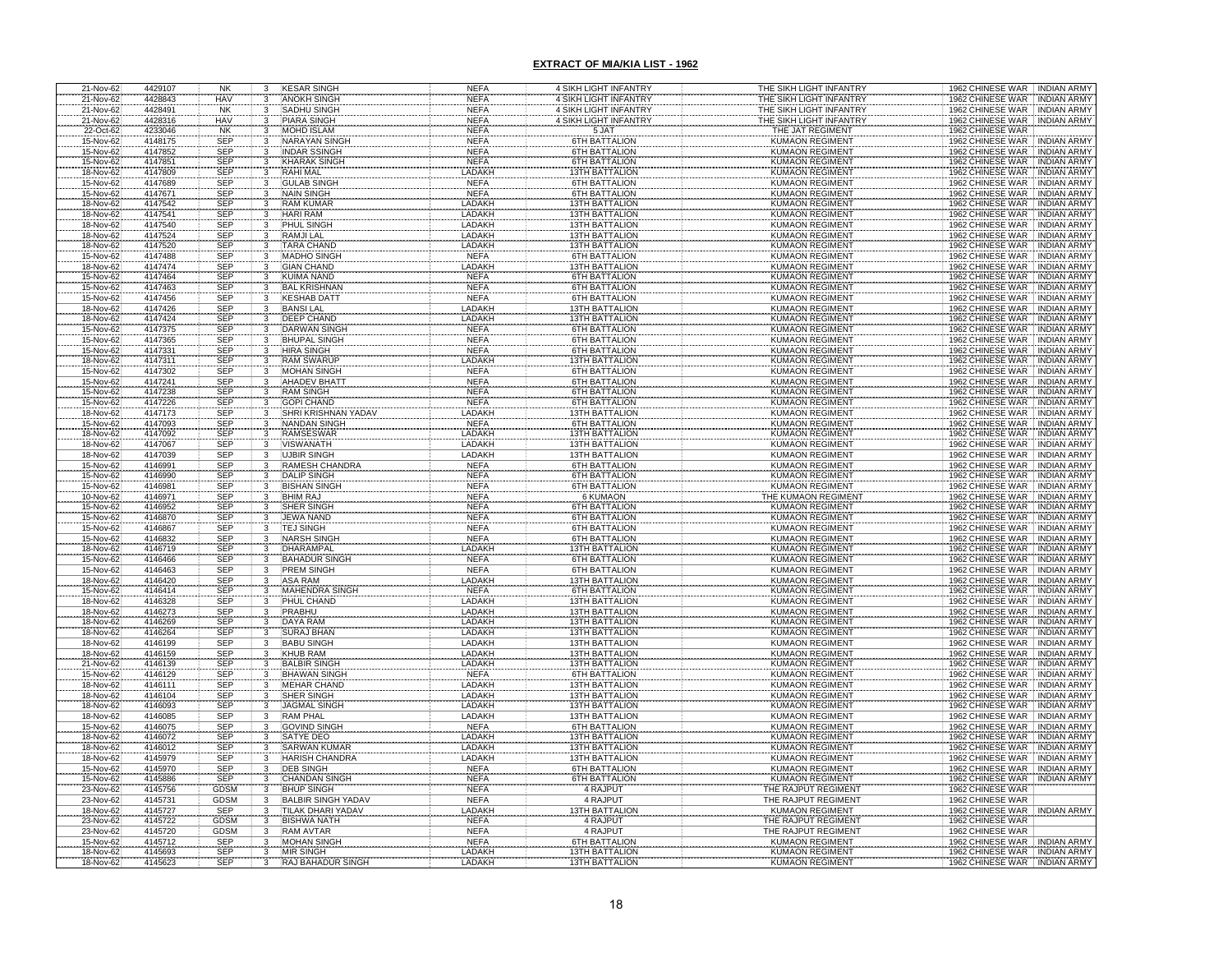| 21-Nov-62              | 4429107            | NK                       | 3                                    | <b>KESAR SINGH</b>                        | NEFA                       | 4 SIKH LIGHT INFANTRY                          | THE SIKH LIGHT INFANTRY                          | 1962 CHINESE WAR INDIAN ARMY                                                     |
|------------------------|--------------------|--------------------------|--------------------------------------|-------------------------------------------|----------------------------|------------------------------------------------|--------------------------------------------------|----------------------------------------------------------------------------------|
| 21-Nov-62              | 4428843            | <b>HAV</b>               | 3                                    | <b>ANOKH SINGH</b>                        | <b>NEFA</b>                | 4 SIKH LIGHT INFANTRY                          | THE SIKH LIGHT INFANTRY                          | 1962 CHINESE WAR INDIAN ARMY                                                     |
| 21-Nov-62              | 4428491            | <b>NK</b>                | 3                                    | SADHU SINGH                               | <b>NEFA</b>                | 4 SIKH LIGHT INFANTRY                          | THE SIKH LIGHT INFANTRY                          | 1962 CHINESE WAR<br><b>INDIAN ARMY</b>                                           |
| 21-Nov-62              | 4428316<br>4233046 | <b>HAV</b><br><b>NK</b>  | 3                                    | <b>PIARA SINGH</b><br><b>MOHD ISLAM</b>   | <b>NEFA</b><br><b>NEFA</b> | 4 SIKH LIGHT INFANTRY<br>5 JAT                 | THE SIKH LIGHT INFANTRY<br>THE JAT REGIMENT      | <b>INDIAN ARMY</b><br>1962 CHINESE WAR<br>1962 CHINESE WAR                       |
| 22-Oct-62<br>15-Nov-62 | 4148175            | <b>SEP</b>               | 3<br>3                               | NARAYAN SING                              | <b>NEFA</b>                | <b>6TH BATTALION</b>                           | <b>KUMAON REGIMEN</b>                            | 1962 CHINESE WAR<br><b>INDIAN ARMY</b>                                           |
| 15-Nov-62              | 4147852            | <b>SEP</b>               |                                      | INDAR SSINGH                              | <b>NEFA</b>                | 6TH BATTALION                                  | <b>KUMAON REGIMENT</b>                           | 1962 CHINESE WAR<br><b>INDIAN ARMY</b>                                           |
| 15-Nov-62              | 4147851            | <b>SEP</b>               | 3                                    | <b>KHARAK SINGH</b>                       | <b>NEFA</b>                | 6TH BATTALION                                  | <b>KUMAON REGIMEN</b>                            | 1962 CHINESE WAR<br><b>INDIAN ARMY</b>                                           |
| 18-Nov-62              | 4147809            | <b>SEP</b>               |                                      | RAHI MAL                                  | LADAKI                     | <b>13TH BATTALION</b>                          | KUMAON REGIMENT                                  | 1962 CHINESE WAR<br><b>INDIAN ARMY</b>                                           |
| 15-Nov-62              | 4147689            | <b>SEP</b>               | 3                                    | <b>GULAB SINGH</b>                        | <b>NEFA</b>                | <b>6TH BATTALION</b>                           | <b>KUMAON REGIMENT</b>                           | 1962 CHINESE WAR<br><b>INDIAN ARMY</b>                                           |
| 15-Nov-62              | 4147671            | <b>SEP</b>               | 3                                    | <b>NAIN SINGH</b>                         | <b>NEFA</b>                | <b>6TH BATTALION</b>                           | <b>KUMAON REGIMENT</b>                           | 1962 CHINESE WAR<br><b>INDIAN ARMY</b>                                           |
| 18-Nov-62<br>18-Nov-62 | 4147542<br>4147541 | <b>SEP</b><br><b>SEP</b> | 3                                    | <b>RAM KUMAR</b><br><b>HARI RAM</b>       | LADAKH<br>LADAKH           | <b>13TH BATTALION</b><br><b>13TH BATTALION</b> | <b>KUMAON REGIMEN</b><br><b>KUMAON REGIMEN</b>   | <b>INDIAN ARMY</b><br>1962 CHINESE WAR<br>1962 CHINESE WAR<br><b>INDIAN ARMY</b> |
| 18-Nov-62              | 4147540            | SEP                      | 3<br>3                               | PHUL SINGH                                | <b>LADAKH</b>              | 13TH BATTALION                                 | <b>KUMAON REGIMENT</b>                           | 1962 CHINESE WAR<br><b>INDIAN ARMY</b>                                           |
| 18-Nov-62              | 4147524            | <b>SEP</b>               | 3                                    | <b>RAMJILAL</b>                           | <b>LADAKH</b>              | <b>13TH BATTALION</b>                          | <b>KUMAON REGIMEN</b>                            | 1962 CHINESE WAR<br><b>INDIAN ARMY</b>                                           |
| 18-Nov-62              | 4147520            | <b>SEP</b>               | 3                                    | <b>TARA CHAND</b>                         | LADAKH                     | <b>13TH BATTALION</b>                          | <b>KUMAON REGIMEN</b>                            | 1962 CHINESE WAR<br><b>INDIAN ARMY</b>                                           |
| 15-Nov-62              | 4147488            | <b>SEP</b>               | 3                                    | <b>MADHO SINGH</b>                        | <b>NEFA</b>                | <b>6TH BATTALION</b>                           | <b>KUMAON REGIMENT</b>                           | 1962 CHINESE WAR<br><b>INDIAN ARMY</b>                                           |
| 18-Nov-62              | 4147474            | <b>SEP</b>               | 3                                    | <b>GIAN CHAND</b>                         | LADAKH                     | <b>13TH BATTALION</b>                          | <b>KUMAON REGIMENT</b>                           | 1962 CHINESE WAR<br><b>INDIAN ARMY</b>                                           |
| 15-Nov-62              | 4147464            | SEP                      | $\cdot$ <sup>3</sup>                 | <b>KUIMA NAND</b>                         | <b>NEFA</b>                | <b>6TH BATTALION</b>                           | <b>KUMAON REGIMENT</b>                           | 1962 CHINESE WAR<br><b>INDIAN ARMY</b>                                           |
| 15-Nov-62<br>15-Nov-62 | 4147463<br>4147456 | <b>SEP</b><br><b>SEP</b> |                                      | <b>BAL KRISHNAN</b><br><b>KESHAB DATT</b> | <b>NEFA</b><br><b>NEFA</b> | 6TH BATTALION<br><b>6TH BATTALION</b>          | <b>KUMAON REGIMENT</b><br><b>KUMAON REGIMENT</b> | 1962 CHINESE WAR<br><b>INDIAN ARMY</b><br>1962 CHINESE WAR<br><b>INDIAN ARMY</b> |
| 18-Nov-62              | 4147426            | SEP                      | 3<br>3                               | <b>BANSILAL</b>                           | LADAKH                     | <b>13TH BATTALION</b>                          | <b>KUMAON REGIMENT</b>                           | 1962 CHINESE WAR<br><b>INDIAN ARMY</b>                                           |
| 18-Nov-62              | 4147424            | SEP                      | 3                                    | <b>DEEP CHAND</b>                         | LADAKH                     | 13TH BATTALION                                 | <b>KUMAON REGIMENT</b>                           | 1962 CHINESE WAR<br><b>INDIAN ARMY</b>                                           |
| 15-Nov-62              | 4147375            | <b>SEP</b>               |                                      | DARWAN SINGH                              | <b>NEFA</b>                | <b>6TH BATTALION</b>                           | <b>KUMAON REGIMEN</b>                            | 1962 CHINESE WAR<br><b>INDIAN ARMY</b>                                           |
| 15-Nov-62              | 4147365            | <b>SEP</b>               |                                      | <b>BHUPAL SINGH</b>                       | <b>NEFA</b>                | <b>6TH BATTALION</b>                           | <b>KUMAON REGIMENT</b>                           | 1962 CHINESE WAR<br><b>INDIAN ARMY</b>                                           |
| 15-Nov-62              | 4147331            | <b>SEP</b>               |                                      | <b>HIRA SINGH</b>                         | <b>NEFA</b>                | <b>6TH BATTALION</b>                           | <b>KUMAON REGIMENT</b>                           | 1962 CHINESE WAR INDIAN ARMY                                                     |
| 18-Nov-62              | 4147311            | <b>SEP</b>               |                                      | <b>RAM SWARUP</b>                         | LADAKH                     | <b>13TH BATTALION</b>                          | <b>KUMAON REGIMENT</b>                           | 1962 CHINESE WAR<br><b>INDIAN ARMY</b>                                           |
| 15-Nov-62<br>15-Nov-62 | 4147302<br>4147241 | <b>SEP</b><br><b>SEP</b> |                                      | <b>MOHAN SINGH</b><br><b>AHADEV BHATT</b> | <b>NEFA</b><br><b>NEFA</b> | <b>6TH BATTALION</b><br><b>6TH BATTALION</b>   | <b>KUMAON REGIMENT</b><br><b>KUMAON REGIMENT</b> | 1962 CHINESE WAR<br><b>INDIAN ARMY</b><br>1962 CHINESE WAR<br><b>INDIAN ARMY</b> |
| 15-Nov-62              | 4147238            | <b>SEP</b>               |                                      | <b>RAM SINGH</b>                          | <b>NEFA</b>                | <b>6TH BATTALION</b>                           | <b>KUMAON REGIMENT</b>                           | 1962 CHINESE WAR<br><b>INDIAN ARMY</b>                                           |
| 15-Nov-62              | 4147226            | <b>SEP</b>               |                                      | <b>GOPI CHAND</b>                         | <b>NEFA</b>                | <b>6TH BATTALION</b>                           | <b>KUMAON REGIMENT</b>                           | 1962 CHINESE WAR<br><b>INDIAN ARMY</b>                                           |
| 18-Nov-62              | 4147173            | SEF                      |                                      | SHRI KRISHNAN YADA\                       | LADAKH                     | <b>13TH BATTALION</b>                          | <b>KUMAON REGIMENT</b>                           | 1962 CHINESE WAR<br><b>INDIAN ARMY</b>                                           |
| 15-Nov-62              | 4147093            | SEP                      |                                      | NANDAN SINGH                              | <b>NEFA</b>                | <b>6TH BATTALION</b>                           | <b>KUMAON REGIMENT</b>                           | 1962 CHINESE WAR<br><b>INDIAN ARMY</b>                                           |
| 18-Nov-62              | 4147092            | SEP                      |                                      | <b>RAMSESWAR</b>                          | LADAKH                     | <b>13TH BATTALION</b>                          | <b>KUMAON REGIMENT</b>                           | 1962 CHINESE WAR<br><b>INDIAN ARMY</b>                                           |
| 18-Nov-62              | 4147067            | <b>SEP</b>               |                                      | <b>VISWANATH</b>                          | LADAKH                     | <b>13TH BATTALION</b>                          | <b>KUMAON REGIMENT</b>                           | 1962 CHINESE WAR<br><b>INDIAN ARMY</b>                                           |
| 18-Nov-62<br>15-Nov-62 | 4147039<br>4146991 | <b>SEP</b><br><b>SEP</b> | 3                                    | <b>UJBIR SINGH</b><br>RAMESH CHANDRA      | LADAKH<br><b>NEFA</b>      | <b>13TH BATTALION</b><br><b>6TH BATTALION</b>  | <b>KUMAON REGIMENT</b>                           | 1962 CHINESE WAR<br><b>INDIAN ARMY</b><br>1962 CHINESE WAR<br><b>INDIAN ARMY</b> |
| 15-Nov-62              | 4146990            | SEF                      |                                      | <b>DALIP SINGH</b>                        | <b>NEFA</b>                | <b>6TH BATTALION</b>                           | KUMAON REGIMENT<br>KUMAON REGIMENT               | 1962 CHINESE WAR<br><b>INDIAN ARMY</b>                                           |
| 15-Nov-62              | 4146981            | <b>SEP</b>               |                                      | <b>BISHAN SINGH</b>                       | <b>NEFA</b>                | <b>6TH BATTALION</b>                           | <b>KUMAON REGIMENT</b>                           | 1962 CHINESE WAR<br><b>INDIAN ARMY</b>                                           |
| 10-Nov-62              | 4146971            | <b>SEP</b>               |                                      | <b>BHIM RAJ</b>                           | <b>NEFA</b>                | 6 KUMAON                                       | THE KUMAON REGIMEN                               | 1962 CHINESE WAR<br><b>INDIAN ARMY</b>                                           |
| 15-Nov-62              | 4146952            | <b>SEP</b>               |                                      | SHER SINGH                                | <b>NEFA</b>                | <b>6TH BATTALION</b>                           | <b>KUMAON REGIMENT</b>                           | 1962 CHINESE WAR<br><b>INDIAN ARMY</b>                                           |
| 15-Nov-62              | 4146870            | SEP                      |                                      | JEWA NAND                                 | <b>NEFA</b>                | <b>6TH BATTALION</b>                           | <b>KUMAON REGIMENT</b>                           | 1962 CHINESE WAR<br><b>INDIAN ARMY</b>                                           |
| 15-Nov-62              | 4146867            | <b>SEP</b>               | $\overline{3}$                       | <b>TEJ SINGH</b>                          | <b>NEFA</b>                | <b>6TH BATTALION</b>                           | <b>KUMAON REGIMENT</b>                           | 1962 CHINESE WAR<br><b>INDIAN ARMY</b>                                           |
| 15-Nov-62<br>18-Nov-62 | 4146832<br>4146719 | SEP<br>SEP               | $\frac{3}{3}$                        | <b>NARSH SINGH</b><br>DHARAMPAL           | <b>NEFA</b><br>LADAKH      | <b>6TH BATTALION</b><br><b>13TH BATTALION</b>  | <b>KUMAON REGIMENT</b><br><b>KUMAON REGIMENT</b> | 1962 CHINESE WAR INDIAN ARMY<br>1962 CHINESE WAR INDIAN ARMY                     |
| 15-Nov-62              | 4146466            | <b>SEP</b>               | 3                                    | <b>BAHADUR SINGH</b>                      | <b>NEFA</b>                | <b>6TH BATTALION</b>                           | <b>KUMAON REGIMENT</b>                           | 1962 CHINESE WAR INDIAN ARMY                                                     |
| 15-Nov-62              | 4146463            | <b>SEP</b>               | $\overline{3}$                       | <b>PREM SINGH</b>                         | <b>NEFA</b>                | <b>6TH BATTALION</b>                           | <b>KUMAON REGIMENT</b>                           | 1962 CHINESE WAR INDIAN ARMY                                                     |
| 18-Nov-62              | 4146420            | SEP<br>SEP<br>SEP        |                                      | <b>ASA RAM</b>                            | <b>LADAKH</b>              | 13TH BATTALION                                 | <b>KUMAON REGIMENT</b>                           | 1962 CHINESE WAR<br><b>INDIAN ARMY</b>                                           |
| 15-Nov-62              | 4146414            |                          |                                      | <b>MAHENDRA SIN</b>                       | <b>NEFA</b>                | <b>6TH BATTALION</b>                           | <b>KUMAON REGIMENT</b>                           | 1962 CHINESE WAR<br>1962 CHINESE WAR<br><b>INDIAN ARMY</b>                       |
| 18-Nov-62              | 4146328            |                          |                                      | PHUL CHAND                                | LADAKH                     | <b>13TH BATTALION</b>                          | <b>KUMAON REGIMENT</b>                           | <b>INDIAN ARMY</b>                                                               |
| 18-Nov-62              | 4146273<br>4146269 | SEP<br><b>SEP</b>        |                                      | PRABHU<br><b>DAYA RAM</b>                 | LADAKH<br>LADAKH           | <b>13TH BATTALION</b><br><b>13TH BATTALION</b> | <b>KUMAON REGIMENT</b><br><b>KUMAON REGIMENT</b> | 1962 CHINESE WAR<br><b>INDIAN ARMY</b><br>1962 CHINESE WAR INDIAN ARMY           |
| 18-Nov-62<br>18-Nov-62 | 4146264            | SEP                      |                                      | <b>SURAJ BHAN</b>                         | LADAKH                     | <b>13TH BATTALION</b>                          | <b>KUMAON REGIMENT</b>                           | 1962 CHINESE WAR INDIAN ARMY                                                     |
| 18-Nov-62              | 4146199            | <b>SEP</b>               |                                      | <b>BABU SINGH</b>                         | LADAKH                     | <b>13TH BATTALION</b>                          | <b>KUMAON REGIMENT</b>                           | 1962 CHINESE WAR<br><b>INDIAN ARMY</b>                                           |
| 18-Nov-62              | 4146159            | <b>SEP</b>               |                                      | <b>KHUB RAM</b>                           | LADAKH                     | <b>13TH BATTALION</b>                          | <b>KUMAON REGIMENT</b>                           | 1962 CHINESE WAR<br><b>INDIAN ARMY</b>                                           |
| 21-Nov-62              | 4146139            | SEP                      |                                      | <b>BALBIR SINGH</b>                       | LADAKH                     | <b>13TH BATTALION</b>                          | KUMAON REGIMENT                                  | 1962 CHINESE WAR<br><b>INDIAN ARMY</b>                                           |
| 15-Nov-62              | 4146129            | <b>SEP</b>               |                                      | <b>BHAWAN SINGH</b>                       | <b>NEFA</b>                | <b>6TH BATTALION</b>                           | <b>KUMAON REGIMENT</b>                           | 1962 CHINESE WAR<br><b>INDIAN ARMY</b>                                           |
| 18-Nov-62              | 4146111            | <b>SEP</b><br>SEP        |                                      | <b>MEHAR CHAND</b><br>SHER SINGH          | LADAKH<br>LADAKH           | 13TH BATTALION<br><b>13TH BATTALION</b>        | <b>KUMAON REGIMENT</b><br>KUMAON REGIMENT        | 1962 CHINESE WAR<br><b>INDIAN ARMY</b><br>1962 CHINESE WAR                       |
| 18-Nov-62<br>18-Nov-62 | 4146104<br>4146093 | <b>SEP</b>               |                                      | <b>JAGMAL SINGH</b>                       | LADAKH                     | <b>13TH BATTALION</b>                          | <b>KUMAON REGIMENT</b>                           | <b>INDIAN ARMY</b><br>1962 CHINESE WAR<br><b>INDIAN ARMY</b>                     |
| 18-Nov-62              | 4146085            | <b>SEP</b>               |                                      | <b>RAM PHAL</b>                           | LADAKH                     | 13TH BATTALION                                 | <b>KUMAON REGIMENT</b>                           | 1962 CHINESE WAR<br><b>INDIAN ARMY</b>                                           |
| 15-Nov-62              | 4146075            | SEP<br>SEP               |                                      |                                           | <b>NEFA</b>                | 6TH BATTALION                                  | <b>KUMAON REGIMENT</b>                           | 1962 CHINESE WAR<br>INDIAN ARMY                                                  |
| 18-Nov-62              | 4146072            |                          |                                      | GOVIND SINGH                              | LADAKH                     | <b>13TH BATTALION</b>                          | <b>KUMAON REGIMENT</b>                           | 1962 CHINESE WAR<br><b>INDIAN ARMY</b>                                           |
| 18-Nov-62              | 4146012            | SEP                      | $\mathbf{B}$                         | <b>SARWAN KUMAR</b>                       | LADAKH                     | <b>13TH BATTALION</b>                          | <b>KUMAON REGIMENT</b>                           | 1962 CHINESE WAR<br><b>INDIAN ARMY</b>                                           |
| 18-Nov-62              | 4145979            | SEP<br>SEP               | 3<br>3                               | <b>HARISH CHANDRA</b>                     | LADAKH                     | 13TH BATTALION<br><b>6TH BATTALION</b>         | <b>KUMAON REGIMENT</b>                           | 1962 CHINESE WAR<br><b>INDIAN ARMY</b><br>1962 CHINESE WAR                       |
| 15-Nov-62<br>15-Nov-62 | 4145970<br>4145886 | SEP                      | 3                                    | <b>DEB SINGH</b><br><b>CHANDAN SINGH</b>  | <b>NEFA</b><br><b>NEFA</b> | <b>6TH BATTALION</b>                           | <b>KUMAON REGIMENT</b><br><b>KUMAON REGIMENT</b> | <b>INDIAN ARMY</b><br>1962 CHINESE WAR  INDIAN ARMY                              |
| 23-Nov-62              | 4145756            | <b>GDSM</b>              | $\overline{3}$                       | <b>BHUP SINGH</b>                         | <b>NEFA</b>                | 4 RAJPUT                                       | THE RAJPUT REGIMENT                              | 1962 CHINESE WAR                                                                 |
| 23-Nov-62              | 4145731            | <b>GDSM</b>              |                                      | <b>BALBIR SINGH YADAV</b>                 | <b>NEFA</b>                | 4 RAJPUT                                       | THE RAJPUT REGIMENT                              | 1962 CHINESE WAR                                                                 |
| 18-Nov-62              | 4145727            | SEP                      | $\frac{3}{3}$                        | TILAK DHARI YADAV                         | LADAKH                     | <b>13TH BATTALION</b>                          | <b>KUMAON REGIMENT</b>                           | 1962 CHINESE WAR : INDIAN ARMY                                                   |
| 23-Nov-62              | 4145722            | <b>GDSM</b>              | $\overline{\mathbf{3}}$              | <b>BISHWA NATH</b>                        | <b>NEFA</b>                | 4 RAJPUT                                       | THE RAJPUT REGIMENT                              | 1962 CHINESE WAR                                                                 |
| 23-Nov-62              | 4145720            | <b>GDSM</b>              | $\overline{\overline{\overline{3}}}$ | <b>RAM AVTAR</b>                          | <b>NEFA</b>                | 4 RAJPUT                                       | THE RAJPUT REGIMENT                              | 1962 CHINESE WAR                                                                 |
| 15-Nov-62<br>18-Nov-62 | 4145712<br>4145693 | <b>SEP</b><br><b>SEP</b> | 3                                    | <b>MOHAN SINGH</b><br><b>MIR SINGH</b>    | <b>NEFA</b><br>LADAKH      | 6TH BATTALION<br><b>13TH BATTALION</b>         | <b>KUMAON REGIMENT</b><br><b>KUMAON REGIMENT</b> | 1962 CHINESE WAR : INDIAN ARMY<br>1962 CHINESE WAR INDIAN ARMY                   |
| 18-Nov-62              | 4145623            | SEP                      | $\frac{3}{3}$                        | RAJ BAHADUR SINGH                         | LADAKH                     | <b>13TH BATTALION</b>                          | <b>KUMAON REGIMENT</b>                           | 1962 CHINESE WAR INDIAN ARMY                                                     |
|                        |                    |                          |                                      |                                           |                            |                                                |                                                  |                                                                                  |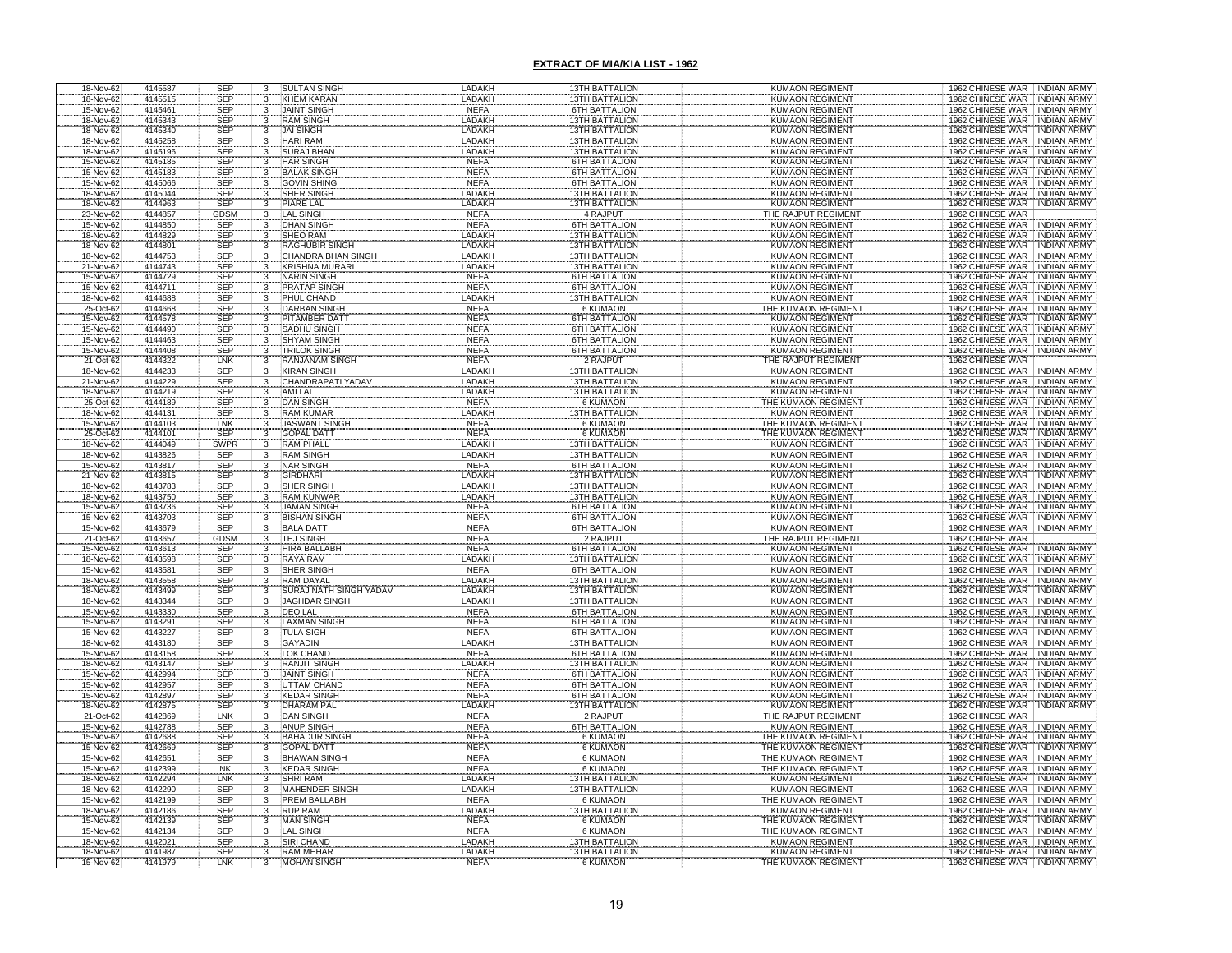| 18-Nov-62              | 4145587            | <b>SEP</b>               | 3                                                      | <b>SULTAN SINGH</b>                         | LADAKH                       | 13TH BATTALION                                 | <b>KUMAON REGIMENT</b>                           | 1962 CHINESE WAR INDIAN ARMY                                                     |
|------------------------|--------------------|--------------------------|--------------------------------------------------------|---------------------------------------------|------------------------------|------------------------------------------------|--------------------------------------------------|----------------------------------------------------------------------------------|
| 18-Nov-62              | 4145515            | <b>SEP</b>               | 3                                                      | <b>KHEM KARAN</b>                           | LADAKH                       | <b>13TH BATTALION</b>                          | <b>KUMAON REGIMENT</b>                           | <b>INDIAN ARMY</b><br>1962 CHINESE WAR                                           |
| 15-Nov-62              | 4145461            | SEP                      | 3                                                      | <b>JAINT SINGH</b>                          | <b>NEFA</b>                  | <b>6TH BATTALION</b>                           | <b>KUMAON REGIMENT</b>                           | 1962 CHINESE WAR<br><b>INDIAN ARMY</b>                                           |
| 18-Nov-62              | 4145343            | <b>SEP</b>               | 3                                                      | <b>RAM SINGH</b>                            | LADAKH                       | <b>13TH BATTALION</b>                          | <b>KUMAON REGIMENT</b>                           | 1962 CHINESE WAR<br><b>INDIAN ARMY</b>                                           |
| 18-Nov-62              | 4145340            | SEP                      | 3                                                      | <b>JAI SINGH</b>                            | LADAKH                       | 13TH BATTALION                                 | <b>KUMAON REGIMENT</b>                           | 1962 CHINESE WAR<br><b>INDIAN ARMY</b>                                           |
| 18-Nov-62              | 4145258            | <b>SEP</b>               | 3                                                      | <b>HARI RAM</b><br><b>SURAJ BHAN</b>        | LADAKH<br>LADAKH             | <b>13TH BATTALION</b>                          | KUMAON REGIMENT                                  | 1962 CHINESE WAR<br><b>INDIAN ARMY</b>                                           |
| 18-Nov-62<br>15-Nov-62 | 4145196<br>4145185 | <b>SEP</b><br>SEP        | 3                                                      | HAR SINGH                                   | <b>NEFA</b>                  | 13TH BATTALION<br><b>6TH BATTALION</b>         | <b>KUMAON REGIMENT</b><br><b>KUMAON REGIMENT</b> | 1962 CHINESE WAR<br><b>INDIAN ARMY</b><br>1962 CHINESE WAR<br><b>INDIAN ARMY</b> |
| 15-Nov-62              | 4145183            | <b>SEP</b>               | $\mathbf{3}$<br>3                                      | <b>BALAK SINGH</b>                          | <b>NEFA</b>                  | <b>6TH BATTALION</b>                           | KUMAON REGIMENT                                  | 1962 CHINESE WAR<br><b>INDIAN ARMY</b>                                           |
| 15-Nov-62              | 4145066            | <b>SEP</b>               | 3                                                      | <b>GOVIN SHING</b>                          | <b>NEFA</b>                  | <b>6TH BATTALION</b>                           | <b>KUMAON REGIMENT</b>                           | 1962 CHINESE WAR<br><b>INDIAN ARMY</b>                                           |
| 18-Nov-62              | 4145044            | <b>SEP</b>               | 3                                                      | SHER SINGH                                  | LADAKH                       | <b>13TH BATTALION</b>                          | <b>KUMAON REGIMENT</b>                           | 1962 CHINESE WAR<br><b>INDIAN ARMY</b>                                           |
| 18-Nov-62              | 4144963            |                          | $\cdot$ <sup>3</sup>                                   | <b>PIARE LAL</b>                            | LADAKH                       | <b>13TH BATTALION</b>                          | <b>KUMAON REGIMENT</b>                           | 1962 CHINESE WAR INDIAN ARMY                                                     |
| 23-Nov-62              | 4144857            | SEP<br>GDSM              | 3                                                      | <b>LAL SINGH</b>                            | <b>NEFA</b>                  | 4 RAJPUT                                       | THE RAJPUT REGIMENT                              | 1962 CHINESE WAR                                                                 |
| 15-Nov-62              | 4144850            | SEP                      |                                                        | <b>DHAN SINGH</b>                           | <b>NEFA</b>                  | <b>6TH BATTALION</b>                           | <b>KUMAON REGIMENT</b>                           | 1962 CHINESE WAR INDIAN ARMY                                                     |
| 18-Nov-62              | 4144829            | SEP                      |                                                        | <b>SHEO RAM</b>                             | <b>LADAKH</b>                | <b>13TH BATTALION</b>                          | <b>KUMAON REGIMENT</b>                           | 1962 CHINESE WAR INDIAN ARMY                                                     |
| 18-Nov-62              | 4144801            | <b>SEP</b>               |                                                        | <b>RAGHUBIR SINGH</b>                       | <b>LADAKH</b>                | <b>13TH BATTALION</b>                          | <b>KUMAON REGIMENT</b>                           | 1962 CHINESE WAR INDIAN ARMY                                                     |
| 18-Nov-62              | 4144753            | SEP                      |                                                        | CHANDRA BHAN SINGH                          | <b>LADAKH</b>                | <b>13TH BATTALION</b>                          | <b>KUMAON REGIMENT</b>                           | 1962 CHINESE WAR INDIAN ARMY                                                     |
| 21-Nov-62              | 4144743<br>4144729 | <b>SEP</b>               |                                                        | <b>KRISHNA MURARI</b><br><b>NARIN SINGH</b> | <b>LADAKH</b><br><b>NEFA</b> | <b>13TH BATTALION</b><br><b>6TH BATTALION</b>  | <b>KUMAON REGIMENT</b><br><b>KUMAON REGIMENT</b> | 1962 CHINESE WAR INDIAN ARMY                                                     |
| 15-Nov-62<br>15-Nov-62 | 4144711            | <b>SEP</b><br><b>SEP</b> |                                                        | <b>PRATAP SINGH</b>                         | <b>NEFA</b>                  | <b>6TH BATTALION</b>                           | <b>KUMAON REGIMENT</b>                           | 1962 CHINESE WAR INDIAN ARMY<br>1962 CHINESE WAR INDIAN ARMY                     |
| 18-Nov-62              | 4144688            | <b>SEP</b>               | 3                                                      | PHUL CHAND                                  | LADAKH                       | <b>13TH BATTALION</b>                          | <b>KUMAON REGIMENT</b>                           | 1962 CHINESE WAR INDIAN ARMY                                                     |
| 25-Oct-62              | 4144668            | <b>SEP</b>               |                                                        | <b>DARBAN SINGH</b>                         | <b>NEFA</b>                  | 6 KUMAON                                       | THE KUMAON REGIMENT                              | 1962 CHINESE WAR INDIAN ARMY                                                     |
|                        | 4144578            | <b>SEP</b>               |                                                        | PITAMBER DATT                               | <b>NEFA</b>                  | <b>6TH BATTALION</b>                           | <b>KUMAON REGIMENT</b>                           | 1962 CHINESE WAR<br><b>INDIAN ARMY</b>                                           |
| 15-Nov-62<br>15-Nov-62 | 4144490            | <b>SEP</b>               |                                                        | SADHU SINGH                                 | <b>NEFA</b>                  | <b>6TH BATTALION</b>                           | <b>KUMAON REGIMENT</b>                           | 1962 CHINESE WAR<br><b>INDIAN ARMY</b>                                           |
| 15-Nov-62              | 4144463            | <b>SEP</b>               |                                                        | SHYAM SINGH                                 | <b>NEFA</b>                  | <b>6TH BATTALION</b>                           | <b>KUMAON REGIMENT</b>                           | 1962 CHINESE WAR<br><b>INDIAN ARMY</b>                                           |
| 15-Nov-62              | 4144408            | <b>SEP</b>               |                                                        | <b>TRILOK SINGH</b>                         | <b>NEFA</b>                  | <b>6TH BATTALION</b>                           | <b>KUMAON REGIMENT</b>                           | 1962 CHINESE WAR INDIAN ARMY                                                     |
| 21-Oct-62              | 4144322            | LNK                      |                                                        | <b>RANJANAM SINGH</b>                       | <b>NEFA</b>                  | 2 RAJPUT                                       | THE RAJPUT REGIMENT                              | 1962 CHINESE WAR                                                                 |
| 18-Nov-62              | 4144233            | SEP                      |                                                        | <b>KIRAN SINGH</b><br>CHANDRAPATI YADA\     | LADAKH                       | <b>13TH BATTALION</b><br><b>13TH BATTALION</b> | <b>KUMAON REGIMENT</b><br><b>KUMAON REGIMENT</b> | 1962 CHINESE WAR INDIAN ARMY                                                     |
| 21-Nov-62<br>18-Nov-62 | 4144229<br>4144219 | <b>SEP</b><br><b>SEP</b> |                                                        | <b>AMI LAL</b>                              | LADAKH<br>LADAKH             | <b>13TH BATTALION</b>                          | <b>KUMAON REGIMENT</b>                           | 1962 CHINESE WAR<br><b>INDIAN ARMY</b><br>1962 CHINESE WAR<br><b>INDIAN ARMY</b> |
| 25-Oct-62              | 4144189            | <b>SEP</b>               |                                                        | <b>DAN SINGH</b>                            | <b>NEFA</b>                  | <b>6 KUMAON</b>                                | THE KUMAON REGIMEN                               | 1962 CHINESE WAR<br><b>INDIAN ARMY</b>                                           |
| 18-Nov-62              | 4144131            | <b>SEP</b>               |                                                        | <b>RAM KUMAR</b>                            | LADAKH                       | <b>13TH BATTALION</b>                          | <b>KUMAON REGIMENT</b>                           | 1962 CHINESE WAR INDIAN ARMY                                                     |
| 15-Nov-62              | 4144103            | LNK                      |                                                        | <b>JASWANT SINGH</b>                        | <b>NEFA</b>                  | <b>6 KUMAON</b>                                |                                                  | 1962 CHINESE WAR<br><b>INDIAN ARMY</b>                                           |
| 25-Oct-62              | 4144101            | <b>SEP</b>               |                                                        | <b>GOPAL DATT</b>                           | <b>NEFA</b>                  | <b>6 KUMAON</b>                                | THE KUMAON REGIMENT<br>THE KUMAON REGIMENT       | 1962 CHINESE WAR<br><b>INDIAN ARMY</b>                                           |
| 18-Nov-62              | 4144049            | <b>SWPR</b>              | 3                                                      | <b>RAM PHALL</b>                            | LADAKH                       | <b>13TH BATTALION</b>                          | <b>KUMAON REGIMENT</b>                           | 1962 CHINESE WAR<br><b>INDIAN ARMY</b>                                           |
| 18-Nov-62              | 4143826            | SEP                      | 3                                                      | <b>RAM SINGH</b>                            | LADAKH                       | <b>13TH BATTALION</b>                          | <b>KUMAON REGIMENT</b>                           | 1962 CHINESE WAR INDIAN ARMY                                                     |
| 15-Nov-62<br>21-Nov-62 | 4143817            | <b>SEP</b><br>SEP        |                                                        | <b>NAR SINGH</b>                            | NEFA<br>LADAKH               | <b>6TH BATTALION</b>                           | <b>KUMAON REGIMENT</b><br><b>KUMAON REGIMENT</b> | 1962 CHINESE WAR INDIAN ARMY<br>1962 CHINESE WAR                                 |
| 18-Nov-62              | 4143815<br>4143783 | <b>SEP</b>               |                                                        | GIRDHARI<br><b>SHER SINGH</b>               | LADAKH                       | <b>13TH BATTALION</b><br><b>13TH BATTALION</b> | <b>KUMAON REGIMENT</b>                           | <b>INDIAN ARMY</b><br>1962 CHINESE WAR<br><b>INDIAN ARMY</b>                     |
| 18-Nov-62              | 4143750            | <b>SEP</b>               |                                                        | <b>RAM KUNWAR</b>                           | LADAKH                       | <b>13TH BATTALION</b>                          | <b>KUMAON REGIMENT</b>                           | 1962 CHINESE WAR INDIAN ARMY                                                     |
| 15-Nov-62              | 4143736            | <b>SEP</b>               |                                                        | <b>JAMAN SINGH</b>                          | <b>NEFA</b>                  | 6TH BATTALION                                  | <b>KUMAON REGIMENT</b>                           | 1962 CHINESE WAR INDIAN ARMY                                                     |
| 15-Nov-62              | 4143703            | <b>SEP</b>               |                                                        | <b>BISHAN SINGH</b>                         | <b>NEFA</b>                  | <b>6TH BATTALION</b>                           | <b>KUMAON REGIMENT</b>                           | 1962 CHINESE WAR INDIAN ARMY                                                     |
| 15-Nov-62              | 4143679            | <b>SEP</b>               | 3                                                      | <b>BALA DATT</b>                            | <b>NEFA</b>                  | <b>6TH BATTALION</b>                           | <b>KUMAON REGIMENT</b>                           | 1962 CHINESE WAR INDIAN ARMY                                                     |
| 21-Oct-62              | 4143657            | GDSM<br>SEP              | $\mathbf{3}$                                           | <b>TEJ SINGH</b>                            | <b>NEFA</b>                  | 2 RAJPUT<br>6TH BATTALION                      | THE RAJPUT REGIMENT<br>KUMAON REGIMENT           | 1962 CHINESE WAR                                                                 |
| 15-Nov-62              | 4143613            |                          |                                                        | <b>HIRA BALLABH</b>                         | <b>NEFA</b>                  |                                                |                                                  | 1962 CHINESE WAR INDIAN ARMY                                                     |
| 18-Nov-62              | 4143598            | <b>SEP</b>               | 3                                                      | RAYA RAM                                    | LADAKH                       | <b>13TH BATTALION</b>                          | <b>KUMAON REGIMENT</b>                           | 1962 CHINESE WAR INDIAN ARMY                                                     |
| 15-Nov-62              | 4143581            | <b>SEP</b>               | 3                                                      | <b>SHER SINGH</b><br>RAM DAYAL              | <b>NEFA</b><br>LADAKH        | <b>6TH BATTALION</b><br><b>13TH BATTALION</b>  | <b>KUMAON REGIMENT</b><br><b>KUMAON REGIMENT</b> | 1962 CHINESE WAR INDIAN ARMY<br>1962 CHINESE WAR<br>INDIAN ARMY                  |
| 18-Nov-62<br>18-Nov-62 | 4143558<br>4143499 |                          |                                                        | SURAJ NATH SINGH YADA                       | LADAKH                       | <b>13TH BATTALION</b>                          | <b>KUMAON REGIMENT</b>                           | 1962 CHINESE WAR<br><b>INDIAN ARMY</b>                                           |
| 18-Nov-62              | 4143344            | SEP<br>SEP<br>SEP        |                                                        | <b>JAGHDAR SINGH</b>                        | LADAKH                       | <b>13TH BATTALION</b>                          | <b>KUMAON REGIMENT</b>                           | 1962 CHINESE WAR<br><b>INDIAN ARMY</b>                                           |
| 15-Nov-62              | 4143330            | <b>SEP</b>               |                                                        | <b>DEO LAL</b>                              | <b>NEFA</b>                  | <b>6TH BATTALION</b>                           | <b>KUMAON REGIMENT</b>                           | 1962 CHINESE WAR : INDIAN ARMY                                                   |
| 15-Nov-62              | 4143291            | <b>SEP</b>               |                                                        | <b>LAXMAN SINGH</b>                         | <b>NEFA</b>                  | 6TH BATTALION                                  | <b>KUMAON REGIMENT</b>                           | 1962 CHINESE WAR INDIAN ARMY                                                     |
| 15-Nov-62              | 4143227            | SEP                      |                                                        | TULA SIGH                                   | <b>NEFA</b>                  | <b>6TH BATTALION</b>                           | <b>KUMAON REGIMENT</b>                           | 1962 CHINESE WAR NDIAN ARMY                                                      |
| 18-Nov-62              | 4143180            | <b>SEP</b>               |                                                        | <b>GAYADIN</b>                              | LADAKH                       | <b>13TH BATTALION</b>                          | <b>KUMAON REGIMENT</b>                           | 1962 CHINESE WAR INDIAN ARMY                                                     |
| 15-Nov-62              | 4143158            | SEP<br><b>SEP</b>        |                                                        | LOK CHAND<br><b>RANJIT SINGH</b>            | <b>NEFA</b><br>LADAKH        | 6TH BATTALION                                  | <b>KUMAON REGIMENT</b><br>KUMAON REGIMENT        | 1962 CHINESE WAR INDIAN ARMY<br>INDIAN ARMY<br>1962 CHINESE WAR                  |
| 18-Nov-62<br>15-Nov-62 | 4143147<br>4142994 | <b>SEP</b>               |                                                        | <b>JAINT SINGH</b>                          | <b>NEFA</b>                  | <b>13TH BATTALION</b><br><b>6TH BATTALION</b>  | <b>KUMAON REGIMENT</b>                           | 1962 CHINESE WAR INDIAN ARMY                                                     |
| 15-Nov-62              | 4142957            | <b>SEP</b>               |                                                        | UTTAM CHAND                                 | <b>NEFA</b>                  | <b>6TH BATTALION</b>                           | <b>KUMAON REGIMENT</b>                           | 1962 CHINESE WAR INDIAN ARMY                                                     |
| 15-Nov-62              | 4142897            | <b>SEP</b>               |                                                        | <b>KEDAR SINGH</b>                          | <b>NEFA</b>                  | 6TH BATTALION                                  | KUMAON REGIMENT                                  | 1962 CHINESE WAR INDIAN ARMY                                                     |
| 18-Nov-62              | 4142875            | <b>SEP</b>               |                                                        | <b>DHARAM PAL</b>                           | LADAKH                       | <b>13TH BATTALION</b>                          | <b>KUMAON REGIMENT</b>                           | 1962 CHINESE WAR INDIAN ARMY                                                     |
| 21-Oct-62              | 4142869            | <b>LNK</b>               | 3                                                      | <b>DAN SINGH</b>                            | <b>NEFA</b>                  | 2 RAJPUT                                       | THE RAJPUT REGIMENT                              | 1962 CHINESE WAR                                                                 |
| 15-Nov-62              | 4142788            | SEP<br>SEP               |                                                        | <b>ANUP SINGH</b>                           | <b>NEFA</b>                  | <b>6TH BATTALION</b>                           | <b>KUMAON REGIMENT</b>                           | 1962 CHINESE WAR INDIAN ARMY                                                     |
| 15-Nov-62              | 4142688            |                          |                                                        | <b>BAHADUR SING</b>                         | <b>NEFA</b>                  | <b>6 KUMAON</b>                                | THE KUMAON REGIMENT                              | 1962 CHINESE WAR<br><b>INDIAN ARMY</b>                                           |
| 15-Nov-62<br>15-Nov-62 | 4142669<br>4142651 | <b>SEP</b><br><b>SEP</b> | 3<br>3                                                 | <b>GOPAL DATT</b><br><b>BHAWAN SINGH</b>    | <b>NEFA</b><br><b>NEFA</b>   | 6 KUMAON<br><b>6 KUMAON</b>                    | THE KUMAON REGIMENT<br>THE KUMAON REGIMENT       | 1962 CHINESE WAR<br><b>INDIAN ARMY</b><br>1962 CHINESE WAR                       |
| 15-Nov-62              | 4142399            | <b>NK</b>                | 3                                                      | <b>KEDAR SINGH</b>                          | <b>NEFA</b>                  | <b>6 KUMAON</b>                                | THE KUMAON REGIMENT                              | INDIAN ARMY<br>1962 CHINESE WAR<br><b>INDIAN ARMY</b>                            |
| 18-Nov-62              | 4142294            | LNK                      | 3                                                      | <b>SHRI RAM</b>                             | LADAKH                       | <b>3TH BATTALION</b>                           | <b>KUMAON REGIMENT</b>                           | 1962 CHINESE WAR<br><b>INDIAN ARMY</b>                                           |
| 18-Nov-62              | 4142290            | <b>SEP</b>               | 3                                                      | <b>MAHENDER SINGH</b>                       | LADAKH                       | <b>13TH BATTALION</b>                          | <b>KUMAON REGIMENT</b>                           | 1962 CHINESE WAR<br><b>INDIAN ARMY</b>                                           |
| 15-Nov-62              | 4142199            | <b>SEP</b>               | $\frac{3}{3}$                                          | <b>PREM BALLABH</b>                         | <b>NEFA</b>                  | <b>6 KUMAON</b>                                | THE KUMAON REGIMENT                              | 1962 CHINESE WAR INDIAN ARMY                                                     |
| 18-Nov-62              | 4142186            | <b>SEP</b>               |                                                        | <b>RUP RAM</b>                              | LADAKH                       | <b>13TH BATTALION</b>                          | <b>KUMAON REGIMENT</b>                           | 1962 CHINESE WAR<br><b>INDIAN ARMY</b>                                           |
| 15-Nov-62              | 4142139            | <b>SEP</b>               | $\overline{\mathbf{3}}$                                | <b>MAN SINGH</b>                            | <b>NEFA</b>                  | 6 KUMAON                                       | THE KUMAON REGIMENT                              | 1962 CHINESE WAR INDIAN ARMY                                                     |
| 15-Nov-62              | 4142134            | <b>SEP</b><br><b>SEP</b> | $\overline{\overline{\overline{3}}}$<br>$\overline{3}$ | <b>LAL SINGH</b><br><b>SIRI CHAND</b>       | <b>NEFA</b><br>LADAKH        | <b>6 KUMAON</b><br><b>13TH BATTALION</b>       | THE KUMAON REGIMENT<br><b>KUMAON REGIMENT</b>    | 1962 CHINESE WAR INDIAN ARMY<br>1962 CHINESE WAR INDIAN ARMY                     |
| 18-Nov-62<br>18-Nov-62 | 4142021<br>4141987 | <b>SEP</b>               |                                                        | <b>RAM MEHAR</b>                            | LADAKH                       | <b>13TH BATTALION</b>                          | <b>KUMAON REGIMENT</b>                           | 1962 CHINESE WAR INDIAN ARMY                                                     |
| 15-Nov-62              | 4141979            | LNK                      | $\overline{3}$                                         | <b>MOHAN SINGH</b>                          | <b>NEFA</b>                  | <b>6 KUMAON</b>                                | THE KUMAON REGIMENT                              | 1962 CHINESE WAR                                                                 |
|                        |                    |                          |                                                        |                                             |                              |                                                |                                                  |                                                                                  |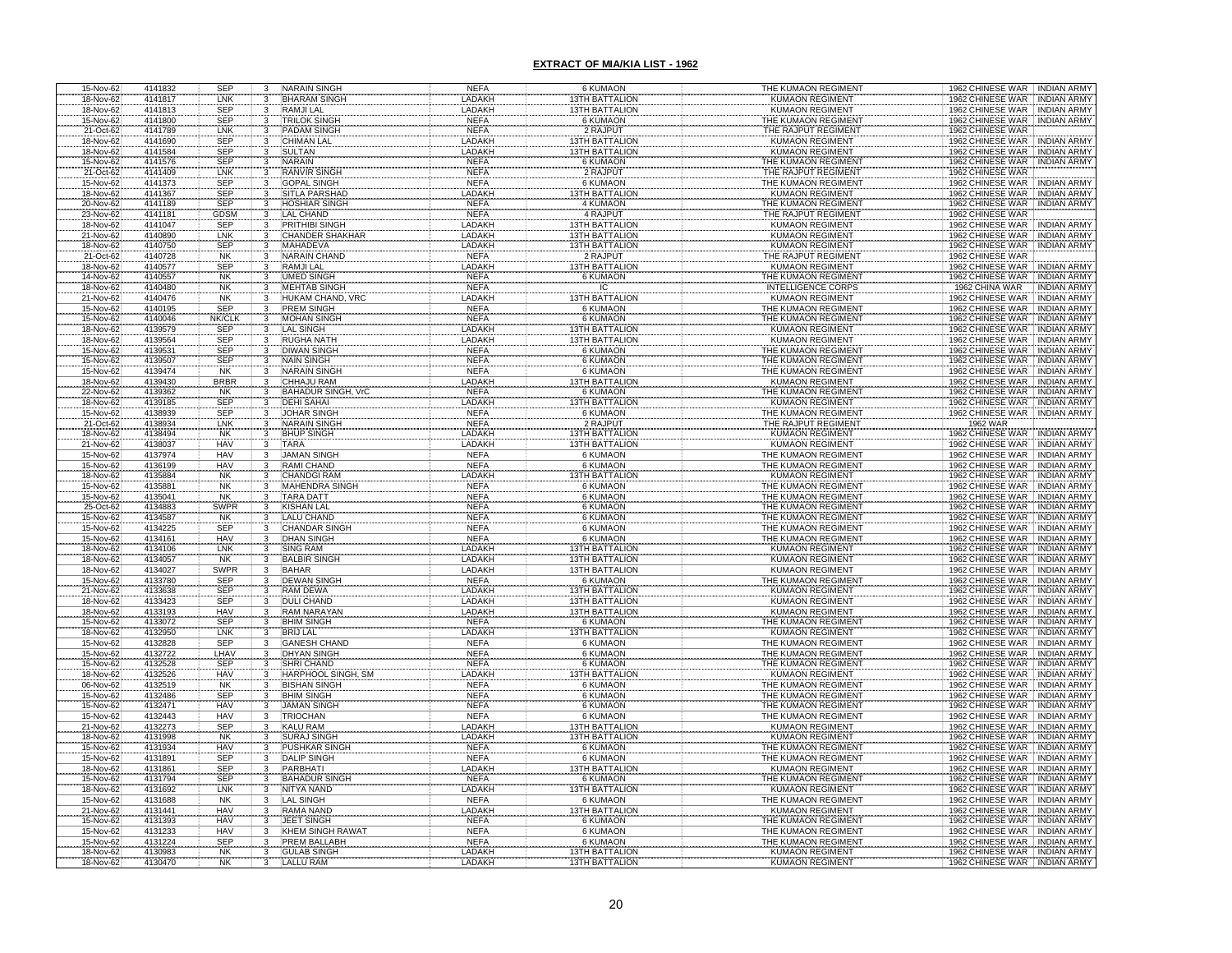| 15-Nov-62                           | 4141832            | <b>SEP</b><br>3                   | <b>NARAIN SINGH</b>                      | <b>NEFA</b>                | <b>6 KUMAON</b>                                | THE KUMAON REGIMENT                              | 1962 CHINESE WAR INDIAN ARMY                                             |
|-------------------------------------|--------------------|-----------------------------------|------------------------------------------|----------------------------|------------------------------------------------|--------------------------------------------------|--------------------------------------------------------------------------|
| 18-Nov-62                           | 4141817            | LNK<br>3                          | <b>BHARAM SINGH</b>                      | LADAKH                     | <b>13TH BATTALION</b>                          | <b>KUMAON REGIMENT</b>                           | <b>INDIAN ARMY</b><br>1962 CHINESE WAR                                   |
| 18-Nov-62                           | 4141813            | SEP<br>3                          | <b>RAMJILAL</b>                          | LADAKH                     | <b>13TH BATTALION</b>                          | <b>KUMAON REGIMENT</b>                           | 1962 CHINESE WAR INDIAN ARMY                                             |
| 15-Nov-62                           | 4141800            | <b>SEP</b>                        | <b>TRILOK SINGH</b>                      | <b>NEFA</b>                | 6 KUMAON                                       | THE KUMAON REGIMENT                              | 1962 CHINESE WAR INDIAN ARMY                                             |
| 21-Oct-62                           | 4141789            | LNK                               | PADAM SINGH                              | <b>NEFA</b>                | 2 RAJPUT                                       | THE RAJPUT REGIMENT                              | 1962 CHINESE WAR                                                         |
| 18-Nov-62                           | 4141690            | SEP                               | <b>CHIMAN LAL</b>                        | <b>LADAKH</b>              | <b>13TH BATTALION</b>                          | <b>KUMAON REGIMENT</b>                           | 1962 CHINESE WAR<br>INDIAN ARM                                           |
| 18-Nov-62                           | 4141584            | <b>SEP</b><br>3                   | <b>SULTAN</b>                            | LADAKH                     | <b>13TH BATTALION</b>                          | <b>KUMAON REGIMENT</b>                           | 1962 CHINESE WAR<br><b>INDIAN ARMY</b>                                   |
| 15-Nov-62                           | 4141576            | SEP<br>$\mathbf{3}$               | <b>NARAIN</b>                            | <b>NEFA</b>                | 6 KUMAON                                       | THE KUMAON REGIMENT                              | 1962 CHINESE WAR INDIAN ARMY                                             |
| 21-Oct-62                           | 4141409            | LNK                               | <b>RANVIR SINGH</b>                      | <b>NEFA</b>                | 2 RAJPUT                                       | THE RAJPUT REGIMENT                              | 1962 CHINESE WAR                                                         |
| 15-Nov-62                           | 4141373            | <b>SEP</b><br>3                   | <b>GOPAL SINGH</b>                       | <b>NEFA</b>                | <b>6 KUMAON</b>                                | THE KUMAON REGIMENT                              | 1962 CHINESE WAR INDIAN ARMY                                             |
| 18-Nov-62                           | 4141367            | <b>SEP</b><br>3                   | SITLA PARSHAD                            | LADAKH                     | <b>13TH BATTALION</b>                          | <b>KUMAON REGIMENT</b>                           | 1962 CHINESE WAR INDIAN ARMY                                             |
| 20-Nov-62                           | 4141189            | <b>SEP</b><br>3                   | <b>HOSHIAR SINGH</b>                     | <b>NEFA</b>                | 4 KUMAON                                       | THE KUMAON REGIMENT                              | 1962 CHINESE WAR INDIAN ARMY                                             |
| 23-Nov-62                           | 4141181            | GDSM                              | <b>LAL CHAND</b>                         | <b>NEFA</b>                | <b>4 RAJPUT</b>                                | THE RAJPUT REGIMENT                              | 1962 CHINESE WAR                                                         |
| 18-Nov-62                           | 4141047<br>4140890 | SEP<br>LNK                        | PRITHIBI SINGH<br><b>CHANDER SHAKHAR</b> | LADAKH<br><b>LADAKH</b>    | <b>13TH BATTALION</b>                          | <b>KUMAON REGIMENT</b>                           | 1962 CHINESE WAR INDIAN ARMY                                             |
| 21-Nov-62                           | 4140750            | SEP                               | <b>MAHADEVA</b>                          | LADAKH                     | <b>13TH BATTALION</b><br><b>13TH BATTALION</b> | <b>KUMAON REGIMENT</b><br><b>KUMAON REGIMENT</b> | 1962 CHINESE WAR NDIAN ARMY<br>1962 CHINESE WAR INDIAN ARMY              |
| 18-Nov-62<br>21-Oct-62              | 4140728            | <b>NK</b>                         | <b>NARAIN CHAND</b>                      | <b>NEFA</b>                | 2 RAJPUT                                       | THE RAJPUT REGIMENT                              | 1962 CHINESE WAR                                                         |
| 18-Nov-62                           | 4140577            | <b>SEP</b>                        | <b>RAMJI LAL</b>                         | LADAKH                     | <b>13TH BATTALION</b>                          | <b>KUMAON REGIMENT</b>                           | 1962 CHINESE WAR . INDIAN ARMY                                           |
| 14-Nov-62                           | 4140557            | <b>NK</b>                         | <b>UMED SINGH</b>                        | <b>NEFA</b>                | 6 KUMAON                                       | THE KUMAON REGIMENT                              | 1962 CHINESE WAR<br><b>INDIAN ARMY</b>                                   |
| 18-Nov-62                           | 4140480            | $\cdot$ <sup>3</sup><br><b>NK</b> | <b>MEHTAB SINGH</b>                      | <b>NEFA</b>                | ΙĈ                                             | <b>INTELLIGENCE CORPS</b>                        | 1962 CHINA WAR<br><b>INDIAN ARMY</b>                                     |
| 21-Nov-62                           | 4140476            | <b>NK</b><br>3                    | HUKAM CHAND, VRC                         | LADAKH                     | <b>13TH BATTALION</b>                          | <b>KUMAON REGIMENT</b>                           | 1962 CHINESE WAR<br><b>INDIAN ARMY</b>                                   |
| 15-Nov-62                           | 4140195            | <b>SEP</b><br>3                   | <b>PREM SINGH</b>                        | <b>NEFA</b>                | <b>6 KUMAON</b>                                | THE KUMAON REGIMENT                              | 1962 CHINESE WAR<br><b>INDIAN ARMY</b>                                   |
| 15-Nov-62                           | 4140046            | <b>NK/CLK</b>                     | <b>MOHAN SINGH</b>                       | <b>NEFA</b>                | 6 KUMAON                                       | THE KUMAON REGIMENT                              | 1962 CHINESE WAR<br><b>INDIAN ARMY</b>                                   |
| 18-Nov-62                           | 4139579            | <b>SEP</b>                        | LAL SINGH                                | LADAKH                     | <b>3TH BATTALION</b>                           | <b>KUMAON REGIMENT</b>                           | 1962 CHINESE WAR<br><b>INDIAN ARMY</b>                                   |
| 18-Nov-62                           | 4139564            | <b>SEP</b>                        | <b>RUGHA NATH</b>                        | LADAKH                     | <b>3TH BATTALION</b>                           | <b>KUMAON REGIMENT</b>                           | 1962 CHINESE WAR<br>INDIAN ARMY                                          |
| 15-Nov-62                           | 4139531            | <b>SEP</b>                        | <b>DIWAN SINGH</b>                       | <b>NEFA</b>                | <b>6 KUMAON</b>                                | THE KUMAON REGIMENT                              | 1962 CHINESE WAR INDIAN ARMY                                             |
| 15-Nov-62                           | 4139507            | <b>SEP</b>                        | <b>NAIN SINGH</b>                        | <b>NEFA</b>                | <b>6 KUMAON</b>                                | THE KUMAON REGIMENT                              | 1962 CHINESE WAR INDIAN ARMY                                             |
| 15-Nov-62                           | 4139474            | <b>NK</b>                         | <b>NARAIN SINGH</b>                      | <b>NEFA</b>                | 6 KUMAON                                       | THE KUMAON REGIMENT                              | 1962 CHINESE WAR INDIAN ARMY                                             |
| 18-Nov-62                           | 4139430            | <b>BRBR</b>                       | CHHAJU RAM                               | LADAKH                     | <b>3TH BATTALION</b>                           | <b>KUMAON REGIMENT</b>                           | 1962 CHINESE WAR INDIAN ARMY                                             |
| 22-Nov-62<br>18-Nov-62<br>15-Nov-62 | 4139362            | <b>NK</b>                         | <b>BAHADUR SINGH,</b>                    | <b>NEFA</b>                | <b>6 KUMAON</b>                                | THE KUMAON REGIMENT<br>KUMAON REGIMENT           | 1962 CHINESE WAR<br>INDIAN ARMY                                          |
|                                     | 4139185            | <b>SEP</b>                        | <b>DEHI SAHAI</b>                        | LADAKH                     | <b>STH BATTALION</b>                           |                                                  | 1902 OHINESE WAR NDIAN ARMY                                              |
|                                     | 4138939            | <b>SEP</b>                        | <b>JOHAR SINGH</b>                       | <b>NEFA</b>                | <b>6 KUMAON</b>                                | THE KUMAON REGIMENT                              | 1962 CHINESE WAR INDIAN ARMY                                             |
| 21-Oct-62<br>18-Nov-62<br>21-Nov-62 | 4138934            | LNK                               | <b>NARAIN SINGH</b>                      | <b>NEFA</b>                | 2 RAJPUT                                       | THE RAJPUT REGIMENT                              | 1962 WAR<br>1962 CHINESE WAR                                             |
|                                     | 4138494            | <b>NK</b>                         | <b>BHUP SINGH</b>                        | LADAKH                     | <b>ISTH BATTALION</b>                          | <b>KUMAON REGIMENT</b>                           | <b>INDIAN ARMY</b>                                                       |
|                                     | 4138037            | <b>HAV</b>                        | <b>TARA</b>                              | <b>LADAKH</b>              | <b>13TH BATTALION</b>                          | <b>KUMAON REGIMENT</b>                           | 1962 CHINESE WAR<br><b>INDIAN ARMY</b>                                   |
| 15-Nov-62                           | 4137974            | <b>HAV</b>                        | <b>JAMAN SINGH</b><br><b>RAMI CHAND</b>  | <b>NEFA</b>                | <b>6 KUMAON</b><br><b>6 KUMAON</b>             | THE KUMAON REGIMENT                              | 1962 CHINESE WAR INDIAN ARMY                                             |
| 15-Nov-62<br>18-Nov-62              | 4136199<br>4135884 | <b>HAV</b><br><b>NK</b>           | <b>CHANDGI RAM</b>                       | <b>NEFA</b><br>LADAKI      | <b>STH BATTALION</b>                           | THE KUMAON REGIMENT<br>KUMAON REGIMENT           | 1962 CHINESE WAR . INDIAN ARMY<br>1962 CHINESE WAR<br><b>INDIAN ARMY</b> |
| 15-Nov-62                           | 4135881            | <b>NK</b>                         | <b>MAHENDRA SINGI</b>                    | <b>NEFA</b>                | <b>6 KUMAON</b>                                | THE KUMAON REGIMENT                              | 1962 CHINESE WAR<br><b>INDIAN ARMY</b>                                   |
| 15-Nov-62                           | 4135041            | <b>NK</b>                         | <b>TARA DATT</b>                         | <b>NEFA</b>                | <b>6 KUMAON</b>                                | THE KUMAON REGIMENT                              | 1962 CHINESE WAR<br><b>INDIAN ARMY</b>                                   |
| 25-Oct-62                           | 4134883            | <b>SWPR</b>                       | <b>KISHAN LAL</b>                        | <b>NEFA</b>                | <b>6 KUMAON</b>                                | THE KUMAON REGIMENT                              | 1962 CHINESE WAR INDIAN ARMY                                             |
| 15-Nov-62                           | 4134587            | <b>NK</b>                         | <b>LALU CHAND</b>                        | <b>NEFA</b>                | <b>6 KUMAON</b>                                | THE KUMAON REGIMENT                              | 1962 CHINESE WAR INDIAN ARMY                                             |
| 15-Nov-62                           | 4134225            | SEP                               | <b>CHANDAR SINGH</b>                     | <b>NEFA</b>                | <b>6 KUMAON</b>                                | THE KUMAON REGIMENT                              | 1962 CHINESE WAR INDIAN ARMY                                             |
|                                     | 4134161            | <b>HAV</b>                        | <b>DHAN SINGH</b>                        | <b>NEFA</b>                | <b>6 KUMAON</b>                                | THE KUMAON REGIMENT                              | 1962 CHINESE WAR INDIAN ARMY                                             |
| 15-Nov-62<br>18-Nov-62              | 4134106            | LNK                               | <b>SING RAM</b>                          | LADAKH                     | <b>13TH BATTALION</b>                          | <b>KUMAON REGIMENT</b>                           | 1962 CHINESE WAR INDIAN ARMY                                             |
| 18-Nov-62                           | 4134057            | <b>NK</b><br>3                    | <b>BALBIR SINGH</b>                      | LADAKH                     | 13TH BATTALION                                 | <b>KUMAON REGIMENT</b>                           | 1962 CHINESE WAR INDIAN ARMY                                             |
| 18-Nov-62                           | 4134027            | SWPR                              | <b>BAHAR</b>                             | LADAKH                     | 13TH BATTALION                                 | <b>KUMAON REGIMENT</b>                           | 1962 CHINESE WAR INDIAN ARMY                                             |
|                                     | 4133780<br>4133638 |                                   | DEWAN SINGH<br>RAM DEWA                  | <b>NEFA</b>                | <b>6 KUMAON</b>                                | THE KUMAON REGIMENT                              | 1962 CHINESE WAR INDIAN ARMY                                             |
|                                     |                    |                                   |                                          | LADAKH                     | 13TH BATTALION                                 | <b>KUMAON REGIMENT</b>                           | 1962 CHINESE WAR<br><b>INDIAN ARMY</b>                                   |
| 15-Nov-62<br>21-Nov-62<br>18-Nov-62 | 4133423            | SEP<br>SEP<br>SEP                 | <b>DULI CHAND</b>                        | LADAKH                     | <b>13TH BATTALION</b>                          | <b>KUMAON REGIMENT</b>                           | 1962 CHINESE WAR<br>1962 CHINESE WAR<br><b>INDIAN ARMY</b>               |
| 18-Nov-62                           | 4133193            | <b>HAV</b>                        | <b>RAM NARAYAN</b>                       | <b>LADAKH</b>              | <b>13TH BATTALION</b>                          | <b>KUMAON REGIMENT</b>                           | <b>INDIAN ARMY</b>                                                       |
| 15-Nov-62                           | 4133072            | <b>SEP</b>                        | <b>BHIM SINGH</b>                        | <b>NEFA</b>                | <b>6 KUMAON</b>                                | THE KUMAON REGIMENT                              | 1962 CHINESE WAR INDIAN ARMY                                             |
| 18-Nov-62                           | 4132950            | LNK                               | <b>BRIJ LAL</b>                          | LADAKH                     | <b>I3TH BATTALION</b>                          | <b>KUMAON REGIMENT</b>                           | 1962 CHINESE WAR INDIAN ARMY                                             |
| 15-Nov-62                           | 4132828            | <b>SEP</b>                        | <b>GANESH CHAND</b>                      | <b>NEFA</b>                | <b>6 KUMAON</b>                                | THE KUMAON REGIMENT                              | 1962 CHINESE WAR<br><b>INDIAN ARMY</b>                                   |
| 15-Nov-62                           | 4132722            | LHAV                              | <b>DHYAN SINGH</b>                       | <b>NEFA</b>                | 6 KUMAON                                       | THE KUMAON REGIMENT                              | 1962 CHINESE WAR<br><b>INDIAN ARMY</b>                                   |
| 15-Nov-62                           | 4132528            | <b>SEP</b>                        | SHRI CHAND<br>HARPHOOL SINGH, SM         | <b>NEFA</b>                | <b>6 KUMAON</b>                                | THE KUMAON REGIMENT                              | 1962 CHINESE WAR<br><b>INDIAN ARMY</b><br>1962 CHINESE WAR               |
| 18-Nov-62                           | 4132526<br>4132519 | <b>HAV</b><br><b>NK</b>           |                                          | LADAKH                     | <b>3TH BATTALION</b><br>6 KUMAON               | KUMAON REGIMENT<br>THE KUMAON REGIMENT           | <b>INDIAN ARMY</b><br>1962 CHINESE WAR INDIAN ARMY                       |
| 06-Nov-62<br>15-Nov-62              | 4132486            |                                   | <b>BISHAN SINGH</b><br><b>BHIM SINGH</b> | <b>NEFA</b><br><b>NEFA</b> | <b>6 KUMAON</b>                                | THE KUMAON REGIMENT                              | 1962 CHINESE WAR<br>INDIAN ARMY                                          |
| 15-Nov-62                           | 4132471            | SEP<br>HAV                        | <b>JAMAN SINGH</b>                       | <b>NEFA</b>                | <b>6 KUMAON</b>                                | THE KUMAON REGIMENT                              | 1962 CHINESE WAR INDIAN ARMY                                             |
| 15-Nov-62                           | 4132443            | <b>HAV</b><br>3                   | <b>TRIOCHAN</b>                          | <b>NEFA</b>                | <b>6 KUMAON</b>                                | THE KUMAON REGIMENT                              | 1962 CHINESE WAR INDIAN ARMY                                             |
| 21-Nov-62                           | 4132273            |                                   | <b>KALU RAM</b>                          | <b>LADAKH</b>              | <b>ISTH BATTALION</b>                          | <b>KUMAON REGIMENT</b>                           | 1962 CHINESE WAR INDIAN ARMY                                             |
| 18-Nov-62                           | 4131998            | SEP<br>NK                         | <b>SURAJ SINGH</b>                       | LADAKH                     | <b>I3TH BATTALION</b>                          | <b>KUMAON REGIMENT</b>                           | 1962 CHINESE WAR   INDIAN ARMY                                           |
| 15-Nov-62                           | 4131934            | <b>HAV</b>                        | <b>PUSHKAR SINGH</b>                     | <b>NEFA</b>                | <b>6 KUMAON</b>                                | THE KUMAON REGIMENT                              | 1962 CHINESE WAR NDIAN ARMY                                              |
| 15-Nov-62                           | 4131891            | SEP                               | <b>DALIP SINGH</b>                       | <b>NEFA</b>                | <b>6 KUMAON</b>                                | THE KUMAON REGIMENT                              | 1962 CHINESE WAR NDIAN ARMY                                              |
| 18-Nov-62                           | 4131861            | SEP                               | <b>PARBHATI</b>                          | LADAKH                     | <b>I3TH BATTALION</b>                          | <b>KUMAON REGIMENT</b>                           | 1962 CHINESE WAR INDIAN ARMY                                             |
| 15-Nov-62                           | 4131794            | SEP                               | <b>BAHADUR SINGH</b>                     | <b>NEFA</b>                | <b>6 KUMAON</b>                                | THE KUMAON REGIMENT                              | 1962 CHINESE WAR   INDIAN ARMY                                           |
| 18-Nov-62                           | 4131692            | LNK                               | <b>NITYA NAND</b>                        | LADAKH                     | <b>13TH BATTALION</b>                          | <b>KUMAON REGIMENT</b>                           | 1962 CHINESE WAR INDIAN ARMY                                             |
| 15-Nov-62                           | 4131688            | <b>NK</b><br>$\frac{3}{3}$        | <b>LAL SINGH</b>                         | <b>NEFA</b>                | <b>6 KUMAON</b>                                | THE KUMAON REGIMENT                              | 1962 CHINESE WAR INDIAN ARMY                                             |
| 21-Nov-62                           | 4131441            | HAV                               | <b>RAMA NAND</b>                         | LADAKH                     | <b>I3TH BATTALION</b>                          | <b>KUMAON REGIMENT</b>                           | 1962 CHINESE WAR NDIAN ARMY                                              |
| 15-Nov-62                           | 4131393            | <b>HAV</b><br>3                   | JEET SINGH                               | <b>NEFA</b>                | 6 KUMAON                                       | THE KUMAON REGIMENT                              | 1962 CHINESE WAR INDIAN ARMY                                             |
| 15-Nov-62                           | 4131233            | <b>HAV</b><br>$\overline{3}$      | <b>KHEM SINGH RAWAT</b>                  | <b>NEFA</b>                | 6 KUMAON                                       | THE KUMAON REGIMENT                              | 1962 CHINESE WAR INDIAN ARMY                                             |
| 15-Nov-62<br>18-Nov-62              | 4131224            | SEP                               | PREM BALLABH                             | <b>NEFA</b>                | 6 KUMAON                                       | THE KUMAON REGIMENT                              | 1962 CHINESE WAR INDIAN ARMY                                             |
|                                     | 4130983            | NK                                | <b>GULAB SINGH</b>                       | LADAKH                     | <b>3TH BATTALION</b>                           | <b>KUMAON REGIMENT</b>                           | 1962 CHINESE WAR   INDIAN ARMY                                           |
| 18-Nov-62                           | 4130470            | <b>NK</b>                         | <b>ALLU RAM</b>                          | <b>LADAKH</b>              | <b>13TH BATTALION</b>                          | <b>KUMAON REGIMENT</b>                           | INDIAN ARMY<br>1962 CHINESE WAR                                          |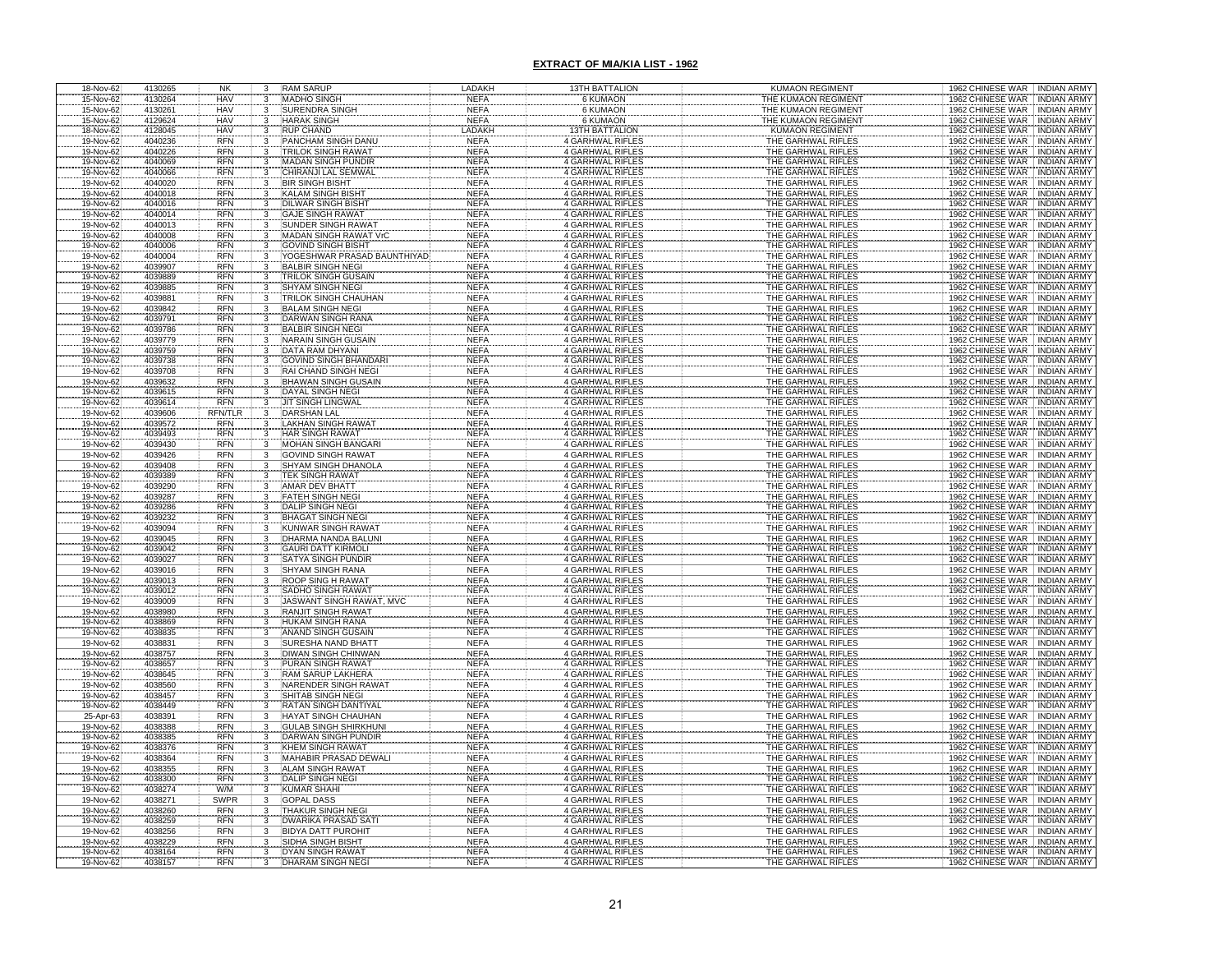| 18-Nov-62              | 4130265            | NK                       |              | <b>RAM SARUP</b>                                       | LADAKH                     | <b>13TH BATTALION</b>                              | <b>KUMAON REGIMENT</b>                   | 1962 CHINESE WAR INDIAN ARMY                                                                       |
|------------------------|--------------------|--------------------------|--------------|--------------------------------------------------------|----------------------------|----------------------------------------------------|------------------------------------------|----------------------------------------------------------------------------------------------------|
| 15-Nov-62              | 4130264            | <b>HAV</b>               |              | <b>MADHO SINGH</b>                                     | <b>NEFA</b>                | 6 KUMAON                                           | THE KUMAON REGIMENT                      | 1962 CHINESE WAR INDIAN ARMY                                                                       |
| 15-Nov-62              | 4130261            | <b>HAV</b>               |              | <b>SURENDRA SINGH</b>                                  | <b>NEFA</b>                | <b>6 KUMAON</b>                                    | THE KUMAON REGIMENT                      | 1962 CHINESE WAR INDIAN ARMY                                                                       |
| 15-Nov-62              | 4129624            | <b>HAV</b>               |              | <b>HARAK SINGH</b>                                     | <b>NEFA</b>                | <b>6 KUMAON</b>                                    | THE KUMAON REGIMENT                      | 1962 CHINESE WAR INDIAN ARMY                                                                       |
| 18-Nov-62              | 4128045            | <b>HAV</b>               |              | <b>RUP CHAND</b>                                       | LADAKI                     | <b>3TH BATTALION</b>                               | <b>KUMAON REGIMENT</b>                   | 1962 CHINESE WAR<br><b>INDIAN ARMY</b>                                                             |
| 19-Nov-62              | 4040236            | <b>RFN</b>               |              | PANCHAM SINGH DAN                                      | NEFA                       | <b>4 GARHWAL RIFLES</b>                            | THE GARHWAL RIFLE                        | 1962 CHINESE WAR<br><b>INDIAN ARMY</b>                                                             |
| 19-Nov-62              | 4040226            | <b>RFN</b>               |              | <b>TRILOK SINGH RAWAT</b>                              | <b>NEFA</b>                | 4 GARHWAL RIFLES                                   | THE GARHWAL RIFLES                       | 1962 CHINESE WAR<br><b>INDIAN ARMY</b>                                                             |
| 19-Nov-62              | 4040069            | <b>RFN</b><br><b>RFN</b> |              | <b>MADAN SINGH PUNDIR</b><br>CHIRANJI LAL SEMWAI       | <b>NEFA</b><br>NEF/        | 4 GARHWAL RIFLES<br>4 GARHWAL RIFLES               | THE GARHWAL RIFLES<br>THE GARHWAL RIFLES | 1962 CHINESE WAR<br><b>INDIAN ARMY</b><br>1962 CHINESE WAR<br><b>INDIAN ARMY</b>                   |
| 19-Nov-62<br>19-Nov-62 | 4040066<br>4040020 | <b>RFN</b>               |              | <b>BIR SINGH BISHT</b>                                 | <b>NEFA</b>                | 4 GARHWAL RIFLES                                   | THE GARHWAL RIFLES                       | 1962 CHINESE WAR<br><b>INDIAN ARMY</b>                                                             |
| 19-Nov-62              | 4040018            | <b>RFN</b>               |              | KALAM SINGH BISHT                                      | <b>NEFA</b>                | 4 GARHWAL RIFLES                                   | THE GARHWAL RIFLES                       | 1962 CHINESE WAR<br><b>INDIAN ARMY</b>                                                             |
|                        | 4040016            | <b>RFN</b>               |              | <b>DILWAR SINGH BISHT</b>                              | <b>NEFA</b>                | 4 GARHWAL RIFLES                                   | THE GARHWAL RIFLES                       | 1962 CHINESE WAR<br><b>INDIAN ARMY</b>                                                             |
| 19-Nov-62<br>19-Nov-62 | 4040014            | <b>RFN</b>               |              | <b>GAJE SINGH RAWAT</b>                                | <b>NEFA</b>                | 4 GARHWAL RIFLES                                   | THE GARHWAL RIFLES                       | 1962 CHINESE WAR<br><b>INDIAN ARMY</b>                                                             |
| 19-Nov-62              | 4040013            | <b>RFN</b>               |              | SUNDER SINGH RAWA                                      | <b>NEFA</b>                | 4 GARHWAL RIFLES                                   | THE GARHWAL RIFLES                       | <b>INDIAN ARMY</b><br>1962 CHINESE WAR                                                             |
| 19-Nov-62              | 4040008            | <b>RFN</b>               |              | MADAN SINGH RAWAT VrC                                  | <b>NEFA</b>                | 4 GARHWAL RIFLES                                   | THE GARHWAL RIFLES                       | 1962 CHINESE WAR<br><b>INDIAN ARMY</b>                                                             |
| 19-Nov-62              | 4040006            | <b>RFN</b>               | 3            | <b>GOVIND SINGH BISHT</b>                              | <b>NEFA</b>                | 4 GARHWAL RIFLES                                   | THE GARHWAL RIFLES                       | 1962 CHINESE WAR<br><b>INDIAN ARMY</b>                                                             |
| 19-Nov-62              | 4040004            | <b>RFN</b>               | 3            | YOGESHWAR PRASAD BAUNTHIYAD                            | <b>NEFA</b>                | 4 GARHWAL RIFLES                                   | THE GARHWAL RIFLES                       | 1962 CHINESE WAR<br><b>INDIAN ARMY</b>                                                             |
| 19-Nov-62              | 4039907            | <b>RFN</b>               | 3            | <b>BALBIR SINGH NEGI</b>                               | <b>NEFA</b>                | 4 GARHWAL RIFLES                                   | THE GARHWAL RIFLES                       | 1962 CHINESE WAR<br><b>INDIAN ARMY</b>                                                             |
| 19-Nov-62              | 4039889            | <b>RFN</b><br><b>RFN</b> | 3            | <b>TRILOK SINGH GUSAIN</b>                             | <b>NEFA</b>                | 4 GARHWAL RIFLES                                   | THE GARHWAL RIFLES                       | 1962 CHINESE WAR<br><b>INDIAN ARMY</b>                                                             |
| 19-Nov-62<br>19-Nov-62 | 4039885<br>4039881 | <b>RFN</b>               | 3<br>3       | <b>SHYAM SINGH NEGI</b><br><b>TRILOK SINGH CHAUHAN</b> | <b>NEFA</b><br><b>NEFA</b> | 4 GARHWAL RIFLES<br>4 GARHWAL RIFLES               | THE GARHWAL RIFLES<br>THE GARHWAL RIFLES | 1962 CHINESE WAR<br><b>INDIAN ARMY</b><br>1962 CHINESE WAR<br><b>INDIAN ARMY</b>                   |
| 19-Nov-62              | 4039842            | <b>RFN</b>               | 3            | <b>BALAM SINGH NEGI</b>                                | <b>NEFA</b>                | 4 GARHWAL RIFLES                                   | THE GARHWAL RIFLES                       | 1962 CHINESE WAR<br><b>INDIAN ARMY</b>                                                             |
| 19-Nov-62              | 4039791            | <b>RFN</b>               | 3            | DARWAN SINGH RANA                                      | <b>NEFA</b>                | 4 GARHWAL RIFLES                                   | THE GARHWAL RIFLES                       | 1962 CHINESE WAR<br><b>INDIAN ARMY</b>                                                             |
| 19-Nov-62              | 4039786            | <b>RFN</b>               |              | <b>BALBIR SINGH NEGI</b>                               | <b>NEFA</b>                | 4 GARHWAL RIFLES                                   | THE GARHWAL RIFLES                       | 1962 CHINESE WAR<br><b>INDIAN ARMY</b>                                                             |
| 19-Nov-62              | 4039779            | <b>RFN</b>               |              | <b>NARAIN SINGH GUSAI</b>                              | <b>NEFA</b>                | 4 GARHWAL RIFLES                                   | THE GARHWAL RIFLES                       | 1962 CHINESE WAR<br><b>INDIAN ARMY</b>                                                             |
| 19-Nov-62              | 4039759            | <b>RFN</b>               |              | DATA RAM DHYANI                                        | <b>NEFA</b>                | 4 GARHWAL RIFLES                                   | THE GARHWAL RIFLES                       | 1962 CHINESE WAR<br><b>INDIAN ARMY</b>                                                             |
| 19-Nov-62              | 4039738            | <b>RFN</b>               |              | <b>GOVIND SINGH BHANDARI</b>                           | <b>NEFA</b>                | 4 GARHWAL RIFLES                                   | THE GARHWAL RIFLES                       | 1962 CHINESE WAR<br><b>INDIAN ARMY</b>                                                             |
| 19-Nov-62              | 4039708            | <b>RFN</b>               |              | RAI CHAND SINGH NEGI                                   | <b>NEFA</b>                | <b>4 GARHWAL RIFLES</b>                            | THE GARHWAL RIFLES                       | 1962 CHINESE WAR<br><b>INDIAN ARMY</b>                                                             |
| 19-Nov-62<br>19-Nov-62 | 4039632<br>4039615 | <b>RFN</b><br><b>RFN</b> |              | <b>BHAWAN SINGH GUSAIN</b>                             | <b>NEFA</b><br><b>NEFA</b> | <b>4 GARHWAL RIFLES</b><br>4 GARHWAL RIFLES        | THE GARHWAL RIFLES<br>THE GARHWAL RIFLES | 1962 CHINESE WAR<br><b>INDIAN ARMY</b><br>1962 CHINESE WAR<br><b>INDIAN ARMY</b>                   |
| 19-Nov-62              | 4039614            | <b>RFN</b>               |              | DAYAL SINGH NEGI<br>JIT SINGH LINGWAL                  | <b>NEFA</b>                | 4 GARHWAL RIFLES                                   | THE GARHWAL RIFLES                       | 1962 CHINESE WAR<br><b>INDIAN ARMY</b>                                                             |
| 19-Nov-62              | 4039606            | RFN/TLR                  |              | <b>DARSHAN LAL</b>                                     | <b>NEFA</b>                | 4 GARHWAL RIFLES                                   | THE GARHWAL RIFLES                       | 1962 CHINESE WAR<br><b>INDIAN ARMY</b>                                                             |
| 19-Nov-62              | 4039572            | <b>RFN</b>               |              | <b>LAKHAN SINGH RAWAT</b>                              | <b>NEFA</b>                | 4 GARHWAL RIFLES                                   | THE GARHWAL RIFLES                       | 1962 CHINESE WAR<br><b>INDIAN ARMY</b>                                                             |
| 19-Nov-62              | 4039493            | <b>RFN</b>               |              | HAR SINGH RAWAT                                        | <b>NEFA</b>                | 4 GARHWAL RIFLES                                   | THE GARHWAL RIFLES                       | 1962 CHINESE WAR<br><b>INDIAN ARMY</b>                                                             |
| 19-Nov-62              | 4039430            | <b>RFN</b>               |              | <b>MOHAN SINGH BANGARI</b>                             | <b>NEFA</b>                | 4 GARHWAL RIFLES                                   | THE GARHWAL RIFLES                       | 1962 CHINESE WAR<br><b>INDIAN ARMY</b>                                                             |
| 19-Nov-62              | 4039426            | <b>RFN</b>               |              | <b>GOVIND SINGH RAWAT</b>                              | <b>NEFA</b>                | 4 GARHWAL RIFLES                                   | THE GARHWAL RIFLES                       | 1962 CHINESE WAR<br><b>INDIAN ARMY</b>                                                             |
| 19-Nov-62              | 4039408<br>4039389 | <b>RFN</b><br><b>RFN</b> |              | SHYAM SINGH DHANOLA<br>TEK SINGH RAWAT                 | <b>NEFA</b><br><b>NEFA</b> | <b>4 GARHWAL RIFLES</b><br><b>4 GARHWAL RIFLES</b> | THE GARHWAL RIFLES<br>THE GARHWAL RIFLES | 1962 CHINESE WAR<br>1962 CHINESE WAR<br><b>INDIAN ARMY</b><br><b>INDIAN ARMY</b>                   |
| 19-Nov-62<br>19-Nov-62 | 4039290            | <b>RFN</b>               |              | <b>AMAR DEV BHATT</b>                                  | <b>NEFA</b>                | <b>4 GARHWAL RIFLES</b>                            | THE GARHWAL RIFLES                       | 1962 CHINESE WAR INDIAN ARMY                                                                       |
| 19-Nov-62              | 4039287            | <b>RFN</b>               |              | <b>FATEH SINGH NEGI</b>                                | <b>NEFA</b>                | <b>4 GARHWAL RIFLES</b>                            | THE GARHWAL RIFLES                       | 1962 CHINESE WAR INDIAN ARMY                                                                       |
| 19-Nov-62              | 4039286            | <b>RFN</b>               |              | <b>DALIP SINGH NEGI</b>                                | <b>NEFA</b>                | <b>4 GARHWAL RIFLES</b>                            | THE GARHWAL RIFLES                       | 1962 CHINESE WAR INDIAN ARMY                                                                       |
| 19-Nov-62              | 4039232            | <b>RFN</b>               |              | <b>BHAGAT SINGH NEGI</b>                               | <b>NEFA</b>                | <b>4 GARHWAL RIFLES</b>                            | THE GARHWAL RIFLES                       | 1962 CHINESE WAR INDIAN ARMY                                                                       |
| 19-Nov-62              | 4039094            | <b>RFN</b>               | 3            | <b>KUNWAR SINGH RAWAT</b>                              | <b>NEFA</b>                | <b>4 GARHWAL RIFLES</b>                            | THE GARHWAL RIFLES                       | 1962 CHINESE WAR<br><b>INDIAN ARMY</b>                                                             |
| 19-Nov-62              | 4039045            | <b>RFN</b>               | $\mathbf{3}$ | DHARMA NANDA BALUNI                                    | <b>NEFA</b>                | <b>4 GARHWAL RIFLES</b>                            | THE GARHWAL RIFLES                       | 1962 CHINESE WAR INDIAN ARMY                                                                       |
| 19-Nov-62              | 4039042            | <b>RFN</b>               |              | <b>GAURI DATT KIRMOLI</b>                              | <b>NEFA</b>                | <b>4 GARHWAL RIFLES</b>                            | THE GARHWAL RIFLES                       | 1962 CHINESE WAR INDIAN ARMY                                                                       |
| 19-Nov-62<br>19-Nov-62 | 4039027<br>4039016 | <b>RFN</b><br><b>RFN</b> | 3<br>3       | <b>SATYA SINGH PUNDIR</b><br><b>SHYAM SINGH RANA</b>   | <b>NEFA</b><br><b>NEFA</b> | <b>4 GARHWAL RIFLES</b><br><b>4 GARHWAL RIFLES</b> | THE GARHWAL RIFLES<br>THE GARHWAL RIFLES | 1962 CHINESE WAR INDIAN ARMY<br>1962 CHINESE WAR INDIAN ARMY                                       |
| 19-Nov-62              | 4039013            | <b>RFN</b>               |              | <b>ROOP SING H RAWAT</b>                               | <b>NEFA</b>                | <b>4 GARHWAL RIFLES</b>                            | THE GARHWAL RIFLES                       | 1962 CHINESE WAR INDIAN ARMY                                                                       |
| 19-Nov-62              | 4039012            | <b>RFN</b>               |              | SADHO SINGH RAWAT                                      | <b>NEFA</b>                | <b>4 GARHWAL RIFLES</b>                            | THE GARHWAL RIFLES                       | 1962 CHINESE WAR<br><b>INDIAN ARMY</b>                                                             |
| 19-Nov-62              | 4039009            | <b>RFN</b>               |              | <b>JASWANT SINGH RAWAT, MVC</b>                        | <b>NEFA</b>                | <b>4 GARHWAL RIFLES</b>                            | THE GARHWAL RIFLES                       | 1962 CHINESE WAR<br><b>INDIAN ARMY</b>                                                             |
| 19-Nov-62              | 4038980            | <b>RFN</b>               |              | <b>RANJIT SINGH RAWAT</b>                              | <b>NEFA</b>                | <b>4 GARHWAL RIFLES</b>                            | THE GARHWAL RIFLES                       | 1962 CHINESE WAR<br><b>INDIAN ARMY</b>                                                             |
| 19-Nov-62              | 4038869            | <b>RFN</b>               |              | HUKAM SINGH RANA                                       | <b>NEFA</b>                | 4 GARHWAL RIFLES                                   | THE GARHWAL RIFLES                       | 1962 CHINESE WAR<br><b>INDIAN ARMY</b>                                                             |
| 19-Nov-62              | 4038835            | <b>RFN</b>               |              | <b>ANAND SINGH GUSAIN</b>                              | <b>NEFA</b>                | <b>4 GARHWAL RIFLES</b>                            | THE GARHWAL RIFLES                       | 1962 CHINESE WAR INDIAN ARMY                                                                       |
| 19-Nov-62<br>19-Nov-62 | 4038831<br>4038757 | <b>RFN</b><br><b>RFN</b> |              | SURESHA NAND BHATT<br><b>DIWAN SINGH CHINWAN</b>       | <b>NEFA</b><br><b>NEFA</b> | 4 GARHWAL RIFLES<br>4 GARHWAL RIFLES               | THE GARHWAL RIFLES<br>THE GARHWAL RIFLES | 1962 CHINESE WAR<br><b>INDIAN ARMY</b>                                                             |
| 19-Nov-62              | 4038657            | <b>RFN</b>               |              | <b>PURAN SINGH RAWAT</b>                               | <b>NEFA</b>                | <b>4 GARHWAL RIFLES</b>                            | THE GARHWAL RIFLES                       |                                                                                                    |
| 19-Nov-62              | 4038645            | <b>RFN</b>               |              | <b>RAM SARUP LAKHERA</b>                               | <b>NEFA</b>                | 4 GARHWAL RIFLES                                   | THE GARHWAL RIFLES                       | 1962 CHINESE WAR   INDIAN ARMY<br>1962 CHINESE WAR   INDIAN ARMY<br>1962 CHINESE WAR   INDIAN ARMY |
| 19-Nov-62              | 4038560            | <b>RFN</b>               |              | NARENDER SINGH RAWA                                    | <b>NEFA</b>                | 4 GARHWAL RIFLES                                   | THE GARHWAL RIFLES                       |                                                                                                    |
| 19-Nov-62<br>19-Nov-62 | 4038457            | <b>RFN</b>               |              | SHITAB SINGH NEGI                                      | <b>NEFA</b>                | 4 GARHWAL RIFLES                                   | THE GARHWAL RIFLES                       | 1962 CHINESE WAR   INDIAN ARMY<br>1962 CHINESE WAR   INDIAN ARMY<br>1962 CHINESE WAR   INDIAN ARMY |
|                        | 4038449            | <b>RFN</b>               |              | <b>RATAN SINGH DANTIYAI</b>                            | <b>NEFA</b>                | <b>4 GARHWAL RIFLES</b>                            | THE GARHWAL RIFLES                       |                                                                                                    |
| 25-Apr-63              | 4038391            | <b>RFN</b>               |              | <b>HAYAT SINGH CHAUHAN</b>                             | <b>NEFA</b>                | 4 GARHWAL RIFLES                                   | THE GARHWAL RIFLES                       | 1962 CHINESE WAR INDIAN ARMY                                                                       |
| 19-Nov-62<br>19-Nov-62 | 4038388<br>4038385 | <b>RFN</b><br><b>RFN</b> |              | <b>GULAB SINGH SHIRKHUNI</b><br>DARWAN SINGH PUNDIR    | <b>NEFA</b><br><b>NEFA</b> | 4 GARHWAL RIFLES<br>4 GARHWAL RIFLES               | THE GARHWAL RIFLES<br>THE GARHWAL RIFLES | 1962 CHINESE WAR INDIAN ARMY<br>1962 CHINESE WAR<br><b>INDIAN ARMY</b>                             |
| 19-Nov-62              | 4038376            | <b>RFN</b>               |              | <b>KHEM SINGH RAWAT</b>                                | <b>NEFA</b>                | 4 GARHWAL RIFLES                                   | THE GARHWAL RIFLES                       | 1962 CHINESE WAR INDIAN ARMY                                                                       |
| 19-Nov-62              | 4038364            | <b>RFN</b>               |              | MAHABIR PRASAD DEWAL                                   | <b>NEFA</b>                | <b>4 GARHWAL RIFLES</b>                            | THE GARHWAL RIFLES                       | 1962 CHINESE WAR INDIAN ARMY                                                                       |
| 19-Nov-62              | 4038355            | <b>RFN</b>               |              | ALAM SINGH RAWAT                                       | <b>NEFA</b>                | 4 GARHWAL RIFLES                                   | THE GARHWAL RIFLES                       | 1962 CHINESE WAR INDIAN ARMY                                                                       |
| 19-Nov-62              | 4038300            | <b>RFN</b>               |              | <b>DALIP SINGH NEGI</b>                                | <b>NEFA</b>                | <b>4 GARHWAL RIFLES</b>                            | THE GARHWAL RIFLES                       | 1962 CHINESE WAR INDIAN ARMY                                                                       |
| 19-Nov-62              | 4038274            | W/M                      |              | <b>KUMAR SHAHI</b>                                     | <b>NEFA</b>                | 4 GARHWAL RIFLES                                   | THE GARHWAL RIFLES                       | 1962 CHINESE WAR INDIAN ARMY                                                                       |
| 19-Nov-62              | 4038271            | SWPR                     |              | <b>GOPAL DASS</b>                                      | <b>NEFA</b>                | 4 GARHWAL RIFLES                                   | THE GARHWAL RIFLES                       | 1962 CHINESE WAR INDIAN ARMY                                                                       |
| 19-Nov-62              | 4038260            | <b>RFN</b><br><b>RFN</b> | 3            | <b>THAKUR SINGH NEGI</b><br><b>DWARIKA PRASAD SATI</b> | <b>NEFA</b>                | <b>4 GARHWAL RIFLES</b>                            | THE GARHWAL RIFLES                       | 1962 CHINESE WAR INDIAN ARMY                                                                       |
| 19-Nov-62<br>19-Nov-62 | 4038259<br>4038256 | <b>RFN</b>               | 3            | BIDYA DATT PUROHIT                                     | <b>NEFA</b><br><b>NEFA</b> | 4 GARHWAL RIFLES<br>4 GARHWAL RIFLES               | THE GARHWAL RIFLES<br>THE GARHWAL RIFLES | 1962 CHINESE WAR INDIAN ARMY<br>1962 CHINESE WAR INDIAN ARMY                                       |
| 19-Nov-62              | 4038229            | <b>RFN</b>               |              | SIDHA SINGH BISHT                                      | <b>NEFA</b>                | 4 GARHWAL RIFLES                                   | THE GARHWAL RIFLES                       | 1962 CHINESE WAR INDIAN ARMY                                                                       |
| 19-Nov-62              | 4038164            | RFN                      |              | <b>DYAN SINGH RAWAT</b>                                | <b>NEFA</b>                | 4 GARHWAL RIFLES                                   | THE GARHWAL RIFLES                       | 1962 CHINESE WAR   INDIAN ARMY                                                                     |
| 19-Nov-62              | 4038157            | <b>RFN</b>               |              | <b>DHARAM SINGH NEG</b>                                | NEF/                       | 4 GARHWAL RIFLES                                   | THE GARHWAL RIFLE!                       | 1962 CHINESE WAR INDIAN ARMY                                                                       |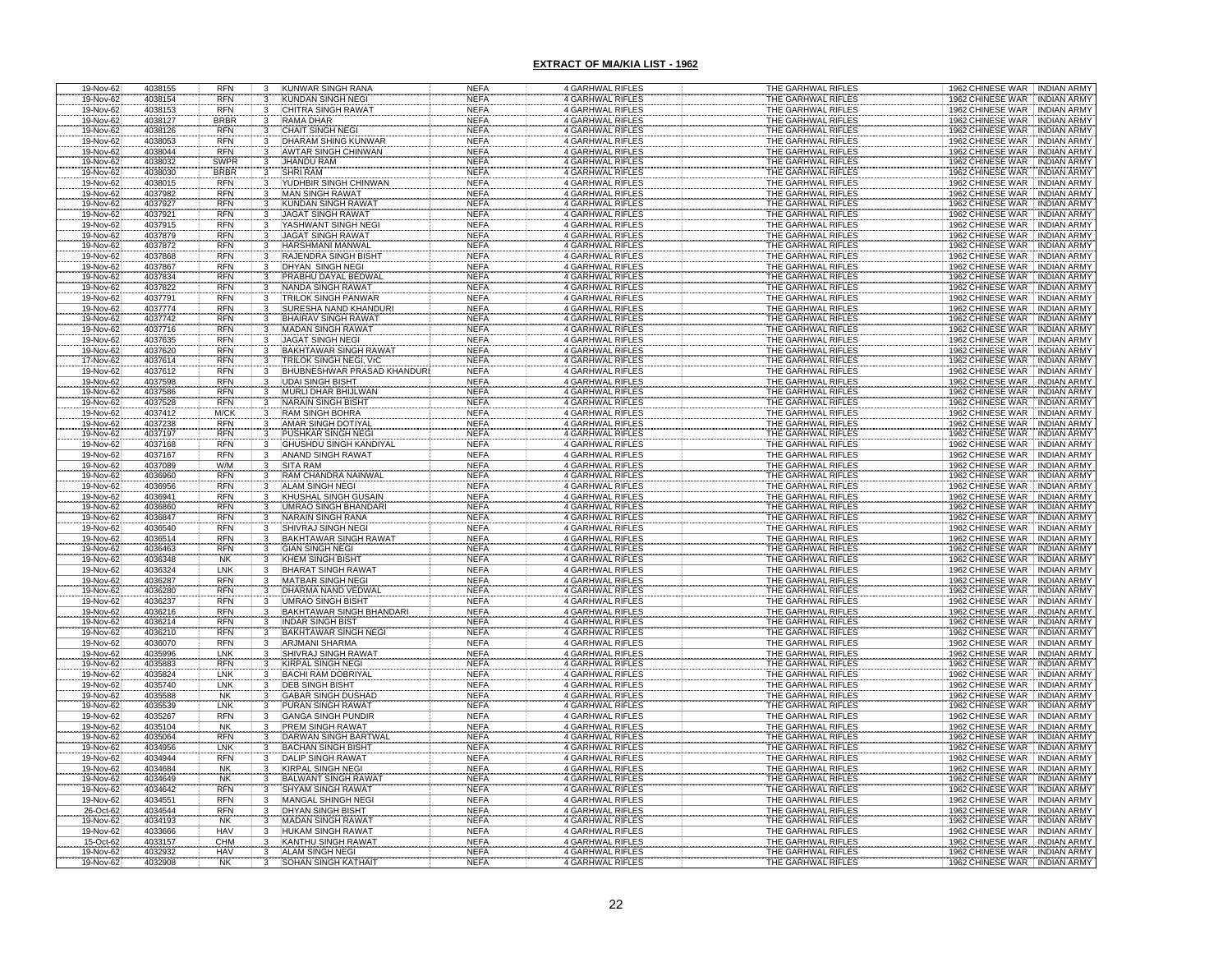| 19-Nov-62              | 4038155            | RFN                       | 3      | KUNWAR SINGH RANA                                           | NEFA                       | 4 GARHWAL RIFLES                                   | THE GARHWAL RIFLES                       | 1962 CHINESE WAR INDIAN ARMY                                                     |
|------------------------|--------------------|---------------------------|--------|-------------------------------------------------------------|----------------------------|----------------------------------------------------|------------------------------------------|----------------------------------------------------------------------------------|
| 19-Nov-62              | 4038154            | <b>RFN</b>                | 3      | KUNDAN SINGH NEGI                                           | <b>NEFA</b>                | 4 GARHWAL RIFLES                                   | THE GARHWAL RIFLES                       | 1962 CHINESE WAR INDIAN ARMY                                                     |
| 19-Nov-62<br>19-Nov-62 | 4038153<br>4038127 | <b>RFN</b><br><b>BRBR</b> | 3      | CHITRA SINGH RAWAT<br><b>RAMA DHAR</b>                      | <b>NEFA</b><br><b>NEFA</b> | 4 GARHWAL RIFLES<br>4 GARHWAL RIFLES               | THE GARHWAL RIFLES<br>THE GARHWAL RIFLES | 1962 CHINESE WAR INDIAN ARMY<br>1962 CHINESE WAR INDIAN ARMY                     |
| 19-Nov-62              | 4038126            | <b>RFN</b>                |        | <b>CHAIT SINGH NEGI</b>                                     | <b>NEFA</b>                | 4 GARHWAL RIFLES                                   | THE GARHWAL RIFLES                       | 1962 CHINESE WAR<br><b>INDIAN ARMY</b>                                           |
| 19-Nov-62              | 4038053            | <b>RFN</b>                |        | DHARAM SHING KUNWAR                                         | <b>NEFA</b>                | 4 GARHWAL RIFLES                                   | THE GARHWAL RIFLES                       | 1962 CHINESE WAR<br><b>INDIAN ARMY</b>                                           |
| 19-Nov-62              | 4038044            | <b>RFN</b>                |        | <b>AWTAR SINGH CHINWAN</b>                                  | <b>NEFA</b>                | 4 GARHWAL RIFLES                                   | THE GARHWAL RIFLES                       | 1962 CHINESE WAR INDIAN ARMY                                                     |
| 19-Nov-62              | 4038032            | SWPR                      | 3      | JHANDU RAM                                                  | <b>NEFA</b>                | 4 GARHWAL RIFLES                                   | THE GARHWAL RIFLES                       | 1962 CHINESE WAR<br><b>INDIAN ARMY</b>                                           |
| 19-Nov-62              | 4038030<br>4038015 | <b>BRBR</b><br><b>RFN</b> |        | <b>SHRI RAM</b><br>YUDHBIR SINGH CHINWAN                    | <b>NEFA</b><br><b>NEFA</b> | 4 GARHWAL RIFLES<br>4 GARHWAL RIFLES               | THE GARHWAL RIFLES<br>THE GARHWAL RIFLES | 1962 CHINESE WAR INDIAN ARMY<br>1962 CHINESE WAR INDIAN ARMY                     |
| 19-Nov-62<br>19-Nov-62 | 4037982            | <b>RFN</b>                | 3      | <b>MAN SINGH RAWAT</b>                                      | <b>NEFA</b>                | <b>4 GARHWAL RIFLES</b>                            | THE GARHWAL RIFLES                       | 1962 CHINESE WAR INDIAN ARMY                                                     |
| 19-Nov-62              | 4037927            | <b>RFN</b>                | 3      | <b>KUNDAN SINGH RAWA</b>                                    | <b>NEFA</b>                | <b>4 GARHWAL RIFLES</b>                            | THE GARHWAL RIFLES                       | 1962 CHINESE WAR<br><b>INDIAN ARMY</b>                                           |
| 19-Nov-62              | 4037921            | <b>RFN</b>                |        | <b>JAGAT SINGH RAWAT</b>                                    | <b>NEFA</b>                | <b>4 GARHWAL RIFLES</b>                            | THE GARHWAL RIFLES                       | 1962 CHINESE WAR<br><b>INDIAN ARMY</b>                                           |
| 19-Nov-62              | 4037915            | <b>RFN</b>                |        | YASHWANT SINGH NEG                                          | <b>NEFA</b>                | <b>4 GARHWAL RIFLES</b>                            | THE GARHWAL RIFLES                       | 1962 CHINESE WAR<br><b>INDIAN ARMY</b>                                           |
| 19-Nov-62<br>19-Nov-62 | 4037879<br>4037872 | <b>RFN</b><br><b>RFN</b>  |        | <b>JAGAT SINGH RAWAT</b><br><b>HARSHMANI MANWAL</b>         | <b>NEFA</b><br><b>NEFA</b> | 4 GARHWAL RIFLES<br><b>4 GARHWAL RIFLES</b>        | THE GARHWAL RIFLES<br>THE GARHWAL RIFLES | 1962 CHINESE WAR<br><b>INDIAN ARMY</b><br>1962 CHINESE WAR<br><b>INDIAN ARMY</b> |
| 19-Nov-62              | 4037868            | <b>RFN</b>                |        | RAJENDRA SINGH BISHT                                        | <b>NEFA</b>                | 4 GARHWAL RIFLES                                   | THE GARHWAL RIFLES                       | 1962 CHINESE WAR<br><b>INDIAN ARMY</b>                                           |
| 19-Nov-62              | 4037867            | <b>RFN</b>                |        | DHYAN SINGH NEGI                                            | <b>NEFA</b>                | <b>4 GARHWAL RIFLES</b>                            | THE GARHWAL RIFLES                       | 1962 CHINESE WAR INDIAN ARMY                                                     |
| 19-Nov-62              | 4037834            | <b>RFN</b>                |        | PRABHU DAYAL BEDWAI                                         | <b>NEFA</b>                | 4 GARHWAL RIFLES                                   | THE GARHWAL RIFLES                       | 1962 CHINESE WAR<br>INDIAN ARMY                                                  |
| 19-Nov-62              | 4037822            | <b>RFN</b>                |        | <b>NANDA SINGH RAWAT</b>                                    | <b>NEFA</b>                | 4 GARHWAL RIFLES                                   | THE GARHWAL RIFLES                       | 1962 CHINESE WAR INDIAN ARMY                                                     |
| 19-Nov-62<br>19-Nov-62 | 4037791            | <b>RFN</b><br><b>RFN</b>  | 3<br>3 | <b>TRILOK SINGH PANWAR</b><br>SURESHA NAND KHANDURI         | <b>NEFA</b><br><b>NEFA</b> | 4 GARHWAL RIFLES<br><b>4 GARHWAL RIFLES</b>        | THE GARHWAL RIFLES<br>THE GARHWAL RIFLES | 1962 CHINESE WAR INDIAN ARMY                                                     |
| 19-Nov-62              | 4037774<br>4037742 | <b>RFN</b>                |        | BHAIRAV SINGH RAWAT                                         | <b>NEFA</b>                | 4 GARHWAL RIFLES                                   | THE GARHWAL RIFLES                       | 1962 CHINESE WAR INDIAN ARMY<br>1962 CHINESE WAR<br><b>INDIAN ARMY</b>           |
| 19-Nov-62              | 4037716            | <b>RFN</b>                |        | <b>MADAN SINGH RAWAT</b>                                    | <b>NEFA</b>                | <b>4 GARHWAL RIFLES</b>                            | THE GARHWAL RIFLES                       | 1962 CHINESE WAR<br><b>INDIAN ARM'</b>                                           |
| 19-Nov-62              | 4037635            | <b>RFN</b>                |        | <b>JAGAT SINGH NEGI</b>                                     | <b>NEFA</b>                | 4 GARHWAL RIFLES                                   | THE GARHWAL RIFLES                       | 1962 CHINESE WAR<br><b>INDIAN ARMY</b>                                           |
| 19-Nov-62              | 4037620            | <b>RFN</b>                |        | <b>BAKHTAWAR SINGH RAWAT</b>                                | <b>NEFA</b>                | 4 GARHWAL RIFLES                                   | THE GARHWAL RIFLES                       | 1962 CHINESE WAR INDIAN ARMY                                                     |
| 17-Nov-62<br>19-Nov-62 | 4037614<br>4037612 | <b>RFN</b><br><b>RFN</b>  |        | TRILOK SINGH NEGI, VrC<br><b>BHUBNESHWAR PRASAD KHANDUR</b> | <b>NEFA</b><br><b>NEFA</b> | <b>4 GARHWAL RIFLES</b><br><b>4 GARHWAL RIFLES</b> | THE GARHWAL RIFLES<br>THE GARHWAL RIFLES | 1962 CHINESE WAR INDIAN ARMY<br>1962 CHINESE WAR INDIAN ARMY                     |
| 19-Nov-62              | 4037598            | <b>RFN</b>                |        | <b>UDAI SINGH BISHT</b>                                     | <b>NEFA</b>                | <b>4 GARHWAL RIFLES</b>                            | THE GARHWAL RIFLES                       | 1962 CHINESE WAR INDIAN ARMY                                                     |
| 19-Nov-62              | 4037586            | <b>RFN</b>                |        | <b>MURLI DHAR BHIJLWAN</b>                                  | <b>NEFA</b>                | <b>4 GARHWAL RIFLES</b>                            | THE GARHWAL RIFLES                       | 1962 CHINESE WAR<br><b>INDIAN ARMY</b>                                           |
| 19-Nov-62              | 4037528            | <b>RFN</b>                |        | NARAIN SINGH BISHT                                          | <b>NEFA</b>                | <b>4 GARHWAL RIFLES</b>                            | THE GARHWAL RIFLES                       | 1962 CHINESE WAR INDIAN ARMY                                                     |
| 19-Nov-62              | 4037412            | M/CK                      |        | <b>RAM SINGH BOHRA</b>                                      | <b>NEFA</b>                | <b>4 GARHWAL RIFLES</b>                            | THE GARHWAL RIFLES                       | 1962 CHINESE WAR INDIAN ARMY                                                     |
| 19-Nov-62              | 4037238<br>4037197 | <b>RFN</b><br><b>RFN</b>  |        | <b>AMAR SINGH DOTIYAL</b><br>PUSHKAR SINGH NEGI             | <b>NEFA</b><br><b>NEFA</b> | <b>4 GARHWAL RIFLES</b><br><b>4 GARHWAL RIFLES</b> | THE GARHWAL RIFLES<br>THE GARHWAL RIFLES | 1962 CHINESE WAR<br><b>INDIAN ARMY</b><br>1962 CHINESE WAR INDIAN ARMY           |
| 19-Nov-62<br>19-Nov-62 | 4037168            | <b>RFN</b>                |        | GHUSHDU SINGH KANDIYAL                                      | <b>NEFA</b>                | <b>4 GARHWAL RIFLES</b>                            | THE GARHWAL RIFLES                       | 1962 CHINESE WAR INDIAN ARMY                                                     |
| 19-Nov-62              | 4037167            | <b>RFN</b>                |        | <b>ANAND SINGH RAWAT</b>                                    | <b>NEFA</b>                | 4 GARHWAL RIFLES                                   | THE GARHWAL RIFLES                       | 1962 CHINESE WAR INDIAN ARMY                                                     |
| 19-Nov-62              | 4037089            | W/M                       |        | <b>SITA RAM</b>                                             | <b>NEFA</b>                | <b>4 GARHWAL RIFLES</b>                            | THE GARHWAL RIFLES                       | 1962 CHINESE WAR INDIAN ARMY                                                     |
| 19-Nov-62              | 4036960            | <b>RFN</b>                |        | RAM CHANDRA NAINWAL                                         | <b>NEFA</b>                | <b>4 GARHWAL RIFLES</b>                            | THE GARHWAL RIFLES                       | 1962 CHINESE WAR INDIAN ARMY                                                     |
| 19-Nov-62<br>19-Nov-62 | 4036956<br>4036941 | <b>RFN</b><br><b>RFN</b>  |        | <b>ALAM SINGH NEGI</b><br>KHUSHAL SINGH GUSAIN              | <b>NEFA</b><br><b>NEFA</b> | 4 GARHWAL RIFLES<br><b>4 GARHWAL RIFLES</b>        | THE GARHWAL RIFLES<br>THE GARHWAL RIFLES | 1962 CHINESE WAR INDIAN ARMY<br>1962 CHINESE WAR INDIAN ARMY                     |
| 19-Nov-62              | 4036860            | <b>RFN</b>                |        | <b>UMRAO SINGH BHANDARI</b>                                 | <b>NEFA</b>                | <b>4 GARHWAL RIFLES</b>                            | THE GARHWAL RIFLES                       | 1962 CHINESE WAR INDIAN ARMY                                                     |
| 19-Nov-62              | 4036847            | <b>RFN</b>                |        | <b>NARAIN SINGH RANA</b>                                    | <b>NEFA</b>                | 4 GARHWAL RIFLES                                   | THE GARHWAL RIFLES                       | 1962 CHINESE WAR INDIAN ARMY                                                     |
| 19-Nov-62              | 4036540            | <b>RFN</b>                |        | <b>SHIVRAJ SINGH NEGI</b>                                   | <b>NEFA</b>                | <b>4 GARHWAL RIFLES</b>                            | THE GARHWAL RIFLES                       | 1962 CHINESE WAR INDIAN ARMY                                                     |
| 19-Nov-62              | 4036514            | <b>RFN</b>                |        | <b>BAKHTAWAR SINGH RAWAT</b>                                | <b>NEFA</b>                | 4 GARHWAL RIFLES                                   | THE GARHWAL RIFLES                       | 1962 CHINESE WAR INDIAN ARMY                                                     |
| 19-Nov-62              | 4036463<br>4036348 | <b>RFN</b><br><b>NK</b>   | 3      | <b>GIAN SINGH NEGI</b><br><b>KHEM SINGH BISHT</b>           | <b>NEFA</b><br><b>NEFA</b> | <b>4 GARHWAL RIFLES</b><br><b>4 GARHWAL RIFLES</b> | THE GARHWAL RIFLES<br>THE GARHWAL RIFLES | 1962 CHINESE WAR INDIAN ARMY<br>1962 CHINESE WAR INDIAN ARMY                     |
| 19-Nov-62<br>19-Nov-62 | 4036324            | LNK                       | 3      | <b>BHARAT SINGH RAWAT</b>                                   | <b>NEFA</b>                | 4 GARHWAL RIFLES                                   | THE GARHWAL RIFLES                       | 1962 CHINESE WAR   INDIAN ARMY                                                   |
| 19-Nov-62              | 4036287            | <b>RFN</b>                |        | <b>MATBAR SINGH NEGI</b>                                    | <b>NEFA</b>                | <b>4 GARHWAL RIFLES</b>                            | THE GARHWAL RIFLES                       | 1962 CHINESE WAR INDIAN ARMY                                                     |
| 19-Nov-62              | 4036280            | <b>RFN</b>                |        | DHARMA NAND VEDW                                            | <b>NEFA</b>                | 4 GARHWAL RIFLES                                   | THE GARHWAL RIFLES                       | 1962 CHINESE WAR<br><b>INDIAN ARMY</b>                                           |
| 19-Nov-62              | 4036237            | <b>RFN</b>                |        | <b>UMRAO SINGH BISHT</b>                                    | <b>NEFA</b>                | 4 GARHWAL RIFLES                                   | THE GARHWAL RIFLES                       | 1962 CHINESE WAR<br><b>INDIAN ARMY</b>                                           |
| 19-Nov-62<br>19-Nov-62 | 4036216<br>4036214 | <b>RFN</b><br><b>RFN</b>  |        | <b>BAKHTAWAR SINGH BHANDAR</b><br><b>INDAR SINGH BIST</b>   | <b>NEFA</b><br><b>NEFA</b> | <b>4 GARHWAL RIFLES</b><br>4 GARHWAL RIFLES        | THE GARHWAL RIFLES<br>THE GARHWAL RIFLES | 1962 CHINESE WAR<br><b>INDIAN ARMY</b><br>1962 CHINESE WAR<br><b>INDIAN ARMY</b> |
| 19-Nov-62              | 4036210            | <b>RFN</b>                |        | <b>BAKHTAWAR SINGH NEGI</b>                                 | <b>NEFA</b>                | 4 GARHWAL RIFLES                                   | THE GARHWAL RIFLES                       | 1962 CHINESE WAR INDIAN ARMY                                                     |
| 19-Nov-62              | 4036070            | <b>RFN</b>                |        | <b>ARJMANI SHARMA</b>                                       | <b>NEFA</b>                | 4 GARHWAL RIFLES                                   | THE GARHWAL RIFLES                       | 1962 CHINESE WAR<br><b>INDIAN ARMY</b>                                           |
| 19-Nov-62              | 4035996            | LNK                       |        | SHIVRAJ SINGH RAWA                                          | <b>NEFA</b>                | <b>4 GARHWAL RIFLES</b>                            | THE GARHWAL RIFLES                       | 1962 CHINESE WAR<br><b>INDIAN ARMY</b>                                           |
| 19-Nov-62              | 4035883<br>4035824 | <b>RFN</b><br>LNK         |        | <b>KIRPAL SINGH NEGI</b><br><b>BACHI RAM DOBRIYAL</b>       | <b>NEFA</b>                | <b>4 GARHWAL RIFLES</b>                            | THE GARHWAL RIFLES<br>THE GARHWAL RIFLES | 1962 CHINESE WAR<br><b>INDIAN ARMY</b><br>1962 CHINESE WAR INDIAN ARMY           |
| 19-Nov-62<br>19-Nov-62 | 4035740            | LNK                       |        | <b>DEB SINGH BISHT</b>                                      | <b>NEFA</b><br><b>NEFA</b> | 4 GARHWAL RIFLES<br>4 GARHWAL RIFLES               | THE GARHWAL RIFLES                       | 1962 CHINESE WAR<br><b>INDIAN ARMY</b>                                           |
| 19-Nov-62              | 4035588            | <b>NK</b>                 |        | <b>GABAR SINGH DUSHAD</b>                                   | <b>NEFA</b>                | <b>4 GARHWAL RIFLES</b>                            | THE GARHWAL RIFLES                       | 1962 CHINESE WAR<br><b>INDIAN ARMY</b>                                           |
| 19-Nov-62              | 4035539            | LNK                       |        | <b>PURAN SINGH RAWAT</b>                                    | <b>NEFA</b>                | <b>4 GARHWAL RIFLES</b>                            | THE GARHWAL RIFLES                       | 1962 CHINESE WAR INDIAN ARMY                                                     |
| 19-Nov-62              | 4035267            | <b>RFN</b>                |        | <b>GANGA SINGH PUNDIR</b>                                   | <b>NEFA</b>                | 4 GARHWAL RIFLES                                   | THE GARHWAL RIFLES                       | 1962 CHINESE WAR INDIAN ARMY                                                     |
| 19-Nov-62<br>19-Nov-62 | 4035104<br>4035064 | <b>NK</b><br><b>RFN</b>   |        | <b>PREM SINGH RAWAT</b><br>DARWAN SINGH BARTWA              | <b>NEFA</b><br><b>NEFA</b> | 4 GARHWAL RIFLES<br><b>4 GARHWAL RIFLES</b>        | THE GARHWAL RIFLES<br>THE GARHWAL RIFLES | 1962 CHINESE WAR INDIAN ARMY<br>1962 CHINESE WAR<br><b>INDIAN ARMY</b>           |
| 19-Nov-62              | 4034956            | LNK                       |        | <b>BACHAN SINGH BISHT</b>                                   | <b>NEFA</b>                | <b>4 GARHWAL RIFLES</b>                            | THE GARHWAL RIFLES                       | 1962 CHINESE WAR INDIAN ARMY                                                     |
| 19-Nov-62              | 4034944            | <b>RFN</b>                |        | <b>DALIP SINGH RAWAT</b>                                    | <b>NEFA</b>                | 4 GARHWAL RIFLES                                   | THE GARHWAL RIFLES                       | 1962 CHINESE WAR INDIAN ARMY                                                     |
| 19-Nov-62              | 4034684            | <b>NK</b>                 |        | <b>KIRPAL SINGH NEGI</b>                                    | <b>NEFA</b>                | <b>4 GARHWAL RIFLES</b>                            | THE GARHWAL RIFLES                       | 1962 CHINESE WAR INDIAN ARMY                                                     |
| 19-Nov-62              | 4034649            | <b>NK</b>                 |        | BALWANT SINGH RAWAT                                         | <b>NEFA</b>                | <b>4 GARHWAL RIFLES</b>                            | THE GARHWAL RIFLES                       | 1962 CHINESE WAR INDIAN ARMY                                                     |
| 19-Nov-62<br>19-Nov-62 | 4034642<br>4034551 | <b>RFN</b><br><b>RFN</b>  |        | <b>SHYAM SINGH RAWAT</b><br><b>MANGAL SHINGH NEGI</b>       | <b>NEFA</b><br><b>NEFA</b> | 4 GARHWAL RIFLES<br>4 GARHWAL RIFLES               | THE GARHWAL RIFLES<br>THE GARHWAL RIFLES | 1962 CHINESE WAR INDIAN ARMY<br>1962 CHINESE WAR   INDIAN ARMY                   |
| 26-Oct-62              | 4034544            | <b>RFN</b>                |        | <b>DHYAN SINGH BISHT</b>                                    | <b>NEFA</b>                | <b>4 GARHWAL RIFLES</b>                            | THE GARHWAL RIFLES                       | 1962 CHINESE WAR INDIAN ARMY                                                     |
| 19-Nov-62              | 4034193            | <b>NK</b>                 | 3      | MADAN SINGH RAWAT                                           | <b>NEFA</b>                | 4 GARHWAL RIFLES                                   | THE GARHWAL RIFLES                       | 1962 CHINESE WAR INDIAN ARMY                                                     |
| 19-Nov-62              | 4033666            | HAV                       | 3      | HUKAM SINGH RAWAT                                           | <b>NEFA</b>                | 4 GARHWAL RIFLES                                   | THE GARHWAL RIFLES                       | 1962 CHINESE WAR INDIAN ARMY                                                     |
| 15-Oct-62              | 4033157            | CHM                       |        | KANTHU SINGH RAWA                                           | <b>NEFA</b>                | 4 GARHWAL RIFLES                                   | THE GARHWAL RIFLES                       | 1962 CHINESE WAR INDIAN ARMY                                                     |
| 19-Nov-62              | 4032932<br>4032908 | HAV                       |        | <b>ALAM SINGH NEGI</b><br><b>SOHAN SINGH KATHA</b>          | <b>NEFA</b>                | <b>4 GARHWAL RIFLES</b>                            | THE GARHWAL RIFLES                       | 1962 CHINESE WAR INDIAN ARMY<br>1962 CHINESE WAR INDIAN ARMY                     |
| 19-Nov-62              |                    | <b>NK</b>                 |        |                                                             | <b>NEFA</b>                | 4 GARHWAL RIFLES                                   | THE GARHWAL RIFLES                       |                                                                                  |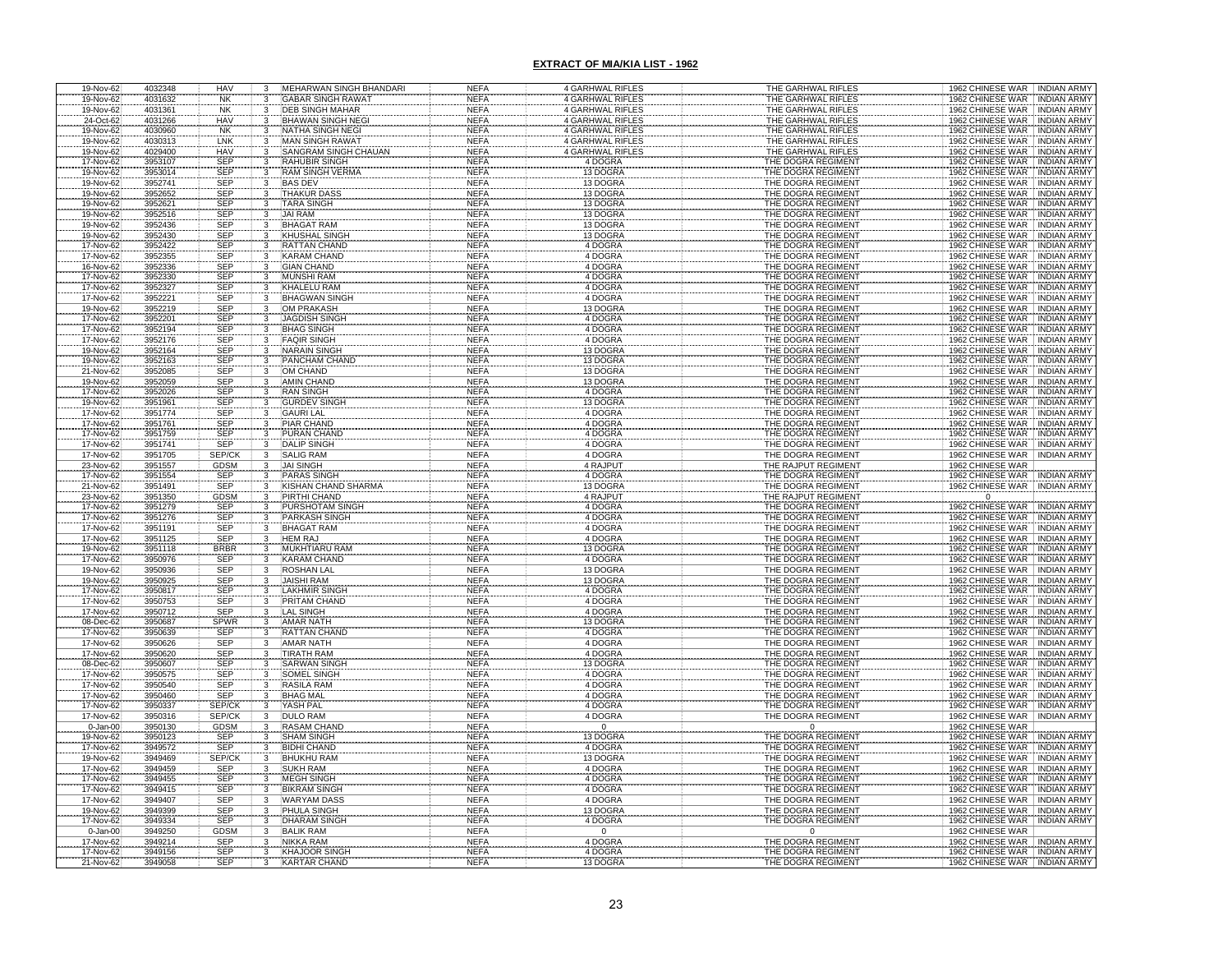| 19-Nov-62                           | 4032348            | HAV                      | 3                                    | MEHARWAN SINGH BHANDARI                      | NEFA                       | <b>4 GARHWAL RIFLES</b>                     | THE GARHWAL RIFLES                        | 1962 CHINESE WAR INDIAN ARMY                                                                                                                     |
|-------------------------------------|--------------------|--------------------------|--------------------------------------|----------------------------------------------|----------------------------|---------------------------------------------|-------------------------------------------|--------------------------------------------------------------------------------------------------------------------------------------------------|
| 19-Nov-62                           | 4031632            | <b>NK</b>                | 3                                    | <b>GABAR SINGH RAWAT</b>                     | <b>NEFA</b>                | <b>4 GARHWAL RIFLES</b>                     | THE GARHWAL RIFLES                        | 1962 CHINESE WAR INDIAN ARMY                                                                                                                     |
| 19-Nov-62                           | 4031361            | <b>NK</b>                | $\overline{3}$                       | <b>DEB SINGH MAHAR</b>                       | <b>NEFA</b>                | <b>4 GARHWAL RIFLES</b>                     | THE GARHWAL RIFLES                        | 1962 CHINESE WAR INDIAN ARMY                                                                                                                     |
| 24-Oct-62<br>19-Nov-62              | 4031266<br>4030960 | <b>HAV</b><br><b>NK</b>  |                                      | <b>BHAWAN SINGH NEGI</b><br>NATHA SINGH NEGI | <b>NEFA</b><br><b>NEFA</b> | <b>4 GARHWAL RIFLES</b><br>4 GARHWAL RIFLES | THE GARHWAL RIFLES<br>THE GARHWAL RIFLES  | 1962 CHINESE WAR INDIAN ARMY                                                                                                                     |
| 19-Nov-62                           | 4030313            | LNK                      |                                      | MAN SINGH RAWAT                              | <b>NEFA</b>                | <b>4 GARHWAL RIFLES</b>                     | THE GARHWAL RIFLES                        | INDIAN ARMY<br>INDIAN ARMY                                                                                                                       |
| 19-Nov-62                           | 4029400            | <b>HAV</b>               | 3                                    | <b>SANGRAM SINGH CHAUAN</b>                  | <b>NEFA</b>                | 4 GARHWAL RIFLES                            | THE GARHWAL RIFLES                        | 1962 CHINESE WAR<br>1962 CHINESE WAR<br>1962 CHINESE WAR<br><b>INDIAN ARMY</b>                                                                   |
| 17-Nov-62                           | 3953107            | SEP                      | 3                                    |                                              | <b>NEFA</b>                | 4 DOGRA                                     |                                           |                                                                                                                                                  |
| 19-Nov-62                           | 3953014            | SEP                      |                                      | RAHUBIR SINGH<br>RAM SINGH VERMA             | <b>NEFA</b>                | 13 DOGRA                                    | THE DOGRA REGIMENT<br>THE DOGRA REGIMENT  | 1962 CHINESE WAR   INDIAN ARMY<br>1962 CHINESE WAR   INDIAN ARMY<br>1962 CHINESE WAR   INDIAN ARMY                                               |
| 19-Nov-62                           | 3952741            | <b>SEP</b>               | 3                                    | <b>BAS DEV</b>                               | <b>NEFA</b>                | 13 DOGRA                                    | THE DOGRA REGIMENT                        |                                                                                                                                                  |
| 19-Nov-62                           | 3952652            | <b>SEP</b>               | 3                                    | <b>THAKUR DASS</b>                           | <b>NEFA</b>                | 13 DOGRA                                    | THE DOGRA REGIMENT                        | 1962 CHINESE WAR INDIAN ARMY                                                                                                                     |
| 19-Nov-62<br>19-Nov-62              | 3952621            | <b>SEP</b>               | 3                                    | <b>TARA SINGH</b>                            | <b>NEFA</b>                | 13 DOGRA<br>13 DOGRA                        | THE DOGRA REGIMENT                        | 1962 CHINESE WAR<br>1962 CHINESE WAR<br><b>INDIAN ARMY</b>                                                                                       |
|                                     | 3952516            | SEP                      |                                      | <b>JAI RAM</b>                               | <b>NEFA</b>                |                                             | THE DOGRA REGIMENT                        | <b>INDIAN ARMY</b>                                                                                                                               |
| 19-Nov-62                           | 3952436            | SEP                      |                                      | <b>BHAGAT RAM</b>                            | <b>NEFA</b>                | 13 DOGRA                                    | THE DOGRA REGIMENT                        | 1962 CHINESE WAR<br><b>INDIAN ARMY</b>                                                                                                           |
| 19-Nov-62<br>17-Nov-62              | 3952430<br>3952422 | SEP<br><b>SEP</b>        |                                      | <b>KHUSHAL SINGH</b><br><b>RATTAN CHAND</b>  | <b>NEFA</b><br><b>NEFA</b> | 13 DOGRA<br>4 DOGRA                         | THE DOGRA REGIMENT                        | 1962 CHINESE WAR<br><b>INDIAN ARMY</b><br><b>INDIAN ARMY</b>                                                                                     |
| 17-Nov-62                           | 3952355            | SEP                      |                                      | <b>KARAM CHAND</b>                           | <b>NEFA</b>                | 4 DOGRA                                     | THE DOGRA REGIMENT<br>THE DOGRA REGIMENT  | 1962 CHINESE WAR<br>1962 CHINESE WAR   INDIAN ARMY                                                                                               |
| 16-Nov-62                           | 3952336            | <b>SEP</b>               |                                      | <b>GIAN CHAND</b>                            | <b>NEFA</b>                | 4 DOGRA                                     | THE DOGRA REGIMENT                        | 1962 CHINESE WAR<br><b>INDIAN ARMY</b>                                                                                                           |
|                                     |                    | SEP                      |                                      | <b>MUNSHI RAM</b>                            | <b>NEFA</b>                |                                             | THE DOGRA REGIMENT                        | 1962 CHINESE WAR<br><b>INDIAN ARMY</b>                                                                                                           |
| 17-Nov-62<br>17-Nov-62              | 3952330<br>3952327 | <b>SEP</b>               | $\frac{3}{3}$                        | KHALELU RAM                                  | <b>NEFA</b>                | 4 DOGRA<br>4 DOGRA                          | THE DOGRA REGIMENT                        | 1962 CHINESE WAR   INDIAN ARMY                                                                                                                   |
| 17-Nov-62                           | 3952221            | <b>SEP</b>               | 3                                    | <b>BHAGWAN SINGH</b>                         | <b>NEFA</b>                | 4 DOGRA                                     | THE DOGRA REGIMENT                        | 1962 CHINESE WAR<br><b>INDIAN ARMY</b>                                                                                                           |
| 19-Nov-62                           | 3952219            | <b>SEP</b>               | $\overline{3}$                       | <b>OM PRAKASH</b>                            | <b>NEFA</b>                | 13 DOGRA                                    | THE DOGRA REGIMENT                        | 1962 CHINESE WAR<br><b>INDIAN ARMY</b>                                                                                                           |
|                                     | 3952201<br>3952194 | <b>SEP</b>               | 3                                    | JAGDISH SINGH                                | NEFA                       | 4 DOGRA                                     | THE DOGRA REGIMENT                        | 1962 CHINESE WAR<br><b>INDIAN ARMY</b>                                                                                                           |
| 17-Nov-62<br>17-Nov-62<br>17-Nov-62 |                    | <b>SEP</b>               |                                      | <b>BHAG SINGH</b>                            | <b>NEFA</b>                | 4 DOGRA                                     | THE DOGRA REGIMENT                        | 1962 CHINESE WAR<br><b>INDIAN ARMY</b>                                                                                                           |
|                                     | 3952176            | SEP                      |                                      | <b>FAQIR SINGH</b>                           | <b>NEFA</b>                | 4 DOGRA                                     | THE DOGRA REGIMENT                        | 1962 CHINESE WAR<br><b>INDIAN ARMY</b>                                                                                                           |
| 19-Nov-62<br>19-Nov-62              | 3952164<br>3952163 | <b>SEP</b><br><b>SEP</b> |                                      | <b>NARAIN SINGH</b><br>PANCHAM CHAND         | <b>NEFA</b><br><b>NEFA</b> | 13 DOGRA<br>13 DOGRA                        | THE DOGRA REGIMENT<br>THE DOGRA REGIMENT  | 1962 CHINESE WAR<br><b>INDIAN ARMY</b><br><b>INDIAN ARMY</b>                                                                                     |
| 21-Nov-62                           | 3952085            | <b>SEP</b>               |                                      | OM CHAND                                     | <b>NEFA</b>                | 13 DOGRA                                    | THE DOGRA REGIMENT                        | 1962 CHINESE WAR<br>1962 CHINESE WAR<br><b>INDIAN ARMY</b>                                                                                       |
| 19-Nov-62                           | 3952059            | <b>SEP</b>               |                                      | <b>AMIN CHAND</b>                            | <b>NEFA</b>                | 13 DOGRA                                    | THE DOGRA REGIMENT                        | 1962 CHINESE WAR<br><b>INDIAN ARMY</b>                                                                                                           |
| 17-Nov-62                           | 3952026            |                          |                                      |                                              | <b>NEFA</b>                | 4 DOGRA                                     | THE DOGRA REGIMENT                        |                                                                                                                                                  |
| 19-Nov-62                           | 3951961            | SEP<br>SEP               |                                      | RAN SINGH<br>GURDEV SINGH                    | <b>NEFA</b>                | 13 DOGRA                                    | THE DOGRA REGIMENT                        | 1962 CHINESE WAR   INDIAN ARMY<br>1962 CHINESE WAR   INDIAN ARMY<br>1962 CHINESE WAR   INDIAN ARMY                                               |
| 17-Nov-62                           | 3951774            | <b>SEP</b>               |                                      | <b>GAURI LAL</b>                             | <b>NEFA</b>                | 4 DOGRA                                     | THE DOGRA REGIMENT                        |                                                                                                                                                  |
| 17-Nov-62                           | 3951761            | SEP<br>SEP               |                                      | PIAR CHAND                                   | <b>NEFA</b>                | 4 DOGRA<br>4 DOGRA                          | THE DOGRA REGIMENT                        | 1962 CHINESE WAR<br>1962 CHINESE WAR<br>1962 CHINESE WAR<br><b>INDIAN ARMY</b>                                                                   |
| 17-Nov-62                           | 3951759            |                          |                                      | <b>PURAN CHAND</b>                           | <b>NEFA</b>                |                                             | THE DOGRA REGIMENT                        | <b>INDIAN ARMY</b>                                                                                                                               |
| 17-Nov-62                           | 3951741            | SEP                      |                                      | <b>DALIP SINGH</b>                           | <b>NEFA</b>                | 4 DOGRA                                     | THE DOGRA REGIMENT                        | <b>INDIAN ARMY</b>                                                                                                                               |
| 17-Nov-62                           | 3951705            | SEP/CK                   | 3                                    | <b>SALIG RAM</b>                             | <b>NEFA</b>                | 4 DOGRA                                     | THE DOGRA REGIMENT                        | 1962 CHINESE WAR INDIAN ARMY                                                                                                                     |
| 23-Nov-62<br>17-Nov-62              | 3951557<br>3951554 | GDSM<br>SEP              |                                      | JAI SINGH<br>PARAS SINGH                     | <b>NEFA</b><br><b>NEFA</b> | 4 RAJPUT<br>4 DOGRA                         | THE RAJPUT REGIMENT<br>THE DOGRA REGIMENT | 1962 CHINESE WAR<br>1962 CHINESE WAR<br><b>INDIAN ARMY</b>                                                                                       |
| 21-Nov-62                           | 3951491            | SEP                      |                                      | KISHAN CHAND SHARMA                          | <b>NEFA</b>                | 13 DOGRA                                    | THE DOGRA REGIMENT                        | <b>INDIAN ARMY</b><br>1962 CHINESE WAR                                                                                                           |
| 23-Nov-62                           | 3951350            | <b>GDSM</b>              |                                      | PIRTHI CHAND                                 | <b>NEFA</b>                | 4 RAJPUT                                    | THE RAJPUT REGIMENT                       | $\overline{0}$                                                                                                                                   |
| 17-Nov-62                           | 3951279            | <b>SEP</b>               |                                      | PURSHOTAM SINGH                              | <b>NEFA</b>                | 4 DOGRA                                     | THE DOGRA REGIMENT                        | 1962 CHINESE WAR INDIAN ARMY                                                                                                                     |
| 17-Nov-62                           | 3951276            | SEP                      |                                      | PARKASH SINGH                                | <b>NEFA</b>                | 4 DOGRA                                     | THE DOGRA REGIMENT                        | 1962 CHINESE WAR INDIAN ARMY                                                                                                                     |
| 17-Nov-62                           | 3951191            | SEP                      |                                      | BHAGAT RAM                                   | <b>NEFA</b>                | 4 DOGRA                                     | THE DOGRA REGIMENT                        | 1962 CHINESE WAR : INDIAN ARMY                                                                                                                   |
| 17-Nov-62<br>19-Nov-62              | 3951125            | SEP<br>BRBR              |                                      | <b>HEM RAJ</b>                               | <b>NEFA</b>                | 4 DOGRA<br>13 DOGRA                         | THE DOGRA REGIMENT                        | <b>1962 CHINESE WAR   INDIAN ARMY</b><br>1962 CHINESE WAR   INDIAN ARMY                                                                          |
|                                     | 3951118            |                          |                                      | <b>MUKHTIARU RAM</b>                         | <b>NEFA</b>                |                                             | THE DOGRA REGIMENT                        |                                                                                                                                                  |
| 17-Nov-62                           | 3950976            | <b>SEP</b>               |                                      | <b>KARAM CHAND</b>                           | <b>NEFA</b>                | 4 DOGRA                                     | THE DOGRA REGIMENT                        | 1962 CHINESE WAR INDIAN ARMY                                                                                                                     |
| 19-Nov-62                           | 3950936            | <b>SEP</b>               | $\overline{\mathbf{3}}$              | <b>ROSHAN LAL</b><br><b>JAISHI RAM</b>       | <b>NEFA</b>                | 13 DOGRA                                    | THE DOGRA REGIMENT                        | 1962 CHINESE WAR INDIAN ARMY                                                                                                                     |
| 19-Nov-62<br>17-Nov-62              | 3950925            | SEP<br>SEP<br>SEP        |                                      | LAKHMIR SINGH                                | <b>NEFA</b><br><b>NEFA</b> | 13 DOGRA<br>4 DOGRA<br>4 DOGRA<br>4 DOGRA   | THE DOGRA REGIMENT<br>THE DOGRA REGIMENT  | 1962<br>CHINESE WAR : INDIAN ARMY<br>1962<br>CHINESE WAR : INDIAN ARMY<br>1962<br>CHINESE WAR : INDIAN ARMY<br>1962<br>CHINESE WAR : INDIAN ARMY |
| 17-Nov-62                           | 3950817<br>3950753 |                          |                                      | PRITAM CHAND                                 | <b>NEFA</b>                |                                             | THE DOGRA REGIMENT                        |                                                                                                                                                  |
| 17-Nov-62                           | 3950712            | <b>SEP</b>               |                                      | <b>LAL SINGH</b>                             | <b>NEFA</b>                |                                             | THE DOGRA REGIMENT                        |                                                                                                                                                  |
| 08-Dec-62                           | 3950687            | <b>SPWR</b>              |                                      | <b>AMAR NATH</b>                             | <b>NEFA</b>                | 13 DOGRA                                    | THE DOGRA REGIMENT                        | 1962 CHINESE WAR INDIAN ARMY                                                                                                                     |
| 17-Nov-62                           | 3950639            | SEP                      | 3                                    | <b>RATTAN CHAND</b>                          | <b>NEFA</b>                | 4 DOGRA                                     | THE DOGRA REGIMENT                        | 1962 CHINESE WAR<br><b>INDIAN ARMY</b>                                                                                                           |
| 17-Nov-62                           | 3950626            | <b>SEP</b>               | 3                                    | <b>AMAR NATH</b>                             | <b>NEFA</b>                | 4 DOGRA                                     | THE DOGRA REGIMENT                        | 1962 CHINESE WAR<br><b>INDIAN ARMY</b>                                                                                                           |
| 17-Nov-62                           | 3950620            | SEP                      |                                      | <b>TIRATH RAM</b>                            | <b>NEFA</b>                | 4 DOGRA                                     | THE DOGRA REGIMENT                        | 1962 CHINESE WAR<br><b>INDIAN ARMY</b>                                                                                                           |
| 08-Dec-62<br>17-Nov-62              | 3950607            | <b>SEP</b>               |                                      | SARWAN SINGH                                 | <b>NEFA</b>                | 13 DOGRA                                    | THE DOGRA REGIMENT                        | 1962 CHINESE WAR<br><b>INDIAN ARMY</b>                                                                                                           |
|                                     | 3950575            | <b>SEP</b>               | 3                                    | <b>SOMEL SINGH</b>                           | <b>NEFA</b>                | 4 DOGRA                                     | THE DOGRA REGIMENT                        | 1962 CHINESE WAR<br><b>INDIAN ARMY</b>                                                                                                           |
| 17-Nov-62                           | 3950540            | SEP<br>SEP               | 3                                    | <b>RASILA RAM</b>                            | <b>NEFA</b>                | 4 DOGRA                                     | THE DOGRA REGIMENT<br>THE DOGRA REGIMENT  | 1962 CHINESE WAR<br><b>INDIAN ARMY</b><br>1962 CHINESE WAR INDIAN ARMY                                                                           |
| 17-Nov-62<br>17-Nov-62              | 3950460<br>3950337 | SEP/CK                   | $\overline{\mathbf{3}}$              | <b>BHAG MAL</b><br>YASH PAL                  | <b>NEFA</b><br><b>NEFA</b> | 4 DOGRA<br>4 DOGRA                          | THE DOGRA REGIMENT                        | 1962 CHINESE WAR INDIAN ARMY                                                                                                                     |
| 17-Nov-62                           | 3950316            | SEP/CK                   | $\overline{3}$                       | <b>DULO RAM</b>                              | <b>NEFA</b>                | 4 DOGRA                                     | THE DOGRA REGIMENT                        | 1962 CHINESE WAR INDIAN ARMY                                                                                                                     |
| $0 - Jan-00$                        | 3950130            | <b>GDSM</b>              | 3                                    | <b>RASAM CHAND</b>                           | <b>NEFA</b>                | $\mathbf{0}$                                |                                           | 1962 CHINESE WAR                                                                                                                                 |
| 19-Nov-62                           | 3950123            | SEP                      | 3                                    | <b>SHAM SINGH</b>                            | <b>NEFA</b>                | 13 DOGRA                                    | THE DOGRA REGIMENT                        | 1962 CHINESE WAR<br>INDIAN ARMY                                                                                                                  |
| 17-Nov-62                           | 3949572            | SEP                      | $\overline{3}$                       | <b>BIDHI CHAND</b>                           | <b>NEFA</b>                | 4 DOGRA                                     | THE DOGRA REGIMENT                        | 1962 CHINESE WAR<br><b>INDIAN ARMY</b>                                                                                                           |
| 19-Nov-62                           | 3949469            | SEP/CK                   | 3                                    | <b>BHUKHU RAM</b>                            | <b>NEFA</b>                | 13 DOGRA                                    | THE DOGRA REGIMENT                        | 1962 CHINESE WAR<br><b>INDIAN ARMY</b>                                                                                                           |
| 17-Nov-62                           | 3949459            | <b>SEP</b>               | 3                                    | <b>SUKH RAM</b>                              | <b>NEFA</b>                | 4 DOGRA                                     | THE DOGRA REGIMENT                        | 1962 CHINESE WAR<br><b>INDIAN ARMY</b>                                                                                                           |
| 17-Nov-62                           | 3949455            | SEP                      | $\overline{\mathbf{3}}$              | <b>MEGH SINGH</b>                            | <b>NEFA</b>                | 4 DOGRA                                     | THE DOGRA REGIMENT                        | 1962 CHINESE WAR<br><b>INDIAN ARMY</b>                                                                                                           |
| 17-Nov-62                           | 3949415            | <b>SEP</b>               | $\overline{3}$                       | <b>BIKRAM SINGH</b>                          | <b>NEFA</b>                | 4 DOGRA                                     | THE DOGRA REGIMENT                        | 1962 CHINESE WAR INDIAN ARMY                                                                                                                     |
| 17-Nov-62<br>19-Nov-62              | 3949407<br>3949399 | <b>SEP</b><br>SEP        | $\frac{3}{3}$                        | <b>WARYAM DASS</b><br>PHULA SINGH            | <b>NEFA</b><br><b>NEFA</b> | 4 DOGRA<br>13 DOGRA                         | THE DOGRA REGIMENT<br>THE DOGRA REGIMENT  | 1962 CHINESE WAR INDIAN ARMY<br>1962 CHINESE WAR INDIAN ARMY                                                                                     |
| 17-Nov-62                           | 3949334            | <b>SEP</b>               | $\overline{3}$                       | <b>DHARAM SINGH</b>                          | <b>NEFA</b>                | 4 DOGRA                                     | THE DOGRA REGIMENT                        | 1962 CHINESE WAR INDIAN ARMY                                                                                                                     |
| $0 - Jan-00$                        | 3949250            | <b>GDSM</b>              | $\overline{\overline{\overline{3}}}$ | <b>BALIK RAM</b>                             | <b>NEFA</b>                | $\overline{0}$                              | $\Omega$                                  | 1962 CHINESE WAR                                                                                                                                 |
| 17-Nov-62                           | 3949214            | <b>SEP</b>               | $\overline{\mathbf{3}}$              | <b>NIKKA RAM</b>                             | <b>NEFA</b>                | 4 DOGRA                                     | THE DOGRA REGIMENT                        | 1962 CHINESE WAR INDIAN ARMY                                                                                                                     |
| 17-Nov-62                           | 3949156            | <b>SEP</b>               |                                      | <b>KHAJOOR SINGH</b>                         | <b>NEFA</b>                | 4 DOGRA                                     | THE DOGRA REGIMENT                        | 1962 CHINESE WAR INDIAN ARMY                                                                                                                     |
| 21-Nov-62                           | 3949058            | SEP                      | $\bar{3}$                            | <b>KARTAR CHAND</b>                          | <b>NEFA</b>                | 13 DOGRA                                    | THE DOGRA REGIMENT                        | 1962 CHINESE WAR<br><b>INDIAN ARMY</b>                                                                                                           |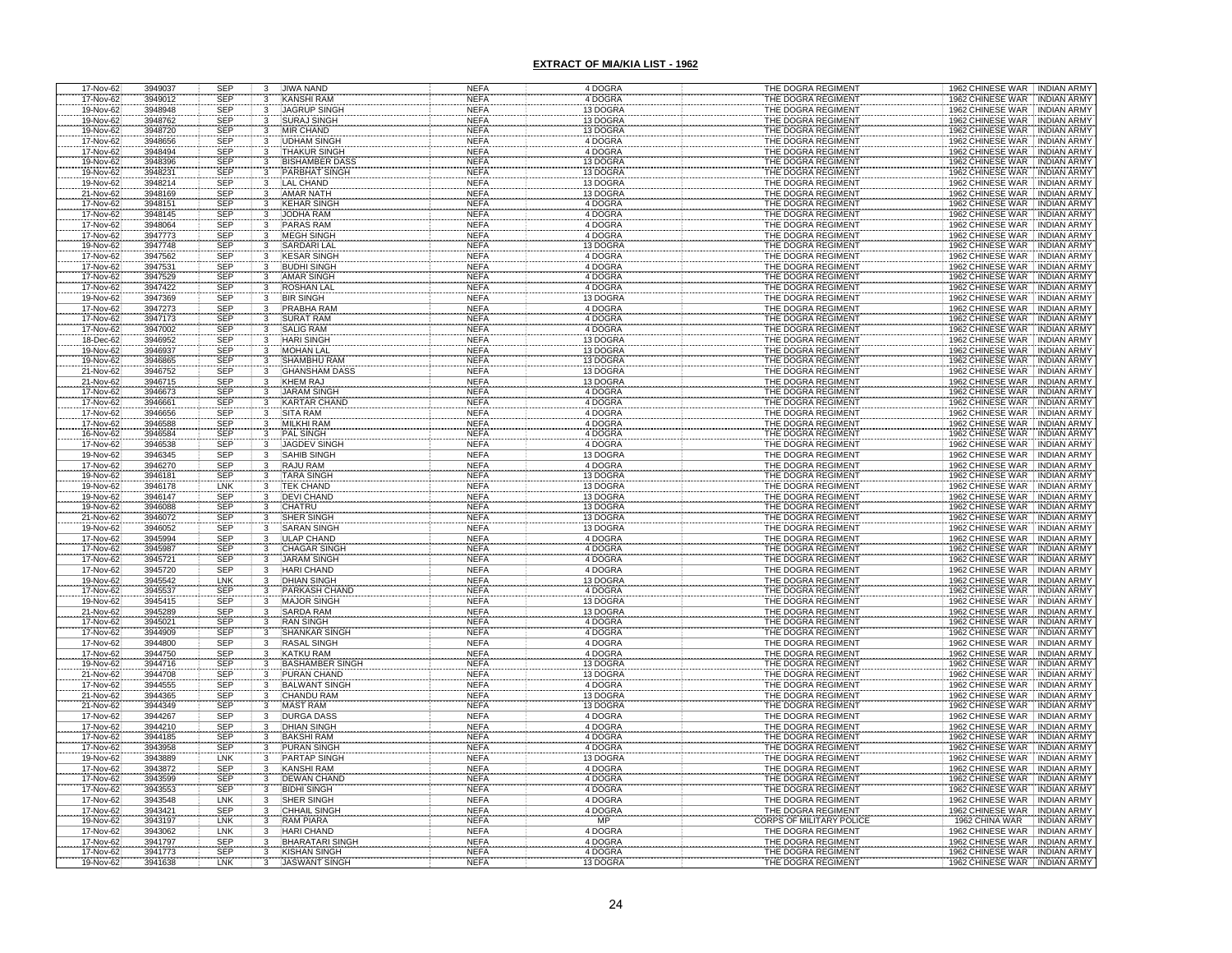| 17-Nov-62                           | 3949037            | <b>SEP</b> | 3                       | JIWA NAND              | NEFA        | 4 DOGRA                         | THE DOGRA REGIMENT       | 1962 CHINESE WAR INDIAN ARMY                                                   |
|-------------------------------------|--------------------|------------|-------------------------|------------------------|-------------|---------------------------------|--------------------------|--------------------------------------------------------------------------------|
| 17-Nov-62                           | 3949012            | <b>SEP</b> | 3                       | <b>KANSHI RAM</b>      | <b>NEFA</b> | 4 DOGRA                         | THE DOGRA REGIMENT       | 1962 CHINESE WAR<br><b>INDIAN ARMY</b>                                         |
| 19-Nov-62                           | 3948948            | <b>SEP</b> | 3                       | <b>JAGRUP SINGH</b>    | <b>NEFA</b> | 13 DOGRA                        | THE DOGRA REGIMENT       | 1962 CHINESE WAR<br><b>INDIAN ARMY</b>                                         |
| 19-Nov-62                           | 3948762            | <b>SEP</b> | 3                       | <b>SURAJ SINGH</b>     | <b>NEFA</b> | 13 DOGRA                        | THE DOGRA REGIMENT       | 1962 CHINESE WAR<br><b>INDIAN ARMY</b>                                         |
| 19-Nov-62                           | 3948720            | <b>SEP</b> |                         | <b>MIR CHAND</b>       | <b>NEFA</b> | 13 DOGRA                        | THE DOGRA REGIMENT       | 1962 CHINESE WAR<br><b>INDIAN ARMY</b>                                         |
| 17-Nov-62                           | 3948656            | <b>SEP</b> |                         | <b>JDHAM SINGH</b>     | <b>NEFA</b> | 4 DOGRA                         | THE DOGRA REGIMENT       | 1962 CHINESE WAR<br><b>INDIAN ARMY</b>                                         |
| 17-Nov-62                           | 3948494            | <b>SEP</b> |                         | <b>THAKUR SINGH</b>    | <b>NEFA</b> | 4 DOGRA                         | THE DOGRA REGIMENT       | 1962 CHINESE WAR<br><b>INDIAN ARMY</b>                                         |
| 19-Nov-62                           | 3948396            | SEP        | $\overline{\mathbf{3}}$ | <b>BISHAMBER DASS</b>  | <b>NEFA</b> | 13 DOGRA                        | THE DOGRA REGIMENT       | 1962 CHINESE WAR<br><b>INDIAN ARMY</b>                                         |
| 19-Nov-62                           | 3948231            | <b>SEP</b> |                         | PARBHAT SINGH          | <b>NEFA</b> | 13 DOGRA                        | THE DOGRA REGIMENT       | 1962 CHINESE WAR<br><b>INDIAN ARMY</b>                                         |
| 19-Nov-62                           | 3948214            | <b>SEP</b> | 3                       | <b>LAL CHAND</b>       | <b>NEFA</b> | 13 DOGRA                        | THE DOGRA REGIMENT       | 1962 CHINESE WAR<br><b>INDIAN ARMY</b>                                         |
| 21-Nov-62                           | 3948169            | <b>SEP</b> | 3                       | <b>AMAR NATH</b>       | <b>NEFA</b> | 13 DOGRA                        | THE DOGRA REGIMENT       | 1962 CHINESE WAR<br><b>INDIAN ARMY</b>                                         |
| 17-Nov-62                           | 3948151            |            | 3                       | <b>KEHAR SINGH</b>     | <b>NEFA</b> | 4 DOGRA                         | THE DOGRA REGIMENT       | 1962 CHINESE WAR<br><b>INDIAN ARMY</b>                                         |
| 17-Nov-62                           | 3948145            | SEP<br>SEP | 3                       | <b>JODHA RAM</b>       | <b>NEFA</b> | 4 DOGRA                         | THE DOGRA REGIMENT       | 1962 CHINESE WAR<br><b>INDIAN ARMY</b>                                         |
| 17-Nov-62                           | 3948064            | SEP        |                         | <b>PARAS RAM</b>       | <b>NEFA</b> | 4 DOGRA                         | THE DOGRA REGIMENT       | 1962 CHINESE WAR INDIAN ARMY                                                   |
| 17-Nov-62                           | 3947773            | SEP        |                         | <b>MEGH SINGH</b>      | <b>NEFA</b> | 4 DOGRA                         | THE DOGRA REGIMENT       | 1962 CHINESE WAR INDIAN ARMY                                                   |
| 19-Nov-62                           | 3947748            | <b>SEP</b> |                         | SARDARI LAL            | <b>NEFA</b> | 13 DOGRA                        | THE DOGRA REGIMENT       | 1962 CHINESE WAR<br><b>INDIAN ARMY</b>                                         |
| 17-Nov-62                           | 3947562            | <b>SEP</b> |                         | <b>KESAR SINGH</b>     | <b>NEFA</b> | 4 DOGRA                         | THE DOGRA REGIMENT       | 1962 CHINESE WAR INDIAN ARMY                                                   |
| 17-Nov-62                           | 3947531            | <b>SEP</b> | 3                       | <b>BUDHI SINGH</b>     | <b>NEFA</b> | 4 DOGRA                         | THE DOGRA REGIMENT       | 1962 CHINESE WAR<br><b>INDIAN ARMY</b>                                         |
| 17-Nov-62                           | 3947529            | SEP        |                         | <b>AMAR SINGH</b>      | <b>NEFA</b> | 4 DOGRA                         | THE DOGRA REGIMENT       | 1962 CHINESE WAR<br><b>INDIAN ARMY</b>                                         |
| 17-Nov-62                           | 3947422            | <b>SEP</b> | $\frac{3}{3}$           | ROSHAN LAL             | <b>NEFA</b> | 4 DOGRA                         | THE DOGRA REGIMENT       | 1962 CHINESE WAR TINDIAN ARMY                                                  |
| 19-Nov-62                           | 3947369            | <b>SEP</b> | 3                       | <b>BIR SINGH</b>       | <b>NEFA</b> | 13 DOGRA                        | THE DOGRA REGIMENT       | 1962 CHINESE WAR INDIAN ARMY                                                   |
| 17-Nov-62                           | 3947273            | <b>SEP</b> | 3                       | PRABHA RAM             | <b>NEFA</b> | 4 DOGRA                         | THE DOGRA REGIMENT       | 1962 CHINESE WAR<br><b>INDIAN ARMY</b>                                         |
|                                     | 3947173            | <b>SEP</b> |                         | <b>SURAT RAM</b>       | <b>NEFA</b> | 4 DOGRA                         | THE DOGRA REGIMENT       | <b>INDIAN ARMY</b>                                                             |
|                                     | 3947002            | <b>SEP</b> |                         | <b>SALIG RAM</b>       | <b>NEFA</b> | 4 DOGRA                         | THE DOGRA REGIMENT       | 1962 CHINESE WAR<br>1962 CHINESE WAR<br><b>INDIAN ARMY</b>                     |
| 17-Nov-62<br>17-Nov-62<br>18-Dec-62 | 3946952            | <b>SEP</b> |                         | <b>HARI SINGH</b>      | <b>NEFA</b> | 13 DOGRA                        | THE DOGRA REGIMENT       | 1962 CHINESE WAR<br><b>INDIAN ARMY</b>                                         |
| 19-Nov-62                           | 3946937            | <b>SEP</b> |                         | <b>MOHAN LAL</b>       | NEFA        | 13 DOGRA                        | THE DOGRA REGIMENT       | 1962 CHINESE WAR<br><b>INDIAN ARMY</b>                                         |
| 19-Nov-62                           | 3946865            | <b>SEP</b> | 3                       | <b>SHAMBHU RAM</b>     | <b>NEFA</b> | 13 DOGRA                        | THE DOGRA REGIMENT       | 1962 CHINESE WAR<br><b>INDIAN ARMY</b>                                         |
| 21-Nov-62                           | 3946752            | SEP        |                         | <b>GHANSHAM DASS</b>   | <b>NEFA</b> | 13 DOGRA                        | THE DOGRA REGIMENT       | 1962 CHINESE WAR<br><b>INDIAN ARMY</b>                                         |
| 21-Nov-62                           | 3946715            | <b>SEP</b> |                         | KHEM RAJ               | <b>NEFA</b> | 13 DOGRA                        | THE DOGRA REGIMENT       | 1962 CHINESE WAR<br><b>INDIAN ARMY</b>                                         |
| 17-Nov-62                           | 3946673            | <b>SEP</b> |                         | <b>JARAM SINGH</b>     | <b>NEFA</b> | 4 DOGRA                         | THE DOGRA REGIMENT       | 1962 CHINESE WAR<br><b>INDIAN ARMY</b>                                         |
| 17-Nov-62                           | 3946661            | <b>SEP</b> |                         | <b>KARTAR CHAND</b>    | <b>NEFA</b> | 4 DOGRA                         | THE DOGRA REGIMENT       | 1962 CHINESE WAR<br><b>INDIAN ARMY</b>                                         |
| 17-Nov-62                           | 3946656            | <b>SEP</b> |                         | <b>SITA RAM</b>        | <b>NEFA</b> | 4 DOGRA                         | THE DOGRA REGIMENT       | 1962 CHINESE WAR<br><b>INDIAN ARMY</b>                                         |
| 17-Nov-62                           | 3946588            | SEP        | 3                       | <b>MILKHI RAM</b>      | <b>NEFA</b> | 4 DOGRA                         | THE DOGRA REGIMENT       | 1962 CHINESE WAR<br><b>INDIAN ARMY</b>                                         |
| 16-Nov-62                           | 3946584            | SEP        |                         | PAL SINGH              | <b>NEFA</b> | 4 DOGRA                         | THE DOGRA REGIMENT       | 1962 CHINESE WAR<br><b>INDIAN ARMY</b>                                         |
| 17-Nov-62                           | 3946538            | <b>SEP</b> |                         | JAGDEV SINGH           | <b>NEFA</b> | 4 DOGRA                         | THE DOGRA REGIMENT       | 1962 CHINESE WAR<br><b>INDIAN ARMY</b>                                         |
| 19-Nov-62                           | 3946345            | SEP        | 3                       | SAHIB SINGH            | <b>NEFA</b> | 13 DOGRA                        | THE DOGRA REGIMENT       | 1962 CHINESE WAR<br><b>INDIAN ARMY</b>                                         |
|                                     | 3946270            | <b>SEP</b> | 3                       | <b>RAJU RAM</b>        | <b>NEFA</b> | 4 DOGRA                         | THE DOGRA REGIMENT       | 1962 CHINESE WAR<br><b>INDIAN ARMY</b>                                         |
| 17-Nov-62<br>19-Nov-62              | 3946181            | <b>SEP</b> |                         | <b>TARA SINGH</b>      | <b>NEFA</b> | 13 DOGRA                        | THE DOGRA REGIMENT       | 1962 CHINESE WAR<br><b>INDIAN ARMY</b>                                         |
| 19-Nov-62                           | 3946178            | LNK        |                         | <b>TEK CHAND</b>       | <b>NEFA</b> | 13 DOGRA                        | THE DOGRA REGIMENT       | 1962 CHINESE WAR<br><b>INDIAN ARMY</b>                                         |
| 19-Nov-62                           | 3946147            | <b>SEP</b> |                         | <b>DEVI CHAND</b>      | <b>NEFA</b> | 13 DOGRA                        | THE DOGRA REGIMENT       | 1962 CHINESE WAR INDIAN ARMY                                                   |
| 19-Nov-62                           | 3946088            | <b>SEP</b> |                         | <b>CHATRU</b>          | <b>NEFA</b> | 13 DOGRA                        | THE DOGRA REGIMENT       | 1962 CHINESE WAR INDIAN ARMY                                                   |
| 21-Nov-62                           | 3946072            | <b>SEP</b> |                         | <b>SHER SINGH</b>      | <b>NEFA</b> | 13 DOGRA                        | THE DOGRA REGIMENT       | 1962 CHINESE WAR INDIAN ARMY                                                   |
| 19-Nov-62                           | 3946052            | <b>SEP</b> |                         | <b>SARAN SINGH</b>     | <b>NEFA</b> | 13 DOGRA                        | THE DOGRA REGIMENT       | 1962 CHINESE WAR INDIAN ARMY                                                   |
|                                     | 3945994            |            |                         | ULAP CHAND             | <b>NEFA</b> | 4 DOGRA                         | THE DOGRA REGIMENT       |                                                                                |
| 17-Nov-62<br>17-Nov-62              | 3945987            | SEP<br>SEP |                         | <b>CHAGAR SINGH</b>    | <b>NEFA</b> | 4 DOGRA                         | THE DOGRA REGIMENT       | 1962 CHINESE WAR   INDIAN ARMY<br>1962 CHINESE WAR   INDIAN ARMY               |
| 17-Nov-62                           | 3945721            | <b>SEP</b> |                         | <b>JARAM SINGH</b>     | <b>NEFA</b> | 4 DOGRA                         | THE DOGRA REGIMENT       | 1962 CHINESE WAR INDIAN ARMY                                                   |
| 17-Nov-62                           | 3945720            | <b>SEP</b> |                         | <b>HARI CHAND</b>      | <b>NEFA</b> | 4 DOGRA                         | THE DOGRA REGIMENT       | 1962 CHINESE WAR INDIAN ARMY                                                   |
|                                     |                    | <b>LNK</b> |                         | <b>DHIAN SINGH</b>     | <b>NEFA</b> | 13 DOGRA                        | THE DOGRA REGIMENT       | 1962 CHINESE WAR INDIAN ARMY                                                   |
| 19-Nov-62<br>17-Nov-62              | 3945542<br>3945537 |            |                         | PARKASH CHAN           | <b>NEFA</b> |                                 | THE DOGRA REGIMENT       | <b>INDIAN ARMY</b>                                                             |
| 19-Nov-62                           | 3945415            | SEP<br>SEP |                         | <b>MAJOR SINGH</b>     | <b>NEFA</b> | 4 DOGRA<br>13 DOGRA<br>13 DOGRA | THE DOGRA REGIMENT       | 1962 CHINESE WAR<br>1962 CHINESE WAR<br>1962 CHINESE WAR<br><b>INDIAN ARMY</b> |
| 21-Nov-62                           | 3945289            | <b>SEP</b> |                         | SARDA RAM              | <b>NEFA</b> |                                 | THE DOGRA REGIMENT       | <b>INDIAN ARMY</b>                                                             |
| 17-Nov-62                           | 3945021            | <b>SEP</b> |                         | <b>RAN SINGH</b>       | <b>NEFA</b> | 4 DOGRA                         | THE DOGRA REGIMENT       | 1962 CHINESE WAR INDIAN ARMY                                                   |
| 17-Nov-62                           | 3944909            | <b>SEP</b> |                         | <b>SHANKAR SINGH</b>   | <b>NEFA</b> | 4 DOGRA                         | THE DOGRA REGIMENT       | 1962 CHINESE WAR INDIAN ARMY                                                   |
| 17-Nov-62                           | 3944800            | SEP        |                         | RASAL SINGH            | <b>NEFA</b> | 4 DOGRA                         | THE DOGRA REGIMENT       | 1962 CHINESE WAR INDIAN ARMY                                                   |
| 17-Nov-62                           | 3944750            | <b>SEP</b> |                         | <b>KATKU RAM</b>       | <b>NEFA</b> | 4 DOGRA                         | THE DOGRA REGIMENT       | 1962 CHINESE WAR<br><b>INDIAN ARMY</b>                                         |
| 19-Nov-62                           | 3944716            | <b>SEP</b> |                         | <b>BASHAMBER SIN</b>   | <b>NEFA</b> | 13 DOGRA                        | THE DOGRA REGIMENT       | 1962 CHINESE WAR<br><b>INDIAN ARMY</b>                                         |
| 21-Nov-62                           | 3944708            | <b>SEP</b> |                         | <b>PURAN CHAND</b>     | <b>NEFA</b> | 13 DOGRA                        | THE DOGRA REGIMENT       | 1962 CHINESE WAR<br>INDIAN ARMY                                                |
| 17-Nov-62                           | 3944555            | <b>SEP</b> |                         | <b>BALWANT SINGH</b>   | <b>NEFA</b> | 4 DOGRA                         | THE DOGRA REGIMENT       | 1962 CHINESE WAR<br><b>INDIAN ARMY</b>                                         |
| 21-Nov-62                           | 3944365            | <b>SEP</b> |                         | <b>CHANDU RAM</b>      | <b>NEFA</b> | 13 DOGRA                        | THE DOGRA REGIMENT       | 1962 CHINESE WAR NDIAN ARMY                                                    |
| 21-Nov-62                           | 3944349            | <b>SEP</b> |                         | <b>MAST RAM</b>        | <b>NEFA</b> | 13 DOGRA                        | THE DOGRA REGIMENT       | 1962 CHINESE WAR INDIAN ARMY                                                   |
| 17-Nov-62                           | 3944267            | <b>SEP</b> | 3                       | <b>DURGA DASS</b>      | <b>NEFA</b> | 4 DOGRA                         | THE DOGRA REGIMENT       | 1962 CHINESE WAR INDIAN ARMY                                                   |
| 17-Nov-62                           | 3944210            | <b>SEP</b> | 3                       | <b>DHIAN SINGH</b>     | <b>NEFA</b> | 4 DOGRA                         | THE DOGRA REGIMENT       | 1962 CHINESE WAR INDIAN ARMY                                                   |
| 17-Nov-62                           | 3944185            | <b>SEP</b> |                         | <b>BAKSHI RAM</b>      | <b>NEFA</b> | 4 DOGRA                         | THE DOGRA REGIMENT       | 1962 CHINESE WAR<br><b>INDIAN ARMY</b>                                         |
| 17-Nov-62                           | 3943958            | SEP        | $\mathcal{R}$           | <b>PURAN SINGH</b>     | <b>NEFA</b> | 4 DOGRA                         | THE DOGRA REGIMENT       | 1962 CHINESE WAR<br><b>INDIAN ARMY</b>                                         |
| 19-Nov-62                           | 3943889            | LNK        | 3                       | <b>PARTAP SINGH</b>    | <b>NEFA</b> | 13 DOGRA                        | THE DOGRA REGIMENT       | 1962 CHINESE WAR<br><b>INDIAN ARMY</b>                                         |
| 17-Nov-62                           | 3943872            | <b>SEP</b> | $\mathcal{R}$           | KANSHI RAM             | <b>NEFA</b> | 4 DOGRA                         | THE DOGRA REGIMENT       | 1962 CHINESE WAR<br>INDIAN ARMY                                                |
| 17-Nov-62                           | 3943599            | SEP        | 3                       | <b>DEWAN CHAND</b>     | <b>NEFA</b> | 4 DOGRA                         | THE DOGRA REGIMENT       | 1962 CHINESE WAR<br><b>INDIAN ARMY</b>                                         |
| 17-Nov-62                           | 3943553            | <b>SEP</b> | 3                       | <b>BIDHI SINGH</b>     | <b>NEFA</b> | 4 DOGRA                         | THE DOGRA REGIMENT       | 1962 CHINESE WAR INDIAN ARMY                                                   |
| 17-Nov-62                           | 3943548            | <b>LNK</b> |                         | <b>SHER SINGH</b>      | <b>NEFA</b> | 4 DOGRA                         | THE DOGRA REGIMENT       | 1962 CHINESE WAR INDIAN ARMY                                                   |
| 17-Nov-62                           | 3943421            | SEP        | $\frac{3}{3}$           | <b>CHHAIL SINGH</b>    | <b>NEFA</b> | 4 DOGRA                         | THE DOGRA REGIMENT       | 1962 CHINESE WAR INDIAN ARMY                                                   |
| 19-Nov-62                           | 3943197            | LNK        | $\overline{3}$          | <b>RAM PIARA</b>       | <b>NEFA</b> | MP                              | CORPS OF MILITARY POLICE | 1962 CHINA WAR INDIAN ARMY                                                     |
| 17-Nov-62                           | 3943062            | LNK        | $\overline{3}$          | <b>HARI CHAND</b>      | <b>NEFA</b> | 4 DOGRA                         | THE DOGRA REGIMENT       | 1962 CHINESE WAR INDIAN ARMY                                                   |
| 17-Nov-62                           | 3941797            | <b>SEP</b> | 3                       | <b>BHARATARI SINGH</b> | <b>NEFA</b> | 4 DOGRA                         | THE DOGRA REGIMENT       | 1962 CHINESE WAR INDIAN ARMY                                                   |
| 17-Nov-62                           | 3941773            | <b>SEP</b> |                         | <b>KISHAN SINGH</b>    | <b>NEFA</b> | 4 DOGRA                         | THE DOGRA REGIMENT       | 1962 CHINESE WAR INDIAN ARMY                                                   |
| 19-Nov-62                           | 3941638            | LNK        |                         | <b>JASWANT SINGH</b>   | <b>NEFA</b> | 13 DOGRA                        | THE DOGRA REGIMENT       | 1962 CHINESE WAR<br><b>INDIAN ARMY</b>                                         |
|                                     |                    |            |                         |                        |             |                                 |                          |                                                                                |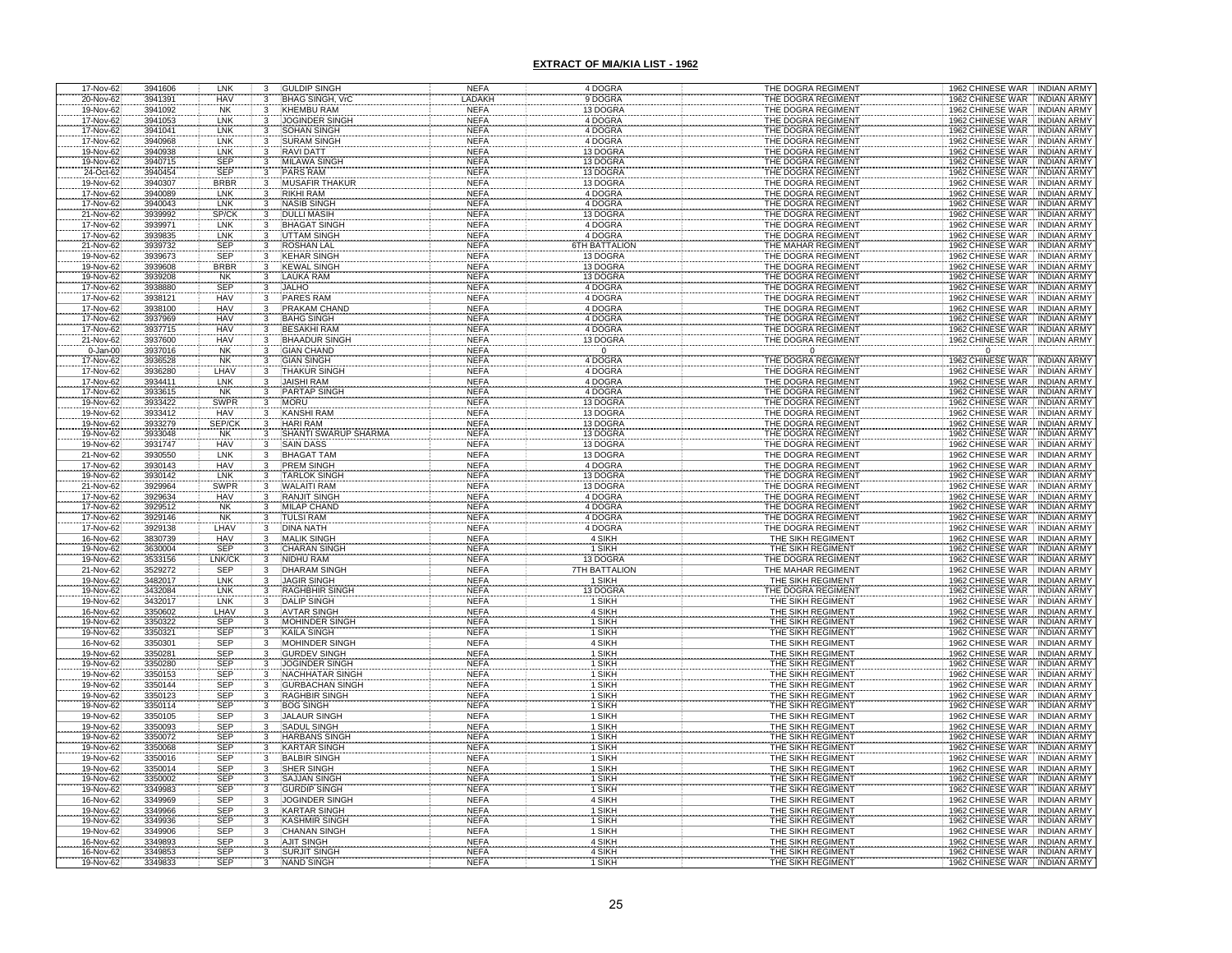| 17-Nov-62                 | 3941606            | LNK                      | 3                                    | <b>GULDIP SINGH</b>                         | <b>NEFA</b>                | 4 DOGRA                 | THE DOGRA REGIMENT                       | 1962 CHINESE WAR INDIAN ARMY                                                                       |
|---------------------------|--------------------|--------------------------|--------------------------------------|---------------------------------------------|----------------------------|-------------------------|------------------------------------------|----------------------------------------------------------------------------------------------------|
| 20-Nov-62                 | 3941391            | <b>HAV</b>               | $\overline{3}$<br>$\overline{3}$     | <b>BHAG SINGH, VrC</b>                      | LADAKH                     | 9 DOGRA                 | THE DOGRA REGIMENT                       | 1962 CHINESE WAR INDIAN ARMY                                                                       |
| 19-Nov-62                 | 3941092            | <b>NK</b><br>LNK         |                                      | <b>KHEMBU RAM</b>                           | <b>NEFA</b><br><b>NEFA</b> | 13 DOGRA<br>4 DOGRA     | THE DOGRA REGIMENT                       | 1962 CHINESE WAR INDIAN ARMY                                                                       |
| 17-Nov-62<br>17-Nov-62    | 3941053<br>3941041 | LNK                      |                                      | <b>JOGINDER SINGH</b><br><b>SOHAN SINGH</b> | <b>NEFA</b>                | 4 DOGRA                 | THE DOGRA REGIMENT<br>THE DOGRA REGIMENT | 1962 CHINESE WAR INDIAN ARMY<br><b>INDIAN ARMY</b>                                                 |
| 17-Nov-62                 | 3940968            | LNK                      |                                      | <b>SURAM SINGH</b>                          | <b>NEFA</b>                | 4 DOGRA                 | THE DOGRA REGIMENT                       | INDIAN ARMY                                                                                        |
| 19-Nov-62                 | 3940938            | LNK                      | 3                                    | <b>RAVIDATT</b>                             | <b>NEFA</b>                | 13 DOGRA                | THE DOGRA REGIMENT                       | 1962 CHINESE WAR<br>1962 CHINESE WAR<br>1962 CHINESE WAR<br><b>INDIAN ARMY</b>                     |
| 19-Nov-62                 | 3940715            | SEP                      |                                      | <b>MILAWA SINGH</b>                         | <b>NEFA</b>                | 13 DOGRA                | THE DOGRA REGIMENT                       |                                                                                                    |
| 24-Oct-62                 | 3940454            | <b>SEP</b>               |                                      | <b>PARS RAM</b>                             | <b>NEFA</b>                | 13 DOGRA                | THE DOGRA REGIMENT                       | 1962 CHINESE WAR   INDIAN ARMY<br>1962 CHINESE WAR   INDIAN ARMY                                   |
| 19-Nov-62                 | 3940307            | <b>BRBR</b>              | 3                                    | <b>MUSAFIR THAKUR</b>                       | <b>NEFA</b>                | 13 DOGRA                | THE DOGRA REGIMENT                       | 1962 CHINESE WAR<br><b>INDIAN ARMY</b>                                                             |
| 17-Nov-62                 | 3940089            | LNK                      | 3                                    | <b>RIKHI RAM</b>                            | <b>NEFA</b>                | 4 DOGRA                 | THE DOGRA REGIMENT                       | 1962 CHINESE WAR INDIAN ARMY                                                                       |
| 17-Nov-62<br>21-Nov-62    | 3940043            | LNK                      | 3                                    | <b>NASIB SINGH</b>                          | <b>NEFA</b>                | 4 DOGRA                 | THE DOGRA REGIMENT                       | 1962 CHINESE WAR<br>1962 CHINESE WAR<br>INDIAN ARMY                                                |
|                           | 3939992            | SP/CK                    |                                      | <b>DULLI MASIH</b>                          | <b>NEFA</b>                | 13 DOGRA<br>4 DOGRA     | THE DOGRA REGIMENT                       | <b>INDIAN ARMY</b>                                                                                 |
| 17-Nov-62<br>17-Nov-62    | 3939971<br>3939835 | LNK<br>LNK               |                                      | <b>BHAGAT SINGH</b><br><b>UTTAM SINGH</b>   | <b>NEFA</b><br><b>NEFA</b> | 4 DOGRA                 | THE DOGRA REGIMENT<br>THE DOGRA REGIMENT | 1962 CHINESE WAR<br><b>INDIAN ARMY</b><br>1962 CHINESE WAR<br><b>INDIAN ARMY</b>                   |
| 21-Nov-62                 | 3939732            | <b>SEP</b>               |                                      | <b>ROSHAN LAL</b>                           | <b>NEFA</b>                | <b>STH BATTALION</b>    | THE MAHAR REGIMENT                       | 1962 CHINESE WAR<br><b>INDIAN ARMY</b>                                                             |
| 19-Nov-62                 | 3939673            | SEP                      |                                      | <b>KEHAR SINGH</b>                          | <b>NEFA</b>                | 13 DOGRA                | THE DOGRA REGIMENT                       | 1962 CHINESE WAR   INDIAN ARMY                                                                     |
| 19-Nov-62                 | 3939608            | <b>BRBR</b>              |                                      | <b>KEWAL SINGH</b>                          | <b>NEFA</b>                | 13 DOGRA                | THE DOGRA REGIMENT                       | 1962 CHINESE WAR<br><b>INDIAN ARMY</b>                                                             |
| 19-Nov-62                 | 3939208            | <b>NK</b>                | 3                                    | LAUKA RAM                                   | <b>NEFA</b>                | 13 DOGRA                | THE DOGRA REGIMENT                       | 1962 CHINESE WAR<br><b>INDIAN ARMY</b>                                                             |
| 17-Nov-62                 | 3938880            | <b>SEP</b>               |                                      | <b>JALHO</b>                                | <b>NEFA</b>                | 4 DOGRA                 | THE DOGRA REGIMENT                       | 1962 CHINESE WAR   INDIAN ARMY                                                                     |
| 17-Nov-62                 | 3938121            | <b>HAV</b>               | 3                                    | PARES RAM                                   | <b>NEFA</b>                | 4 DOGRA                 | THE DOGRA REGIMENT                       | 1962 CHINESE WAR<br><b>INDIAN ARMY</b>                                                             |
| 17-Nov-62                 | 3938100            | <b>HAV</b>               | 3                                    | PRAKAM CHAND                                | <b>NEFA</b>                | 4 DOGRA                 | THE DOGRA REGIMENT                       | 1962 CHINESE WAR<br><b>INDIAN ARMY</b>                                                             |
| 17-Nov-62<br>17-Nov-62    | 3937969            | <b>HAV</b>               |                                      | <b>BAHG SINGH</b>                           | NEFA                       | 4 DOGRA                 | THE DOGRA REGIMENT                       | 1962 CHINESE WAR<br><b>INDIAN ARMY</b>                                                             |
|                           | 3937715<br>3937600 | <b>HAV</b><br><b>HAV</b> |                                      | <b>BESAKHI RAM</b><br><b>BHAADUR SINGI</b>  | <b>NEFA</b><br><b>NEFA</b> | 4 DOGRA                 | THE DOGRA REGIMENT                       | 1962 CHINESE WAR<br><b>INDIAN ARMY</b><br><b>INDIAN ARMY</b>                                       |
| 21-Nov-62<br>$0 - Jan-00$ | 3937016            | <b>NK</b>                |                                      | <b>GIAN CHAND</b>                           | <b>NEFA</b>                | 13 DOGRA<br>$\mathbf 0$ | THE DOGRA REGIMENT<br>$\Omega$           | 1962 CHINESE WAR<br>$\Omega$                                                                       |
| 17-Nov-62                 | 3936528            | <b>NK</b>                |                                      | <b>GIAN SINGH</b>                           | <b>NEFA</b>                | 4 DOGRA                 | THE DOGRA REGIMENT                       | 1962 CHINESE WAR<br><b>INDIAN ARMY</b>                                                             |
| 17-Nov-62                 | 3936280            | LHA\                     |                                      | <b>THAKUR SINGH</b>                         | <b>NEFA</b>                | 4 DOGRA                 | THE DOGRA REGIMENT                       | 1962 CHINESE WAR<br><b>INDIAN ARMY</b>                                                             |
| 17-Nov-62                 | 3934411            | LNK                      |                                      | <b>JAISHI RAM</b>                           | <b>NEFA</b>                | 4 DOGRA                 | THE DOGRA REGIMENT                       | 1962 CHINESE WAR<br><b>INDIAN ARMY</b>                                                             |
| 17-Nov-62                 | 3933615            | <b>NK</b>                |                                      | <b>PARTAP SINGH</b>                         | <b>NEFA</b>                | 4 DOGRA                 | THE DOGRA REGIMENT                       |                                                                                                    |
| 19-Nov-62                 | 3933422            | <b>SWPF</b>              |                                      | <b>MORU</b>                                 | <b>NEFA</b>                | 13 DOGRA                | THE DOGRA REGIMENT                       | 1962 CHINESE WAR   INDIAN ARMY<br>1962 CHINESE WAR   INDIAN ARMY<br>1962 CHINESE WAR   INDIAN ARMY |
| 19-Nov-62                 | 3933412            | <b>HAV</b>               |                                      | <b>KANSHI RAM</b>                           | <b>NEFA</b>                | 13 DOGRA                | THE DOGRA REGIMENT                       |                                                                                                    |
| 19-Nov-62                 | 3933279            | SEP/C <sub>k</sub>       |                                      | <b>HARI RAM</b>                             | <b>NEFA</b>                | 13 DOGRA                | THE DOGRA REGIMENT                       | 1962 CHINESE WAR<br>1962 CHINESE WAR<br>1962 CHINESE WAR<br><b>INDIAN ARMY</b>                     |
| 19-Nov-62                 | 3933048            | <b>NK</b>                |                                      | <b>SHANTI SWARUP SHARM</b>                  | <b>NEFA</b>                | 13 DOGRA                | THE DOGRA REGIMENT                       | <b>INDIAN ARMY</b>                                                                                 |
| 19-Nov-62<br>21-Nov-62    | 3931747<br>3930550 | <b>HAV</b><br>LNK        | 3                                    | <b>SAIN DASS</b><br><b>BHAGAT TAM</b>       | <b>NEFA</b><br><b>NEFA</b> | 13 DOGRA<br>13 DOGRA    | THE DOGRA REGIMENT                       | <b>INDIAN ARMY</b>                                                                                 |
|                           | 3930143            |                          |                                      | PREM SINGH                                  | <b>NEFA</b>                | 4 DOGRA                 | THE DOGRA REGIMENT<br>THE DOGRA REGIMENT | 1962 CHINESE WAR INDIAN ARMY                                                                       |
| 17-Nov-62<br>19-Nov-62    | 3930142            | <b>HAV</b><br>LNK        |                                      | <b>TARLOK SINGH</b>                         | <b>NEFA</b>                | 13 DOGRA                | THE DOGRA REGIMENT                       | 1962 CHINESE WAR   INDIAN ARMY<br>1962 CHINESE WAR   INDIAN ARMY                                   |
| 21-Nov-62                 | 3929964            | SWPR                     |                                      | <b>WALAITI RAM</b>                          | <b>NEFA</b>                | 13 DOGRA                | THE DOGRA REGIMENT                       | 1962 CHINESE WAR NDIAN ARMY                                                                        |
| 17-Nov-62                 | 3929634            | HAV                      |                                      | <b>RANJIT SINGH</b>                         | <b>NEFA</b>                | 4 DOGRA                 | THE DOGRA REGIMENT                       | 1962 CHINESE WAR INDIAN ARMY                                                                       |
| 17-Nov-62                 | 3929512            | <b>NK</b>                |                                      | <b>MILAP CHAND</b>                          | <b>NEFA</b>                | 4 DOGRA                 | THE DOGRA REGIMENT                       | 1962 CHINESE WAR INDIAN ARMY                                                                       |
| 17-Nov-62                 | 3929146            | <b>NK</b>                |                                      | TULSI RAM                                   | <b>NEFA</b>                | 4 DOGRA                 | THE DOGRA REGIMENT                       | 1962 CHINESE WAR INDIAN ARMY                                                                       |
| 17-Nov-62                 | 3929138            | LHAV                     |                                      | <b>DINA NATH</b>                            | <b>NEFA</b>                | 4 DOGRA                 | THE DOGRA REGIMENT                       | 1962 CHINESE WAR : INDIAN ARMY                                                                     |
| 16-Nov-62                 | 3830739            | <b>HAV</b><br>SEP        |                                      | <b>MALIK SINGH</b>                          | <b>NEFA</b>                | 4 SIKH<br>1 SIKH        | THE SIKH REGIMENT                        | <b>1962 CHINESE WAR   INDIAN ARMY</b><br>1962 CHINESE WAR   INDIAN ARMY                            |
| 19-Nov-62                 | 3630004            | LNK/CK                   | 3                                    | <b>CHARAN SINGH</b><br><b>NIDHU RAM</b>     | <b>NEFA</b><br><b>NEFA</b> | 13 DOGRA                | THE SIKH REGIMENT<br>THE DOGRA REGIMENT  | 1962 CHINESE WAR INDIAN ARMY                                                                       |
| 19-Nov-62<br>21-Nov-62    | 3533156<br>3529272 | <b>SEP</b>               | 3                                    | <b>DHARAM SINGH</b>                         | <b>NEFA</b>                | <b>7TH BATTALION</b>    | THE MAHAR REGIMENT                       | 1962 CHINESE WAR INDIAN ARMY                                                                       |
|                           | 3482017            | LNK                      |                                      | <b>JAGIR SINGH</b>                          | <b>NEFA</b>                |                         |                                          | 1962 CHINESE WAR INDIAN ARMY                                                                       |
| 19-Nov-62<br>19-Nov-62    | 3432084            | LNK                      |                                      | RAGHBHIR SINC                               | <b>NEFA</b>                | 1 SIKH<br>3 DOGRA       | THE SIKH REGIMENT<br>THE DOGRA REGIMENT  | <b>INDIAN ARMY</b>                                                                                 |
| 19-Nov-62                 | 3432017            | LNK                      |                                      | <b>DALIP SINGH</b>                          | <b>NEFA</b>                | 1 SIKH                  | THE SIKH REGIMENT                        | 1962 CHINESE WAR<br>1962 CHINESE WAR<br><b>INDIAN ARMY</b>                                         |
| 16-Nov-62                 | 3350602            | LHAV                     |                                      | <b>AVTAR SINGH</b>                          | <b>NEFA</b>                | 4 SIKH                  | THE SIKH REGIMENT                        | 1962 CHINESE WAR<br><b>INDIAN ARMY</b>                                                             |
| 19-Nov-62                 | 3350322            | <b>SEP</b>               |                                      | MOHINDER SINGH                              | <b>NEFA</b>                | 1 SIKH                  | THE SIKH REGIMENT                        | 1962 CHINESE WAR INDIAN ARMY                                                                       |
| 19-Nov-62                 | 3350321            | <b>SEP</b>               | 3                                    | <b>KAILA SINGH</b>                          | <b>NEFA</b>                | 1 SIKH                  | THE SIKH REGIMENT                        | 1962 CHINESE WAR<br><b>INDIAN ARMY</b>                                                             |
| 16-Nov-62                 | 3350301            | <b>SEP</b>               | 3                                    | <b>MOHINDER SINGH</b>                       | <b>NEFA</b>                | 4 SIKH                  | THE SIKH REGIMENT                        | 1962 CHINESE WAR<br><b>INDIAN ARMY</b>                                                             |
| 19-Nov-62<br>19-Nov-62    | 3350281<br>3350280 | SEP<br>SEP               |                                      | <b>GURDEV SINGH</b><br>JOGINDER SINGH       | <b>NEFA</b><br><b>NEFA</b> | 1 SIKH<br>1 SIKH        | THE SIKH REGIMENT<br>THE SIKH REGIMENT   | 1962 CHINESE WAR<br><b>INDIAN ARMY</b><br>1962 CHINESE WAR<br><b>INDIAN ARMY</b>                   |
| 19-Nov-62                 | 3350153            | <b>SEP</b>               |                                      | NACHHATAR SINGH                             | <b>NEFA</b>                | 1 SIKH                  | THE SIKH REGIMENT                        | 1962 CHINESE WAR<br><b>INDIAN ARMY</b>                                                             |
| 19-Nov-62                 | 3350144            | SEP                      | 3                                    | <b>GURBACHAN SINGH</b>                      | <b>NEFA</b>                | 1 SIKH                  | THE SIKH REGIMENT                        | 1962 CHINESE WAR<br><b>INDIAN ARMY</b>                                                             |
| 19-Nov-62                 | 3350123            | SEP                      |                                      | <b>RAGHBIR SINGH</b>                        | <b>NEFA</b>                | 1 SIKH                  | THE SIKH REGIMENT                        | 1962 CHINESE WAR<br><b>INDIAN ARMY</b>                                                             |
| 19-Nov-62                 | 3350114            | <b>SEP</b>               | 3                                    | <b>BOG SINGH</b>                            | <b>NEFA</b>                | 1 SIKH                  | THE SIKH REGIMENT                        | 1962 CHINESE WAR INDIAN ARMY                                                                       |
| 19-Nov-62                 | 3350105            | <b>SEP</b>               | $\overline{\mathbf{3}}$              | <b>JALAUR SINGH</b>                         | <b>NEFA</b>                | 1 SIKH                  | THE SIKH REGIMENT                        | 1962 CHINESE WAR : INDIAN ARMY                                                                     |
| 19-Nov-62                 | 3350093            | <b>SEP</b>               | $\overline{\mathbf{3}}$              | <b>SADUL SINGH</b>                          | <b>NEFA</b>                | 1 SIKH                  | THE SIKH REGIMENT                        | 1962 CHINESE WAR INDIAN ARMY                                                                       |
| 19-Nov-62                 | 3350072            | <b>SEP</b>               | 3                                    | <b>HARBANS SINGH</b>                        | <b>NEFA</b>                | 1 SIKH                  | THE SIKH REGIMENT                        | 1962 CHINESE WAR<br><b>INDIAN ARMY</b>                                                             |
| 19-Nov-62                 | 3350068            | SEP                      | 3<br>$\mathcal{R}$                   | <b>KARTAR SINGH</b><br><b>BALBIR SINGH</b>  | <b>NEFA</b>                | 1 SIKH<br>1 SIKH        | THE SIKH REGIMENT                        | 1962 CHINESE WAR<br><b>INDIAN ARMY</b>                                                             |
| 19-Nov-62<br>19-Nov-62    | 3350016<br>3350014 | <b>SEP</b><br><b>SEP</b> | 3                                    | SHER SINGH                                  | <b>NEFA</b><br><b>NEFA</b> | 1 SIKH                  | THE SIKH REGIMENT<br>THE SIKH REGIMENT   | 1962 CHINESE WAR<br><b>INDIAN ARMY</b><br>1962 CHINESE WAR<br><b>INDIAN ARMY</b>                   |
| 19-Nov-62                 | 3350002            | SEP                      | 3                                    | SAJJAN SINGH                                | <b>NEFA</b>                | 1 SIKH                  | THE SIKH REGIMENT                        | 1962 CHINESE WAR<br><b>INDIAN ARMY</b>                                                             |
| 19-Nov-62                 | 3349983            | <b>SEP</b>               | $\overline{3}$                       | <b>GURDIP SINGH</b>                         | <b>NEFA</b>                | 1 SIKH                  | THE SIKH REGIMENT                        | 1962 CHINESE WAR<br>INDIAN ARMY                                                                    |
| 16-Nov-62                 | 3349969            | <b>SEP</b>               |                                      | <b>JOGINDER SINGH</b>                       | <b>NEFA</b>                | 4 SIKH                  | THE SIKH REGIMENT                        | 1962 CHINESE WAR INDIAN ARMY                                                                       |
| 19-Nov-62                 | 3349966            | SEP                      | $\frac{3}{3}$                        | <b>KARTAR SINGH</b>                         | <b>NEFA</b>                | 1 SIKH                  | THE SIKH REGIMENT                        | 1962 CHINESE WAR INDIAN ARMY                                                                       |
| 19-Nov-62                 | 3349936            | <b>SEP</b>               | $\overline{3}$                       | <b>KASHMIR SINGH</b>                        | <b>NEFA</b>                | 1 SIKH                  | THE SIKH REGIMENT                        | 1962 CHINESE WAR INDIAN ARMY                                                                       |
| 19-Nov-62                 | 3349906            | <b>SEP</b>               | $\overline{\overline{\overline{3}}}$ | <b>CHANAN SINGH</b>                         | <b>NEFA</b>                | 1 SIKH                  | THE SIKH REGIMENT                        | 1962 CHINESE WAR INDIAN ARMY                                                                       |
| 16-Nov-62                 | 3349893            | <b>SEP</b>               | $\overline{3}$                       | <b>AJIT SINGH</b>                           | <b>NEFA</b>                | 4 SIKH                  | THE SIKH REGIMENT                        | 1962 CHINESE WAR INDIAN ARMY                                                                       |
| 16-Nov-62                 | 3349853            | <b>SEP</b>               | $\frac{3}{3}$                        | <b>SURJIT SINGH</b>                         | <b>NEFA</b>                | 4 SIKH                  | THE SIKH REGIMENT                        | 1962 CHINESE WAR INDIAN ARMY                                                                       |
| 19-Nov-62                 | 3349833            | SEP                      |                                      | <b>NAND SINGH</b>                           | <b>NEFA</b>                | 1 SIKH                  | THE SIKH REGIMENT                        | 1962 CHINESE WAR<br><b>INDIAN ARMY</b>                                                             |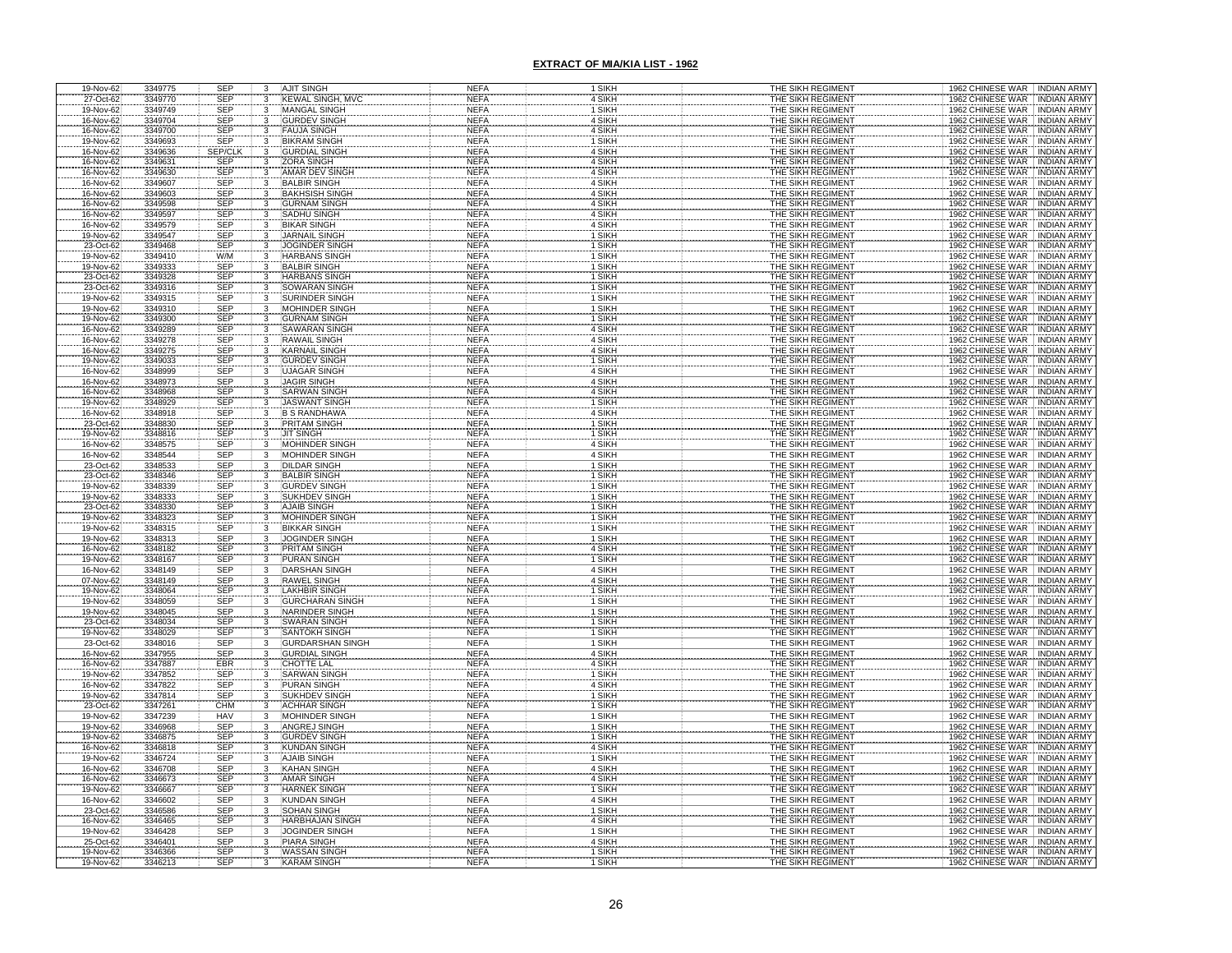| $19-Nov-62$                         | 3349775            | SEP                      | 3                       | <b>AJIT SINGH</b>                            | <b>NEFA</b>                | 1 SIKH           | THE SIKH REGIMENT                      | 1962 CHINESE WAR INDIAN ARMY                                                     |
|-------------------------------------|--------------------|--------------------------|-------------------------|----------------------------------------------|----------------------------|------------------|----------------------------------------|----------------------------------------------------------------------------------|
| 27-Oct-62                           | 3349770            | SEP                      | 3                       | <b>KEWAL SINGH, MVC</b>                      | <b>NEFA</b>                | 4 SIKH           | THE SIKH REGIMENT                      | 1962 CHINESE WAR<br><b>INDIAN ARMY</b>                                           |
| 19-Nov-62<br>16-Nov-62              | 3349749<br>3349704 | SEP<br>SEP               | 3                       | <b>MANGAL SINGH</b><br><b>GURDEV SINGH</b>   | <b>NEFA</b><br><b>NEFA</b> | 1 SIKH<br>4 SIKH | THE SIKH REGIMENT<br>THE SIKH REGIMENT | 1962 CHINESE WAR<br><b>INDIAN ARMY</b><br>1962 CHINESE WAR<br><b>INDIAN ARMY</b> |
|                                     | 3349700            |                          |                         | <b>FAUJA SINGH</b>                           | <b>NEFA</b>                | 4 SIKH           | THE SIKH REGIMENT                      | 1962 CHINESE WAR<br><b>INDIAN ARMY</b>                                           |
|                                     | 3349693            | SEP<br>SEP               |                         | <b>BIKRAM SINGH</b>                          | <b>NEFA</b>                | 1 SIKH           | THE SIKH REGIMENT                      | <b>CHINESE WAR</b><br><b>INDIAN ARM</b>                                          |
| 16-Nov-62<br>19-Nov-62<br>16-Nov-62 | 3349636            | <b>SEP/CLK</b>           |                         | <b>GURDIAL SINGH</b>                         | <b>NEFA</b>                | 4 SIKH           | THE SIKH REGIMENT                      | 1962 CHINESE WAR<br>INDIAN ARM                                                   |
| 16-Nov-62                           | 3349631            | SEP<br>SEP<br>SEP        |                         | <b>ZORA SINGH</b>                            | <b>NEFA</b>                | 4 SIKH           | THE SIKH REGIMENT                      | 1962 CHINESE WAR<br><b>INDIAN ARMY</b>                                           |
| 16-Nov-62<br>16-Nov-62              | 3349630            |                          |                         | AMAR DEV SINGI                               | <b>NEFA</b>                | 4 SIKH           | THE SIKH REGIMENT                      | 1962 CHINESE WAR<br><b>INDIAN ARMY</b>                                           |
|                                     | 3349607            |                          | $\overline{3}$          | <b>BALBIR SINGH</b>                          | <b>NEFA</b>                | 4 SIKH           | THE SIKH REGIMENT                      | 1962 CHINESE WAR INDIAN ARMY                                                     |
| 16-Nov-62                           | 3349603<br>3349598 | SEP                      | 3                       | <b>BAKHSISH SINGH</b><br><b>GURNAM SINGH</b> | <b>NEFA</b><br><b>NEFA</b> | 4 SIKH<br>4 SIKH | THE SIKH REGIMENT<br>THE SIKH REGIMENT | 1962 CHINESE WAR INDIAN ARMY<br>1962 CHINESE WAR<br><b>INDIAN ARMY</b>           |
| 16-Nov-62<br>16-Nov-62              | 3349597            | SEP<br>SEP               |                         | <b>SADHU SINGH</b>                           | <b>NEFA</b>                | 4 SIKH           | THE SIKH REGIMENT                      | 1962 CHINESE WAR<br><b>INDIAN ARMY</b>                                           |
| 16-Nov-62                           | 3349579            | <b>SEP</b>               |                         | <b>BIKAR SINGH</b>                           | <b>NEFA</b>                | 4 SIKH           | THE SIKH REGIMENT                      | 1962 CHINESE WAR<br><b>INDIAN ARMY</b>                                           |
| 19-Nov-62                           | 3349547            | SEP                      | $\overline{3}$          | <b>JARNAIL SINGH</b>                         | <b>NEFA</b>                | 1 SIKH           | THE SIKH REGIMENT                      | 1962 CHINESE WAR<br><b>INDIAN ARMY</b>                                           |
| 23-Oct-62                           | 3349468            | <b>SEP</b>               | 3                       | JOGINDER SINGH                               | <b>NEFA</b>                | 1 SIKH           | THE SIKH REGIMENT                      | 1962 CHINESE WAR<br><b>INDIAN ARMY</b>                                           |
| 19-Nov-62                           | 3349410<br>3349333 | W/M<br><b>SEP</b>        | 3<br>3                  | <b>HARBANS SINGH</b><br><b>BALBIR SINGH</b>  | <b>NEFA</b><br><b>NEFA</b> | 1 SIKH<br>1 SIKH | THE SIKH REGIMENT<br>THE SIKH REGIMENT | 1962 CHINESE WAR<br><b>INDIAN ARMY</b>                                           |
| 19-Nov-62<br>23-Oct-62              | 3349328            |                          |                         | <b>HARBANS SINGH</b>                         | <b>NEFA</b>                | 1 SIKH           | THE SIKH REGIMENT                      | 1962 CHINESE WAR INDIAN ARMY<br>1962 CHINESE WAR INDIAN ARMY                     |
| 23-Oct-62                           | 3349316            | SEP<br>SEP               |                         | <b>SOWARAN SINGH</b>                         | <b>NEFA</b>                | 1 SIKH           | THE SIKH REGIMENT                      | 1962 CHINESE WAR INDIAN ARMY                                                     |
| 19-Nov-62                           | 3349315            | <b>SEP</b>               | 3                       | SURINDER SINGH                               | <b>NEFA</b>                | 1 SIKH           | THE SIKH REGIMENT                      | 1962 CHINESE WAR INDIAN ARMY                                                     |
| 19-Nov-62                           | 3349310            | <b>SEP</b>               | 3                       | MOHINDER SINGH                               | <b>NEFA</b>                | 1 SIKH           | THE SIKH REGIMENT                      | 1962 CHINESE WAR<br><b>INDIAN ARMY</b>                                           |
| 19-Nov-62<br>16-Nov-62              | 3349300            |                          |                         | GURNAM SINGH                                 | <b>NEFA</b>                | 1 SIKH           | THE SIKH REGIMENT<br>THE SIKH REGIMENT | 1962 CHINESE WAR<br><b>INDIAN ARMY</b>                                           |
| 16-Nov-62                           | 3349289<br>3349278 | SEP<br>SEP<br>SEP        |                         | <b>SAWARAN SINGI</b><br><b>RAWAIL SINGH</b>  | <b>NEFA</b><br><b>NEFA</b> | 4 SIKH<br>4 SIKH | THE SIKH REGIMENT                      | 1962 CHINESE WAR<br><b>INDIAN ARMY</b><br>1962 CHINESE WAR<br><b>INDIAN ARMY</b> |
| 16-Nov-62                           | 3349275            | <b>SEP</b>               |                         | <b>KARNAIL SINGH</b>                         | <b>NEFA</b>                | 4 SIKH           | THE SIKH REGIMENT                      | 1962 CHINESE WAR<br><b>INDIAN ARMY</b>                                           |
| 19-Nov-62                           | 3349033            | SEP                      |                         | <b>GURDEV SINGH</b>                          | <b>NEFA</b>                | 1 SIKH           | THE SIKH REGIMENT                      | 1962 CHINESE WAR<br><b>INDIAN ARMY</b>                                           |
| 16-Nov-62                           | 3348999            | SEP                      |                         | <b>UJAGAR SINGH</b>                          | <b>NEFA</b>                | 4 SIKH           | THE SIKH REGIMENT                      | 1962 CHINESE WAR<br><b>INDIAN ARMY</b>                                           |
| 16-Nov-62                           | 3348973            | SEP                      |                         | <b>JAGIR SINGH</b>                           | <b>NEFA</b>                | 4 SIKH           | THE SIKH REGIMENT                      | 1962 CHINESE WAR<br><b>INDIAN ARMY</b>                                           |
| 16-Nov-62                           | 3348968            | SEP<br>SEP               |                         | <b>SARWAN SINGH</b>                          | <b>NEFA</b>                | 4 SIKH           | THE SIKH REGIMENT                      | 1962 CHINESE WAR<br><b>INDIAN ARMY</b>                                           |
| 19-Nov-62<br>16-Nov-62              | 3348929<br>3348918 | <b>SEP</b>               |                         | <b>JASWANT SINGH</b><br><b>B S RANDHAWA</b>  | <b>NEFA</b><br><b>NEFA</b> | 1 SIKH<br>4 SIKH | THE SIKH REGIMENT<br>THE SIKH REGIMENT | 1962 CHINESE WAR<br><b>INDIAN ARMY</b><br>1962 CHINESE WAR INDIAN ARMY           |
| 23-Oct-62                           | 3348830            |                          |                         | PRITAM SINGH                                 | <b>NEFA</b>                | 1 SIKH           | THE SIKH REGIMENT                      | 1962 CHINESE WAR<br><b>INDIAN ARMY</b>                                           |
| 19-Nov-62                           | 3348816            | SEP<br>SEP<br>SEP        |                         | <b>JIT SINGH</b>                             | <b>NEFA</b>                | 1 SIKH           | THE SIKH REGIMENT                      | 1962 CHINESE WAR<br><b>INDIAN ARMY</b>                                           |
| 16-Nov-62                           | 3348575            |                          |                         | <b>MOHINDER SINGH</b>                        | <b>NEFA</b>                | 4 SIKH           | THE SIKH REGIMENT                      | 1962 CHINESE WAR<br><b>INDIAN ARMY</b>                                           |
| 16-Nov-62                           | 3348544            | <b>SEP</b>               | 3                       | <b>MOHINDER SINGH</b>                        | <b>NEFA</b>                | 4 SIKH           | THE SIKH REGIMENT                      | 1962 CHINESE WAR INDIAN ARMY                                                     |
| 23-Oct-62<br>23-Oct-62              | 3348533<br>3348346 | SEP<br>SEP               | 3                       | <b>DILDAR SINGH</b><br><b>BALBIR SINGH</b>   | <b>NEFA</b><br><b>NEFA</b> | 1 SIKH<br>1 SIKH | THE SIKH REGIMENT<br>THE SIKH REGIMENT | 1962 CHINESE WAR   INDIAN ARMY<br>1962 CHINESE WAR   INDIAN ARMY                 |
| 19-Nov-62                           | 3348339            | SEP                      |                         | <b>GURDEV SINGH</b>                          | <b>NEFA</b>                | 1 SIKH           | THE SIKH REGIMENT                      | 1962 CHINESE WAR INDIAN ARMY                                                     |
| 19-Nov-62                           | 3348333            | SEP                      |                         | <b>SUKHDEV SINGH</b>                         | <b>NEFA</b>                | 1 SIKH           | THE SIKH REGIMENT                      | 1962 CHINESE WAR INDIAN ARMY                                                     |
| 23-Oct-62                           | 3348330            | SEP                      |                         | <b>AJAIB SINGH</b>                           | <b>NEFA</b>                | 1 SIKH           | THE SIKH REGIMENT                      | 1962 CHINESE WAR INDIAN ARMY                                                     |
| 19-Nov-62                           | 3348323            | SEP                      |                         | <b>MOHINDER SINGH</b>                        | <b>NEFA</b>                | 1 SIKH           | THE SIKH REGIMENT                      | 1962 CHINESE WAR<br><b>INDIAN ARMY</b>                                           |
| 19-Nov-62                           | 3348315            | SEP                      | 3                       | <b>BIKKAR SINGH</b>                          | <b>NEFA</b>                | 1 SIKH           | THE SIKH REGIMENT                      | 1962 CHINESE WAR . INDIAN ARMY                                                   |
| 19-Nov-62<br>16-Nov-62              | 3348313<br>3348182 | SEP<br>SEP               |                         | JOGINDER SINGH<br>PRITAM SINGH               | <b>NEFA</b><br><b>NEFA</b> | 1 SIKH<br>4 SIKH | THE SIKH REGIMENT<br>THE SIKH REGIMENT | 1962 CHINESE WAR INDIAN ARMY<br>1962 CHINESE WAR INDIAN ARMY                     |
| 19-Nov-62                           | 3348167            | <b>SEP</b>               | 3                       | <b>PURAN SINGH</b>                           | <b>NEFA</b>                | 1 SIKH           | THE SIKH REGIMENT                      | 1962 CHINESE WAR INDIAN ARMY                                                     |
| 16-Nov-62                           | 3348149            | <b>SEP</b>               | $\overline{3}$          | <b>DARSHAN SINGH</b>                         | <b>NEFA</b>                | 4 SIKH           | THE SIKH REGIMENT                      | 1962 CHINESE WAR INDIAN ARMY                                                     |
|                                     | 3348149            |                          |                         | <b>RAWEL SINGH</b>                           | <b>NEFA</b>                | 4 SIKH           | THE SIKH REGIMENT                      | 1962 CHINESE WAR<br><b>INDIAN ARMY</b>                                           |
| 07-Nov-62<br>19-Nov-62<br>19-Nov-62 | 3348064            | SEP<br>SEP<br>SEP<br>SEP |                         | AKHBIR SINGH                                 | <b>NEFA</b>                | 1 SIKH           | THE SIKH REGIMENT                      | 1962 CHINESE WAR<br><b>INDIAN ARMY</b>                                           |
| 19-Nov-62                           | 3348059<br>3348045 |                          |                         | <b>GURCHARAN SING</b><br>NARINDER SINGH      | <b>NEFA</b><br><b>NEFA</b> | 1 SIKH<br>1 SIKH | THE SIKH REGIMENT<br>THE SIKH REGIMENT | 1962 CHINESE WAR<br><b>INDIAN ARM</b><br>1962 CHINESE WAR<br><b>INDIAN ARMY</b>  |
| 23-Oct-62                           | 3348034            | <b>SEP</b>               | 3                       | <b>SWARAN SINGH</b>                          | <b>NEFA</b>                | 1 SIKH           | THE SIKH REGIMENT                      | 1962 CHINESE WAR INDIAN ARMY                                                     |
| 19-Nov-62                           | 3348029            | SEP                      | $\overline{\mathbf{3}}$ | <b>SANTOKH SINGH</b>                         | <b>NEFA</b>                | 1 SIKH           | THE SIKH REGIMENT                      | 1962 CHINESE WAR<br><b>INDIAN ARMY</b>                                           |
| 23-Oct-62                           | 3348016            | SEP                      | 3                       | <b>GURDARSHAN SING</b>                       | <b>NEFA</b>                | 1 SIKH           | THE SIKH REGIMENT                      | 1962 CHINESE WAR<br><b>INDIAN ARMY</b>                                           |
| 16-Nov-62                           | 3347955            | SEP<br>EBR               |                         | <b>GURDIAL SINGH</b>                         | <b>NEFA</b>                | 4 SIKH           | THE SIKH REGIMENT                      | 1962 CHINESE WAR<br><b>INDIAN ARMY</b>                                           |
| 16-Nov-62                           | 3347887            | SEP                      |                         | <b>HOTTE LAL</b><br><b>SARWAN SINGH</b>      | <b>NEFA</b>                | 4 SIKH<br>1 SIKH | THE SIKH REGIMENT                      | 1962 CHINESE WAR<br><b>INDIAN ARMY</b>                                           |
| 19-Nov-62                           | 3347852<br>3347822 |                          |                         | PURAN SINGH                                  | <b>NEFA</b><br><b>NEFA</b> | 4 SIKH           | THE SIKH REGIMENT<br>THE SIKH REGIMENT | 1962 CHINESE WAR<br><b>INDIAN ARMY</b><br>1962 CHINESE WAR<br><b>INDIAN ARMY</b> |
| 16-Nov-62<br>19-Nov-62              | 3347814            |                          |                         | SUKHDEV SINGH                                | <b>NEFA</b>                | 1 SIKH           | THE SIKH REGIMENT                      | 1962 CHINESE WAR<br><b>INDIAN ARMY</b>                                           |
| 23-Oct-62                           | 3347261            | SEP<br>SEP<br>CHM        |                         | <b>ACHHAR SINGH</b>                          | <b>NEFA</b>                | 1 SIKH           | THE SIKH REGIMENT                      | 1962 CHINESE WAR<br><b>INDIAN ARMY</b>                                           |
| 19-Nov-62                           | 3347239            | <b>HAV</b>               | 3                       | <b>MOHINDER SINGH</b>                        | <b>NEFA</b>                | 1 SIKH           | THE SIKH REGIMENT                      | 1962 CHINESE WAR<br><b>INDIAN ARMY</b>                                           |
| 19-Nov-62<br>19-Nov-62              | 3346968            | SEP<br>SEP               |                         | <b>ANGREJ SINGH</b>                          | <b>NEFA</b>                | 1 SIKH           | THE SIKH REGIMENT                      | 1962 CHINESE WAR<br><b>INDIAN ARMY</b>                                           |
| 16-Nov-62                           | 3346875<br>3346818 | <b>SEP</b>               | 3                       | <b>GURDEV SINGH</b><br><b>KUNDAN SINGH</b>   | <b>NEFA</b><br><b>NEFA</b> | 1 SIKH<br>4 SIKH | THE SIKH REGIMENT<br>THE SIKH REGIMENT | 1962 CHINESE WAR<br><b>INDIAN ARMY</b><br>1962 CHINESE WAR<br><b>INDIAN ARMY</b> |
| 19-Nov-62                           | 3346724            | SEP                      | $\overline{3}$          | <b>AJAIB SINGH</b>                           | <b>NEFA</b>                | 1 SIKH           | THE SIKH REGIMENT                      | 1962 CHINESE WAR<br><b>INDIAN ARMY</b>                                           |
| 16-Nov-62                           | 3346708            | <b>SEP</b>               | $\overline{3}$          | <b>KAHAN SINGH</b>                           | <b>NEFA</b>                | 4 SIKH           | THE SIKH REGIMENT                      | 1962 CHINESE WAR INDIAN ARMY                                                     |
| 16-Nov-62                           | 3346673            | <b>SEP</b>               | $\overline{3}$          | AMAR SINGH                                   | <b>NEFA</b>                | 4 SIKH           | THE SIKH REGIMENT                      | 1962 CHINESE WAR<br><b>INDIAN ARMY</b>                                           |
| 19-Nov-62                           | 3346667            | <b>SEP</b>               | $\overline{3}$          | <b>HARNEK SINGH</b>                          | <b>NEFA</b>                | 1 SIKH           | THE SIKH REGIMENT                      | 1962 CHINESE WAR INDIAN ARMY                                                     |
| 16-Nov-62                           | 3346602            | SEP<br><b>SEP</b>        | $\frac{3}{3}$           | <b>KUNDAN SINGH</b>                          | <b>NEFA</b>                | 4 SIKH           | THE SIKH REGIMENT                      | 1962 CHINESE WAR INDIAN ARMY                                                     |
| 23-Oct-62<br>16-Nov-62              | 3346586<br>3346465 | <b>SEP</b>               | 3                       | <b>SOHAN SINGH</b><br><b>HARBHAJAN SINGH</b> | <b>NEFA</b><br><b>NEFA</b> | 1 SIKH<br>4 SIKH | THE SIKH REGIMENT<br>THE SIKH REGIMENT | 1962 CHINESE WAR   INDIAN ARMY<br>1962 CHINESE WAR INDIAN ARMY                   |
| 19-Nov-62                           | 3346428            | SEP                      | $\overline{3}$          | <b>JOGINDER SINGH</b>                        | <b>NEFA</b>                | 1 SIKH           | THE SIKH REGIMENT                      | 1962 CHINESE WAR INDIAN ARMY                                                     |
|                                     | 3346401            | <b>SEP</b>               | 3                       | <b>PIARA SINGH</b>                           | <b>NEFA</b>                | 4 SIKH           | THE SIKH REGIMENT                      | 1962 CHINESE WAR INDIAN ARMY                                                     |
| 25-Oct-62<br>19-Nov-62              | 3346366            | <b>SEP</b>               |                         | <b>WASSAN SINGH</b>                          | <b>NEFA</b>                | 1 SIKH           | THE SIKH REGIMENT                      | 1962 CHINESE WAR INDIAN ARMY                                                     |
| 19-Nov-62                           | 3346213            | <b>SEP</b>               |                         | <b>KARAM SINGH</b>                           | <b>NEFA</b>                | 1 SIKH           | THE SIKH REGIMENT                      | 1962 CHINESE WAR<br><b>INDIAN ARMY</b>                                           |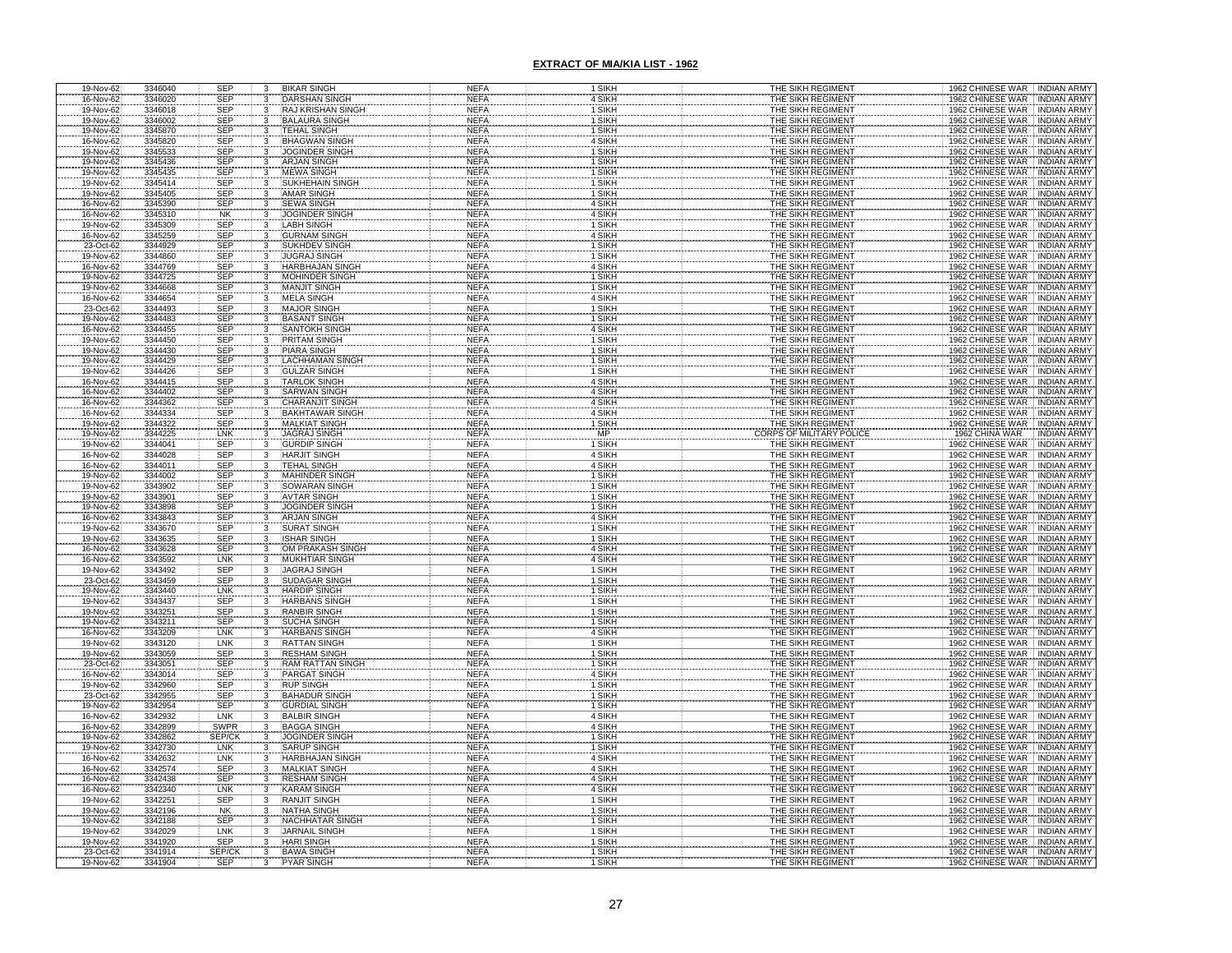| 19-Nov-62              | 3346040            | <b>SEP</b>               | 3                       | <b>BIKAR SINGH</b>                           | <b>NEFA</b>                | 1 SIKH           | THE SIKH REGIMENT                             | 1962 CHINESE WAR INDIAN ARMY                                              |
|------------------------|--------------------|--------------------------|-------------------------|----------------------------------------------|----------------------------|------------------|-----------------------------------------------|---------------------------------------------------------------------------|
| 16-Nov-62              | 3346020            | <b>SEP</b>               | 3                       | <b>DARSHAN SINGH</b>                         | <b>NEFA</b>                | 4 SIKH           | THE SIKH REGIMENT                             | 1962 CHINESE WAR INDIAN ARMY                                              |
| 19-Nov-62              | 3346018            | <b>SEP</b>               | $\overline{\mathbf{3}}$ | <b>RAJ KRISHAN SINGH</b>                     | <b>NEFA</b>                | 1 SIKH           | THE SIKH REGIMENT                             | 1962 CHINESE WAR INDIAN ARMY                                              |
| 19-Nov-62              | 3346002            | <b>SEP</b>               |                         | <b>BALAURA SINGH</b>                         | <b>NEFA</b>                | 1 SIKH           | THE SIKH REGIMENT                             | 1962 CHINESE WAR INDIAN ARMY                                              |
| 19-Nov-62              | 3345870            | <b>SEP</b>               |                         | <b>TEHAL SINGH</b><br>BHAGWAN SINGH          | <b>NEFA</b>                | 1 SIKH           | THE SIKH REGIMENT                             | 1962 CHINESE WAR<br>1962 CHINESE WAR<br><b>INDIAN ARMY</b>                |
| 16-Nov-62              | 3345820            | <b>SEP</b>               |                         | <b>JOGINDER SINGH</b>                        | <b>NEFA</b>                | 4 SIKH           | THE SIKH REGIMENT<br>THE SIKH REGIMENT        | INDIAN ARMY<br>1962 CHINESE WAR INDIAN ARMY                               |
| 19-Nov-62              | 3345533            | <b>SEP</b><br>SEP        | 3                       | <b>ARJAN SINGH</b>                           | <b>NEFA</b><br><b>NEFA</b> | 1 SIKH<br>1 SIKH | THE SIKH REGIMENT                             | 1962 CHINESE WAR<br><b>INDIAN ARMY</b>                                    |
| 19-Nov-62<br>19-Nov-62 | 3345436<br>3345435 | <b>SEP</b>               |                         | <b>MEWA SINGH</b>                            | <b>NEFA</b>                | 1 SIKH           | THE SIKH REGIMENT                             | 1962 CHINESE WAR INDIAN ARMY                                              |
| 19-Nov-62              | 3345414            | <b>SEP</b>               | 3                       | <b>SUKHEHAIN SINGH</b>                       | <b>NEFA</b>                | 1 SIKH           | THE SIKH REGIMENT                             | 1962 CHINESE WAR<br><b>INDIAN ARMY</b>                                    |
| 19-Nov-62              | 3345405            | <b>SEP</b>               | 3                       | <b>AMAR SINGH</b>                            | <b>NEFA</b>                | 1 SIKH           | THE SIKH REGIMENT                             | 1962 CHINESE WAR INDIAN ARMY                                              |
|                        | 3345390            |                          | 3                       | <b>SEWA SINGH</b>                            | <b>NEFA</b>                | 4 SIKH           | THE SIKH REGIMENT                             | 1962 CHINESE WAR INDIAN ARMY                                              |
| 16-Nov-62<br>16-Nov-62 | 3345310            | SEP<br>NK                |                         | <b>JOGINDER SINGH</b>                        | <b>NEFA</b>                | 4 SIKH           | THE SIKH REGIMENT                             | 1962 CHINESE WAR<br><b>INDIAN ARMY</b>                                    |
| 19-Nov-62              | 3345309            | SEP                      |                         | <b>LABH SINGH</b>                            | <b>NEFA</b>                | 1 SIKH           | THE SIKH REGIMENT                             | 1962 CHINESE WAR<br><b>INDIAN ARMY</b>                                    |
| 16-Nov-62              | 3345259            | SEP                      |                         | <b>GURNAM SINGH</b>                          | <b>NEFA</b>                | 4 SIKH           | THE SIKH REGIMENT                             | 1962 CHINESE WAR<br><b>INDIAN ARMY</b>                                    |
| 23-Oct-62              | 3344929            | SEP                      |                         | <b>SUKHDEV SINGH</b>                         | <b>NEFA</b>                | 1 SIKH           | THE SIKH REGIMENT                             | 1962 CHINESE WAR<br><b>INDIAN ARMY</b>                                    |
| 19-Nov-62              | 3344860            | SEP                      |                         | <b>JUGRAJ SINGH</b>                          | <b>NEFA</b>                | 1 SIKH           | THE SIKH REGIMENT                             | 1962 CHINESE WAR<br><b>INDIAN ARMY</b>                                    |
| 16-Nov-62              | 3344769            | <b>SEP</b>               |                         | <b>HARBHAJAN SINGH</b>                       | <b>NEFA</b>                | 4 SIKH           | THE SIKH REGIMENT                             | 1962 CHINESE WAR<br><b>INDIAN ARMY</b>                                    |
| 19-Nov-62              | 3344725            | SEP                      | $\frac{3}{3}$           | MOHINDER SINGH                               | <b>NEFA</b>                | 1 SIKH           | THE SIKH REGIMENT<br>THE SIKH REGIMENT        | 1962 CHINESE WAR<br><b>INDIAN ARMY</b>                                    |
| 19-Nov-62              | 3344668            | <b>SEP</b>               |                         | <b>MANJIT SINGH</b>                          | <b>NEFA</b>                | 1 SIKH           |                                               | 1962 CHINESE WAR<br><b>INDIAN ARMY</b>                                    |
| 16-Nov-62              | 3344654<br>3344493 | <b>SEP</b>               | 3<br>3                  | <b>MELA SINGH</b>                            | <b>NEFA</b><br><b>NEFA</b> | 4 SIKH           | THE SIKH REGIMENT                             | 1962 CHINESE WAR<br><b>INDIAN ARMY</b>                                    |
| 23-Oct-62              | 3344483            | <b>SEP</b>               |                         | <b>MAJOR SINGH</b>                           | <b>NEFA</b>                | 1 SIKH           | THE SIKH REGIMENT                             | 1962 CHINESE WAR<br><b>INDIAN ARMY</b>                                    |
| 19-Nov-62<br>16-Nov-62 | 3344455            | <b>SEP</b><br><b>SEP</b> |                         | <b>BASANT SINGH</b><br><b>SANTOKH SINGH</b>  | <b>NEFA</b>                | 1 SIKH<br>4 SIKH | <u>THE SIKH REGIMENT</u><br>THE SIKH REGIMENT | 1962 CHINESE WAR<br>INDIAN ARMY<br>1962 CHINESE WAR<br><b>INDIAN ARMY</b> |
| 19-Nov-62              | 3344450            | SEP                      |                         | <b>PRITAM SINGH</b>                          | <b>NEFA</b>                | 1 SIKH           | THE SIKH REGIMENT                             | 1962 CHINESE WAR<br><b>INDIAN ARMY</b>                                    |
| 19-Nov-62              | 3344430            | <b>SEP</b>               |                         | <b>PIARA SINGH</b>                           | <b>NEFA</b>                | 1 SIKH           | THE SIKH REGIMENT                             | 1962 CHINESE WAR<br><b>INDIAN ARMY</b>                                    |
| 19-Nov-62              | 3344429            | <b>SEP</b>               |                         | <b>LACHHAMAN SINGH</b>                       | <b>NEFA</b>                | 1 SIKH           | THE SIKH REGIMENT                             | 1962 CHINESE WAR<br><b>INDIAN ARMY</b>                                    |
| 19-Nov-62              | 3344426            | <b>SEP</b>               |                         | <b>GULZAR SINGH</b>                          | <b>NEFA</b>                | 1 SIKH           | THE SIKH REGIMENT                             | 1962 CHINESE WAR<br><b>INDIAN ARMY</b>                                    |
| 16-Nov-62              | 3344415            | <b>SEP</b>               |                         | <b>TARLOK SINGH</b>                          | <b>NEFA</b>                | 4 SIKH           | THE SIKH REGIMENT                             | 1962 CHINESE WAR<br><b>INDIAN ARMY</b>                                    |
| 16-Nov-62              | 3344402            | SEP<br>SEP               |                         | <b>SARWAN SINGH</b>                          | <b>NEFA</b>                | 4 SIKH           | THE SIKH REGIMENT                             | 1962 CHINESE WAR<br><b>INDIAN ARMY</b>                                    |
| 16-Nov-62              | 3344362            |                          |                         | <b>CHARANJIT SINGH</b>                       | <b>NEFA</b>                | 4 SIKH           | THE SIKH REGIMENT                             | 1962 CHINESE WAR<br><b>INDIAN ARMY</b>                                    |
| 16-Nov-62              | 3344334            | <b>SEP</b>               |                         | <b>BAKHTAWAR SINGH</b>                       | <b>NEFA</b>                | 4 SIKH           | THE SIKH REGIMENT                             | 1962 CHINESE WAR INDIAN ARMY                                              |
| 19-Nov-62              | 3344322            | SEP                      |                         | <b>MALKIAT SINGH</b>                         | <b>NEFA</b>                | 1 SIKH           | THE SIKH REGIMENT                             | 1962 CHINESE WAR<br><b>INDIAN ARMY</b>                                    |
| 19-Nov-62              | 3344225            | LNK<br>SEP               |                         | <b>JAGRAJ SINGH</b>                          | <b>NEFA</b>                | MP               | <b>DRPS OF MILITARY POLIC</b>                 | 1962 CHINA WAR<br><b>INDIAN ARMY</b>                                      |
| 19-Nov-62              | 3344041<br>3344028 |                          | 3                       | <b>GURDIP SINGH</b><br><b>HARJIT SINGH</b>   | <b>NEFA</b><br><b>NEFA</b> | 1 SIKH<br>4 SIKH | THE SIKH REGIMENT<br>THE SIKH REGIMENT        | 1962 CHINESE WAR<br><b>INDIAN ARMY</b>                                    |
| 16-Nov-62              | 3344011            | <b>SEP</b>               |                         | <b>TEHAL SINGH</b>                           | <b>NEFA</b>                | 4 SIKH           | THE SIKH REGIMENT                             | 1962 CHINESE WAR INDIAN ARMY                                              |
| 16-Nov-62<br>19-Nov-62 | 3344002            | SEP<br>SEP               |                         | MAHINDER SINGH                               | <b>NEFA</b>                | 1 SIKH           | THE SIKH REGIMENT                             | 1962 CHINESE WAR : INDIAN ARMY<br>1962 CHINESE WAR : INDIAN ARMY          |
| 19-Nov-62              | 3343902            | SEP                      |                         | <b>SOWARAN SINGH</b>                         | <b>NEFA</b>                | 1 SIKH           | THE SIKH REGIMENT                             | 1962 CHINESE WAR INDIAN ARMY                                              |
| 19-Nov-62              | 3343901            | SEP                      |                         | <b>AVTAR SINGH</b>                           | <b>NEFA</b>                | 1 SIKH           | THE SIKH REGIMENT                             | 1962 CHINESE WAR INDIAN ARMY                                              |
| 19-Nov-62              | 3343898            | <b>SEP</b>               |                         | <b>JOGINDER SINGH</b>                        | <b>NEFA</b>                | 1 SIKH           | THE SIKH REGIMENT                             | 1962 CHINESE WAR INDIAN ARMY                                              |
| 16-Nov-62              | 3343843            | SEP                      |                         | <b>ARJAN SINGH</b>                           | <b>NEFA</b>                | 4 SIKH           | THE SIKH REGIMENT                             | 1962 CHINESE WAR NIDIAN ARMY                                              |
| 19-Nov-62              | 3343670            | SEP                      |                         | <b>SURAT SINGH</b>                           | <b>NEFA</b>                | 1 SIKH           | THE SIKH REGIMENT                             | 1962 CHINESE WAR . INDIAN ARMY                                            |
| 19-Nov-62              | 3343635            | SEP<br>SEP               |                         | <b>ISHAR SINGH</b>                           | <b>NEFA</b>                | 1 SIKH           | THE SIKH REGIMENT                             | 1962 CHINESE WAR INDIAN ARMY                                              |
| 16-Nov-62              | 3343628            |                          |                         | OM PRAKASH SINGH                             | <b>NEFA</b>                | 4 SIKH           | THE SIKH REGIMENT                             | 1962 CHINESE WAR INDIAN ARMY                                              |
| 16-Nov-62              | 3343592            | <b>LNK</b>               | 3                       | <b>MUKHTIAR SINGH</b>                        | <b>NEFA</b>                | 4 SIKH           | THE SIKH REGIMENT                             | 1962 CHINESE WAR INDIAN ARMY                                              |
| 19-Nov-62              | 3343492            | <b>SEP</b>               | $\overline{3}$          | <b>JAGRAJ SINGH</b><br><b>SUDAGAR SINGH</b>  | <b>NEFA</b><br><b>NEFA</b> | 1 SIKH           | THE SIKH REGIMENT<br>THE SIKH REGIMENT        | 1962 CHINESE WAR INDIAN ARMY<br>1962 CHINESE WAR INDIAN ARMY              |
| 23-Oct-62<br>19-Nov-62 | 3343459<br>3343440 | SEP<br>LNK               |                         | HARDIP SINGH                                 | <b>NEFA</b>                | 1 SIKH<br>1 SIKH | THE SIKH REGIMENT                             | <b>INDIAN ARMY</b>                                                        |
| 19-Nov-62              |                    | <b>SEP</b>               |                         | <b>HARBANS SINGI</b>                         | <b>NEFA</b>                | 1 SIKH           | THE SIKH REGIMENT                             | 1962 CHINESE WAR<br>1962 CHINESE WAR<br><b>INDIAN ARMY</b>                |
| 19-Nov-62              | 3343437<br>3343251 | <b>SEP</b>               |                         | <b>RANBIR SINGH</b>                          | <b>NEFA</b>                | 1 SIKH           | THE SIKH REGIMENT                             | 1962 CHINESE WAR INDIAN ARMY                                              |
| 19-Nov-62              | 3343211            | <b>SEP</b>               |                         | <b>SUCHA SINGH</b>                           | <b>NEFA</b>                | 1 SIKH           | THE SIKH REGIMENT                             | 1962 CHINESE WAR INDIAN ARMY                                              |
| 16-Nov-62              | 3343209            | <b>LNK</b>               | 3                       | <b>HARBANS SINGH</b>                         | <b>NEFA</b>                | 4 SIKH           | THE SIKH REGIMENT                             | 1962 CHINESE WAR INDIAN ARMY                                              |
| 19-Nov-62              | 3343120            | LNK                      |                         | <b>RATTAN SINGH</b>                          | <b>NEFA</b>                | 1 SIKH           | THE SIKH REGIMENT                             | 1962 CHINESE WAR INDIAN ARMY                                              |
| 19-Nov-62              | 3343059            | SEP                      |                         | <b>RESHAM SINGH</b>                          | <b>NEFA</b>                | 1 SIKH           | THE SIKH REGIMENT                             | 1962 CHINESE WAR<br><b>INDIAN ARMY</b>                                    |
| 23-Oct-62              | 3343051            | <b>SEP</b>               |                         | <b>RAM RATTAN SING</b>                       | <b>NEFA</b>                | 1 SIKH           | THE SIKH REGIMENT                             | 1962 CHINESE WAR<br><b>INDIAN ARMY</b>                                    |
| 16-Nov-62              | 3343014            | <b>SEP</b>               |                         | <b>PARGAT SINGH</b>                          | <b>NEFA</b>                | 4 SIKH           | THE SIKH REGIMENT                             | 1962 CHINESE WAR INDIAN ARMY                                              |
| 19-Nov-62              | 3342960            | SEP                      | 3                       | <b>RUP SINGH</b>                             | <b>NEFA</b>                | 1 SIKH           | THE SIKH REGIMENT                             | 1962 CHINESE WAR<br>INDIAN ARMY                                           |
| 23-Oct-62<br>19-Nov-62 | 3342955<br>3342954 | <b>SEP</b><br><b>SEP</b> | 3                       | <b>BAHADUR SINGH</b><br><b>GURDIAL SINGH</b> | <b>NEFA</b><br><b>NEFA</b> | 1 SIKH<br>1 SIKH | THE SIKH REGIMENT<br>THE SIKH REGIMENT        | 1962 CHINESE WAR<br><b>INDIAN ARMY</b><br>1962 CHINESE WAR INDIAN ARMY    |
| 16-Nov-62              | 3342932            | LNK                      | $\overline{3}$          | <b>BALBIR SINGH</b>                          | <b>NEFA</b>                | 4 SIKH           | THE SIKH REGIMENT                             | 1962 CHINESE WAR INDIAN ARMY                                              |
| 16-Nov-62              | 3342899            | SWPR                     | $\overline{\mathbf{3}}$ | <b>BAGGA SINGH</b>                           | <b>NEFA</b>                | 4 SIKH           | THE SIKH REGIMENT                             | 1962 CHINESE WAR INDIAN ARMY                                              |
| 19-Nov-62              | 3342862            | SEP/CK                   | 3                       | <b>JOGINDER SINGI</b>                        | <b>NEFA</b>                | 1 SIKH           | THE SIKH REGIMENT                             | 1962 CHINESE WAR INDIAN ARMY                                              |
| 19-Nov-62              | 3342730            | <b>LNK</b>               |                         | <b>SARUP SINGH</b>                           | <b>NEFA</b>                | 1 SIKH           | THE SIKH REGIMENT                             | 1962 CHINESE WAR INDIAN ARMY                                              |
| 16-Nov-62              | 3342632            | <b>LNK</b>               | $\mathcal{R}$           | HARBHAJAN SINGH                              | <b>NEFA</b>                | 4 SIKH           | THE SIKH REGIMENT                             | 1962 CHINESE WAR INDIAN ARMY                                              |
| 16-Nov-62              | 3342574            | <b>SEP</b>               | $\mathcal{R}$           | <b>MALKIAT SINGH</b>                         | <b>NEFA</b>                | 4 SIKH           | THE SIKH REGIMENT                             | 1962 CHINESE WAR INDIAN ARMY                                              |
| 16-Nov-62              | 3342438            | SEP                      | 3                       | <b>RESHAM SINGH</b>                          | <b>NEFA</b>                | 4 SIKH           | THE SIKH REGIMENT                             | 1962 CHINESE WAR INDIAN ARMY                                              |
| 16-Nov-62              | 3342340            | LNK                      | $\overline{\mathbf{3}}$ | <b>KARAM SINGH</b>                           | <b>NEFA</b>                | 4 SIKH           | THE SIKH REGIMENT                             | 1962 CHINESE WAR INDIAN ARMY                                              |
| 19-Nov-62              | 3342251            | SEP<br>NK                | $\frac{3}{3}$           | RANJIT SINGH                                 | <b>NEFA</b>                | 1 SIKH           | THE SIKH REGIMENT                             | 1962 CHINESE WAR INDIAN ARMY                                              |
| 19-Nov-62              | 3342196            |                          |                         | <b>NATHA SINGH</b>                           | <b>NEFA</b>                | 1 SIKH           | THE SIKH REGIMENT                             | 1962 CHINESE WAR INDIAN ARMY                                              |
| 19-Nov-62<br>19-Nov-62 | 3342188<br>3342029 | <b>SEP</b><br>LNK        | 3<br>$\overline{3}$     | NACHHATAR SINGH<br><b>JARNAIL SINGH</b>      | <b>NEFA</b><br><b>NEFA</b> | 1 SIKH<br>1 SIKH | THE SIKH REGIMENT<br>THE SIKH REGIMENT        | 1962 CHINESE WAR INDIAN ARMY<br>1962 CHINESE WAR INDIAN ARMY              |
| 19-Nov-62              | 3341920            | <b>SEP</b>               | $\overline{3}$          | <b>HARI SINGH</b>                            | <b>NEFA</b>                | 1 SIKH           | THE SIKH REGIMENT                             | 1962 CHINESE WAR INDIAN ARMY                                              |
| 23-Oct-62              | 3341914            | SEP/CK                   |                         | <b>BAWA SINGH</b>                            | <b>NEFA</b>                | 1 SIKH           | THE SIKH REGIMENT                             | 1962 CHINESE WAR . INDIAN ARMY                                            |
| 19-Nov-62              | 3341904            | SEP                      |                         | <b>PYAR SINGH</b>                            | <b>NEFA</b>                | 1 SIKH           | THE SIKH REGIMENT                             | 1962 CHINESE WAR INDIAN ARMY                                              |
|                        |                    |                          |                         |                                              |                            |                  |                                               |                                                                           |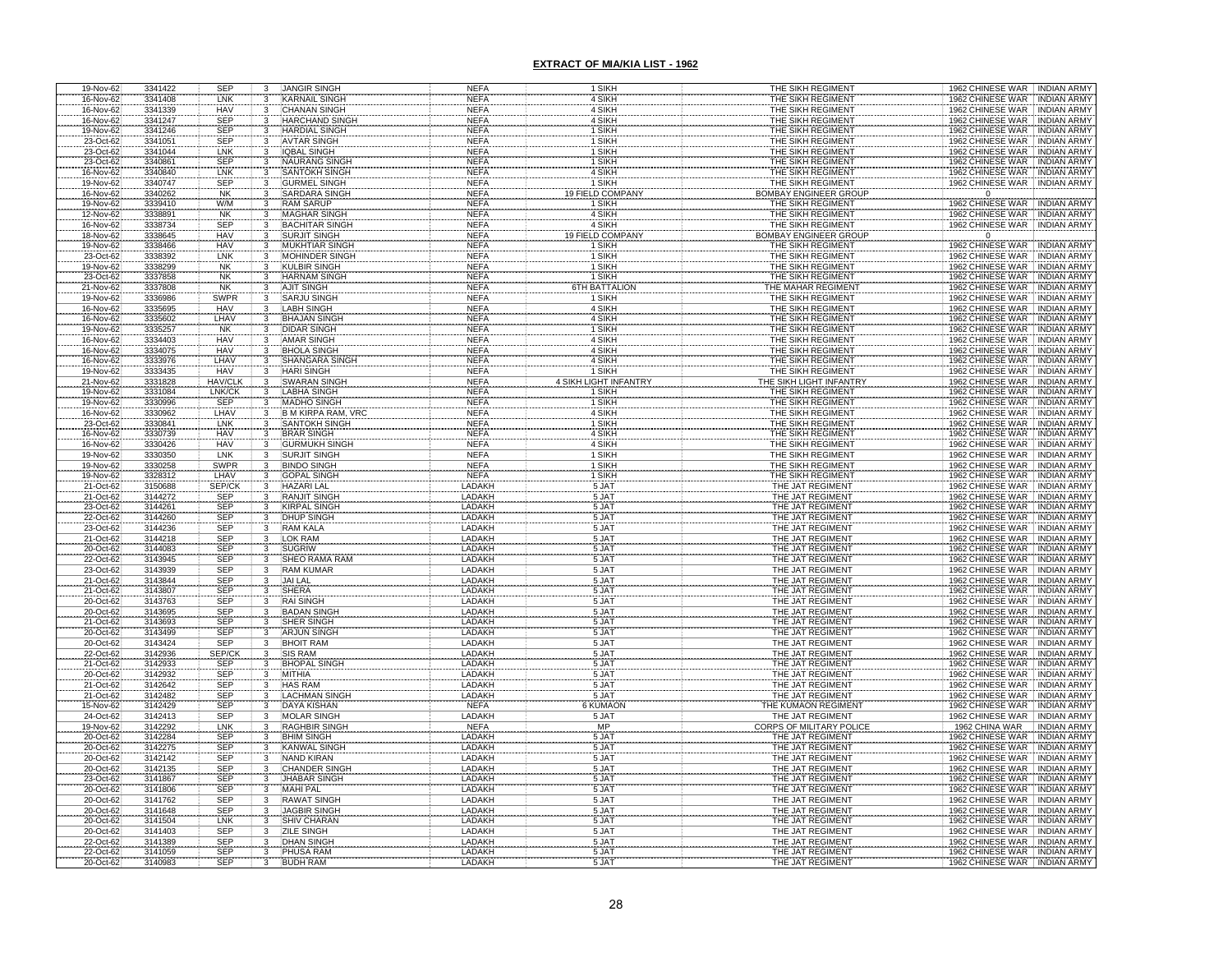| 19-Nov-62                           | 3341422                       | <b>SEP</b>               |                                           | <b>JANGIR SINGH</b>                          | <b>NEFA</b>                | 1 SIKH                       | THE SIKH REGIMENT                                           | 1962 CHINESE WAR INDIAN ARMY                                                                       |
|-------------------------------------|-------------------------------|--------------------------|-------------------------------------------|----------------------------------------------|----------------------------|------------------------------|-------------------------------------------------------------|----------------------------------------------------------------------------------------------------|
| 16-Nov-62                           | 3341408                       | LNK                      |                                           | <b>KARNAIL SINGH</b>                         | <b>NEFA</b>                | 4 SIKH                       | THE SIKH REGIMENT                                           | 1962 CHINESE WAR INDIAN ARMY                                                                       |
| 16-Nov-62                           | 3341339                       | HAV                      |                                           | <b>CHANAN SINGH</b>                          | <b>NEFA</b>                | 4 SIKH                       | THE SIKH REGIMENT                                           | 1962 CHINESE WAR INDIAN ARMY                                                                       |
| 16-Nov-62                           | 3341247                       | <b>SEP</b>               |                                           | <b>HARCHAND SINGH</b>                        | <b>NEFA</b>                | 4 SIKH                       | THE SIKH REGIMENT                                           | 1962 CHINESE WAR INDIAN ARMY                                                                       |
| 19-Nov-62<br>23-Oct-62              | 3341246<br>3341051            | <b>SEP</b><br><b>SEP</b> |                                           | <b>HARDIAL SINGH</b><br><b>AVTAR SINGH</b>   | <b>NEFA</b><br><b>NEFA</b> | 1 SIKH<br>1 SIKH             | THE SIKH REGIMENT<br>THE SIKH REGIMENT                      | 1962 CHINESE WAR<br>1962 CHINESE WAR<br>INDIAN ARMY                                                |
| 23-Oct-62                           | 3341044                       | LNK                      |                                           | <b>IQBAL SINGH</b>                           | <b>NEFA</b>                | 1 SIKH                       | THE SIKH REGIMENT                                           | 1962 CHINESE WAR<br><b>INDIAN ARMY</b>                                                             |
|                                     | 3340861                       | <b>SEP</b>               |                                           |                                              | <b>NEFA</b>                | 1 SIKH                       | THE SIKH REGIMENT                                           | 1962 CHINESE WAR<br><b>INDIAN ARMY</b>                                                             |
| 23-Oct-62<br>16-Nov-62<br>19-Nov-62 | 3340840                       | LNK                      |                                           | <b>NAURANG SINGH<br/>SANTOKH SINGH</b>       | <b>NEFA</b>                | 4 SIKH                       | THE SIKH REGIMENT                                           | 1962 CHINESE WAR INDIAN ARMY                                                                       |
|                                     | 3340747                       | <b>SEP</b>               |                                           | <b>GURMEL SINGH</b>                          | <b>NEFA</b>                | 1 SIKH                       | THE SIKH REGIMENT                                           | 1962 CHINESE WAR INDIAN ARMY                                                                       |
| 16-Nov-62                           | 3340262                       | <b>NK</b>                |                                           | <b>SARDARA SINGH</b>                         | <b>NEFA</b>                | <b>19 FIELD COMPANY</b>      | <b>BOMBAY ENGINEER GROUP</b>                                | $\Omega$                                                                                           |
| 19-Nov-62<br>12-Nov-62              | 3339410                       | W/M                      |                                           | <b>RAM SARUP</b>                             | <b>NEFA</b>                | 1 SIKH<br>4 SIKH             | THE SIKH REGIMENT<br>THE SIKH REGIMENT                      | 1962 CHINESE WAR<br>1962 CHINESE WAR<br><b>INDIAN ARMY</b>                                         |
|                                     | 3338891                       | <b>NK</b>                |                                           | <b>MAGHAR SINGH</b>                          | <b>NEFA</b>                |                              |                                                             | <b>INDIAN ARMY</b>                                                                                 |
| 16-Nov-62                           | 3338734                       | SEP                      |                                           | <b>BACHITAR SINGH</b>                        | <b>NEFA</b>                | 4 SIKH                       | THE SIKH REGIMENT                                           | 1962 CHINESE WAR INDIAN ARMY                                                                       |
| 18-Nov-62                           | 3338645                       | HAV                      |                                           | <b>SURJIT SINGH</b>                          | <b>NEFA</b>                | 19 FIELD COMPAN              | <b>BOMBAY ENGINEER GROU</b>                                 | $\overline{0}$                                                                                     |
| 19-Nov-62                           | 3338466                       | <b>HAV</b>               |                                           | <b>MUKHTIAR SINGH</b>                        | <b>NEFA</b>                | 1 SIKH                       | THE SIKH REGIMENT                                           | 1962 CHINESE WAR<br><b>INDIAN ARMY</b>                                                             |
| 23-Oct-62<br>19-Nov-62              | 3338392<br>3338299            | LNK<br><b>NK</b>         |                                           | <b>MOHINDER SINGH</b><br><b>KULBIR SINGH</b> | <b>NEFA</b><br><b>NEFA</b> | 1 SIKH<br>1 SIKH             | THE SIKH REGIMENT<br>THE SIKH REGIMENT                      | 1962 CHINESE WAR<br><b>INDIAN ARMY</b><br>1962 CHINESE WAR<br><b>INDIAN ARMY</b>                   |
| 23-Oct-62                           | 3337858                       | <b>NK</b>                |                                           | <b>HARNAM SINGH</b>                          | <b>NEFA</b>                | 1 SIKH                       | THE SIKH REGIMENT                                           | 1962 CHINESE WAR<br><b>INDIAN ARMY</b>                                                             |
| 21-Nov-62                           | 3337808                       | <b>NK</b>                | $\overline{\mathbf{3}}$<br>$\overline{3}$ | <b>AJIT SINGH</b>                            | <b>NEFA</b>                | <b>6TH BATTALION</b>         | THE MAHAR REGIMENT                                          | 1962 CHINESE WAR   INDIAN ARMY                                                                     |
| 19-Nov-62                           | 3336986                       | <b>SWPR</b>              | 3                                         | <b>SARJU SINGH</b>                           | <b>NEFA</b>                | 1 SIKH                       | THE SIKH REGIMENT                                           | 1962 CHINESE WAR<br><b>INDIAN ARMY</b>                                                             |
| 16-Nov-62                           | 3335695                       | <b>HAV</b>               | $\overline{3}$                            | <b>LABH SINGH</b>                            | <b>NEFA</b>                | 4 SIKH                       | THE SIKH REGIMENT                                           | 1962 CHINESE WAR<br><b>INDIAN ARMY</b>                                                             |
|                                     | 3335602                       | LHAV                     |                                           | <b>BHAJAN SINGH</b>                          | <b>NEFA</b>                | 4 SIKH                       | THE SIKH REGIMENT                                           | 1962 CHINESE WAR<br><b>INDIAN ARMY</b>                                                             |
| 16-Nov-62<br>19-Nov-62<br>16-Nov-62 | 3335257                       | <b>NK</b>                |                                           | <b>DIDAR SINGH</b>                           | <b>NEFA</b>                | 1 SIKH                       | THE SIKH REGIMENT                                           | 1962 CHINESE WAR<br><b>INDIAN ARMY</b>                                                             |
|                                     | 3334403                       | HAV                      |                                           | <b>AMAR SINGH</b>                            | <b>NEFA</b>                | 4 SIKH                       | THE SIKH REGIMENT                                           | 1962 CHINESE WAR<br><b>INDIAN ARMY</b>                                                             |
| 16-Nov-62                           | 3334075                       | <b>HAV</b>               |                                           | <b>BHOLA SINGH</b>                           | <b>NEFA</b>                | 4 SIKH                       | THE SIKH REGIMENT                                           | 1962 CHINESE WAR<br><b>INDIAN ARMY</b>                                                             |
| 16-Nov-62<br>19-Nov-62              | 3333976<br>3333435            | LHAV<br><b>HAV</b>       |                                           | <b>SHANGARA SINGH</b><br><b>HARI SINGH</b>   | <b>NEFA</b><br><b>NEFA</b> | 4 SIKH<br>1 SIKH             | THE SIKH REGIMENT<br>THE SIKH REGIMENT                      | 1962 CHINESE WAR INDIAN ARMY<br>1962 CHINESE WAR INDIAN ARMY                                       |
| 21-Nov-62                           | 3331828                       | <b>HAV/CLK</b>           |                                           | <b>SWARAN SINGH</b>                          | <b>NEFA</b>                | <b>4 SIKH LIGHT INFANTRY</b> | HE SIKH LIGHT INFANTR                                       | 1962 CHINESE WAR<br><b>INDIAN ARMY</b>                                                             |
|                                     |                               | LNK/CK                   |                                           | ABHA SINGH                                   | <b>NEFA</b>                | 1 SIKH                       |                                                             |                                                                                                    |
|                                     |                               | SEP<br>LHAV              |                                           | MADHO SINGH                                  | <b>NEFA</b>                | SIKH                         |                                                             |                                                                                                    |
| 19-Nov-62<br>19-Nov-62<br>16-Nov-62 | 3331084<br>3330996<br>3330962 |                          |                                           | <b>B M KIRPA RAM, VR</b>                     | <b>NEFA</b>                | 4 SIKH                       | THE SIKH REGIMENT<br>THE SIKH REGIMENT<br>THE SIKH REGIMENT | 1962 CHINESE WAR : INDIAN ARMY<br>1962 CHINESE WAR : INDIAN ARMY<br>1962 CHINESE WAR : INDIAN ARMY |
| 23-Oct-62<br>16-Nov-62<br>16-Nov-62 | 3330841<br>3330739<br>3330426 | LNK<br>HAV<br>HAV        |                                           | SANTOKH SINGH                                | <b>NEFA</b>                | 1 SIKH                       | THE SIKH REGIMENT<br>THE SIKH REGIMENT<br>THE SIKH REGIMENT | 1962 CHINESE WAR<br>1962 CHINESE WAR<br>1962 CHINESE WAR<br><b>INDIAN ARMY</b>                     |
|                                     |                               |                          |                                           | BRAR SINGH                                   | <b>NEFA</b>                | 4 SIKH                       |                                                             | <b>INDIAN ARMY</b>                                                                                 |
|                                     |                               |                          |                                           |                                              | <b>NEFA</b>                | 4 SIKH                       |                                                             | <b>INDIAN ARMY</b><br>1962 CHINESE WAR INDIAN ARMY                                                 |
| 19-Nov-62                           | 3330350                       | LNK<br>SWPR              |                                           | <b>SURJIT SINGH</b>                          | <b>NEFA</b><br><b>NEFA</b> | 1 SIKH                       | THE SIKH REGIMENT                                           |                                                                                                    |
| 19-Nov-62<br>19-Nov-62              | 3330258<br>3328312            | LHAV                     |                                           | BINDO SINGH                                  | <b>NEFA</b>                | 1 SIKH<br>1 SIKH             | THE SIKH REGIMENT<br>THE SIKH REGIMENT                      | 1962 CHINESE WAR : INDIAN ARMY<br>1962 CHINESE WAR : INDIAN ARMY                                   |
| 21-Oct-62                           | 3150688                       | SEP/CI                   |                                           | <b>HAZARI LAL</b>                            | LADAKH                     | 5 JAT                        | THE JAT REGIMENT                                            | 1962 CHINESE WAR<br><b>INDIAN ARMY</b>                                                             |
| 21-Oct-62                           | 3144272                       | SEP                      |                                           | <b>RANJIT SINGH</b>                          | LADAKH                     | 5 JAT                        | THE JAT REGIMENT                                            | 1962 CHINESE WAR INDIAN ARMY                                                                       |
| 23-Oct-62                           | 3144261                       | SEP                      |                                           | <b>KIRPAL SINGH</b>                          | LADAKH                     | 5 JAT                        | THE JAT REGIMENT                                            | 1962 CHINESE WAR INDIAN ARMY                                                                       |
| 22-Oct-62                           | 3144260                       | SEP                      |                                           | <b>DHUP SINGH</b>                            | LADAKH                     | 5 JAT                        | THE JAT REGIMENT                                            | 1962 CHINESE WAR INDIAN ARMY                                                                       |
| 23-Oct-62                           | 3144236                       | SEP                      |                                           | <b>RAM KALA</b><br>LOK RAM                   | LADAKH<br>LADAKH           | 5 JAT                        | THE JAT REGIMENT<br>THE JAT REGIMENT                        | 1962 CHINESE WAR : INDIAN ARMY                                                                     |
| 21-Oct-62<br>20-Oct-62              | 3144218<br>3144083            | SEP<br>SEP               |                                           | <b>SUGRIW</b>                                | LADAKH                     | 5 JAT<br>5 JAT               | THE JAT REGIMENT                                            | 1962 CHINESE WAR   INDIAN ARMY<br>1962 CHINESE WAR   INDIAN ARMY                                   |
| 22-Oct-62                           | 3143945                       | <b>SEP</b>               | 3                                         | SHEO RAMA RAM                                | <b>LADAKH</b>              | 5 JAT                        | THE JAT REGIMENT                                            | 1962 CHINESE WAR INDIAN ARMY                                                                       |
| 23-Oct-62                           | 3143939                       | <b>SEP</b>               | 3                                         | <b>RAM KUMAR</b>                             | LADAKH                     | 5 JAT                        | THE JAT REGIMENT                                            | 1962 CHINESE WAR INDIAN ARMY                                                                       |
|                                     | 3143844                       |                          |                                           | <b>JAI LAL</b>                               | LADAKH                     | 5 JAT                        | THE JAT REGIMENT                                            | 1962 CHINESE WAR INDIAN ARMY                                                                       |
| 21-Oct-62<br>21-Oct-62              | 3143807                       |                          |                                           | SHERA                                        | LADAKH                     | 5 JAT<br>5 JAT               | THE JAT REGIMENT                                            | <b>INDIAN ARMY</b>                                                                                 |
| 20-Oct-62                           | 3143763                       | SEP<br>SEP<br>SEP<br>SEP |                                           | <b>RAI SINGI</b>                             | LADAKH                     |                              | THE JAT REGIMENT                                            | 1962 CHINESE WAR<br>1962 CHINESE WAR<br>1962 CHINESE WAR<br><b>INDIAN ARMY</b>                     |
| 20-Oct-62                           | 3143695                       | SEP                      |                                           | <b>BADAN SINGH</b>                           | LADAKH                     | 5 JAT                        | THE JAT REGIMENT                                            | <b>INDIAN ARMY</b>                                                                                 |
| 21-Oct-62<br>20-Oct-62              | 3143693<br>3143499            | SEP                      | 3                                         | <b>SHER SINGH</b><br><b>ARJUN SINGH</b>      | LADAKH<br>LADAKH           | 5 JAT<br>5 JAT               | THE JAT REGIMENT<br>THE JAT REGIMENT                        | 1962 CHINESE WAR INDIAN ARMY<br>1962 CHINESE WAR INDIAN ARMY                                       |
| 20-Oct-62                           | 3143424                       | SEP                      |                                           | <b>BHOIT RAM</b>                             | LADAKH                     | 5 JAT                        | THE JAT REGIMENT                                            | 1962 CHINESE WAR INDIAN ARMY                                                                       |
| 22-Oct-62                           | 3142936                       | SEP/CK                   |                                           | <b>SIS RAM</b>                               | LADAKH                     |                              | THE JAT REGIMENT                                            | 1962 CHINESE WAR<br><b>INDIAN ARMY</b>                                                             |
| 21-Oct-62                           | 3142933                       | SEP                      |                                           | <b>BHOPAL SING</b>                           | LADAKH                     | 5 JAT<br>5 JAT               | THE JAT REGIMENT                                            | 1962 CHINESE WAR<br><b>INDIAN ARMY</b>                                                             |
| 20-Oct-62                           | 3142932                       | <b>SEP</b>               |                                           | <b>MITHIA</b>                                | LADAKH                     | 5 JAT                        | THE JAT REGIMENT                                            | 1962 CHINESE WAR<br>INDIAN ARMY                                                                    |
| 21-Oct-62                           | 3142642                       | SEP                      |                                           | <b>HAS RAM</b>                               | LADAKH                     | 5 JAT<br>5 JAT               | THE JAT REGIMENT                                            | 1962 CHINESE WAR<br><b>INDIAN ARMY</b>                                                             |
| 21-Oct-62<br>15-Nov-62              | 3142482<br>3142429            | SEP<br><b>SEP</b>        |                                           | <b>LACHMAN SING</b><br><b>DAYA KISHAN</b>    | LADAKH<br><b>NEFA</b>      | <b>6 KUMAON</b>              | THE JAT REGIMENT<br>THE KUMAON REGIMENT                     | 1962 CHINESE WAR INDIAN ARMY<br>1962 CHINESE WAR INDIAN ARMY                                       |
| 24-Oct-62                           | 3142413                       | SEP                      | $\overline{3}$                            | <b>MOLAR SINGH</b>                           | LADAKH                     | 5 JAT                        | THE JAT REGIMENT                                            | 1962 CHINESE WAR INDIAN ARMY                                                                       |
|                                     | 3142292                       | LNK                      | 3                                         | <b>RAGHBIR SING</b>                          | <b>NEFA</b>                | <b>MP</b>                    | <b>CORPS OF MILITARY POLI</b>                               | 1962 CHINA WAR<br><b>INDIAN ARMY</b>                                                               |
| 19-Nov-62<br>20-Oct-62              | 3142284                       | SEP                      |                                           | <b>BHIM SINGH</b>                            | LADAKH                     | 5 JAT                        | THE JAT REGIMENT                                            | 1962 CHINESE WAR<br><b>INDIAN ARMY</b>                                                             |
| 20-Oct-62                           | 3142275                       | SEP                      | 3                                         | <b>KANWAL SINGH</b>                          | LADAKH                     | 5 JAT                        | THE JAT REGIMENT                                            | 1962 CHINESE WAR INDIAN ARMY                                                                       |
| 20-Oct-62                           | 3142142                       | <b>SEP</b>               | 3                                         | <b>NAND KIRAN</b>                            | LADAKH                     | 5 JAT                        | THE JAT REGIMENT                                            | 1962 CHINESE WAR INDIAN ARMY                                                                       |
| 20-Oct-62                           | 3142135                       | <b>SEP</b>               |                                           | <b>CHANDER SINGH</b>                         | LADAKH                     | 5 JAT                        | THE JAT REGIMENT                                            | 1962 CHINESE WAR<br><b>INDIAN ARMY</b>                                                             |
| 23-Oct-62<br>20-Oct-62              | 3141867                       | SEP<br><b>SEP</b>        | 3<br>3                                    | <b>JHABAR SINGH</b><br><b>MAHI PAL</b>       | LADAKH<br>LADAKH           | 5 JAT<br>5 JAT               | THE JAT REGIMENT<br>THE JAT REGIMENT                        | 1962 CHINESE WAR<br><b>INDIAN ARMY</b><br>1962 CHINESE WAR INDIAN ARMY                             |
| 20-Oct-62                           | 3141806<br>3141762            | SEP                      | 3                                         | <b>RAWAT SINGH</b>                           | LADAKH                     |                              | THE JAT REGIMENT                                            | 1962 CHINESE WAR INDIAN ARMY                                                                       |
| 20-Oct-62                           | 3141648                       | <b>SEP</b>               | $\overline{\mathbf{3}}$                   | <b>JAGBIR SINGH</b>                          | LADAKH                     | 5 JAT<br>5 JAT               | THE JAT REGIMENT                                            | 1962 CHINESE WAR INDIAN ARMY                                                                       |
| 20-Oct-62                           | 3141504                       | LNK                      | 3                                         | <b>SHIV CHARAN</b>                           | LADAKH                     | 5 JAT                        | THE JAT REGIMENT                                            | 1962 CHINESE WAR INDIAN ARMY                                                                       |
| 20-Oct-62                           | 3141403                       | SEP                      | $\overline{\mathbf{3}}$                   | <b>ZILE SINGH</b>                            | LADAKH                     | 5 JAT                        | THE JAT REGIMENT                                            | 1962 CHINESE WAR INDIAN ARMY                                                                       |
| 22-Oct-62                           | 3141389                       | SEP                      | 3                                         | <b>DHAN SINGH</b>                            | LADAKH                     | 5 JAT                        | THE JAT REGIMENT                                            | 1962 CHINESE WAR INDIAN ARMY                                                                       |
| 22-Oct-62                           | 3141059                       | <b>SEP</b>               |                                           | PHUSA RAM                                    | LADAKH                     | 5 JAT<br>5 JAT               | THE JAT REGIMENT                                            | 1962 CHINESE WAR INDIAN ARMY                                                                       |
| 20-Oct-62                           | 3140983                       | <b>SEP</b>               |                                           | <b>BUDH RAM</b>                              | LADAKH                     |                              | THE JAT REGIMENT                                            | 1962 CHINESE WAR<br><b>INDIAN ARMY</b>                                                             |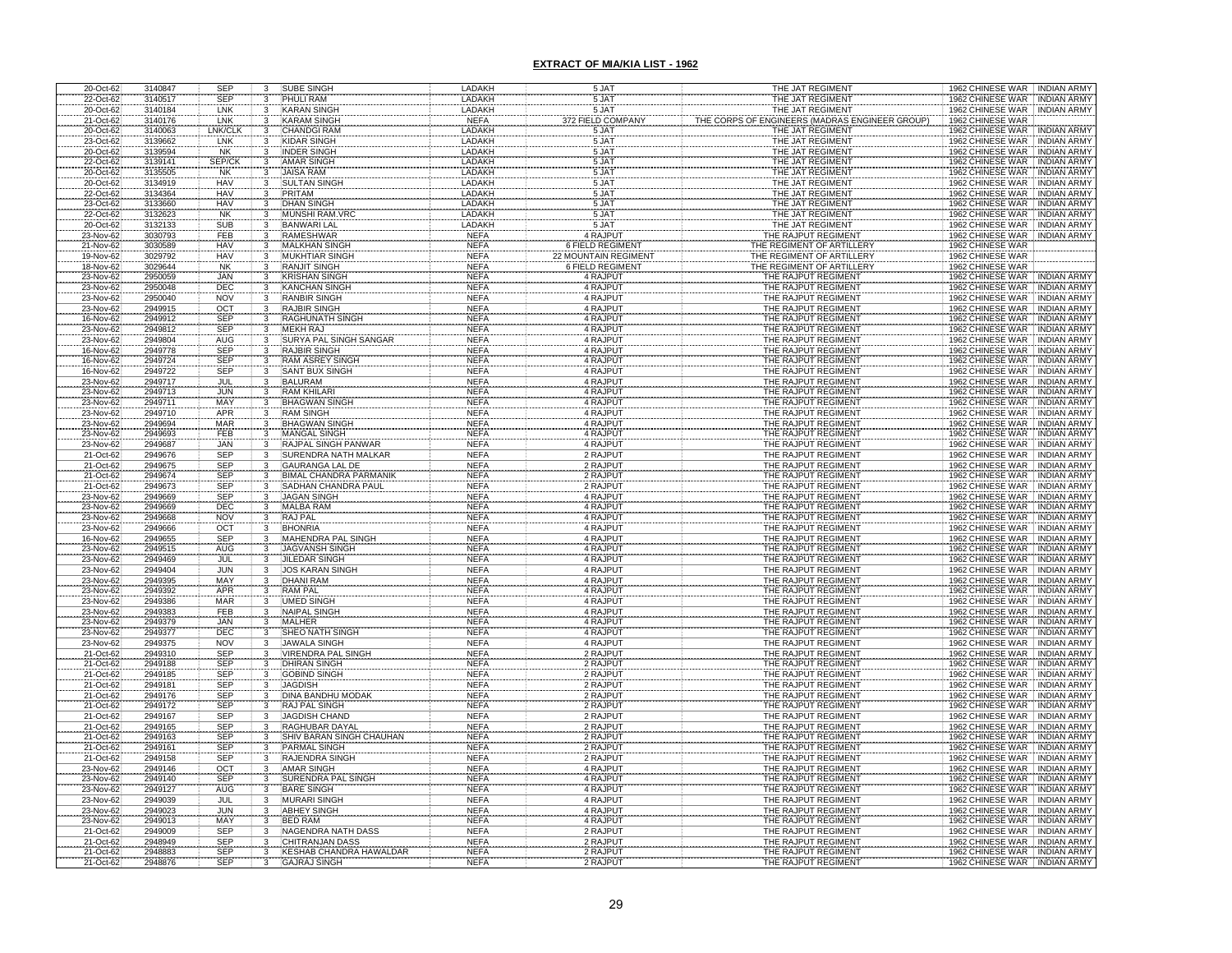| 20-Oct-62                                        | 3140847            | <b>SEP</b>         |              | SUBE SINGH                                           | LADAKH                     | 5 JAT                   | THE JAT REGIMENT                                   | 1962 CHINESE WAR INDIAN ARMY                                                       |
|--------------------------------------------------|--------------------|--------------------|--------------|------------------------------------------------------|----------------------------|-------------------------|----------------------------------------------------|------------------------------------------------------------------------------------|
| 22-Oct-62                                        | 3140517            | <b>SEP</b>         |              | PHULI RAM                                            | LADAKH                     | 5 JAT                   | THE JAT REGIMENT                                   | 1962 CHINESE WAR INDIAN ARMY                                                       |
| 20-Oct-62                                        | 3140184            | LNK                |              | <b>KARAN SINGH</b>                                   | LADAKH                     | 5 JAT                   | THE JAT REGIMENT                                   | 1962 CHINESE WAR INDIAN ARMY                                                       |
| 21-Oct-62                                        | 3140176            | LNK                |              | <b>KARAM SINGH</b>                                   | <b>NEFA</b>                | 372 FIELD COMPANY       | <b>IGINEERS (MADRAS ENGINEER GROUP</b><br>CORPS OF | 1962 CHINESE WAR                                                                   |
| 20-Oct-62<br>23-Oct-62                           | 3140063            | LNK/CL             |              | <b>CHANDGI RAM</b>                                   | LADAKH                     | 5 JAT                   | THE JAT REGIMENT                                   | 1962 CHINESE WAR<br><b>INDIAN ARMY</b>                                             |
|                                                  | 3139662<br>3139594 | LNK                |              | <b>KIDAR SINGH</b>                                   | LADAKH                     | 5 JA                    | THE JAT REGIMENT                                   | 1962 CHINESE<br><b>INDIAN ARMY</b><br>WAR                                          |
| 20-Oct-62                                        |                    | <b>NK</b>          |              | <b>INDER SINGH</b>                                   | LADAKH                     | 5 JAT                   | THE JAT REGIMENT                                   | 1962 CHINESE WAR<br><b>INDIAN ARMY</b>                                             |
| 22-Oct-62                                        | 3139141<br>3135505 | SEP/C<br><b>NK</b> |              | <b>AMAR SINGH</b><br><b>JAISA RAM</b>                | LADAKH<br>LADAKH           | 5 JAT                   | THE JAT REGIMENT<br>THE JAT REGIMENT               | 1962 CHINESE WAR   INDIAN ARMY<br>1962 CHINESE<br><b>INDIAN ARMY</b><br><b>WAR</b> |
| 20-Oct-62<br>20-Oct-62                           | 3134919            | <b>HAV</b>         |              | <b>SULTAN SINGH</b>                                  | LADAKH                     | 5 JAT<br>5 JAT          | THE JAT REGIMENT                                   | 1962 CHINESE WAR<br><b>INDIAN ARMY</b>                                             |
| 22-Oct-62                                        | 3134364            | <b>HAV</b>         | 3            | PRITAM                                               | LADAKH                     | 5 JAT                   | THE JAT REGIMENT                                   | 1962 CHINESE WAR INDIAN ARMY                                                       |
|                                                  | 3133660            |                    | 3            | <b>DHAN SINGH</b>                                    | LADAKH                     |                         | THE JAT REGIMENT                                   | 1962 CHINESE WAR<br><b>INDIAN ARMY</b>                                             |
| 23-Oct-62<br>22-Oct-62                           | 3132623            | HAV<br>NK          |              | <b>MUNSHI RAM.VR</b>                                 | LADAKH                     | 5 JAT<br>5 JAT          | THE JAT REGIMENT                                   | 1962 CHINESE WAR<br><b>INDIAN ARMY</b>                                             |
| 20-Oct-62                                        | 3132133            | SUB                | 3            | <b>BANWARI LAL</b>                                   | LADAKH                     | 5 JAT                   | THE JAT REGIMENT                                   | 1962 CHINESE WAR INDIAN ARMY                                                       |
| 23-Nov-62                                        | 3030793            | FEB                | 3            | <b>RAMESHWAR</b>                                     | <b>NEFA</b>                | 4 RAJPUT                | THE RAJPUT REGIMENT                                | 1962 CHINESE WAR INDIAN ARMY                                                       |
| 21-Nov-62                                        | 3030589            | <b>HAV</b>         | 3            | <b>MALKHAN SINGH</b>                                 | <b>NEFA</b>                | <b>6 FIELD REGIMENT</b> | THE REGIMENT OF ARTILLERY                          | 1962 CHINESE WAR                                                                   |
| 19-Nov-62                                        | 3029792            | HAV                | 3            | <b>MUKHTIAR SINGH</b>                                | <b>NEFA</b>                | 22 MOUNTAIN REGIMENT    | THE REGIMENT OF ARTILLERY                          | 1962 CHINESE WAR                                                                   |
| 18-Nov-62                                        | 3029644            | <b>NK</b>          | 3            | <b>RANJIT SINGH</b>                                  | <b>NEFA</b>                | <b>6 FIELD REGIMENT</b> | THE REGIMENT OF ARTILLERY                          | 1962 CHINESE WAR                                                                   |
| 23-Nov-62<br>23-Nov-62                           | 2950059            | <b>JAN</b><br>DEC  | $\mathbf{3}$ | <b>KRISHAN SINGH</b>                                 | <b>NEFA</b>                | 4 RAJPUT                | THE RAJPUT REGIMENT<br>THE RAJPUT REGIMENT         | 1962 CHINESE WAR INDIAN ARMY                                                       |
| 23-Nov-62                                        | 2950048<br>2950040 | <b>NOV</b>         | 3<br>3       | <b>KANCHAN SINGH</b><br><b>RANBIR SINGH</b>          | <b>NEFA</b><br><b>NEFA</b> | 4 RAJPUT<br>4 RAJPUT    | THE RAJPUT REGIMENT                                | 1962 CHINESE WAR INDIAN ARMY<br>1962 CHINESE WAR INDIAN ARMY                       |
| 23-Nov-62                                        | 2949915            | OCT                | 3            | <b>RAJBIR SINGH</b>                                  | <b>NEFA</b>                | 4 RAJPUT                | THE RAJPUT REGIMENT                                | 1962 CHINESE WAR<br><b>INDIAN ARMY</b>                                             |
|                                                  | 2949912            | SEP                | 3            | <b>RAGHUNATH SINGH</b>                               | <b>NEFA</b>                | 4 RAJPUT                | THE RAJPUT REGIMENT                                | 1962 CHINESE WAR<br><b>INDIAN ARMY</b>                                             |
| 16-Nov-62<br>23-Nov-62                           | 2949812            | <b>SEP</b>         |              | <b>MEKH RAJ</b>                                      | <b>NEFA</b>                | 4 RAJPUT                | THE RAJPUT REGIMENT                                | 1962 CHINESE WAR<br><b>INDIAN ARMY</b>                                             |
| 23-Nov-62                                        | 2949804            | AUG                |              | SURYA PAL SINGH SANGA                                | <b>NEFA</b>                | 4 RAJPUT                | THE RAJPUT REGIMENT                                | 1962 CHINESE WAR<br><b>INDIAN ARMY</b>                                             |
| 16-Nov-62                                        | 2949778            | SEP                |              | RAJBIR SINGH                                         | <b>NEFA</b>                | 4 RAJPUT                | THE RAJPUT REGIMENT                                | 1962 CHINESE WAR<br><b>INDIAN ARMY</b>                                             |
| 16-Nov-62                                        | 2949724            | <b>SEP</b>         |              | <b>RAM ASREY SINGH</b>                               | <b>NEFA</b>                | 4 RAJPUT                | THE RAJPUT REGIMENT                                | 1962 CHINESE WAR<br><b>INDIAN ARMY</b>                                             |
| 16-Nov-62                                        | 2949722            | SEP                |              | <b>SANT BUX SINGH</b>                                | <b>NEFA</b>                | 4 RAJPUT                | THE RAJPUT REGIMENT                                | <b>INDIAN ARMY</b><br>1962 CHINESE WAR                                             |
| 23-Nov-62                                        | 2949717            | JUL                |              | <b>BALURAM</b><br>RAM KHILARI                        | <b>NEFA</b><br><b>NEFA</b> | 4 RAJPUT                | THE RAJPUT REGIMENT                                | 1962 CHINESE WAR<br><b>INDIAN ARMY</b><br><b>INDIAN ARMY</b>                       |
| 23-Nov-62<br>23-Nov-62                           | 2949713<br>2949711 | <b>JUN</b>         |              | <b>BHAGWAN SINGH</b>                                 | <b>NEFA</b>                | 4 RAJPUT<br>4 RAJPUT    | THE RAJPUT REGIMENT<br>THE RAJPUT REGIMENT         | 1962 CHINESE WAR<br>1962 CHINESE WAR<br><b>INDIAN ARMY</b>                         |
| 23-Nov-62                                        | 2949710            | MAY<br>APR         | 3            | <b>RAM SINGH</b>                                     | <b>NEFA</b>                | 4 RAJPUT                | THE RAJPUT REGIMENT                                | 1962 CHINESE WAR<br><b>INDIAN ARMY</b>                                             |
| 23-Nov-62                                        | 2949694            | <b>MAR</b>         | 3            | <b>BHAGWAN SINGH</b>                                 | <b>NEFA</b>                | 4 RAJPUT                | THE RAJPUT REGIMENT                                | <b>INDIAN ARMY</b><br>1962 CHINESE WAR                                             |
| 23-Nov-62                                        | 2949693            | FEB                |              | <b>MANGAL SINGH</b>                                  | <b>NEFA</b>                | 4 RAJPUT                | THE RAJPUT REGIMENT                                | 1962 CHINESE WAR<br><b>INDIAN ARMY</b>                                             |
| 23-Nov-62                                        | 2949687            | <b>JAN</b>         | 3            | RAJPAL SINGH PANWAR                                  | <b>NEFA</b>                | 4 RAJPUT                | THE RAJPUT REGIMENT                                | 1962 CHINESE WAR<br><b>INDIAN ARMY</b>                                             |
| 21-Oct-62                                        | 2949676            | SEP                | 3            | SURENDRA NATH MALKAR                                 | <b>NEFA</b>                | 2 RAJPUT                | THE RAJPUT REGIMENT                                | 1962 CHINESE WAR<br><b>INDIAN ARMY</b>                                             |
| 21-Oct-62<br>21-Oct-62                           | 2949675<br>2949674 | SEP<br>SEP         | 3            | GAURANGA LAL DE                                      | <b>NEFA</b><br><b>NEFA</b> | 2 RAJPUT<br>2 RAJPUT    | THE RAJPUT REGIMENT                                | 1962 CHINESE WAR<br><b>INDIAN ARMY</b>                                             |
| 21-Oct-62                                        | 2949673            | <b>SEP</b>         |              | <b>BIMAL CHANDRA PARMANIK</b><br>SADHAN CHANDRA PAUL | <b>NEFA</b>                | 2 RAJPUT                | THE RAJPUT REGIMENT<br>THE RAJPUT REGIMENT         | 1962 CHINESE WAR . INDIAN ARMY<br>1962 CHINESE WAR INDIAN ARMY                     |
| 23-Nov-62                                        | 2949669            | <b>SEP</b>         |              | <b>JAGAN SINGH</b>                                   | <b>NEFA</b>                | 4 RAJPUT                | THE RAJPUT REGIMENT                                | 1962 CHINESE WAR INDIAN ARMY                                                       |
| 23-Nov-62                                        | 2949669            | <b>DEC</b>         |              | <b>MALBA RAM</b>                                     | <b>NEFA</b>                | 4 RAJPUT                | THE RAJPUT REGIMENT                                |                                                                                    |
| 23-Nov-62                                        | 2949668            | <b>NOV</b>         |              | <b>RAJ PAL</b>                                       | <b>NEFA</b>                | 4 RAJPUT                | THE RAJPUT REGIMENT                                | 1962 CHINESE WAR   INDIAN ARMY<br>1962 CHINESE WAR   INDIAN ARMY                   |
| 23-Nov-62                                        | 2949666            | OCT                | 3            | <b>BHONRIA</b>                                       | <b>NEFA</b>                | 4 RAJPUT                | THE RAJPUT REGIMENT                                | 1962 CHINESE WAR INDIAN ARMY                                                       |
| 16-Nov-62                                        | 2949655            | SEP                |              | <b>MAHENDRA PAL SINGH</b>                            | <b>NEFA</b>                | 4 RAJPUT                | THE RAJPUT REGIMENT                                | 1962 CHINESE WAR   INDIAN ARMY<br>1962 CHINESE WAR   INDIAN ARMY                   |
| 23-Nov-62                                        | 2949515            | AUG                |              | <b>JAGVANSH SINGH</b>                                | <b>NEFA</b>                | 4 RAJPUT                | THE RAJPUT REGIMENT                                |                                                                                    |
| 23-Nov-62<br>23-Nov-62                           | 2949469<br>2949404 | <b>JUL</b><br>JUN  | 3<br>3       | <b>JILEDAR SINGH</b><br><b>JOS KARAN SINGH</b>       | <b>NEFA</b><br><b>NEFA</b> | 4 RAJPUT<br>4 RAJPUT    | THE RAJPUT REGIMENT<br>THE RAJPUT REGIMENT         | 1962 CHINESE WAR INDIAN ARMY<br>1962 CHINESE WAR INDIAN ARMY                       |
|                                                  | 2949395            |                    |              | <b>DHANI RAM</b>                                     | <b>NEFA</b>                | 4 RAJPUT                |                                                    | 1962 CHINESE WAR INDIAN ARMY                                                       |
|                                                  | 2949392            | MAY<br>APR         |              | <b>RAM PAL</b>                                       | <b>NEFA</b>                | 4 RAJPUT                | THE RAJPUT REGIMENT<br>THE RAJPUT REGIMENT         | 1962 CHINESE WAR<br>INDIAN ARMY                                                    |
|                                                  | 2949386            | MAR                |              | UMED SINGH                                           | <b>NEFA</b>                | 4 RAJPUT                |                                                    | 1962 CHINESE WAR NDIAN ARMY                                                        |
| 23-Nov-62<br>23-Nov-62<br>23-Nov-62<br>23-Nov-62 | 2949383            | FEB                |              | NAIPAL SINGH                                         | <b>NEFA</b>                | 4 RAJPUT                | THE RAJPUT REGIMENT<br>THE RAJPUT REGIMENT         | 1962 CHINESE WAR INDIAN ARMY                                                       |
| 23-Nov-62                                        | 2949379            | JAN                |              | MALHER                                               | <b>NEFA</b>                | 4 RAJPUT                | THE RAJPUT REGIMENT                                | 1962 CHINESE WAR INDIAN ARMY                                                       |
| 23-Nov-62                                        | 2949377            | DEC                |              | SHEO NATH SINGH                                      | <b>NEFA</b>                | 4 RAJPUT                | THE RAJPUT REGIMENT                                | 1962 CHINESE WAR<br><b>INDIAN ARMY</b>                                             |
| 23-Nov-62                                        | 2949375            | <b>NOV</b>         |              | <b>JAWALA SINGH</b>                                  | <b>NEFA</b>                | 4 RAJPUT                | THE RAJPUT REGIMENT                                | 1962 CHINESE WAR<br><b>INDIAN ARMY</b>                                             |
| 21-Oct-62                                        | 2949310<br>2949188 | <b>SEP</b><br>SEP  |              | VIRENDRA PAL SINGH<br><b>DHIRAN SINGH</b>            | <b>NEFA</b><br><b>NEFA</b> | 2 RAJPUT<br>2 RAJPUT    | THE RAJPUT REGIMENT<br>THE RAJPUT REGIMENT         | 1962 CHINESE WAR<br><b>INDIAN ARMY</b><br><b>INDIAN ARMY</b>                       |
| 21-Oct-62<br>21-Oct-62                           | 2949185            | <b>SEP</b>         | 3            | <b>GOBIND SINGH</b>                                  | <b>NEFA</b>                | 2 RAJPUT                | THE RAJPUT REGIMENT                                | 1962 CHINESE WAR<br>1962 CHINESE WAR INDIAN ARMY                                   |
| 21-Oct-62                                        | 2949181            | <b>SEP</b>         | 3            | <b>JAGDISH</b>                                       | <b>NEFA</b>                | 2 RAJPUT                |                                                    | 1962 CHINESE WAR INDIAN ARMY                                                       |
| 21-Oct-62                                        | 2949176            | <b>SEP</b>         |              | <b>DINA BANDHU MODAK</b>                             | <b>NEFA</b>                | 2 RAJPUT                | THE RAJPUT REGIMENT<br>THE RAJPUT REGIMENT         | 1962 CHINESE WAR INDIAN ARMY                                                       |
| 21-Oct-62                                        | 2949172            | SEP                | 3            | <b>RAJ PAL SINGH</b>                                 | <b>NEFA</b>                | 2 RAJPUT                | THE RAJPUT REGIMENT                                | 1962 CHINESE WAR INDIAN ARMY                                                       |
| 21-Oct-62                                        | 2949167            | SEP                | 3            | JAGDISH CHAND                                        | <b>NEFA</b>                | 2 RAJPUT                | THE RAJPUT REGIMENT                                | 1962 CHINESE WAR INDIAN ARMY                                                       |
| 21-Oct-62<br>21-Oct-62                           | 2949165            | <b>SEP</b>         |              | <b>RAGHUBAR DAYAL</b>                                | <b>NEFA</b>                | 2 RAJPUT                | THE RAJPUT REGIMENT                                | 1962 CHINESE WAR INDIAN ARMY                                                       |
| 21-Oct-62                                        | 2949163<br>2949161 | SEP<br><b>SEP</b>  |              | SHIV BARAN SINGH CHAUHAN<br>PARMAL SINGH             | <b>NEFA</b><br><b>NEFA</b> | 2 RAJPUT<br>2 RAJPUT    | THE RAJPUT REGIMENT<br>THE RAJPUT REGIMENT         | 1962 CHINESE WAR : INDIAN ARMY<br>1962 CHINESE WAR INDIAN ARMY                     |
| 21-Oct-62                                        | 2949158            | <b>SEP</b>         |              | <b>RAJENDRA SINGH</b>                                | <b>NEFA</b>                | 2 RAJPUT                | THE RAJPUT REGIMENT                                | 1962 CHINESE WAR INDIAN ARMY                                                       |
| 23-Nov-62                                        | 2949146            | OCT                |              | <b>AMAR SINGH</b>                                    | <b>NEFA</b>                | 4 RAJPUT                | THE RAJPUT REGIMENT                                | 1962 CHINESE WAR INDIAN ARMY                                                       |
| 23-Nov-62                                        | 2949140            | <b>SEP</b>         |              | SURENDRA PAL SINGH                                   | <b>NEFA</b>                | 4 RAJPUT                | THE RAJPUT REGIMENT                                | 1962 CHINESE WAR INDIAN ARMY                                                       |
| 23-Nov-62                                        | 2949127            | AUG                |              | <b>BARE SINGH</b>                                    | <b>NEFA</b>                | 4 RAJPUT                | THE RAJPUT REGIMENT                                | 1962 CHINESE WAR . INDIAN ARMY                                                     |
| 23-Nov-62                                        | 2949039            | JUL<br>JUN         |              | <b>MURARI SINGH</b>                                  | <b>NEFA</b>                | 4 RAJPUT                | THE RAJPUT REGIMENT                                | 1962 CHINESE WAR INDIAN ARMY                                                       |
| 23-Nov-62                                        | 2949023            |                    |              | <b>ABHEY SINGH</b>                                   | <b>NEFA</b>                | 4 RAJPUT                | THE RAJPUT REGIMENT                                | 1962 CHINESE WAR INDIAN ARMY                                                       |
| 23-Nov-62                                        | 2949013            | MAY<br><b>SEP</b>  | 3<br>3       | <b>BED RAM</b><br>NAGENDRA NATH DASS                 | <b>NEFA</b>                | 4 RAJPUT                | THE RAJPUT REGIMENT<br>THE RAJPUT REGIMENT         | 1962 CHINESE WAR INDIAN ARMY<br>1962 CHINESE WAR INDIAN ARMY                       |
| 21-Oct-62                                        | 2949009<br>2948949 | SEP                |              | <b>CHITRANJAN DASS</b>                               | <b>NEFA</b><br><b>NEFA</b> | 2 RAJPUT<br>2 RAJPUT    | THE RAJPUT REGIMENT                                | 1962 CHINESE WAR INDIAN ARMY                                                       |
| 21-Oct-62<br>21-Oct-62                           | 2948883            | <b>SEP</b>         |              | KESHAB CHANDRA HAWALDAR                              | <b>NEFA</b>                | 2 RAJPUT                | THE RAJPUT REGIMENT                                | 1962 CHINESE WAR INDIAN ARMY                                                       |
| 21-Oct-62                                        | 2948876            | <b>SEP</b>         |              | <b>GAJRAJ SINGH</b>                                  | <b>NEFA</b>                | 2 RAJPUT                | THE RAJPUT REGIMENT                                | 1962 CHINESE WAR INDIAN ARMY                                                       |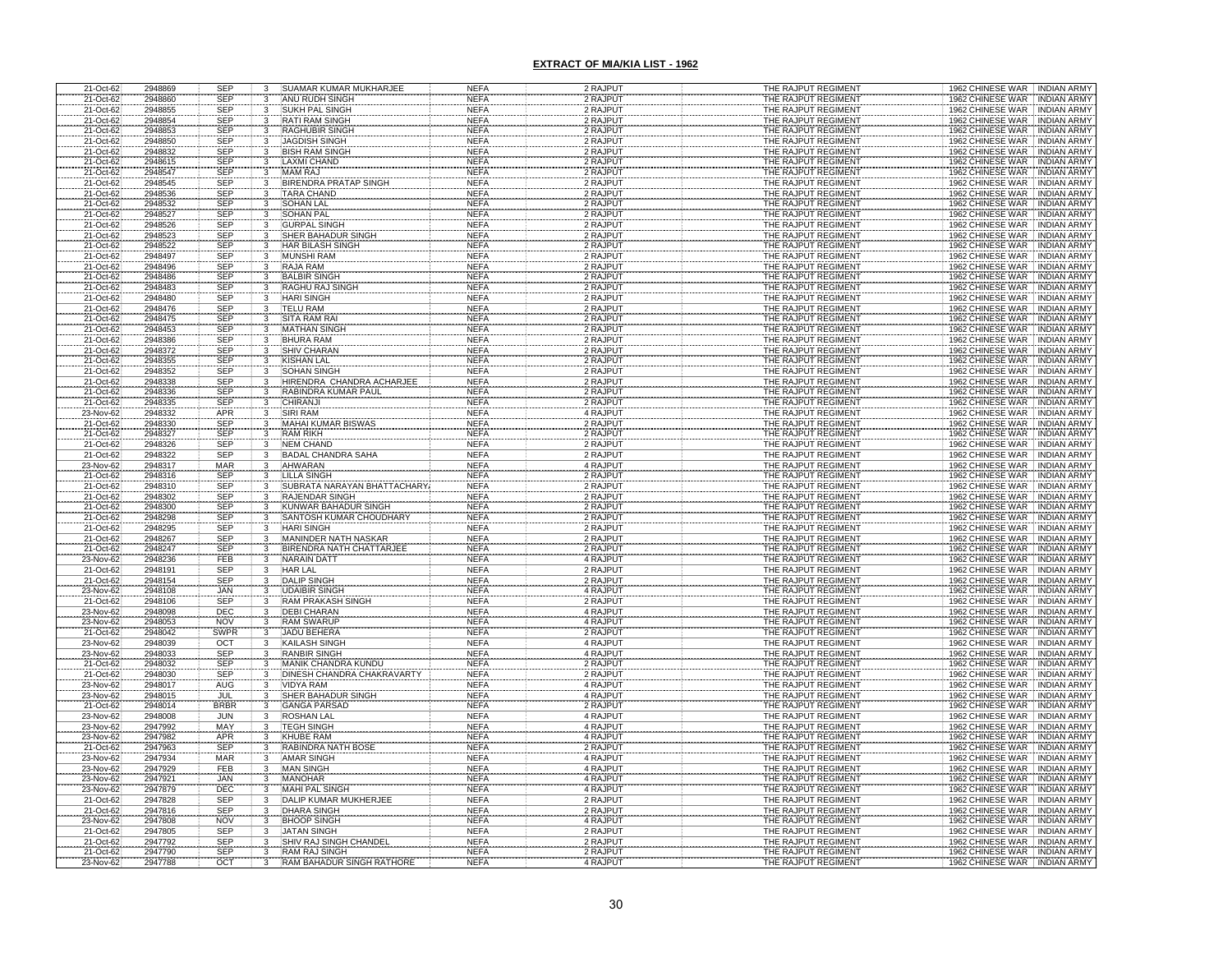| 21-Oct-62                           | 2948869            | <b>SEP</b>               | 3                                          | SUAMAR KUMAR MUKHARJEE                           | <b>NEFA</b>                | 2 RAJPUT             | THE RAJPUT REGIMENT                        | 1962 CHINESE WAR INDIAN ARMY                                                     |
|-------------------------------------|--------------------|--------------------------|--------------------------------------------|--------------------------------------------------|----------------------------|----------------------|--------------------------------------------|----------------------------------------------------------------------------------|
| 21-Oct-62                           | 2948860            | <b>SEP</b>               | 3                                          | ANU RUDH SINGH                                   | <b>NEFA</b>                | 2 RAJPUT             | THE RAJPUT REGIMENT                        | <b>INDIAN ARMY</b><br>1962 CHINESE WAR                                           |
| 21-Oct-62                           | 2948855            | <b>SEP</b>               | 3                                          | SUKH PAL SINGH                                   | <b>NEFA</b>                | 2 RAJPUT             | THE RAJPUT REGIMENT                        | <b>INDIAN ARMY</b><br>1962 CHINESE WAR                                           |
| 21-Oct-62                           | 2948854            | <b>SEP</b>               | 3                                          | <b>RATI RAM SINGH</b>                            | <b>NEFA</b>                | 2 RAJPUT             | THE RAJPUT REGIMENT                        | 1962 CHINESE WAR<br><b>INDIAN ARMY</b>                                           |
| 21-Oct-62                           | 2948853            | SEP                      | 3                                          | RAGHUBIR SINGH                                   | <b>NEFA</b>                | 2 RAJPUT             | THE RAJPUT REGIMENT                        | 1962 CHINESE WAR<br><b>INDIAN ARMY</b>                                           |
| 21-Oct-62                           | 2948850            | <b>SEP</b>               |                                            | <b>JAGDISH SINGH</b>                             | <b>NEFA</b>                | 2 RAJPUT             | THE RAJPUT REGIMENT                        | 1962 CHINESE WAR<br><b>INDIAN ARMY</b>                                           |
| 21-Oct-62                           | 2948832            | <b>SEP</b>               | 3                                          | <b>BISH RAM SINGH</b>                            | <b>NEFA</b>                | 2 RAJPUT             | THE RAJPUT REGIMENT                        | 1962 CHINESE WAR<br><b>INDIAN ARMY</b>                                           |
| 21-Oct-62                           | 2948615            | SEP                      | $\overline{\mathbf{3}}$                    | <b>LAXMI CHAND</b>                               | <b>NEFA</b>                | 2 RAJPUT             | THE RAJPUT REGIMENT                        | 1962 CHINESE WAR<br><b>INDIAN ARMY</b>                                           |
| 21-Oct-62<br>21-Oct-62              | 2948547<br>2948545 | SEP<br><b>SEP</b>        | 3                                          | <b>MAM RAJ</b><br><b>BIRENDRA PRATAP SINGH</b>   | <b>NEFA</b><br><b>NEFA</b> | 2 RAJPUT<br>2 RAJPUT | THE RAJPUT REGIMENT<br>THE RAJPUT REGIMENT | 1962 CHINESE WAR<br><b>INDIAN ARMY</b><br>1962 CHINESE WAR<br><b>INDIAN ARMY</b> |
| 21-Oct-62                           | 2948536            | <b>SEP</b>               | 3                                          | <b>TARA CHAND</b>                                | <b>NEFA</b>                | 2 RAJPUT             | THE RAJPUT REGIMENT                        | 1962 CHINESE WAR<br><b>INDIAN ARMY</b>                                           |
| 21-Oct-62                           | 2948532            | SEP                      |                                            | <b>SOHAN LAL</b>                                 | <b>NEFA</b>                | 2 RAJPUT             | THE RAJPUT REGIMENT                        | 1962 CHINESE WAR<br><b>INDIAN ARMY</b>                                           |
| 21-Oct-62                           | 2948527            | <b>SEP</b>               | $\frac{3}{3}$                              | <b>SOHAN PAL</b>                                 | <b>NEFA</b>                | 2 RAJPUT             | THE RAJPUT REGIMENT                        | 1962 CHINESE WAR<br><b>INDIAN ARMY</b>                                           |
| 21-Oct-62                           | 2948526            | SEP                      | 3                                          | <b>GURPAL SINGH</b>                              | <b>NEFA</b>                | 2 RAJPUT             | THE RAJPUT REGIMENT                        | 1962 CHINESE WAR INDIAN ARMY                                                     |
| 21-Oct-62                           | 2948523            | SEP                      | 3                                          | <b>SHER BAHADUR SINGH</b>                        | <b>NEFA</b>                | 2 RAJPUT             | THE RAJPUT REGIMENT                        | 1962 CHINESE WAR INDIAN ARMY                                                     |
| 21-Oct-62                           | 2948522            | <b>SEP</b>               |                                            | HAR BILASH SINGH                                 | <b>NEFA</b>                | 2 RAJPUT             | THE RAJPUT REGIMENT                        | 1962 CHINESE WAR<br><b>INDIAN ARMY</b>                                           |
| 21-Oct-62                           | 2948497            | SEP                      | 3                                          | <b>MUNSHI RAM</b>                                | <b>NEFA</b>                | 2 RAJPUT             | THE RAJPUT REGIMENT                        | 1962 CHINESE WAR INDIAN ARMY                                                     |
| 21-Oct-62                           | 2948496            | <b>SEP</b>               | $\overline{3}$                             | <b>RAJA RAM</b>                                  | <b>NEFA</b>                | 2 RAJPUT             | THE RAJPUT REGIMENT                        | 1962 CHINESE WAR<br><b>INDIAN ARMY</b>                                           |
| 21-Oct-62<br>21-Oct-62              | 2948486            | SEP<br>SEP               | $\frac{3}{3}$                              | <b>BALBIR SINGH</b>                              | <b>NEFA</b>                | 2 RAJPUT             | THE RAJPUT REGIMENT                        | 1962 CHINESE WAR<br><b>INDIAN ARMY</b>                                           |
|                                     | 2948483            |                          |                                            | RAGHU RAJ SINGH                                  | <b>NEFA</b>                | 2 RAJPUT             | THE RAJPUT REGIMENT                        | 1962 CHINESE WAR INDIAN ARMY                                                     |
| 21-Oct-62                           | 2948480            | <b>SEP</b>               | 3                                          | <b>HARI SINGH</b>                                | <b>NEFA</b>                | 2 RAJPUT             | THE RAJPUT REGIMENT                        | 1962 CHINESE WAR<br><b>INDIAN ARMY</b>                                           |
| 21-Oct-62                           | 2948476            | SEP                      | 3                                          | <b>TELU RAM</b>                                  | <b>NEFA</b>                | 2 RAJPUT             | THE RAJPUT REGIMENT                        | 1962 CHINESE WAR<br><b>INDIAN ARMY</b>                                           |
|                                     | 2948475<br>2948453 |                          | 3                                          | <b>SITA RAM RAI</b><br><b>MATHAN SINGH</b>       | <b>NEFA</b><br><b>NEFA</b> | 2 RAJPUT<br>2 RAJPUT | THE RAJPUT REGIMENT<br>THE RAJPUT REGIMENT | 1962 CHINESE WAR<br><b>INDIAN ARMY</b><br>1962 CHINESE WAR<br><b>INDIAN ARMY</b> |
| 21-Oct-62<br>21-Oct-62<br>21-Oct-62 | 2948386            | SEP<br>SEP<br>SEP        |                                            | <b>BHURA RAM</b>                                 | <b>NEFA</b>                | 2 RAJPUT             | THE RAJPUT REGIMENT                        | 1962 CHINESE WAR<br><b>INDIAN ARMY</b>                                           |
| 21-Oct-62                           | 2948372            | SEP                      | $\overline{3}$                             | <b>SHIV CHARAN</b>                               | <b>NEFA</b>                | 2 RAJPUT             | THE RAJPUT REGIMENT                        | 1962 CHINESE WAR<br><b>INDIAN ARMY</b>                                           |
| 21-Oct-62                           | 2948355            | SEP                      | $\overline{\mathbf{3}}$                    | <b>KISHAN LAL</b>                                | <b>NEFA</b>                | 2 RAJPUT             | THE RAJPUT REGIMENT                        | 1962 CHINESE WAR<br><b>INDIAN ARMY</b>                                           |
| 21-Oct-62                           | 2948352            | SEP                      | $\overline{3}$                             | <b>SOHAN SINGH</b>                               | <b>NEFA</b>                | 2 RAJPUT             | THE RAJPUT REGIMENT                        | 1962 CHINESE WAR<br><b>INDIAN ARMY</b>                                           |
| 21-Oct-62                           | 2948338            | SEP                      | $\overline{\mathbf{3}}$                    | HIRENDRA CHANDRA ACHARJEE                        | <b>NEFA</b>                | 2 RAJPUT             | THE RAJPUT REGIMENT                        | 1962 CHINESE WAR<br><b>INDIAN ARMY</b>                                           |
| 21-Oct-62                           | 2948336            | SEP                      |                                            | RABINDRA KUMAR PAUL                              | <b>NEFA</b>                | 2 RAJPUT             | THE RAJPUT REGIMENT                        | 1962 CHINESE WAR<br><b>INDIAN ARMY</b>                                           |
| 21-Oct-62                           | 2948335            | SEP                      | $\frac{3}{3}$                              | <b>CHIRANJI</b>                                  | <b>NEFA</b>                | 2 RAJPUT             | THE RAJPUT REGIMENT                        | 1962 CHINESE WAR<br><b>INDIAN ARMY</b>                                           |
| 23-Nov-62                           | 2948332            | APR                      |                                            | <b>SIRI RAM</b>                                  | <b>NEFA</b>                | 4 RAJPUT             | THE RAJPUT REGIMENT                        | 1962 CHINESE WAR<br><b>INDIAN ARMY</b>                                           |
| 21-Oct-62<br>21-Oct-62              | 2948330            | SEP<br>SEP               | $\begin{array}{c} 3 \\ 3 \\ 3 \end{array}$ | <b>MAHAI KUMAR BISWAS</b>                        | <b>NEFA</b>                | 2 RAJPUT             | THE RAJPUT REGIMENT                        | 1962 CHINESE WAR<br><b>INDIAN ARMY</b>                                           |
|                                     | 2948327            | SEP                      |                                            | <b>RAM RIKH</b>                                  | <b>NEFA</b>                | 2 RAJPUT             | THE RAJPUT REGIMENT                        | 1962 CHINESE WAR<br><b>INDIAN ARMY</b>                                           |
| 21-Oct-62                           | 2948326            |                          |                                            | <b>NEM CHAND</b>                                 | <b>NEFA</b>                | 2 RAJPUT             | THE RAJPUT REGIMENT                        | 1962 CHINESE WAR<br><b>INDIAN ARMY</b>                                           |
| 21-Oct-62                           | 2948322<br>2948317 | SEP<br>MAR               | $\overline{3}$                             | <b>BADAL CHANDRA SAHA</b><br><b>AHWARAN</b>      | <b>NEFA</b><br><b>NEFA</b> | 2 RAJPUT<br>4 RAJPUT | THE RAJPUT REGIMENT<br>THE RAJPUT REGIMENT | 1962 CHINESE WAR INDIAN ARMY<br>1962 CHINESE WAR<br><b>INDIAN ARMY</b>           |
| 23-Nov-62<br>21-Oct-62              | 2948316            | SEP                      | $\frac{3}{3}$                              | <b>LILLA SINGH</b>                               | <b>NEFA</b>                | 2 RAJPUT             | THE RAJPUT REGIMENT                        | 1962 CHINESE WAR<br><b>INDIAN ARMY</b>                                           |
| 21-Oct-62                           | 2948310            | <b>SEP</b>               | 3                                          | SUBRATA NARAYAN BHATTACHARY                      | <b>NEFA</b>                | 2 RAJPUT             | THE RAJPUT REGIMENT                        | 1962 CHINESE WAR<br><b>INDIAN ARMY</b>                                           |
| 21-Oct-62                           | 2948302            | <b>SEP</b>               | $\overline{3}$                             | <b>RAJENDAR SINGH</b>                            | <b>NEFA</b>                | 2 RAJPUT             | THE RAJPUT REGIMENT                        | 1962 CHINESE WAR<br><b>INDIAN ARMY</b>                                           |
| 21-Oct-62                           | 2948300            | <b>SEP</b>               | 3                                          | <b>KUNWAR BAHADUR SINGH</b>                      | <b>NEFA</b>                | 2 RAJPUT             | THE RAJPUT REGIMENT                        | 1962 CHINESE WAR<br><b>INDIAN ARMY</b>                                           |
| 21-Oct-62                           | 2948298            | <b>SEP</b>               | 3                                          | SANTOSH KUMAR CHOUDHARY                          | <b>NEFA</b>                | 2 RAJPUT             | THE RAJPUT REGIMENT                        | 1962 CHINESE WAR<br><b>INDIAN ARMY</b>                                           |
| 21-Oct-62                           | 2948295            | <b>SEP</b>               | $\overline{\mathbf{3}}$                    | <b>HARI SINGH</b>                                | <b>NEFA</b>                | 2 RAJPUT             | THE RAJPUT REGIMENT                        | 1962 CHINESE WAR<br><b>INDIAN ARMY</b>                                           |
| 21-Oct-62<br>21-Oct-62              | 2948267            | SEP<br>SEP               | $\frac{3}{3}$                              | MANINDER NATH NASKAR<br>BIRENDRA NATH CHATTARJEE | <b>NEFA</b>                | 2 RAJPUT             | THE RAJPUT REGIMENT                        | 1962 CHINESE WAR<br><b>INDIAN ARMY</b>                                           |
|                                     | 2948247            |                          |                                            |                                                  | <b>NEFA</b>                | 2 RAJPUT             | THE RAJPUT REGIMENT                        | 1962 CHINESE WAR INDIAN ARMY                                                     |
| 23-Nov-62                           | 2948236            | FEB                      | 3                                          | NARAIN DATT                                      | <b>NEFA</b>                | 4 RAJPUT             | THE RAJPUT REGIMENT                        | 1962 CHINESE WAR INDIAN ARMY                                                     |
| 21-Oct-62                           | 2948191            | <b>SEP</b>               | $_{3}$                                     | <b>HAR LAL</b>                                   | <b>NEFA</b>                | 2 RAJPUT             | THE RAJPUT REGIMENT                        | 1962 CHINESE WAR<br><b>INDIAN ARMY</b>                                           |
| 21-Oct-62<br>23-Nov-62              | 2948154<br>2948108 | SEP                      | $\overline{\mathbf{3}}$                    | DALIP SINGH<br>UDAIBIR SINGH                     | <b>NEFA</b><br><b>NEFA</b> | 2 RAJPUT<br>4 RAJPUT | THE RAJPUT REGIMENT<br>THE RAJPUT REGIMENT | 1962 CHINESE WAR<br><b>INDIAN ARMY</b><br><b>INDIAN ARMY</b>                     |
| 21-Oct-62                           | 2948106            | <b>JAN<br/>SEP</b>       |                                            | <b>RAM PRAKASH SI</b>                            | <b>NEFA</b>                | 2 RAJPUT             | THE RAJPUT REGIMENT                        | 1962 CHINESE WAR<br>1962 CHINESE WAR<br><b>INDIAN ARMY</b>                       |
| 23-Nov-62                           | 2948098            | DEC                      | 3                                          | <b>DEBI CHARAN</b>                               | <b>NEFA</b>                | 4 RAJPUT             | THE RAJPUT REGIMENT                        | 1962 CHINESE WAR<br><b>INDIAN ARMY</b>                                           |
| 23-Nov-62                           | 2948053            | <b>NOV</b>               | $\overline{3}$                             | <b>RAM SWARUP</b>                                | <b>NEFA</b>                | 4 RAJPUT             | THE RAJPUT REGIMENT                        | 1962 CHINESE WAR INDIAN ARMY                                                     |
| 21-Oct-62                           | 2948042            | SWPR                     | $\overline{\mathbf{3}}$                    | <b>JADU BEHERA</b>                               | <b>NEFA</b>                | 2 RAJPUT             | THE RAJPUT REGIMENT                        | 1962 CHINESE WAR   INDIAN ARMY                                                   |
| 23-Nov-62                           | 2948039            | OCT                      | $\overline{\mathbf{3}}$                    | <b>KAILASH SINGH</b>                             | <b>NEFA</b>                | 4 RAJPUT             | THE RAJPUT REGIMENT                        | 1962 CHINESE WAR INDIAN ARMY                                                     |
| 23-Nov-62                           | 2948033            | SEP                      |                                            | <b>RANBIR SINGH</b>                              | <b>NEFA</b>                | 4 RAJPUT             | THE RAJPUT REGIMENT                        | 1962 CHINESE WAR<br><b>INDIAN ARMY</b>                                           |
| 21-Oct-62                           | 2948032            | <b>SEP</b>               | $\frac{9}{3}$                              | MANIK CHANDRA KUNDU                              | <b>NEFA</b>                | 2 RAJPUT             | THE RAJPUT REGIMENT                        | 1962 CHINESE WAR<br><b>INDIAN ARMY</b>                                           |
| 21-Oct-62                           | 2948030            | <b>SEP</b>               |                                            | DINESH CHANDRA CHAKRAVARTY                       | <b>NEFA</b>                | 2 RAJPUT             | THE RAJPUT REGIMENT                        | 1962 CHINESE WAR<br>INDIAN ARMY                                                  |
| 23-Nov-62                           | 2948017<br>2948015 | AUG<br>JUL               | $\mathbf{3}$                               | <b>VIDYA RAM</b>                                 | <b>NEFA</b>                | 4 RAJPUT             | THE RAJPUT REGIMENT<br>THE RAJPUT REGIMENT | 1962 CHINESE WAR<br><b>INDIAN ARMY</b><br>1962 CHINESE WAR INDIAN ARMY           |
| 23-Nov-62<br>21-Oct-62              | 2948014            | <b>BRBR</b>              | $\frac{3}{3}$                              | <b>SHER BAHADUR SINGI</b><br><b>GANGA PARSAD</b> | <b>NEFA</b><br><b>NEFA</b> | 4 RAJPUT<br>2 RAJPUT | THE RAJPUT REGIMENT                        | 1962 CHINESE WAR INDIAN ARMY                                                     |
| 23-Nov-62                           | 2948008            | JUN                      | $\overline{3}$                             | <b>ROSHAN LAL</b>                                | <b>NEFA</b>                | 4 RAJPUT             | THE RAJPUT REGIMENT                        | 1962 CHINESE WAR : INDIAN ARMY                                                   |
|                                     | 2947992            | <b>MAY</b>               |                                            | <b>TEGH SINGH</b>                                | <b>NEFA</b>                | 4 RAJPUT             | THE RAJPUT REGIMENT                        | 1962 CHINESE WAR INDIAN ARMY                                                     |
| 23-Nov-62<br>23-Nov-62              | 2947982            | APR                      | $\frac{3}{3}$                              | <b>KHUBE RAM</b>                                 | <b>NEFA</b>                | 4 RAJPUT             | THE RAJPUT REGIMENT                        | 1962 CHINESE WAR<br><b>INDIAN ARMY</b>                                           |
| 21-Oct-62                           | 2947963            | SEP                      | 3                                          | RABINDRA NATH BOSE                               | <b>NEFA</b>                | 2 RAJPUT             | THE RAJPUT REGIMENT                        | 1962 CHINESE WAR<br><b>INDIAN ARMY</b>                                           |
| 23-Nov-62                           | 2947934            | <b>MAR</b>               | $\overline{3}$                             | <b>AMAR SINGH</b>                                | <b>NEFA</b>                | 4 RAJPUT             | THE RAJPUT REGIMENT                        | 1962 CHINESE WAR<br><b>INDIAN ARMY</b>                                           |
| 23-Nov-62                           | 2947929            | FEB                      | $\overline{3}$                             | <b>MAN SINGH</b>                                 | <b>NEFA</b>                | 4 RAJPUT             | THE RAJPUT REGIMENT                        | 1962 CHINESE WAR<br>INDIAN ARMY                                                  |
| 23-Nov-62                           | 2947921            | JAN                      | $\overline{3}$                             | <b>MANOHAR</b>                                   | <b>NEFA</b>                | 4 RAJPUT             | THE RAJPUT REGIMENT                        | 1962 CHINESE WAR<br><b>INDIAN ARMY</b>                                           |
| 23-Nov-62                           | 2947879            | DEC                      | $\overline{3}$                             | <b>MAHI PAL SINGH</b>                            | <b>NEFA</b>                | 4 RAJPUT             | THE RAJPUT REGIMENT                        | 1962 CHINESE WAR<br>INDIAN ARMY                                                  |
| 21-Oct-62                           | 2947828            | <b>SEP</b>               | $\frac{3}{3}$                              | DALIP KUMAR MUKHERJEE                            | <b>NEFA</b>                | 2 RAJPUT             | THE RAJPUT REGIMENT                        | 1962 CHINESE WAR INDIAN ARMY                                                     |
| 21-Oct-62                           | 2947816            | <b>SEP</b><br><b>NOV</b> | 3                                          | <b>DHARA SINGH</b><br><b>BHOOP SINGH</b>         | <b>NEFA</b>                | 2 RAJPUT<br>4 RAJPUT | THE RAJPUT REGIMENT                        | 1962 CHINESE WAR<br><b>INDIAN ARMY</b>                                           |
| 23-Nov-62<br>21-Oct-62              | 2947808<br>2947805 | SEP                      | $\overline{\mathbf{3}}$                    | JATAN SINGH                                      | <b>NEFA</b><br><b>NEFA</b> | 2 RAJPUT             | THE RAJPUT REGIMENT<br>THE RAJPUT REGIMENT | 1962 CHINESE WAR INDIAN ARMY<br>1962 CHINESE WAR INDIAN ARMY                     |
| 21-Oct-62                           | 2947792            | <b>SEP</b>               | 3                                          | SHIV RAJ SINGH CHANDEL                           | <b>NEFA</b>                | 2 RAJPUT             | THE RAJPUT REGIMENT                        | 1962 CHINESE WAR INDIAN ARMY                                                     |
| 21-Oct-62                           | 2947790            | <b>SEP</b>               |                                            | <b>RAM RAJ SINGH</b>                             | NEF/                       | 2 RAJPUT             | THE RAJPUT REGIMENT                        | 1962 CHINESE WAR INDIAN ARMY                                                     |
| 23-Nov-62                           | 2947788            | OCT                      |                                            | RAM BAHADUR SINGH RATHORE                        | <b>NEFA</b>                | 4 RAJPUT             | THE RAJPUT REGIMENT                        | 1962 CHINESE WAR<br><b>INDIAN ARMY</b>                                           |
|                                     |                    |                          |                                            |                                                  |                            |                      |                                            |                                                                                  |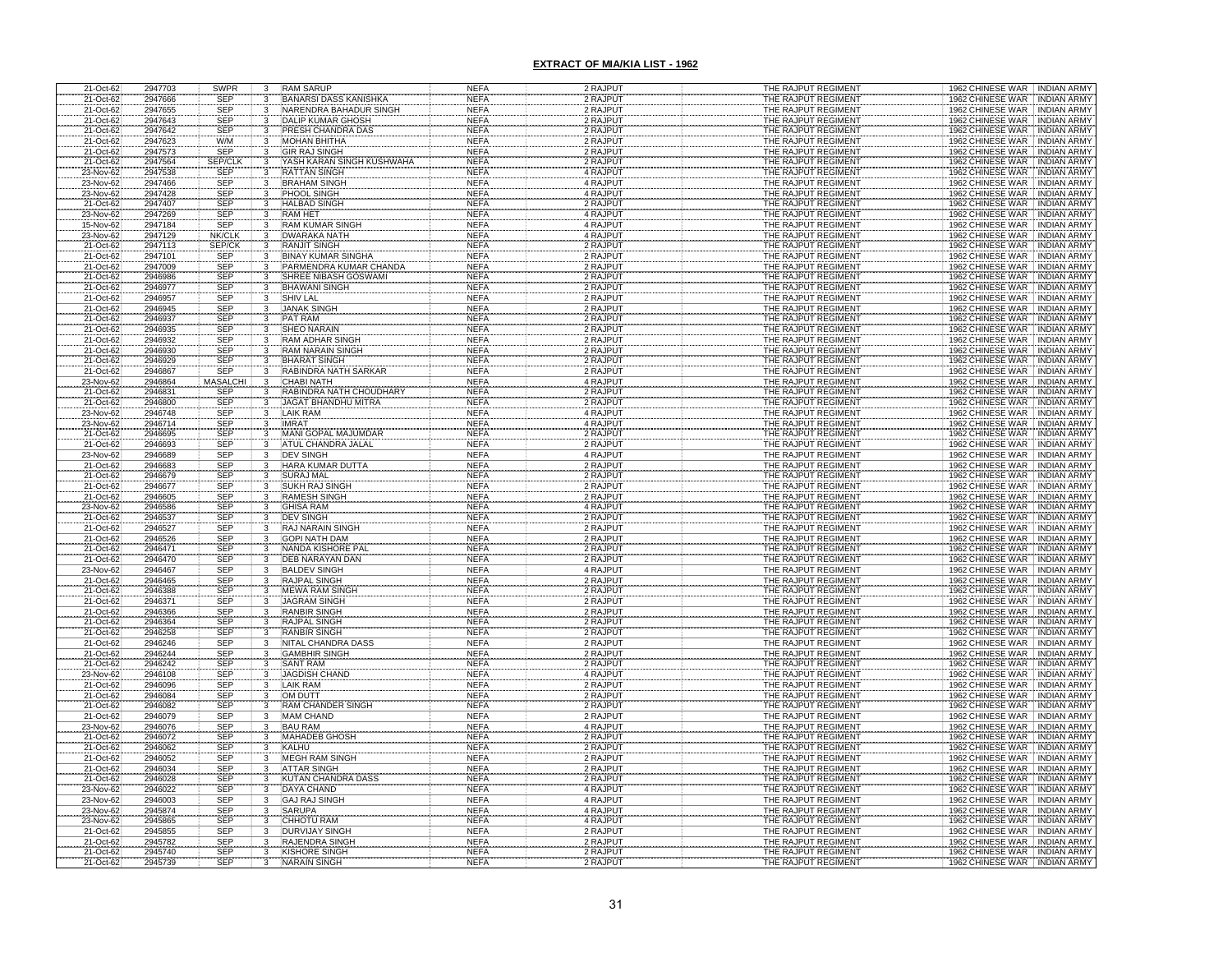| 21-Oct-62                           | 2947703            | SWPR                     | 3                            | <b>RAM SARUP</b>                      | <b>NEFA</b>                | 2 RAJPUT             | THE RAJPUT REGIMENT                        | 1962 CHINESE WAR INDIAN ARMY                                 |
|-------------------------------------|--------------------|--------------------------|------------------------------|---------------------------------------|----------------------------|----------------------|--------------------------------------------|--------------------------------------------------------------|
| 21-Oct-62                           | 2947666            | <b>SEP</b>               | 3                            | <b>BANARSI DASS KANISHKA</b>          | <b>NEFA</b>                | 2 RAJPUT             | THE RAJPUT REGIMENT                        | <b>INDIAN ARMY</b><br>1962 CHINESE WAR                       |
| 21-Oct-62                           | 2947655            | <b>SEP</b>               | 3                            | NARENDRA BAHADUR SINGH                | <b>NEFA</b>                | 2 RAJPUT             | THE RAJPUT REGIMENT                        | <b>INDIAN ARMY</b><br>1962 CHINESE WAR                       |
| 21-Oct-62                           | 2947643            | <b>SEP</b>               | 3                            | DALIP KUMAR GHOSH                     | <b>NEFA</b>                | 2 RAJPUT             | THE RAJPUT REGIMENT                        | 1962 CHINESE WAR<br><b>INDIAN ARMY</b>                       |
| 21-Oct-62                           | 2947642            | SEP                      | 3                            | PRESH CHANDRA DAS                     | <b>NEFA</b>                | 2 RAJPUT             | THE RAJPUT REGIMENT                        | 1962 CHINESE WAR<br><b>INDIAN ARMY</b>                       |
| 21-Oct-62                           | 2947623            | W/M                      |                              | <b>MOHAN BHITHA</b>                   | <b>NEFA</b>                | 2 RAJPUT             | THE RAJPUT REGIMENT                        | 1962 CHINESE WAR<br><b>INDIAN ARMY</b>                       |
| 21-Oct-62                           | 2947573            | <b>SEP</b>               | 3                            | <b>GIR RAJ SINGH</b>                  | <b>NEFA</b>                | 2 RAJPUT             | THE RAJPUT REGIMENT                        | 1962 CHINESE WAR<br>INDIAN ARMY                              |
| 21-Oct-62                           | 2947564            | SEP/CLI                  | $\mathbf{3}$                 | YASH KARAN SINGH KUSHWAHA             | <b>NEFA</b>                | 2 RAJPUT             | THE RAJPUT REGIMENT                        | <b>INDIAN ARMY</b><br>1962 CHINESE WAR                       |
| 23-Nov-62                           | 2947538            | <b>SEP</b>               | $\mathbf{3}$                 | <b>RATTAN SINGH</b>                   | <b>NEFA</b>                | 4 RAJPUT             | THE RAJPUT REGIMENT                        | 1962 CHINESE WAR<br><b>INDIAN ARMY</b>                       |
| 23-Nov-62                           | 2947466            | <b>SEP</b>               | 3                            | <b>BRAHAM SINGH</b>                   | <b>NEFA</b>                | 4 RAJPUT             | THE RAJPUT REGIMENT                        | 1962 CHINESE WAR<br><b>INDIAN ARMY</b>                       |
| 23-Nov-62                           | 2947428            | <b>SEP</b>               | 3                            | PHOOL SINGH                           | <b>NEFA</b>                | 4 RAJPUT             | THE RAJPUT REGIMENT                        | <b>INDIAN ARMY</b><br>1962 CHINESE WAR                       |
| 21-Oct-62                           | 2947407            | <b>SEP</b>               | $\mathbf{3}$                 | <b>HALBAD SINGH</b>                   | <b>NEFA</b>                | 2 RAJPUT             | THE RAJPUT REGIMENT                        | 1962 CHINESE WAR<br><b>INDIAN ARMY</b>                       |
| 23-Nov-62                           | 2947269            | <b>SEP</b>               | 3                            | <b>RAM HET</b>                        | <b>NEFA</b>                | 4 RAJPUT             | THE RAJPUT REGIMENT                        | 1962 CHINESE WAR<br><b>INDIAN ARMY</b>                       |
| 15-Nov-62                           | 2947184            | SEP                      | 3                            | <b>RAM KUMAR SINGH</b>                | <b>NEFA</b>                | 4 RAJPUT             | THE RAJPUT REGIMENT                        | 1962 CHINESE WAR NDIAN ARMY                                  |
| 23-Nov-62                           | 2947129            | NK/CLK                   | $\overline{\mathbf{3}}$      | <b>DWARAKA NATH</b>                   | <b>NEFA</b>                | 4 RAJPUT             | THE RAJPUT REGIMENT                        | 1962 CHINESE WAR INDIAN ARMY                                 |
| 21-Oct-62                           | 2947113            | SEP/CK                   | 3                            | <b>RANJIT SINGH</b>                   | <b>NEFA</b>                | 2 RAJPUT             | THE RAJPUT REGIMENT                        | 1962 CHINESE WAR<br><b>INDIAN ARMY</b>                       |
| 21-Oct-62                           | 2947101            | SEP                      |                              | <b>BINAY KUMAR SINGHA</b>             | <b>NEFA</b>                | 2 RAJPUT             | THE RAJPUT REGIMENT                        | 1962 CHINESE WAR  INDIAN ARMY                                |
| 21-Oct-62                           | 2947009            | SEP                      | $\overline{3}$               | PARMENDRA KUMAR CHANDA                | <b>NEFA</b>                | 2 RAJPUT             | THE RAJPUT REGIMENT                        | 1962 CHINESE WAR<br><b>INDIAN ARMY</b>                       |
|                                     | 2946986            |                          |                              | SHREE NIBASH GOSWAMI                  | <b>NEFA</b>                | 2 RAJPUT             | THE RAJPUT REGIMENT                        | 1962 CHINESE WAR<br><b>INDIAN ARMY</b>                       |
| 21-Oct-62<br>21-Oct-62              | 2946977            | SEP<br>SEP               |                              | <b>BHAWANI SINGH</b>                  | <b>NEFA</b>                | 2 RAJPUT             | THE RAJPUT REGIMENT                        | 1962 CHINESE WAR<br><b>INDIAN ARMY</b>                       |
| 21-Oct-62                           | 2946957            | <b>SEP</b>               | 3                            | <b>SHIV LAL</b>                       | <b>NEFA</b>                | 2 RAJPUT             | THE RAJPUT REGIMENT                        | 1962 CHINESE WAR<br><b>INDIAN ARMY</b>                       |
| 21-Oct-62                           | 2946945            | <b>SEP</b>               | 3                            | <b>JANAK SINGH</b>                    | <b>NEFA</b>                | 2 RAJPUT             | THE RAJPUT REGIMENT                        | 1962 CHINESE WAR<br><b>INDIAN ARMY</b>                       |
|                                     | 2946937            |                          |                              | <b>PAT RAM</b>                        | <b>NEFA</b>                | 2 RAJPUT             | THE RAJPUT REGIMENT                        | 1962 CHINESE WAR<br><b>INDIAN ARMY</b>                       |
| 21-Oct-62<br>21-Oct-62<br>21-Oct-62 | 2946935            | SEP<br>SEP               |                              | <b>SHEO NARAIN</b>                    | <b>NEFA</b>                | 2 RAJPUT             | THE RAJPUT REGIMENT                        | 1962 CHINESE WAR<br><b>INDIAN ARMY</b>                       |
|                                     | 2946932            | <b>SEP</b>               |                              | RAM ADHAR SINGH                       | <b>NEFA</b>                | 2 RAJPUT             | THE RAJPUT REGIMENT                        | 1962 CHINESE WAR<br><b>INDIAN ARMY</b>                       |
| 21-Oct-62                           | 2946930            | <b>SEP</b>               | 3                            | RAM NARAIN SINGH                      | <b>NEFA</b>                | 2 RAJPUT             | THE RAJPUT REGIMENT                        | 1962 CHINESE WAR<br><b>INDIAN ARMY</b>                       |
| 21-Oct-62                           | 2946929            | SEP                      | $\overline{\mathbf{3}}$      | <b>BHARAT SINGH</b>                   | <b>NEFA</b>                | 2 RAJPUT             | THE RAJPUT REGIMENT                        | 1962 CHINESE WAR<br><b>INDIAN ARMY</b>                       |
| 21-Oct-62                           | 2946867            | SEP                      | $\overline{\mathbf{3}}$      | RABINDRA NATH SARKAR                  | <b>NEFA</b>                | 2 RAJPUT             | THE RAJPUT REGIMENT                        | 1962 CHINESE WAR<br><b>INDIAN ARMY</b>                       |
| 23-Nov-62                           | 2946864            | <b>MASALCHI</b>          | $\overline{\mathbf{3}}$      | <b>CHABI NATH</b>                     | <b>NEFA</b>                | 4 RAJPUT             | THE RAJPUT REGIMENT                        | 1962 CHINESE WAR<br><b>INDIAN ARMY</b>                       |
| 21-Oct-62                           | 2946831            | <b>SEP</b>               | 3                            | RABINDRA NATH CHOUDHAR'               | <b>NEFA</b>                | 2 RAJPUT             | THE RAJPUT REGIMENT                        | 1962 CHINESE WAR<br><b>INDIAN ARMY</b>                       |
| 21-Oct-62                           | 2946800            | SEP                      |                              | <b>JAGAT BHANDHU MITRA</b>            | <b>NEFA</b>                | 2 RAJPUT             | THE RAJPUT REGIMENT                        | 1962 CHINESE WAR<br><b>INDIAN ARMY</b>                       |
| 23-Nov-62                           | 2946748            | <b>SEP</b>               | $\frac{3}{3}$                | <b>LAIK RAM</b>                       | <b>NEFA</b>                | 4 RAJPUT             | THE RAJPUT REGIMENT                        | 1962 CHINESE WAR<br><b>INDIAN ARMY</b>                       |
| 23-Nov-62                           | 2946714            | SEP                      | $\mathbf{3}$                 | <b>IMRAT</b>                          | <b>NEFA</b>                | 4 RAJPUT             | THE RAJPUT REGIMENT                        | 1962 CHINESE WAR<br><b>INDIAN ARMY</b>                       |
| 21-Oct-62                           | 2946695            | <b>SEP</b>               |                              | <b>MANI GOPAL MAJUMDAR</b>            | <b>NEFA</b>                | 2 RAJPUT             | THE RAJPUT REGIMENT                        | 1962 CHINESE WAR<br><b>INDIAN ARMY</b>                       |
| 21-Oct-62                           | 2946693            | <b>SEP</b>               | $\frac{3}{3}$                | ATUL CHANDRA JALAL                    | <b>NEFA</b>                | 2 RAJPUT             | THE RAJPUT REGIMENT                        | 1962 CHINESE WAR<br><b>INDIAN ARMY</b>                       |
| 23-Nov-62                           | 2946689            | <b>SEP</b>               | $\overline{3}$               | <b>DEV SINGH</b>                      | <b>NEFA</b>                | 4 RAJPUT             | THE RAJPUT REGIMENT                        | 1962 CHINESE WAR INDIAN ARMY                                 |
| 21-Oct-62                           | 2946683            | <b>SEP</b>               |                              | HARA KUMAR DUTTA                      | <b>NEFA</b>                | 2 RAJPUT             | THE RAJPUT REGIMENT                        | 1962 CHINESE WAR<br><b>INDIAN ARMY</b>                       |
| 21-Oct-62                           | 2946679            | <b>SEP</b>               | $\frac{3}{3}$                | <b>SURAJ MAL</b>                      | <b>NEFA</b>                | 2 RAJPUT             | THE RAJPUT REGIMENT                        | 1962 CHINESE WAR TINDIAN ARMY                                |
| 21-Oct-62                           | 2946677            | SEP                      | 3                            | <b>SUKH RAJ SINGH</b>                 | <b>NEFA</b>                | 2 RAJPUT             | THE RAJPUT REGIMENT                        | 1962 CHINESE WAR<br><b>INDIAN ARMY</b>                       |
| 21-Oct-62                           | 2946605            | SEP                      | 3                            | <b>RAMESH SINGH</b>                   | <b>NEFA</b>                | 2 RAJPUT             | THE RAJPUT REGIMENT                        | 1962 CHINESE WAR<br><b>INDIAN ARMY</b>                       |
| 23-Nov-62                           | 2946586            | <b>SEP</b>               | $\mathbf 3$                  | <b>GHISA RAM</b>                      | <b>NEFA</b>                | 4 RAJPUT             | THE RAJPUT REGIMENT                        | 1962 CHINESE WAR INDIAN ARMY                                 |
| 21-Oct-62                           | 2946537            | SEP                      | 3                            | <b>DEV SINGH</b>                      | <b>NEFA</b>                | 2 RAJPUT             | THE RAJPUT REGIMENT                        | 1962 CHINESE WAR INDIAN ARMY                                 |
| 21-Oct-62                           | 2946527            | <b>SEP</b>               | $\overline{3}$               | RAJ NARAIN SINGH                      | <b>NEFA</b>                | 2 RAJPUT             | THE RAJPUT REGIMENT                        | 1962 CHINESE WAR<br><b>INDIAN ARMY</b>                       |
|                                     | 2946526            |                          |                              | GOPI NATH DAM                         | <b>NEFA</b>                | 2 RAJPUT             | THE RAJPUT REGIMENT                        | <b>INDIAN ARMY</b>                                           |
| 21-Oct-62<br>21-Oct-62              | 2946471            | SEP<br>SEP               | $\frac{3}{3}$                | NANDA KISHORE PAL                     | <b>NEFA</b>                | 2 RAJPUT             | THE RAJPUT REGIMENT                        | 1962 CHINESE WAR<br>1962 CHINESE WAR INDIAN ARMY             |
| 21-Oct-62                           | 2946470            | <b>SEP</b>               |                              | DEB NARAYAN DAN                       | <b>NEFA</b>                | 2 RAJPUT             | THE RAJPUT REGIMENT                        | 1962 CHINESE WAR INDIAN ARMY                                 |
| 23-Nov-62                           | 2946467            | <b>SEP</b>               | $\overline{\mathbf{3}}$<br>3 | <b>BALDEV SINGH</b>                   | <b>NEFA</b>                | 4 RAJPUT             | THE RAJPUT REGIMENT                        | <b>INDIAN ARMY</b>                                           |
|                                     | 2946465            |                          |                              | <b>RAJPAL SINGH</b>                   | <b>NEFA</b>                |                      |                                            | 1962 CHINESE WAR<br>1962 CHINESE WAR<br><b>INDIAN ARMY</b>   |
| 21-Oct-62                           | 2946388            | SEP<br>SEP<br>SEP        | $\mathbf{3}$<br>3            | <b>MEWA RAM SINGH</b>                 | <b>NEFA</b>                | 2 RAJPUT<br>2 RAJPUT | THE RAJPUT REGIMENT<br>THE RAJPUT REGIMENT | 1962 CHINESE WAR<br>INDIAN ARM'                              |
| 21-Oct-62<br>21-Oct-62              | 2946371            |                          |                              | <b>JAGRAM SINGH</b>                   | <b>NEFA</b>                | 2 RAJPUT             | THE RAJPUT REGIMENT                        | 1962 CHINESE WAR<br><b>INDIAN ARMY</b>                       |
| 21-Oct-62                           | 2946366            | SEF                      |                              | <b>RANBIR SINGH</b>                   | <b>NEFA</b>                | 2 RAJPUT             | THE RAJPUT REGIMENT                        | 1962 CHINESE WAR<br><b>INDIAN ARMY</b>                       |
| 21-Oct-62                           | 2946364            | <b>SEP</b>               |                              | <b>RAJPAL SINGH</b>                   | <b>NEFA</b>                | 2 RAJPUT             | THE RAJPUT REGIMENT                        | 1962 CHINESE WAR INDIAN ARMY                                 |
| 21-Oct-62                           | 2946258            | <b>SEP</b>               |                              | <b>RANBIR SINGH</b>                   | <b>NEFA</b>                | 2 RAJPUT             | THE RAJPUT REGIMENT                        | 1962 CHINESE WAR INDIAN ARMY                                 |
| 21-Oct-62                           | 2946246            | <b>SEP</b>               |                              | NITAL CHANDRA DASS                    | <b>NEFA</b>                | 2 RAJPUT             | THE RAJPUT REGIMENT                        | 1962 CHINESE WAR INDIAN ARMY                                 |
| 21-Oct-62                           | 2946244            |                          |                              | <b>GAMBHIR SINGH</b>                  | <b>NEFA</b>                | 2 RAJPUT             | THE RAJPUT REGIMENT                        | 1962 CHINESE WAR<br><b>INDIAN ARMY</b>                       |
| 21-Oct-62                           | 2946242            | SEP<br>SEP               |                              | <b>SANT RAM</b>                       | <b>NEFA</b>                | 2 RAJPUT             | THE RAJPUT REGIMENT                        | 1962 CHINESE WAR<br><b>INDIAN ARMY</b>                       |
| 23-Nov-62                           | 2946108            | <b>SEP</b>               |                              | <b>JAGDISH CHAND</b>                  | <b>NEFA</b>                | 4 RAJPUT             | THE RAJPUT REGIMENT                        | 1962 CHINESE WAR INDIAN ARMY                                 |
|                                     | 2946096            |                          |                              | <b>LAIK RAM</b>                       | <b>NEFA</b>                | 2 RAJPUT             | THE RAJPUT REGIMENT                        | 1962 CHINESE WAR<br><b>INDIAN ARMY</b>                       |
| 21-Oct-62<br>21-Oct-62<br>21-Oct-62 | 2946084            | SEP<br>SEP<br>SEP        |                              | OM DUTT                               | <b>NEFA</b>                | 2 RAJPUT             | THE RAJPUT REGIMENT                        | 1962 CHINESE WAR<br><b>INDIAN ARMY</b>                       |
|                                     | 2946082            |                          |                              | <b>RAM CHANDER SINGH</b>              | <b>NEFA</b>                | 2 RAJPUT             | THE RAJPUT REGIMENT                        | 1962 CHINESE WAR<br><b>INDIAN ARMY</b>                       |
| 21-Oct-62                           | 2946079            | <b>SEP</b>               | 3                            | <b>MAM CHAND</b>                      | <b>NEFA</b>                | 2 RAJPUT             | THE RAJPUT REGIMENT                        | 1962 CHINESE WAR INDIAN ARMY                                 |
|                                     | 2946076            |                          |                              | <b>BAU RAM</b>                        | <b>NEFA</b>                | 4 RAJPUT             | THE RAJPUT REGIMENT                        | 1962 CHINESE WAR INDIAN ARMY                                 |
| 23-Nov-62<br>21-Oct-62              | 2946072            | SEP<br>SEP               |                              | <b>MAHADEB GHOSH</b>                  | <b>NEFA</b>                | 2 RAJPUT             | THE RAJPUT REGIMENT                        | 1962 CHINESE WAR<br><b>INDIAN ARMY</b>                       |
| 21-Oct-62                           | 2946062            | SEP                      | $\mathbf 3$                  | KALHU                                 | <b>NEFA</b>                | 2 RAJPUT             | THE RAJPUT REGIMENT                        | 1962 CHINESE WAR<br><b>INDIAN ARMY</b>                       |
| 21-Oct-62                           | 2946052            | SEP                      | $\overline{3}$               | <b>MEGH RAM SINGH</b>                 | <b>NEFA</b>                | 2 RAJPUT             | THE RAJPUT REGIMENT                        | 1962 CHINESE WAR   INDIAN ARMY                               |
| 21-Oct-62                           | 2946034            | <b>SEP</b>               | $\overline{3}$               | <b>ATTAR SINGH</b>                    | <b>NEFA</b>                | 2 RAJPUT             | THE RAJPUT REGIMENT                        | 1962 CHINESE WAR INDIAN ARMY                                 |
| 21-Oct-62                           | 2946028            | SEP                      | $\overline{3}$               | <b>KUTAN CHANDRA DASS</b>             | <b>NEFA</b>                | 2 RAJPUT             | THE RAJPUT REGIMENT                        | 1962 CHINESE WAR INDIAN ARMY                                 |
| 23-Nov-62                           | 2946022            | <b>SEP</b>               | $\overline{3}$               | <b>DAYA CHAND</b>                     | <b>NEFA</b>                | 4 RAJPUT             | THE RAJPUT REGIMENT                        | 1962 CHINESE WAR INDIAN ARMY                                 |
|                                     |                    | <b>SEP</b>               |                              |                                       |                            | 4 RAJPUT             |                                            | 1962 CHINESE WAR   INDIAN ARMY                               |
| 23-Nov-62<br>23-Nov-62              | 2946003<br>2945874 | <b>SEP</b>               | $\frac{3}{3}$                | <b>GAJ RAJ SINGH</b><br><b>SARUPA</b> | <b>NEFA</b><br><b>NEFA</b> | 4 RAJPUT             | THE RAJPUT REGIMENT<br>THE RAJPUT REGIMENT | 1962 CHINESE WAR INDIAN ARMY                                 |
|                                     |                    | <b>SEP</b>               | 3                            | CHHOTU RAM                            |                            | 4 RAJPUT             |                                            |                                                              |
| 23-Nov-62                           | 2945865            | <b>SEP</b>               | $\overline{3}$               | <b>DURVIJAY SINGH</b>                 | <b>NEFA</b>                | 2 RAJPUT             | THE RAJPUT REGIMENT                        | 1962 CHINESE WAR INDIAN ARMY                                 |
| 21-Oct-62                           | 2945855            |                          |                              |                                       | <b>NEFA</b>                |                      | THE RAJPUT REGIMENT                        | 1962 CHINESE WAR INDIAN ARMY                                 |
| 21-Oct-62                           | 2945782            | <b>SEP</b><br><b>SEP</b> | $\mathbf{3}$                 | RAJENDRA SINGH                        | <b>NEFA</b>                | 2 RAJPUT             | THE RAJPUT REGIMENT                        | 1962 CHINESE WAR INDIAN ARMY                                 |
| 21-Oct-62<br>21-Oct-62              | 2945740            |                          |                              | <b>KISHORE SINGH</b>                  | <b>NEFA</b>                | 2 RAJPUT             | THE RAJPUT REGIMENT                        | 1962 CHINESE WAR INDIAN ARMY<br>1962 CHINESE WAR INDIAN ARMY |
|                                     | 2945739            | SEP                      |                              | <b>NARAIN SINGH</b>                   | NEF/                       | 2 RAJPUT             | THE RAJPUT REGIMENT                        |                                                              |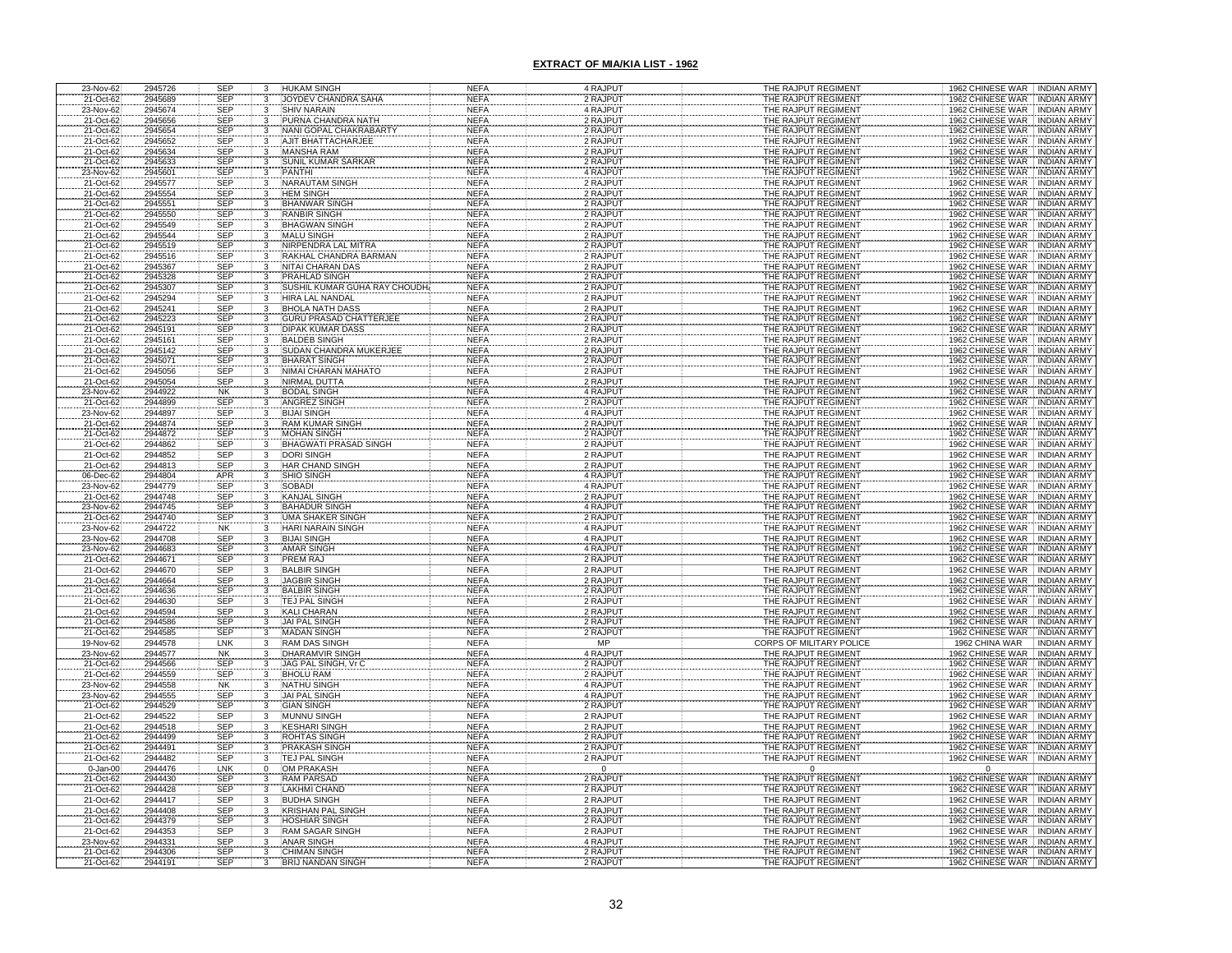| 23-Nov-62              | 2945726 | <b>SEP</b><br>3                                          | <b>HUKAM SINGH</b>            | <b>NEFA</b> | 4 RAJPUT             | THE RAJPUT REGIMENT      | 1962 CHINESE WAR INDIAN ARMY                               |
|------------------------|---------|----------------------------------------------------------|-------------------------------|-------------|----------------------|--------------------------|------------------------------------------------------------|
| 21-Oct-62              | 2945689 | <b>SEP</b><br>3                                          | JOYDEV CHANDRA SAHA           | <b>NEFA</b> | 2 RAJPUT             | THE RAJPUT REGIMENT      | <b>INDIAN ARMY</b><br>1962 CHINESE WAR                     |
| 23-Nov-62              | 2945674 | <b>SEP</b><br>$\overline{3}$                             | <b>SHIV NARAIN</b>            | <b>NEFA</b> | 4 RAJPUT             | THE RAJPUT REGIMENT      | <b>INDIAN ARMY</b><br>1962 CHINESE WAR                     |
| 21-Oct-62              | 2945656 | <b>SEP</b><br>3                                          | PURNA CHANDRA NATH            | <b>NEFA</b> | 2 RAJPUT             | THE RAJPUT REGIMENT      | 1962 CHINESE WAR<br><b>INDIAN ARMY</b>                     |
| 21-Oct-62              | 2945654 |                                                          | NANI GOPAL CHAKRABART         | <b>NEFA</b> | 2 RAJPUT             | THE RAJPUT REGIMENT      | 1962 CHINESE WAR<br><b>INDIAN ARMY</b>                     |
| 21-Oct-62              | 2945652 | SEP<br>SEP                                               | AJIT BHATTACHARJEE            | <b>NEFA</b> | 2 RAJPUT             | THE RAJPUT REGIMENT      | 1962 CHINESE WAR<br><b>INDIAN ARMY</b>                     |
|                        |         | 3                                                        |                               |             |                      |                          |                                                            |
| 21-Oct-62              | 2945634 | SEP<br>3                                                 | <b>MANSHA RAM</b>             | <b>NEFA</b> | 2 RAJPUT             | THE RAJPUT REGIMENT      | 1962 CHINESE WAR<br>INDIAN ARMY                            |
| 21-Oct-62              | 2945633 | SEP<br>SEP<br>3                                          | SUNIL KUMAR SARKAR            | <b>NEFA</b> | 2 RAJPUT             | THE RAJPUT REGIMENT      | <b>INDIAN ARMY</b><br>1962 CHINESE WAR                     |
| 23-Nov-62              | 2945601 | $\frac{3}{3}$                                            | PANTHI                        | <b>NEFA</b> | 4 RAJPUT             | THE RAJPUT REGIMENT      | 1962 CHINESE WAR<br><b>INDIAN ARMY</b>                     |
| 21-Oct-62              | 2945577 | <b>SEP</b>                                               | <b>NARAUTAM SINGH</b>         | <b>NEFA</b> | 2 RAJPUT             | THE RAJPUT REGIMENT      | 1962 CHINESE WAR<br><b>INDIAN ARMY</b>                     |
| 21-Oct-62              | 2945554 | <b>SEP</b><br>3                                          | <b>HEM SINGH</b>              | <b>NEFA</b> | 2 RAJPUT             | THE RAJPUT REGIMENT      | <b>INDIAN ARMY</b><br>1962 CHINESE WAR                     |
| 21-Oct-62              | 2945551 | SEP<br>$\overline{\mathbf{3}}$                           | <b>BHANWAR SINGH</b>          | <b>NEFA</b> | 2 RAJPUT             | THE RAJPUT REGIMENT      | 1962 CHINESE WAR<br><b>INDIAN ARMY</b>                     |
| 21-Oct-62              | 2945550 | <b>SEP</b>                                               | <b>RANBIR SINGH</b>           | <b>NEFA</b> | 2 RAJPUT             | THE RAJPUT REGIMENT      | 1962 CHINESE WAR<br><b>INDIAN ARMY</b>                     |
| 21-Oct-62              | 2945549 | SEP<br>3                                                 | <b>BHAGWAN SINGH</b>          | <b>NEFA</b> | 2 RAJPUT             | THE RAJPUT REGIMENT      | 1962 CHINESE WAR<br><b>INDIAN ARMY</b>                     |
| 21-Oct-62              | 2945544 | <b>SEP</b>                                               | <b>MALU SINGH</b>             | <b>NEFA</b> | 2 RAJPUT             | THE RAJPUT REGIMENT      | 1962 CHINESE WAR<br><b>INDIAN ARMY</b>                     |
| 21-Oct-62              | 2945519 | <b>SEP</b>                                               | NIRPENDRA LAL MITRA           | <b>NEFA</b> | 2 RAJPUT             | THE RAJPUT REGIMENT      | 1962 CHINESE WAR<br><b>INDIAN ARMY</b>                     |
| 21-Oct-62              | 2945516 | <b>SEP</b><br>3                                          | RAKHAL CHANDRA BARMAN         | <b>NEFA</b> | 2 RAJPUT             | THE RAJPUT REGIMENT      | 1962 CHINESE WAR INDIAN ARMY                               |
| 21-Oct-62              | 2945367 | <b>SEP</b><br>3                                          | <b>NITAI CHARAN DAS</b>       | <b>NEFA</b> | 2 RAJPUT             | THE RAJPUT REGIMENT      | 1962 CHINESE WAR<br><b>INDIAN ARMY</b>                     |
|                        | 2945328 |                                                          | PRAHLAD SINGH                 | <b>NEFA</b> | 2 RAJPUT             | THE RAJPUT REGIMENT      | 1962 CHINESE WAR<br><b>INDIAN ARMY</b>                     |
| 21-Oct-62<br>21-Oct-62 | 2945307 | SEP<br>SEP                                               | SUSHIL KUMAR GUHA RAY CHOUDH. | <b>NEFA</b> | 2 RAJPUT             | THE RAJPUT REGIMENT      | 1962 CHINESE WAR INDIAN ARMY                               |
|                        |         | 3                                                        |                               |             |                      |                          |                                                            |
| 21-Oct-62              | 2945294 | <b>SEP</b><br>3                                          | HIRA LAL NANDAL               | <b>NEFA</b> | 2 RAJPUT             | THE RAJPUT REGIMENT      | 1962 CHINESE WAR<br><b>INDIAN ARMY</b>                     |
| 21-Oct-62              | 2945241 | <b>SEP</b><br>3                                          | <b>BHOLA NATH DASS</b>        | <b>NEFA</b> | 2 RAJPUT             | THE RAJPUT REGIMENT      | 1962 CHINESE WAR<br><b>INDIAN ARMY</b>                     |
|                        | 2945223 | <b>SEP</b>                                               | <b>GURU PRASAD CHATTERJEE</b> | <b>NEFA</b> | 2 RAJPUT             | THE RAJPUT REGIMENT      | 1962 CHINESE WAR<br><b>INDIAN ARMY</b>                     |
| 21-Oct-62<br>21-Oct-62 | 2945191 | SEP                                                      | <b>DIPAK KUMAR DASS</b>       | <b>NEFA</b> | 2 RAJPUT             | THE RAJPUT REGIMENT      | 1962 CHINESE WAR<br><b>INDIAN ARMY</b>                     |
| 21-Oct-62              | 2945161 | SEP                                                      | <b>BALDEB SINGH</b>           | <b>NEFA</b> | 2 RAJPUT             | THE RAJPUT REGIMENT      | 1962 CHINESE WAR<br><b>INDIAN ARMY</b>                     |
| 21-Oct-62              | 2945142 | SEP                                                      | SUDAN CHANDRA MUKERJEE        | <b>NEFA</b> | 2 RAJPUT             | THE RAJPUT REGIMENT      | 1962 CHINESE WAR<br><b>INDIAN ARMY</b>                     |
| 21-Oct-62              | 2945071 | <b>SEP</b><br>3                                          | <b>BHARAT SINGH</b>           | <b>NEFA</b> | 2 RAJPUT             | THE RAJPUT REGIMENT      | 1962 CHINESE WAR<br><b>INDIAN ARMY</b>                     |
| 21-Oct-62              | 2945056 | SEP                                                      | NIMAI CHARAN MAHATO           | <b>NEFA</b> | 2 RAJPUT             | THE RAJPUT REGIMENT      | 1962 CHINESE WAR<br><b>INDIAN ARMY</b>                     |
| 21-Oct-62              | 2945054 | <b>SEP</b>                                               | <b>NIRMAL DUTTA</b>           | <b>NEFA</b> | 2 RAJPUT             | THE RAJPUT REGIMENT      | 1962 CHINESE WAR<br><b>INDIAN ARMY</b>                     |
| 23-Nov-62              | 2944922 | <b>NK</b>                                                | <b>BODAL SINGH</b>            | <b>NEFA</b> | 4 RAJPUT             | THE RAJPUT REGIMENT      | 1962 CHINESE WAR<br><b>INDIAN ARMY</b>                     |
| 21-Oct-62              | 2944899 | SEP                                                      | <b>ANGREZ SINGH</b>           | <b>NEFA</b> | 2 RAJPUT             | THE RAJPUT REGIMENT      | 1962 CHINESE WAR<br><b>INDIAN ARMY</b>                     |
| 23-Nov-62              | 2944897 | $\frac{3}{3}$<br><b>SEP</b>                              | <b>BIJAI SINGH</b>            | <b>NEFA</b> | 4 RAJPUT             | THE RAJPUT REGIMENT      | 1962 CHINESE WAR<br><b>INDIAN ARMY</b>                     |
| 21-Oct-62              | 2944874 |                                                          | RAM KUMAR SINGH               | <b>NEFA</b> | 2 RAJPUT             | THE RAJPUT REGIMENT      | 1962 CHINESE WAR<br><b>INDIAN ARMY</b>                     |
|                        | 2944872 | SEP<br>SEP<br>$\begin{array}{c} 3 \\ 3 \\ 3 \end{array}$ | <b>MOHAN SINGH</b>            | <b>NEFA</b> | 2 RAJPUT             | THE RAJPUT REGIMENT      | 1962 CHINESE WAR<br><b>INDIAN ARMY</b>                     |
| 21-Oct-62<br>21-Oct-62 |         |                                                          |                               |             |                      |                          |                                                            |
|                        | 2944862 | <b>SEP</b>                                               | <b>BHAGWATI PRASAD SINGH</b>  | <b>NEFA</b> | 2 RAJPUT             | THE RAJPUT REGIMENT      | 1962 CHINESE WAR<br><b>INDIAN ARMY</b>                     |
| 21-Oct-62              | 2944852 | SEP<br>$\overline{3}$                                    | <b>DORI SINGH</b>             | <b>NEFA</b> | 2 RAJPUT             | THE RAJPUT REGIMENT      | 1962 CHINESE WAR INDIAN ARMY                               |
| 21-Oct-62<br>06-Dec-62 | 2944813 | <b>SEP</b><br>$\frac{3}{3}$                              | HAR CHAND SINGH               | <b>NEFA</b> | 2 RAJPUT             | THE RAJPUT REGIMENT      | 1962 CHINESE WAR<br><b>INDIAN ARMY</b>                     |
|                        | 2944804 | APR                                                      | <b>SHIO SINGH</b>             | <b>NEFA</b> | 4 RAJPUT             | THE RAJPUT REGIMENT      | 1962 CHINESE WAR<br><b>INDIAN ARMY</b>                     |
| 23-Nov-62              | 2944779 | <b>SEP</b>                                               | <b>SOBADI</b>                 | <b>NEFA</b> | 4 RAJPUT             | THE RAJPUT REGIMENT      | 1962 CHINESE WAR<br><b>INDIAN ARMY</b>                     |
| 21-Oct-62              | 2944748 | <b>SEP</b>                                               | <b>KANJAL SINGH</b>           | <b>NEFA</b> | 2 RAJPUT             | THE RAJPUT REGIMENT      | 1962 CHINESE WAR<br><b>INDIAN ARMY</b>                     |
| 23-Nov-62              | 2944745 | <b>SEP</b><br>3                                          | <b>BAHADUR SINGH</b>          | <b>NEFA</b> | 4 RAJPUT             | THE RAJPUT REGIMENT      | 1962 CHINESE WAR<br><b>INDIAN ARMY</b>                     |
| 21-Oct-62              | 2944740 | <b>SEP</b><br>3                                          | <b>UMA SHAKER SINGH</b>       | <b>NEFA</b> | 2 RAJPUT             | THE RAJPUT REGIMENT      | 1962 CHINESE WAR<br><b>INDIAN ARMY</b>                     |
| 23-Nov-62              | 2944722 | <b>NK</b><br>3                                           | HARI NARAIN SINGH             | <b>NEFA</b> | 4 RAJPUT             | THE RAJPUT REGIMENT      | 1962 CHINESE WAR<br><b>INDIAN ARMY</b>                     |
| 23-Nov-62              | 2944708 |                                                          | <b>BIJAI SINGH</b>            | <b>NEFA</b> | 4 RAJPUT             | THE RAJPUT REGIMENT      | 1962 CHINESE WAR<br><b>INDIAN ARMY</b>                     |
| 23-Nov-62              | 2944683 | SEP<br>SEP<br>$\frac{3}{3}$                              | <b>AMAR SINGH</b>             | <b>NEFA</b> | 4 RAJPUT             | THE RAJPUT REGIMENT      | 1962 CHINESE WAR<br><b>INDIAN ARMY</b>                     |
| 21-Oct-62              | 2944671 | <b>SEP</b><br>3                                          | PREM RAJ                      | <b>NEFA</b> | 2 RAJPUT             | THE RAJPUT REGIMENT      | 1962 CHINESE WAR<br><b>INDIAN ARMY</b>                     |
| 21-Oct-62              | 2944670 | <b>SEP</b><br>3                                          | <b>BALBIR SINGH</b>           | <b>NEFA</b> | 2 RAJPUT             | THE RAJPUT REGIMENT      | 1962 CHINESE WAR<br><b>INDIAN ARMY</b>                     |
| 21-Oct-62              | 2944664 | <b>SEP</b><br>3                                          | <b>JAGBIR SINGH</b>           | <b>NEFA</b> |                      | THE RAJPUT REGIMENT      | 1962 CHINESE WAR<br><b>INDIAN ARMY</b>                     |
| 21-Oct-62              | 2944636 |                                                          | <b>BALBIR SINGH</b>           | <b>NEFA</b> | 2 RAJPUT<br>2 RAJPUT | THE RAJPUT REGIMENT      | <b>INDIAN ARMY</b>                                         |
|                        | 2944630 | SEP<br>SEP<br>SEP                                        | <b>TEJ PAL SINGH</b>          | <b>NEFA</b> | 2 RAJPUT             | THE RAJPUT REGIMENT      | 1962 CHINESE WAR<br>1962 CHINESE WAR<br><b>INDIAN ARMY</b> |
| 21-Oct-62<br>21-Oct-62 | 2944594 | <b>SEP</b>                                               | <b>KALI CHARAN</b>            | <b>NEFA</b> | 2 RAJPUT             | THE RAJPUT REGIMENT      | 1962 CHINESE WAR<br><b>INDIAN ARMY</b>                     |
| 21-Oct-62              | 2944586 | <b>SEP</b>                                               | JAI PAL SINGH                 | <b>NEFA</b> | 2 RAJPUT             | THE RAJPUT REGIMENT      | 1962 CHINESE WAR INDIAN ARMY                               |
|                        | 2944585 | SEP                                                      | <b>MADAN SINGH</b>            | <b>NEFA</b> | 2 RAJPUT             | THE RAJPUT REGIMENT      | 1962 CHINESE WAR   INDIAN ARMY                             |
| 21-Oct-62              |         |                                                          |                               | <b>NEFA</b> | <b>MP</b>            |                          |                                                            |
| 19-Nov-62              | 2944578 | LNK                                                      | <b>RAM DAS SINGH</b>          |             |                      | CORPS OF MILITARY POLICE | 1962 CHINA WAR<br><b>INDIAN ARMY</b>                       |
| 23-Nov-62              | 2944577 | <b>NK</b>                                                | <b>DHARAMVIR SINGH</b>        | <b>NEFA</b> | 4 RAJPUT             | THE RAJPUT REGIMENT      | 1962 CHINESE WAR<br><b>INDIAN ARMY</b>                     |
| 21-Oct-62              | 2944566 | <b>SEP</b>                                               | JAG PAL SINGH, Vr             | <b>NEFA</b> | 2 RAJPUT             | THE RAJPUT REGIMENT      | 1962 CHINESE WAR<br><b>INDIAN ARMY</b>                     |
| 21-Oct-62              | 2944559 | SEP                                                      | <b>BHOLU RAM</b>              | <b>NEFA</b> | 2 RAJPUT             | THE RAJPUT REGIMENT      | 1962 CHINESE WAR<br>INDIAN ARMY                            |
| 23-Nov-62              | 2944558 | <b>NK</b>                                                | <b>NATHU SINGH</b>            | <b>NEFA</b> | 4 RAJPUT             | THE RAJPUT REGIMENT      | 1962 CHINESE WAR<br><b>INDIAN ARMY</b>                     |
| 23-Nov-62              | 2944555 | SEP                                                      | JAI PAL SINGH                 | <b>NEFA</b> | 4 RAJPUT             | THE RAJPUT REGIMENT      | 1962 CHINESE WAR INDIAN ARMY                               |
| 21-Oct-62              | 2944529 | <b>SEP</b>                                               | <b>GIAN SINGH</b>             | <b>NEFA</b> | 2 RAJPUT             | THE RAJPUT REGIMENT      | 1962 CHINESE WAR INDIAN ARMY                               |
| 21-Oct-62              | 2944522 | SEP<br>3                                                 | <b>MUNNU SINGH</b>            | <b>NEFA</b> | 2 RAJPUT             | THE RAJPUT REGIMENT      | 1962 CHINESE WAR INDIAN ARMY                               |
| 21-Oct-62              | 2944518 | <b>SEP</b>                                               | <b>KESHARI SINGH</b>          | <b>NEFA</b> | 2 RAJPUT             | THE RAJPUT REGIMENT      | 1962 CHINESE WAR INDIAN ARMY                               |
| 21-Oct-62              | 2944499 | SEP                                                      | ROHTAS SINGH                  | <b>NEFA</b> | 2 RAJPUT             | THE RAJPUT REGIMENT      | 1962 CHINESE WAR<br><b>INDIAN ARMY</b>                     |
| 21-Oct-62              | 2944491 | <b>SEP</b><br>3                                          | PRAKASH SINGH                 | <b>NEFA</b> | 2 RAJPUT             | THE RAJPUT REGIMENT      | 1962 CHINESE WAR<br><b>INDIAN ARMY</b>                     |
| 21-Oct-62              | 2944482 | <b>SEP</b><br>3                                          | TEJ PAL SINGH                 | <b>NEFA</b> | 2 RAJPUT             | THE RAJPUT REGIMENT      | 1962 CHINESE WAR   INDIAN ARMY                             |
| $0 - Jan-00$           | 2944476 | LNK<br>$\mathbf 0$                                       | OM PRAKASH                    | <b>NEFA</b> | $\overline{0}$       |                          | $\Omega$                                                   |
| 21-Oct-62              | 2944430 | <b>SEP</b><br>3                                          | RAM PARSAD                    | <b>NEFA</b> | 2 RAJPUT             | THE RAJPUT REGIMENT      | 1962 CHINESE WAR<br>INDIAN ARM'                            |
| 21-Oct-62              | 2944428 | SEP<br>$\overline{3}$                                    | LAKHMI CHAND                  | <b>NEFA</b> | 2 RAJPUT             | THE RAJPUT REGIMENT      | 1962 CHINESE WAR<br><b>INDIAN ARMY</b>                     |
| 21-Oct-62              | 2944417 | <b>SEP</b>                                               | <b>BUDHA SINGH</b>            | <b>NEFA</b> | 2 RAJPUT             | THE RAJPUT REGIMENT      | 1962 CHINESE WAR INDIAN ARMY                               |
| 21-Oct-62              | 2944408 | $\frac{3}{3}$<br><b>SEP</b>                              | <b>KRISHAN PAL SINGH</b>      | <b>NEFA</b> | 2 RAJPUT             | THE RAJPUT REGIMENT      | 1962 CHINESE WAR INDIAN ARMY                               |
| 21-Oct-62              | 2944379 | <b>SEP</b><br>3                                          | <b>HOSHIAR SINGH</b>          | <b>NEFA</b> | 2 RAJPUT             | THE RAJPUT REGIMENT      | 1962 CHINESE WAR INDIAN ARMY                               |
| 21-Oct-62              | 2944353 | $\overline{3}$<br><b>SEP</b>                             | <b>RAM SAGAR SINGH</b>        | <b>NEFA</b> | 2 RAJPUT             | THE RAJPUT REGIMENT      | 1962 CHINESE WAR INDIAN ARMY                               |
| 23-Nov-62              | 2944331 | <b>SEP</b><br>3                                          | <b>ANAR SINGH</b>             | <b>NEFA</b> | 4 RAJPUT             | THE RAJPUT REGIMENT      | 1962 CHINESE WAR INDIAN ARMY                               |
| 21-Oct-62              | 2944306 | <b>SEP</b>                                               |                               |             |                      | THE RAJPUT REGIMENT      | 1962 CHINESE WAR INDIAN ARMY                               |
|                        | 2944191 | SEP                                                      | <b>CHIMAN SINGH</b>           | <b>NEFA</b> | 2 RAJPUT             |                          |                                                            |
| 21-Oct-62              |         |                                                          | <b>BRIJ NANDAN SINGH</b>      | <b>NEFA</b> | 2 RAJPUT             | THE RAJPUT REGIMENT      | 1962 CHINESE WAR<br><b>INDIAN ARMY</b>                     |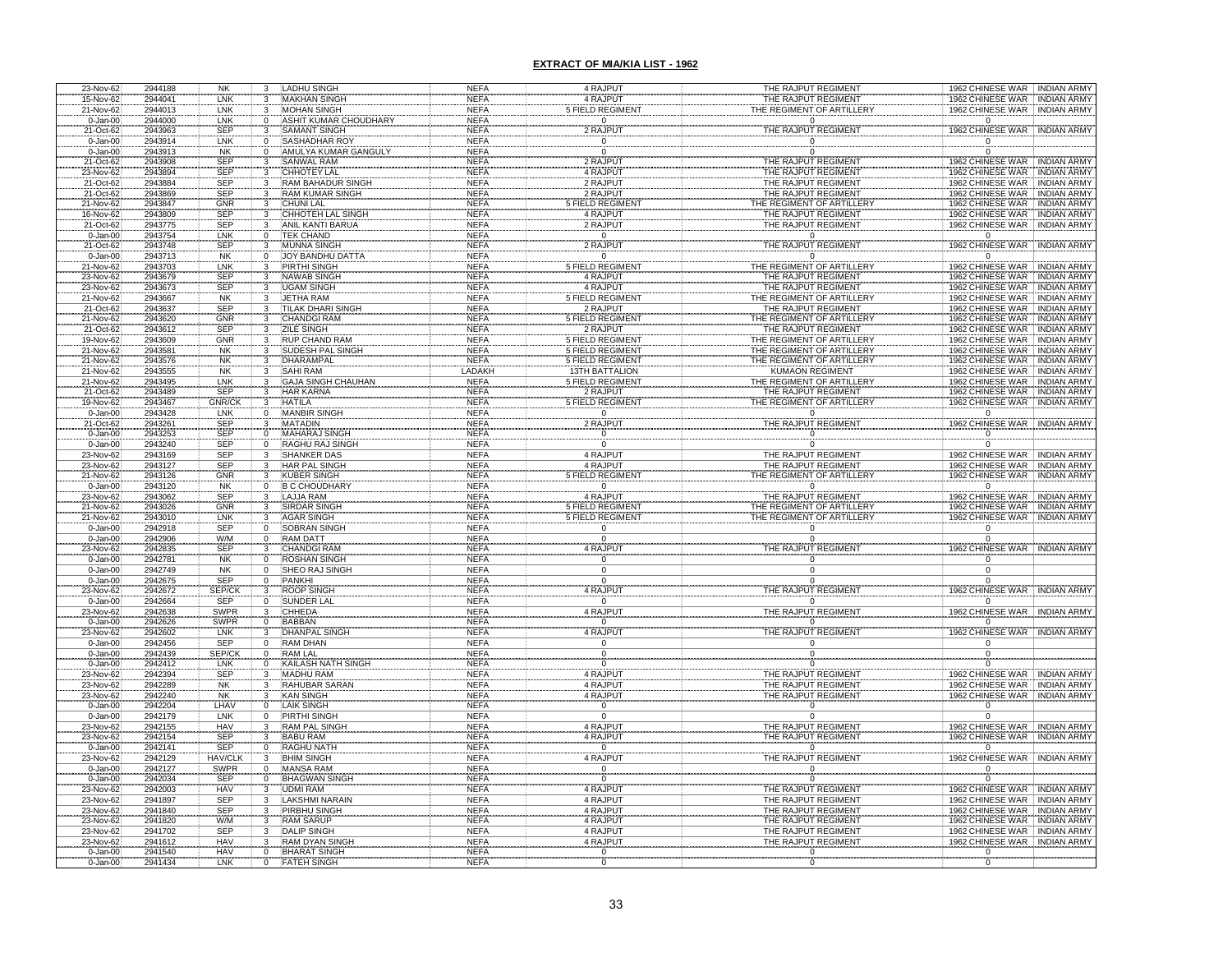| 23-Nov-62                    | 2944188            | NK<br>3                   | LADHU SINGH                           | NEFA                       | 4 RAJPUT                            | THE RAJPUT REGIMENT                       |                           | 1962 CHINESE WAR INDIAN ARMY                                      |
|------------------------------|--------------------|---------------------------|---------------------------------------|----------------------------|-------------------------------------|-------------------------------------------|---------------------------|-------------------------------------------------------------------|
| 15-Nov-62                    | 2944041            | LNK<br>3                  | <b>MAKHAN SINGH</b>                   | <b>NEFA</b>                | 4 RAJPUT                            | THE RAJPUT REGIMENT                       |                           | 1962 CHINESE WAR INDIAN ARMY                                      |
| 21-Nov-62                    | 2944013            | LNK<br>3                  | <b>MOHAN SINGH</b>                    | <b>NEFA</b>                | <b>FIELD REGIMEN</b>                | <b>THE REGIMENT OF ARTILLER</b>           |                           | 1962 CHINESE WAR  INDIAN ARMY                                     |
| $0 - Jan-00$                 | 2944000            | LNK<br>$\Omega$           | <b>ASHIT KUMAR CHOUDHARY</b>          | <b>NEFA</b>                | $\mathbf 0$                         | $\overline{0}$                            |                           | $\Omega$                                                          |
| 21-Oct-62                    | 2943963            | <b>SEP</b>                | SAMANT SINGH                          | <b>NEFA</b>                | 2 RAJPUT                            | THE RAJPUT REGIMEN                        |                           | 1962 CHINESE WAR<br><b>INDIAN ARMY</b>                            |
| $0 - Jan-00$                 | 2943914            | LNK<br>0                  | SASHADHAR ROY                         | <b>NEFA</b>                | 0                                   | $\Omega$                                  |                           |                                                                   |
| $0-$ Jan- $00$               | 2943913            | <b>NK</b><br>$\Omega$     | AMULYA KUMAR GANGULY                  | <b>NEFA</b>                | $\Omega$                            | $\Omega$                                  |                           |                                                                   |
| 21-Oct-62                    | 2943908            | SEP<br>3                  | SANWAL RAM                            | <b>NEFA</b>                | 2 RAJPUT                            | THE RAJPUT REGIMENT                       |                           | 1962 CHINESE WAR<br><b>INDIAN ARMY</b>                            |
| 23-Nov-62                    | 2943894            | <b>SEP</b>                | CHHOTEY LAL                           | <b>NEFA</b>                | 4 RAJPUT                            | THE RAJPUT REGIMENT                       |                           | 1962 CHINESE WAR INDIAN ARMY                                      |
| 21-Oct-62                    | 2943884            | <b>SEP</b>                | <b>RAM BAHADUR SINGH</b>              | <b>NEFA</b>                | 2 RAJPUT                            | THE RAJPUT REGIMENT                       |                           | 1962 CHINESE WAR INDIAN ARMY                                      |
| 21-Oct-62                    | 2943869<br>2943847 | <b>SEP</b>                | <b>RAM KUMAR SINGH</b>                | <b>NEFA</b><br><b>NEFA</b> | 2 RAJPUT                            | THE RAJPUT REGIMENT                       |                           | 1962 CHINESE WAR<br><b>INDIAN ARMY</b><br><b>INDIAN ARMY</b>      |
| 21-Nov-62<br>16-Nov-62       | 2943809            | GNR<br>SEP                | <b>CHUNI LAL</b><br>CHHOTEH LAL SINGH | <b>NEFA</b>                | <b>FIELD REGIMENT</b><br>4 RAJPUT   | THE RAJPUT REGIMENT                       | HE REGIMENT OF ARTILLER   | 1962 CHINESE WAR<br><b>1962 CHINESE WAR</b><br><b>INDIAN ARMY</b> |
| 21-Oct-62                    | 2943775            | <b>SEP</b>                | ANIL KANTI BARUA                      | <b>NEFA</b>                | 2 RAJPUT                            | THE RAJPUT REGIMENT                       |                           | 1962 CHINESE WAR<br><b>INDIAN ARMY</b>                            |
| $0 - Jan-00$                 | 2943754            | <b>LNK</b>                | <b>TEK CHAND</b>                      | <b>NEFA</b>                | $\overline{0}$                      |                                           | $\mathbf{0}$              | $\Omega$                                                          |
| 21-Oct-62                    | 2943748            | <b>SEP</b>                | <b>MUNNA SINGH</b>                    | <b>NEFA</b>                | 2 RAJPUT                            | THE RAJPUT REGIMENT                       |                           | 1962 CHINESE WAR<br><b>INDIAN ARMY</b>                            |
| $0 - Jan-00$                 | 2943713            | <b>NK</b>                 | <b>JOY BANDHU DATTA</b>               | <b>NEFA</b>                | $\overline{0}$                      |                                           | $\Omega$                  | $\mathbf 0$                                                       |
| 21-Nov-62                    | 2943703            | LNK                       | <b>PIRTHI SINGH</b>                   | <b>NEFA</b>                | <b>5 FIELD REGIMENT</b>             | THE REGIMENT OF ARTILLERY                 |                           | <b>INDIAN ARMY</b><br>1962 CHINESE WAR                            |
| 23-Nov-62                    | 2943679            | <b>SEP</b>                | <b>NAWAB SINGH</b>                    | <b>NEFA</b>                | 4 RAJPUT                            |                                           | THE RAJPUT REGIMENT       | 1962 CHINESE WAR<br><b>INDIAN ARMY</b>                            |
| 23-Nov-62                    | 2943673            | <b>SEP</b>                | <b>JGAM SINGH</b>                     | <b>NEFA</b>                | 4 RAJPUT                            |                                           | THE RAJPUT REGIMENT       | 1962 CHINESE WAR INDIAN ARMY                                      |
| 21-Nov-62                    | 2943667            | <b>NK</b><br>3            | JETHA RAM                             | <b>NEFA</b>                | <b>5 FIELD REGIMENT</b>             |                                           | THE REGIMENT OF ARTILLERY | 1962 CHINESE WAR INDIAN ARMY                                      |
| 21-Oct-62                    | 2943637            | <b>SEP</b><br>3           | <b>TILAK DHARI SINGH</b>              | <b>NEFA</b>                | 2 RAJPUT                            |                                           | THE RAJPUT REGIMENT       | 1962 CHINESE WAR INDIAN ARMY                                      |
| 21-Nov-62                    | 2943620            | GNR                       | <b>CHANDGI RAM</b>                    | <b>NEFA</b>                | <b>5 FIELD REGIMENT</b>             | THE REGIMENT OF ARTILLERY                 |                           | 1962 CHINESE WAR INDIAN ARMY                                      |
| 21-Oct-62                    | 2943612            | <b>SEP</b>                | ZILE SINGH                            | <b>NEFA</b>                | 2 RAJPUT                            |                                           | THE RAJPUT REGIMENT       | 1962 CHINESE WAR<br><b>INDIAN ARMY</b>                            |
| 19-Nov-62                    | 2943609            | GNR                       | <b>RUP CHAND RAM</b>                  | <b>NEFA</b>                | <b>5 FIELD REGIMENT</b>             |                                           | THE REGIMENT OF ARTILLERY | 1962 CHINESE WAR<br><b>INDIAN ARMY</b>                            |
| 21-Nov-62                    | 2943581            | <b>NK</b>                 | <b>SUDESH PAL SINGH</b>               | <b>NEFA</b>                | <b>5 FIELD REGIMENT</b>             |                                           | THE REGIMENT OF ARTILLERY | 1962 CHINESE WAR INDIAN ARMY                                      |
| 21-Nov-62                    | 2943576            | <b>NK</b>                 | <b>DHARAMPAL</b>                      | <b>NEFA</b>                | <b>5 FIELD REGIMENT</b>             |                                           | THE REGIMENT OF ARTILLERY | 1962 CHINESE WAR<br><b>INDIAN ARMY</b>                            |
| 21-Nov-62                    | 2943555            | <b>NK</b>                 | <b>SAHI RAM</b>                       | LADAKH                     | <b>13TH BATTALION</b>               |                                           | <b>KUMAON REGIMENT</b>    | 1962 CHINESE WAR INDIAN ARMY                                      |
| 21-Nov-62                    | 2943495            | LNK                       | <b>GAJA SINGH CHAUHAN</b>             | <b>NEFA</b>                | <b>5 FIELD REGIMENT</b>             | THE REGIMENT OF ARTILLERY                 |                           | 1962 CHINESE WAR<br><b>INDIAN ARMY</b>                            |
| 21-Oct-62                    | 2943489            | <b>SEP</b>                | <b>HAR KARNA</b>                      | <b>NEFA</b>                | 2 RAJPUT                            | THE RAJPUT REGIMENT                       |                           | 1962 CHINESE WAR<br><b>INDIAN ARMY</b>                            |
| 19-Nov-62                    | 2943467            | GNR/CI                    | HATILA                                | <b>NEFA</b>                | <b>FIELD REGIMEN</b>                | HE REGIMENT OF ARTILLER                   |                           | <u> 1962 CHINESE WAR . INDIAN ARMY</u>                            |
| $0 - Jan-00$                 | 2943428            | LNK                       | <b>MANBIR SINGH</b>                   | <b>NEFA</b>                | $\overline{0}$                      |                                           |                           |                                                                   |
| 21-Oct-62                    | 2943261            | <b>SEP</b>                | <b>MATADIN</b>                        | <b>NEFA</b>                | 2 RAJPUT                            | THE RAJPUT REGIMENT                       |                           | 1962 CHINESE WAR<br>INDIAN ARMY                                   |
| $0 - Jan-00$                 | 2943253            | <b>SEP</b>                | <b>MAHARAJ SINGH</b>                  | <b>NEFA</b>                |                                     |                                           |                           |                                                                   |
| $0 - Jan-00$                 | 2943240            | <b>SEP</b>                | RAGHU RAJ SINGH                       | <b>NEFA</b>                | $\mathbf 0$                         |                                           |                           |                                                                   |
| 23-Nov-62                    | 2943169            | SEP                       | <b>SHANKER DAS</b>                    | <b>NEFA</b>                | 4 RAJPUT                            | THE RAJPUT REGIMENT                       |                           | 1962 CHINESE WAR INDIAN ARMY                                      |
| 23-Nov-62                    | 2943127            | <b>SEP</b>                | HAR PAL SINGH                         | <b>NEFA</b>                | 4 RAJPUT                            | THE RAJPUT REGIMENT                       |                           | 1962 CHINESE WAR INDIAN ARMY                                      |
| 21-Nov-62                    | 2943126            | GNR                       | KUBER SINGH                           | <b>NEFA</b>                | <b>FIELD REGIMEN</b>                | HE REGIMENT OF ARTILLER<br>$\frac{1}{10}$ |                           | 1962 CHINESE WAR HINDIAN ARMY                                     |
| $0 - Jan-00$                 | 2943120            | <b>NK</b>                 | <b>B C CHOUDHAR</b>                   | <b>NEFA</b>                | $\overline{0}$                      |                                           |                           | $\overline{0}$                                                    |
| 23-Nov-62                    | 2943062            | <b>SEP</b>                | LAJJA RAM                             | <b>NEFA</b>                | 4 RAJPUT                            | THE RAJPUT REGIMENT                       |                           | 1962 CHINESE WAR INDIAN ARMY                                      |
| 21-Nov-62                    | 2943026            | GNR                       | <b>SIRDAR SINGH</b>                   | <b>NEFA</b>                | <b>5 FIELD REGIMENT</b>             |                                           | THE REGIMENT OF ARTILLERY | 1962 CHINESE WAR INDIAN ARMY                                      |
| 21-Nov-62                    | 2943010            | LNK                       | <b>AGAR SINGH</b>                     | <b>NEFA</b>                | <b>5 FIELD REGIMENT</b><br>$\Omega$ | THE REGIMENT OF ARTILLERY                 |                           | 1962 CHINESE WAR INDIAN ARMY<br>$\Omega$                          |
| $0 - Jan-00$                 | 2942918            | <b>SEP</b>                | SOBRAN SINGH                          | <b>NEFA</b>                |                                     |                                           |                           |                                                                   |
| $0 - Jan-00$                 | 2942906            | W/M<br>SEP                | RAM DATT<br>CHANDGI RAM               | <b>NEFA</b>                | 4 RAJPUT                            | THE RAJPUT REGIMENT                       |                           | 1962 CHINESE WAR INDIAN ARMY                                      |
| 23-Nov-62                    | 2942835            | <b>NK</b>                 | <b>ROSHAN SINGH</b>                   | <b>NEFA</b>                |                                     |                                           |                           |                                                                   |
| $0 - Jan-00$<br>$0 - Jan-00$ | 2942781<br>2942749 | <b>NK</b><br>$\Omega$     | SHEO RAJ SINGH                        | <b>NEFA</b><br><b>NEFA</b> |                                     |                                           |                           |                                                                   |
|                              |                    |                           | <b>PANKHI</b>                         |                            |                                     |                                           |                           |                                                                   |
| 0-Jan-00<br>3-Nov-62         | 2942675<br>2942672 | SEP<br>SEP/CI<br>SEP      | <b>COP SINGH</b>                      | NEFA<br>NEFA               | 4 RAJPU                             | THE RAJPUT REGIME                         |                           | 962 CHINESE WAR . INDIAN ARMY                                     |
| $0 - Jan-00$                 | 2942664            |                           | <b>SUNDER LAL</b>                     |                            | $\Omega$                            |                                           |                           |                                                                   |
| 23-Nov-62                    | 2942638            | <b>SWPR</b>               | <b>HHEDA</b>                          | NEFA<br>NEFA               | 4 RAJPUT                            | THE RAJPUT REGIMENT                       |                           | 1962 CHINESE WAR INDIAN ARMY                                      |
| $0 - Jan-00$                 | 2942626            | <b>SWPR</b>               | <b>BABBAN</b>                         | <b>NEFA</b>                | $\overline{0}$                      |                                           |                           |                                                                   |
| 23-Nov-62                    | 2942602            | LNK                       | <b>DHANPAL SINGH</b>                  | <b>NEFA</b>                | 4 RAJPUT                            | THE RAJPUT REGIMENT                       |                           | 1962 CHINESE WAR INDIAN ARMY                                      |
| $0 - Jan-00$                 | 2942456            | <b>SEP</b>                | <b>RAM DHAN</b>                       | <b>NEFA</b>                | $\overline{0}$                      |                                           |                           |                                                                   |
| $0 - Jan-00$                 | 2942439            | SEP/CK                    | <b>RAM LAL</b>                        | <b>NEFA</b>                |                                     |                                           |                           |                                                                   |
| $0 - Jan-00$                 | 2942412            | LNK                       | KAILASH NATH SINGI                    | <b>NEFA</b>                | $\Omega$                            |                                           |                           |                                                                   |
| 23-Nov-62                    | 2942394            | <b>SEP</b>                | <b>MADHU RAM</b>                      | <b>NEFA</b>                | 4 RAJPUT                            | THE RAJPUT REGIMENT                       |                           | 1962 CHINESE WAR INDIAN ARMY                                      |
| 23-Nov-62                    | 2942289            | NK<br>NK                  | RAHUBAR SARAN                         | <b>NEFA</b>                | 4 RAJPUT                            | THE RAJPUT REGIMENT                       |                           | 1962 CHINESE WAR INDIAN ARMY                                      |
| 23-Nov-62                    | 2942240            |                           | <b>KAN SINGH</b>                      | <b>NEFA</b>                | 4 RAJPUT                            | THE RAJPUT REGIMENT                       |                           | 1962 CHINESE WAR INDIAN ARMY                                      |
| $0 - Jan-00$                 | 2942204            | LHAV<br>$\Omega$          | <b>LAIK SINGH</b>                     | <b>NEFA</b>                | $\Omega$                            |                                           | $\Omega$                  | $\overline{0}$                                                    |
| $0 - Jan-00$                 | 2942179            | <b>LNK</b><br>$\mathbf 0$ | <b>PIRTHI SINGH</b>                   | <b>NEFA</b>                | $\Omega$                            |                                           | $\Omega$                  | $\Omega$                                                          |
| 23-Nov-62                    | 2942155            | <b>HAV</b>                | <b>RAM PAL SINGI</b>                  | <b>NEFA</b>                | 4 RAJPUT                            | THE RAJPUT REGIMENT                       |                           | 1962 CHINESE WAR INDIAN ARMY                                      |
| 23-Nov-62                    | 2942154            | <b>SEP</b>                | <b>BABU RAM</b>                       | <b>NEFA</b>                | 4 RAJPUT                            | THE RAJPUT REGIMENT                       |                           | 1962 CHINESE WAR INDIAN ARMY                                      |
| $0 - Jan-00$                 | 2942141            | SEP<br>$\Omega$           | <b>RAGHU NATH</b>                     | <b>NEFA</b>                | $\mathbf 0$                         | $\Omega$                                  |                           |                                                                   |
| 23-Nov-62                    | 2942129            | <b>HAV/CLK</b><br>3       | <b>BHIM SINGH</b>                     | <b>NEFA</b>                | 4 RAJPUT                            | THE RAJPUT REGIMENT                       |                           | 1962 CHINESE WAR INDIAN ARMY                                      |
| $0 - Jan-00$                 | 2942127            | <b>SWPR</b><br>$\Omega$   | <b>MANSA RAM</b>                      | <b>NEFA</b>                | $\Omega$                            |                                           |                           |                                                                   |
| $0 - Jan-00$                 | 2942034            | SEP<br>$\Omega$           | <b>BHAGWAN SINGH</b>                  | <b>NEFA</b>                | $\Omega$                            |                                           | $\Omega$                  | $\Omega$                                                          |
| 23-Nov-62                    | 2942003            | <b>HAV</b><br>3           | UDMI RAM                              | <b>NEFA</b>                | 4 RAJPUT                            | THE RAJPUT REGIMENT                       |                           | 1962 CHINESE WAR INDIAN ARM                                       |
| 23-Nov-62                    | 2941897            | SEP                       | LAKSHMI NARAIN                        | <b>NEFA</b>                | 4 RAJPUT                            | THE RAJPUT REGIMENT                       |                           | 1962 CHINESE WAR INDIAN ARM                                       |
| 23-Nov-62                    | 2941840            | SEP                       | PIRBHU SINGH                          | <b>NEFA</b>                | 4 RAJPUT                            | THE RAJPUT REGIMENT                       |                           | 1962 CHINESE WAR<br>INDIAN ARM'                                   |
| 23-Nov-62                    | 2941820            | W/M<br>3                  | <b>RAM SARUP</b>                      | <b>NEFA</b>                | 4 RAJPUT                            | THE RAJPUT REGIMENT                       |                           | 1962 CHINESE WAR INDIAN ARMY                                      |
| 23-Nov-62                    | 2941702            | <b>SEP</b><br>3           | <b>DALIP SINGH</b>                    | <b>NEFA</b>                | 4 RAJPUT                            | THE RAJPUT REGIMENT                       |                           | 1962 CHINESE WAR INDIAN ARMY                                      |
| 23-Nov-62                    | 2941612            | <b>HAV</b>                | <b>RAM DYAN SINGH</b>                 | <b>NEFA</b>                | 4 RAJPUT                            | THE RAJPUT REGIMENT                       |                           | 1962 CHINESE WAR INDIAN ARMY                                      |
| $0 - Jan-00$                 | 2941540            | HAV<br>$\Omega$           | <b>BHARAT SINGH</b>                   | <b>NEFA</b>                |                                     |                                           |                           |                                                                   |
| $0 - Jan-00$                 | 2941434            | LNK<br>$\mathbf 0$        | <b>FATEH SINGH</b>                    | <b>NEFA</b>                | $\Omega$                            |                                           |                           |                                                                   |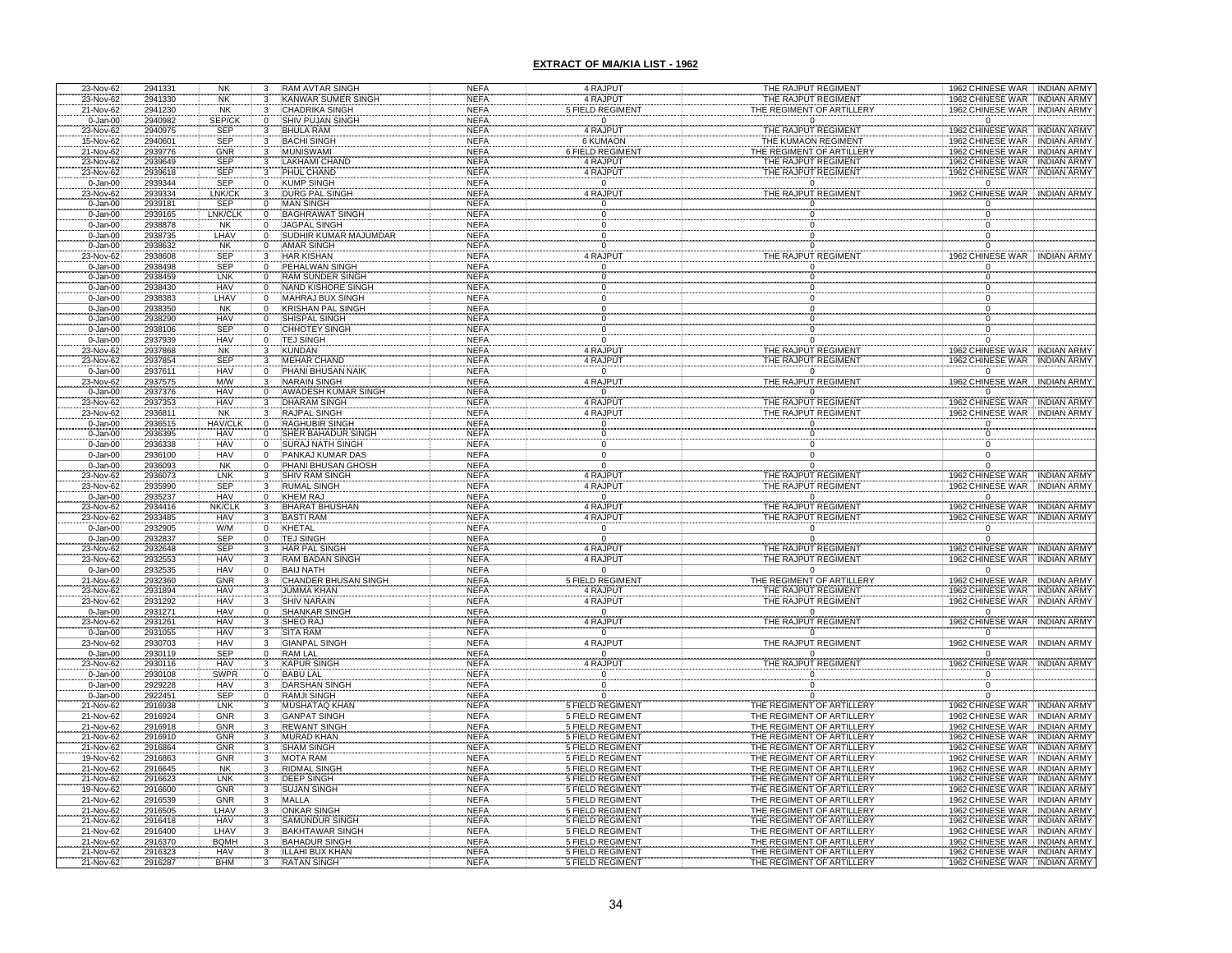| 23-Nov-62                    | 2941331            | NK                       | 3                   | <b>RAM AVTAR SINGH</b>                            | NEFA                       | 4 RAJPUT                                           | THE RAJPUT REGIMENT                                    | 1962 CHINESE WAR INDIAN ARMY                                 |                                          |
|------------------------------|--------------------|--------------------------|---------------------|---------------------------------------------------|----------------------------|----------------------------------------------------|--------------------------------------------------------|--------------------------------------------------------------|------------------------------------------|
| 23-Nov-62<br>21-Nov-62       | 2941330<br>2941230 | <b>NK</b><br><b>NK</b>   | 3<br>3              | KANWAR SUMER SINGI<br><b>CHADRIKA SINGH</b>       | <b>NEFA</b><br><b>NEFA</b> | 4 RAJPUT<br><b>FIELD REGIMEN</b>                   | THE RAJPUT REGIMENT<br><b>THE REGIMENT OF ARTILLER</b> | 1962 CHINESE WAR INDIAN ARMY<br>1962 CHINESE WAR INDIAN ARMY |                                          |
| $0 - Jan-00$                 | 2940982            | SEP/CK                   | $\Omega$            | <b>SHIV PUJAN SINGH</b>                           | <b>NEFA</b>                | $\mathsf 0$                                        | $\Omega$                                               | $\Omega$                                                     |                                          |
| 23-Nov-62                    | 2940975            | SEP                      | 3                   | <b>BHULA RAM</b>                                  | <b>NEFA</b>                | 4 RAJPUT                                           | THE RAJPUT REGIMENT                                    | 1962 CHINESE WAR                                             | <b>INDIAN ARMY</b>                       |
| 15-Nov-62                    | 2940601            | <b>SEP</b>               |                     | <b>BACHI SINGH</b>                                | <b>NEFA</b>                | <b>6 KUMAON</b>                                    | THE KUMAON REGIMENT                                    | 1962 CHINESE WAR                                             | <b>INDIAN ARMY</b>                       |
| 21-Nov-62                    | 2939776            | <b>GNR</b>               | 3                   | <b>MUNISWAMI</b>                                  | <b>NEFA</b>                | 6 FIELD REGIMEN                                    | THE REGIMENT OF ARTILLER'                              | 1962 CHINESE WAR INDIAN ARMY                                 |                                          |
| 23-Nov-62                    | 2939649<br>2939618 | SEP<br>SEP               | 3                   | LAKHAMI CHAND<br>PHUL CHAND                       | <b>NEFA</b><br><b>NEFA</b> | 4 RAJPUT                                           | THE RAJPUT REGIMENT<br>THE RAJPUT REGIMENT             | 1962 CHINESE WAR INDIAN ARMY<br>1962 CHINESE WAR INDIAN ARMY |                                          |
| 23-Nov-62<br>$0 - Jan-00$    | 2939344            | <b>SEP</b>               | 0                   | <b>KUMP SINGH</b>                                 | <b>NEFA</b>                | 4 RAJPUT<br>$\Omega$                               | $\Omega$                                               | $\Omega$                                                     |                                          |
| 23-Nov-62                    | 2939334            | LNK/CK                   | 3                   | <b>DURG PAL SINGH</b>                             | <b>NEFA</b>                | 4 RAJPUT                                           | THE RAJPUT REGIMENT                                    | 1962 CHINESE WAR INDIAN ARMY                                 |                                          |
| $0 - Jan-00$                 | 2939181            | <b>SEP</b>               | $\mathbf 0$         | <b>MAN SINGH</b>                                  | <b>NEFA</b>                |                                                    |                                                        |                                                              |                                          |
| 0-Jan-00                     | 2939165<br>2938878 | LNK/CLK<br><b>NK</b>     | 0                   | <b>BAGHRAWAT SINGH</b><br><b>JAGPAL SINGH</b>     | <b>NEFA</b><br><b>NEFA</b> | $\Omega$                                           |                                                        | $\Omega$                                                     |                                          |
| $0 - Jan-00$<br>$0 - Jan-00$ | 2938735            | LHAV                     | 0<br>$\Omega$       | SUDHIR KUMAR MAJUMDAR                             | <b>NEFA</b>                | $\Omega$                                           |                                                        | $\Omega$                                                     |                                          |
| $0 - Jan-00$                 | 2938632            | <b>NK</b>                | 0                   | AMAR SINGH                                        | <b>NEFA</b>                | Ō                                                  |                                                        | $\Omega$                                                     |                                          |
| 23-Nov-62                    | 2938608            | <b>SEP</b>               | 3                   | <b>HAR KISHAN</b>                                 | <b>NEFA</b>                | 4 RAJPUT                                           | THE RAJPUT REGIMENT                                    | 1962 CHINESE WAR INDIAN ARMY                                 |                                          |
| $0 - Jan-00$                 | 2938498            | <b>SEP</b>               | $\Omega$            | PEHALWAN SINGH                                    | <b>NEFA</b>                | $\Omega$                                           | $\Omega$                                               | $\Omega$                                                     |                                          |
| 0-Jan-00<br>$0 - Jan-00$     | 2938459<br>2938430 | LNK<br><b>HAV</b>        | 0<br>$\Omega$       | RAM SUNDER SINGH<br>NAND KISHORE SINGH            | <b>NEFA</b><br><b>NEFA</b> | 0<br>$\Omega$                                      | 0<br>$\Omega$                                          | $\overline{0}$<br>$\mathbf 0$                                |                                          |
| $0 - Jan-00$                 | 2938383            | LHAV                     | $\Omega$            | MAHRAJ BUX SINGH                                  | <b>NEFA</b>                | $\mathbf 0$                                        | 0                                                      | 0                                                            |                                          |
| $0 - Jan-00$                 | 2938350            | <b>NK</b>                | $\Omega$            | <b>KRISHAN PAL SINGH</b>                          | <b>NEFA</b>                | $\Omega$                                           | $\Omega$                                               | $\mathbf 0$                                                  |                                          |
| $0 - Jan-00$                 | 2938290            | <b>HAV</b>               | 0                   | SHISPAL SINGH                                     | <b>NEFA</b>                | $\mathbf 0$                                        |                                                        | 0                                                            |                                          |
| $0 - Jan-00$                 | 2938106            | SEP                      | 0                   | CHHOTEY SINGH                                     | <b>NEFA</b>                | $\frac{0}{0}$                                      |                                                        | 0                                                            |                                          |
| $0 - Jan-00$<br>23-Nov-62    | 2937939<br>2937868 | <b>HAV</b><br><b>NK</b>  | 0                   | <b>TEJ SINGH</b><br><b>KUNDAN</b>                 | <b>NEFA</b><br><b>NEFA</b> | 4 RAJPUT                                           | THE RAJPUT REGIMENT                                    | $\Omega$<br>1962 CHINESE WAR                                 | <b>INDIAN ARMY</b>                       |
| 23-Nov-62                    | 2937854            | <b>SEP</b>               |                     | <b>MEHAR CHAND</b>                                | <b>NEFA</b>                | 4 RAJPUT                                           | THE RAJPUT REGIMENT                                    | 1962 CHINESE WAR                                             | <b>INDIAN ARMY</b>                       |
| $0 - Jan-00$                 | 2937611            | <b>HAV</b>               |                     | PHANI BHUSAN NAIK                                 | <b>NEFA</b>                | $\mathbf 0$                                        | $\Omega$                                               | $\Omega$                                                     |                                          |
| 23-Nov-62                    | 2937575            | <b>M/W</b><br><b>HAV</b> |                     | <b>NARAIN SINGH</b>                               | <b>NEFA</b>                | 4 RAJPUT                                           | THE RAJPUT REGIMENT                                    | 1962 CHINESE WAR                                             | <b>INDIAN ARMY</b>                       |
| $0 - Jan-00$<br>23-Nov-62    | 2937376<br>2937353 | <b>HAV</b>               |                     | <b>AWADESH KUMAR SINGH</b><br><b>DHARAM SINGH</b> | <b>NEFA</b><br><b>NEFA</b> | $\overline{0}$<br>4 RAJPUT                         | $\Omega$<br>THE RAJPUT REGIMENT                        | $\overline{0}$<br>1962 CHINESE WAR                           | <b>INDIAN ARMY</b>                       |
| 23-Nov-62                    | 2936811            | <b>NK</b>                |                     | <b>RAJPAL SINGH</b>                               | <b>NEFA</b>                | 4 RAJPUT                                           | THE RAJPUT REGIMENT                                    | 1962 CHINESE WAR                                             | <b>INDIAN ARMY</b>                       |
| 0-Jan-00<br>0-Jan-00         | 2936515            | <b>HAV/CLI</b>           |                     | <b>RAGHUBIR SINGH</b>                             | <b>NEFA</b>                |                                                    |                                                        |                                                              |                                          |
|                              | 2936395            | <b>HAV</b>               |                     | <b>HER BAHADUR SINGH</b>                          | <b>NEFA</b>                |                                                    |                                                        |                                                              |                                          |
| $0 - Jan-00$<br>$0 - Jan-00$ | 2936338<br>2936100 | <b>HAV</b><br><b>HAV</b> | 0<br>$\Omega$       | <b>SURAJ NATH SINGH</b><br>PANKAJ KUMAR DAS       | <b>NEFA</b><br><b>NEFA</b> | $\Omega$                                           |                                                        |                                                              |                                          |
|                              | 2936093            | <b>NK</b>                | 0                   | PHANI BHUSAN GHOSH                                | <b>NEFA</b>                | $\mathbf 0$<br>$\mathbf 0$                         |                                                        | 0<br>$\Omega$                                                |                                          |
| 0-Jan-00<br>23-Nov-62        | 2936073            | LNK                      |                     | <b>SHIV RAM SINGH</b>                             | <b>NEFA</b>                | 4 RAJPUT                                           | THE RAJPUT REGIMENT                                    | 1962 CHINESE WAR                                             | <b>INDIAN ARMY</b>                       |
| 23-Nov-62                    | 2935990            | SEP                      | 3                   | <b>RUMAL SINGH</b>                                | <b>NEFA</b>                | 4 RAJPUT                                           | THE RAJPUT REGIMENT                                    | 1962 CHINESE WAR INDIAN ARMY                                 |                                          |
| $0 - Jan-00$                 | 2935237            | <b>HAV</b>               | $\overline{0}$      | <b>KHEM RAJ</b>                                   | <b>NEFA</b>                | $\overline{0}$                                     | $\Omega$                                               | $\Omega$                                                     |                                          |
| 23-Nov-62<br>23-Nov-62       | 2934416<br>2933485 | NK/CLK<br><b>HAV</b>     | 3                   | <b>BHARAT BHUSHAN</b><br><b>BASTI RAM</b>         | <b>NEFA</b><br><b>NEFA</b> | 4 RAJPUT<br>4 RAJPUT                               | THE RAJPUT REGIMENT<br>THE RAJPUT REGIMENT             | 1962 CHINESE WAR INDIAN ARMY<br>1962 CHINESE WAR INDIAN ARMY |                                          |
| $0 - Jan-00$                 | 2932905            | W/M                      | 0                   | KHETAL                                            | <b>NEFA</b>                | $\overline{0}$                                     | $\Omega$                                               | $\Omega$                                                     |                                          |
| $0 - Jan-00$                 | 2932837            | SEP                      | 0                   | <b>TEJ SINGH</b>                                  | <b>NEFA</b>                | $\mathbf 0$                                        | $\Omega$                                               | $\mathbf 0$                                                  |                                          |
| 23-Nov-62                    | 2932648            | SEP                      | 3                   | HAR PAL SINGH                                     | <b>NEFA</b>                | 4 RAJPUT                                           | THE RAJPUT REGIMENT                                    | 1962 CHINESE WAR INDIAN ARMY                                 |                                          |
| 23-Nov-62<br>$0 - Jan-00$    | 2932553<br>2932535 | <b>HAV</b><br><b>HAV</b> | 3<br>$\overline{0}$ | <b>RAM BADAN SINGH</b><br><b>BAIJ NATH</b>        | <b>NEFA</b><br><b>NEFA</b> | 4 RAJPUT<br>$\mathbf 0$                            | THE RAJPUT REGIMENT                                    | 1962 CHINESE WAR INDIAN ARMY<br>$\Omega$                     |                                          |
| 21-Nov-62                    | 2932360            | GNR                      | 3                   | CHANDER BHUSAN SINGH                              | <b>NEFA</b>                | <b>FIELD REGIMEN</b>                               | THE REGIMENT OF ARTILLERY                              | 1962 CHINESE WAR INDIAN ARMY                                 |                                          |
| 23-Nov-62                    | 2931894            | <b>HAV</b>               |                     | <b>JUMMA KHAN</b>                                 | <b>NEFA</b>                | 4 RAJPUT                                           | THE RAJPUT REGIMENT                                    | 1962 CHINESE WAR                                             | <b>INDIAN ARMY</b>                       |
| 23-Nov-62                    | 2931292            | <b>HAV</b>               |                     | <b>SHIV NARAIN</b>                                | <b>NEFA</b>                | 4 RAJPUT                                           | THE RAJPUT REGIMENT                                    | 1962 CHINESE WAR ' INDIAN ARMY                               |                                          |
| 0-Jan-00                     | 2931271            | <b>HAV</b>               |                     | <b>SHANKAR SINGI</b>                              | <b>NEFA</b>                | Ō                                                  |                                                        |                                                              |                                          |
| 23-Nov-62<br>$0 - Jan-00$    | 2931261<br>2931055 | <b>HAV</b><br><b>HAV</b> |                     | SHEO RAJ<br><b>SITA RAM</b>                       | <b>NEFA</b><br><b>NEFA</b> | 4 RAJPUT<br>$\overline{0}$                         | THE RAJPUT REGIMENT<br>$\Omega$                        | 1962 CHINESE WAR                                             | <b>INDIAN ARMY</b>                       |
| 23-Nov-62                    | 2930703            | <b>HAV</b>               |                     | GIANPAL SINGH                                     | <b>NEFA</b>                | 4 RAJPUT                                           | THE RAJPUT REGIMENT                                    | 1962 CHINESE WAR                                             | <b>INDIAN ARMY</b>                       |
| $0 - Jan-00$                 | 2930119            | <b>SEP</b>               |                     | <b>RAM LAL</b>                                    | <b>NEFA</b>                | $\overline{0}$                                     |                                                        |                                                              |                                          |
| 3-Nov-62<br>$0 - Jan-00$     | 2930116<br>2930108 | <b>HAV</b><br>SWPR       |                     | KAPUR SING<br><b>BABU LAL</b>                     | <b>NEFA</b><br><b>NEFA</b> | 4 RAJPU<br>$\Omega$                                | THE RAJPUT REGIMEN                                     | 1962 CHINESE WAR                                             | <b>INDIAN ARMY</b>                       |
| $0 - Jan-00$                 | 2929228            | HAV                      |                     |                                                   | <b>NEFA</b>                |                                                    |                                                        |                                                              |                                          |
| $0 - Jan-00$                 | 2922451            | SEP                      |                     | DARSHAN SINGH<br>RAMJI SINGH                      | <b>NEFA</b>                |                                                    |                                                        |                                                              |                                          |
| 21-Nov-62                    | 2916938            | LNK                      |                     | <b>MUSHATAQ KHAI</b>                              | <b>NEFA</b>                | <b>5 FIELD REGIMENT</b>                            | THE REGIMENT OF ARTILLERY                              | 1962 CHINESE WAR                                             | <b>INDIAN ARMY</b>                       |
| 21-Nov-62                    | 2916924            | GNR                      |                     | <b>GANPAT SINGH</b>                               | <b>NEFA</b>                | <b>5 FIELD REGIMENT</b>                            | THE REGIMENT OF ARTILLERY                              | 1962 CHINESE WAR                                             | <b>INDIAN ARMY</b><br><b>INDIAN ARMY</b> |
| 21-Nov-62<br>21-Nov-62       | 2916918<br>2916910 | <b>GNR</b><br>GNR        |                     | REWANT SINGH<br><b>MURAD KHAN</b>                 | <b>NEFA</b><br><b>NEFA</b> | <b>5 FIELD REGIMENT</b><br><b>5 FIELD REGIMENT</b> | THE REGIMENT OF ARTILLERY<br>THE REGIMENT OF ARTILLERY | 1962 CHINESE WAR<br>1962 CHINESE WAR INDIAN ARMY             |                                          |
| 21-Nov-62                    | 2916864            | <b>GNR</b>               |                     | <b>SHAM SINGH</b>                                 | <b>NEFA</b>                | <b>5 FIELD REGIMENT</b>                            | THE REGIMENT OF ARTILLERY                              | 1962 CHINESE WAR INDIAN ARMY                                 |                                          |
| 19-Nov-62                    | 2916863            | <b>GNR</b>               |                     | <b>MOTA RAM</b>                                   | <b>NEFA</b>                | <b>5 FIELD REGIMENT</b>                            | THE REGIMENT OF ARTILLERY                              | 1962 CHINESE WAR INDIAN ARMY                                 |                                          |
| 21-Nov-62                    | 2916645            | <b>NK</b>                |                     | RIDMAL SINGH                                      | <b>NEFA</b>                | <b>5 FIELD REGIMENT</b>                            | THE REGIMENT OF ARTILLERY                              | 1962 CHINESE WAR INDIAN ARMY                                 |                                          |
| 21-Nov-62<br>19-Nov-62       | 2916623<br>2916600 | LNK<br>GNR               | 3                   | DEEP SINGH<br><b>SUJAN SINGH</b>                  | <b>NEFA</b><br><b>NEFA</b> | <b>5 FIELD REGIMENT</b><br><b>5 FIELD REGIMENT</b> | THE REGIMENT OF ARTILLERY<br>THE REGIMENT OF ARTILLERY | 1962 CHINESE WAR INDIAN ARMY<br>1962 CHINESE WAR INDIAN ARMY |                                          |
| 21-Nov-62                    | 2916539            | <b>GNR</b>               | 3                   | MALLA                                             | <b>NEFA</b>                | 5 FIELD REGIMENT                                   | THE REGIMENT OF ARTILLERY                              | 1962 CHINESE WAR INDIAN ARMY                                 |                                          |
| 21-Nov-62                    | 2916505            | LHAV                     | 3                   | <b>ONKAR SINGH</b>                                | <b>NEFA</b>                | <b>5 FIELD REGIMENT</b>                            | THE REGIMENT OF ARTILLERY                              | 1962 CHINESE WAR INDIAN ARMY                                 |                                          |
| 21-Nov-62                    | 2916418            | HAV                      | 3                   | <b>SAMUNDUR SINGH</b>                             | <b>NEFA</b>                | <b>5 FIELD REGIMENT</b>                            | THE REGIMENT OF ARTILLERY                              | 1962 CHINESE WAR INDIAN ARMY                                 |                                          |
| 21-Nov-62                    | 2916400<br>2916370 | LHAV<br><b>BQMH</b>      | 3<br>3              | <b>BAKHTAWAR SINGH</b><br><b>BAHADUR SINGH</b>    | <b>NEFA</b><br>NEFA        | <b>5 FIELD REGIMENT</b><br>5 FIELD REGIMENT        | THE REGIMENT OF ARTILLERY<br>THE REGIMENT OF ARTILLERY | 1962 CHINESE WAR INDIAN ARMY<br>1962 CHINESE WAR INDIAN ARMY |                                          |
| 21-Nov-62<br>21-Nov-62       | 2916323            | HAV                      |                     | ILLAHI BUX KHAN                                   | NEFA                       | <b>5 FIELD REGIMENT</b>                            | THE REGIMENT OF ARTILLERY                              | 1962 CHINESE WAR INDIAN ARMY                                 |                                          |
| 21-Nov-62                    | 2916287            | <b>BHM</b>               |                     | <b>RATAN SINGH</b>                                | <b>NEFA</b>                | 5 FIELD REGIMENT                                   | THE REGIMENT OF ARTILLERY                              | 1962 CHINESE WAR INDIAN ARMY                                 |                                          |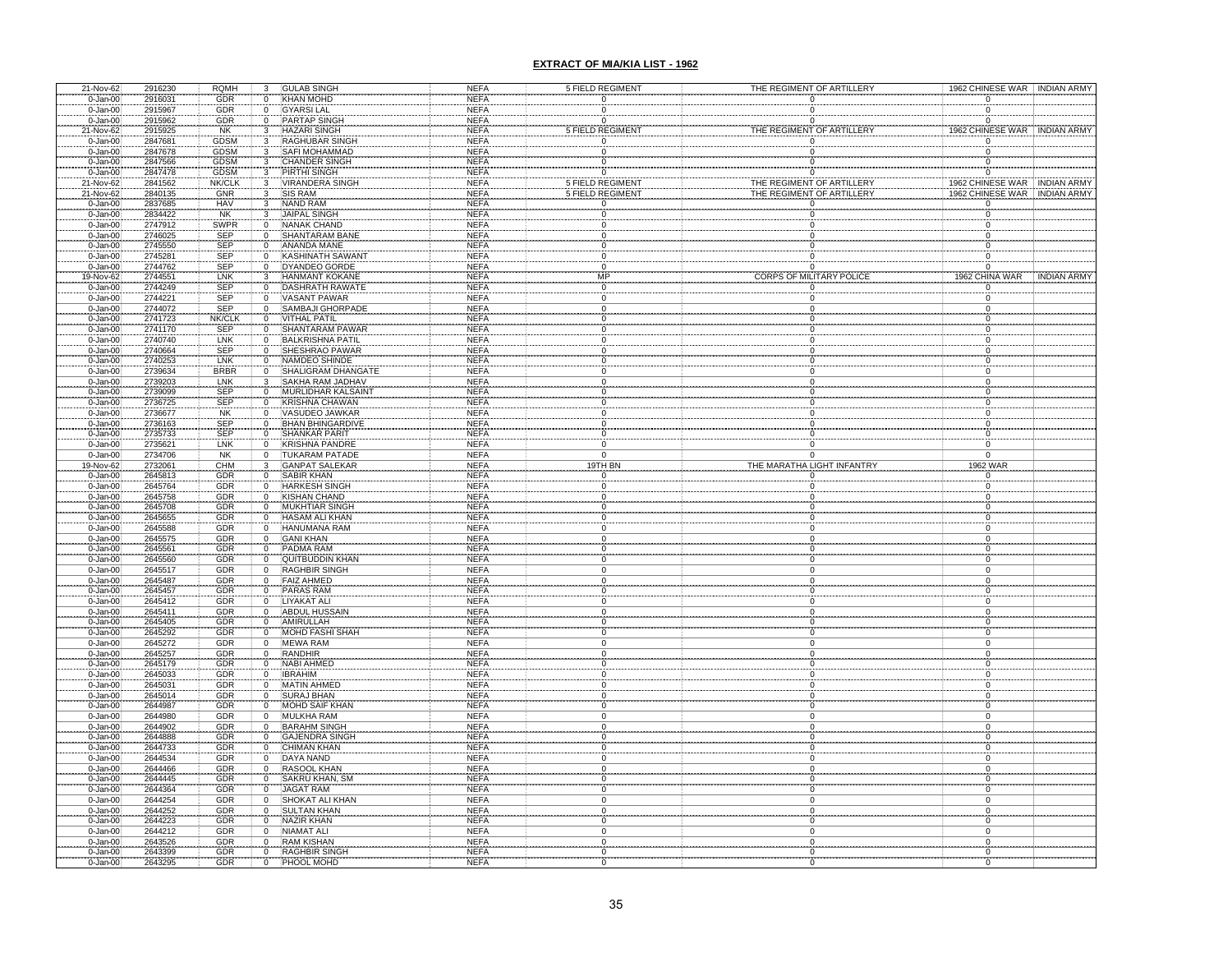| 21-Nov-62                        | 2916230                        | <b>RQMH</b>              | 3                                             | <b>GULAB SINGH</b>                                          | <b>NEFA</b> | 5 FIELD REGIMENT |                |                                 | THE REGIMENT OF ARTILLERY |          |                  | 1962 CHINESE WAR INDIAN ARMY |
|----------------------------------|--------------------------------|--------------------------|-----------------------------------------------|-------------------------------------------------------------|-------------|------------------|----------------|---------------------------------|---------------------------|----------|------------------|------------------------------|
| $0 - Jan-00$                     | 2916031                        | GDR                      | $\pmb{0}$                                     | <b>KHAN MOHD</b>                                            | <b>NEFA</b> |                  |                |                                 |                           |          | 0                |                              |
| 0-Jan-00                         | 2915967                        | GDR                      | $\overline{0}$                                | <b>GYARSI LAL</b>                                           | <b>NEFA</b> |                  |                |                                 |                           | $\Omega$ |                  |                              |
| $0 - Jan-00$                     | 2915962                        | GDR                      | $\pmb{0}$                                     | <b>PARTAP SINGH</b>                                         | <b>NEFA</b> |                  | $\Omega$       | $\Omega$                        |                           | $\Omega$ |                  |                              |
| 21-Nov-62                        | 2915925                        |                          |                                               | <b>HAZARI SINGH</b>                                         | <b>NEFA</b> | 5 FIELD REGIMENT |                | THE REGIMENT OF ARTILLERY       |                           |          |                  | 1962 CHINESE WAR INDIAN ARMY |
| $0 - Jan-00$                     | 2847681                        | NK<br>GDSM               |                                               | <b>RAGHUBAR SINGH</b>                                       | <b>NEFA</b> |                  | $\Omega$       |                                 | $\Omega$                  |          | 0                |                              |
| $0 - Jan-00$                     | 2847678                        | <b>GDSM</b>              | $\begin{array}{c} 3 \\ 3 \\ 3 \end{array}$    | <b>SAFI MOHAMMAD</b>                                        | <b>NEFA</b> |                  | $\Omega$       | $\Omega$                        |                           |          | $\Omega$         |                              |
|                                  |                                |                          |                                               |                                                             |             |                  |                |                                 |                           |          |                  |                              |
| $0 - Jan-00$                     | 2847566                        | <b>GDSM</b>              | $\frac{3}{2}$                                 | <b>CHANDER SINGH</b>                                        | <b>NEFA</b> |                  | $\frac{0}{0}$  |                                 | $\overline{0}$            |          | $\boldsymbol{0}$ |                              |
| $0 - Jan-00$                     | 2847478                        | <b>GDSM</b>              | $\overline{\mathbf{3}}$                       | PIRTHI SINGH                                                | <b>NEFA</b> |                  |                | $\Omega$                        |                           |          | $\Omega$         |                              |
| 21-Nov-62                        | 2841562                        | <b>NK/CLK</b>            | 3                                             | <b>VIRANDERA SINGH</b>                                      | <b>NEFA</b> | 5 FIELD REGIMENT |                | THE REGIMENT OF ARTILLERY       |                           |          |                  | 1962 CHINESE WAR INDIAN ARMY |
| 21-Nov-62                        | 2840135                        | GNR                      | 3                                             | <b>SIS RAM</b>                                              | <b>NEFA</b> | 5 FIELD REGIMENT |                | THE REGIMENT OF ARTILLERY       |                           |          | 1962 CHINESE WAR | <b>INDIAN ARMY</b>           |
| 0-Jan-00<br>0-Jan-00             | 2837685                        | HAV<br>NK<br>SWPR        | 3                                             | <b>NAND RAM</b>                                             | <b>NEFA</b> |                  |                |                                 |                           |          |                  |                              |
|                                  | 2834422                        |                          | 3                                             | <b>JAIPAL SINGH</b>                                         | <b>NEFA</b> |                  |                |                                 |                           |          |                  |                              |
| $0 - Jan-00$                     | 2747912                        |                          | ö                                             | NANAK CHAND                                                 | <b>NEFA</b> |                  |                |                                 |                           | $\Omega$ |                  |                              |
| $0 - Jan-00$                     | 2746025                        | SEP                      | $\overline{0}$                                | SHANTARAM BANE                                              | <b>NEFA</b> |                  |                |                                 |                           | O        |                  |                              |
| $0 - Jan-00$                     | 2745550                        | <b>SEP</b>               | $\overline{0}$                                | <b>ANANDA MANE</b>                                          | <b>NEFA</b> | $\Omega$         |                |                                 |                           |          |                  |                              |
| $0 - Jan-00$                     | 2745281                        | <b>SEP</b>               | $\overline{0}$                                | <b>KASHINATH SAWANT</b>                                     | <b>NEFA</b> | $\Omega$         |                |                                 |                           | O        |                  |                              |
| $0 - Jan-00$                     | 2744762                        | SEP                      | $\overline{0}$                                | <b>DYANDEO GORDE</b>                                        | <b>NEFA</b> |                  | $\Omega$       |                                 |                           |          |                  |                              |
|                                  | 2744551                        | <b>LNK</b>               |                                               |                                                             | <b>NEFA</b> | <b>MP</b>        |                | <b>CORPS OF MILITARY POLICE</b> |                           |          | 1962 CHINA WAR   | <b>INDIAN ARMY</b>           |
| 19-Nov-62<br>0-Jan-00            | 2744249                        | SEP                      | $\frac{3}{0}$                                 | HANMANT KOKANE<br>DASHRATH RAWATE                           | <b>NEFA</b> |                  |                |                                 |                           |          | $\overline{0}$   |                              |
| $0 - Jan-00$                     | 2744221                        | <b>SEP</b>               | $\overline{0}$                                | <b>VASANT PAWAR</b>                                         | <b>NEFA</b> |                  | $\overline{0}$ | $\overline{0}$                  |                           |          | 0                |                              |
| $0 - Jan-00$                     | 2744072                        | <b>SEP</b>               | $\overline{0}$                                | <b>SAMBAJI GHORPADE</b>                                     | <b>NEFA</b> |                  | $\Omega$       | $\Omega$                        |                           |          | 0                |                              |
|                                  |                                | NK/CLK                   | $\overline{0}$                                |                                                             | <b>NEFA</b> |                  | 0              |                                 |                           |          | 0                |                              |
| 0-Jan-00<br>0-Jan-00             |                                | SEP                      |                                               |                                                             | <b>NEFA</b> |                  |                |                                 |                           |          |                  |                              |
| $0 - Jan-00$                     | 2741723<br>2741170<br>2740740  | LNK                      | 0<br>0                                        | <b>WITHAL PATIL<br/>SHANTARAM PAWAR</b><br>BALKRISHNA PATIL | <b>NEFA</b> |                  |                |                                 |                           |          |                  |                              |
| $0 - Jan-00$                     | 2740664                        | SEP                      | $\overline{0}$                                | SHESHRAO PAWAR                                              | <b>NEFA</b> |                  |                |                                 |                           |          |                  |                              |
| $0 - Jan-00$                     | 2740253                        | LNK                      | $\overline{0}$                                | NAMDEO SHINDE                                               | <b>NEFA</b> |                  |                | $\Omega$                        |                           |          |                  |                              |
| $0 - Jan-00$                     | 2739634                        | <b>BRBR</b>              | $\overline{0}$                                | SHALIGRAM DHANGATE                                          | <b>NEFA</b> |                  |                |                                 |                           |          |                  |                              |
| $0 - Jan-00$                     | 2739203                        | LNK                      | $\overline{3}$                                | SAKHA RAM JADHAV                                            | <b>NEFA</b> |                  |                |                                 |                           |          |                  |                              |
|                                  | 2739099                        | <b>SEP</b>               | Ö                                             | <b>MURLIDHAR KALSAINT</b>                                   | <b>NEFA</b> |                  |                |                                 |                           |          |                  |                              |
| $0 - Jan-00$                     |                                | <b>SEP</b>               |                                               |                                                             | <b>NEFA</b> |                  |                |                                 |                           |          |                  |                              |
| $0 - Jan-00$                     | 2736725<br>2736677             | <b>NK</b>                | $\frac{0}{0}$                                 | KRISHNA CHAWAN<br>VASUDEO JAWKAR                            | <b>NEFA</b> |                  |                |                                 |                           |          |                  |                              |
| $0 - Jan-00$                     |                                |                          |                                               |                                                             |             |                  |                |                                 |                           |          |                  |                              |
| 0-Jan-00<br>0-Jan-00<br>0-Jan-00 | 2736163<br>2735733<br>2735621  | SEP                      | $\boldsymbol{0}$                              | BHAN BHINGARDIVE<br>SHANKAR PARIT<br>KRISHNA PANDRE         | <b>NEFA</b> |                  |                |                                 |                           |          |                  |                              |
|                                  |                                | <b>SEP</b>               | $\frac{0}{0}$                                 |                                                             | <b>NEFA</b> |                  |                |                                 |                           |          |                  |                              |
|                                  |                                | LNK                      |                                               |                                                             | <b>NEFA</b> |                  |                |                                 |                           |          |                  |                              |
| $0 - Jan-00$                     | 2734706                        | <b>NK</b>                | $\overline{0}$                                | <b>TUKARAM PATADE</b>                                       | <b>NEFA</b> |                  | $\Omega$       |                                 | $\Omega$                  |          | $\Omega$         |                              |
| 19-Nov-62<br>0-Jan-00            | 2732061<br>2645813             | CHM<br>GDR               | $\begin{array}{c} 3 \\ 0 \end{array}$         | GANPAT SALEKAR<br>SABIR KHAN                                | <b>NEFA</b> |                  | 19TH BN        | THE MARATHA LIGHT INFANTRY      |                           |          | 1962 WAR         |                              |
|                                  |                                |                          |                                               |                                                             | <b>NEFA</b> |                  |                |                                 |                           |          |                  |                              |
| $0 - Jan-00$                     | 2645764                        | GDR                      | $\ddot{o}$                                    | <b>HARKESH SINGH</b>                                        | <b>NEFA</b> |                  |                |                                 |                           |          |                  |                              |
| $0 - Jan-00$                     | 2645758                        | <b>GDR</b>               | $\overline{0}$                                | <b>KISHAN CHAND</b>                                         | <b>NEFA</b> |                  |                |                                 |                           |          |                  |                              |
| $0 - Jan-00$                     | 2645708                        | <b>GDR</b>               | $\mathbf 0$                                   | <b>MUKHTIAR SINGH</b>                                       | <b>NEFA</b> |                  |                |                                 |                           | $\Omega$ |                  |                              |
| $0 - Jan-00$                     | 2645655                        | <b>GDR</b>               | $\overline{0}$                                | <b>HASAM ALI KHAN</b>                                       | <b>NEFA</b> |                  |                | $\mathbf 0$                     |                           | 0        |                  |                              |
| $0 - Jan-00$                     | 2645588                        | GDR                      | $\mathbf 0$                                   | <b>HANUMANA RAM</b>                                         | <b>NEFA</b> |                  |                | $\Omega$                        |                           | $\Omega$ |                  |                              |
| $0 - Jan-00$                     | 2645575                        | GDR<br>GDR               | $\frac{0}{0}$                                 | <b>GANI KHAN</b>                                            | <b>NEFA</b> |                  | 0              | 0                               |                           |          | 0                |                              |
| $0 - Jan-00$                     | 2645561                        |                          |                                               | PADMA RAM                                                   | <b>NEFA</b> |                  |                |                                 |                           |          |                  |                              |
| $0 - Jan-00$                     | 2645560                        | GDR                      | $\mathbf 0$                                   | <b>QUITBUDDIN KHAN</b>                                      | <b>NEFA</b> |                  | $\mathbf 0$    |                                 | $\mathbf 0$               |          | 0                |                              |
| $0 - Jan-00$                     | 2645517                        | GDR                      | $\overline{0}$                                | RAGHBIR SINGH                                               | <b>NEFA</b> |                  | $\mathbf 0$    | $\overline{0}$                  |                           |          | 0                |                              |
| 0-Jan-00<br>0-Jan-00             | 2645487                        |                          | $\overline{0}$                                | <b>FAIZ AHMED</b>                                           | <b>NEFA</b> |                  |                | $\mathbf 0$                     |                           |          |                  |                              |
|                                  | 2645457                        |                          | $\overline{0}$                                |                                                             | <b>NEFA</b> |                  |                |                                 |                           |          |                  |                              |
| $0 - Jan-00$                     | 2645412                        | GDR<br>GDR<br>GDR<br>GDR | $\overline{0}$                                | PARAS RAM<br>LIYAKAT ALI                                    | <b>NEFA</b> |                  |                |                                 |                           |          |                  |                              |
| $0 - Jan-00$                     | 2645411                        |                          | $\overline{0}$                                | <b>ABDUL HUSSAIN</b>                                        | <b>NEFA</b> |                  |                |                                 |                           |          |                  |                              |
| $0 - Jan-00$                     | 2645405                        | GDR                      | $\overline{0}$                                | <b>AMIRULLAH</b>                                            | <b>NEFA</b> |                  |                | 0                               |                           |          |                  |                              |
| $0 - Jan-00$                     | 2645292                        | GDR                      | $\ddot{o}$                                    | <b>MOHD FASHI SHAH</b>                                      | <b>NEFA</b> |                  |                | $\mathbf 0$                     |                           |          |                  |                              |
| $0 - Jan-00$                     | 2645272                        | GDR                      | $\overline{0}$                                | <b>MEWA RAM</b>                                             | <b>NEFA</b> |                  |                |                                 |                           |          |                  |                              |
|                                  | 2645257                        |                          | $\pmb{0}$                                     | RANDHIR                                                     | <b>NEFA</b> |                  |                |                                 |                           |          |                  |                              |
|                                  |                                |                          |                                               | NABI AHMED                                                  | <b>NEFA</b> |                  |                |                                 |                           |          |                  |                              |
| 0-Jan-00<br>0-Jan-00<br>0-Jan-00 | --------<br>2645179<br>2645033 | GDR<br>GDR<br>GDR        | $\overline{0}$                                | <b>IBRAHIM</b>                                              | <b>NEFA</b> |                  |                |                                 |                           |          |                  |                              |
|                                  | 2645031                        |                          | $\boldsymbol{0}$                              |                                                             | <b>NEFA</b> |                  |                |                                 |                           |          |                  |                              |
| 0-Jan-00<br>0-Jan-00<br>0-Jan-00 |                                | GDR<br>GDR<br>GDR        | 0                                             | MATIN AHMED                                                 | <b>NEFA</b> |                  |                |                                 |                           |          |                  |                              |
|                                  | 2645014<br>2644987             |                          | $\overline{0}$                                | <b>MOHD SAIF KHAI</b>                                       | <b>NEFA</b> |                  |                |                                 |                           |          |                  |                              |
| $0 - Jan-00$                     | 2644980                        | GDR                      | $\overline{0}$                                | <b>MULKHA RAM</b>                                           | <b>NEFA</b> | $\Omega$         |                | $\Omega$                        |                           |          |                  |                              |
|                                  |                                |                          | $\pmb{0}$                                     | <b>BARAHM SINGH</b>                                         | <b>NEFA</b> |                  |                |                                 |                           |          |                  |                              |
| 0-Jan-00<br>0-Jan-00             | 2644902<br>2644888             | GDR<br>GDR               | $\overline{0}$                                | GAJENDRA SINGH                                              | <b>NEFA</b> |                  |                |                                 |                           |          |                  |                              |
| $0 - Jan-00$                     | 2644733                        | GDR                      | $\overline{0}$                                | CHIMAN KHAN                                                 | <b>NEFA</b> |                  |                | $\Omega$                        |                           | $\Omega$ |                  |                              |
| $0 - Jan-00$                     | 2644534                        | GDR                      | $\overline{0}$                                | DAYA NAND                                                   | <b>NEFA</b> |                  |                | $\mathbf 0$                     |                           | $\Omega$ |                  |                              |
| $0 - Jan-00$                     | 2644466                        | GDR                      | $\overline{0}$                                | <b>RASOOL KHAN</b>                                          | <b>NEFA</b> |                  | $\Omega$       | $\mathbf 0$                     |                           |          | 0                |                              |
| $0 - Jan-00$                     | 2644445                        | GDR                      | $\overline{0}$                                | SAKRU KHAN, SM                                              | <b>NEFA</b> | $\Omega$         |                | $\mathbf 0$                     |                           | 0        |                  |                              |
| $0 - Jan-00$                     | 2644364                        | GDR                      | $\overline{0}$                                | <b>JAGAT RAM</b>                                            | <b>NEFA</b> |                  | $\Omega$       | $\Omega$                        |                           |          | $\Omega$         |                              |
| $0 - Jan-00$                     | 2644254                        |                          |                                               | <b>SHOKAT ALI KHAN</b>                                      | <b>NEFA</b> |                  | 0              | 0                               |                           |          | 0                |                              |
| $0 - Jan-00$                     | 2644252                        | GDR<br>GDR               | $\begin{smallmatrix}0\\0\\0\end{smallmatrix}$ | <b>SULTAN KHAN</b>                                          | <b>NEFA</b> |                  | $\Omega$       | $\Omega$                        |                           |          | $\Omega$         |                              |
| $0 - Jan-00$                     | 2644223                        | GDR                      | $\overline{0}$                                | NAZIR KHAN                                                  | <b>NEFA</b> |                  | $\mathbf 0$    | $\mathbf 0$                     |                           |          | 0                |                              |
| $0 - Jan-00$                     | 2644212                        | GDR                      | $\overline{0}$                                | <b>NIAMAT ALI</b>                                           | <b>NEFA</b> |                  | $\Omega$       | $\Omega$                        |                           |          | $\Omega$         |                              |
|                                  | 2643526                        |                          | $\overline{0}$                                | <b>RAM KISHAN</b>                                           | <b>NEFA</b> |                  |                |                                 |                           |          |                  |                              |
| 0-Jan-00<br>0-Jan-00             | 2643399                        | GDR<br>GDR               |                                               | <b>RAGHBIR SINGH</b>                                        | <b>NEFA</b> |                  |                |                                 |                           |          |                  |                              |
| $0 - Jan-00$                     | 2643295                        | <b>GDR</b>               | $\begin{matrix} 0 \\ 0 \end{matrix}$          | PHOOL MOHD                                                  | <b>NEFA</b> |                  |                |                                 |                           |          |                  |                              |
|                                  |                                |                          |                                               |                                                             |             |                  |                |                                 |                           |          |                  |                              |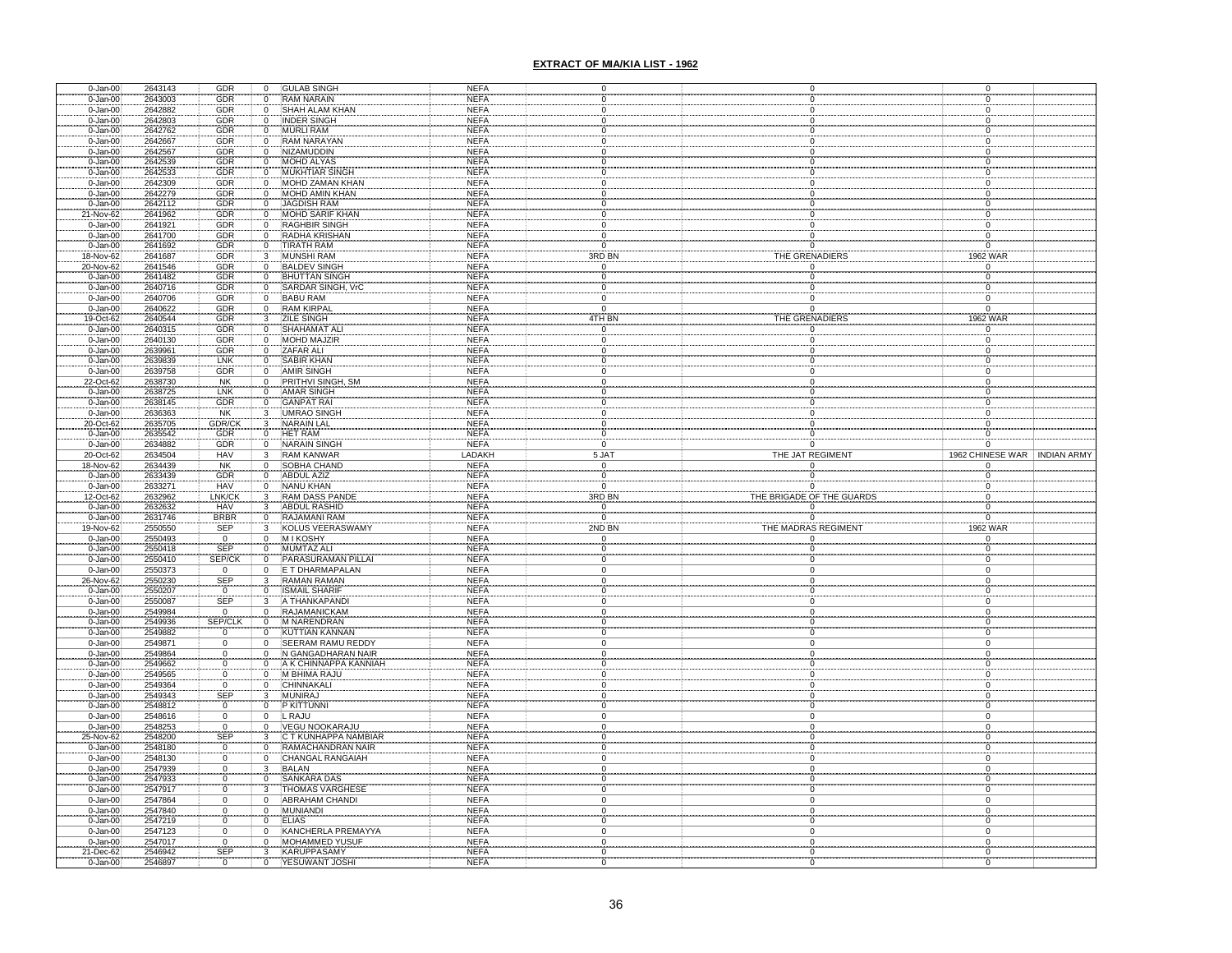| 0-Jan-00                     | 2643143            | GDR                          | 0                                    | <b>GULAB SINGH</b>                     | <b>NEFA</b>                |                |                          |          |                                  |                                |
|------------------------------|--------------------|------------------------------|--------------------------------------|----------------------------------------|----------------------------|----------------|--------------------------|----------|----------------------------------|--------------------------------|
| $0 - Jan-00$                 | 2643003            | GDR                          | $\overline{0}$                       | <b>RAM NARAIN</b>                      | NEFA                       |                |                          |          |                                  |                                |
| $0 - Jan-00$                 | 2642882            | GDR                          | Ö                                    | SHAH ALAM KHAN                         | <b>NEFA</b>                |                |                          |          |                                  |                                |
| $0 - Jan-00$                 | 2642803            | GDR                          | $\overline{0}$                       | <b>INDER SINGH</b>                     | <b>NEFA</b>                |                |                          |          |                                  |                                |
| $0 - Jan-00$                 | 2642762            | GDR                          | $\overline{0}$                       | <b>MURLI RAM</b>                       | <b>NEFA</b>                |                |                          |          |                                  |                                |
| $0 - Jan-00$                 | 2642667            | <b>GDR</b>                   | $\mathbf 0$                          | <b>RAM NARAYAN</b>                     | <b>NEFA</b>                |                |                          |          |                                  |                                |
| $0 - Jan-00$                 | 2642567            | GDR                          | $\mathbf 0$                          | <b>NIZAMUDDIN</b>                      | <b>NEFA</b>                | $\Omega$       | $\Omega$                 |          |                                  |                                |
| $0 - Jan-00$                 | 2642539            | GDR                          | $\overline{0}$                       | <b>MOHD ALYAS</b>                      | <b>NEFA</b>                | 0              | $^{\circ}$               |          |                                  |                                |
| $0 - Jan-00$                 | 2642533            | <b>GDR</b>                   | $\mathbf 0$                          | <b>MUKHTIAR SINGH</b>                  | <b>NEFA</b>                |                |                          |          |                                  |                                |
| $0 - Jan-00$                 | 2642309            | <b>GDR</b>                   | $\overline{0}$                       | MOHD ZAMAN KHAN                        | <b>NEFA</b>                | $\Omega$       | $\Omega$                 |          |                                  |                                |
| $0 - Jan-00$                 | 2642279            | GDR                          | $\mathbf 0$                          | MOHD AMIN KHAN                         | <b>NEFA</b>                | $\mathbf 0$    | $\mathbf 0$              |          | $\Omega$                         |                                |
| 0-Jan-00                     | 2642112            | GDR                          | $\overline{0}$                       | <b>JAGDISH RAM</b>                     | <b>NEFA</b>                | 0              | $\mathbf 0$              |          |                                  |                                |
| 21-Nov-62                    | 2641962            | GDR                          | $\mathbf 0$                          | <b>MOHD SARIF KHAN</b>                 | <b>NEFA</b>                |                |                          |          |                                  |                                |
| 0-Jan-00                     | 2641921            | GDR                          | $\overline{0}$                       | <b>RAGHBIR SINGH</b>                   | <b>NEFA</b>                |                |                          |          |                                  |                                |
| $0 - Jan-00$                 | 2641700            | GDR                          | $\overline{0}$                       | <b>RADHA KRISHAN</b>                   | <b>NEFA</b>                | $\Omega$       |                          |          |                                  |                                |
| $0 - Jan-00$                 | 2641692            | GDR                          | $\mathbf 0$                          | TIRATH RAM                             | <b>NEFA</b>                | $\Omega$       |                          | $\Omega$ | $\Omega$                         |                                |
| 18-Nov-62                    | 2641687            | GDR                          | $\overline{\mathbf{3}}$              | <b>MUNSHI RAM</b>                      | <b>NEFA</b>                | 3RD BN         | THE GRENADIERS           |          | 1962 WAR                         |                                |
| 20-Nov-62                    | 2641546            | GDR                          | $\overline{0}$                       | <b>BALDEV SINGH</b>                    | <b>NEFA</b>                | $\overline{0}$ |                          | 'n       | $\overline{0}$                   |                                |
| 0-Jan-00                     | 2641482            | GDR                          | $\overline{0}$                       | <b>BHUTTAN SINGH</b>                   | <b>NEFA</b>                | $\overline{0}$ |                          |          | $\overline{0}$                   |                                |
| $0 - Jan-00$                 | 2640716            | <b>GDR</b>                   | $\overline{0}$                       | SARDAR SINGH, VrC                      | <b>NEFA</b>                | $\Omega$       |                          | $\Omega$ | $\Omega$                         |                                |
| $0 - Jan-00$                 | 2640706            | GDR                          | $\overline{0}$                       | <b>BABU RAM</b>                        | <b>NEFA</b>                | $\overline{0}$ | $\Omega$                 |          | $\overline{0}$                   |                                |
| 0-Jan-00                     | 2640622            | GDR                          | $\overline{0}$                       | <b>RAM KIRPAL</b>                      | <b>NEFA</b>                | $\overline{0}$ | $\Omega$                 |          | $\overline{0}$                   |                                |
| 19-Oct-62                    | 2640544            | GDR                          | $\overline{\mathbf{3}}$              | <b>ZILE SINGH</b>                      | <b>NEFA</b>                | 4TH BN         | THE GRENADIERS           |          | 1962 WAR                         |                                |
| $0 - Jan-00$                 | 2640315            | GDR                          | $\begin{matrix} 0 \\ 0 \end{matrix}$ | SHAHAMAT AL                            | <b>NEFA</b>                | $\Omega$       |                          | $\Omega$ |                                  |                                |
| $0 - Jan-00$                 | 2640130            | GDR                          |                                      | <b>MOHD MAJZIR</b>                     | <b>NEFA</b>                | $\Omega$       |                          |          |                                  |                                |
| $0 - Jan-00$                 | 2639961            | GDR                          | $\overline{0}$                       | ZAFAR ALI                              | <b>NEFA</b>                | $\Omega$       |                          | $\Omega$ |                                  |                                |
| $0 - Jan-00$                 | 2639839            | LNK                          | $\overline{0}$                       | <b>SABIR KHAN</b>                      | <b>NEFA</b>                | 0              | $\mathbf 0$              |          |                                  |                                |
| $0 - Jan-00$                 | 2639758            | GDR                          | $\overline{0}$                       | <b>AMIR SINGH</b>                      | <b>NEFA</b>                | $\Omega$       | $\mathbf 0$              |          |                                  |                                |
| 22-Oct-62                    | 2638730            | <b>NK</b>                    | $\overline{0}$                       | PRITHVI SINGH, SM                      | <b>NEFA</b>                | $\Omega$       | $\mathbf 0$              |          |                                  |                                |
| $0 - Jan-00$                 | 2638725            | LNK                          | 0                                    | <b>AMAR SINGH</b>                      | <b>NEFA</b>                | 0              | 0                        |          |                                  |                                |
| 0-Jan-00                     | 2638145            | GDR                          | $\frac{0}{3}$                        | <b>GANPAT RAI</b>                      | <b>NEFA</b>                |                |                          |          |                                  |                                |
| $0 - Jan-00$                 | 2636363            | <b>NK</b>                    |                                      | <b>UMRAO SINGH</b>                     | NEFA                       | $\Omega$       |                          |          |                                  |                                |
| 20-Oct-62                    | 2635705            | GDR/CK                       | $\mathbf{3}$                         | <b>NARAIN LAL</b>                      | <b>NEFA</b>                | 0              |                          |          |                                  |                                |
| $0 - Jan-00$                 | 2635542            | GDR                          | 0                                    | HET RAM                                | <b>NEFA</b>                | 0              |                          |          |                                  |                                |
| $0 - Jan-00$                 | 2634882            | GDR                          | $\overline{0}$                       | <b>NARAIN SINGH</b>                    | <b>NEFA</b>                | $\Omega$       |                          | $\Omega$ | $\Omega$                         |                                |
| 20-Oct-62                    | 2634504            | <b>HAV</b>                   | $\overline{3}$                       | <b>RAM KANWAR</b>                      | LADAKH                     | 5 JAT          | THE JAT REGIMENT         |          |                                  | 1962 CHINESE WAR   INDIAN ARMY |
| 18-Nov-62<br>$0 - Jan-00$    | 2634439<br>2633439 | NK<br>GDR                    | $\overline{0}$                       | SOBHA CHAND<br><b>ABDUL AZIZ</b>       | <b>NEFA</b><br><b>NEFA</b> | 0              |                          |          |                                  |                                |
|                              |                    |                              | $\mathfrak o$                        |                                        |                            |                |                          |          |                                  |                                |
|                              |                    |                              |                                      |                                        |                            | 0              |                          |          |                                  |                                |
| $0 - Jan-00$                 | 2633271            | <b>HAV</b>                   | $\overline{0}$                       | <b>NANU KHAN</b>                       | <b>NEFA</b>                | $\overline{0}$ |                          | $\Omega$ | $\Omega$                         |                                |
| 12-Oct-62                    | 2632962            | LNK/CK                       | $\overline{3}$                       | RAM DASS PAND                          | <b>NEFA</b>                | 3RD BN         | THE BRIGADE OF THE GUARD |          | $\Omega$                         |                                |
| $0 - Jan-00$                 | 2632632            | HAV                          | $\mathbf{3}$                         | ABDUL RASHID                           | <b>NEFA</b>                | $\overline{0}$ |                          | 0        | $\mathbf 0$                      |                                |
| $0 - Jan-00$                 | 2631746            | <b>BRBR</b>                  | $\overline{0}$                       | RAJAMANI RAM                           | <b>NEFA</b>                | $\Omega$       |                          | $\Omega$ | $\Omega$                         |                                |
| 19-Nov-62                    | 2550550            | <b>SEP</b>                   | $\overline{3}$                       | KOLUS VEERASWAMY                       | <b>NEFA</b>                | 2ND BN         | THE MADRAS REGIMENT      |          | 1962 WAR                         |                                |
| $0 - Jan-00$                 | 2550493            | $\mathbf{0}$                 | $\mathbf 0$                          | <b>MIKOSHY</b>                         | <b>NEFA</b>                | 0              |                          |          | 0                                |                                |
| $0 - Jan-00$                 | 2550418            | SEP                          | $\mathbf 0$                          | MUMTAZ ALI                             | <b>NEFA</b>                | $\Omega$       | $\Omega$                 |          | $\Omega$                         |                                |
| $0 - Jan-00$                 | 2550410            | SEP/CK                       | $\overline{0}$                       | PARASURAMAN PILLAI                     | <b>NEFA</b>                | $\mathbf 0$    | $\mathbf 0$              |          | 0                                |                                |
| $0 - Jan-00$                 | 2550373            | $\Omega$                     | $\overline{0}$                       | E T DHARMAPALAN                        | <b>NEFA</b>                | $\overline{0}$ | $\overline{0}$           |          | $\Omega$                         |                                |
| 26-Nov-62                    | 2550230            | SEP                          | $\overline{\mathbf{3}}$              | <b>RAMAN RAMAN</b>                     | <b>NEFA</b>                | 0              | 0                        |          |                                  |                                |
| $0 - Jan-00$                 | 2550207            | $\mathbf 0$                  | $\overline{0}$                       | <b>ISMAIL SHARIF</b>                   | <b>NEFA</b>                |                |                          |          |                                  |                                |
| $0 - Jan-00$                 | 2550087            |                              | 3                                    | A THANKAPAND                           | <b>NEFA</b>                |                |                          |          |                                  |                                |
| 0-Jan-00                     | 2549984            | $S^{EP}_{0}$                 | $\mathbf 0$                          | <b>RAJAMANICKAM</b>                    | <b>NEFA</b>                |                |                          |          |                                  |                                |
| $0 - Jan-00$                 | 2549936            | <b>SEP/CLK</b>               | $\overline{0}$                       | M NARENDRAN                            | <b>NEFA</b>                |                |                          |          |                                  |                                |
| $0 - Jan-00$                 | 2549882            | $\overline{0}$               | $\overline{0}$                       | <b>KUTTIAN KANNAN</b>                  | <b>NEFA</b>                |                | $\Omega$<br>$\Omega$     |          |                                  |                                |
| $0 - Jan-00$                 | 2549871            | $\Omega$                     | $\overline{0}$                       | SEERAM RAMU REDDY                      | <b>NEFA</b>                |                |                          |          |                                  |                                |
| $0 - Jan-00$                 | 2549864            | $\Omega$<br>$\Omega$         | $\Omega$<br>$\Omega$                 | N GANGADHARAN NAIR                     | <b>NEFA</b>                | $\Omega$       | $\Omega$                 |          |                                  |                                |
| $0 - Jan-00$                 | 2549662            |                              |                                      | A K CHINNAPPA KANNIAH                  | <b>NEFA</b>                | $\Omega$       | $\Omega$                 |          | $\Omega$                         |                                |
| $0 - Jan-00$                 | 2549565            | $\overline{0}$               | $\overline{0}$                       | M BHIMA RAJU                           | <b>NEFA</b>                |                | $\Omega$                 |          |                                  |                                |
| $0 - Jan-00$                 | 2549364            | $\mathbf 0$                  | $\mathbf 0$<br>3                     | CHINNAKALI                             | <b>NEFA</b>                | 0              |                          |          |                                  |                                |
| $0 - Jan-00$                 | 2549343            | <b>SEP</b><br>$\overline{0}$ |                                      | <b>MUNIRAJ</b>                         | <b>NEFA</b>                | $\Omega$       | $\Omega$                 |          | $\Omega$                         |                                |
| $0 - Jan-00$                 | 2548812            |                              | $\overline{0}$                       | <b>P KITTUNNI</b>                      | <b>NEFA</b>                | $\mathbf 0$    |                          |          | $\Omega$                         |                                |
| $0 - Jan-00$                 | 2548616            | 0<br>$\overline{0}$          | $\mathbf 0$                          | L RAJU                                 | <b>NEFA</b>                | $\Omega$       | $\mathbf 0$              |          |                                  |                                |
| $0 - Jan-00$<br>25-Nov-62    | 2548253<br>2548200 | SEP                          | $\overline{0}$<br>3                  | VEGU NOOKARAJU<br>C T KUNHAPPA NAMBIAR | <b>NEFA</b><br><b>NEFA</b> |                |                          |          |                                  |                                |
| $0 - Jan-00$                 | 2548180            | $\overline{0}$               | $\overline{0}$                       | RAMACHANDRAN NAIR                      | <b>NEFA</b>                |                |                          |          |                                  |                                |
|                              | 2548130            |                              | $\overline{0}$                       | <b>CHANGAL RANGAIAH</b>                | <b>NEFA</b>                |                |                          |          |                                  |                                |
| 0-Jan-00                     | 2547939            | $\frac{0}{0}$                | 3                                    |                                        | <b>NEFA</b>                |                |                          |          |                                  |                                |
| $0 - Jan-00$                 | 2547933            | $\Omega$                     | $\overline{0}$                       | <b>BALAN</b><br><b>SANKARA DAS</b>     | <b>NEFA</b>                |                |                          |          |                                  |                                |
| $0 - Jan-00$                 | 2547917            | ō                            | $\overline{3}$                       | <b>THOMAS VARGHESE</b>                 | <b>NEFA</b>                |                | $\Omega$                 |          | $\Omega$                         |                                |
| $0 - Jan-00$                 | 2547864            | $\Omega$                     | $\Omega$                             |                                        |                            | $\Omega$       | 0                        |          |                                  |                                |
| $0 - Jan-00$                 |                    | $\ddot{o}$                   | $\Omega$                             | ABRAHAM CHANDI<br><b>MUNIANDI</b>      | <b>NEFA</b><br><b>NEFA</b> | $\Omega$       |                          | $\Omega$ | $\overline{0}$<br>$\overline{0}$ |                                |
| $0 - Jan-00$<br>$0 - Jan-00$ | 2547840<br>2547219 | $\overline{0}$               | $\mathbf 0$                          | <b>ELIAS</b>                           | <b>NEFA</b>                | $\overline{0}$ | $\overline{0}$           |          | $\Omega$                         |                                |
|                              |                    | $\Omega$                     | $\overline{0}$                       | KANCHERLA PREMAYYA                     | <b>NEFA</b>                | $\overline{0}$ | $\Omega$                 |          | $\Omega$                         |                                |
| $0 - Jan-00$                 | 2547123            | $\Omega$                     | $\overline{0}$                       | <b>MOHAMMED YUSUF</b>                  |                            | 0              |                          |          | 0                                |                                |
| $0 - Jan-00$<br>21-Dec-62    | 2547017<br>2546942 | $SEP$ <sub>0</sub>           | $\frac{3}{0}$                        | <b>KARUPPASAMY</b>                     | <b>NEFA</b><br><b>NEFA</b> | 0              |                          |          |                                  |                                |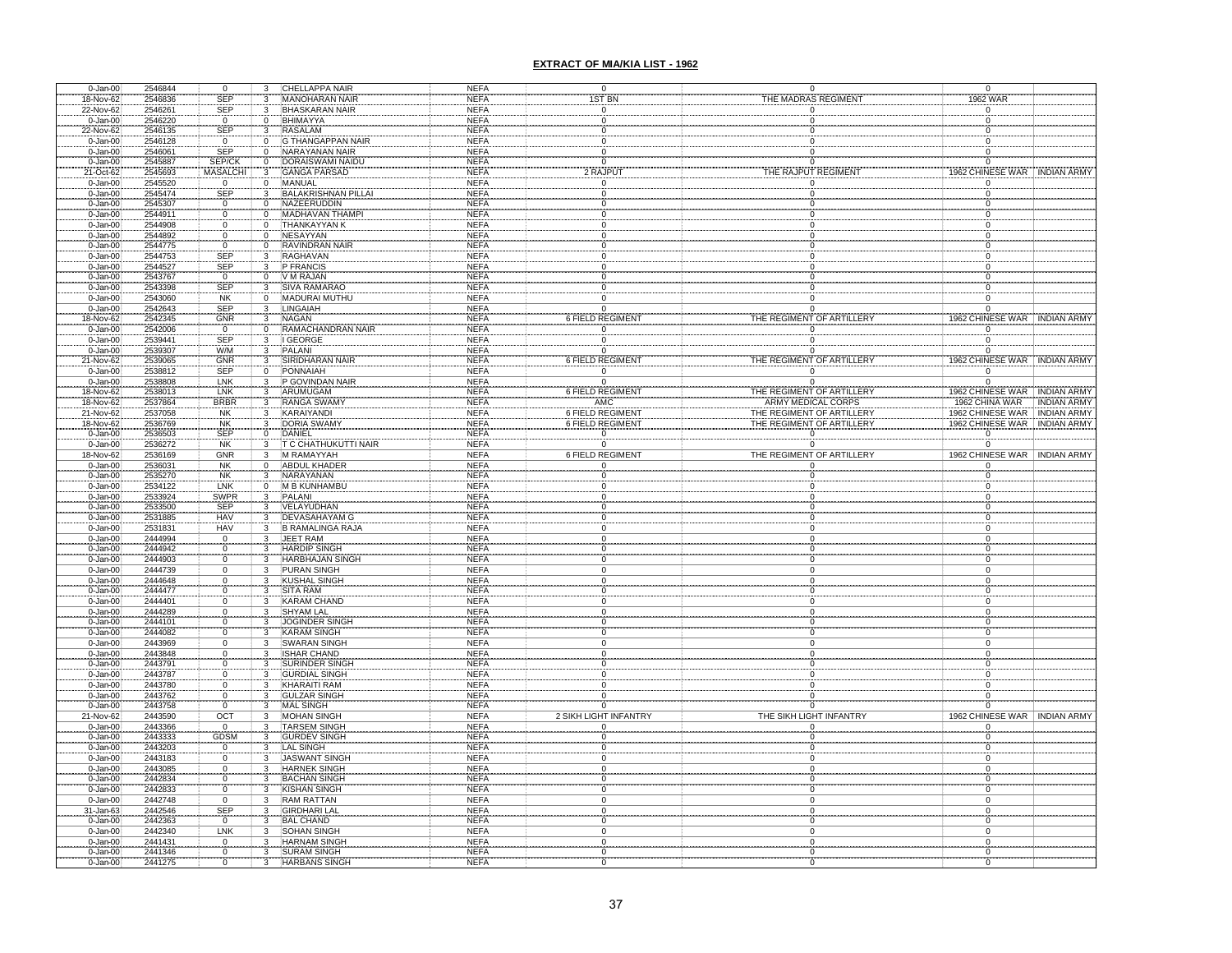| $0 - Jan-00$                 | 2546844            |                         | 0                                             | 3                                          | CHELLAPPA NAIR                              | NEFA                       | $\mathbf 0$             |                                                 | 0                         | 0                            |                  |                                |
|------------------------------|--------------------|-------------------------|-----------------------------------------------|--------------------------------------------|---------------------------------------------|----------------------------|-------------------------|-------------------------------------------------|---------------------------|------------------------------|------------------|--------------------------------|
| 18-Nov-62                    | 2546836            |                         | SEP                                           | 3                                          | <b>MANOHARAN NAIR</b>                       | <b>NEFA</b>                | <b>IST BN</b>           | THE MADRAS REGIMENT                             |                           |                              | 1962 WAR         |                                |
| 22-Nov-62                    | 2546261            |                         | <b>SEP</b>                                    | 3                                          | <b>BHASKARAN NAIR</b>                       | <b>NEFA</b>                |                         |                                                 |                           | $\Omega$                     |                  |                                |
| $0 - Jan-00$                 | 2546220            |                         | $\mathsf 0$                                   | 0                                          | BHIMAYYA                                    | <b>NEFA</b>                |                         |                                                 |                           |                              |                  |                                |
| 22-Nov-62                    | 2546135            |                         | SEP                                           |                                            | <b>RASALAM</b>                              | <b>NEFA</b>                |                         |                                                 |                           |                              |                  |                                |
| $0 - Jan-00$                 | 2546128            |                         | $\overline{0}$                                |                                            | <b>G THANGAPPAN NAIF</b>                    | <b>NEFA</b>                |                         |                                                 |                           |                              |                  |                                |
| $0 - Jan-00$                 | 2546061            |                         | <b>SEP</b>                                    | $\overline{0}$                             | <b>NARAYANAN NAIR</b>                       | <b>NEFA</b>                |                         |                                                 |                           |                              |                  |                                |
| 0-Jan-00                     | 2545887            |                         | SEP/CK                                        | 0                                          | DORAISWAMI NAIDU                            | <b>NEFA</b>                |                         |                                                 |                           |                              |                  |                                |
| 21-Oct-62                    | 2545693            |                         | <b>MASALCHI</b>                               |                                            | <b>GANGA PARSAD</b>                         | <b>NEFA</b>                | 2 RAJPUT                | THE RAJPUT REGIMEN                              |                           |                              |                  | 1962 CHINESE WAR HINDIAN ARMY  |
| $0 - Jan-00$                 | 2545520            |                         | $\overline{0}$                                | $\mathbf 0$                                | <b>MANUAL</b>                               | <b>NEFA</b>                |                         |                                                 |                           |                              |                  |                                |
| $0 - Jan-00$                 | 2545474            |                         | <b>SEP</b>                                    | 3                                          | <b>BALAKRISHNAN PILLAI</b>                  | <b>NEFA</b><br><b>NEFA</b> |                         |                                                 |                           |                              |                  |                                |
| $0 - Jan-00$<br>$0 - Jan-00$ | 2545307<br>2544911 |                         | $\mathbf{0}$<br>Ō                             | 0<br>ō                                     | <b>NAZEERUDDIN</b><br><b>MADHAVAN THAM</b>  | <b>NEFA</b>                |                         |                                                 |                           |                              |                  |                                |
| $0 - Jan-00$                 | 2544908            |                         | $\mathsf{O}\xspace$                           | 0                                          | <b>THANKAYYAN K</b>                         | <b>NEFA</b>                |                         |                                                 |                           |                              |                  |                                |
| $0 - Jan-00$                 | 2544892            |                         | $\mathbf 0$                                   | 0                                          | <b>NESAYYAN</b>                             | <b>NEFA</b>                |                         |                                                 |                           |                              |                  |                                |
| $0 - Jan-00$                 | 2544775            |                         | $\overline{0}$                                | 0                                          | <b>RAVINDRAN NAIR</b>                       | <b>NEFA</b>                |                         |                                                 |                           |                              |                  |                                |
| $0 - Jan-00$                 | 2544753            |                         | SEP                                           | 3                                          | <b>RAGHAVAN</b>                             | <b>NEFA</b>                |                         |                                                 |                           |                              |                  |                                |
| $0 - Jan-00$                 | 2544527            |                         | <b>SEP</b>                                    | 3                                          | P FRANCIS                                   | <b>NEFA</b>                |                         |                                                 |                           |                              |                  |                                |
| $0 - Jan-00$                 | 2543767            |                         |                                               |                                            | V M RAJAN                                   | <b>NEFA</b>                |                         |                                                 |                           | 0                            |                  |                                |
| $0 - Jan-00$                 | 2543398            |                         | $rac{0}{\text{SEP}}$                          | $\begin{smallmatrix}0\\3\end{smallmatrix}$ | SIVA RAMARAO                                | <b>NEFA</b>                |                         |                                                 |                           |                              |                  |                                |
| $0 - Jan-00$                 | 2543060            |                         | NK                                            | 0                                          | MADURAI MUTHU                               | <b>NEFA</b>                | $\Omega$                | 0                                               |                           | $\mathbf 0$                  |                  |                                |
| $0 - Jan-00$                 | 2542643            |                         | <b>SEP</b>                                    | 3                                          | LINGAIAH                                    | <b>NEFA</b>                | 0                       |                                                 | 0                         |                              |                  |                                |
| 18-Nov-62                    | 2542345            |                         |                                               |                                            | <b>NAGAN</b>                                | <b>NEFA</b>                | <b>6 FIELD REGIMENT</b> | THE REGIMENT OF ARTILLERY                       |                           |                              |                  | 1962 CHINESE WAR . INDIAN ARMY |
| $0 - Jan-00$                 | 2542006            | $rac{\text{GNR}}{0}$    |                                               |                                            | RAMACHANDRAN NAIR                           | <b>NEFA</b>                |                         |                                                 |                           |                              |                  |                                |
| 0-Jan-00                     | 2539441            |                         | <b>SEP</b>                                    |                                            | <b>GEORGE</b>                               | <b>NEFA</b>                |                         |                                                 |                           |                              |                  |                                |
| $0 - Jan-00$                 | 2539307            |                         | W/M                                           |                                            | PALANI                                      | <b>NEFA</b>                |                         |                                                 |                           |                              |                  |                                |
| 21-Nov-62                    | 2539065            |                         | GNR                                           |                                            | SIRIDHARAN NAIR                             | <b>NEFA</b>                | 6 FIELD REGIMENT        | THE REGIMENT OF ARTILLERY                       |                           |                              |                  | 1962 CHINESE WAR INDIAN ARMY   |
| 0-Jan-00                     | 2538812            |                         | <b>SEP</b>                                    | $\mathbf 0$                                | PONNAIAH                                    | <b>NEFA</b>                | $\overline{0}$          |                                                 | $\overline{0}$            | $\overline{0}$               |                  |                                |
| $0 - Jan-00$                 | 2538808            |                         | LNK                                           |                                            | P GOVINDAN NAIR                             | <b>NEFA</b>                | $\Omega$                |                                                 | $\Omega$                  |                              |                  |                                |
| 18-Nov-62                    | 2538013            |                         | LNK                                           |                                            | <b>ARUMUGAM</b>                             | <b>NEFA</b>                | 6 FIELD REGIMENT        | THE REGIMENT OF ARTILLERT<br>ARMY MEDICAL CORPS |                           |                              |                  | 1962 CHINESE WAR INDIAN ARMY   |
| 18-Nov-62                    | 2537864            |                         | <b>BRBR</b>                                   |                                            | <b>RANGA SWAM</b>                           | <b>NEFA</b>                |                         |                                                 |                           |                              | 1962 CHINA WAR   | INDIAN ARMY                    |
| 21-Nov-62                    | 2537058            |                         | <b>NK</b>                                     | 3                                          | <b>KARAIYANDI</b>                           | <b>NEFA</b>                | <b>6 FIELD REGIMENT</b> | THE REGIMENT OF ARTILLERY                       |                           |                              |                  | 1962 CHINESE WAR INDIAN ARMY   |
| 18-Nov-62                    | 2536769            |                         | NK<br>SEP                                     | 3                                          | DORIA SWAMY                                 | <b>NEFA</b>                | 6 FIELD REGIMENT        | THE REGIMENT OF ARTILLERY                       |                           |                              |                  | 1962 CHINESE WAR . INDIAN ARMY |
| 0-Jan-00                     | 2536503            |                         |                                               |                                            | DANIEL                                      | <b>NEFA</b>                |                         |                                                 |                           | $\mathsf 0$                  |                  |                                |
| $0 - Jan-00$                 | 2536272            |                         | <b>NK</b>                                     | 3                                          | T C CHATHUKUTTI NAIR                        | <b>NEFA</b>                |                         |                                                 |                           | $\Omega$                     |                  |                                |
| 18-Nov-62                    | 2536169            |                         | GNR                                           | 3                                          | M RAMAYYAH                                  | <b>NEFA</b>                | 6 FIELD REGIMENT        |                                                 | THE REGIMENT OF ARTILLERY |                              |                  | 1962 CHINESE WAR INDIAN ARMY   |
| $0 - Jan-00$                 | 2536031            |                         | NK<br>NK                                      | $\mathbf 0$                                | <b>ABDUL KHADER</b>                         | <b>NEFA</b>                |                         |                                                 |                           |                              |                  |                                |
| $0 - Jan-00$                 | 2535270            |                         |                                               |                                            | NARAYANAN                                   | <b>NEFA</b>                |                         |                                                 |                           |                              |                  |                                |
|                              |                    |                         |                                               |                                            |                                             |                            |                         |                                                 |                           |                              |                  |                                |
| $0 - Jan-00$                 | 2534122            |                         | LNK                                           | $\Omega$                                   | M B KUNHAMBU                                | <b>NEFA</b>                |                         |                                                 |                           |                              |                  |                                |
| $0 - Jan-00$                 | 2533924            |                         | SWPR                                          | 3                                          | PALANI                                      | <b>NEFA</b>                |                         |                                                 |                           |                              |                  |                                |
| $0 - Jan-00$                 | 2533500            |                         | <b>SEP</b>                                    |                                            | <b>VELAYUDHAN</b>                           | <b>NEFA</b>                |                         |                                                 |                           |                              |                  |                                |
| $0 - Jan-00$                 | 2531885            |                         | <b>HAV</b>                                    |                                            | <b>DEVASAHAYAM G</b>                        | <b>NEFA</b>                |                         |                                                 |                           |                              |                  |                                |
| $0 - Jan-00$                 | 2531831            |                         | <b>HAV</b>                                    | 3                                          | B RAMALINGA RAJA                            | <b>NEFA</b>                |                         |                                                 |                           |                              |                  |                                |
| 0-Jan-00                     | 2444994            |                         |                                               |                                            | JEET RAM                                    | <b>NEFA</b>                |                         |                                                 |                           |                              |                  |                                |
| $0 - Jan-00$                 | 2444942            |                         | $\begin{matrix} 0 \\ 0 \end{matrix}$          |                                            | <b>HARDIP SINGH</b>                         | <b>NEFA</b>                |                         |                                                 |                           |                              |                  |                                |
| $0 - Jan-00$                 | 2444903            |                         | $\mathsf 0$                                   | 3                                          | <b>HARBHAJAN SINGH</b>                      | <b>NEFA</b>                |                         |                                                 |                           |                              |                  |                                |
| $0 - Jan-00$                 | 2444739            |                         | $\mathsf 0$                                   | 3                                          | <b>PURAN SINGH</b>                          | <b>NEFA</b>                |                         |                                                 |                           |                              |                  |                                |
|                              | 2444648            |                         | $\overline{0}$                                |                                            | KUSHAL SINGH                                | <b>NEFA</b>                |                         |                                                 |                           |                              |                  |                                |
| 0-Jan-00<br>0-Jan-00         | 2444477            |                         | $\pmb{0}$                                     |                                            | <b>SITA RAM</b>                             | <b>NEFA</b>                |                         |                                                 |                           |                              |                  |                                |
| 0-Jan-00                     | 2444401            |                         | $\pmb{0}$                                     |                                            | <b>KARAM CHAND</b>                          | <b>NEFA</b>                |                         |                                                 |                           |                              |                  |                                |
| 0-Jan-00                     | 2444289            |                         | Ō                                             |                                            | SHYAM LAL                                   | <b>NEFA</b>                |                         |                                                 |                           |                              |                  |                                |
| $0 - Jan-00$                 | 2444101            |                         | 0                                             |                                            | <b>JOGINDER SINGH</b>                       | <b>NEFA</b>                |                         |                                                 |                           |                              |                  |                                |
| $0 - Jan-00$                 | 2444082            |                         | $\mathsf{O}\xspace$                           |                                            | <b>KARAM SINGH</b>                          | <b>NEFA</b>                |                         |                                                 |                           |                              |                  |                                |
| $0 - Jan-00$                 | 2443969            |                         | $\mathsf 0$                                   |                                            | SWARAN SINGH                                | <b>NEFA</b>                |                         |                                                 |                           |                              |                  |                                |
| 0-Jan-00                     | 2443848            |                         | 0                                             |                                            | <b>ISHAR CHAND</b>                          | <b>NEFA</b>                |                         |                                                 |                           |                              |                  |                                |
| 0-Jan-00                     | 2443791            |                         | 0                                             |                                            | SURINDER SING                               | <b>NEFA</b>                |                         |                                                 |                           |                              |                  |                                |
| 0-Jan-00                     | 2443787            |                         | 0                                             |                                            | <b>GURDIAL SINGH</b>                        | <b>NEFA</b>                |                         |                                                 |                           |                              |                  |                                |
| 0-Jan-00                     | 2443780            |                         | $\boldsymbol{0}$                              |                                            | KHARAITI RAM                                | <b>NEFA</b>                |                         |                                                 |                           |                              |                  |                                |
| 0-Jan-00                     | 2443762            |                         |                                               |                                            | <b>GULZAR SINGH</b>                         | <b>NEFA</b>                |                         |                                                 |                           |                              |                  |                                |
| $0 - Jan-00$                 | 2443758            |                         | $\begin{smallmatrix}0\\0\\0\end{smallmatrix}$ | 3                                          | <b>MAL SINGH</b>                            | <b>NEFA</b>                |                         |                                                 |                           |                              |                  |                                |
| 21-Nov-62                    | 2443590            |                         | OCT                                           |                                            | <b>MOHAN SINGH</b>                          | <b>NEFA</b>                | 2 SIKH LIGHT INFANTRY   | THE SIKH LIGHT INFANTRY                         |                           |                              | 1962 CHINESE WAR | <b>INDIAN ARMY</b>             |
| $0 - Jan-00$                 | 2443366            |                         |                                               |                                            | <b>TARSEM SINGH</b>                         | <b>NEFA</b>                |                         |                                                 |                           |                              |                  |                                |
| $0 - Jan-00$                 | 2443333            | $\frac{0}{\text{GDSM}}$ |                                               | 3                                          | <b>GURDEV SINGH</b>                         | <b>NEFA</b>                |                         |                                                 |                           | $\Omega$                     |                  |                                |
| $0 - Jan-00$                 | 2443203<br>2443183 |                         | $\overline{0}$                                | 3                                          | <b>LAL SINGH</b>                            | <b>NEFA</b><br><b>NEFA</b> |                         |                                                 |                           | $\mathsf 0$                  |                  |                                |
| $0 - Jan-00$                 | 2443085            |                         | $\mathbf 0$<br>$\mathsf{O}\xspace$            | 3                                          | <b>JASWANT SINGI</b><br><b>HARNEK SINGH</b> | <b>NEFA</b>                |                         |                                                 |                           | $\mathbf 0$                  |                  |                                |
| 0-Jan-00                     | 2442834            |                         |                                               | 3                                          | <b>BACHAN SINGH</b>                         | <b>NEFA</b>                |                         |                                                 |                           | 0                            |                  |                                |
| $0 - Jan-00$<br>$0 - Jan-00$ | 2442833            |                         | $\mathbf 0$<br>$\overline{0}$                 | 3                                          | <b>KISHAN SINGH</b>                         | <b>NEFA</b>                |                         |                                                 |                           | $\Omega$                     |                  |                                |
|                              |                    |                         |                                               | 3                                          |                                             |                            |                         |                                                 |                           |                              |                  |                                |
| $0-$ Jan $-00$               | 2442748<br>2442546 |                         | $\mathbf 0$<br>SEP                            | 3                                          | RAM RATTAN                                  | <b>NEFA</b><br><b>NEFA</b> |                         | $\Omega$                                        |                           | $\boldsymbol{0}$<br>$\Omega$ |                  |                                |
| 31-Jan-63<br>0-Jan-00        | 2442363            |                         | 0                                             | $\overline{\mathbf{3}}$                    | <b>GIRDHARI LAL</b><br><b>BAL CHAND</b>     | <b>NEFA</b>                | $\mathbf 0$             |                                                 | 0                         | 0                            |                  |                                |
| $0 - Jan-00$                 | 2442340            |                         | LNK                                           | $\overline{\mathbf{3}}$                    | <b>SOHAN SINGH</b>                          | <b>NEFA</b>                |                         |                                                 |                           | $\Omega$                     |                  |                                |
| 0-Jan-00                     | 2441431            |                         | 0                                             | 3                                          | <b>HARNAM SINGH</b>                         | <b>NEFA</b>                |                         |                                                 |                           |                              |                  |                                |
| $0 - Jan-00$                 | 2441346<br>2441275 |                         | 0                                             |                                            | <b>SURAM SINGH</b>                          | <b>NEFA</b>                |                         |                                                 |                           |                              |                  |                                |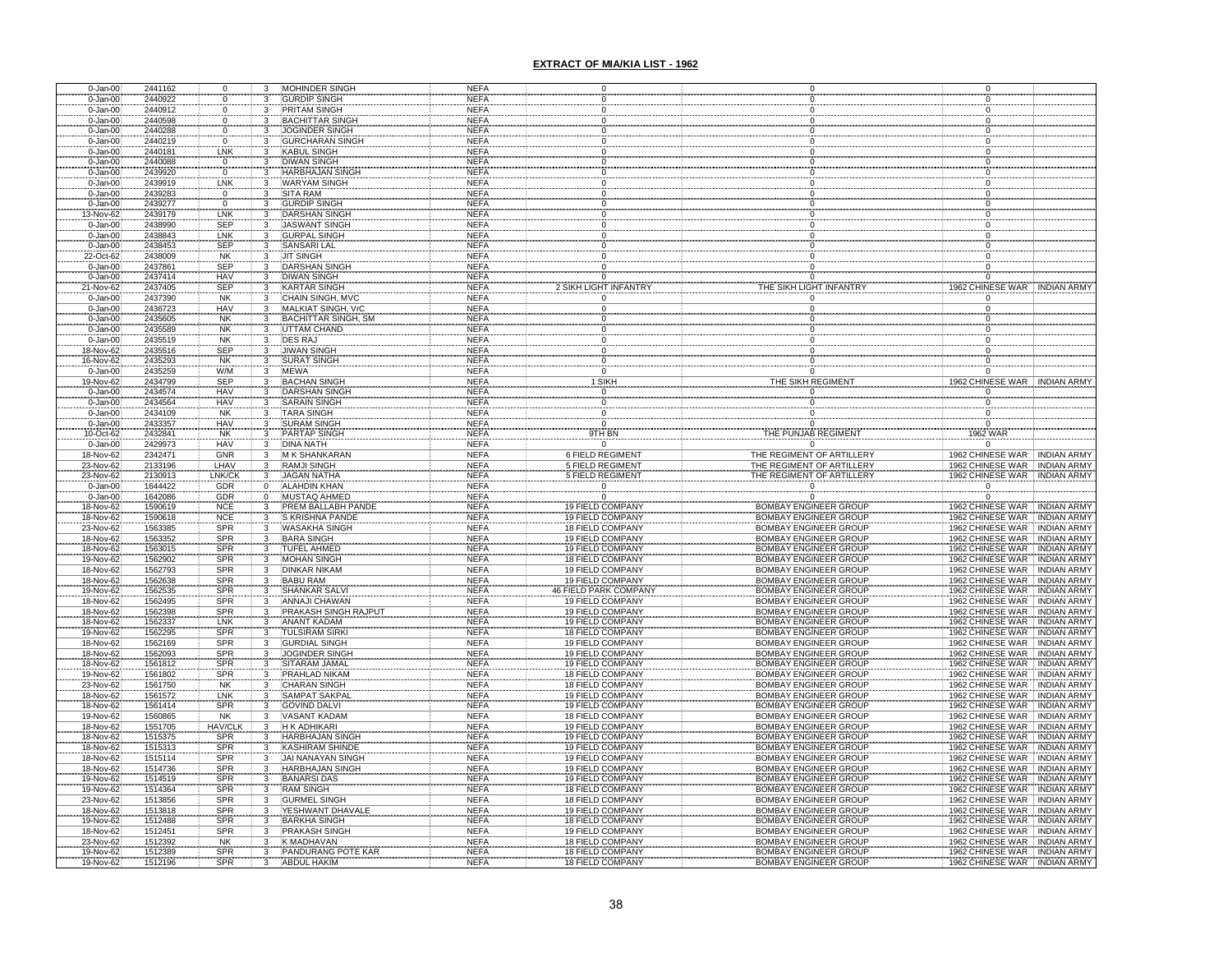| 0-Jan-00                     | 2441162            |                                 |                              | MOHINDER SINGH                              | NEFA                       |                                                    |                                                              |                              |                                      |                  |                                                                |
|------------------------------|--------------------|---------------------------------|------------------------------|---------------------------------------------|----------------------------|----------------------------------------------------|--------------------------------------------------------------|------------------------------|--------------------------------------|------------------|----------------------------------------------------------------|
| 0-Jan-00                     | 2440922            | 0                               |                              | <b>GURDIP SINGH</b>                         | <b>NEFA</b>                |                                                    |                                                              |                              |                                      |                  |                                                                |
| 0-Jan-00<br>$0 - Jan-00$     | 2440912<br>2440598 | 0<br>0                          |                              | PRITAM SINGH<br><b>BACHITTAR SINGH</b>      | <b>NEFA</b><br><b>NEFA</b> |                                                    |                                                              |                              |                                      |                  |                                                                |
| 0-Jan-00                     | 2440288            | $\overline{0}$                  |                              | <b>JOGINDER SINGH</b>                       | <b>NEFA</b>                |                                                    |                                                              |                              |                                      |                  |                                                                |
| 0-Jan-00                     | 2440219            | 0                               |                              | <b>GURCHARAN SING</b>                       | <b>NEFA</b>                |                                                    |                                                              |                              |                                      |                  |                                                                |
| $0 - Jan-00$                 | 2440181            | LNK                             |                              | <b>KABUL SINGH</b>                          | <b>NEFA</b>                |                                                    |                                                              |                              |                                      |                  |                                                                |
| $0 - Jan-00$                 | 2440088            | $\boldsymbol{0}$                |                              | <b>DIWAN SINGH</b>                          | <b>NEFA</b>                |                                                    |                                                              |                              |                                      |                  |                                                                |
| 0-Jan-00                     | 2439920            | $\pmb{0}$<br>LNK                |                              | HARBHAJAN SING<br><b>WARYAM SINGH</b>       | <b>NEFA</b>                |                                                    |                                                              |                              |                                      |                  |                                                                |
| 0-Jan-00<br>0-Jan-00         | 2439919<br>2439283 | $\mathsf 0$                     | 3                            | <b>SITA RAM</b>                             | <b>NEFA</b><br><b>NEFA</b> |                                                    | $\mathbf 0$                                                  |                              |                                      |                  |                                                                |
| $0 - Jan-00$                 | 2439277            |                                 |                              |                                             | <b>NEFA</b>                |                                                    |                                                              |                              |                                      |                  |                                                                |
| 3-Nov-62                     | 2439179            | $\frac{0}{LNK}$                 |                              | GURDIP SINGH<br>DARSHAN SINGH               | <b>NEFA</b>                |                                                    |                                                              |                              |                                      |                  |                                                                |
| $0 - Jan-00$                 | 2438990            | <b>SEP</b>                      |                              | <b>JASWANT SINGH</b>                        | <b>NEFA</b>                |                                                    |                                                              |                              |                                      |                  |                                                                |
| $0 - Jan-00$                 | 2438843            | LNK                             |                              | <b>GURPAL SINGH</b>                         | <b>NEFA</b>                |                                                    |                                                              |                              |                                      |                  |                                                                |
| $0 - Jan-00$<br>22-Oct-62    | 2438453<br>2438009 | SEP<br><b>NK</b>                |                              | SANSARI LAL<br><b>JIT SINGH</b>             | <b>NEFA</b><br><b>NEFA</b> |                                                    |                                                              |                              |                                      |                  |                                                                |
| $0 - Jan-00$                 | 2437861            | SEP                             | 3                            | <b>DARSHAN SINGH</b>                        | <b>NEFA</b>                |                                                    |                                                              |                              |                                      |                  |                                                                |
| $0 - Jan-00$                 | 2437414            | HAV                             | 3                            | <b>DIWAN SINGH</b>                          | <b>NEFA</b>                |                                                    |                                                              |                              |                                      |                  |                                                                |
| 21-Nov-62                    | 2437405            | SEP                             | 3                            | <b>KARTAR SINGH</b>                         | <b>NEFA</b>                | 2 SIKH LIGHT INFANTRY                              | THE SIKH LIGHT INFANTRY                                      |                              |                                      |                  | 1962 CHINESE WAR INDIAN ARMY                                   |
| $0 - Jan-00$                 | 2437390            | <b>NK</b>                       | $\overline{3}$               | <b>CHAIN SINGH, MVC</b>                     | <b>NEFA</b>                |                                                    |                                                              |                              |                                      |                  |                                                                |
| $0 - Jan-00$                 | 2436723            | <b>HAV</b>                      | $\overline{\mathbf{3}}$      | <b>MALKIAT SINGH, VrC</b>                   | <b>NEFA</b>                | $\Omega$                                           | $\Omega$                                                     |                              |                                      |                  |                                                                |
| $0 - Jan-00$<br>$0 - Jan-00$ | 2435605<br>2435589 | NK<br>NK<br>NK                  | 3                            | <b>BACHITTAR SINGH, SM</b><br>UTTAM CHAND   | <b>NEFA</b><br><b>NEFA</b> |                                                    |                                                              |                              |                                      |                  |                                                                |
| $0 - Jan-00$                 | 2435519            |                                 |                              | DES RAJ                                     | <b>NEFA</b>                |                                                    |                                                              |                              |                                      |                  |                                                                |
| 18-Nov-62                    | 2435516            | <b>SEP</b>                      |                              | <b>JIWAN SINGH</b>                          | <b>NEFA</b>                | 0                                                  |                                                              |                              |                                      |                  |                                                                |
| 16-Nov-62                    | 2435293            | <b>NK</b>                       |                              | <b>SURAT SINGH</b>                          | <b>NEFA</b>                | 0                                                  |                                                              |                              |                                      |                  |                                                                |
| $0 - Jan-00$                 | 2435259            | W/M                             |                              | <b>MEWA</b>                                 | <b>NEFA</b>                | $\overline{0}$                                     |                                                              | $\Omega$                     |                                      |                  |                                                                |
| 19-Nov-62<br>$0 - Jan-00$    | 2434799<br>2434574 | <b>SEP</b><br><b>HAV</b>        |                              | <b>BACHAN SINGH</b><br><b>DARSHAN SINGH</b> | <b>NEFA</b><br><b>NEFA</b> | 1 SIKH<br>ö                                        | THE SIKH REGIMENT                                            |                              |                                      | 1962 CHINESE WAR | <b>INDIAN ARMY</b>                                             |
| $0 - Jan-00$                 | 2434564            |                                 |                              | <b>SARAIN SINGH</b>                         | <b>NEFA</b>                | 0                                                  |                                                              |                              |                                      |                  |                                                                |
| $0 - Jan-00$                 | 2434109            | HAV<br>NK                       |                              | <b>TARA SINGH</b>                           | NEFA                       | 0                                                  |                                                              |                              | 0                                    |                  |                                                                |
| $0 - Jan-00$                 | 2433357            | HAV<br>NK<br>HAV                | 3                            | <b>SURAM SINGH</b>                          | <b>NEFA</b>                | $\mathsf 0$                                        | $\pmb{0}$                                                    |                              | 0                                    |                  |                                                                |
| 10-Oct-62                    | 2432841            |                                 |                              | PARTAP SINGH                                | <b>NEFA</b>                | $9TH$ BN                                           | THE PUNJAB REGIMEN                                           |                              | 1962 WAR                             |                  |                                                                |
| $0 - Jan-00$                 | 2429973            |                                 | 3                            | <b>DINA NATH</b>                            | NEFA                       |                                                    |                                                              |                              |                                      |                  |                                                                |
| 18-Nov-62<br>23-Nov-62       | 2342471<br>2133196 | GNR<br>LHAV                     | $\overline{\mathbf{3}}$<br>3 | <b>M K SHANKARAN</b><br><b>RAMJI SINGH</b>  | <b>NEFA</b><br><b>NEFA</b> | <b>6 FIELD REGIMENT</b><br><b>5 FIELD REGIMENT</b> | THE REGIMENT OF ARTILLERY<br>THE REGIMENT OF ARTILLERY       |                              |                                      |                  | 1962 CHINESE WAR   INDIAN ARMY<br>1962 CHINESE WAR INDIAN ARMY |
| 23-Nov-62                    | 2130913            | LNK/CK                          |                              | <b>JAGAN NATHA</b>                          | <b>NEFA</b>                | <b>5 FIELD REGIMENT</b>                            | THE REGIMENT OF ARTILLERY                                    |                              |                                      |                  | 1962 CHINESE WAR INDIAN ARMY                                   |
| $0 - Jan-00$                 | 1644422            | GDR                             | $\Omega$                     | <b>ALAHDIN KHAN</b>                         | <b>NEFA</b>                | $\Omega$                                           |                                                              |                              | $\overline{0}$                       |                  |                                                                |
| 0-Jan-00                     | 1642086            | GDR                             | $\overline{0}$               | <b>MUSTAQ AHMED</b>                         | <b>NEFA</b>                | $\overline{0}$                                     |                                                              | $\overline{0}$               | $\overline{0}$                       |                  |                                                                |
| 18-Nov-62                    | 1590619            | <b>NCE</b>                      | 3                            | PREM BALLABH PANDE                          | <b>NEFA</b>                | 19 FIELD COMPANY                                   | <b>BOMBAY ENGINEER GROUP</b>                                 |                              |                                      |                  | 1962 CHINESE WAR INDIAN ARMY                                   |
| 18-Nov-62                    | 1590618            | <b>NCE</b>                      | $\overline{\mathbf{3}}$      | S KRISHNA PANDE                             | <b>NEFA</b>                | 19 FIELD COMPANY                                   | <b>BOMBAY ENGINEER GROUP</b>                                 |                              |                                      | 1962 CHINESE WAR | <b>INDIAN ARMY</b>                                             |
| 23-Nov-62<br>18-Nov-62       | 1563385<br>1563352 | <b>SPR</b>                      | $\overline{3}$<br>3          | <b>WASAKHA SINGH</b><br><b>BARA SINGH</b>   | <b>NEFA</b><br><b>NEFA</b> | 18 FIELD COMPANY<br>19 FIELD COMPANY               | <b>BOMBAY ENGINEER GROUP</b><br>BOMBAY ENGINEER GROUP        |                              |                                      |                  | 1962 CHINESE WAR INDIAN ARMY<br>1962 CHINESE WAR INDIAN ARMY   |
| 18-Nov-62                    | 1563015            | SPR<br>SPR                      | 3                            | TUFEL AHMED                                 | NEFA                       | 19 FIELD COMPANY                                   | BOMBAY ENGINEER GROUP                                        |                              |                                      | 1962 CHINESE WAR | <b>INDIAN ARMY</b>                                             |
| 19-Nov-62                    | 1562902            | <b>SPR</b>                      | 3                            | <b>MOHAN SINGH</b>                          | <b>NEFA</b>                | 18 FIELD COMPANY                                   | <b>BOMBAY ENGINEER GROUP</b>                                 |                              |                                      |                  | 1962 CHINESE WAR INDIAN ARMY                                   |
| 18-Nov-62                    | 1562793            | <b>SPR</b>                      | $\overline{\mathbf{3}}$      | <b>DINKAR NIKAM</b>                         | <b>NEFA</b>                | 19 FIELD COMPANY                                   | <b>BOMBAY ENGINEER GROUP</b>                                 |                              |                                      |                  | 1962 CHINESE WAR   INDIAN ARMY                                 |
| 18-Nov-62                    | 1562638            | SPR<br>SPR<br>SPR<br>SPR<br>SPR | 3                            | <b>BABU RAM</b>                             | NEFA                       | 19 FIELD COMPANY                                   | <b>BOMBAY ENGINEER GROUP</b>                                 |                              | 1962 CHINESE WAR                     |                  | <b>INDIAN ARMY</b>                                             |
| 19-Nov-62<br>18-Nov-62       | 1562535<br>1562495 |                                 |                              | SHANKAR SALV<br><b>ANNAJI CHAWAN</b>        | <b>NEFA</b>                | <b>FIELD PARK COMPAN</b><br>19 FIELD COMPANY       | <b>BOMBAY ENGINEER GROUP</b>                                 |                              | 1962 CHINESE WAR<br>1962 CHINESE WAR |                  | <b>INDIAN ARMY</b>                                             |
| 18-Nov-62                    | 1562398            |                                 |                              | <b>PRAKASH SINGH R.</b>                     | NEFA<br><b>NEFA</b>        | 19 FIELD COMPANY                                   | <b>BOMBAY ENGINEER GROUP</b><br><b>BOMBAY ENGINEER GROUP</b> |                              | 1962 CHINESE WAR                     |                  | <b>INDIAN ARMY</b><br><b>INDIAN ARMY</b>                       |
| 18-Nov-62                    | 1562337            | <b>LNK</b>                      |                              | <b>ANANT KADAM</b>                          | <b>NEFA</b>                | 19 FIELD COMPANY                                   | <b>BOMBAY ENGINEER GROUP</b>                                 |                              |                                      |                  | 1962 CHINESE WAR INDIAN ARMY                                   |
| 19-Nov-62                    | 1562295            | SPR                             |                              | TULSIRAM SIRKI                              | <b>NEFA</b>                | <b>18 FIELD COMPANY</b>                            | <b>BOMBAY ENGINEER GROUP</b>                                 |                              |                                      |                  | 1962 CHINESE WAR INDIAN ARMY                                   |
| 18-Nov-62                    | 1562169            | <b>SPR</b>                      |                              | <b>GURDIAL SINGH</b>                        | <b>NEFA</b>                | 19 FIELD COMPANY                                   | <b>BOMBAY ENGINEER GROUP</b>                                 |                              |                                      |                  | 1962 CHINESE WAR INDIAN ARMY                                   |
| 18-Nov-62                    | 1562093            | SPR<br>SPR                      |                              | JOGINDER SINGH                              | <b>NEFA</b>                | 19 FIELD COMPANY                                   | <b>BOMBAY ENGINEER GROUP</b>                                 |                              |                                      |                  | 1962 CHINESE WAR INDIAN ARMY                                   |
| 18-Nov-62<br>19-Nov-62       | 1561812<br>1561802 | SPR                             |                              | SITARAM JAMAL<br>PRAHLAD NIKAM              | <b>NEFA</b><br><b>NEFA</b> | 19 FIELD COMPANY<br>18 FIELD COMPANY               | <b>BOMBAY ENGINEER GROUP</b><br><b>BOMBAY ENGINEER GROUP</b> |                              |                                      |                  | 1962 CHINESE WAR INDIAN ARMY<br>1962 CHINESE WAR INDIAN ARMY   |
| 23-Nov-62                    | 1561750            |                                 |                              | CHARAN SINGH                                | <b>NEFA</b>                | 18 FIELD COMPANY                                   | <b>BOMBAY ENGINEER GROUP</b>                                 |                              |                                      |                  | 1962 CHINESE WAR INDIAN ARMY                                   |
| 18-Nov-62                    | 1561572            | NK<br>LNK                       |                              | <b>SAMPAT SAKPAI</b>                        | <b>NEFA</b>                | 19 FIELD COMPANY                                   | <b>BOMBAY ENGINEER GROUP</b>                                 |                              |                                      |                  | 1962 CHINESE WAR NDIAN ARMY                                    |
| 18-Nov-62                    | 1561414            | SPR                             | 3                            | <b>GOVIND DALVI</b>                         | <b>NEFA</b>                | <b>19 FIELD COMPANY</b>                            | <b>BOMBAY ENGINEER GROUP</b>                                 |                              |                                      |                  | 1962 CHINESE WAR INDIAN ARMY                                   |
| 19-Nov-62                    | 1560865            | <b>NK</b>                       | $\overline{\mathbf{3}}$      | <b>VASANT KADAM</b>                         | <b>NEFA</b>                | 18 FIELD COMPANY                                   |                                                              | <b>BOMBAY ENGINEER GROUP</b> |                                      |                  | 1962 CHINESE WAR INDIAN ARMY                                   |
| 18-Nov-62<br>18-Nov-62       | 1551705<br>1515375 | HAV/CLK<br><b>SPR</b>           | $\overline{\mathbf{z}}$      | H K ADHIKARI<br><b>HARBHAJAN SINGH</b>      | <b>NEFA</b><br><b>NEFA</b> | <b>19 FIELD COMPANY</b><br><b>19 FIELD COMPANY</b> | <b>BOMBAY ENGINEER GROUP</b><br><b>BOMBAY ENGINEER GROUP</b> |                              |                                      |                  | 1962 CHINESE WAR INDIAN ARMY<br>1962 CHINESE WAR INDIAN ARMY   |
| 18-Nov-62                    | 1515313            | SPR                             |                              | <b>KASHIRAM SHINDE</b>                      | <b>NEFA</b>                | <b>19 FIELD COMPANY</b>                            | <b>BOMBAY ENGINEER GROUP</b>                                 |                              |                                      |                  | 1962 CHINESE WAR INDIAN ARMY                                   |
| 18-Nov-62                    | 1515114            | SPR                             |                              | <b>JAI NANAYAN SINGH</b>                    | <b>NEFA</b>                | <b>19 FIELD COMPANY</b>                            | <b>BOMBAY ENGINEER GROUP</b>                                 |                              |                                      |                  | 1962 CHINESE WAR INDIAN ARMY                                   |
| 18-Nov-62                    | 1514736            | <b>SPR</b>                      |                              | <b>HARBHAJAN SINGH</b>                      | <b>NEFA</b>                | <b>19 FIELD COMPANY</b>                            | <b>BOMBAY ENGINEER GROUP</b>                                 |                              |                                      |                  | 1962 CHINESE WAR INDIAN ARMY                                   |
| 19-Nov-62                    | 1514519            | SPR                             | 3                            | <b>BANARSI DAS</b>                          | <b>NEFA</b>                | 19 FIELD COMPANY                                   | <b>BOMBAY ENGINEER GROUP</b>                                 |                              |                                      |                  | 1962 CHINESE WAR INDIAN ARMY                                   |
| 19-Nov-62                    | 1514364            | <b>SPR</b>                      | 3                            | <b>RAM SINGH</b>                            | <b>NEFA</b>                | <b>18 FIELD COMPANY</b>                            | <b>BOMBAY ENGINEER GROUP</b>                                 |                              |                                      |                  | 1962 CHINESE WAR INDIAN ARMY                                   |
| 23-Nov-62<br>18-Nov-62       | 1513856<br>1513818 | SPR<br>SPR                      | 3                            | <b>GURMEL SINGH</b><br>YESHWANT DHAVALE     | <b>NEFA</b><br><b>NEFA</b> | <b>18 FIELD COMPANY</b><br>19 FIELD COMPANY        | <b>BOMBAY ENGINEER GROUP</b>                                 | <b>BOMBAY ENGINEER GROUP</b> |                                      |                  | 1962 CHINESE WAR INDIAN ARMY<br>1962 CHINESE WAR INDIAN ARMY   |
| 19-Nov-62                    | 1512488            | <b>SPR</b>                      | 3                            | <b>BARKHA SINGH</b>                         | <b>NEFA</b>                | 18 FIELD COMPANY                                   |                                                              | <b>BOMBAY ENGINEER GROUP</b> |                                      |                  | 1962 CHINESE WAR INDIAN ARMY                                   |
| 18-Nov-62                    | 1512451            | <b>SPR</b>                      | 3                            | <b>PRAKASH SINGH</b>                        | <b>NEFA</b>                | 19 FIELD COMPANY                                   | <b>BOMBAY ENGINEER GROUP</b>                                 |                              |                                      |                  | 1962 CHINESE WAR INDIAN ARMY                                   |
| 23-Nov-62                    | 1512392            | <b>NK</b>                       | 3                            | <b>K MADHAVAN</b>                           | <b>NEFA</b>                | <b>18 FIELD COMPANY</b>                            | <b>BOMBAY ENGINEER GROUP</b>                                 |                              |                                      |                  | 1962 CHINESE WAR INDIAN ARMY                                   |
| 19-Nov-62                    | 1512389            | SPR                             |                              | PANDURANG POTE KAR                          | <b>NEFA</b>                | <b>18 FIELD COMPANY</b>                            | <b>BOMBAY ENGINEER GROUP</b>                                 |                              |                                      |                  | 1962 CHINESE WAR INDIAN ARMY                                   |
| 19-Nov-62                    | 1512196            | SPR                             |                              | <b>ABDUL HAKIM</b>                          | <b>NEFA</b>                | 18 FIELD COMPANY                                   |                                                              | <b>BOMBAY ENGINEER GROUP</b> |                                      |                  | 1962 CHINESE WAR INDIAN ARMY                                   |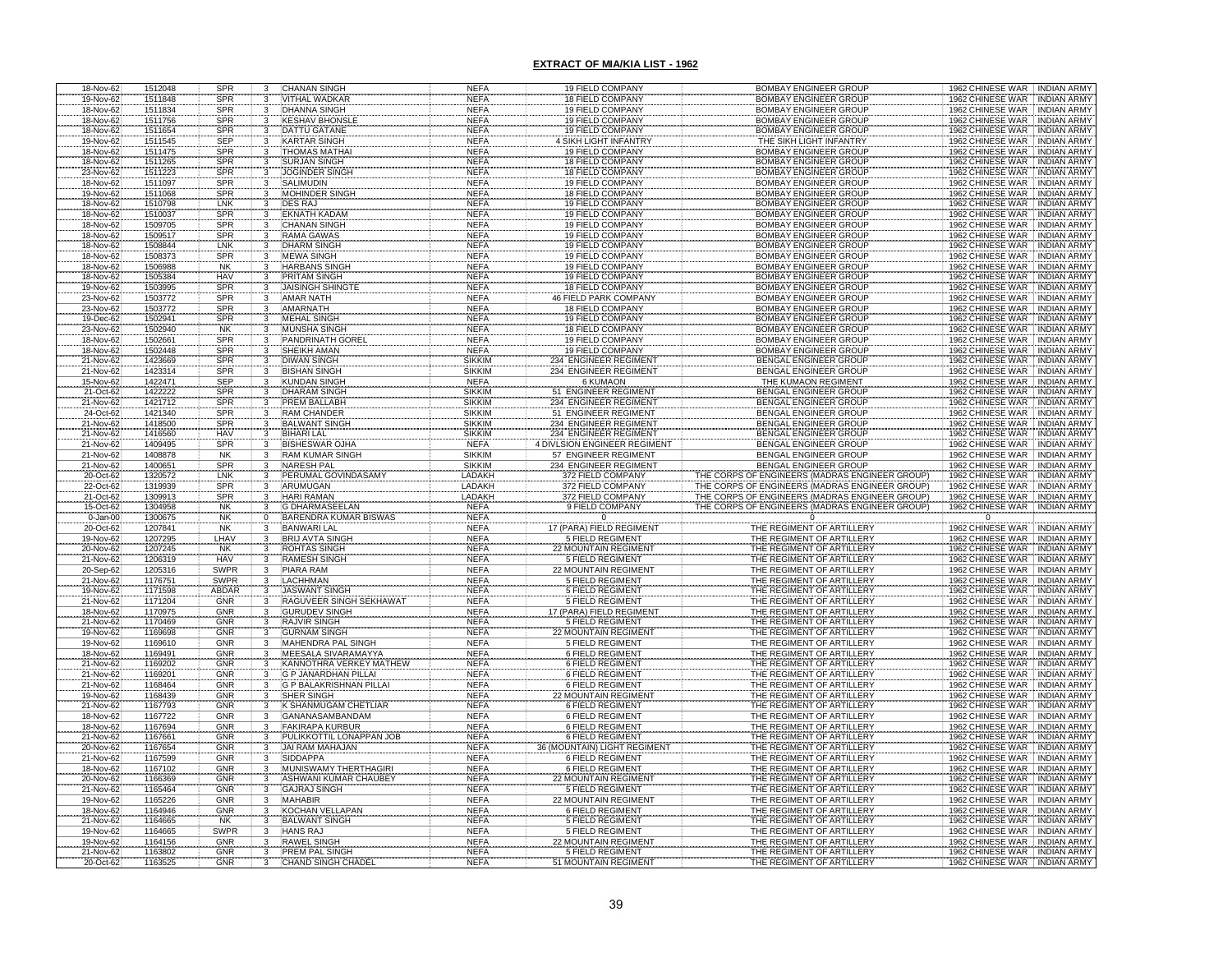| 18-Nov-62                           | 1512048            | SPR               | 3              | CHANAN SINGH                                | <b>NEFA</b>                | 19 FIELD COMPANY                                | BOMBAY ENGINEER GROUP                                   | 1962 CHINESE WAR<br><b>INDIAN ARMY</b>                                         |
|-------------------------------------|--------------------|-------------------|----------------|---------------------------------------------|----------------------------|-------------------------------------------------|---------------------------------------------------------|--------------------------------------------------------------------------------|
| 19-Nov-62                           | 1511848            | <b>SPR</b>        | 3              | VITHAL WADKAR                               | <b>NEFA</b>                | 18 FIELD COMPANY                                | BOMBAY ENGINEER GROUP                                   | 1962 CHINESE WAR<br><b>INDIAN ARMY</b>                                         |
| 18-Nov-62                           | 1511834            | <b>SPR</b>        |                | <b>DHANNA SINGH</b>                         | <b>NEFA</b>                | 19 FIELD COMPANY                                | <b>BOMBAY ENGINEER GROUP</b>                            | 1962 CHINESE WAR<br><b>INDIAN ARMY</b>                                         |
| 18-Nov-62                           | 1511756            | SPR               | 3              | <b>KESHAV BHONSLI</b>                       | <b>NEFA</b>                | 19 FIELD COMPANY                                | <b>BOMBAY ENGINEER GROUP</b>                            | 1962 CHINESE WAR<br><b>INDIAN ARMY</b>                                         |
| 18-Nov-62                           | 1511654            | SPR               |                | <b>DATTU GATANE</b>                         | <b>NEFA</b>                | 19 FIELD COMPANY                                | BOMBAY ENGINEER GROUP                                   | 1962 CHINESE WAR<br><b>INDIAN ARMY</b>                                         |
| 19-Nov-62                           | 1511545            | SEP               |                | <b>KARTAR SINGH</b>                         | <b>NEFA</b>                | SIKH LIGHT INFANTRY                             | THE SIKH LIGHT INFANTRY                                 | 1962 CHINESE WAR<br>INDIAN ARMY                                                |
| 18-Nov-62                           | 1511475            | SPR               | 3              | THOMAS MATHA                                | <b>NEFA</b>                | 19 FIELD COMPANY                                | BOMBAY ENGINEER GROUP                                   | 1962 CHINESE WAR<br><b>INDIAN ARMY</b>                                         |
| 18-Nov-62                           | 1511265            | SPR               | $\mathbf{3}$   | <b>SURJAN SINGH</b>                         | <b>NEFA</b>                | 18 FIELD COMPANY                                | BOMBAY ENGINEER GROUP                                   | 1962 CHINESE WAR<br><b>INDIAN ARMY</b>                                         |
| 23-Nov-62                           | 1511223            | SPR               |                | JOGINDER SINGI                              | NEFA                       | 18 FIELD COMPANY                                | <b>BOMBAY ENGINEER GROUP</b>                            | 1962 CHINESE WAR<br><b>INDIAN ARMY</b>                                         |
| 18-Nov-62                           | 1511097            | <b>SPR</b>        | 3              | SALIMUDIN                                   | <b>NEFA</b>                | 19 FIELD COMPANY                                | BOMBAY ENGINEER GROUP                                   | 1962 CHINESE WAR<br><b>INDIAN ARMY</b>                                         |
| 19-Nov-62                           | 1511068            | <b>SPR</b>        | 3              | MOHINDER SINGH                              | <b>NEFA</b>                | 18 FIELD COMPANY                                | BOMBAY ENGINEER GROUP                                   | 1962 CHINESE WAR<br><b>INDIAN ARMY</b>                                         |
| 18-Nov-62                           | 1510798            | LNK               | 3              | <b>DES RAJ</b>                              | <b>NEFA</b>                | 19 FIELD COMPANY                                | <b>BOMBAY ENGINEER GROUP</b>                            | 1962 CHINESE WAR<br><b>INDIAN ARMY</b>                                         |
| 18-Nov-62                           | 1510037            | <b>SPR</b>        |                | <b>EKNATH KADAM</b>                         | <b>NEFA</b>                | <b>19 FIELD COMPANY</b>                         | <b>BOMBAY ENGINEER GROUP</b>                            | 1962 CHINESE WAR<br><b>INDIAN ARMY</b>                                         |
| 18-Nov-62                           | 1509705            | SPR               |                | <b>CHANAN SINGH</b>                         | <b>NEFA</b>                | 19 FIELD COMPANY                                | <b>BOMBAY ENGINEER GROUP</b>                            | 1962 CHINESE WAR<br><b>INDIAN ARMY</b>                                         |
| 18-Nov-62                           | 1509517            | SPR               |                | <b>RAMA GAWAS</b>                           | <b>NEFA</b>                | 19 FIELD COMPANY                                | <b>BOMBAY ENGINEER GROUP</b>                            | 1962 CHINESE WAR<br><b>INDIAN ARMY</b>                                         |
| 18-Nov-62                           | 1508844            | LNK               |                | <b>DHARM SINGH</b>                          | <b>NEFA</b>                | 19 FIELD COMPANY                                | <b>BOMBAY ENGINEER GROUP</b>                            | 1962 CHINESE WAR<br><b>INDIAN ARMY</b>                                         |
| 18-Nov-62                           | 1508373            | SPR               |                | <b>MEWA SINGH</b>                           | <b>NEFA</b>                | 19 FIELD COMPANY                                | <b>BOMBAY ENGINEER GROUP</b>                            | 1962 CHINESE WAR INDIAN ARMY                                                   |
| 18-Nov-62                           | 1506988            | <b>NK</b>         |                | <b>HARBANS SINGH</b>                        | <b>NEFA</b>                | <b>19 FIELD COMPANY</b>                         | <b>BOMBAY ENGINEER GROUP</b>                            | 1962 CHINESE WAR<br><b>INDIAN ARMY</b>                                         |
| 18-Nov-62                           | 1505384            | <b>HAV</b>        | $\mathbf{3}$   | PRITAM SINGH                                | <b>NEFA</b>                | <b>19 FIELD COMPANY</b>                         | <b>BOMBAY ENGINEER GROUP</b>                            | 1962 CHINESE WAR<br><b>INDIAN ARMY</b>                                         |
| 19-Nov-62                           | 1503995            | SPR               |                | <b>JAISINGH SHINGTE</b>                     | <b>NEFA</b>                | 18 FIELD COMPANY                                | <b>BOMBAY ENGINEER GROUP</b>                            | 1962 CHINESE WAR NDIAN ARMY                                                    |
| 23-Nov-62                           | 1503772            | SPR               | 3              | <b>AMAR NATH</b>                            | <b>NEFA</b>                | <b>46 FIELD PARK COMPANY</b>                    | BOMBAY ENGINEER GROUP                                   | 1962 CHINESE WAR INDIAN ARMY                                                   |
| 23-Nov-62                           | 1503772            | <b>SPR</b>        | 3              | AMARNATH                                    | <b>NEFA</b>                | <b>18 FIELD COMPANY</b>                         | <b>BOMBAY ENGINEER GROUP</b>                            | 1962 CHINESE WAR<br><b>INDIAN ARMY</b>                                         |
| 19-Dec-62                           | 1502941            | SPR               | 3              | <b>MEHAL SINGH</b>                          | <b>NEFA</b>                | 19 FIELD COMPANY                                | <b>BOMBAY ENGINEER GROUP</b>                            | 1962 CHINESE WAR<br><b>INDIAN ARMY</b>                                         |
| 23-Nov-62                           | 1502940            | <b>NK</b>         |                | <b>MUNSHA SINGH</b>                         | <b>NEFA</b>                | <b>18 FIELD COMPANY</b>                         | <b>BOMBAY ENGINEER GROUP</b>                            | 1962 CHINESE WAR<br><b>INDIAN ARMY</b>                                         |
| 18-Nov-62                           | 1502661            | SPR               |                | PANDRINATH GOREI                            | <b>NEFA</b>                | 19 FIELD COMPANY                                | <b>BOMBAY ENGINEER GROUP</b>                            | 1962 CHINESE WAR<br><b>INDIAN ARMY</b>                                         |
| 18-Nov-62                           | 1502448            | SPR               |                | SHEIKH AMAN                                 | <b>NEFA</b>                | <b>19 FIELD COMPANY</b>                         | <b>BOMBAY ENGINEER GROUP</b>                            | 1962 CHINESE WAR<br><b>INDIAN ARMY</b>                                         |
| 21-Nov-62                           | 1423669            | SPR               |                | <b>DIWAN SINGH</b>                          | <b>SIKKIM</b>              | 234 ENGINEER REGIMENT                           | <b>BENGAL ENGINEER GROUP</b>                            | 1962 CHINESE WAR<br><b>INDIAN ARMY</b>                                         |
| 21-Nov-62                           | 1423314            | SPR               |                | <b>BISHAN SINGH</b>                         | <b>SIKKIM</b>              | 234 ENGINEER REGIMENT                           | <b>BENGAL ENGINEER GROUP</b>                            | 1962 CHINESE WAR<br><b>INDIAN ARMY</b>                                         |
| 15-Nov-62                           | 1422471            | <b>SEP</b>        |                | <b>KUNDAN SINGH</b>                         | <b>NEFA</b>                | <b>6 KUMAON</b>                                 | THE KUMAON REGIMENT                                     | 1962 CHINESE WAR<br><b>INDIAN ARMY</b>                                         |
| 21-Oct-62<br>21-Nov-62              | 1422222            | SPR               |                | <b>DHARAM SINGH</b>                         | <b>SIKKIM</b>              | 51 ENGINEER REGIMENT                            | BENGAL ENGINEER GROUP                                   | 1962 CHINESE WAR<br><b>INDIAN ARMY</b>                                         |
|                                     | 1421712            | <b>SPR</b>        |                | <b>PREM BALLABH</b>                         | <b>SIKKIM</b>              |                                                 | BENGAL ENGINEER GROUP                                   | 1962 CHINESE WAR<br><b>INDIAN ARMY</b>                                         |
| 24-Oct-62                           | 1421340            | SPR               |                | <b>RAM CHANDER</b>                          | <b>SIKKIM</b>              | 234 ENGINEER REGIMENT<br>51 ENGINEER REGIMENT   | BENGAL ENGINEER GROUP                                   | 1962 CHINESE WAR<br><b>INDIAN ARMY</b>                                         |
|                                     | 1418500            | SPR               |                | <b>BALWANT SINGH</b>                        | <b>SIKKIM</b>              | 234 ENGINEER REGIMENT                           | BENGAL ENGINEER GROUP                                   | 1962 CHINESE WAR<br><b>INDIAN ARMY</b>                                         |
| 21-Nov-62<br>21-Nov-62              | 1416560            | <b>HAV</b>        |                | <b>BIHARI LAL</b>                           | <b>SIKKIM</b>              | 234 ENGINEER REGIMENT                           | BENGAL ENGINEER GROUP                                   | 1962 CHINESE WAR<br><b>INDIAN ARMY</b>                                         |
| 21-Nov-62                           | 1409495            | SPR               |                | <b>BISHESWAR OJHA</b>                       | <b>NEFA</b>                | 4 DIVLSION ENGINEER REGIMENT                    | BENGAL ENGINEER GROUP                                   | 1962 CHINESE WAR<br><b>INDIAN ARMY</b>                                         |
| 21-Nov-62                           | 1408878            | <b>NK</b>         | 3              | <b>RAM KUMAR SINGH</b>                      | <b>SIKKIM</b>              | 57 ENGINEER REGIMENT                            | <b>BENGAL ENGINEER GROUP</b>                            | 1962 CHINESE WAR<br><b>INDIAN ARMY</b>                                         |
|                                     | 1400651            |                   | 3              | <b>NARESH PAL</b>                           |                            |                                                 |                                                         |                                                                                |
|                                     |                    |                   |                |                                             | <b>SIKKIM</b>              |                                                 | <b>BENGAL ENGINEER GROUP</b>                            | 1962 CHINESE WAR<br><b>INDIAN ARMY</b>                                         |
|                                     | 1320572            |                   |                | PERUMAL GOVINDASAM                          | <b>LADAKH</b>              | 234 ENGINEER REGIMENT<br>372 FIELD COMPANY      | OF ENGINEERS (MADRAS ENGINEER GROUP<br><b>THE CORPS</b> | 1962 CHINESE WAR<br><b>INDIAN ARMY</b>                                         |
| 21-Nov-62<br>20-Oct-62<br>22-Oct-62 | 1319939            | SPR<br>LNK<br>SPR |                | ARUMUGAN                                    | LADAKH                     | 372 FIELD COMPANY                               | THE CORPS OF ENGINEERS (MADRAS ENGINEER GROUP           | 1962 CHINESE WAR<br><b>INDIAN ARMY</b>                                         |
| 21-Oct-62                           | 1309913            | SPR               |                | <b>HARI RAMAN</b>                           | LADAKH                     | 372 FIELD COMPANY                               | THE CORPS OF ENGINEERS (MADRAS ENGINEER GROUP           | 1962 CHINESE WAR<br>INDIAN ARMY                                                |
| 15-Oct-62                           | 1304958            | <b>NK</b>         |                | <b>G DHARMASEELAN</b>                       | <b>NEFA</b>                | 9 FIELD COMPANY                                 |                                                         | 1962 CHINESE WAR<br><b>INDIAN ARMY</b>                                         |
| $0 - Jan-00$                        | 1300675            | <b>NK</b>         | $\Omega$       |                                             | <b>NEFA</b>                | $\Omega$                                        | THE CORPS OF ENGINEERS (MADRAS ENGINEER GROUP)          | $\Omega$                                                                       |
| 20-Oct-62                           | 1207841            | <b>NK</b>         |                | BARENDRA KUMAR BISWAS<br><b>BANWARI LAL</b> | <b>NEFA</b>                | 17 (PARA) FIELD REGIMENT                        | THE REGIMENT OF ARTILLERY                               | <b>INDIAN ARMY</b>                                                             |
|                                     |                    |                   |                |                                             |                            |                                                 |                                                         | 1962 CHINESE WAR<br><b>INDIAN ARMY</b>                                         |
| 19-Nov-62<br>20-Nov-62              | 1207295<br>1207245 |                   |                | <b>BRIJ AVTA SINGH</b><br>ROHTAS SINGH      | <b>NEFA</b><br><b>NEFA</b> | 5 FIELD REGIMENT<br>22 MOUNTAIN REGIMENT        | THE REGIMENT OF ARTILLERY<br>THE REGIMENT OF ARTILLERY  | <b>INDIAN ARMY</b>                                                             |
| 21-Nov-62                           | 1206319            | LHAV<br>NK<br>HAV | 3              | <b>RAMESH SINGH</b>                         | <b>NEFA</b>                | 5 FIELD REGIMENT                                | THE REGIMENT OF ARTILLERY                               | 1962 CHINESE WAR<br>1962 CHINESE WAR<br>1962 CHINESE WAR<br><b>INDIAN ARMY</b> |
|                                     | 1205316            | <b>SWPR</b>       | 3              | PIARA RAM                                   | <b>NEFA</b>                | 22 MOUNTAIN REGIMENT                            | THE REGIMENT OF ARTILLERY                               | 1962 CHINESE WAR<br><b>INDIAN ARMY</b>                                         |
| 20-Sep-62                           |                    |                   |                | LACHHMAN                                    |                            | <b>5 FIELD REGIMENT</b>                         | THE REGIMENT OF ARTILLERY                               | 1962 CHINESE WAR<br><b>INDIAN ARMY</b>                                         |
| 21-Nov-62                           | 1176751<br>1171598 |                   |                | <b>JASWANT SINGH</b>                        | <b>NEFA</b>                | <b>5 FIELD REGIMENT</b>                         | THE<br>REGIMENT OF ARTILLERY                            | 1962 CHINESE WAR<br><b>INDIAN ARMY</b>                                         |
| 19-Nov-62<br>21-Nov-62              | 1171204            | SWPR<br>ABDAR     |                | RAGUVEER SINGH                              | <b>NEFA</b>                | <b>5 FIELD REGIMENT</b>                         | THE REGIMENT OF ARTILLERY                               | 1962 CHINESE WAR<br><b>INDIAN ARMY</b>                                         |
| 18-Nov-62                           | 1170975            | GNR<br>GNR        |                | <b>GURUDEV SINGH</b>                        | NEFA<br>NEFA               | (PARA) FIELD REGIMEN                            | THE REGIMENT OF ARTILLERY                               | 1962 CHINESE WAR<br><b>INDIAN ARMY</b>                                         |
| 21-Nov-62                           | 1170469            | <b>GNR</b>        |                | <b>RAJVIR SINGH</b>                         | <b>NEFA</b>                | 5 FIELD REGIMENT                                | THE REGIMENT OF ARTILLERY                               | 1962 CHINESE WAR<br>INDIAN ARMY                                                |
| 19-Nov-62                           | 1169698            | GNR               |                | <b>GURNAM SINGH</b>                         | <b>NEFA</b>                | 22 MOUNTAIN REGIMENT                            | THE REGIMENT OF ARTILLERY                               | 1962 CHINESE WAR<br><b>INDIAN ARMY</b>                                         |
| 19-Nov-62                           | 1169610            | GNR               |                | MAHENDRA PAL SINGH                          | <b>NEFA</b>                | <b>5 FIELD REGIMENT</b>                         | THE REGIMENT OF ARTILLERY                               | 1962 CHINESE WAR<br>INDIAN ARMY                                                |
| 18-Nov-62                           | 1169491            | GNR               |                | MEESALA SIVARAMAYYA                         | <b>NEFA</b>                | <b>6 FIELD REGIMENT</b>                         | THE REGIMENT OF ARTILLERY                               | 1962 CHINESE WAR<br><b>INDIAN ARMY</b>                                         |
| 21-Nov-62                           | 1169202            | GNR               |                | KANNOTHRA VERKEY MATHEY                     | <b>NEFA</b>                | 6 FIELD REGIMENT                                | THE REGIMENT OF ARTILLERY                               | 1962 CHINESE WAR<br><b>INDIAN ARMY</b>                                         |
| 21-Nov-62                           | 1169201            | <b>GNR</b>        | 3              | <b>G P JANARDHAN PILLAI</b>                 | <b>NEFA</b>                | 6 FIELD REGIMENT                                | THE REGIMENT OF ARTILLERY                               | 1962 CHINESE WAR<br>INDIAN ARMY                                                |
| 21-Nov-62                           | 1168464            | <b>GNR</b>        | 3              | G P BALAKRISHNAN PILLAI                     | <b>NEFA</b>                | 6 FIELD REGIMENT                                | THE REGIMENT OF ARTILLERY                               | 1962 CHINESE WAR<br><b>INDIAN ARMY</b>                                         |
| 19-Nov-62                           | 1168439            | GNR               |                | SHER SINGH                                  | NEFA                       | <b>MOUNTAIN REGIMENT</b>                        | THE REGIMENT OF ARTILLERY                               | 1962 CHINESE WAR INDIAN ARMY                                                   |
| 21-Nov-62                           | 1167793            | <b>GNR</b>        | 3              | K SHANMUGAM CHETLIAR                        | <b>NEFA</b>                | 6 FIELD REGIMENT                                | THE REGIMENT OF ARTILLERY                               | 1962 CHINESE WAR INDIAN ARMY                                                   |
| 18-Nov-62                           | 1167722            | <b>GNR</b>        | 3              | GANANASAMBANDAM                             | <b>NEFA</b>                | 6 FIELD REGIMENT                                | THE REGIMENT OF ARTILLERY                               | 1962 CHINESE WAR INDIAN ARMY                                                   |
| 18-Nov-62                           | 1167694            | <b>GNR</b>        | 3              | FAKIRAPA KURBUR                             | <b>NEFA</b>                | 6 FIELD REGIMENT                                | THE REGIMENT OF ARTILLERY                               | 1962 CHINESE WAR INDIAN ARMY                                                   |
| 21-Nov-62                           | 1167661            | <b>GNR</b>        |                | PULIKKOTTIL LONAPPAN JOB                    | <b>NEFA</b>                | <b>6 FIELD REGIMENT</b>                         | THE REGIMENT OF ARTILLERY                               | 1962 CHINESE WAR<br><b>INDIAN ARMY</b>                                         |
| 20-Nov-62                           | 1167654            | GNR               |                | JAI RAM MAHAJAN                             | <b>NEFA</b>                | 36 (MOUNTAIN) LIGHT REGIMEN'                    | THE REGIMENT OF ARTILLERY                               | 1962 CHINESE WAR<br><b>INDIAN ARMY</b>                                         |
| 21-Nov-62                           | 1167599            | GNR               |                | <b>SIDDAPPA</b>                             | <b>NEFA</b>                | 6 FIELD REGIMENT                                | THE REGIMENT OF ARTILLERY                               | 1962 CHINESE WAR<br><b>INDIAN ARMY</b>                                         |
| 18-Nov-62                           | 1167102            | GNR               |                | MUNISWAMY THERTHAGIRI                       | <b>NEFA</b>                | 6 FIELD REGIMENT                                | THE REGIMENT OF ARTILLERY                               | 1962 CHINESE WAR<br><b>INDIAN ARMY</b>                                         |
| 20-Nov-62                           | 1166369            | GNR               | з              | ASHWANI KUMAR CHAUBEY                       | <b>NEFA</b>                | 22 MOUNTAIN REGIMENT                            | THE REGIMENT OF ARTILLERY                               | 1962 CHINESE WAR<br><b>INDIAN ARMY</b>                                         |
| 21-Nov-62                           | 1165464            | GNR               | 3              | <b>GAJRAJ SINGH</b>                         | <b>NEFA</b>                | 5 FIELD REGIMENT                                | THE REGIMENT OF ARTILLERY                               | 1962 CHINESE WAR<br>INDIAN ARMY                                                |
| 19-Nov-62                           | 1165226            | <b>GNR</b>        | 3              | MAHABIR                                     | <b>NEFA</b>                | 22 MOUNTAIN REGIMENT                            | THE REGIMENT OF ARTILLERY                               | 1962 CHINESE WAR<br><b>INDIAN ARMY</b>                                         |
| 18-Nov-62                           | 1164946            | GNR               | $\overline{3}$ | KOCHAN VELLAPAN                             | NEFA                       | 6 FIELD REGIMENT                                | THE REGIMENT OF ARTILLERY                               | 1962 CHINESE WAR<br>INDIAN ARMY                                                |
| 21-Nov-62                           | 1164665            | <b>NK</b>         | 3              | <b>BALWANT SINGH</b>                        | <b>NEFA</b>                | <b>5 FIELD REGIMENT</b>                         | THE REGIMENT OF ARTILLERY                               | 1962 CHINESE WAR INDIAN ARMY                                                   |
| 19-Nov-62                           | 1164665            | <b>SWPR</b>       | $\overline{3}$ | <b>HANS RAJ</b>                             | <b>NEFA</b>                | <b>5 FIELD REGIMENT</b>                         | THE REGIMENT OF ARTILLERY                               | 1962 CHINESE WAR INDIAN ARMY                                                   |
| 19-Nov-62                           | 1164156            | <b>GNR</b>        | 3              | <b>RAWEL SINGH</b>                          | NEFA                       | 22 MOUNTAIN REGIMENT                            | THE REGIMENT OF ARTILLERY                               | 1962 CHINESE WAR INDIAN ARMY                                                   |
| 21-Nov-62<br>20-Oct-62              | 1163802<br>1163525 | <b>GNR</b><br>GNR | $\frac{5}{3}$  | <b>PREM PAL SINGH</b><br>CHAND SINGH CHADE  | <b>NEFA</b><br><b>NEFA</b> | <b>5 FIELD REGIMENT</b><br>51 MOUNTAIN REGIMENT | THE REGIMENT OF ARTILLERY<br>THE REGIMENT OF ARTILLERY  | 1962 CHINESE WAR INDIAN ARMY<br>1962 CHINESE WAR<br><b>INDIAN ARMY</b>         |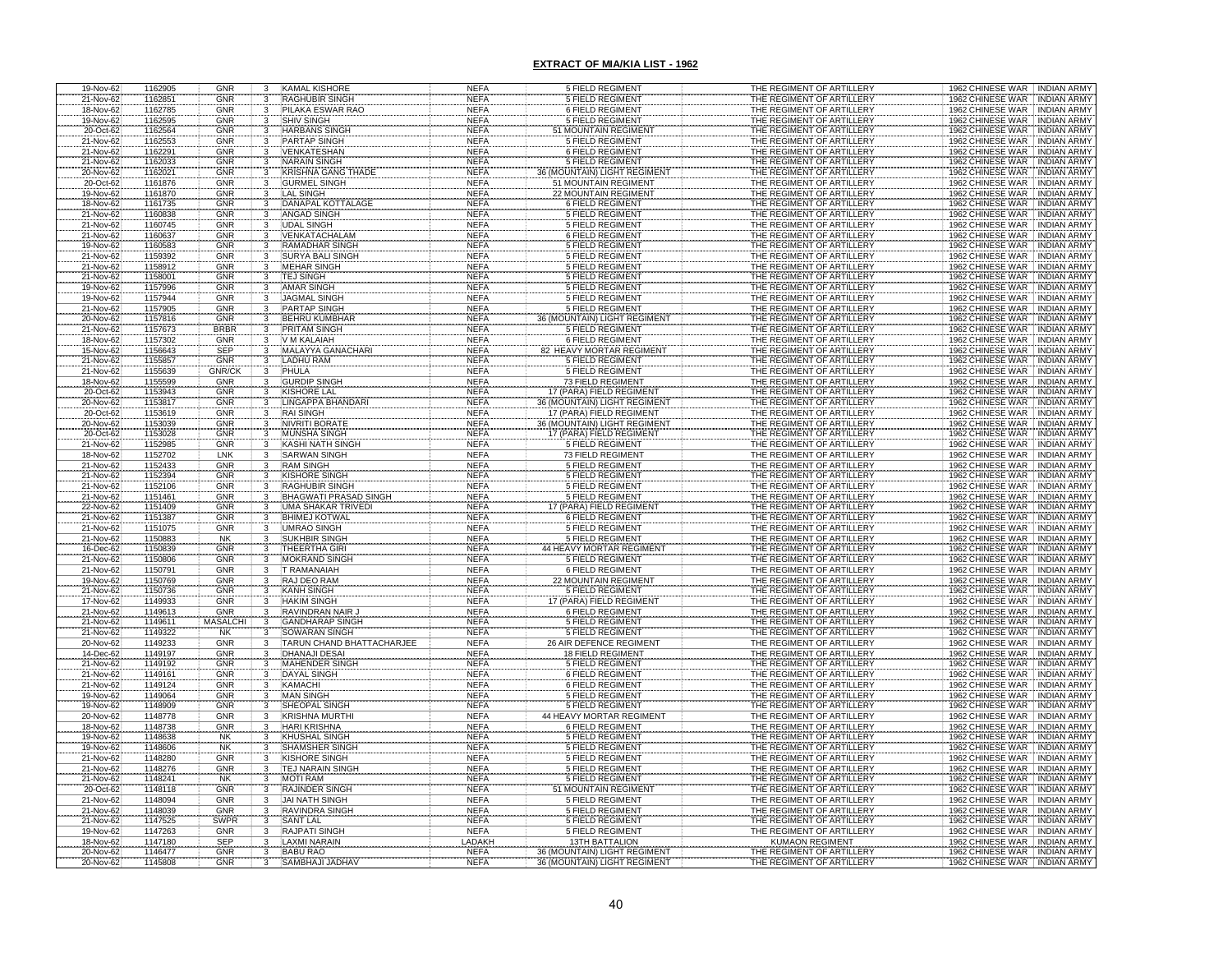| 19-Nov-62              | 1162905            | <b>GNR</b>               |                         | <b>KAMAL KISHORE</b>                             | <b>NEFA</b>                  | 5 FIELD REGIMENT                                         | THE REGIMENT OF ARTILLERY                              | 1962 CHINESE WAR INDIAN ARMY                                                     |
|------------------------|--------------------|--------------------------|-------------------------|--------------------------------------------------|------------------------------|----------------------------------------------------------|--------------------------------------------------------|----------------------------------------------------------------------------------|
| 21-Nov-62<br>18-Nov-62 | 1162851<br>1162785 | <b>GNR</b><br><b>GNR</b> |                         | RAGHUBIR SINGH<br>PILAKA ESWAR RAO               | <b>NEFA</b><br><b>NEFA</b>   | <b>5 FIELD REGIMENT</b><br>6 FIELD REGIMENT              | THE REGIMENT OF ARTILLERY<br>THE REGIMENT OF ARTILLERY | 1962 CHINESE WAR INDIAN ARMY<br>1962 CHINESE WAR INDIAN ARMY                     |
| 19-Nov-62              | 1162595            | <b>GNR</b>               |                         | <b>SHIV SINGH</b>                                | <b>NEFA</b>                  | <b>5 FIELD REGIMENT</b>                                  | THE REGIMENT OF ARTILLERY                              | 1962 CHINESE WAR INDIAN ARMY                                                     |
|                        | 1162564            | GNR                      |                         | <b>HARBANS SINGH</b>                             | <b>NEFA</b>                  | <b>MOUNTAIN REGIMENT</b>                                 | THE REGIMENT OF ARTILLERY                              | <b>INDIAN ARMY</b>                                                               |
| 20-Oct-62<br>21-Nov-62 | 1162553            | GNR                      |                         | <b>PARTAP SINGH</b>                              | <b>NEFA</b>                  | <b>5 FIELD REGIMENT</b>                                  | THE REGIMENT OF ARTILLERY                              | 1962 CHINESE WAR<br>1962 CHINESE WAR<br><b>INDIAN ARMY</b>                       |
| 21-Nov-62              | 1162291            | GNR                      |                         | <b>VENKATESHAN</b>                               | <b>NEFA</b>                  | <b>6 FIELD REGIMENT</b>                                  | THE REGIMENT OF ARTILLERY                              | 1962 CHINESE WAR<br><b>INDIAN ARMY</b>                                           |
| 21-Nov-62              | 1162033            | <b>GNR</b>               |                         | <b>NARAIN SINGH</b>                              | <b>NEFA</b><br><b>NEFA</b>   | 5 FIELD REGIMENT<br>36 (MOUNTAIN) LIGHT REGIMENT         | THE REGIMENT OF ARTILLERY                              | 1962 CHINESE WAR<br><b>INDIAN ARMY</b><br>1962 CHINESE WAR INDIAN ARMY           |
| 20-Nov-62<br>20-Oct-62 | 1162021<br>1161876 | GNR<br><b>GNR</b>        |                         | <b>KRISHNA GANG THADE</b><br><b>GURMEL SINGH</b> | <b>NEFA</b>                  | 51 MOUNTAIN REGIMENT                                     | THE REGIMENT OF ARTILLERY<br>THE REGIMENT OF ARTILLERY | 1962 CHINESE WAR<br><b>INDIAN ARMY</b>                                           |
| 19-Nov-62              | 1161870            | <b>GNR</b>               | 3                       | <b>LAL SINGH</b>                                 | <b>NEFA</b>                  | <b>22 MOUNTAIN REGIMENT</b>                              | THE REGIMENT OF ARTILLERY                              | 1962 CHINESE WAR INDIAN ARMY                                                     |
| 18-Nov-62<br>21-Nov-62 | 1161735            | <b>GNR</b>               |                         | DANAPAL KOTTALAGE                                | <b>NEFA</b>                  | <b>6 FIELD REGIMENT</b>                                  | THE REGIMENT OF ARTILLERY                              | 1962 CHINESE WAR<br><b>INDIAN ARMY</b>                                           |
|                        | 1160838            | GNR                      |                         | <b>ANGAD SINGH</b>                               | <b>NEFA</b>                  | <b>5 FIELD REGIMENT</b>                                  | THE REGIMENT OF ARTILLERY                              | 1962 CHINESE WAR<br><b>INDIAN ARMY</b>                                           |
| 21-Nov-62              | 1160745            | GNR                      |                         | <b>UDAL SINGH</b>                                | <b>NEFA</b>                  | <b>5 FIELD REGIMENT</b>                                  | THE REGIMENT OF ARTILLERY                              | <b>INDIAN ARMY</b><br>1962 CHINESE WAR                                           |
| 21-Nov-62<br>19-Nov-62 | 1160637<br>1160583 | GNR<br><b>GNR</b>        |                         | VENKATACHALAM<br>RAMADHAR SINGH                  | <b>NEFA</b><br><b>NEFA</b>   | <b>6 FIELD REGIMENT</b><br><b>5 FIELD REGIMENT</b>       | THE REGIMENT OF ARTILLERY<br>THE REGIMENT OF ARTILLERY | 1962 CHINESE WAR<br><b>INDIAN ARMY</b><br>1962 CHINESE WAR<br><b>INDIAN ARMY</b> |
| 21-Nov-62              | 1159392            | GNR                      |                         | <b>SURYA BALI SINGH</b>                          | <b>NEFA</b>                  | <b>5 FIELD REGIMENT</b>                                  | THE REGIMENT OF ARTILLERY                              | 1962 CHINESE WAR<br><b>INDIAN ARMY</b>                                           |
| 21-Nov-62              | 1158912            | GNR                      |                         | <b>MEHAR SINGH</b>                               | <b>NEFA</b>                  | <b>5 FIELD REGIMENT</b>                                  | THE REGIMENT OF ARTILLERY                              | 1962 CHINESE WAR<br><b>INDIAN ARMY</b>                                           |
| 21-Nov-62              | 1158001            | <b>GNR</b>               | $\overline{\mathbf{3}}$ | <b>TEJ SINGH</b>                                 | <b>NEFA</b>                  | 5 FIELD REGIMENT                                         | THE REGIMENT OF ARTILLERY                              | 1962 CHINESE WAR<br><b>INDIAN ARMY</b>                                           |
| 19-Nov-62              | 1157996            | GNR                      |                         | <b>AMAR SINGH</b>                                | <b>NEFA</b>                  | <b>5 FIELD REGIMENT</b>                                  | THE REGIMENT OF ARTILLERY                              | 1962 CHINESE WAR INDIAN ARMY                                                     |
| 19-Nov-62<br>21-Nov-62 | 1157944<br>1157905 | <b>GNR</b><br><b>GNR</b> | 3<br>3                  | <b>JAGMAL SINGH</b><br><b>PARTAP SINGH</b>       | <b>NEFA</b><br><b>NEFA</b>   | <b>5 FIELD REGIMENT</b><br><b>5 FIELD REGIMENT</b>       | THE REGIMENT OF ARTILLERY<br>THE REGIMENT OF ARTILLERY | 1962 CHINESE WAR<br><b>INDIAN ARMY</b><br>1962 CHINESE WAR<br><b>INDIAN ARMY</b> |
| 20-Nov-62              | 1157816            | GNR                      | 3                       | <b>BEHRU KUMBHAR</b>                             | <b>NEFA</b>                  | 36 (MOUNTAIN) LIGHT REGIMENT                             | THE REGIMENT OF ARTILLERY                              | 1962 CHINESE WAR<br><b>INDIAN ARMY</b>                                           |
| 21-Nov-62              | 1157673            | <b>BRBR</b>              |                         | <b>PRITAM SINGH</b>                              | <b>NEFA</b>                  | <b>5 FIELD REGIMENT</b>                                  | THE REGIMENT OF ARTILLERY                              | 1962 CHINESE WAR<br><b>INDIAN ARMY</b>                                           |
| 18-Nov-62              | 1157302            | GNR                      |                         | V M KALAIAH                                      | <b>NEFA</b>                  | <b>6 FIELD REGIMENT</b>                                  | THE REGIMENT OF ARTILLERY                              | 1962 CHINESE WAR<br><b>INDIAN ARMY</b>                                           |
| 15-Nov-62              | 1156643            | <b>SEP</b><br>GNR        |                         | MALAYYA GANACHAR                                 | <b>NEFA</b>                  | 82 HEAVY MORTAR REGIMENT<br><b>5 FIELD REGIMENT</b>      | THE REGIMENT OF ARTILLERY                              | 1962 CHINESE WAR<br><b>INDIAN ARMY</b>                                           |
| 21-Nov-62<br>21-Nov-62 | 1155857<br>1155639 | GNR/CK                   |                         | LADHU RAM<br>PHULA                               | <b>NEFA</b><br><b>NEFA</b>   | <b>5 FIELD REGIMENT</b>                                  | THE REGIMENT OF ARTILLERY<br>THE REGIMENT OF ARTILLERY | 1962 CHINESE WAR<br><b>INDIAN ARMY</b><br>1962 CHINESE WAR<br><b>INDIAN ARMY</b> |
| 18-Nov-62              | 1155599            | GNR                      |                         | <b>GURDIP SINGH</b>                              | <b>NEFA</b>                  | 73 FIELD REGIMENT                                        | THE REGIMENT OF ARTILLERY                              | 1962 CHINESE WAR<br><b>INDIAN ARMY</b>                                           |
| 20-Oct-62              | 1153943            | GNR                      |                         | KISHORE LAL                                      | <b>NEFA</b>                  | 7 (PARA) FIELD REGIMENT                                  | THE REGIMENT OF ARTILLERY                              | 1962 CHINESE WAR<br><b>INDIAN ARMY</b>                                           |
| 20-Nov-62              | 1153817            | GNR                      |                         | LINGAPPA BHANDA                                  | <b>NEFA</b>                  | 36 (MOUNTAIN) LIGHT REGIMEN                              | THE REGIMENT OF ARTILLERY                              | 1962 CHINESE WAR<br><b>INDIAN ARMY</b>                                           |
| 20-Oct-62              | 1153619            | GNR                      |                         | <b>RAI SINGH</b>                                 | <b>NEFA</b>                  | 17 (PARA) FIELD REGIMENT                                 | THE REGIMENT OF ARTILLERY                              | 1962 CHINESE WAR<br><b>INDIAN ARMY</b>                                           |
| 20-Nov-62<br>20-Oct-62 | 1153039<br>1153028 | <b>GNR</b><br>GNR        |                         | NIVRITI BORATE<br><b>MUNSHA SINGH</b>            | <b>NEFA</b><br><b>NEFA</b>   | 36 (MOUNTAIN) LIGHT REGIMENT<br>17 (PARA) FIELD REGIMENT | THE REGIMENT OF ARTILLERY<br>THE REGIMENT OF ARTILLERY | 1962 CHINESE WAR<br><b>INDIAN ARMY</b><br>1962 CHINESE WAR<br><b>INDIAN ARMY</b> |
| 21-Nov-62              | 1152985            | GNR                      |                         | KASHI NATH SINGH                                 | <b>NEFA</b>                  | 5 FIELD REGIMENT                                         | THE REGIMENT OF ARTILLERY                              | 1962 CHINESE WAR<br><b>INDIAN ARMY</b>                                           |
| 18-Nov-62              | 1152702            | LNK                      |                         | <b>SARWAN SINGH</b>                              | <b>NEFA</b>                  | 73 FIELD REGIMENT                                        | THE REGIMENT OF ARTILLERY                              | 1962 CHINESE WAR<br><b>INDIAN ARMY</b>                                           |
| 21-Nov-62<br>21-Nov-62 | 1152433<br>1152394 | <b>GNR</b><br>GNR        |                         | RAM SINGH                                        | <b>NEFA</b>                  | <b>5 FIELD REGIMENT</b>                                  | THE REGIMENT OF ARTILLERY                              | 1962 CHINESE WAR<br><b>INDIAN ARMY</b>                                           |
|                        |                    |                          |                         | <b>KISHORE SINGH</b>                             | <b>NEFA</b><br><b>NEFA</b>   | <b>5 FIELD REGIMENT</b>                                  | THE REGIMENT OF ARTILLERY                              | 1962 CHINESE WAR<br><b>INDIAN ARMY</b>                                           |
| 21-Nov-62<br>21-Nov-62 | 1152106<br>1151461 | <b>GNR</b><br><b>GNR</b> |                         | RAGHUBIR SINGH<br><b>BHAGWATI PRASAD SINGH</b>   | <b>NEFA</b>                  | <b>5 FIELD REGIMENT</b><br>5 FIELD REGIMENT              | THE REGIMENT OF ARTILLERY<br>THE REGIMENT OF ARTILLERY | 1962 CHINESE WAR<br>INDIAN ARMY<br>1962 CHINESE WAR INDIAN ARMY                  |
| 22-Nov-62              | 1151409            | <b>GNR</b>               |                         | UMA SHAKAR TRIVEDI                               | <b>NEFA</b>                  | (PARA) FIELD REGIMENT                                    | THE REGIMENT OF ARTILLERY                              | 1962 CHINESE WAR INDIAN ARMY                                                     |
| 21-Nov-62              | 1151387            | <b>GNR</b>               |                         | <b>BHIMEJ KOTWAL</b>                             | <b>NEFA</b>                  | 6 FIELD REGIMENT                                         | THE REGIMENT OF ARTILLERY                              | 1962 CHINESE WAR NDIAN ARMY                                                      |
| 21-Nov-62              | 1151075            | <b>GNR</b>               |                         | <b>UMRAO SINGH</b>                               | <b>NEFA</b>                  | <b>5 FIELD REGIMENT</b>                                  | THE REGIMENT OF ARTILLERY                              | 1962 CHINESE WAR INDIAN ARMY                                                     |
| 21-Nov-62<br>16-Dec-62 | 1150883<br>1150839 | NK<br>GNR                |                         | <b>SUKHBIR SINGH</b><br>THEERTHA GIRI            | <b>NEFA</b>                  | 5 FIELD REGIMENT<br>44 HEAVY MORTAR REGIMENT             | THE REGIMENT OF ARTILLERY<br>THE REGIMENT OF ARTILLERY | 1962 CHINESE WAR INDIAN ARMY<br>1962 CHINESE WAR INDIAN ARMY                     |
| 21-Nov-62              | 1150806            | <b>GNR</b>               |                         | <b>MOKRAND SINGH</b>                             | <b>NEFA</b><br><b>NEFA</b>   | 5 FIELD REGIMENT                                         | THE REGIMENT OF ARTILLERY                              | 1962 CHINESE WAR INDIAN ARMY                                                     |
| 21-Nov-62              | 1150791            | GNR                      |                         | <b>T RAMANAIAH</b>                               | <b>NEFA</b>                  | <b>6 FIELD REGIMENT</b>                                  | THE REGIMENT OF ARTILLERY                              | 1962 CHINESE WAR INDIAN ARMY                                                     |
| 19-Nov-62              | 1150769            | GNR                      |                         | RAJ DEO RAM                                      | <b>NEFA</b>                  | 22 MOUNTAIN REGIMEN                                      | THE REGIMENT OF ARTILLERY                              | 1962 CHINESE WAR INDIAN ARMY                                                     |
| 21-Nov-62              | 1150736            | GNR                      |                         | <b>KANH SINGH</b>                                | <b>NEFA</b>                  | <b>5 FIELD REGIMENT</b>                                  | THE REGIMENT OF ARTILLERY                              | 1962 CHINESE WAR<br><b>INDIAN ARMY</b>                                           |
| 17-Nov-62<br>21-Nov-62 | 1149933<br>1149613 | GNR<br><b>GNR</b>        |                         | <b>HAKIM SINGH</b><br>RAVINDRAN NAIR,            | <b>NEFA</b><br><b>NEFA</b>   | (PARA) FIELD REGIMEI<br><b>6 FIELD REGIMENT</b>          | THE REGIMENT OF ARTILLERY<br>THE REGIMENT OF ARTILLERY | 1962 CHINESE WAR<br><b>INDIAN ARMY</b><br>1962 CHINESE WAR<br><b>INDIAN ARMY</b> |
| 21-Nov-62              | 1149611            | <b>MASALCH</b>           |                         | <b>GANDHARAP SINGH</b>                           | <b>NEFA</b>                  | 5 FIELD REGIMENT                                         | THE REGIMENT OF ARTILLERY                              | 1962 CHINESE WAR INDIAN ARMY                                                     |
| 21-Nov-62              | 1149322            | <b>NK</b>                |                         | SOWARAN SINGH                                    | <b>NEFA</b>                  | <b>5 FIELD REGIMENT</b>                                  | THE REGIMENT OF ARTILLERY                              | 1962 CHINESE WAR INDIAN ARMY                                                     |
| 20-Nov-62              | 1149233            | GNR                      |                         | TARUN CHAND BHATTACHARJEE                        | <b>NEFA</b>                  | 26 AIR DEFENCE REGIMENT                                  | THE REGIMENT OF ARTILLERY                              | 1962 CHINESE WAR<br>INDIAN ARMY                                                  |
| 14-Dec-62              | 1149197            | GNR                      |                         | DHANAJI DESAI                                    | <b>NEFA</b>                  | 18 FIELD REGIMENT                                        | THE REGIMENT OF ARTILLERY                              | 1962 CHINESE WAR<br><b>INDIAN ARMY</b>                                           |
| 21-Nov-62<br>21-Nov-62 | 1149192<br>1149161 | GNR<br>GNR               |                         | <b>MAHENDER SING</b><br>DAYAL SINGH              | <b>NEFA</b><br><b>NEFA</b>   | <b>5 FIELD REGIMENT</b><br>6 FIELD REGIMENT              | THE REGIMENT OF ARTILLERY<br>THE REGIMENT OF ARTILLERY | 1962 CHINESE WAR<br><b>INDIAN ARMY</b><br>1962 CHINESE WAR<br>INDIAN ARMY        |
| 21-Nov-62              | 1149124            | GNR                      |                         | KAMACHI                                          | <b>NEFA</b>                  | 6 FIELD REGIMENT                                         | THE REGIMENT OF ARTILLERY                              | 1962 CHINESE WAR<br>INDIAN ARMY                                                  |
| 19-Nov-62              | 1149064            | GNR                      |                         | <b>MAN SINGH</b>                                 | <b>NEFA</b>                  | <b>5 FIELD REGIMENT</b>                                  | THE REGIMENT OF ARTILLERY                              | 1962 CHINESE WAR<br>INDIAN ARMY                                                  |
| 19-Nov-62              | 1148909            | GNR                      |                         | SHEOPAL SINGH                                    | <b>NEFA</b>                  | <b>5 FIELD REGIMENT</b>                                  | THE REGIMENT OF ARTILLERY                              | 1962 CHINESE WAR INDIAN ARMY                                                     |
| 20-Nov-62              | 1148778            | GNR                      | 3                       | <b>KRISHNA MURTHI</b><br><b>HARI KRISHNA</b>     | <b>NEFA</b>                  | 44 HEAVY MORTAR REGIMENT<br><b>6 FIELD REGIMENT</b>      | THE REGIMENT OF ARTILLERY                              | 1962 CHINESE WAR : INDIAN ARMY                                                   |
| 18-Nov-62<br>19-Nov-62 | 1148738<br>1148638 | GNR<br>NK                |                         | <b>KHUSHAL SINGH</b>                             | <b>NEFA</b><br><b>NEFA</b>   | <b>5 FIELD REGIMENT</b>                                  | THE REGIMENT OF ARTILLERY<br>THE REGIMENT OF ARTILLERY | 1962 CHINESE WAR INDIAN ARMY<br>1962 CHINESE WAR<br><b>INDIAN ARMY</b>           |
| 19-Nov-62              | 1148606            | <b>NK</b>                |                         | SHAMSHER SINGH                                   | <b>NEFA</b>                  | 5 FIELD REGIMENT                                         | THE REGIMENT OF ARTILLERY                              | INDIAN ARMY<br>1962 CHINESE WAR                                                  |
| 21-Nov-62              | 1148280            | GNR                      |                         | <b>KISHORE SINGH</b>                             | <b>NEFA</b>                  | 5 FIELD REGIMENT                                         | THE REGIMENT OF ARTILLERY                              | 1962 CHINESE WAR<br>INDIAN ARMY                                                  |
| 21-Nov-62              | 1148276            | <b>GNR</b>               |                         | TEJ NARAIN SINGH                                 | <b>NEFA</b>                  | <b>5 FIELD REGIMENT</b>                                  | THE REGIMENT OF ARTILLERY                              | 1962 CHINESE WAR<br><b>INDIAN ARMY</b>                                           |
| 21-Nov-62<br>20-Oct-62 | 1148241<br>1148118 | <b>NK</b><br>GNR         |                         | <b>MOTI RAM</b><br>RAJINDER SINGH                | <b>NEFA</b><br><b>NEFA</b>   | 5 FIELD REGIMENT<br>51 MOUNTAIN REGIMENT                 | THE REGIMENT OF ARTILLERY<br>THE REGIMENT OF ARTILLERY | 1962 CHINESE WAR<br><b>INDIAN ARMY</b><br>1962 CHINESE WAR<br><b>INDIAN ARMY</b> |
| 21-Nov-62              | 1148094            | GNR                      |                         | <b>JAI NATH SINGH</b>                            | <b>NEFA</b>                  | <b>5 FIELD REGIMENT</b>                                  | THE REGIMENT OF ARTILLERY                              | 1962 CHINESE WAR INDIAN ARMY                                                     |
| 21-Nov-62              | 1148039            | GNR                      |                         | <b>RAVINDRA SINGH</b>                            | <b>NEFA</b>                  | <b>5 FIELD REGIMENT</b>                                  | THE REGIMENT OF ARTILLERY                              | 1962 CHINESE WAR<br><b>INDIAN ARMY</b>                                           |
| 21-Nov-62              | 1147525            | <b>SWPR</b>              | 3                       | <b>SANT LAL</b>                                  | <b>NEFA</b>                  | 5 FIELD REGIMENT                                         | THE REGIMENT OF ARTILLERY                              | 1962 CHINESE WAR INDIAN ARMY                                                     |
| 19-Nov-62              | 1147263            | <b>GNR</b>               | 3                       | RAJPATI SINGH                                    | <b>NEFA</b>                  | 5 FIELD REGIMENT                                         | THE REGIMENT OF ARTILLERY                              | 1962 CHINESE WAR INDIAN ARMY                                                     |
| 18-Nov-62<br>20-Nov-62 | 1147180<br>1146477 | SEP<br>GNR               |                         | LAXMI NARAIN<br><b>BABU RAO</b>                  | <b>LADAKH</b><br><b>NEFA</b> | <b>13TH BATTALION</b><br>36 (MOUNTAIN) LIGHT REGIMENT    | <b>KUMAON REGIMENT</b><br>THE REGIMENT OF ARTILLERY    | 1962 CHINESE WAR INDIAN ARMY<br>1962 CHINESE WAR INDIAN ARMY                     |
| 20-Nov-62              | 1145808            | GNR                      |                         | SAMBHAJI JADHA                                   | <b>NEFA</b>                  | 36 (MOUNTAIN) LIGHT REGIMENT                             | THE REGIMENT OF ARTILLERY                              | 1962 CHINESE WAR<br><b>INDIAN ARMY</b>                                           |
|                        |                    |                          |                         |                                                  |                              |                                                          |                                                        |                                                                                  |